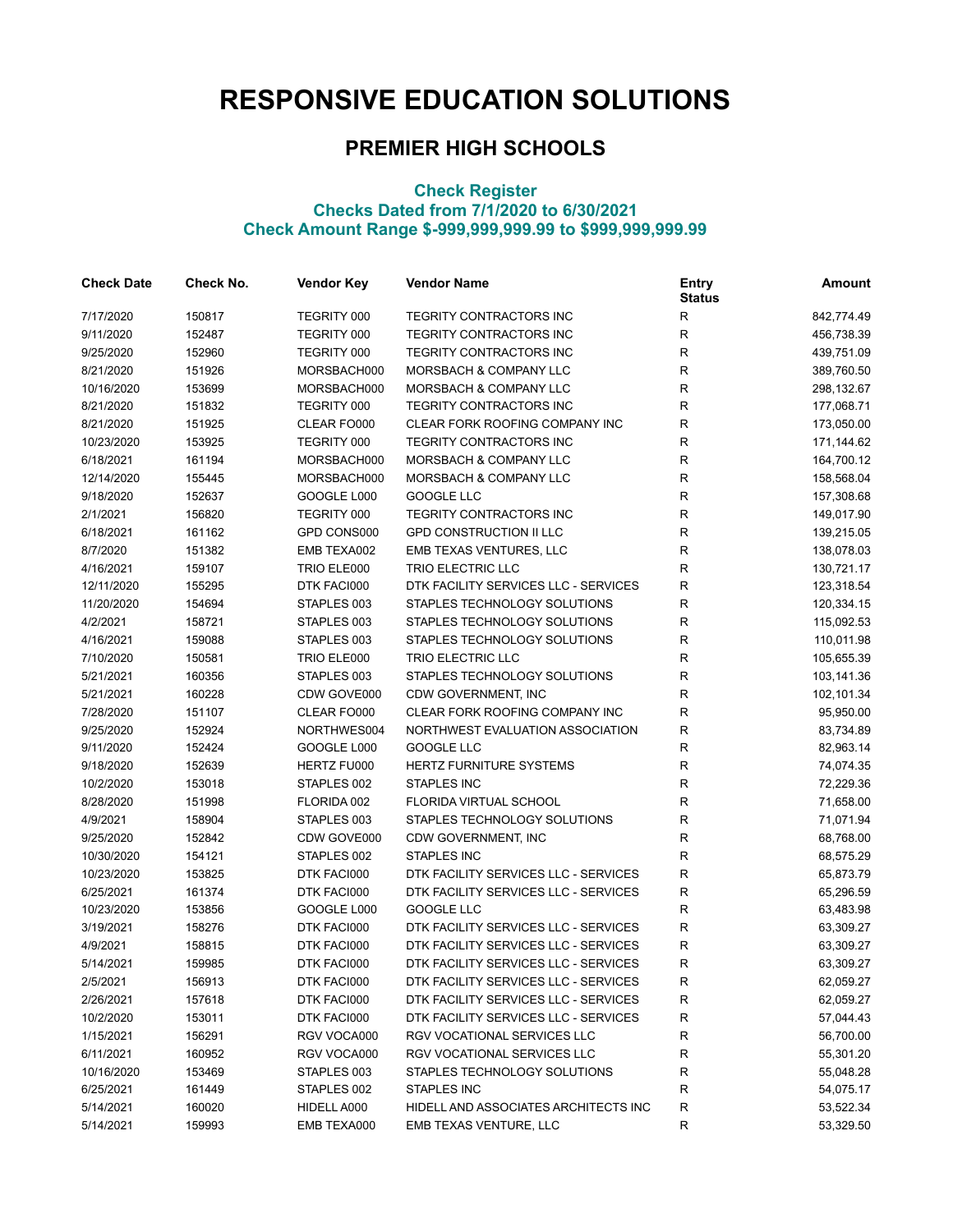## **RESPONSIVE EDUCATION SOLUTIONS**

## **PREMIER HIGH SCHOOLS**

## **Check Register Checks Dated from 7/1/2020 to 6/30/2021 Check Amount Range \$-999,999,999.99 to \$999,999,999.99**

| <b>Check Date</b> | Check No. | <b>Vendor Key</b> | <b>Vendor Name</b>                   | <b>Entry</b><br><b>Status</b> | Amount     |
|-------------------|-----------|-------------------|--------------------------------------|-------------------------------|------------|
| 7/17/2020         | 150817    | TEGRITY 000       | TEGRITY CONTRACTORS INC              | R                             | 842,774.49 |
| 9/11/2020         | 152487    | TEGRITY 000       | TEGRITY CONTRACTORS INC              | R                             | 456,738.39 |
| 9/25/2020         | 152960    | TEGRITY 000       | TEGRITY CONTRACTORS INC              | R                             | 439,751.09 |
| 8/21/2020         | 151926    | MORSBACH000       | MORSBACH & COMPANY LLC               | $\mathsf R$                   | 389,760.50 |
| 10/16/2020        | 153699    | MORSBACH000       | MORSBACH & COMPANY LLC               | $\mathsf R$                   | 298,132.67 |
| 8/21/2020         | 151832    | TEGRITY 000       | TEGRITY CONTRACTORS INC              | R                             | 177,068.71 |
| 8/21/2020         | 151925    | CLEAR FO000       | CLEAR FORK ROOFING COMPANY INC       | R                             | 173,050.00 |
| 10/23/2020        | 153925    | TEGRITY 000       | TEGRITY CONTRACTORS INC              | R                             | 171,144.62 |
| 6/18/2021         | 161194    | MORSBACH000       | MORSBACH & COMPANY LLC               | $\mathsf{R}$                  | 164,700.12 |
| 12/14/2020        | 155445    | MORSBACH000       | MORSBACH & COMPANY LLC               | $\mathsf R$                   | 158,568.04 |
| 9/18/2020         | 152637    | GOOGLE L000       | <b>GOOGLE LLC</b>                    | R                             | 157,308.68 |
| 2/1/2021          | 156820    | TEGRITY 000       | TEGRITY CONTRACTORS INC              | R                             | 149,017.90 |
| 6/18/2021         | 161162    | GPD CONS000       | <b>GPD CONSTRUCTION II LLC</b>       | $\mathsf R$                   | 139,215.05 |
| 8/7/2020          | 151382    | EMB TEXA002       | EMB TEXAS VENTURES, LLC              | ${\sf R}$                     | 138,078.03 |
| 4/16/2021         | 159107    | TRIO ELE000       | TRIO ELECTRIC LLC                    | R                             | 130,721.17 |
| 12/11/2020        | 155295    | DTK FACI000       | DTK FACILITY SERVICES LLC - SERVICES | R                             | 123,318.54 |
| 11/20/2020        | 154694    | STAPLES 003       | STAPLES TECHNOLOGY SOLUTIONS         | R                             | 120,334.15 |
| 4/2/2021          | 158721    | STAPLES 003       | STAPLES TECHNOLOGY SOLUTIONS         | $\mathsf R$                   | 115,092.53 |
| 4/16/2021         | 159088    | STAPLES 003       | STAPLES TECHNOLOGY SOLUTIONS         | $\mathsf R$                   | 110,011.98 |
| 7/10/2020         | 150581    | TRIO ELE000       | TRIO ELECTRIC LLC                    | R                             | 105,655.39 |
| 5/21/2021         | 160356    | STAPLES 003       | STAPLES TECHNOLOGY SOLUTIONS         | R                             | 103,141.36 |
| 5/21/2021         | 160228    | CDW GOVE000       | CDW GOVERNMENT, INC                  | R                             | 102,101.34 |
| 7/28/2020         | 151107    | CLEAR FO000       | CLEAR FORK ROOFING COMPANY INC       | $\mathsf R$                   | 95,950.00  |
| 9/25/2020         | 152924    | NORTHWES004       | NORTHWEST EVALUATION ASSOCIATION     | $\mathsf R$                   | 83,734.89  |
| 9/11/2020         | 152424    | GOOGLE L000       | <b>GOOGLE LLC</b>                    | $\mathsf R$                   | 82,963.14  |
| 9/18/2020         | 152639    | HERTZ FU000       | <b>HERTZ FURNITURE SYSTEMS</b>       | $\mathsf R$                   | 74,074.35  |
| 10/2/2020         | 153018    | STAPLES 002       | STAPLES INC                          | ${\sf R}$                     | 72,229.36  |
| 8/28/2020         | 151998    | FLORIDA 002       | FLORIDA VIRTUAL SCHOOL               | ${\sf R}$                     | 71,658.00  |
| 4/9/2021          | 158904    | STAPLES 003       | STAPLES TECHNOLOGY SOLUTIONS         | $\mathsf R$                   | 71,071.94  |
| 9/25/2020         | 152842    | CDW GOVE000       | CDW GOVERNMENT, INC                  | R                             | 68,768.00  |
| 10/30/2020        | 154121    | STAPLES 002       | STAPLES INC                          | R                             | 68,575.29  |
| 10/23/2020        | 153825    | DTK FACI000       | DTK FACILITY SERVICES LLC - SERVICES | $\mathsf R$                   | 65,873.79  |
| 6/25/2021         | 161374    | DTK FACI000       | DTK FACILITY SERVICES LLC - SERVICES | R                             | 65,296.59  |
| 10/23/2020        | 153856    | GOOGLE L000       | GOOGLE LLC                           | R                             | 63,483.98  |
| 3/19/2021         | 158276    | DTK FACI000       | DTK FACILITY SERVICES LLC - SERVICES | R                             | 63,309.27  |
| 4/9/2021          | 158815    | DTK FACI000       | DTK FACILITY SERVICES LLC - SERVICES | $\mathsf R$                   | 63,309.27  |
| 5/14/2021         | 159985    | DTK FACI000       | DTK FACILITY SERVICES LLC - SERVICES | R                             | 63,309.27  |
| 2/5/2021          | 156913    | DTK FACI000       | DTK FACILITY SERVICES LLC - SERVICES | R                             | 62,059.27  |
| 2/26/2021         | 157618    | DTK FACI000       | DTK FACILITY SERVICES LLC - SERVICES | R                             | 62,059.27  |
| 10/2/2020         | 153011    | DTK FACI000       | DTK FACILITY SERVICES LLC - SERVICES | R                             | 57,044.43  |
| 1/15/2021         | 156291    | RGV VOCA000       | RGV VOCATIONAL SERVICES LLC          | R                             | 56,700.00  |
| 6/11/2021         | 160952    | RGV VOCA000       | RGV VOCATIONAL SERVICES LLC          | $\mathsf R$                   | 55,301.20  |
| 10/16/2020        | 153469    | STAPLES 003       | STAPLES TECHNOLOGY SOLUTIONS         | R                             | 55,048.28  |
| 6/25/2021         | 161449    | STAPLES 002       | STAPLES INC                          | R                             | 54,075.17  |
| 5/14/2021         | 160020    | HIDELL A000       | HIDELL AND ASSOCIATES ARCHITECTS INC | R                             | 53,522.34  |
| 5/14/2021         | 159993    | EMB TEXA000       | EMB TEXAS VENTURE, LLC               | R                             | 53,329.50  |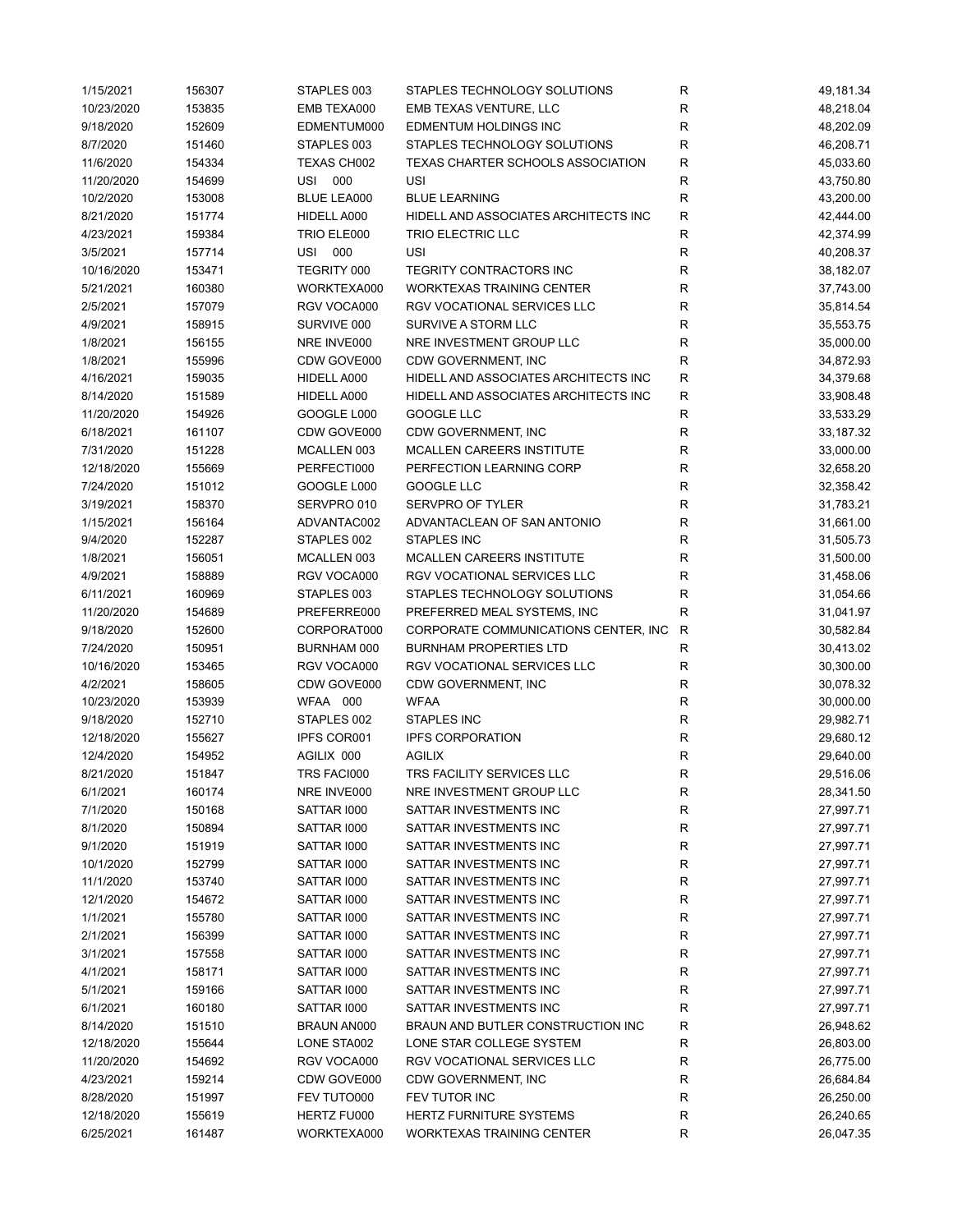| 1/15/2021  | 156307 | STAPLES 003 | STAPLES TECHNOLOGY SOLUTIONS             | R           | 49,181.34 |
|------------|--------|-------------|------------------------------------------|-------------|-----------|
| 10/23/2020 | 153835 | EMB TEXA000 | EMB TEXAS VENTURE, LLC                   | R           | 48,218.04 |
| 9/18/2020  | 152609 | EDMENTUM000 | EDMENTUM HOLDINGS INC                    | R           | 48,202.09 |
| 8/7/2020   | 151460 | STAPLES 003 | STAPLES TECHNOLOGY SOLUTIONS             | R           | 46,208.71 |
| 11/6/2020  | 154334 | TEXAS CH002 | <b>TEXAS CHARTER SCHOOLS ASSOCIATION</b> | R           | 45,033.60 |
| 11/20/2020 | 154699 | 000<br>USI  | USI                                      | R           | 43,750.80 |
| 10/2/2020  | 153008 | BLUE LEA000 | <b>BLUE LEARNING</b>                     | $\mathsf R$ | 43,200.00 |
| 8/21/2020  | 151774 | HIDELL A000 | HIDELL AND ASSOCIATES ARCHITECTS INC     | R           | 42,444.00 |
| 4/23/2021  | 159384 | TRIO ELE000 | TRIO ELECTRIC LLC                        | R           | 42,374.99 |
|            |        |             |                                          | R           |           |
| 3/5/2021   | 157714 | USI<br>000  | USI                                      |             | 40,208.37 |
| 10/16/2020 | 153471 | TEGRITY 000 | <b>TEGRITY CONTRACTORS INC</b>           | R           | 38,182.07 |
| 5/21/2021  | 160380 | WORKTEXA000 | <b>WORKTEXAS TRAINING CENTER</b>         | R           | 37,743.00 |
| 2/5/2021   | 157079 | RGV VOCA000 | RGV VOCATIONAL SERVICES LLC              | R           | 35,814.54 |
| 4/9/2021   | 158915 | SURVIVE 000 | SURVIVE A STORM LLC                      | R           | 35,553.75 |
| 1/8/2021   | 156155 | NRE INVE000 | NRE INVESTMENT GROUP LLC                 | R           | 35,000.00 |
| 1/8/2021   | 155996 | CDW GOVE000 | CDW GOVERNMENT, INC                      | R           | 34,872.93 |
| 4/16/2021  | 159035 | HIDELL A000 | HIDELL AND ASSOCIATES ARCHITECTS INC     | R           | 34,379.68 |
| 8/14/2020  | 151589 | HIDELL A000 | HIDELL AND ASSOCIATES ARCHITECTS INC     | $\mathsf R$ | 33,908.48 |
| 11/20/2020 | 154926 | GOOGLE L000 | GOOGLE LLC                               | R           | 33,533.29 |
| 6/18/2021  | 161107 | CDW GOVE000 | CDW GOVERNMENT, INC                      | R           | 33,187.32 |
| 7/31/2020  | 151228 | MCALLEN 003 | <b>MCALLEN CAREERS INSTITUTE</b>         | R           | 33,000.00 |
| 12/18/2020 | 155669 | PERFECTI000 | PERFECTION LEARNING CORP                 | R           | 32,658.20 |
| 7/24/2020  | 151012 | GOOGLE L000 | GOOGLE LLC                               | R           | 32,358.42 |
| 3/19/2021  | 158370 | SERVPRO 010 | <b>SERVPRO OF TYLER</b>                  | R           | 31,783.21 |
| 1/15/2021  | 156164 | ADVANTAC002 | ADVANTACLEAN OF SAN ANTONIO              | R           | 31,661.00 |
| 9/4/2020   | 152287 | STAPLES 002 | <b>STAPLES INC</b>                       | R           | 31,505.73 |
|            |        |             |                                          |             |           |
| 1/8/2021   | 156051 | MCALLEN 003 | MCALLEN CAREERS INSTITUTE                | R           | 31,500.00 |
| 4/9/2021   | 158889 | RGV VOCA000 | RGV VOCATIONAL SERVICES LLC              | R           | 31,458.06 |
| 6/11/2021  | 160969 | STAPLES 003 | STAPLES TECHNOLOGY SOLUTIONS             | R           | 31,054.66 |
| 11/20/2020 | 154689 | PREFERRE000 | PREFERRED MEAL SYSTEMS, INC              | R           | 31,041.97 |
| 9/18/2020  | 152600 | CORPORAT000 | CORPORATE COMMUNICATIONS CENTER, INC     | R           | 30,582.84 |
| 7/24/2020  | 150951 | BURNHAM 000 | <b>BURNHAM PROPERTIES LTD</b>            | R           | 30,413.02 |
| 10/16/2020 | 153465 | RGV VOCA000 | RGV VOCATIONAL SERVICES LLC              | R           | 30,300.00 |
| 4/2/2021   | 158605 | CDW GOVE000 | CDW GOVERNMENT, INC                      | R           | 30,078.32 |
| 10/23/2020 | 153939 | WFAA 000    | <b>WFAA</b>                              | R           | 30,000.00 |
| 9/18/2020  | 152710 | STAPLES 002 | <b>STAPLES INC</b>                       | R           | 29,982.71 |
| 12/18/2020 | 155627 | IPFS COR001 | <b>IPFS CORPORATION</b>                  | R           | 29,680.12 |
| 12/4/2020  | 154952 | AGILIX 000  | AGILIX                                   | R           | 29,640.00 |
| 8/21/2020  | 151847 | TRS FACI000 | TRS FACILITY SERVICES LLC                | R           | 29,516.06 |
| 6/1/2021   | 160174 | NRE INVE000 | NRE INVESTMENT GROUP LLC                 | R           | 28,341.50 |
| 7/1/2020   | 150168 | SATTAR 1000 | SATTAR INVESTMENTS INC                   | R           | 27,997.71 |
| 8/1/2020   | 150894 | SATTAR 1000 | SATTAR INVESTMENTS INC                   | R           | 27,997.71 |
| 9/1/2020   | 151919 | SATTAR 1000 | SATTAR INVESTMENTS INC                   | R           | 27,997.71 |
| 10/1/2020  | 152799 | SATTAR 1000 | SATTAR INVESTMENTS INC                   | R           | 27,997.71 |
| 11/1/2020  | 153740 | SATTAR 1000 | SATTAR INVESTMENTS INC                   | R           | 27,997.71 |
|            |        |             |                                          |             |           |
| 12/1/2020  | 154672 | SATTAR 1000 | SATTAR INVESTMENTS INC                   | R           | 27,997.71 |
| 1/1/2021   | 155780 | SATTAR 1000 | SATTAR INVESTMENTS INC                   | R           | 27,997.71 |
| 2/1/2021   | 156399 | SATTAR 1000 | SATTAR INVESTMENTS INC                   | R           | 27,997.71 |
| 3/1/2021   | 157558 | SATTAR 1000 | SATTAR INVESTMENTS INC                   | R           | 27,997.71 |
| 4/1/2021   | 158171 | SATTAR 1000 | SATTAR INVESTMENTS INC                   | R           | 27,997.71 |
| 5/1/2021   | 159166 | SATTAR 1000 | SATTAR INVESTMENTS INC                   | R           | 27,997.71 |
| 6/1/2021   | 160180 | SATTAR 1000 | SATTAR INVESTMENTS INC                   | R           | 27,997.71 |
| 8/14/2020  | 151510 | BRAUN AN000 | BRAUN AND BUTLER CONSTRUCTION INC        | R           | 26,948.62 |
| 12/18/2020 | 155644 | LONE STA002 | LONE STAR COLLEGE SYSTEM                 | R           | 26,803.00 |
| 11/20/2020 | 154692 | RGV VOCA000 | RGV VOCATIONAL SERVICES LLC              | R           | 26,775.00 |
| 4/23/2021  | 159214 | CDW GOVE000 | CDW GOVERNMENT, INC                      | R           | 26,684.84 |
| 8/28/2020  | 151997 | FEV TUTO000 | FEV TUTOR INC                            | R           | 26,250.00 |
| 12/18/2020 | 155619 | HERTZ FU000 | <b>HERTZ FURNITURE SYSTEMS</b>           | R           | 26,240.65 |
| 6/25/2021  | 161487 | WORKTEXA000 | WORKTEXAS TRAINING CENTER                | R           | 26,047.35 |
|            |        |             |                                          |             |           |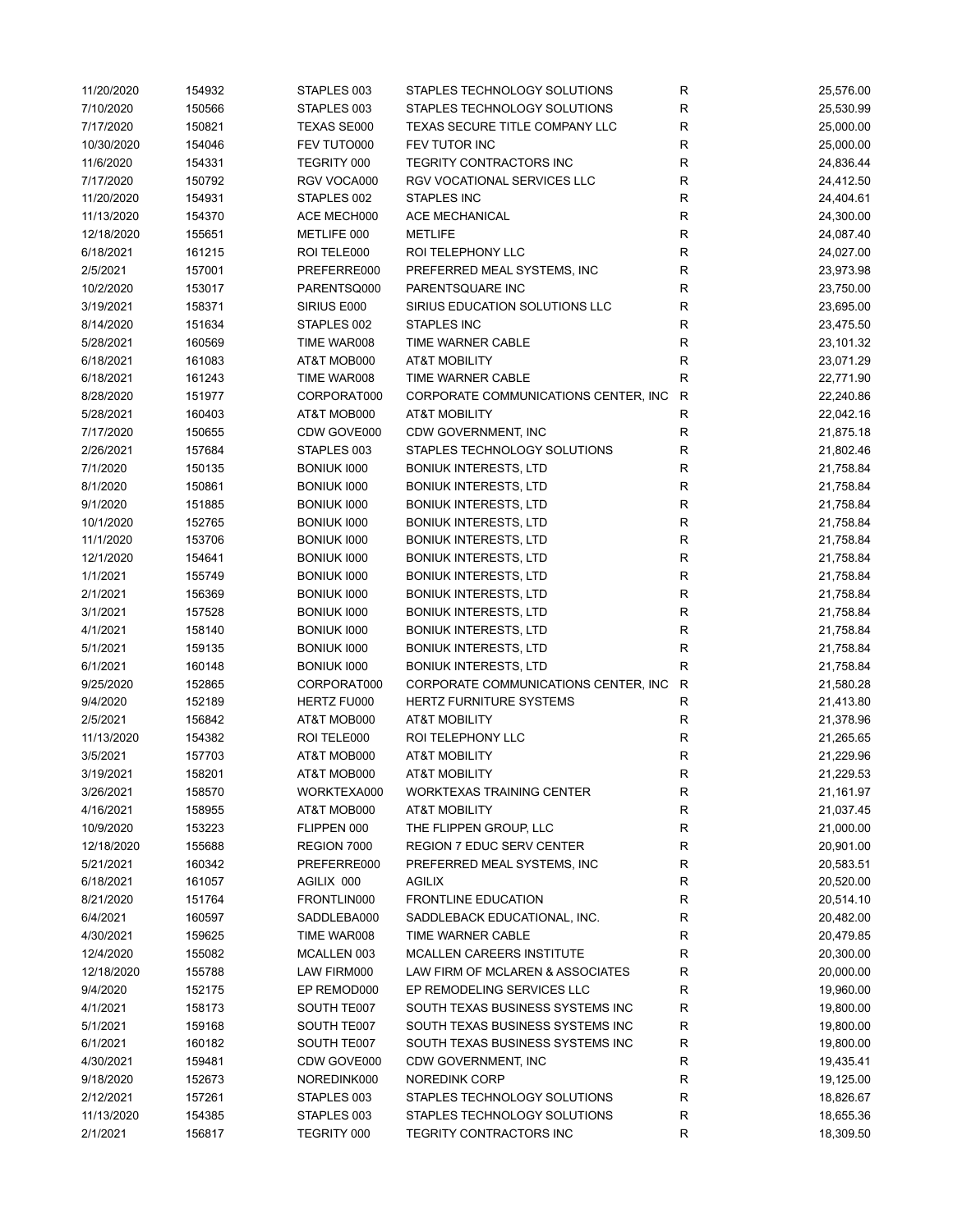| 11/20/2020 | 154932 | STAPLES 003        | STAPLES TECHNOLOGY SOLUTIONS         | R | 25,576.00 |
|------------|--------|--------------------|--------------------------------------|---|-----------|
| 7/10/2020  | 150566 | STAPLES 003        | STAPLES TECHNOLOGY SOLUTIONS         | R | 25,530.99 |
| 7/17/2020  | 150821 | TEXAS SE000        | TEXAS SECURE TITLE COMPANY LLC       | R | 25,000.00 |
| 10/30/2020 | 154046 | FEV TUTO000        | FEV TUTOR INC                        | R | 25,000.00 |
| 11/6/2020  | 154331 | TEGRITY 000        | TEGRITY CONTRACTORS INC              | R | 24,836.44 |
| 7/17/2020  | 150792 | RGV VOCA000        | RGV VOCATIONAL SERVICES LLC          | R | 24,412.50 |
| 11/20/2020 | 154931 | STAPLES 002        | <b>STAPLES INC</b>                   | R | 24,404.61 |
| 11/13/2020 | 154370 | ACE MECH000        | <b>ACE MECHANICAL</b>                | R | 24,300.00 |
| 12/18/2020 | 155651 | METLIFE 000        | <b>METLIFE</b>                       | R | 24,087.40 |
| 6/18/2021  | 161215 | ROI TELE000        | ROI TELEPHONY LLC                    | R | 24,027.00 |
| 2/5/2021   | 157001 | PREFERRE000        | PREFERRED MEAL SYSTEMS, INC          | R | 23,973.98 |
| 10/2/2020  | 153017 | PARENTSQ000        | PARENTSQUARE INC                     | R | 23,750.00 |
| 3/19/2021  | 158371 | SIRIUS E000        | SIRIUS EDUCATION SOLUTIONS LLC       | R | 23,695.00 |
|            |        |                    |                                      |   |           |
| 8/14/2020  | 151634 | STAPLES 002        | STAPLES INC                          | R | 23,475.50 |
| 5/28/2021  | 160569 | TIME WAR008        | TIME WARNER CABLE                    | R | 23,101.32 |
| 6/18/2021  | 161083 | AT&T MOB000        | <b>AT&amp;T MOBILITY</b>             | R | 23,071.29 |
| 6/18/2021  | 161243 | TIME WAR008        | TIME WARNER CABLE                    | R | 22,771.90 |
| 8/28/2020  | 151977 | CORPORAT000        | CORPORATE COMMUNICATIONS CENTER, INC | R | 22,240.86 |
| 5/28/2021  | 160403 | AT&T MOB000        | <b>AT&amp;T MOBILITY</b>             | R | 22,042.16 |
| 7/17/2020  | 150655 | CDW GOVE000        | CDW GOVERNMENT, INC                  | R | 21,875.18 |
| 2/26/2021  | 157684 | STAPLES 003        | STAPLES TECHNOLOGY SOLUTIONS         | R | 21,802.46 |
| 7/1/2020   | 150135 | <b>BONIUK 1000</b> | <b>BONIUK INTERESTS, LTD</b>         | R | 21,758.84 |
| 8/1/2020   | 150861 | BONIUK 1000        | <b>BONIUK INTERESTS, LTD</b>         | R | 21,758.84 |
| 9/1/2020   | 151885 | <b>BONIUK 1000</b> | <b>BONIUK INTERESTS, LTD</b>         | R | 21,758.84 |
| 10/1/2020  | 152765 | BONIUK 1000        | <b>BONIUK INTERESTS, LTD</b>         | R | 21,758.84 |
| 11/1/2020  | 153706 | BONIUK 1000        | <b>BONIUK INTERESTS, LTD</b>         | R | 21,758.84 |
| 12/1/2020  | 154641 | BONIUK 1000        | <b>BONIUK INTERESTS, LTD</b>         | R | 21,758.84 |
| 1/1/2021   | 155749 | BONIUK 1000        | <b>BONIUK INTERESTS, LTD</b>         | R | 21,758.84 |
| 2/1/2021   | 156369 | <b>BONIUK 1000</b> | <b>BONIUK INTERESTS, LTD</b>         | R | 21,758.84 |
| 3/1/2021   | 157528 | BONIUK 1000        | <b>BONIUK INTERESTS, LTD</b>         | R | 21,758.84 |
| 4/1/2021   | 158140 | BONIUK 1000        | <b>BONIUK INTERESTS, LTD</b>         | R | 21,758.84 |
| 5/1/2021   | 159135 | BONIUK 1000        | <b>BONIUK INTERESTS, LTD</b>         | R | 21,758.84 |
| 6/1/2021   | 160148 | BONIUK 1000        | <b>BONIUK INTERESTS, LTD</b>         | R | 21,758.84 |
| 9/25/2020  | 152865 | CORPORAT000        | CORPORATE COMMUNICATIONS CENTER, INC | R | 21,580.28 |
| 9/4/2020   | 152189 | HERTZ FU000        | <b>HERTZ FURNITURE SYSTEMS</b>       | R | 21,413.80 |
| 2/5/2021   | 156842 | AT&T MOB000        | <b>AT&amp;T MOBILITY</b>             | R | 21,378.96 |
| 11/13/2020 | 154382 | ROI TELE000        | ROI TELEPHONY LLC                    | R | 21,265.65 |
| 3/5/2021   | 157703 | AT&T MOB000        | <b>AT&amp;T MOBILITY</b>             | R | 21,229.96 |
| 3/19/2021  | 158201 |                    |                                      | R | 21,229.53 |
|            |        | AT&T MOB000        | <b>AT&amp;T MOBILITY</b>             |   |           |
| 3/26/2021  | 158570 | WORKTEXA000        | WORKTEXAS TRAINING CENTER            | R | 21,161.97 |
| 4/16/2021  | 158955 | AT&T MOB000        | <b>AT&amp;T MOBILITY</b>             | R | 21,037.45 |
| 10/9/2020  | 153223 | FLIPPEN 000        | THE FLIPPEN GROUP, LLC               | R | 21,000.00 |
| 12/18/2020 | 155688 | REGION 7000        | <b>REGION 7 EDUC SERV CENTER</b>     | R | 20,901.00 |
| 5/21/2021  | 160342 | PREFERRE000        | PREFERRED MEAL SYSTEMS, INC          | R | 20,583.51 |
| 6/18/2021  | 161057 | AGILIX 000         | AGILIX                               | R | 20,520.00 |
| 8/21/2020  | 151764 | FRONTLIN000        | <b>FRONTLINE EDUCATION</b>           | R | 20,514.10 |
| 6/4/2021   | 160597 | SADDLEBA000        | SADDLEBACK EDUCATIONAL, INC.         | R | 20,482.00 |
| 4/30/2021  | 159625 | TIME WAR008        | TIME WARNER CABLE                    | R | 20,479.85 |
| 12/4/2020  | 155082 | MCALLEN 003        | <b>MCALLEN CAREERS INSTITUTE</b>     | R | 20,300.00 |
| 12/18/2020 | 155788 | LAW FIRM000        | LAW FIRM OF MCLAREN & ASSOCIATES     | R | 20,000.00 |
| 9/4/2020   | 152175 | EP REMOD000        | EP REMODELING SERVICES LLC           | R | 19,960.00 |
| 4/1/2021   | 158173 | SOUTH TE007        | SOUTH TEXAS BUSINESS SYSTEMS INC     | R | 19,800.00 |
| 5/1/2021   | 159168 | SOUTH TE007        | SOUTH TEXAS BUSINESS SYSTEMS INC     | R | 19,800.00 |
| 6/1/2021   | 160182 | SOUTH TE007        | SOUTH TEXAS BUSINESS SYSTEMS INC     | R | 19,800.00 |
| 4/30/2021  | 159481 | CDW GOVE000        | CDW GOVERNMENT, INC                  | R | 19,435.41 |
| 9/18/2020  | 152673 | NOREDINK000        | NOREDINK CORP                        | R | 19,125.00 |
| 2/12/2021  | 157261 | STAPLES 003        | STAPLES TECHNOLOGY SOLUTIONS         | R | 18,826.67 |
| 11/13/2020 | 154385 | STAPLES 003        | STAPLES TECHNOLOGY SOLUTIONS         | R | 18,655.36 |
| 2/1/2021   | 156817 | TEGRITY 000        | TEGRITY CONTRACTORS INC              | R | 18,309.50 |
|            |        |                    |                                      |   |           |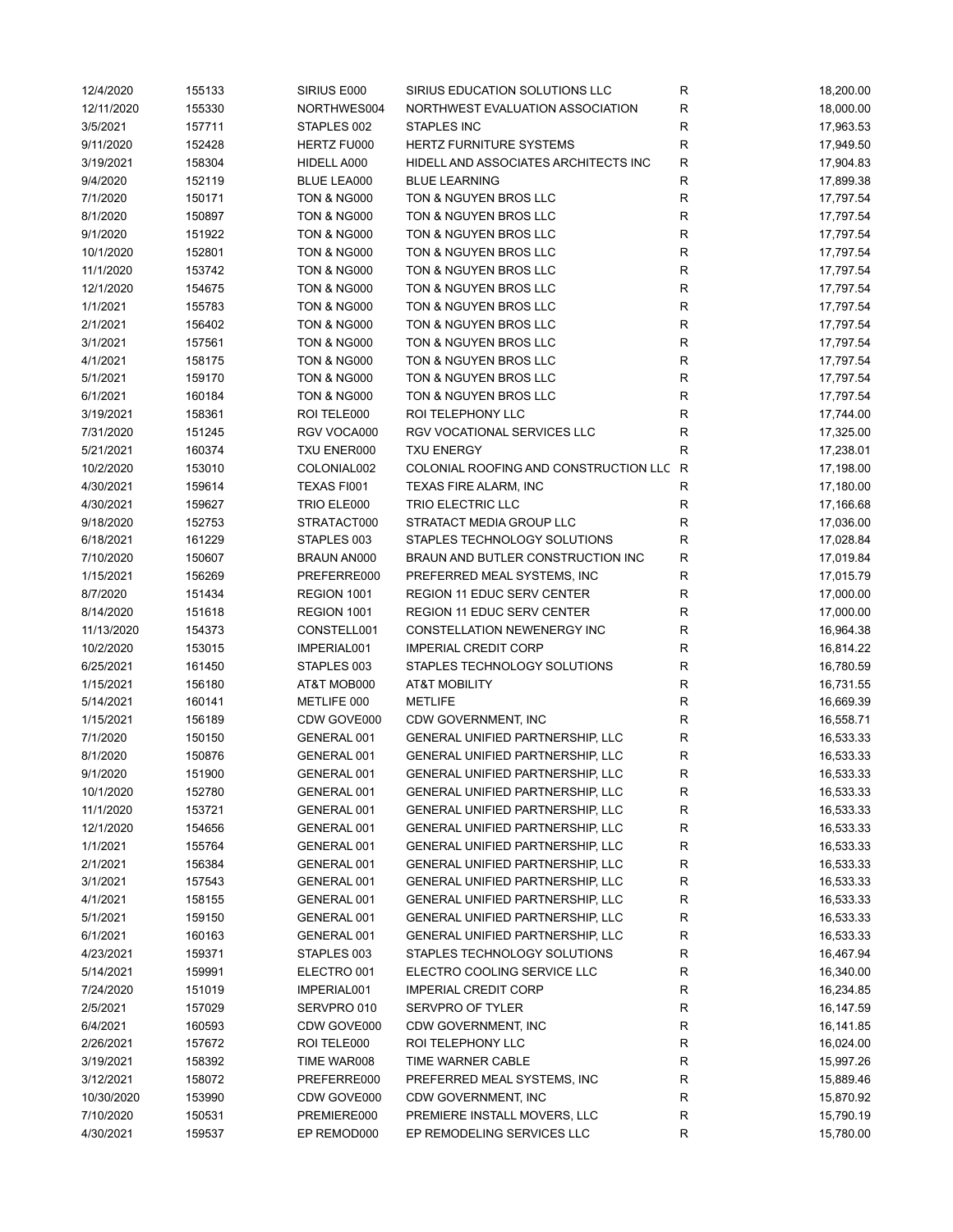| 12/4/2020  | 155133 | SIRIUS E000            | SIRIUS EDUCATION SOLUTIONS LLC          | R | 18,200.00 |
|------------|--------|------------------------|-----------------------------------------|---|-----------|
| 12/11/2020 | 155330 | NORTHWES004            | NORTHWEST EVALUATION ASSOCIATION        | R | 18,000.00 |
| 3/5/2021   | 157711 | STAPLES 002            | STAPLES INC                             | R | 17,963.53 |
| 9/11/2020  | 152428 | HERTZ FU000            | <b>HERTZ FURNITURE SYSTEMS</b>          | R | 17,949.50 |
| 3/19/2021  | 158304 | HIDELL A000            | HIDELL AND ASSOCIATES ARCHITECTS INC    | R | 17,904.83 |
| 9/4/2020   | 152119 | BLUE LEA000            | <b>BLUE LEARNING</b>                    | R | 17,899.38 |
| 7/1/2020   | 150171 | <b>TON &amp; NG000</b> | TON & NGUYEN BROS LLC                   | R | 17,797.54 |
| 8/1/2020   | 150897 | <b>TON &amp; NG000</b> | TON & NGUYEN BROS LLC                   | R | 17,797.54 |
|            |        |                        |                                         | R |           |
| 9/1/2020   | 151922 | <b>TON &amp; NG000</b> | TON & NGUYEN BROS LLC                   |   | 17,797.54 |
| 10/1/2020  | 152801 | <b>TON &amp; NG000</b> | TON & NGUYEN BROS LLC                   | R | 17,797.54 |
| 11/1/2020  | 153742 | <b>TON &amp; NG000</b> | TON & NGUYEN BROS LLC                   | R | 17,797.54 |
| 12/1/2020  | 154675 | <b>TON &amp; NG000</b> | TON & NGUYEN BROS LLC                   | R | 17,797.54 |
| 1/1/2021   | 155783 | <b>TON &amp; NG000</b> | TON & NGUYEN BROS LLC                   | R | 17,797.54 |
| 2/1/2021   | 156402 | <b>TON &amp; NG000</b> | TON & NGUYEN BROS LLC                   | R | 17,797.54 |
| 3/1/2021   | 157561 | <b>TON &amp; NG000</b> | TON & NGUYEN BROS LLC                   | R | 17,797.54 |
| 4/1/2021   | 158175 | <b>TON &amp; NG000</b> | TON & NGUYEN BROS LLC                   | R | 17,797.54 |
| 5/1/2021   | 159170 | <b>TON &amp; NG000</b> | TON & NGUYEN BROS LLC                   | R | 17,797.54 |
| 6/1/2021   | 160184 | <b>TON &amp; NG000</b> | TON & NGUYEN BROS LLC                   | R | 17,797.54 |
| 3/19/2021  | 158361 | ROI TELE000            | ROI TELEPHONY LLC                       | R | 17,744.00 |
| 7/31/2020  | 151245 | RGV VOCA000            | RGV VOCATIONAL SERVICES LLC             | R | 17,325.00 |
| 5/21/2021  | 160374 | TXU ENER000            | <b>TXU ENERGY</b>                       | R | 17,238.01 |
| 10/2/2020  | 153010 | COLONIAL002            | COLONIAL ROOFING AND CONSTRUCTION LLC R |   | 17,198.00 |
| 4/30/2021  | 159614 | TEXAS FI001            | TEXAS FIRE ALARM, INC                   | R | 17,180.00 |
| 4/30/2021  | 159627 | TRIO ELE000            | TRIO ELECTRIC LLC                       | R | 17,166.68 |
| 9/18/2020  | 152753 | STRATACT000            | STRATACT MEDIA GROUP LLC                | R | 17,036.00 |
| 6/18/2021  | 161229 | STAPLES 003            | STAPLES TECHNOLOGY SOLUTIONS            | R | 17,028.84 |
|            |        |                        |                                         |   |           |
| 7/10/2020  | 150607 | BRAUN AN000            | BRAUN AND BUTLER CONSTRUCTION INC       | R | 17,019.84 |
| 1/15/2021  | 156269 | PREFERRE000            | PREFERRED MEAL SYSTEMS, INC             | R | 17,015.79 |
| 8/7/2020   | 151434 | REGION 1001            | <b>REGION 11 EDUC SERV CENTER</b>       | R | 17,000.00 |
| 8/14/2020  | 151618 | REGION 1001            | REGION 11 EDUC SERV CENTER              | R | 17,000.00 |
| 11/13/2020 | 154373 | CONSTELL001            | CONSTELLATION NEWENERGY INC             | R | 16,964.38 |
| 10/2/2020  | 153015 | IMPERIAL001            | <b>IMPERIAL CREDIT CORP</b>             | R | 16,814.22 |
| 6/25/2021  | 161450 | STAPLES 003            | STAPLES TECHNOLOGY SOLUTIONS            | R | 16,780.59 |
| 1/15/2021  | 156180 | AT&T MOB000            | <b>AT&amp;T MOBILITY</b>                | R | 16,731.55 |
| 5/14/2021  | 160141 | METLIFE 000            | <b>METLIFE</b>                          | R | 16,669.39 |
| 1/15/2021  | 156189 | CDW GOVE000            | CDW GOVERNMENT, INC                     | R | 16,558.71 |
| 7/1/2020   | 150150 | GENERAL 001            | GENERAL UNIFIED PARTNERSHIP, LLC        | R | 16,533.33 |
| 8/1/2020   | 150876 | GENERAL 001            | GENERAL UNIFIED PARTNERSHIP, LLC        | R | 16,533.33 |
| 9/1/2020   | 151900 | GENERAL 001            | GENERAL UNIFIED PARTNERSHIP, LLC        | R | 16,533.33 |
| 10/1/2020  | 152780 | GENERAL 001            | GENERAL UNIFIED PARTNERSHIP, LLC        | R | 16,533.33 |
| 11/1/2020  | 153721 | GENERAL 001            | GENERAL UNIFIED PARTNERSHIP, LLC        | R | 16,533.33 |
| 12/1/2020  | 154656 | GENERAL 001            | GENERAL UNIFIED PARTNERSHIP, LLC        | R | 16,533.33 |
| 1/1/2021   | 155764 | GENERAL 001            | GENERAL UNIFIED PARTNERSHIP, LLC        | R | 16,533.33 |
| 2/1/2021   | 156384 | GENERAL 001            | GENERAL UNIFIED PARTNERSHIP, LLC        | R | 16,533.33 |
| 3/1/2021   | 157543 | GENERAL 001            | GENERAL UNIFIED PARTNERSHIP, LLC        | R | 16,533.33 |
|            |        |                        |                                         |   |           |
| 4/1/2021   | 158155 | GENERAL 001            | GENERAL UNIFIED PARTNERSHIP, LLC        | R | 16,533.33 |
| 5/1/2021   | 159150 | GENERAL 001            | GENERAL UNIFIED PARTNERSHIP, LLC        | R | 16,533.33 |
| 6/1/2021   | 160163 | GENERAL 001            | GENERAL UNIFIED PARTNERSHIP, LLC        | R | 16,533.33 |
| 4/23/2021  | 159371 | STAPLES 003            | STAPLES TECHNOLOGY SOLUTIONS            | R | 16,467.94 |
| 5/14/2021  | 159991 | ELECTRO 001            | ELECTRO COOLING SERVICE LLC             | R | 16,340.00 |
| 7/24/2020  | 151019 | IMPERIAL001            | <b>IMPERIAL CREDIT CORP</b>             | R | 16,234.85 |
| 2/5/2021   | 157029 | SERVPRO 010            | SERVPRO OF TYLER                        | R | 16,147.59 |
| 6/4/2021   | 160593 | CDW GOVE000            | CDW GOVERNMENT, INC                     | R | 16,141.85 |
| 2/26/2021  | 157672 | ROI TELE000            | ROI TELEPHONY LLC                       | R | 16,024.00 |
| 3/19/2021  | 158392 | TIME WAR008            | TIME WARNER CABLE                       | R | 15,997.26 |
| 3/12/2021  | 158072 | PREFERRE000            | PREFERRED MEAL SYSTEMS, INC             | R | 15,889.46 |
| 10/30/2020 | 153990 | CDW GOVE000            | CDW GOVERNMENT, INC                     | R | 15,870.92 |
| 7/10/2020  | 150531 | PREMIERE000            | PREMIERE INSTALL MOVERS, LLC            | R | 15,790.19 |
| 4/30/2021  | 159537 | EP REMOD000            | EP REMODELING SERVICES LLC              | R | 15,780.00 |
|            |        |                        |                                         |   |           |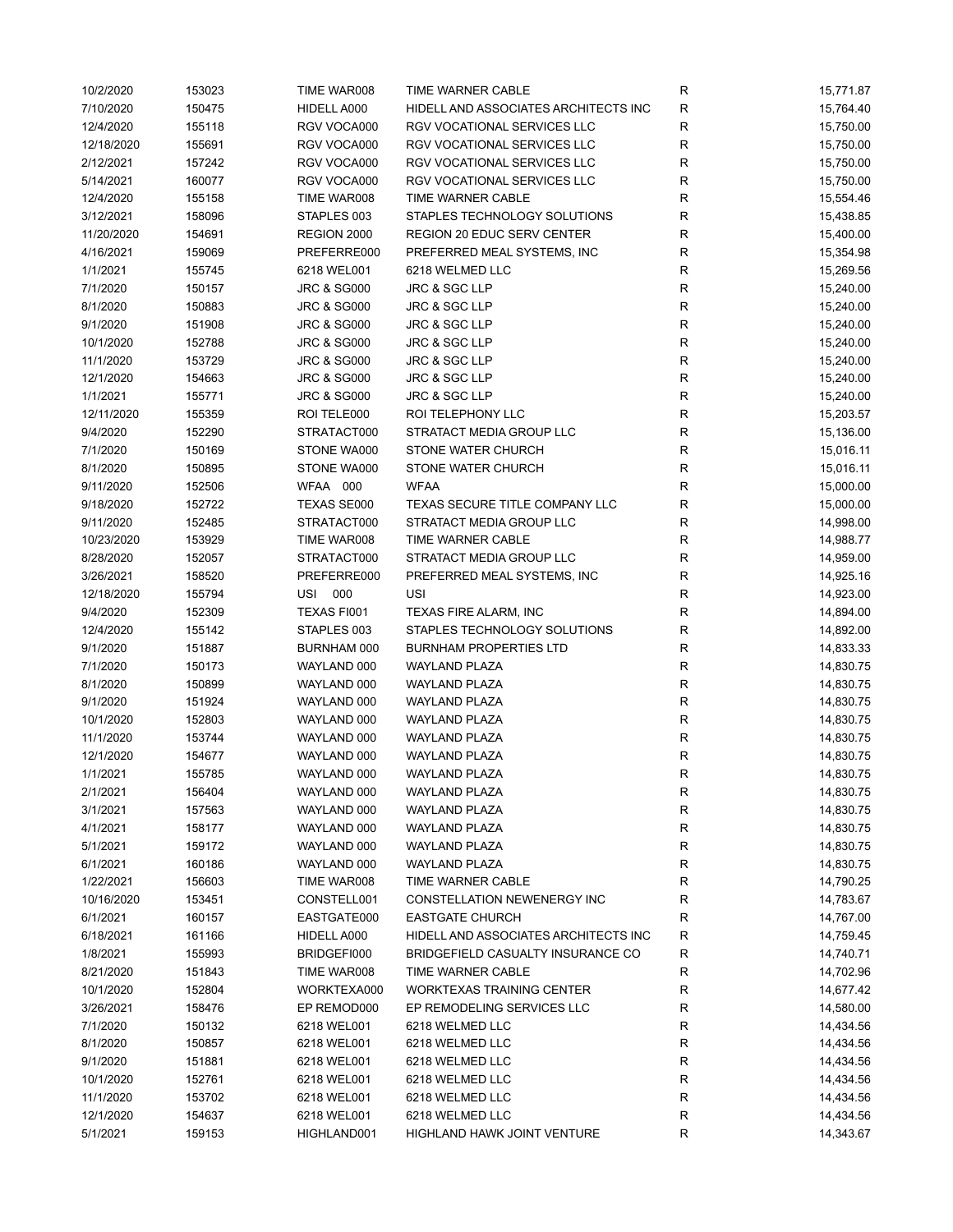| 10/2/2020  | 153023 | TIME WAR008            | <b>TIME WARNER CABLE</b>             | R           | 15,771.87 |
|------------|--------|------------------------|--------------------------------------|-------------|-----------|
| 7/10/2020  | 150475 | HIDELL A000            | HIDELL AND ASSOCIATES ARCHITECTS INC | R           | 15,764.40 |
| 12/4/2020  | 155118 | RGV VOCA000            | RGV VOCATIONAL SERVICES LLC          | $\mathsf R$ | 15,750.00 |
| 12/18/2020 | 155691 | RGV VOCA000            | RGV VOCATIONAL SERVICES LLC          | R           | 15,750.00 |
| 2/12/2021  | 157242 | RGV VOCA000            | RGV VOCATIONAL SERVICES LLC          | $\mathsf R$ | 15,750.00 |
| 5/14/2021  | 160077 | RGV VOCA000            | RGV VOCATIONAL SERVICES LLC          | $\mathsf R$ | 15,750.00 |
| 12/4/2020  | 155158 | TIME WAR008            | TIME WARNER CABLE                    | R           | 15,554.46 |
| 3/12/2021  | 158096 | STAPLES 003            | STAPLES TECHNOLOGY SOLUTIONS         | R           | 15,438.85 |
| 11/20/2020 | 154691 | REGION 2000            | REGION 20 EDUC SERV CENTER           | R           | 15,400.00 |
| 4/16/2021  | 159069 | PREFERRE000            | PREFERRED MEAL SYSTEMS, INC          | R           | 15,354.98 |
| 1/1/2021   | 155745 | 6218 WEL001            | 6218 WELMED LLC                      | R           | 15,269.56 |
| 7/1/2020   | 150157 | <b>JRC &amp; SG000</b> | <b>JRC &amp; SGC LLP</b>             | R           | 15,240.00 |
| 8/1/2020   |        | <b>JRC &amp; SG000</b> |                                      |             |           |
|            | 150883 |                        | JRC & SGC LLP                        | R           | 15,240.00 |
| 9/1/2020   | 151908 | <b>JRC &amp; SG000</b> | JRC & SGC LLP                        | R           | 15,240.00 |
| 10/1/2020  | 152788 | <b>JRC &amp; SG000</b> | JRC & SGC LLP                        | R           | 15,240.00 |
| 11/1/2020  | 153729 | <b>JRC &amp; SG000</b> | JRC & SGC LLP                        | R           | 15,240.00 |
| 12/1/2020  | 154663 | <b>JRC &amp; SG000</b> | JRC & SGC LLP                        | $\mathsf R$ | 15,240.00 |
| 1/1/2021   | 155771 | <b>JRC &amp; SG000</b> | JRC & SGC LLP                        | R           | 15,240.00 |
| 12/11/2020 | 155359 | ROI TELE000            | <b>ROI TELEPHONY LLC</b>             | $\mathsf R$ | 15,203.57 |
| 9/4/2020   | 152290 | STRATACT000            | STRATACT MEDIA GROUP LLC             | R           | 15,136.00 |
| 7/1/2020   | 150169 | STONE WA000            | STONE WATER CHURCH                   | R           | 15,016.11 |
| 8/1/2020   | 150895 | STONE WA000            | STONE WATER CHURCH                   | R           | 15,016.11 |
| 9/11/2020  | 152506 | WFAA 000               | <b>WFAA</b>                          | R           | 15,000.00 |
| 9/18/2020  | 152722 | TEXAS SE000            | TEXAS SECURE TITLE COMPANY LLC       | R           | 15,000.00 |
| 9/11/2020  | 152485 | STRATACT000            | STRATACT MEDIA GROUP LLC             | R           | 14,998.00 |
| 10/23/2020 | 153929 | TIME WAR008            | TIME WARNER CABLE                    | R           | 14,988.77 |
| 8/28/2020  | 152057 | STRATACT000            | STRATACT MEDIA GROUP LLC             | R           | 14,959.00 |
| 3/26/2021  | 158520 | PREFERRE000            | PREFERRED MEAL SYSTEMS, INC          | R           | 14,925.16 |
| 12/18/2020 | 155794 | USI 000                | <b>USI</b>                           | R           | 14,923.00 |
| 9/4/2020   | 152309 | TEXAS FI001            | TEXAS FIRE ALARM, INC                | R           | 14,894.00 |
| 12/4/2020  | 155142 | STAPLES 003            | STAPLES TECHNOLOGY SOLUTIONS         | R           | 14,892.00 |
| 9/1/2020   | 151887 | BURNHAM 000            | <b>BURNHAM PROPERTIES LTD</b>        | $\mathsf R$ | 14,833.33 |
| 7/1/2020   | 150173 | WAYLAND 000            | WAYLAND PLAZA                        | R           | 14,830.75 |
| 8/1/2020   | 150899 | WAYLAND 000            | <b>WAYLAND PLAZA</b>                 | R           | 14,830.75 |
| 9/1/2020   | 151924 | WAYLAND 000            | WAYLAND PLAZA                        | R           | 14,830.75 |
|            |        | WAYLAND 000            |                                      | R           |           |
| 10/1/2020  | 152803 |                        | <b>WAYLAND PLAZA</b>                 |             | 14,830.75 |
| 11/1/2020  | 153744 | WAYLAND 000            | <b>WAYLAND PLAZA</b>                 | $\mathsf R$ | 14,830.75 |
| 12/1/2020  | 154677 | WAYLAND 000            | WAYLAND PLAZA                        | $\mathsf R$ | 14,830.75 |
| 1/1/2021   | 155785 | WAYLAND 000            | <b>WAYLAND PLAZA</b>                 | R           | 14,830.75 |
| 2/1/2021   | 156404 | WAYLAND 000            | WAYLAND PLAZA                        | R           | 14,830.75 |
| 3/1/2021   | 157563 | WAYLAND 000            | <b>WAYLAND PLAZA</b>                 | R           | 14,830.75 |
| 4/1/2021   | 158177 | WAYLAND 000            | <b>WAYLAND PLAZA</b>                 | R           | 14,830.75 |
| 5/1/2021   | 159172 | WAYLAND 000            | <b>WAYLAND PLAZA</b>                 | R           | 14,830.75 |
| 6/1/2021   | 160186 | WAYLAND 000            | <b>WAYLAND PLAZA</b>                 | R           | 14,830.75 |
| 1/22/2021  | 156603 | TIME WAR008            | TIME WARNER CABLE                    | R           | 14,790.25 |
| 10/16/2020 | 153451 | CONSTELL001            | CONSTELLATION NEWENERGY INC          | R           | 14,783.67 |
| 6/1/2021   | 160157 | EASTGATE000            | <b>EASTGATE CHURCH</b>               | R           | 14,767.00 |
| 6/18/2021  | 161166 | HIDELL A000            | HIDELL AND ASSOCIATES ARCHITECTS INC | R           | 14,759.45 |
| 1/8/2021   | 155993 | BRIDGEFI000            | BRIDGEFIELD CASUALTY INSURANCE CO    | R           | 14,740.71 |
| 8/21/2020  | 151843 | TIME WAR008            | TIME WARNER CABLE                    | R           | 14,702.96 |
| 10/1/2020  | 152804 | WORKTEXA000            | WORKTEXAS TRAINING CENTER            | R           | 14,677.42 |
| 3/26/2021  | 158476 | EP REMOD000            | EP REMODELING SERVICES LLC           | R           | 14,580.00 |
| 7/1/2020   | 150132 | 6218 WEL001            | 6218 WELMED LLC                      | R           | 14,434.56 |
| 8/1/2020   | 150857 | 6218 WEL001            | 6218 WELMED LLC                      | R           | 14,434.56 |
| 9/1/2020   | 151881 | 6218 WEL001            | 6218 WELMED LLC                      | R           | 14,434.56 |
| 10/1/2020  | 152761 | 6218 WEL001            | 6218 WELMED LLC                      | R           | 14,434.56 |
| 11/1/2020  | 153702 | 6218 WEL001            | 6218 WELMED LLC                      | R           | 14,434.56 |
| 12/1/2020  | 154637 | 6218 WEL001            | 6218 WELMED LLC                      | R           | 14,434.56 |
| 5/1/2021   | 159153 | HIGHLAND001            | HIGHLAND HAWK JOINT VENTURE          | R           | 14,343.67 |
|            |        |                        |                                      |             |           |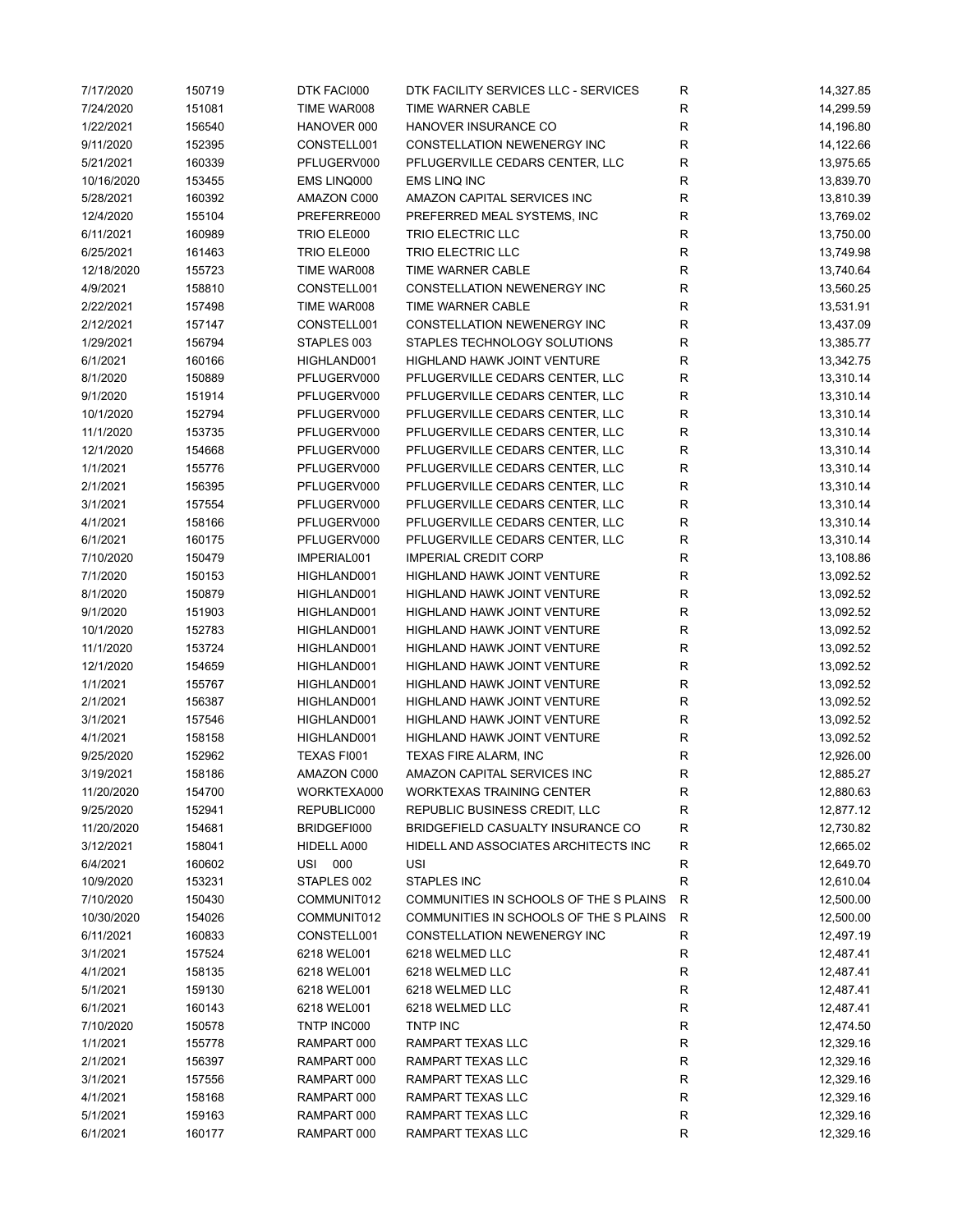| 7/17/2020  | 150719 | DTK FACI000 | DTK FACILITY SERVICES LLC - SERVICES   | R           | 14,327.85 |
|------------|--------|-------------|----------------------------------------|-------------|-----------|
| 7/24/2020  | 151081 | TIME WAR008 | TIME WARNER CABLE                      | R           | 14,299.59 |
| 1/22/2021  | 156540 | HANOVER 000 | HANOVER INSURANCE CO                   | R           | 14,196.80 |
| 9/11/2020  | 152395 | CONSTELL001 | CONSTELLATION NEWENERGY INC            | R           | 14,122.66 |
| 5/21/2021  | 160339 | PFLUGERV000 | PFLUGERVILLE CEDARS CENTER, LLC        | R           | 13,975.65 |
| 10/16/2020 | 153455 | EMS LINQ000 | EMS LINQ INC                           | $\mathsf R$ | 13,839.70 |
| 5/28/2021  | 160392 | AMAZON C000 | AMAZON CAPITAL SERVICES INC            | $\mathsf R$ | 13,810.39 |
| 12/4/2020  | 155104 | PREFERRE000 | PREFERRED MEAL SYSTEMS, INC            | R           | 13,769.02 |
| 6/11/2021  | 160989 | TRIO ELE000 | TRIO ELECTRIC LLC                      | R           | 13,750.00 |
| 6/25/2021  | 161463 | TRIO ELE000 | TRIO ELECTRIC LLC                      | R           | 13,749.98 |
| 12/18/2020 | 155723 | TIME WAR008 | TIME WARNER CABLE                      | R           | 13,740.64 |
| 4/9/2021   | 158810 | CONSTELL001 | CONSTELLATION NEWENERGY INC            | R           | 13,560.25 |
|            |        |             |                                        |             |           |
| 2/22/2021  | 157498 | TIME WAR008 | TIME WARNER CABLE                      | R           | 13,531.91 |
| 2/12/2021  | 157147 | CONSTELL001 | CONSTELLATION NEWENERGY INC            | R           | 13,437.09 |
| 1/29/2021  | 156794 | STAPLES 003 | STAPLES TECHNOLOGY SOLUTIONS           | R           | 13,385.77 |
| 6/1/2021   | 160166 | HIGHLAND001 | HIGHLAND HAWK JOINT VENTURE            | R           | 13,342.75 |
| 8/1/2020   | 150889 | PFLUGERV000 | PFLUGERVILLE CEDARS CENTER, LLC        | R           | 13,310.14 |
| 9/1/2020   | 151914 | PFLUGERV000 | PFLUGERVILLE CEDARS CENTER, LLC        | R           | 13,310.14 |
| 10/1/2020  | 152794 | PFLUGERV000 | PFLUGERVILLE CEDARS CENTER, LLC        | R           | 13,310.14 |
| 11/1/2020  | 153735 | PFLUGERV000 | PFLUGERVILLE CEDARS CENTER, LLC        | R           | 13,310.14 |
| 12/1/2020  | 154668 | PFLUGERV000 | PFLUGERVILLE CEDARS CENTER, LLC        | R           | 13,310.14 |
| 1/1/2021   | 155776 | PFLUGERV000 | PFLUGERVILLE CEDARS CENTER, LLC        | R           | 13,310.14 |
| 2/1/2021   | 156395 | PFLUGERV000 | PFLUGERVILLE CEDARS CENTER, LLC        | R           | 13,310.14 |
| 3/1/2021   | 157554 | PFLUGERV000 | PFLUGERVILLE CEDARS CENTER, LLC        | R           | 13,310.14 |
| 4/1/2021   | 158166 | PFLUGERV000 | PFLUGERVILLE CEDARS CENTER, LLC        | R           | 13,310.14 |
| 6/1/2021   | 160175 | PFLUGERV000 | PFLUGERVILLE CEDARS CENTER, LLC        | R           | 13,310.14 |
| 7/10/2020  | 150479 | IMPERIAL001 | <b>IMPERIAL CREDIT CORP</b>            | R           | 13,108.86 |
| 7/1/2020   | 150153 | HIGHLAND001 | HIGHLAND HAWK JOINT VENTURE            | R           | 13,092.52 |
| 8/1/2020   | 150879 | HIGHLAND001 | HIGHLAND HAWK JOINT VENTURE            | R           | 13,092.52 |
| 9/1/2020   | 151903 | HIGHLAND001 | <b>HIGHLAND HAWK JOINT VENTURE</b>     | R           | 13,092.52 |
| 10/1/2020  | 152783 | HIGHLAND001 | HIGHLAND HAWK JOINT VENTURE            | R           | 13,092.52 |
| 11/1/2020  | 153724 | HIGHLAND001 | HIGHLAND HAWK JOINT VENTURE            | $\mathsf R$ | 13,092.52 |
| 12/1/2020  | 154659 | HIGHLAND001 | HIGHLAND HAWK JOINT VENTURE            | $\mathsf R$ | 13,092.52 |
| 1/1/2021   | 155767 | HIGHLAND001 | HIGHLAND HAWK JOINT VENTURE            | $\mathsf R$ | 13,092.52 |
| 2/1/2021   | 156387 | HIGHLAND001 | HIGHLAND HAWK JOINT VENTURE            | R           | 13,092.52 |
| 3/1/2021   | 157546 | HIGHLAND001 | <b>HIGHLAND HAWK JOINT VENTURE</b>     | R           | 13,092.52 |
|            |        |             |                                        |             |           |
| 4/1/2021   | 158158 | HIGHLAND001 | HIGHLAND HAWK JOINT VENTURE            | R           | 13,092.52 |
| 9/25/2020  | 152962 | TEXAS FI001 | TEXAS FIRE ALARM, INC                  | ${\sf R}$   | 12,926.00 |
| 3/19/2021  | 158186 | AMAZON C000 | AMAZON CAPITAL SERVICES INC            | R           | 12,885.27 |
| 11/20/2020 | 154700 | WORKTEXA000 | WORKTEXAS TRAINING CENTER              | R           | 12,880.63 |
| 9/25/2020  | 152941 | REPUBLIC000 | REPUBLIC BUSINESS CREDIT, LLC          | R           | 12,877.12 |
| 11/20/2020 | 154681 | BRIDGEFI000 | BRIDGEFIELD CASUALTY INSURANCE CO      | R           | 12,730.82 |
| 3/12/2021  | 158041 | HIDELL A000 | HIDELL AND ASSOCIATES ARCHITECTS INC   | R           | 12,665.02 |
| 6/4/2021   | 160602 | USI 000     | USI                                    | R           | 12,649.70 |
| 10/9/2020  | 153231 | STAPLES 002 | STAPLES INC                            | $\mathsf R$ | 12,610.04 |
| 7/10/2020  | 150430 | COMMUNIT012 | COMMUNITIES IN SCHOOLS OF THE S PLAINS | R           | 12,500.00 |
| 10/30/2020 | 154026 | COMMUNIT012 | COMMUNITIES IN SCHOOLS OF THE S PLAINS | R           | 12,500.00 |
| 6/11/2021  | 160833 | CONSTELL001 | CONSTELLATION NEWENERGY INC            | R           | 12,497.19 |
| 3/1/2021   | 157524 | 6218 WEL001 | 6218 WELMED LLC                        | R           | 12,487.41 |
| 4/1/2021   | 158135 | 6218 WEL001 | 6218 WELMED LLC                        | R           | 12,487.41 |
| 5/1/2021   | 159130 | 6218 WEL001 | 6218 WELMED LLC                        | R           | 12,487.41 |
| 6/1/2021   | 160143 | 6218 WEL001 | 6218 WELMED LLC                        | R           | 12,487.41 |
| 7/10/2020  | 150578 | TNTP INC000 | TNTP INC                               | R           | 12,474.50 |
| 1/1/2021   | 155778 | RAMPART 000 | RAMPART TEXAS LLC                      | R           | 12,329.16 |
| 2/1/2021   | 156397 | RAMPART 000 | RAMPART TEXAS LLC                      | R           | 12,329.16 |
| 3/1/2021   | 157556 | RAMPART 000 | RAMPART TEXAS LLC                      | R           | 12,329.16 |
| 4/1/2021   | 158168 | RAMPART 000 | RAMPART TEXAS LLC                      | R           | 12,329.16 |
| 5/1/2021   | 159163 | RAMPART 000 | RAMPART TEXAS LLC                      | R           | 12,329.16 |
| 6/1/2021   | 160177 | RAMPART 000 | RAMPART TEXAS LLC                      | R           | 12,329.16 |
|            |        |             |                                        |             |           |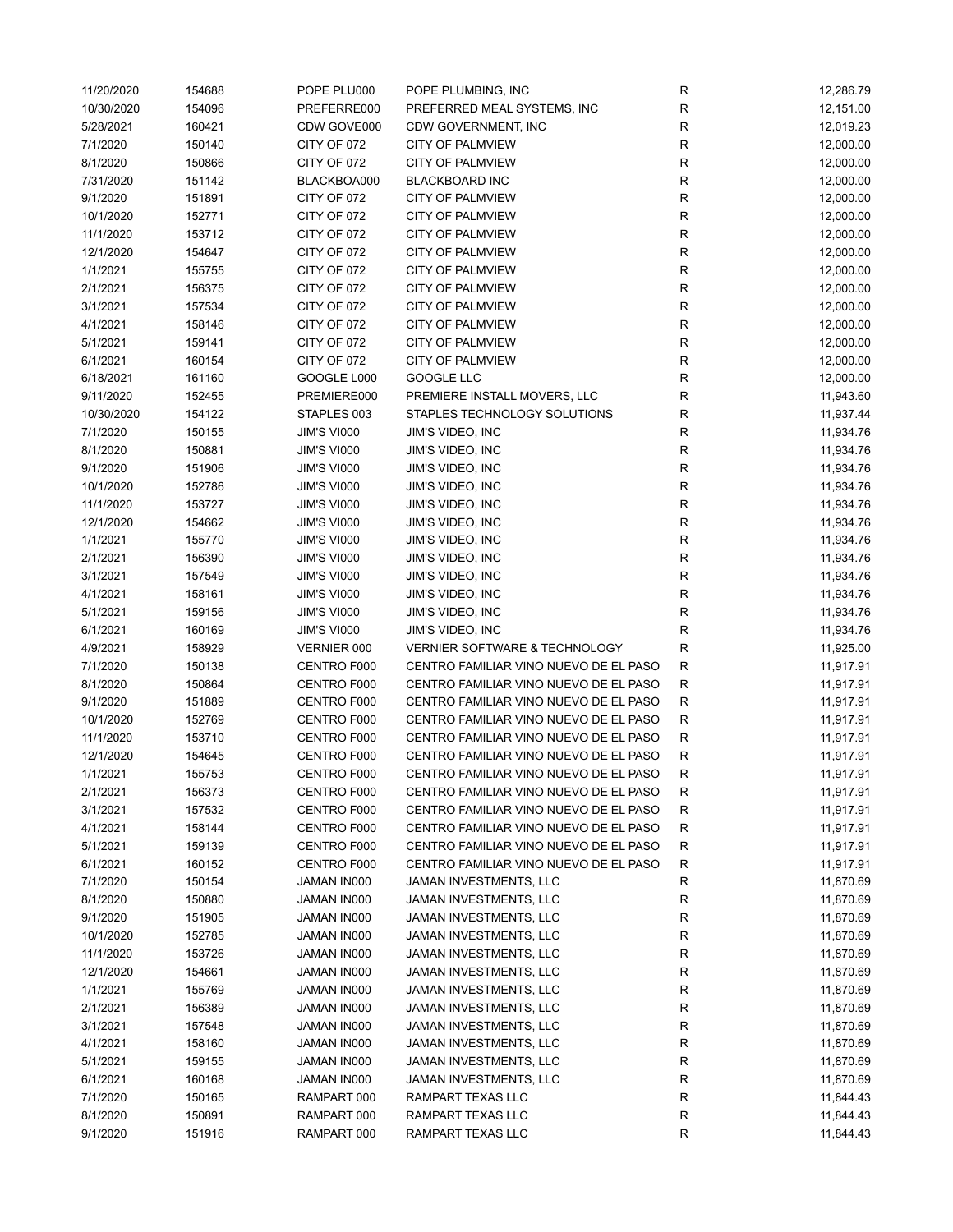| 11/20/2020 | 154688 | POPE PLU000        | POPE PLUMBING, INC                       | $\mathsf R$  | 12,286.79 |
|------------|--------|--------------------|------------------------------------------|--------------|-----------|
| 10/30/2020 | 154096 | PREFERRE000        | PREFERRED MEAL SYSTEMS, INC              | R            | 12,151.00 |
| 5/28/2021  | 160421 | CDW GOVE000        | CDW GOVERNMENT, INC                      | R            | 12,019.23 |
| 7/1/2020   | 150140 | CITY OF 072        | <b>CITY OF PALMVIEW</b>                  | $\mathsf R$  | 12,000.00 |
| 8/1/2020   | 150866 | CITY OF 072        | <b>CITY OF PALMVIEW</b>                  | $\mathsf R$  | 12,000.00 |
| 7/31/2020  | 151142 | BLACKBOA000        | <b>BLACKBOARD INC</b>                    | $\mathsf R$  | 12,000.00 |
| 9/1/2020   | 151891 | CITY OF 072        | <b>CITY OF PALMVIEW</b>                  | $\mathsf{R}$ | 12,000.00 |
| 10/1/2020  | 152771 | CITY OF 072        | <b>CITY OF PALMVIEW</b>                  | $\mathsf{R}$ | 12,000.00 |
| 11/1/2020  | 153712 | CITY OF 072        | <b>CITY OF PALMVIEW</b>                  | ${\sf R}$    | 12,000.00 |
| 12/1/2020  | 154647 | CITY OF 072        | <b>CITY OF PALMVIEW</b>                  | $\mathsf R$  | 12,000.00 |
| 1/1/2021   | 155755 | CITY OF 072        | <b>CITY OF PALMVIEW</b>                  | $\mathsf R$  | 12,000.00 |
|            |        | CITY OF 072        |                                          | $\mathsf R$  |           |
| 2/1/2021   | 156375 |                    | <b>CITY OF PALMVIEW</b>                  |              | 12,000.00 |
| 3/1/2021   | 157534 | CITY OF 072        | <b>CITY OF PALMVIEW</b>                  | $\mathsf R$  | 12,000.00 |
| 4/1/2021   | 158146 | CITY OF 072        | <b>CITY OF PALMVIEW</b>                  | $\mathsf{R}$ | 12,000.00 |
| 5/1/2021   | 159141 | CITY OF 072        | <b>CITY OF PALMVIEW</b>                  | R            | 12,000.00 |
| 6/1/2021   | 160154 | CITY OF 072        | <b>CITY OF PALMVIEW</b>                  | R            | 12,000.00 |
| 6/18/2021  | 161160 | GOOGLE L000        | <b>GOOGLE LLC</b>                        | $\mathsf R$  | 12,000.00 |
| 9/11/2020  | 152455 | PREMIERE000        | PREMIERE INSTALL MOVERS, LLC             | $\mathsf R$  | 11,943.60 |
| 10/30/2020 | 154122 | STAPLES 003        | STAPLES TECHNOLOGY SOLUTIONS             | R            | 11,937.44 |
| 7/1/2020   | 150155 | JIM'S VI000        | JIM'S VIDEO, INC                         | R            | 11,934.76 |
| 8/1/2020   | 150881 | JIM'S VI000        | JIM'S VIDEO, INC                         | $\mathsf{R}$ | 11,934.76 |
| 9/1/2020   | 151906 | JIM'S VI000        | JIM'S VIDEO, INC                         | $\mathsf{R}$ | 11,934.76 |
| 10/1/2020  | 152786 | JIM'S VI000        | JIM'S VIDEO, INC                         | ${\sf R}$    | 11,934.76 |
| 11/1/2020  | 153727 | JIM'S VI000        | JIM'S VIDEO, INC                         | $\mathsf R$  | 11,934.76 |
| 12/1/2020  | 154662 | <b>JIM'S VI000</b> | JIM'S VIDEO, INC                         | $\mathsf R$  | 11,934.76 |
| 1/1/2021   | 155770 | JIM'S VI000        | JIM'S VIDEO, INC                         | $\mathsf R$  | 11,934.76 |
| 2/1/2021   | 156390 | JIM'S VI000        | JIM'S VIDEO, INC                         | $\mathsf R$  | 11,934.76 |
| 3/1/2021   | 157549 | JIM'S VI000        | <b>JIM'S VIDEO, INC</b>                  | $\mathsf{R}$ | 11,934.76 |
| 4/1/2021   | 158161 | JIM'S VI000        | <b>JIM'S VIDEO, INC</b>                  | R            | 11,934.76 |
| 5/1/2021   | 159156 | JIM'S VI000        | <b>JIM'S VIDEO, INC</b>                  | R            | 11,934.76 |
| 6/1/2021   | 160169 | JIM'S VI000        | <b>JIM'S VIDEO, INC</b>                  | $\mathsf R$  | 11,934.76 |
| 4/9/2021   | 158929 | <b>VERNIER 000</b> | <b>VERNIER SOFTWARE &amp; TECHNOLOGY</b> | R            | 11,925.00 |
| 7/1/2020   | 150138 | CENTRO F000        | CENTRO FAMILIAR VINO NUEVO DE EL PASO    | R            | 11,917.91 |
|            |        |                    | CENTRO FAMILIAR VINO NUEVO DE EL PASO    |              |           |
| 8/1/2020   | 150864 | CENTRO F000        |                                          | R            | 11,917.91 |
| 9/1/2020   | 151889 | CENTRO F000        | CENTRO FAMILIAR VINO NUEVO DE EL PASO    | R            | 11,917.91 |
| 10/1/2020  | 152769 | CENTRO F000        | CENTRO FAMILIAR VINO NUEVO DE EL PASO    | R            | 11,917.91 |
| 11/1/2020  | 153710 | CENTRO F000        | CENTRO FAMILIAR VINO NUEVO DE EL PASO    | $\mathsf R$  | 11,917.91 |
| 12/1/2020  | 154645 | CENTRO F000        | CENTRO FAMILIAR VINO NUEVO DE EL PASO    | $\mathsf R$  | 11,917.91 |
| 1/1/2021   | 155753 | CENTRO F000        | CENTRO FAMILIAR VINO NUEVO DE EL PASO    | R            | 11,917.91 |
| 2/1/2021   | 156373 | CENTRO F000        | CENTRO FAMILIAR VINO NUEVO DE EL PASO    | R            | 11,917.91 |
| 3/1/2021   | 157532 | CENTRO F000        | CENTRO FAMILIAR VINO NUEVO DE EL PASO    | R            | 11,917.91 |
| 4/1/2021   | 158144 | CENTRO F000        | CENTRO FAMILIAR VINO NUEVO DE EL PASO    | R            | 11,917.91 |
| 5/1/2021   | 159139 | CENTRO F000        | CENTRO FAMILIAR VINO NUEVO DE EL PASO    | R            | 11,917.91 |
| 6/1/2021   | 160152 | CENTRO F000        | CENTRO FAMILIAR VINO NUEVO DE EL PASO    | R            | 11,917.91 |
| 7/1/2020   | 150154 | JAMAN IN000        | JAMAN INVESTMENTS, LLC                   | R            | 11,870.69 |
| 8/1/2020   | 150880 | JAMAN IN000        | JAMAN INVESTMENTS, LLC                   | R            | 11,870.69 |
| 9/1/2020   | 151905 | JAMAN IN000        | JAMAN INVESTMENTS, LLC                   | R            | 11,870.69 |
| 10/1/2020  | 152785 | JAMAN IN000        | JAMAN INVESTMENTS, LLC                   | R            | 11,870.69 |
| 11/1/2020  | 153726 | JAMAN IN000        | JAMAN INVESTMENTS, LLC                   | R            | 11,870.69 |
| 12/1/2020  | 154661 | JAMAN IN000        | JAMAN INVESTMENTS, LLC                   | R            | 11,870.69 |
| 1/1/2021   | 155769 | JAMAN IN000        | JAMAN INVESTMENTS, LLC                   | $\mathsf R$  | 11,870.69 |
| 2/1/2021   | 156389 | JAMAN IN000        | JAMAN INVESTMENTS, LLC                   | R            | 11,870.69 |
| 3/1/2021   | 157548 | JAMAN IN000        | JAMAN INVESTMENTS, LLC                   | R            | 11,870.69 |
| 4/1/2021   | 158160 | JAMAN IN000        | JAMAN INVESTMENTS, LLC                   | R            | 11,870.69 |
| 5/1/2021   | 159155 | JAMAN IN000        | JAMAN INVESTMENTS, LLC                   | R            | 11,870.69 |
| 6/1/2021   | 160168 | JAMAN IN000        | JAMAN INVESTMENTS, LLC                   | R            | 11,870.69 |
| 7/1/2020   | 150165 | RAMPART 000        | RAMPART TEXAS LLC                        | R            | 11,844.43 |
| 8/1/2020   | 150891 |                    |                                          | R            | 11,844.43 |
|            |        | RAMPART 000        | RAMPART TEXAS LLC                        |              |           |
| 9/1/2020   | 151916 | RAMPART 000        | RAMPART TEXAS LLC                        | R            | 11,844.43 |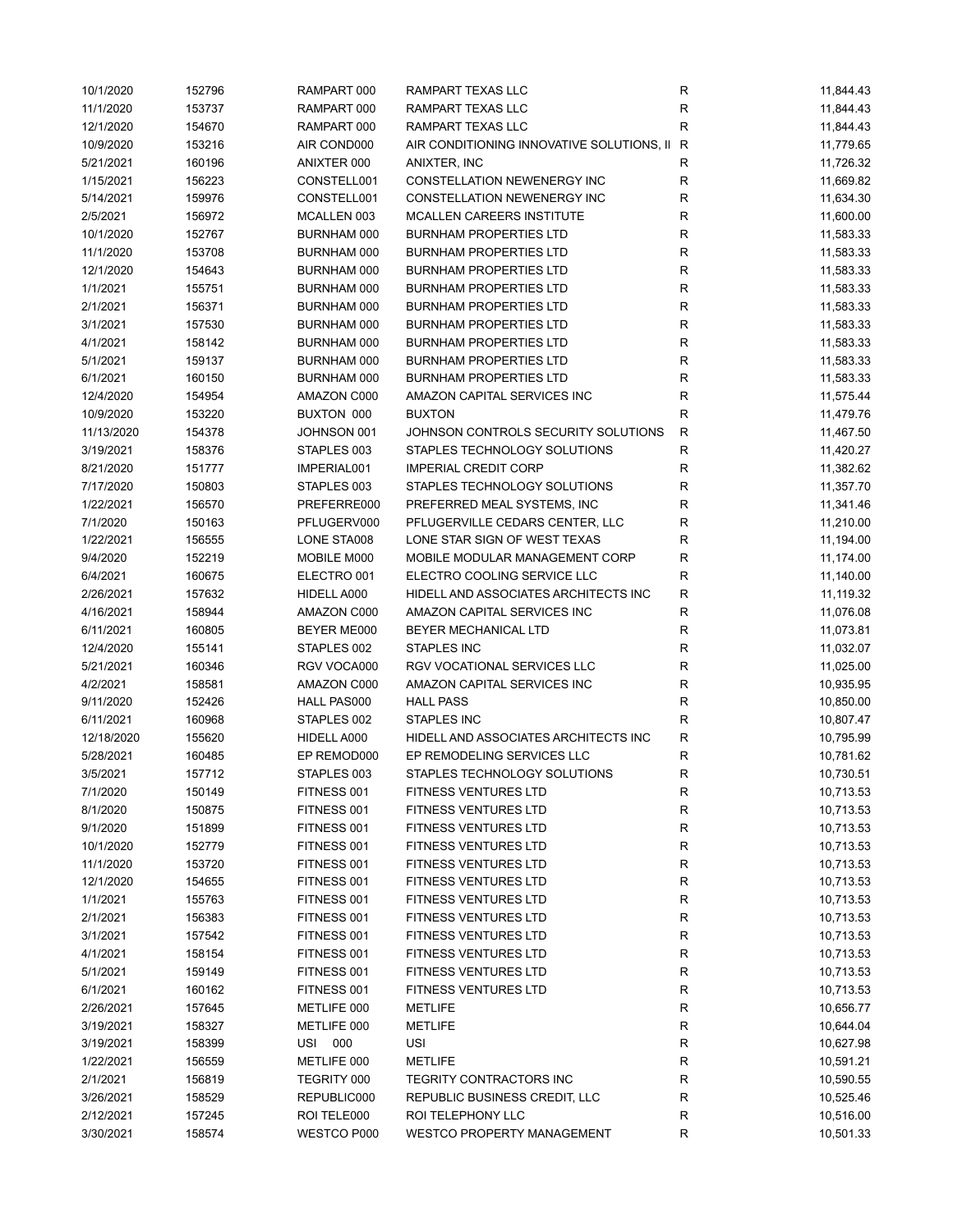| 10/1/2020  | 152796 | RAMPART 000 | RAMPART TEXAS LLC                         | R           | 11,844.43 |
|------------|--------|-------------|-------------------------------------------|-------------|-----------|
| 11/1/2020  | 153737 | RAMPART 000 | RAMPART TEXAS LLC                         | R           | 11,844.43 |
| 12/1/2020  | 154670 | RAMPART 000 | RAMPART TEXAS LLC                         | R           | 11,844.43 |
| 10/9/2020  | 153216 | AIR COND000 | AIR CONDITIONING INNOVATIVE SOLUTIONS, II | $\mathsf R$ | 11,779.65 |
| 5/21/2021  | 160196 | ANIXTER 000 | ANIXTER, INC                              | R           | 11,726.32 |
| 1/15/2021  | 156223 | CONSTELL001 | CONSTELLATION NEWENERGY INC               | R           | 11,669.82 |
| 5/14/2021  | 159976 | CONSTELL001 | CONSTELLATION NEWENERGY INC               | R           | 11,634.30 |
| 2/5/2021   | 156972 | MCALLEN 003 | <b>MCALLEN CAREERS INSTITUTE</b>          | R           | 11,600.00 |
|            |        |             |                                           | R           |           |
| 10/1/2020  | 152767 | BURNHAM 000 | <b>BURNHAM PROPERTIES LTD</b>             |             | 11,583.33 |
| 11/1/2020  | 153708 | BURNHAM 000 | <b>BURNHAM PROPERTIES LTD</b>             | R           | 11,583.33 |
| 12/1/2020  | 154643 | BURNHAM 000 | <b>BURNHAM PROPERTIES LTD</b>             | R           | 11,583.33 |
| 1/1/2021   | 155751 | BURNHAM 000 | <b>BURNHAM PROPERTIES LTD</b>             | R           | 11,583.33 |
| 2/1/2021   | 156371 | BURNHAM 000 | <b>BURNHAM PROPERTIES LTD</b>             | R           | 11,583.33 |
| 3/1/2021   | 157530 | BURNHAM 000 | <b>BURNHAM PROPERTIES LTD</b>             | R           | 11,583.33 |
| 4/1/2021   | 158142 | BURNHAM 000 | <b>BURNHAM PROPERTIES LTD</b>             | R           | 11,583.33 |
| 5/1/2021   | 159137 | BURNHAM 000 | <b>BURNHAM PROPERTIES LTD</b>             | R           | 11,583.33 |
| 6/1/2021   | 160150 | BURNHAM 000 | <b>BURNHAM PROPERTIES LTD</b>             | R           | 11,583.33 |
| 12/4/2020  | 154954 | AMAZON C000 | AMAZON CAPITAL SERVICES INC               | R           | 11,575.44 |
| 10/9/2020  | 153220 | BUXTON 000  | <b>BUXTON</b>                             | R           | 11,479.76 |
| 11/13/2020 | 154378 | JOHNSON 001 | JOHNSON CONTROLS SECURITY SOLUTIONS       | R           | 11,467.50 |
| 3/19/2021  | 158376 | STAPLES 003 | STAPLES TECHNOLOGY SOLUTIONS              | R           | 11,420.27 |
| 8/21/2020  | 151777 | IMPERIAL001 | <b>IMPERIAL CREDIT CORP</b>               | R           | 11,382.62 |
|            |        |             |                                           | R           |           |
| 7/17/2020  | 150803 | STAPLES 003 | STAPLES TECHNOLOGY SOLUTIONS              |             | 11,357.70 |
| 1/22/2021  | 156570 | PREFERRE000 | PREFERRED MEAL SYSTEMS, INC               | R           | 11,341.46 |
| 7/1/2020   | 150163 | PFLUGERV000 | PFLUGERVILLE CEDARS CENTER, LLC           | R           | 11,210.00 |
| 1/22/2021  | 156555 | LONE STA008 | LONE STAR SIGN OF WEST TEXAS              | R           | 11,194.00 |
| 9/4/2020   | 152219 | MOBILE M000 | MOBILE MODULAR MANAGEMENT CORP            | $\mathsf R$ | 11,174.00 |
| 6/4/2021   | 160675 | ELECTRO 001 | ELECTRO COOLING SERVICE LLC               | R           | 11,140.00 |
| 2/26/2021  | 157632 | HIDELL A000 | HIDELL AND ASSOCIATES ARCHITECTS INC      | R           | 11,119.32 |
| 4/16/2021  | 158944 | AMAZON C000 | AMAZON CAPITAL SERVICES INC               | R           | 11,076.08 |
| 6/11/2021  | 160805 | BEYER ME000 | BEYER MECHANICAL LTD                      | R           | 11,073.81 |
| 12/4/2020  | 155141 | STAPLES 002 | <b>STAPLES INC</b>                        | R           | 11,032.07 |
| 5/21/2021  | 160346 | RGV VOCA000 | RGV VOCATIONAL SERVICES LLC               | R           | 11,025.00 |
| 4/2/2021   | 158581 | AMAZON C000 | AMAZON CAPITAL SERVICES INC               | R           | 10,935.95 |
| 9/11/2020  | 152426 | HALL PAS000 | <b>HALL PASS</b>                          | R           | 10,850.00 |
| 6/11/2021  | 160968 | STAPLES 002 | STAPLES INC                               | R           | 10,807.47 |
| 12/18/2020 | 155620 | HIDELL A000 | HIDELL AND ASSOCIATES ARCHITECTS INC      | R           | 10,795.99 |
| 5/28/2021  | 160485 | EP REMOD000 | EP REMODELING SERVICES LLC                | R           | 10,781.62 |
| 3/5/2021   | 157712 | STAPLES 003 | STAPLES TECHNOLOGY SOLUTIONS              | R           | 10,730.51 |
|            |        |             |                                           |             |           |
| 7/1/2020   | 150149 | FITNESS 001 | <b>FITNESS VENTURES LTD</b>               | R           | 10,713.53 |
| 8/1/2020   | 150875 | FITNESS 001 | FITNESS VENTURES LTD                      | R           | 10,713.53 |
| 9/1/2020   | 151899 | FITNESS 001 | <b>FITNESS VENTURES LTD</b>               | R           | 10,713.53 |
| 10/1/2020  | 152779 | FITNESS 001 | <b>FITNESS VENTURES LTD</b>               | R           | 10,713.53 |
| 11/1/2020  | 153720 | FITNESS 001 | <b>FITNESS VENTURES LTD</b>               | R           | 10,713.53 |
| 12/1/2020  | 154655 | FITNESS 001 | FITNESS VENTURES LTD                      | R           | 10,713.53 |
| 1/1/2021   | 155763 | FITNESS 001 | FITNESS VENTURES LTD                      | R           | 10,713.53 |
| 2/1/2021   | 156383 | FITNESS 001 | FITNESS VENTURES LTD                      | R           | 10,713.53 |
| 3/1/2021   | 157542 | FITNESS 001 | FITNESS VENTURES LTD                      | R           | 10,713.53 |
| 4/1/2021   | 158154 | FITNESS 001 | <b>FITNESS VENTURES LTD</b>               | R           | 10,713.53 |
| 5/1/2021   | 159149 | FITNESS 001 | <b>FITNESS VENTURES LTD</b>               | R           | 10,713.53 |
| 6/1/2021   | 160162 | FITNESS 001 | <b>FITNESS VENTURES LTD</b>               | R           | 10,713.53 |
| 2/26/2021  | 157645 | METLIFE 000 | <b>METLIFE</b>                            | R           | 10,656.77 |
| 3/19/2021  | 158327 | METLIFE 000 | <b>METLIFE</b>                            | R           | 10,644.04 |
| 3/19/2021  | 158399 | USI 000     | USI                                       | R           | 10,627.98 |
| 1/22/2021  | 156559 | METLIFE 000 | <b>METLIFE</b>                            | R           | 10,591.21 |
|            |        |             |                                           |             |           |
| 2/1/2021   | 156819 | TEGRITY 000 | TEGRITY CONTRACTORS INC                   | R           | 10,590.55 |
| 3/26/2021  | 158529 | REPUBLIC000 | REPUBLIC BUSINESS CREDIT, LLC             | R           | 10,525.46 |
| 2/12/2021  | 157245 | ROI TELE000 | ROI TELEPHONY LLC                         | R           | 10,516.00 |
| 3/30/2021  | 158574 | WESTCO P000 | <b>WESTCO PROPERTY MANAGEMENT</b>         | R           | 10,501.33 |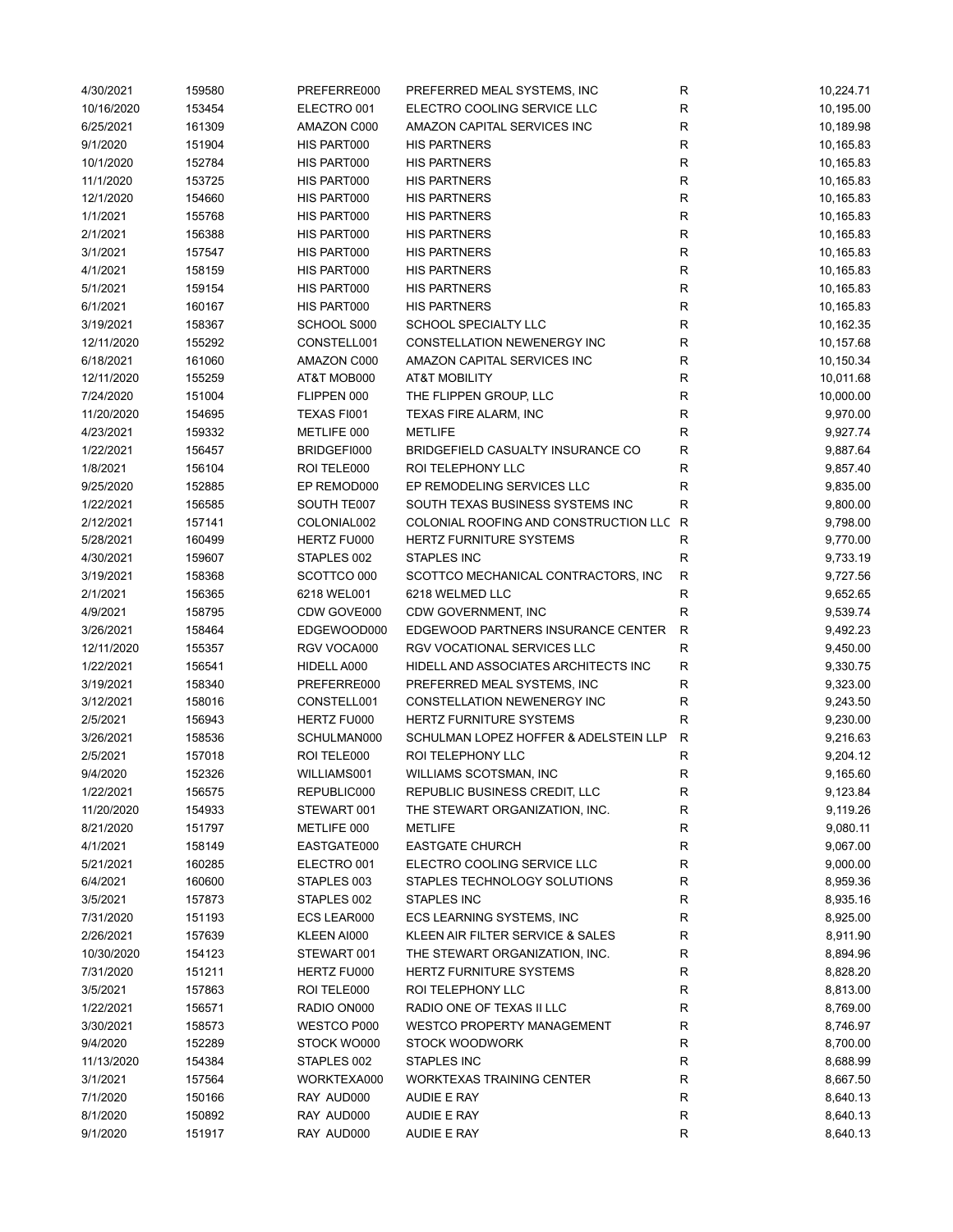| 4/30/2021  | 159580 | PREFERRE000 | PREFERRED MEAL SYSTEMS, INC             | R           | 10,224.71 |
|------------|--------|-------------|-----------------------------------------|-------------|-----------|
| 10/16/2020 | 153454 | ELECTRO 001 | ELECTRO COOLING SERVICE LLC             | R           | 10,195.00 |
| 6/25/2021  | 161309 | AMAZON C000 | AMAZON CAPITAL SERVICES INC             | R           | 10,189.98 |
| 9/1/2020   | 151904 | HIS PART000 | <b>HIS PARTNERS</b>                     | R           | 10,165.83 |
| 10/1/2020  | 152784 | HIS PART000 | <b>HIS PARTNERS</b>                     | R           | 10,165.83 |
| 11/1/2020  | 153725 | HIS PART000 | <b>HIS PARTNERS</b>                     | R           | 10,165.83 |
| 12/1/2020  | 154660 | HIS PART000 | <b>HIS PARTNERS</b>                     | R           | 10,165.83 |
| 1/1/2021   | 155768 | HIS PART000 | <b>HIS PARTNERS</b>                     | R           | 10,165.83 |
| 2/1/2021   | 156388 | HIS PART000 | <b>HIS PARTNERS</b>                     | R           | 10,165.83 |
| 3/1/2021   | 157547 | HIS PART000 | <b>HIS PARTNERS</b>                     | R           | 10,165.83 |
| 4/1/2021   | 158159 | HIS PART000 | <b>HIS PARTNERS</b>                     | R           | 10,165.83 |
|            |        |             |                                         |             | 10,165.83 |
| 5/1/2021   | 159154 | HIS PART000 | <b>HIS PARTNERS</b>                     | R           |           |
| 6/1/2021   | 160167 | HIS PART000 | <b>HIS PARTNERS</b>                     | R           | 10,165.83 |
| 3/19/2021  | 158367 | SCHOOL S000 | SCHOOL SPECIALTY LLC                    | R           | 10,162.35 |
| 12/11/2020 | 155292 | CONSTELL001 | CONSTELLATION NEWENERGY INC             | R           | 10,157.68 |
| 6/18/2021  | 161060 | AMAZON C000 | AMAZON CAPITAL SERVICES INC             | R           | 10,150.34 |
| 12/11/2020 | 155259 | AT&T MOB000 | <b>AT&amp;T MOBILITY</b>                | R           | 10,011.68 |
| 7/24/2020  | 151004 | FLIPPEN 000 | THE FLIPPEN GROUP, LLC                  | R           | 10,000.00 |
| 11/20/2020 | 154695 | TEXAS FI001 | TEXAS FIRE ALARM, INC                   | R           | 9,970.00  |
| 4/23/2021  | 159332 | METLIFE 000 | <b>METLIFE</b>                          | R           | 9,927.74  |
| 1/22/2021  | 156457 | BRIDGEFI000 | BRIDGEFIELD CASUALTY INSURANCE CO       | R           | 9,887.64  |
| 1/8/2021   | 156104 | ROI TELE000 | ROI TELEPHONY LLC                       | R           | 9,857.40  |
| 9/25/2020  | 152885 | EP REMOD000 | EP REMODELING SERVICES LLC              | R           | 9,835.00  |
| 1/22/2021  | 156585 | SOUTH TE007 | SOUTH TEXAS BUSINESS SYSTEMS INC        | R           | 9,800.00  |
| 2/12/2021  | 157141 | COLONIAL002 | COLONIAL ROOFING AND CONSTRUCTION LLC R |             | 9,798.00  |
| 5/28/2021  | 160499 | HERTZ FU000 | HERTZ FURNITURE SYSTEMS                 | R           | 9,770.00  |
| 4/30/2021  | 159607 | STAPLES 002 | <b>STAPLES INC</b>                      | R           | 9,733.19  |
| 3/19/2021  | 158368 | SCOTTCO 000 | SCOTTCO MECHANICAL CONTRACTORS, INC     | R           | 9,727.56  |
| 2/1/2021   | 156365 | 6218 WEL001 | 6218 WELMED LLC                         | R           | 9,652.65  |
| 4/9/2021   | 158795 | CDW GOVE000 | CDW GOVERNMENT, INC                     | R           | 9,539.74  |
|            |        |             | EDGEWOOD PARTNERS INSURANCE CENTER      | $\mathsf R$ |           |
| 3/26/2021  | 158464 | EDGEWOOD000 |                                         |             | 9,492.23  |
| 12/11/2020 | 155357 | RGV VOCA000 | RGV VOCATIONAL SERVICES LLC             | R           | 9,450.00  |
| 1/22/2021  | 156541 | HIDELL A000 | HIDELL AND ASSOCIATES ARCHITECTS INC    | R           | 9,330.75  |
| 3/19/2021  | 158340 | PREFERRE000 | PREFERRED MEAL SYSTEMS, INC             | R           | 9,323.00  |
| 3/12/2021  | 158016 | CONSTELL001 | CONSTELLATION NEWENERGY INC             | R           | 9,243.50  |
| 2/5/2021   | 156943 | HERTZ FU000 | HERTZ FURNITURE SYSTEMS                 | R           | 9,230.00  |
| 3/26/2021  | 158536 | SCHULMAN000 | SCHULMAN LOPEZ HOFFER & ADELSTEIN LLP   | R           | 9,216.63  |
| 2/5/2021   | 157018 | ROI TELE000 | ROI TELEPHONY LLC                       | R           | 9,204.12  |
| 9/4/2020   | 152326 | WILLIAMS001 | WILLIAMS SCOTSMAN, INC                  | R           | 9,165.60  |
| 1/22/2021  | 156575 | REPUBLIC000 | REPUBLIC BUSINESS CREDIT, LLC           | R           | 9,123.84  |
| 11/20/2020 | 154933 | STEWART 001 | THE STEWART ORGANIZATION, INC.          | R           | 9,119.26  |
| 8/21/2020  | 151797 | METLIFE 000 | <b>METLIFE</b>                          | R           | 9,080.11  |
| 4/1/2021   | 158149 | EASTGATE000 | <b>EASTGATE CHURCH</b>                  | R           | 9,067.00  |
| 5/21/2021  | 160285 | ELECTRO 001 | ELECTRO COOLING SERVICE LLC             | R           | 9,000.00  |
| 6/4/2021   | 160600 | STAPLES 003 | STAPLES TECHNOLOGY SOLUTIONS            | R           | 8,959.36  |
| 3/5/2021   | 157873 | STAPLES 002 | STAPLES INC                             | R           | 8,935.16  |
| 7/31/2020  | 151193 | ECS LEAR000 | ECS LEARNING SYSTEMS, INC               | R           | 8,925.00  |
| 2/26/2021  | 157639 | KLEEN AI000 | KLEEN AIR FILTER SERVICE & SALES        | R           | 8,911.90  |
| 10/30/2020 | 154123 | STEWART 001 | THE STEWART ORGANIZATION, INC.          | R           | 8,894.96  |
| 7/31/2020  | 151211 | HERTZ FU000 | HERTZ FURNITURE SYSTEMS                 | R           | 8,828.20  |
| 3/5/2021   | 157863 | ROI TELE000 | ROI TELEPHONY LLC                       | R           | 8,813.00  |
|            |        |             |                                         |             |           |
| 1/22/2021  | 156571 | RADIO ON000 | RADIO ONE OF TEXAS II LLC               | R           | 8,769.00  |
| 3/30/2021  | 158573 | WESTCO P000 | <b>WESTCO PROPERTY MANAGEMENT</b>       | R           | 8,746.97  |
| 9/4/2020   | 152289 | STOCK WO000 | <b>STOCK WOODWORK</b>                   | R           | 8,700.00  |
| 11/13/2020 | 154384 | STAPLES 002 | STAPLES INC                             | R           | 8,688.99  |
| 3/1/2021   | 157564 | WORKTEXA000 | <b>WORKTEXAS TRAINING CENTER</b>        | R           | 8,667.50  |
| 7/1/2020   | 150166 | RAY AUD000  | AUDIE E RAY                             | R           | 8,640.13  |
| 8/1/2020   | 150892 | RAY AUD000  | AUDIE E RAY                             | R           | 8,640.13  |
| 9/1/2020   | 151917 | RAY AUD000  | AUDIE E RAY                             | R           | 8,640.13  |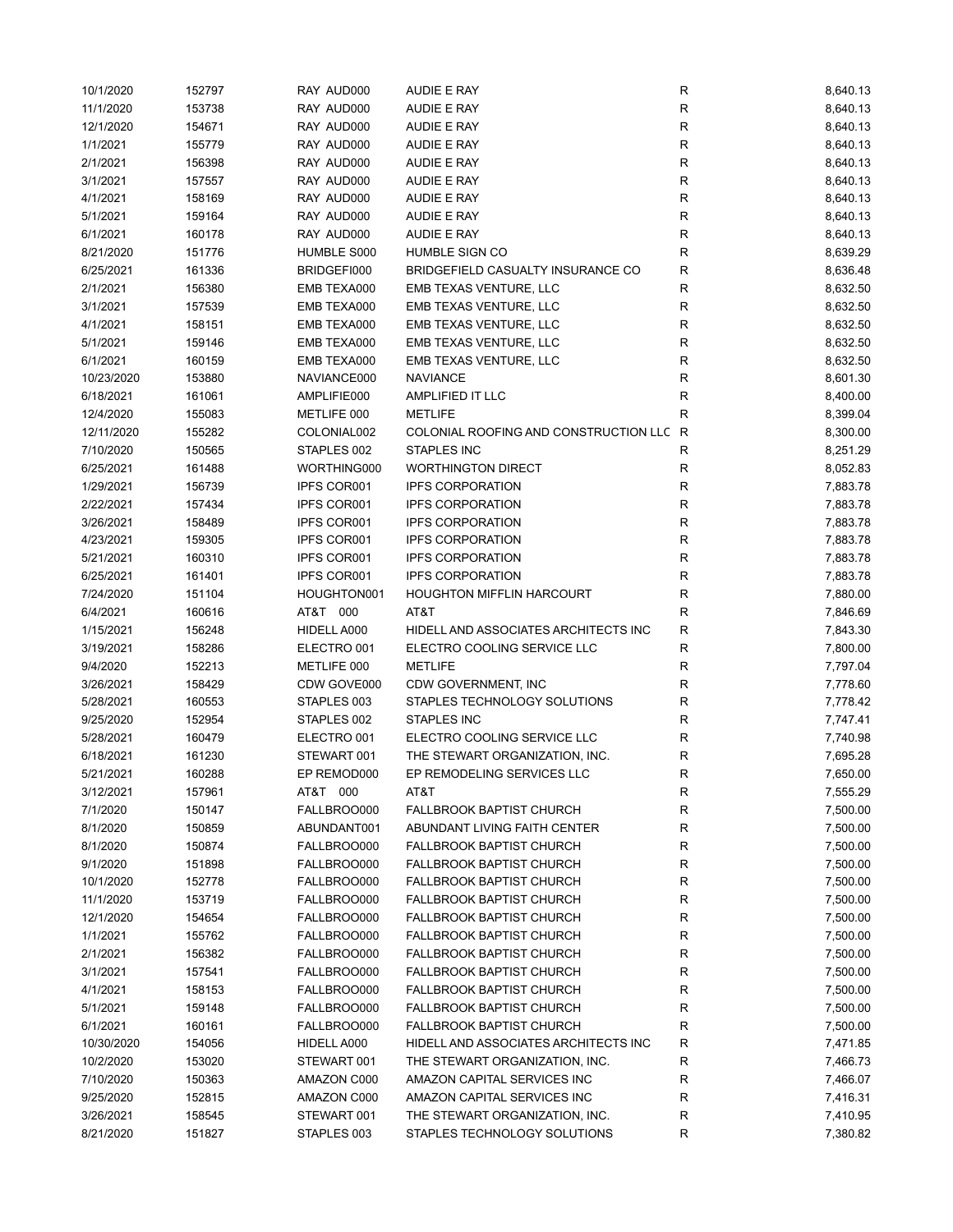| 10/1/2020  | 152797 | RAY AUD000  | AUDIE E RAY                             | R           | 8,640.13 |
|------------|--------|-------------|-----------------------------------------|-------------|----------|
| 11/1/2020  | 153738 | RAY AUD000  | AUDIE E RAY                             | R           | 8,640.13 |
| 12/1/2020  | 154671 | RAY AUD000  | AUDIE E RAY                             | R           | 8,640.13 |
|            |        |             |                                         |             |          |
| 1/1/2021   | 155779 | RAY AUD000  | AUDIE E RAY                             | R           | 8,640.13 |
| 2/1/2021   | 156398 | RAY AUD000  | AUDIE E RAY                             | R           | 8,640.13 |
| 3/1/2021   | 157557 | RAY AUD000  | AUDIE E RAY                             | R           | 8,640.13 |
| 4/1/2021   | 158169 | RAY AUD000  | AUDIE E RAY                             | R           | 8,640.13 |
| 5/1/2021   | 159164 | RAY AUD000  | AUDIE E RAY                             | R           | 8,640.13 |
| 6/1/2021   | 160178 | RAY AUD000  | AUDIE E RAY                             | $\mathsf R$ | 8,640.13 |
| 8/21/2020  | 151776 | HUMBLE S000 | HUMBLE SIGN CO                          | R           | 8,639.29 |
| 6/25/2021  | 161336 | BRIDGEFI000 | BRIDGEFIELD CASUALTY INSURANCE CO       | R           | 8,636.48 |
| 2/1/2021   | 156380 | EMB TEXA000 | EMB TEXAS VENTURE, LLC                  | R           | 8,632.50 |
| 3/1/2021   | 157539 | EMB TEXA000 | EMB TEXAS VENTURE, LLC                  | R           | 8,632.50 |
| 4/1/2021   | 158151 | EMB TEXA000 | EMB TEXAS VENTURE, LLC                  | R           | 8,632.50 |
| 5/1/2021   | 159146 | EMB TEXA000 | EMB TEXAS VENTURE, LLC                  | R           | 8,632.50 |
| 6/1/2021   | 160159 | EMB TEXA000 | EMB TEXAS VENTURE, LLC                  | R           | 8,632.50 |
| 10/23/2020 | 153880 | NAVIANCE000 | <b>NAVIANCE</b>                         | R           | 8,601.30 |
| 6/18/2021  | 161061 | AMPLIFIE000 | AMPLIFIED IT LLC                        | R           | 8,400.00 |
| 12/4/2020  | 155083 | METLIFE 000 | <b>METLIFE</b>                          | R           | 8,399.04 |
|            |        |             |                                         |             |          |
| 12/11/2020 | 155282 | COLONIAL002 | COLONIAL ROOFING AND CONSTRUCTION LLC R |             | 8,300.00 |
| 7/10/2020  | 150565 | STAPLES 002 | STAPLES INC                             | R           | 8,251.29 |
| 6/25/2021  | 161488 | WORTHING000 | <b>WORTHINGTON DIRECT</b>               | R           | 8,052.83 |
| 1/29/2021  | 156739 | IPFS COR001 | <b>IPFS CORPORATION</b>                 | R           | 7,883.78 |
| 2/22/2021  | 157434 | IPFS COR001 | <b>IPFS CORPORATION</b>                 | R           | 7,883.78 |
| 3/26/2021  | 158489 | IPFS COR001 | <b>IPFS CORPORATION</b>                 | R           | 7,883.78 |
| 4/23/2021  | 159305 | IPFS COR001 | <b>IPFS CORPORATION</b>                 | R           | 7,883.78 |
| 5/21/2021  | 160310 | IPFS COR001 | <b>IPFS CORPORATION</b>                 | R           | 7,883.78 |
| 6/25/2021  | 161401 | IPFS COR001 | <b>IPFS CORPORATION</b>                 | R           | 7,883.78 |
| 7/24/2020  | 151104 | HOUGHTON001 | <b>HOUGHTON MIFFLIN HARCOURT</b>        | R           | 7,880.00 |
| 6/4/2021   | 160616 | AT&T 000    | AT&T                                    | R           | 7,846.69 |
| 1/15/2021  | 156248 | HIDELL A000 | HIDELL AND ASSOCIATES ARCHITECTS INC    | R           | 7,843.30 |
| 3/19/2021  | 158286 | ELECTRO 001 | ELECTRO COOLING SERVICE LLC             | R           | 7,800.00 |
| 9/4/2020   | 152213 | METLIFE 000 | <b>METLIFE</b>                          | R           | 7,797.04 |
| 3/26/2021  | 158429 | CDW GOVE000 | CDW GOVERNMENT, INC                     | R           | 7,778.60 |
|            |        |             |                                         |             |          |
| 5/28/2021  | 160553 | STAPLES 003 | STAPLES TECHNOLOGY SOLUTIONS            | R           | 7,778.42 |
| 9/25/2020  | 152954 | STAPLES 002 | <b>STAPLES INC</b>                      | R           | 7,747.41 |
| 5/28/2021  | 160479 | ELECTRO 001 | ELECTRO COOLING SERVICE LLC             | R           | 7,740.98 |
| 6/18/2021  | 161230 | STEWART 001 | THE STEWART ORGANIZATION, INC.          | R           | 7,695.28 |
| 5/21/2021  | 160288 | EP REMOD000 | EP REMODELING SERVICES LLC              | R           | 7,650.00 |
| 3/12/2021  | 157961 | AT&T 000    | AT&T                                    | R           | 7,555.29 |
| 7/1/2020   | 150147 | FALLBROO000 | <b>FALLBROOK BAPTIST CHURCH</b>         | R           | 7,500.00 |
| 8/1/2020   | 150859 | ABUNDANT001 | ABUNDANT LIVING FAITH CENTER            | R           | 7,500.00 |
| 8/1/2020   | 150874 | FALLBROO000 | <b>FALLBROOK BAPTIST CHURCH</b>         | R           | 7,500.00 |
| 9/1/2020   | 151898 | FALLBROO000 | <b>FALLBROOK BAPTIST CHURCH</b>         | R           | 7,500.00 |
| 10/1/2020  | 152778 | FALLBROO000 | <b>FALLBROOK BAPTIST CHURCH</b>         | R           | 7,500.00 |
| 11/1/2020  | 153719 | FALLBROO000 | <b>FALLBROOK BAPTIST CHURCH</b>         | R           | 7,500.00 |
| 12/1/2020  | 154654 | FALLBROO000 | <b>FALLBROOK BAPTIST CHURCH</b>         | R           | 7,500.00 |
| 1/1/2021   | 155762 | FALLBROO000 | <b>FALLBROOK BAPTIST CHURCH</b>         | R           | 7,500.00 |
| 2/1/2021   | 156382 | FALLBROO000 | <b>FALLBROOK BAPTIST CHURCH</b>         | R           | 7,500.00 |
| 3/1/2021   | 157541 | FALLBROO000 | <b>FALLBROOK BAPTIST CHURCH</b>         | R           | 7,500.00 |
|            |        |             |                                         |             |          |
| 4/1/2021   | 158153 | FALLBROO000 | <b>FALLBROOK BAPTIST CHURCH</b>         | R           | 7,500.00 |
| 5/1/2021   | 159148 | FALLBROO000 | <b>FALLBROOK BAPTIST CHURCH</b>         | R           | 7,500.00 |
| 6/1/2021   | 160161 | FALLBROO000 | <b>FALLBROOK BAPTIST CHURCH</b>         | R           | 7,500.00 |
| 10/30/2020 | 154056 | HIDELL A000 | HIDELL AND ASSOCIATES ARCHITECTS INC    | R           | 7,471.85 |
| 10/2/2020  | 153020 | STEWART 001 | THE STEWART ORGANIZATION, INC.          | R           | 7,466.73 |
| 7/10/2020  | 150363 | AMAZON C000 | AMAZON CAPITAL SERVICES INC             | R           | 7,466.07 |
| 9/25/2020  | 152815 | AMAZON C000 | AMAZON CAPITAL SERVICES INC             | R           | 7,416.31 |
| 3/26/2021  | 158545 | STEWART 001 | THE STEWART ORGANIZATION, INC.          | R           | 7,410.95 |
| 8/21/2020  | 151827 | STAPLES 003 | STAPLES TECHNOLOGY SOLUTIONS            | R           | 7,380.82 |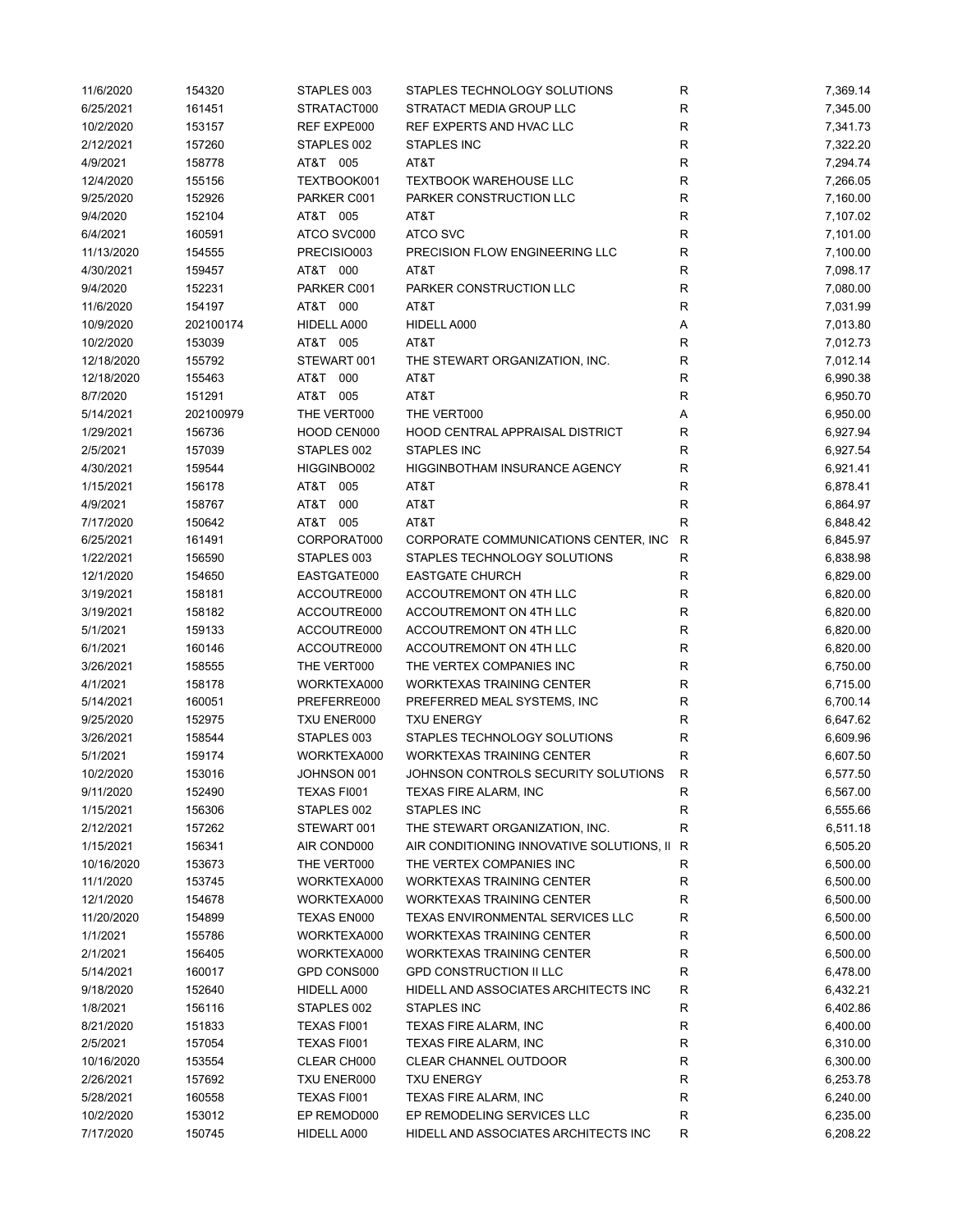| 11/6/2020  | 154320    | STAPLES 003 | STAPLES TECHNOLOGY SOLUTIONS              | R            | 7,369.14 |
|------------|-----------|-------------|-------------------------------------------|--------------|----------|
| 6/25/2021  | 161451    | STRATACT000 | STRATACT MEDIA GROUP LLC                  | $\mathsf R$  | 7,345.00 |
| 10/2/2020  | 153157    | REF EXPE000 | REF EXPERTS AND HVAC LLC                  | $\mathsf R$  | 7,341.73 |
| 2/12/2021  | 157260    | STAPLES 002 | STAPLES INC                               | R            | 7,322.20 |
| 4/9/2021   | 158778    | AT&T 005    | AT&T                                      | $\mathsf R$  | 7,294.74 |
| 12/4/2020  | 155156    | TEXTBOOK001 | <b>TEXTBOOK WAREHOUSE LLC</b>             | $\mathsf R$  | 7,266.05 |
| 9/25/2020  | 152926    | PARKER C001 | PARKER CONSTRUCTION LLC                   | $\mathsf R$  | 7,160.00 |
| 9/4/2020   | 152104    | AT&T 005    | AT&T                                      | R            | 7,107.02 |
| 6/4/2021   | 160591    | ATCO SVC000 | <b>ATCO SVC</b>                           | R            | 7,101.00 |
| 11/13/2020 | 154555    | PRECISIO003 | PRECISION FLOW ENGINEERING LLC            | $\mathsf R$  | 7,100.00 |
|            |           |             |                                           | $\mathsf R$  |          |
| 4/30/2021  | 159457    | AT&T 000    | AT&T                                      |              | 7,098.17 |
| 9/4/2020   | 152231    | PARKER C001 | PARKER CONSTRUCTION LLC                   | $\mathsf R$  | 7,080.00 |
| 11/6/2020  | 154197    | AT&T 000    | AT&T                                      | $\mathsf R$  | 7,031.99 |
| 10/9/2020  | 202100174 | HIDELL A000 | HIDELL A000                               | Α            | 7,013.80 |
| 10/2/2020  | 153039    | AT&T 005    | AT&T                                      | $\mathsf R$  | 7,012.73 |
| 12/18/2020 | 155792    | STEWART 001 | THE STEWART ORGANIZATION, INC.            | $\mathsf R$  | 7,012.14 |
| 12/18/2020 | 155463    | AT&T<br>000 | AT&T                                      | R            | 6,990.38 |
| 8/7/2020   | 151291    | AT&T 005    | AT&T                                      | R            | 6,950.70 |
| 5/14/2021  | 202100979 | THE VERT000 | THE VERT000                               | Α            | 6,950.00 |
| 1/29/2021  | 156736    | HOOD CEN000 | <b>HOOD CENTRAL APPRAISAL DISTRICT</b>    | R            | 6,927.94 |
| 2/5/2021   | 157039    | STAPLES 002 | <b>STAPLES INC</b>                        | R            | 6,927.54 |
| 4/30/2021  | 159544    | HIGGINBO002 | HIGGINBOTHAM INSURANCE AGENCY             | R            | 6,921.41 |
| 1/15/2021  | 156178    | AT&T 005    | AT&T                                      | R            | 6,878.41 |
| 4/9/2021   | 158767    | AT&T<br>000 | AT&T                                      | $\mathsf R$  | 6,864.97 |
| 7/17/2020  | 150642    | AT&T 005    | AT&T                                      | $\mathsf R$  | 6,848.42 |
| 6/25/2021  | 161491    | CORPORAT000 | CORPORATE COMMUNICATIONS CENTER, INC.     | $\mathsf{R}$ | 6,845.97 |
| 1/22/2021  | 156590    | STAPLES 003 | STAPLES TECHNOLOGY SOLUTIONS              | R            | 6,838.98 |
| 12/1/2020  | 154650    | EASTGATE000 | <b>EASTGATE CHURCH</b>                    | R            | 6,829.00 |
| 3/19/2021  | 158181    | ACCOUTRE000 | ACCOUTREMONT ON 4TH LLC                   | $\mathsf R$  | 6,820.00 |
| 3/19/2021  |           |             | ACCOUTREMONT ON 4TH LLC                   | $\mathsf R$  |          |
|            | 158182    | ACCOUTRE000 |                                           |              | 6,820.00 |
| 5/1/2021   | 159133    | ACCOUTRE000 | ACCOUTREMONT ON 4TH LLC                   | $\mathsf R$  | 6,820.00 |
| 6/1/2021   | 160146    | ACCOUTRE000 | ACCOUTREMONT ON 4TH LLC                   | $\mathsf R$  | 6,820.00 |
| 3/26/2021  | 158555    | THE VERT000 | THE VERTEX COMPANIES INC                  | $\mathsf R$  | 6,750.00 |
| 4/1/2021   | 158178    | WORKTEXA000 | WORKTEXAS TRAINING CENTER                 | R            | 6,715.00 |
| 5/14/2021  | 160051    | PREFERRE000 | PREFERRED MEAL SYSTEMS, INC               | R            | 6,700.14 |
| 9/25/2020  | 152975    | TXU ENER000 | <b>TXU ENERGY</b>                         | R            | 6,647.62 |
| 3/26/2021  | 158544    | STAPLES 003 | STAPLES TECHNOLOGY SOLUTIONS              | R            | 6,609.96 |
| 5/1/2021   | 159174    | WORKTEXA000 | WORKTEXAS TRAINING CENTER                 | R            | 6,607.50 |
| 10/2/2020  | 153016    | JOHNSON 001 | JOHNSON CONTROLS SECURITY SOLUTIONS       | R            | 6,577.50 |
| 9/11/2020  | 152490    | TEXAS FI001 | TEXAS FIRE ALARM, INC                     | R            | 6,567.00 |
| 1/15/2021  | 156306    | STAPLES 002 | STAPLES INC                               | R            | 6,555.66 |
| 2/12/2021  | 157262    | STEWART 001 | THE STEWART ORGANIZATION, INC.            | $\mathsf{R}$ | 6,511.18 |
| 1/15/2021  | 156341    | AIR COND000 | AIR CONDITIONING INNOVATIVE SOLUTIONS, II | R            | 6,505.20 |
| 10/16/2020 | 153673    | THE VERT000 | THE VERTEX COMPANIES INC                  | R            | 6,500.00 |
| 11/1/2020  | 153745    | WORKTEXA000 | WORKTEXAS TRAINING CENTER                 | R            | 6,500.00 |
| 12/1/2020  | 154678    | WORKTEXA000 | <b>WORKTEXAS TRAINING CENTER</b>          | R            | 6,500.00 |
| 11/20/2020 | 154899    | TEXAS EN000 | TEXAS ENVIRONMENTAL SERVICES LLC          | R            | 6,500.00 |
| 1/1/2021   | 155786    | WORKTEXA000 | WORKTEXAS TRAINING CENTER                 | R            | 6,500.00 |
| 2/1/2021   | 156405    | WORKTEXA000 | WORKTEXAS TRAINING CENTER                 | R            | 6,500.00 |
| 5/14/2021  | 160017    | GPD CONS000 | <b>GPD CONSTRUCTION II LLC</b>            | R            | 6,478.00 |
| 9/18/2020  | 152640    | HIDELL A000 | HIDELL AND ASSOCIATES ARCHITECTS INC      | R            | 6,432.21 |
| 1/8/2021   |           |             | STAPLES INC                               | R            | 6,402.86 |
|            | 156116    | STAPLES 002 |                                           |              |          |
| 8/21/2020  | 151833    | TEXAS FI001 | TEXAS FIRE ALARM, INC                     | R            | 6,400.00 |
| 2/5/2021   | 157054    | TEXAS FI001 | TEXAS FIRE ALARM, INC                     | R            | 6,310.00 |
| 10/16/2020 | 153554    | CLEAR CH000 | CLEAR CHANNEL OUTDOOR                     | R            | 6,300.00 |
| 2/26/2021  | 157692    | TXU ENER000 | <b>TXU ENERGY</b>                         | R            | 6,253.78 |
| 5/28/2021  | 160558    | TEXAS FI001 | TEXAS FIRE ALARM, INC                     | R            | 6,240.00 |
| 10/2/2020  | 153012    | EP REMOD000 | EP REMODELING SERVICES LLC                | R            | 6,235.00 |
| 7/17/2020  | 150745    | HIDELL A000 | HIDELL AND ASSOCIATES ARCHITECTS INC      | R            | 6,208.22 |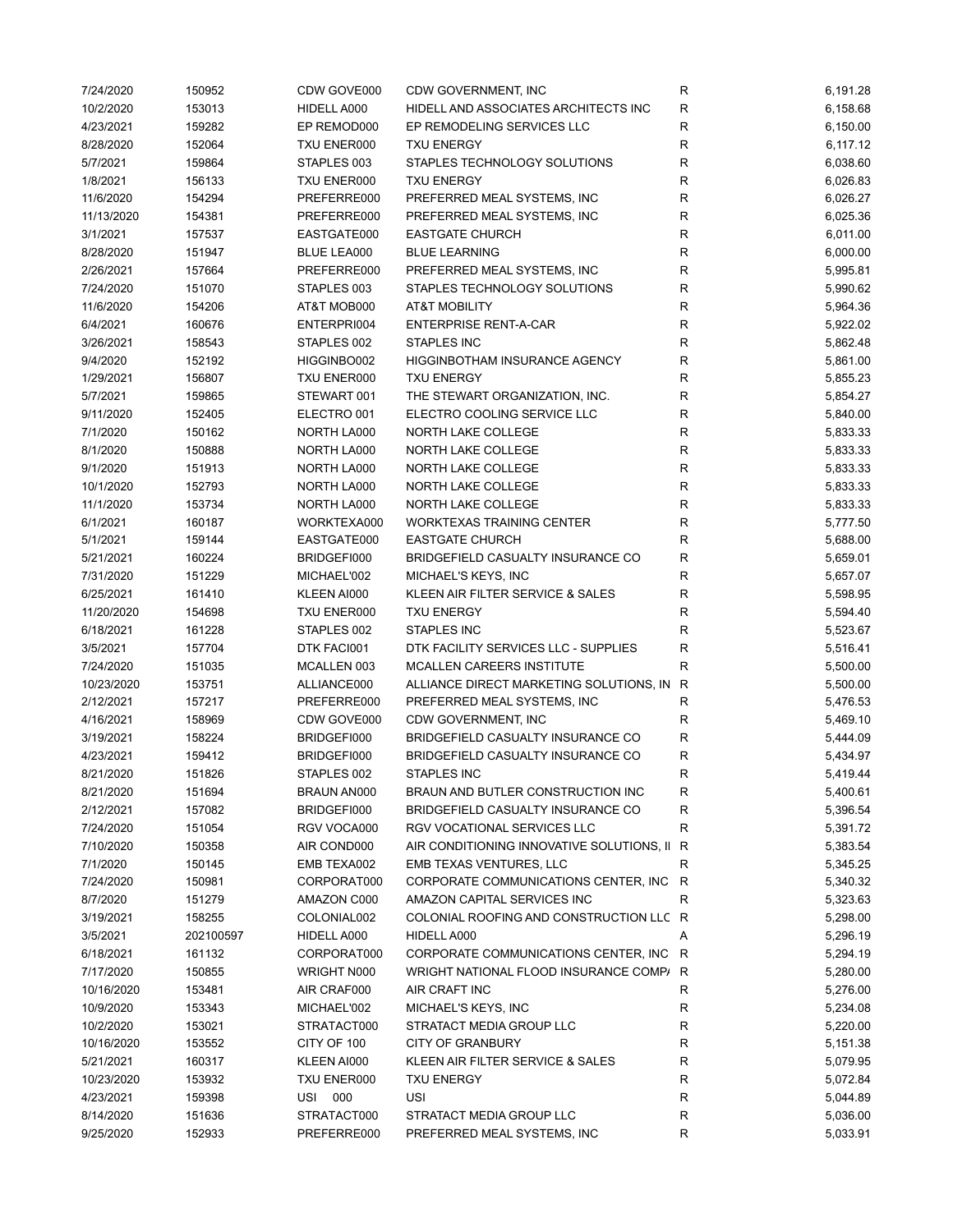| 7/24/2020  | 150952    | CDW GOVE000        | CDW GOVERNMENT, INC                         | R            | 6,191.28 |
|------------|-----------|--------------------|---------------------------------------------|--------------|----------|
| 10/2/2020  | 153013    | HIDELL A000        | HIDELL AND ASSOCIATES ARCHITECTS INC        | R            | 6,158.68 |
| 4/23/2021  | 159282    | EP REMOD000        | EP REMODELING SERVICES LLC                  | R            | 6,150.00 |
| 8/28/2020  | 152064    | TXU ENER000        | <b>TXU ENERGY</b>                           | R            | 6,117.12 |
| 5/7/2021   | 159864    | STAPLES 003        | STAPLES TECHNOLOGY SOLUTIONS                | R            | 6,038.60 |
| 1/8/2021   | 156133    | TXU ENER000        | <b>TXU ENERGY</b>                           | $\mathsf{R}$ | 6,026.83 |
| 11/6/2020  | 154294    | PREFERRE000        | PREFERRED MEAL SYSTEMS, INC                 | $\mathsf{R}$ | 6,026.27 |
| 11/13/2020 | 154381    | PREFERRE000        | PREFERRED MEAL SYSTEMS, INC                 | R            | 6,025.36 |
| 3/1/2021   | 157537    | EASTGATE000        | <b>EASTGATE CHURCH</b>                      | R            | 6,011.00 |
| 8/28/2020  | 151947    | BLUE LEA000        | <b>BLUE LEARNING</b>                        | R            | 6,000.00 |
| 2/26/2021  | 157664    | PREFERRE000        | PREFERRED MEAL SYSTEMS, INC                 | R            | 5,995.81 |
|            |           |                    |                                             | R            |          |
| 7/24/2020  | 151070    | STAPLES 003        | STAPLES TECHNOLOGY SOLUTIONS                |              | 5,990.62 |
| 11/6/2020  | 154206    | AT&T MOB000        | <b>AT&amp;T MOBILITY</b>                    | R            | 5,964.36 |
| 6/4/2021   | 160676    | ENTERPRI004        | <b>ENTERPRISE RENT-A-CAR</b>                | R            | 5,922.02 |
| 3/26/2021  | 158543    | STAPLES 002        | <b>STAPLES INC</b>                          | R            | 5,862.48 |
| 9/4/2020   | 152192    | HIGGINBO002        | <b>HIGGINBOTHAM INSURANCE AGENCY</b>        | R            | 5,861.00 |
| 1/29/2021  | 156807    | TXU ENER000        | <b>TXU ENERGY</b>                           | R            | 5,855.23 |
| 5/7/2021   | 159865    | STEWART 001        | THE STEWART ORGANIZATION, INC.              | R            | 5,854.27 |
| 9/11/2020  | 152405    | ELECTRO 001        | ELECTRO COOLING SERVICE LLC                 | R            | 5,840.00 |
| 7/1/2020   | 150162    | NORTH LA000        | NORTH LAKE COLLEGE                          | R            | 5,833.33 |
| 8/1/2020   | 150888    | NORTH LA000        | NORTH LAKE COLLEGE                          | R            | 5,833.33 |
| 9/1/2020   | 151913    | NORTH LA000        | NORTH LAKE COLLEGE                          | R            | 5,833.33 |
| 10/1/2020  | 152793    | NORTH LA000        | NORTH LAKE COLLEGE                          | R            | 5,833.33 |
| 11/1/2020  | 153734    | NORTH LA000        | <b>NORTH LAKE COLLEGE</b>                   | R            | 5,833.33 |
| 6/1/2021   | 160187    | WORKTEXA000        | WORKTEXAS TRAINING CENTER                   | R            | 5,777.50 |
| 5/1/2021   | 159144    | EASTGATE000        | <b>EASTGATE CHURCH</b>                      | R            | 5,688.00 |
| 5/21/2021  | 160224    | BRIDGEFI000        | BRIDGEFIELD CASUALTY INSURANCE CO           | R            | 5,659.01 |
| 7/31/2020  | 151229    | MICHAEL'002        | MICHAEL'S KEYS, INC                         | R            | 5,657.07 |
| 6/25/2021  | 161410    | KLEEN AI000        | KLEEN AIR FILTER SERVICE & SALES            | R            | 5,598.95 |
| 11/20/2020 | 154698    | TXU ENER000        | <b>TXU ENERGY</b>                           | R            | 5,594.40 |
| 6/18/2021  | 161228    | STAPLES 002        | <b>STAPLES INC</b>                          | R            | 5,523.67 |
| 3/5/2021   | 157704    | DTK FACI001        | DTK FACILITY SERVICES LLC - SUPPLIES        | $\mathsf{R}$ | 5,516.41 |
| 7/24/2020  | 151035    | MCALLEN 003        | <b>MCALLEN CAREERS INSTITUTE</b>            | R            | 5,500.00 |
| 10/23/2020 | 153751    | ALLIANCE000        | ALLIANCE DIRECT MARKETING SOLUTIONS, IN     | R            | 5,500.00 |
| 2/12/2021  | 157217    | PREFERRE000        | PREFERRED MEAL SYSTEMS, INC                 | R            | 5,476.53 |
|            |           |                    | CDW GOVERNMENT, INC                         |              |          |
| 4/16/2021  | 158969    | CDW GOVE000        |                                             | R            | 5,469.10 |
| 3/19/2021  | 158224    | BRIDGEFI000        | BRIDGEFIELD CASUALTY INSURANCE CO           | R            | 5,444.09 |
| 4/23/2021  | 159412    | BRIDGEFI000        | BRIDGEFIELD CASUALTY INSURANCE CO           | R            | 5,434.97 |
| 8/21/2020  | 151826    | STAPLES 002        | <b>STAPLES INC</b>                          | R            | 5,419.44 |
| 8/21/2020  | 151694    | <b>BRAUN AN000</b> | BRAUN AND BUTLER CONSTRUCTION INC           | R            | 5,400.61 |
| 2/12/2021  | 157082    | BRIDGEFI000        | BRIDGEFIELD CASUALTY INSURANCE CO           | R            | 5,396.54 |
| 7/24/2020  | 151054    | RGV VOCA000        | RGV VOCATIONAL SERVICES LLC                 | R            | 5,391.72 |
| 7/10/2020  | 150358    | AIR COND000        | AIR CONDITIONING INNOVATIVE SOLUTIONS, II R |              | 5,383.54 |
| 7/1/2020   | 150145    | EMB TEXA002        | EMB TEXAS VENTURES, LLC                     | R            | 5,345.25 |
| 7/24/2020  | 150981    | CORPORAT000        | CORPORATE COMMUNICATIONS CENTER, INC        | R            | 5,340.32 |
| 8/7/2020   | 151279    | AMAZON C000        | AMAZON CAPITAL SERVICES INC                 | R            | 5,323.63 |
| 3/19/2021  | 158255    | COLONIAL002        | COLONIAL ROOFING AND CONSTRUCTION LLC R     |              | 5,298.00 |
| 3/5/2021   | 202100597 | HIDELL A000        | HIDELL A000                                 | Α            | 5,296.19 |
| 6/18/2021  | 161132    | CORPORAT000        | CORPORATE COMMUNICATIONS CENTER, INC.       | R            | 5,294.19 |
| 7/17/2020  | 150855    | WRIGHT N000        | WRIGHT NATIONAL FLOOD INSURANCE COMP/       | R            | 5,280.00 |
| 10/16/2020 | 153481    | AIR CRAF000        | AIR CRAFT INC                               | R            | 5,276.00 |
| 10/9/2020  | 153343    | MICHAEL'002        | MICHAEL'S KEYS, INC                         | R            | 5,234.08 |
| 10/2/2020  | 153021    | STRATACT000        | STRATACT MEDIA GROUP LLC                    | R            | 5,220.00 |
| 10/16/2020 | 153552    | CITY OF 100        | <b>CITY OF GRANBURY</b>                     | R            | 5,151.38 |
| 5/21/2021  | 160317    | KLEEN AI000        | KLEEN AIR FILTER SERVICE & SALES            | R            | 5,079.95 |
| 10/23/2020 | 153932    | TXU ENER000        | <b>TXU ENERGY</b>                           | R            | 5,072.84 |
| 4/23/2021  | 159398    | USI 000            | USI                                         | R            | 5,044.89 |
| 8/14/2020  | 151636    | STRATACT000        | STRATACT MEDIA GROUP LLC                    | R            | 5,036.00 |
| 9/25/2020  | 152933    | PREFERRE000        | PREFERRED MEAL SYSTEMS, INC                 | R            | 5,033.91 |
|            |           |                    |                                             |              |          |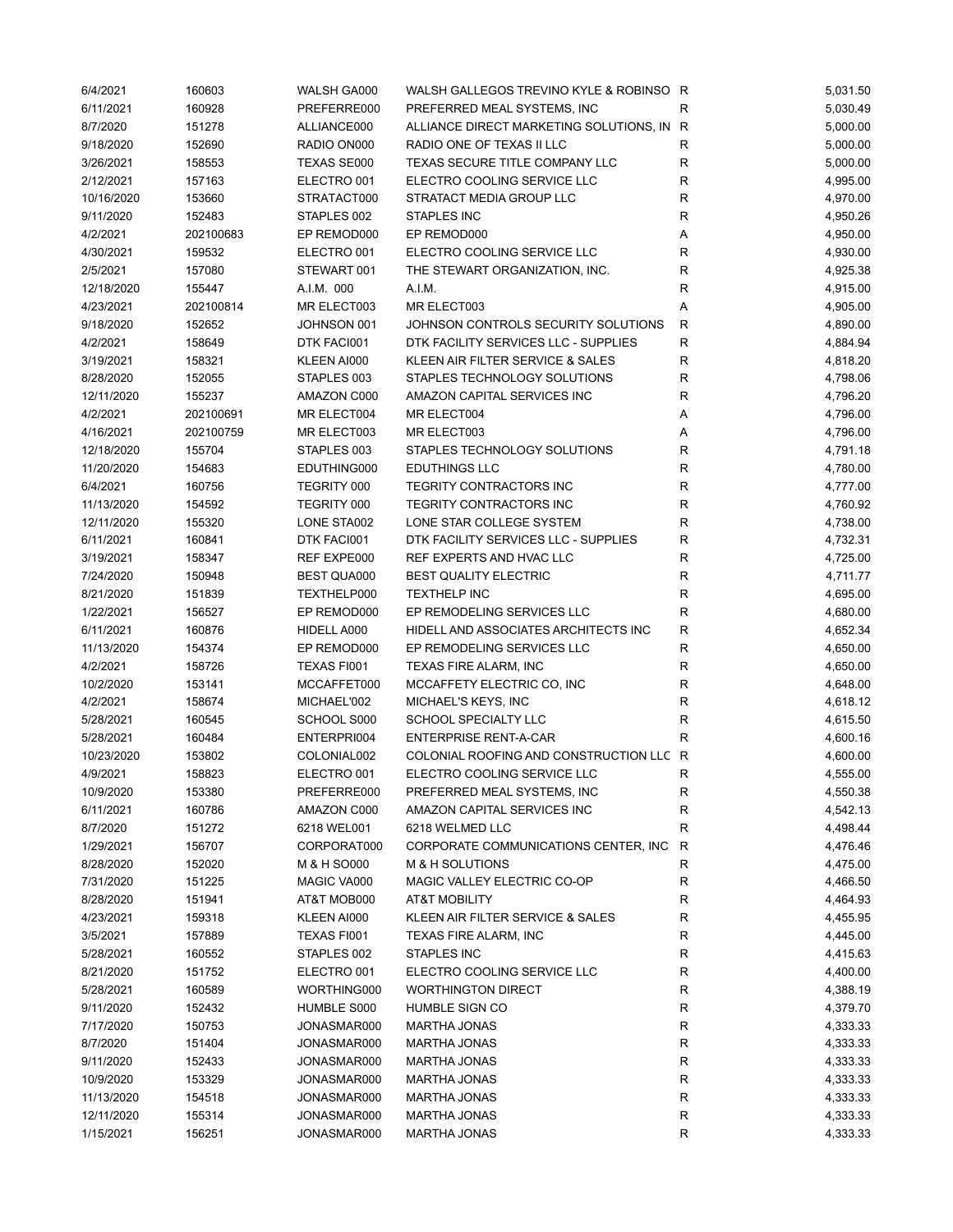| 6/4/2021   | 160603    | WALSH GA000        | WALSH GALLEGOS TREVINO KYLE & ROBINSO R |   | 5,031.50 |
|------------|-----------|--------------------|-----------------------------------------|---|----------|
| 6/11/2021  | 160928    | PREFERRE000        | PREFERRED MEAL SYSTEMS, INC             | R | 5,030.49 |
| 8/7/2020   | 151278    | ALLIANCE000        | ALLIANCE DIRECT MARKETING SOLUTIONS, IN | R | 5,000.00 |
| 9/18/2020  | 152690    | RADIO ON000        | RADIO ONE OF TEXAS II LLC               | R | 5,000.00 |
| 3/26/2021  | 158553    | TEXAS SE000        | TEXAS SECURE TITLE COMPANY LLC          | R | 5,000.00 |
| 2/12/2021  | 157163    | ELECTRO 001        | ELECTRO COOLING SERVICE LLC             | R | 4,995.00 |
| 10/16/2020 | 153660    | STRATACT000        | STRATACT MEDIA GROUP LLC                | R | 4,970.00 |
| 9/11/2020  | 152483    | STAPLES 002        | <b>STAPLES INC</b>                      | R | 4,950.26 |
|            |           |                    |                                         |   |          |
| 4/2/2021   | 202100683 | EP REMOD000        | EP REMOD000                             | Α | 4,950.00 |
| 4/30/2021  | 159532    | ELECTRO 001        | ELECTRO COOLING SERVICE LLC             | R | 4,930.00 |
| 2/5/2021   | 157080    | STEWART 001        | THE STEWART ORGANIZATION, INC.          | R | 4,925.38 |
| 12/18/2020 | 155447    | A.I.M. 000         | A.I.M.                                  | R | 4,915.00 |
| 4/23/2021  | 202100814 | MR ELECT003        | MR ELECT003                             | Α | 4,905.00 |
| 9/18/2020  | 152652    | JOHNSON 001        | JOHNSON CONTROLS SECURITY SOLUTIONS     | R | 4,890.00 |
| 4/2/2021   | 158649    | DTK FACI001        | DTK FACILITY SERVICES LLC - SUPPLIES    | R | 4,884.94 |
| 3/19/2021  | 158321    | KLEEN AI000        | KLEEN AIR FILTER SERVICE & SALES        | R | 4,818.20 |
| 8/28/2020  | 152055    | STAPLES 003        | STAPLES TECHNOLOGY SOLUTIONS            | R | 4,798.06 |
| 12/11/2020 | 155237    | AMAZON C000        | AMAZON CAPITAL SERVICES INC             | R | 4,796.20 |
| 4/2/2021   | 202100691 | MR ELECT004        | MR ELECT004                             | Α | 4,796.00 |
| 4/16/2021  | 202100759 | MR ELECT003        | MR ELECT003                             | Α | 4,796.00 |
| 12/18/2020 | 155704    | STAPLES 003        | STAPLES TECHNOLOGY SOLUTIONS            | R | 4,791.18 |
| 11/20/2020 | 154683    | EDUTHING000        | <b>EDUTHINGS LLC</b>                    | R | 4,780.00 |
| 6/4/2021   | 160756    | TEGRITY 000        | TEGRITY CONTRACTORS INC                 | R | 4,777.00 |
| 11/13/2020 | 154592    | TEGRITY 000        | TEGRITY CONTRACTORS INC                 | R | 4,760.92 |
| 12/11/2020 | 155320    | LONE STA002        | LONE STAR COLLEGE SYSTEM                | R | 4,738.00 |
| 6/11/2021  | 160841    | DTK FACI001        | DTK FACILITY SERVICES LLC - SUPPLIES    | R | 4,732.31 |
|            |           |                    |                                         |   |          |
| 3/19/2021  | 158347    | REF EXPE000        | REF EXPERTS AND HVAC LLC                | R | 4,725.00 |
| 7/24/2020  | 150948    | <b>BEST QUA000</b> | <b>BEST QUALITY ELECTRIC</b>            | R | 4,711.77 |
| 8/21/2020  | 151839    | TEXTHELP000        | <b>TEXTHELP INC</b>                     | R | 4,695.00 |
| 1/22/2021  | 156527    | EP REMOD000        | EP REMODELING SERVICES LLC              | R | 4,680.00 |
| 6/11/2021  | 160876    | HIDELL A000        | HIDELL AND ASSOCIATES ARCHITECTS INC    | R | 4,652.34 |
| 11/13/2020 | 154374    | EP REMOD000        | EP REMODELING SERVICES LLC              | R | 4,650.00 |
| 4/2/2021   | 158726    | <b>TEXAS FI001</b> | TEXAS FIRE ALARM, INC                   | R | 4,650.00 |
| 10/2/2020  | 153141    | MCCAFFET000        | MCCAFFETY ELECTRIC CO, INC              | R | 4,648.00 |
| 4/2/2021   | 158674    | MICHAEL'002        | MICHAEL'S KEYS, INC                     | R | 4,618.12 |
| 5/28/2021  | 160545    | SCHOOL S000        | SCHOOL SPECIALTY LLC                    | R | 4,615.50 |
| 5/28/2021  | 160484    | ENTERPRI004        | <b>ENTERPRISE RENT-A-CAR</b>            | R | 4,600.16 |
| 10/23/2020 | 153802    | COLONIAL002        | COLONIAL ROOFING AND CONSTRUCTION LLC R |   | 4,600.00 |
| 4/9/2021   | 158823    | ELECTRO 001        | ELECTRO COOLING SERVICE LLC             | R | 4,555.00 |
| 10/9/2020  | 153380    | PREFERRE000        | PREFERRED MEAL SYSTEMS, INC             | R | 4,550.38 |
| 6/11/2021  | 160786    | AMAZON C000        | AMAZON CAPITAL SERVICES INC             | R | 4,542.13 |
| 8/7/2020   | 151272    | 6218 WEL001        | 6218 WELMED LLC                         | R | 4,498.44 |
| 1/29/2021  | 156707    | CORPORAT000        | CORPORATE COMMUNICATIONS CENTER, INC    | R | 4,476.46 |
| 8/28/2020  | 152020    | M & H SO000        | M & H SOLUTIONS                         | R | 4,475.00 |
| 7/31/2020  | 151225    | MAGIC VA000        | MAGIC VALLEY ELECTRIC CO-OP             | R | 4,466.50 |
| 8/28/2020  | 151941    | AT&T MOB000        | <b>AT&amp;T MOBILITY</b>                | R | 4,464.93 |
|            |           |                    |                                         |   |          |
| 4/23/2021  | 159318    | KLEEN AI000        | KLEEN AIR FILTER SERVICE & SALES        | R | 4,455.95 |
| 3/5/2021   | 157889    | TEXAS FI001        | TEXAS FIRE ALARM, INC                   | R | 4,445.00 |
| 5/28/2021  | 160552    | STAPLES 002        | STAPLES INC                             | R | 4,415.63 |
| 8/21/2020  | 151752    | ELECTRO 001        | ELECTRO COOLING SERVICE LLC             | R | 4,400.00 |
| 5/28/2021  | 160589    | WORTHING000        | <b>WORTHINGTON DIRECT</b>               | R | 4,388.19 |
| 9/11/2020  | 152432    | HUMBLE S000        | HUMBLE SIGN CO                          | R | 4,379.70 |
| 7/17/2020  | 150753    | JONASMAR000        | <b>MARTHA JONAS</b>                     | R | 4,333.33 |
| 8/7/2020   | 151404    | JONASMAR000        | <b>MARTHA JONAS</b>                     | R | 4,333.33 |
| 9/11/2020  | 152433    | JONASMAR000        | <b>MARTHA JONAS</b>                     | R | 4,333.33 |
| 10/9/2020  | 153329    | JONASMAR000        | <b>MARTHA JONAS</b>                     | R | 4,333.33 |
| 11/13/2020 | 154518    | JONASMAR000        | <b>MARTHA JONAS</b>                     | R | 4,333.33 |
| 12/11/2020 | 155314    | JONASMAR000        | <b>MARTHA JONAS</b>                     | R | 4,333.33 |
| 1/15/2021  | 156251    | JONASMAR000        | <b>MARTHA JONAS</b>                     | R | 4,333.33 |
|            |           |                    |                                         |   |          |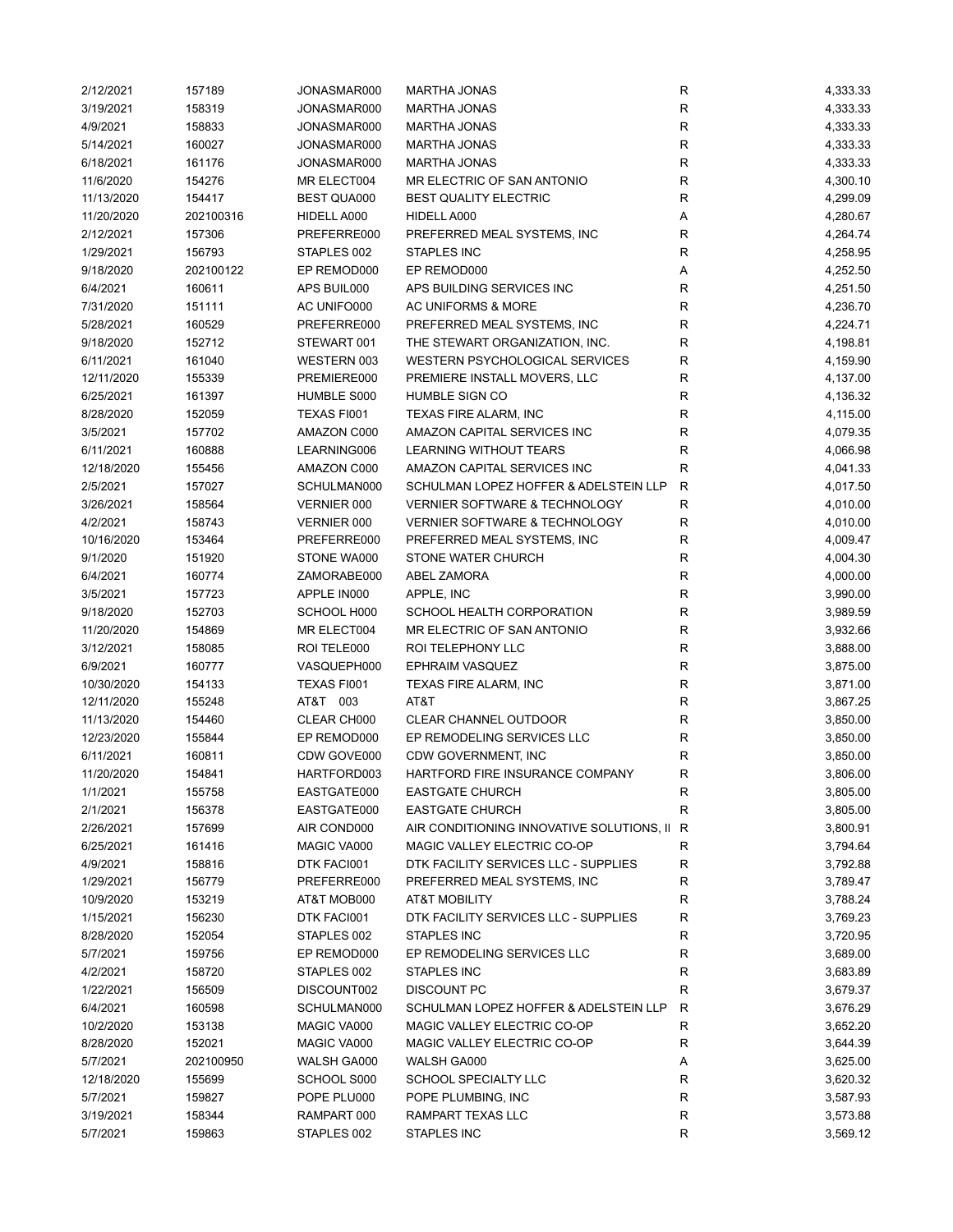| 2/12/2021  | 157189    | JONASMAR000 | <b>MARTHA JONAS</b>                         | R            | 4,333.33 |
|------------|-----------|-------------|---------------------------------------------|--------------|----------|
| 3/19/2021  | 158319    | JONASMAR000 | <b>MARTHA JONAS</b>                         | R            | 4,333.33 |
| 4/9/2021   | 158833    | JONASMAR000 | <b>MARTHA JONAS</b>                         | R            | 4,333.33 |
| 5/14/2021  | 160027    | JONASMAR000 | <b>MARTHA JONAS</b>                         | $\mathsf{R}$ | 4,333.33 |
| 6/18/2021  | 161176    | JONASMAR000 | <b>MARTHA JONAS</b>                         | $\mathsf{R}$ | 4,333.33 |
| 11/6/2020  | 154276    | MR ELECT004 | MR ELECTRIC OF SAN ANTONIO                  | $\mathsf{R}$ | 4,300.10 |
| 11/13/2020 | 154417    | BEST QUA000 | <b>BEST QUALITY ELECTRIC</b>                | $\mathsf{R}$ | 4,299.09 |
| 11/20/2020 | 202100316 | HIDELL A000 | HIDELL A000                                 | Α            | 4,280.67 |
| 2/12/2021  | 157306    | PREFERRE000 | PREFERRED MEAL SYSTEMS, INC                 | $\mathsf{R}$ | 4,264.74 |
| 1/29/2021  | 156793    | STAPLES 002 | STAPLES INC                                 | $\mathsf{R}$ | 4,258.95 |
| 9/18/2020  | 202100122 | EP REMOD000 | EP REMOD000                                 | Α            | 4,252.50 |
| 6/4/2021   | 160611    | APS BUIL000 | APS BUILDING SERVICES INC                   | R            | 4,251.50 |
|            |           |             | <b>AC UNIFORMS &amp; MORE</b>               | $\mathsf{R}$ |          |
| 7/31/2020  | 151111    | AC UNIFO000 |                                             |              | 4,236.70 |
| 5/28/2021  | 160529    | PREFERRE000 | PREFERRED MEAL SYSTEMS, INC                 | $\mathsf{R}$ | 4,224.71 |
| 9/18/2020  | 152712    | STEWART 001 | THE STEWART ORGANIZATION, INC.              | $\mathsf{R}$ | 4,198.81 |
| 6/11/2021  | 161040    | WESTERN 003 | <b>WESTERN PSYCHOLOGICAL SERVICES</b>       | R            | 4,159.90 |
| 12/11/2020 | 155339    | PREMIERE000 | PREMIERE INSTALL MOVERS, LLC                | R            | 4,137.00 |
| 6/25/2021  | 161397    | HUMBLE S000 | HUMBLE SIGN CO                              | $\mathsf{R}$ | 4,136.32 |
| 8/28/2020  | 152059    | TEXAS FI001 | TEXAS FIRE ALARM, INC                       | R            | 4,115.00 |
| 3/5/2021   | 157702    | AMAZON C000 | AMAZON CAPITAL SERVICES INC                 | R            | 4,079.35 |
| 6/11/2021  | 160888    | LEARNING006 | <b>LEARNING WITHOUT TEARS</b>               | R            | 4,066.98 |
| 12/18/2020 | 155456    | AMAZON C000 | AMAZON CAPITAL SERVICES INC                 | R            | 4,041.33 |
| 2/5/2021   | 157027    | SCHULMAN000 | SCHULMAN LOPEZ HOFFER & ADELSTEIN LLP       | R            | 4,017.50 |
| 3/26/2021  | 158564    | VERNIER 000 | <b>VERNIER SOFTWARE &amp; TECHNOLOGY</b>    | R            | 4,010.00 |
| 4/2/2021   | 158743    | VERNIER 000 | <b>VERNIER SOFTWARE &amp; TECHNOLOGY</b>    | $\mathsf{R}$ | 4,010.00 |
| 10/16/2020 | 153464    | PREFERRE000 | PREFERRED MEAL SYSTEMS, INC                 | $\mathsf{R}$ | 4,009.47 |
| 9/1/2020   | 151920    | STONE WA000 | STONE WATER CHURCH                          | $\mathsf{R}$ | 4,004.30 |
| 6/4/2021   | 160774    | ZAMORABE000 | <b>ABEL ZAMORA</b>                          | $\mathsf{R}$ | 4,000.00 |
| 3/5/2021   | 157723    | APPLE IN000 | APPLE, INC                                  | $\mathsf{R}$ | 3,990.00 |
| 9/18/2020  | 152703    | SCHOOL H000 | SCHOOL HEALTH CORPORATION                   | $\mathsf{R}$ | 3,989.59 |
| 11/20/2020 | 154869    | MR ELECT004 | MR ELECTRIC OF SAN ANTONIO                  | $\mathsf{R}$ | 3,932.66 |
| 3/12/2021  | 158085    | ROI TELE000 | ROI TELEPHONY LLC                           | $\mathsf{R}$ | 3,888.00 |
| 6/9/2021   | 160777    | VASQUEPH000 | <b>EPHRAIM VASQUEZ</b>                      | R            | 3,875.00 |
|            | 154133    | TEXAS FI001 | TEXAS FIRE ALARM, INC                       | $\mathsf{R}$ |          |
| 10/30/2020 |           | AT&T 003    | AT&T                                        |              | 3,871.00 |
| 12/11/2020 | 155248    |             |                                             | R            | 3,867.25 |
| 11/13/2020 | 154460    | CLEAR CH000 | <b>CLEAR CHANNEL OUTDOOR</b>                | $\mathsf{R}$ | 3,850.00 |
| 12/23/2020 | 155844    | EP REMOD000 | EP REMODELING SERVICES LLC                  | $\mathsf{R}$ | 3,850.00 |
| 6/11/2021  | 160811    | CDW GOVE000 | CDW GOVERNMENT, INC                         | $\mathsf{R}$ | 3,850.00 |
| 11/20/2020 | 154841    | HARTFORD003 | HARTFORD FIRE INSURANCE COMPANY             | R            | 3,806.00 |
| 1/1/2021   | 155758    | EASTGATE000 | <b>EASTGATE CHURCH</b>                      | R            | 3,805.00 |
| 2/1/2021   | 156378    | EASTGATE000 | <b>EASTGATE CHURCH</b>                      | R            | 3,805.00 |
| 2/26/2021  | 157699    | AIR COND000 | AIR CONDITIONING INNOVATIVE SOLUTIONS, II R |              | 3,800.91 |
| 6/25/2021  | 161416    | MAGIC VA000 | MAGIC VALLEY ELECTRIC CO-OP                 | R            | 3,794.64 |
| 4/9/2021   | 158816    | DTK FACI001 | DTK FACILITY SERVICES LLC - SUPPLIES        | R            | 3,792.88 |
| 1/29/2021  | 156779    | PREFERRE000 | PREFERRED MEAL SYSTEMS, INC                 | R            | 3,789.47 |
| 10/9/2020  | 153219    | AT&T MOB000 | AT&T MOBILITY                               | R            | 3,788.24 |
| 1/15/2021  | 156230    | DTK FACI001 | DTK FACILITY SERVICES LLC - SUPPLIES        | R            | 3,769.23 |
| 8/28/2020  | 152054    | STAPLES 002 | STAPLES INC                                 | R            | 3,720.95 |
| 5/7/2021   | 159756    | EP REMOD000 | EP REMODELING SERVICES LLC                  | R            | 3,689.00 |
| 4/2/2021   | 158720    | STAPLES 002 | <b>STAPLES INC</b>                          | R            | 3,683.89 |
| 1/22/2021  | 156509    | DISCOUNT002 | DISCOUNT PC                                 | R            | 3,679.37 |
| 6/4/2021   | 160598    | SCHULMAN000 | SCHULMAN LOPEZ HOFFER & ADELSTEIN LLP       | R            | 3,676.29 |
| 10/2/2020  | 153138    | MAGIC VA000 | MAGIC VALLEY ELECTRIC CO-OP                 | R            | 3,652.20 |
| 8/28/2020  | 152021    | MAGIC VA000 | MAGIC VALLEY ELECTRIC CO-OP                 | R            | 3,644.39 |
| 5/7/2021   | 202100950 | WALSH GA000 | WALSH GA000                                 | Α            | 3,625.00 |
| 12/18/2020 | 155699    | SCHOOL S000 | SCHOOL SPECIALTY LLC                        | R            | 3,620.32 |
| 5/7/2021   | 159827    | POPE PLU000 | POPE PLUMBING, INC                          | R            | 3,587.93 |
| 3/19/2021  |           | RAMPART 000 | RAMPART TEXAS LLC                           | R            | 3,573.88 |
| 5/7/2021   | 158344    |             |                                             | $\mathsf{R}$ |          |
|            | 159863    | STAPLES 002 | STAPLES INC                                 |              | 3,569.12 |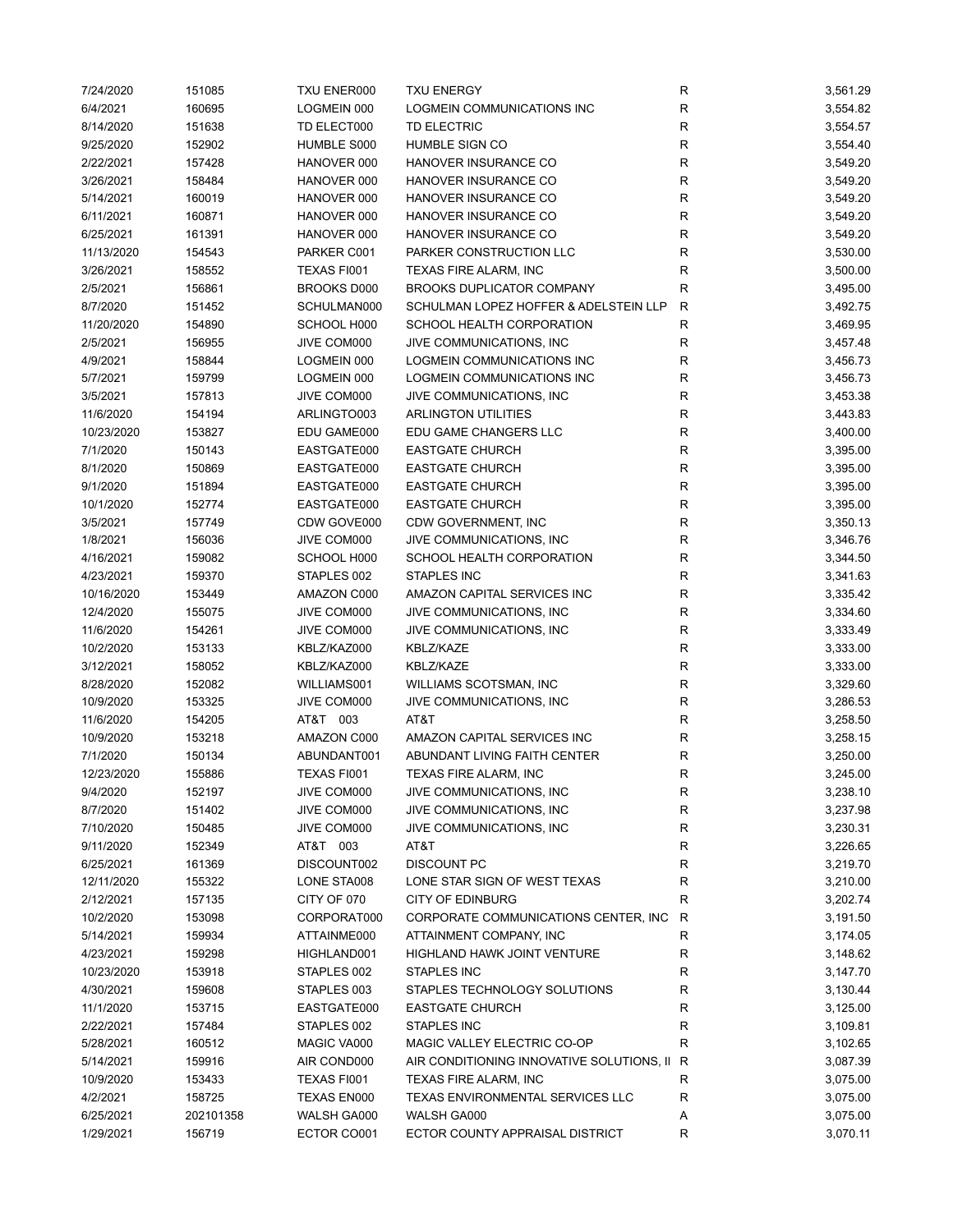| 7/24/2020  | 151085    | TXU ENER000        | <b>TXU ENERGY</b>                         | R | 3,561.29 |
|------------|-----------|--------------------|-------------------------------------------|---|----------|
| 6/4/2021   | 160695    | LOGMEIN 000        | LOGMEIN COMMUNICATIONS INC                | R | 3,554.82 |
| 8/14/2020  | 151638    | TD ELECT000        | TD ELECTRIC                               | R | 3,554.57 |
| 9/25/2020  | 152902    | HUMBLE S000        | HUMBLE SIGN CO                            | R | 3,554.40 |
| 2/22/2021  | 157428    | HANOVER 000        | HANOVER INSURANCE CO                      | R | 3,549.20 |
| 3/26/2021  | 158484    | HANOVER 000        | HANOVER INSURANCE CO                      | R | 3,549.20 |
| 5/14/2021  | 160019    | HANOVER 000        | HANOVER INSURANCE CO                      | R | 3,549.20 |
| 6/11/2021  | 160871    | HANOVER 000        | HANOVER INSURANCE CO                      | R | 3,549.20 |
| 6/25/2021  | 161391    | HANOVER 000        | HANOVER INSURANCE CO                      | R | 3,549.20 |
| 11/13/2020 | 154543    | PARKER C001        | PARKER CONSTRUCTION LLC                   | R | 3,530.00 |
| 3/26/2021  | 158552    | TEXAS FI001        | TEXAS FIRE ALARM, INC                     | R | 3,500.00 |
| 2/5/2021   | 156861    | <b>BROOKS D000</b> | <b>BROOKS DUPLICATOR COMPANY</b>          | R | 3,495.00 |
| 8/7/2020   | 151452    | SCHULMAN000        | SCHULMAN LOPEZ HOFFER & ADELSTEIN LLP     | R | 3,492.75 |
| 11/20/2020 | 154890    | SCHOOL H000        | SCHOOL HEALTH CORPORATION                 | R | 3,469.95 |
| 2/5/2021   | 156955    | JIVE COM000        | JIVE COMMUNICATIONS, INC                  | R | 3,457.48 |
| 4/9/2021   | 158844    | LOGMEIN 000        | LOGMEIN COMMUNICATIONS INC                | R | 3,456.73 |
| 5/7/2021   | 159799    | LOGMEIN 000        | LOGMEIN COMMUNICATIONS INC                | R | 3,456.73 |
| 3/5/2021   | 157813    | JIVE COM000        | JIVE COMMUNICATIONS, INC                  | R | 3,453.38 |
| 11/6/2020  | 154194    | ARLINGTO003        | <b>ARLINGTON UTILITIES</b>                | R | 3,443.83 |
| 10/23/2020 | 153827    | EDU GAME000        | EDU GAME CHANGERS LLC                     | R | 3,400.00 |
| 7/1/2020   | 150143    | EASTGATE000        | <b>EASTGATE CHURCH</b>                    | R | 3,395.00 |
| 8/1/2020   | 150869    | EASTGATE000        | <b>EASTGATE CHURCH</b>                    | R | 3,395.00 |
| 9/1/2020   | 151894    | EASTGATE000        | <b>EASTGATE CHURCH</b>                    | R | 3,395.00 |
| 10/1/2020  | 152774    | EASTGATE000        | <b>EASTGATE CHURCH</b>                    | R | 3,395.00 |
| 3/5/2021   |           | CDW GOVE000        | CDW GOVERNMENT, INC                       | R |          |
|            | 157749    |                    |                                           | R | 3,350.13 |
| 1/8/2021   | 156036    | JIVE COM000        | JIVE COMMUNICATIONS, INC                  |   | 3,346.76 |
| 4/16/2021  | 159082    | SCHOOL H000        | SCHOOL HEALTH CORPORATION                 | R | 3,344.50 |
| 4/23/2021  | 159370    | STAPLES 002        | <b>STAPLES INC</b>                        | R | 3,341.63 |
| 10/16/2020 | 153449    | AMAZON C000        | AMAZON CAPITAL SERVICES INC               | R | 3,335.42 |
| 12/4/2020  | 155075    | JIVE COM000        | JIVE COMMUNICATIONS, INC                  | R | 3,334.60 |
| 11/6/2020  | 154261    | JIVE COM000        | JIVE COMMUNICATIONS, INC                  | R | 3,333.49 |
| 10/2/2020  | 153133    | KBLZ/KAZ000        | KBLZ/KAZE                                 | R | 3,333.00 |
| 3/12/2021  | 158052    | KBLZ/KAZ000        | KBLZ/KAZE                                 | R | 3,333.00 |
| 8/28/2020  | 152082    | WILLIAMS001        | WILLIAMS SCOTSMAN, INC                    | R | 3,329.60 |
| 10/9/2020  | 153325    | JIVE COM000        | JIVE COMMUNICATIONS, INC                  | R | 3,286.53 |
| 11/6/2020  | 154205    | AT&T 003           | AT&T                                      | R | 3,258.50 |
| 10/9/2020  | 153218    | AMAZON C000        | AMAZON CAPITAL SERVICES INC               | R | 3,258.15 |
| 7/1/2020   | 150134    | ABUNDANT001        | ABUNDANT LIVING FAITH CENTER              | R | 3,250.00 |
| 12/23/2020 | 155886    | TEXAS FI001        | TEXAS FIRE ALARM, INC                     | R | 3,245.00 |
| 9/4/2020   | 152197    | JIVE COM000        | JIVE COMMUNICATIONS, INC                  | R | 3,238.10 |
| 8/7/2020   | 151402    | JIVE COM000        | JIVE COMMUNICATIONS, INC                  | R | 3,237.98 |
| 7/10/2020  | 150485    | JIVE COM000        | JIVE COMMUNICATIONS, INC                  | R | 3,230.31 |
| 9/11/2020  | 152349    | AT&T 003           | AT&T                                      | R | 3,226.65 |
| 6/25/2021  | 161369    | DISCOUNT002        | <b>DISCOUNT PC</b>                        | R | 3,219.70 |
| 12/11/2020 | 155322    | LONE STA008        | LONE STAR SIGN OF WEST TEXAS              | R | 3,210.00 |
| 2/12/2021  | 157135    | CITY OF 070        | <b>CITY OF EDINBURG</b>                   | R | 3,202.74 |
| 10/2/2020  | 153098    | CORPORAT000        | CORPORATE COMMUNICATIONS CENTER, INC      | R | 3,191.50 |
| 5/14/2021  | 159934    | ATTAINME000        | ATTAINMENT COMPANY, INC                   | R | 3,174.05 |
| 4/23/2021  | 159298    | HIGHLAND001        | HIGHLAND HAWK JOINT VENTURE               | R | 3,148.62 |
| 10/23/2020 | 153918    | STAPLES 002        | STAPLES INC                               | R | 3,147.70 |
| 4/30/2021  | 159608    | STAPLES 003        | STAPLES TECHNOLOGY SOLUTIONS              | R | 3,130.44 |
| 11/1/2020  | 153715    | EASTGATE000        | <b>EASTGATE CHURCH</b>                    | R | 3,125.00 |
| 2/22/2021  | 157484    | STAPLES 002        | STAPLES INC                               | R | 3,109.81 |
| 5/28/2021  | 160512    | MAGIC VA000        | MAGIC VALLEY ELECTRIC CO-OP               | R | 3,102.65 |
| 5/14/2021  | 159916    | AIR COND000        | AIR CONDITIONING INNOVATIVE SOLUTIONS, II | R | 3,087.39 |
| 10/9/2020  | 153433    | TEXAS FI001        | TEXAS FIRE ALARM, INC                     | R | 3,075.00 |
| 4/2/2021   | 158725    | <b>TEXAS EN000</b> | TEXAS ENVIRONMENTAL SERVICES LLC          | R | 3,075.00 |
| 6/25/2021  | 202101358 | WALSH GA000        | WALSH GA000                               | А | 3,075.00 |
| 1/29/2021  | 156719    | ECTOR CO001        | ECTOR COUNTY APPRAISAL DISTRICT           | R | 3,070.11 |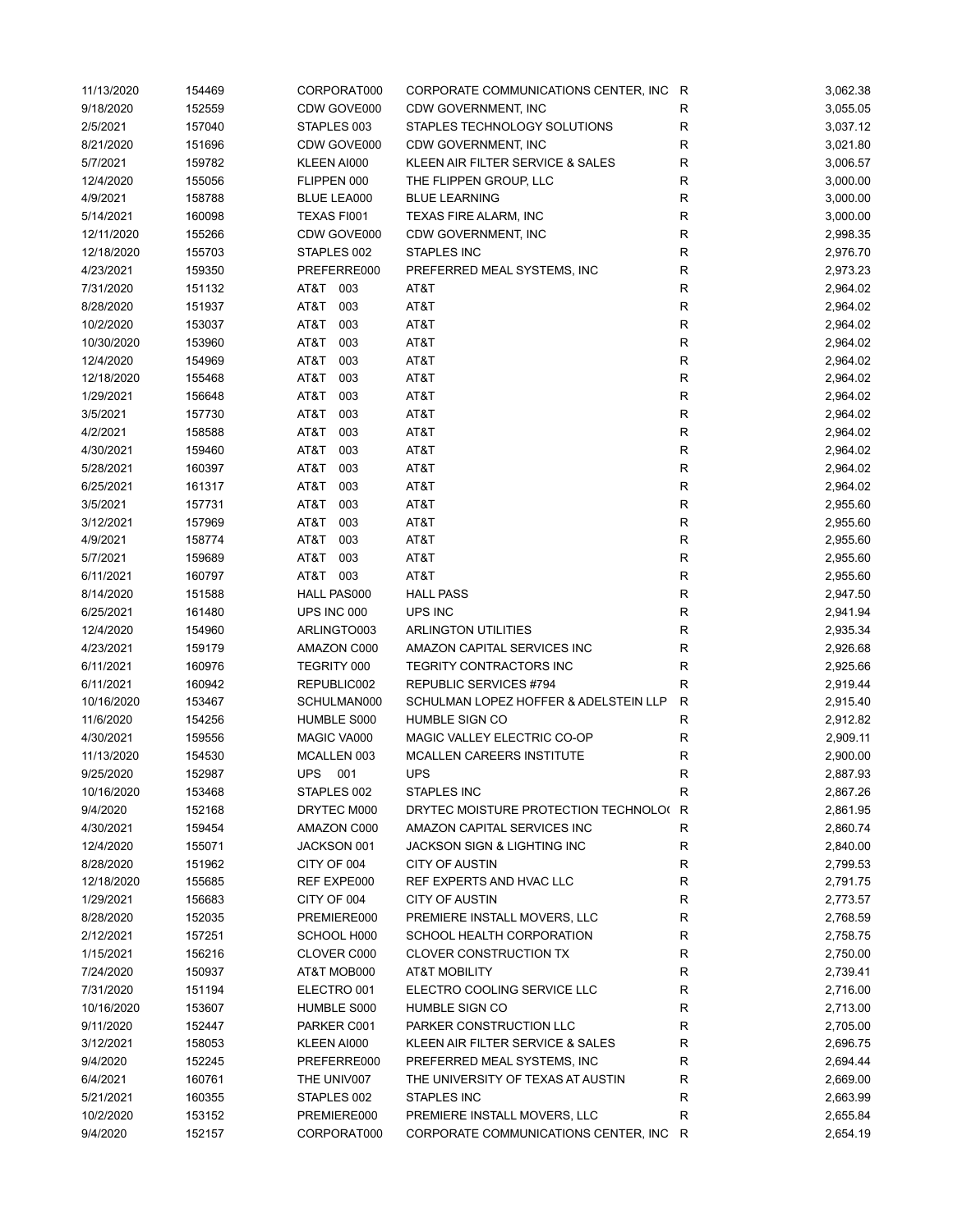| 11/13/2020 | 154469 | CORPORAT000       | CORPORATE COMMUNICATIONS CENTER, INC R |              | 3,062.38 |
|------------|--------|-------------------|----------------------------------------|--------------|----------|
| 9/18/2020  | 152559 | CDW GOVE000       | CDW GOVERNMENT, INC                    | R            | 3,055.05 |
| 2/5/2021   | 157040 | STAPLES 003       | STAPLES TECHNOLOGY SOLUTIONS           | R            | 3,037.12 |
| 8/21/2020  | 151696 | CDW GOVE000       | CDW GOVERNMENT, INC                    | R            | 3,021.80 |
| 5/7/2021   | 159782 | KLEEN AI000       | KLEEN AIR FILTER SERVICE & SALES       | R            | 3,006.57 |
| 12/4/2020  | 155056 | FLIPPEN 000       | THE FLIPPEN GROUP, LLC                 | $\mathsf R$  | 3,000.00 |
| 4/9/2021   | 158788 | BLUE LEA000       | <b>BLUE LEARNING</b>                   | $\mathsf R$  | 3,000.00 |
| 5/14/2021  | 160098 | TEXAS FI001       | TEXAS FIRE ALARM, INC                  | R            | 3,000.00 |
| 12/11/2020 | 155266 | CDW GOVE000       | CDW GOVERNMENT, INC                    | R            | 2,998.35 |
| 12/18/2020 | 155703 | STAPLES 002       | <b>STAPLES INC</b>                     | $\mathsf R$  | 2,976.70 |
|            |        |                   |                                        | $\mathsf R$  | 2,973.23 |
| 4/23/2021  | 159350 | PREFERRE000       | PREFERRED MEAL SYSTEMS, INC            |              |          |
| 7/31/2020  | 151132 | AT&T<br>003       | AT&T                                   | $\mathsf R$  | 2,964.02 |
| 8/28/2020  | 151937 | AT&T<br>003       | AT&T                                   | R            | 2,964.02 |
| 10/2/2020  | 153037 | AT&T<br>003       | AT&T                                   | R            | 2,964.02 |
| 10/30/2020 | 153960 | AT&T<br>003       | AT&T                                   | $\mathsf R$  | 2,964.02 |
| 12/4/2020  | 154969 | AT&T<br>003       | AT&T                                   | R            | 2,964.02 |
| 12/18/2020 | 155468 | AT&T<br>003       | AT&T                                   | $\mathsf R$  | 2,964.02 |
| 1/29/2021  | 156648 | 003<br>AT&T       | AT&T                                   | $\mathsf R$  | 2,964.02 |
| 3/5/2021   | 157730 | AT&T<br>003       | AT&T                                   | R            | 2,964.02 |
| 4/2/2021   | 158588 | AT&T<br>003       | AT&T                                   | R            | 2,964.02 |
| 4/30/2021  | 159460 | AT&T<br>003       | AT&T                                   | R            | 2,964.02 |
| 5/28/2021  | 160397 | AT&T<br>003       | AT&T                                   | R            | 2,964.02 |
| 6/25/2021  | 161317 | AT&T<br>003       | AT&T                                   | R            | 2,964.02 |
| 3/5/2021   | 157731 | T&TA<br>003       | AT&T                                   | $\mathsf R$  | 2,955.60 |
| 3/12/2021  | 157969 | AT&T<br>003       | AT&T                                   | R            | 2,955.60 |
| 4/9/2021   | 158774 | AT&T<br>003       | AT&T                                   | R            | 2,955.60 |
| 5/7/2021   | 159689 | AT&T<br>003       | AT&T                                   | R            | 2,955.60 |
| 6/11/2021  | 160797 | T&TA<br>003       | AT&T                                   | $\mathsf{R}$ | 2,955.60 |
|            |        | HALL PAS000       |                                        |              |          |
| 8/14/2020  | 151588 |                   | <b>HALL PASS</b>                       | R            | 2,947.50 |
| 6/25/2021  | 161480 | UPS INC 000       | UPS INC                                | R            | 2,941.94 |
| 12/4/2020  | 154960 | ARLINGTO003       | <b>ARLINGTON UTILITIES</b>             | R            | 2,935.34 |
| 4/23/2021  | 159179 | AMAZON C000       | AMAZON CAPITAL SERVICES INC            | R            | 2,926.68 |
| 6/11/2021  | 160976 | TEGRITY 000       | TEGRITY CONTRACTORS INC                | $\mathsf R$  | 2,925.66 |
| 6/11/2021  | 160942 | REPUBLIC002       | REPUBLIC SERVICES #794                 | R            | 2,919.44 |
| 10/16/2020 | 153467 | SCHULMAN000       | SCHULMAN LOPEZ HOFFER & ADELSTEIN LLP  | R            | 2,915.40 |
| 11/6/2020  | 154256 | HUMBLE S000       | HUMBLE SIGN CO                         | R            | 2,912.82 |
| 4/30/2021  | 159556 | MAGIC VA000       | MAGIC VALLEY ELECTRIC CO-OP            | R            | 2,909.11 |
| 11/13/2020 | 154530 | MCALLEN 003       | <b>MCALLEN CAREERS INSTITUTE</b>       | R            | 2,900.00 |
| 9/25/2020  | 152987 | <b>UPS</b><br>001 | <b>UPS</b>                             | R            | 2,887.93 |
| 10/16/2020 | 153468 | STAPLES 002       | <b>STAPLES INC</b>                     | R            | 2,867.26 |
| 9/4/2020   | 152168 | DRYTEC M000       | DRYTEC MOISTURE PROTECTION TECHNOLO(R  |              | 2,861.95 |
| 4/30/2021  | 159454 | AMAZON C000       | AMAZON CAPITAL SERVICES INC            | R            | 2,860.74 |
| 12/4/2020  | 155071 | JACKSON 001       | JACKSON SIGN & LIGHTING INC            | R            | 2,840.00 |
| 8/28/2020  | 151962 | CITY OF 004       | <b>CITY OF AUSTIN</b>                  | R            | 2,799.53 |
| 12/18/2020 | 155685 | REF EXPE000       | REF EXPERTS AND HVAC LLC               | R            | 2,791.75 |
| 1/29/2021  | 156683 | CITY OF 004       | <b>CITY OF AUSTIN</b>                  | R            | 2,773.57 |
| 8/28/2020  | 152035 | PREMIERE000       | PREMIERE INSTALL MOVERS, LLC           | R            | 2,768.59 |
| 2/12/2021  | 157251 | SCHOOL H000       | SCHOOL HEALTH CORPORATION              | R            | 2,758.75 |
| 1/15/2021  | 156216 | CLOVER C000       | <b>CLOVER CONSTRUCTION TX</b>          | R            | 2,750.00 |
| 7/24/2020  | 150937 | AT&T MOB000       | AT&T MOBILITY                          | R            | 2,739.41 |
|            |        |                   | ELECTRO COOLING SERVICE LLC            |              |          |
| 7/31/2020  | 151194 | ELECTRO 001       |                                        | R            | 2,716.00 |
| 10/16/2020 | 153607 | HUMBLE S000       | HUMBLE SIGN CO                         | R            | 2,713.00 |
| 9/11/2020  | 152447 | PARKER C001       | PARKER CONSTRUCTION LLC                | R            | 2,705.00 |
| 3/12/2021  | 158053 | KLEEN AI000       | KLEEN AIR FILTER SERVICE & SALES       | R            | 2,696.75 |
| 9/4/2020   | 152245 | PREFERRE000       | PREFERRED MEAL SYSTEMS, INC            | R            | 2,694.44 |
| 6/4/2021   | 160761 | THE UNIV007       | THE UNIVERSITY OF TEXAS AT AUSTIN      | R            | 2,669.00 |
| 5/21/2021  | 160355 | STAPLES 002       | STAPLES INC                            | R            | 2,663.99 |
| 10/2/2020  | 153152 | PREMIERE000       | PREMIERE INSTALL MOVERS, LLC           | R            | 2,655.84 |
| 9/4/2020   | 152157 | CORPORAT000       | CORPORATE COMMUNICATIONS CENTER, INC R |              | 2,654.19 |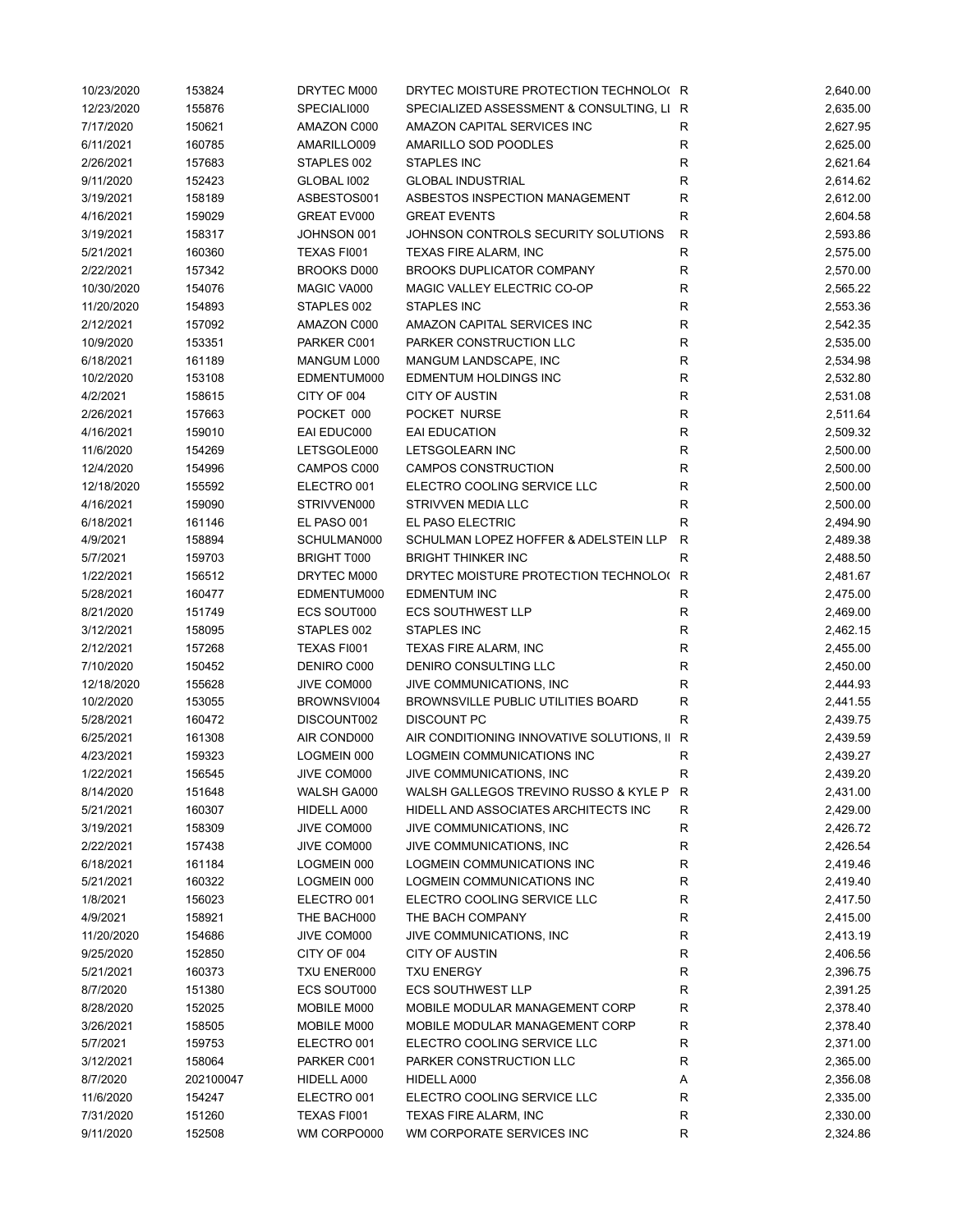| 10/23/2020 | 153824    | DRYTEC M000        | DRYTEC MOISTURE PROTECTION TECHNOLO( R    |   | 2,640.00 |
|------------|-----------|--------------------|-------------------------------------------|---|----------|
| 12/23/2020 | 155876    | SPECIALI000        | SPECIALIZED ASSESSMENT & CONSULTING, LI R |   | 2,635.00 |
| 7/17/2020  | 150621    | AMAZON C000        | AMAZON CAPITAL SERVICES INC               | R | 2,627.95 |
| 6/11/2021  | 160785    | AMARILLO009        | AMARILLO SOD POODLES                      | R | 2,625.00 |
| 2/26/2021  | 157683    | STAPLES 002        | STAPLES INC                               | R | 2,621.64 |
| 9/11/2020  | 152423    | GLOBAL 1002        | <b>GLOBAL INDUSTRIAL</b>                  | R | 2,614.62 |
| 3/19/2021  | 158189    | ASBESTOS001        | ASBESTOS INSPECTION MANAGEMENT            | R | 2,612.00 |
| 4/16/2021  | 159029    | GREAT EV000        | <b>GREAT EVENTS</b>                       | R | 2,604.58 |
| 3/19/2021  | 158317    | JOHNSON 001        | JOHNSON CONTROLS SECURITY SOLUTIONS       | R | 2,593.86 |
| 5/21/2021  | 160360    | TEXAS FI001        | TEXAS FIRE ALARM, INC                     | R | 2,575.00 |
| 2/22/2021  | 157342    | BROOKS D000        | <b>BROOKS DUPLICATOR COMPANY</b>          | R | 2,570.00 |
| 10/30/2020 | 154076    | MAGIC VA000        | MAGIC VALLEY ELECTRIC CO-OP               | R | 2,565.22 |
|            |           | STAPLES 002        | <b>STAPLES INC</b>                        |   |          |
| 11/20/2020 | 154893    |                    |                                           | R | 2,553.36 |
| 2/12/2021  | 157092    | AMAZON C000        | AMAZON CAPITAL SERVICES INC               | R | 2,542.35 |
| 10/9/2020  | 153351    | PARKER C001        | PARKER CONSTRUCTION LLC                   | R | 2,535.00 |
| 6/18/2021  | 161189    | MANGUM L000        | MANGUM LANDSCAPE, INC                     | R | 2,534.98 |
| 10/2/2020  | 153108    | EDMENTUM000        | EDMENTUM HOLDINGS INC                     | R | 2,532.80 |
| 4/2/2021   | 158615    | CITY OF 004        | <b>CITY OF AUSTIN</b>                     | R | 2,531.08 |
| 2/26/2021  | 157663    | POCKET 000         | POCKET NURSE                              | R | 2,511.64 |
| 4/16/2021  | 159010    | EAI EDUC000        | EAI EDUCATION                             | R | 2,509.32 |
| 11/6/2020  | 154269    | LETSGOLE000        | LETSGOLEARN INC                           | R | 2,500.00 |
| 12/4/2020  | 154996    | CAMPOS C000        | CAMPOS CONSTRUCTION                       | R | 2,500.00 |
| 12/18/2020 | 155592    | ELECTRO 001        | ELECTRO COOLING SERVICE LLC               | R | 2,500.00 |
| 4/16/2021  | 159090    | STRIVVEN000        | STRIVVEN MEDIA LLC                        | R | 2,500.00 |
| 6/18/2021  | 161146    | EL PASO 001        | EL PASO ELECTRIC                          | R | 2,494.90 |
| 4/9/2021   | 158894    | SCHULMAN000        | SCHULMAN LOPEZ HOFFER & ADELSTEIN LLP     | R | 2,489.38 |
| 5/7/2021   | 159703    | <b>BRIGHT T000</b> | <b>BRIGHT THINKER INC</b>                 | R | 2,488.50 |
| 1/22/2021  | 156512    | DRYTEC M000        | DRYTEC MOISTURE PROTECTION TECHNOLO(R     |   | 2,481.67 |
| 5/28/2021  | 160477    | EDMENTUM000        | <b>EDMENTUM INC</b>                       | R | 2,475.00 |
| 8/21/2020  | 151749    | ECS SOUT000        | <b>ECS SOUTHWEST LLP</b>                  | R | 2,469.00 |
| 3/12/2021  | 158095    | STAPLES 002        | <b>STAPLES INC</b>                        | R | 2,462.15 |
| 2/12/2021  | 157268    | TEXAS FI001        | TEXAS FIRE ALARM, INC                     | R | 2,455.00 |
| 7/10/2020  | 150452    | DENIRO C000        | DENIRO CONSULTING LLC                     | R | 2,450.00 |
| 12/18/2020 | 155628    | JIVE COM000        | JIVE COMMUNICATIONS, INC                  | R | 2,444.93 |
| 10/2/2020  | 153055    | BROWNSVI004        | BROWNSVILLE PUBLIC UTILITIES BOARD        | R | 2,441.55 |
| 5/28/2021  | 160472    | DISCOUNT002        | <b>DISCOUNT PC</b>                        | R | 2,439.75 |
|            |           |                    | AIR CONDITIONING INNOVATIVE SOLUTIONS, II |   |          |
| 6/25/2021  | 161308    | AIR COND000        |                                           | R | 2,439.59 |
| 4/23/2021  | 159323    | LOGMEIN 000        | LOGMEIN COMMUNICATIONS INC                | R | 2,439.27 |
| 1/22/2021  | 156545    | JIVE COM000        | JIVE COMMUNICATIONS, INC                  | R | 2,439.20 |
| 8/14/2020  | 151648    | WALSH GA000        | WALSH GALLEGOS TREVINO RUSSO & KYLE P     | R | 2,431.00 |
| 5/21/2021  | 160307    | HIDELL A000        | HIDELL AND ASSOCIATES ARCHITECTS INC      | R | 2,429.00 |
| 3/19/2021  | 158309    | JIVE COM000        | JIVE COMMUNICATIONS, INC                  | R | 2,426.72 |
| 2/22/2021  | 157438    | JIVE COM000        | JIVE COMMUNICATIONS, INC                  | R | 2,426.54 |
| 6/18/2021  | 161184    | LOGMEIN 000        | LOGMEIN COMMUNICATIONS INC                | R | 2,419.46 |
| 5/21/2021  | 160322    | LOGMEIN 000        | LOGMEIN COMMUNICATIONS INC                | R | 2,419.40 |
| 1/8/2021   | 156023    | ELECTRO 001        | ELECTRO COOLING SERVICE LLC               | R | 2,417.50 |
| 4/9/2021   | 158921    | THE BACH000        | THE BACH COMPANY                          | R | 2,415.00 |
| 11/20/2020 | 154686    | JIVE COM000        | JIVE COMMUNICATIONS, INC                  | R | 2,413.19 |
| 9/25/2020  | 152850    | CITY OF 004        | <b>CITY OF AUSTIN</b>                     | R | 2,406.56 |
| 5/21/2021  | 160373    | TXU ENER000        | <b>TXU ENERGY</b>                         | R | 2,396.75 |
| 8/7/2020   | 151380    | ECS SOUT000        | <b>ECS SOUTHWEST LLP</b>                  | R | 2,391.25 |
| 8/28/2020  | 152025    | MOBILE M000        | MOBILE MODULAR MANAGEMENT CORP            | R | 2,378.40 |
| 3/26/2021  | 158505    | MOBILE M000        | MOBILE MODULAR MANAGEMENT CORP            | R | 2,378.40 |
| 5/7/2021   | 159753    | ELECTRO 001        | ELECTRO COOLING SERVICE LLC               | R | 2,371.00 |
| 3/12/2021  | 158064    | PARKER C001        | PARKER CONSTRUCTION LLC                   | R | 2,365.00 |
| 8/7/2020   | 202100047 | HIDELL A000        | HIDELL A000                               | А | 2,356.08 |
| 11/6/2020  | 154247    | ELECTRO 001        | ELECTRO COOLING SERVICE LLC               | R | 2,335.00 |
| 7/31/2020  | 151260    | TEXAS FI001        | TEXAS FIRE ALARM, INC                     | R | 2,330.00 |
| 9/11/2020  | 152508    | WM CORPO000        | WM CORPORATE SERVICES INC                 | R | 2,324.86 |
|            |           |                    |                                           |   |          |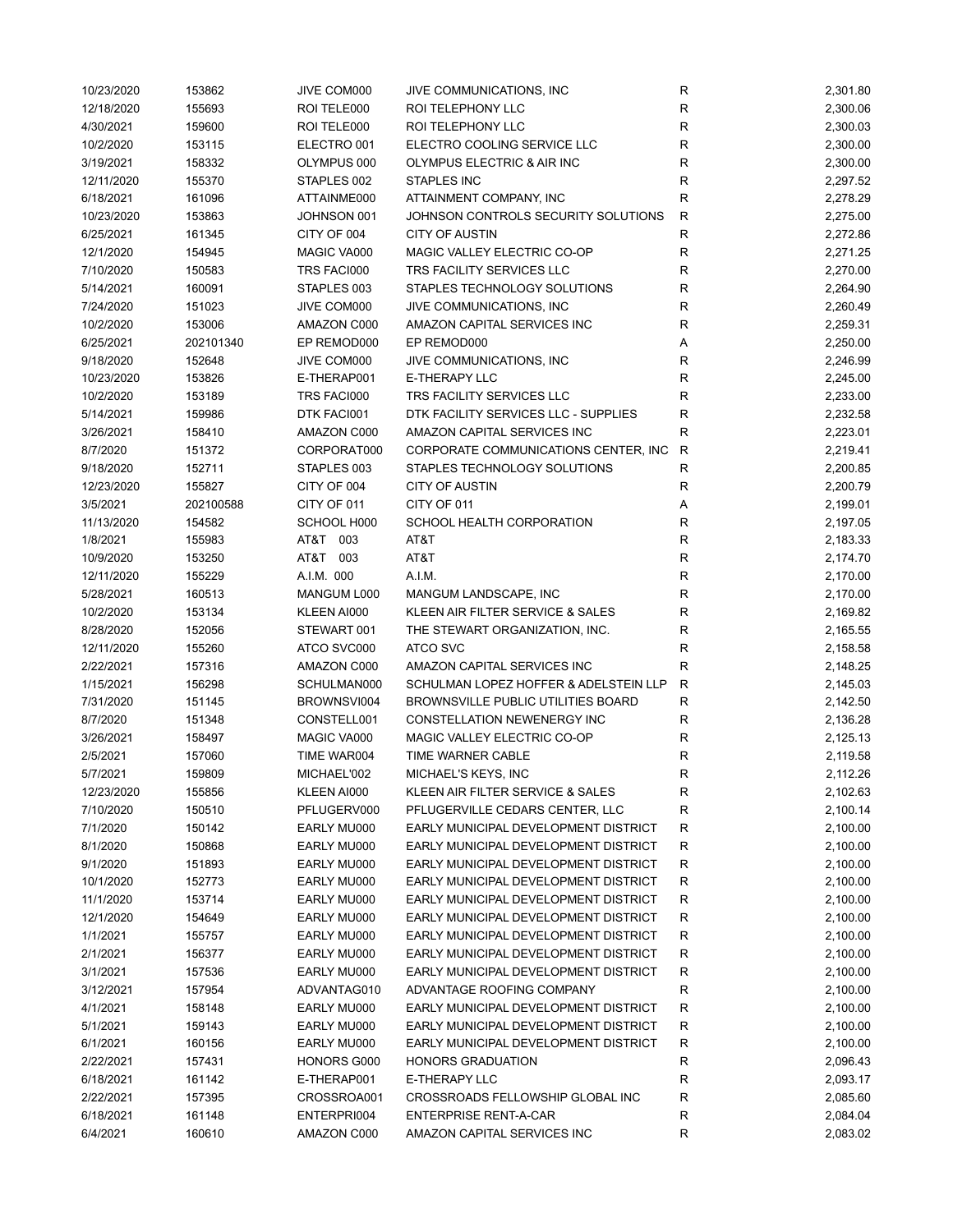| 10/23/2020 | 153862    | JIVE COM000 | JIVE COMMUNICATIONS, INC                  | R           | 2,301.80 |
|------------|-----------|-------------|-------------------------------------------|-------------|----------|
| 12/18/2020 | 155693    | ROI TELE000 | ROI TELEPHONY LLC                         | R           | 2,300.06 |
| 4/30/2021  | 159600    | ROI TELE000 | ROI TELEPHONY LLC                         | R           | 2,300.03 |
| 10/2/2020  | 153115    | ELECTRO 001 | ELECTRO COOLING SERVICE LLC               | R           | 2,300.00 |
| 3/19/2021  | 158332    | OLYMPUS 000 | OLYMPUS ELECTRIC & AIR INC                | $\mathsf R$ | 2,300.00 |
| 12/11/2020 | 155370    | STAPLES 002 | <b>STAPLES INC</b>                        | R           | 2,297.52 |
| 6/18/2021  | 161096    | ATTAINME000 | ATTAINMENT COMPANY, INC                   | R           | 2,278.29 |
| 10/23/2020 | 153863    | JOHNSON 001 | JOHNSON CONTROLS SECURITY SOLUTIONS       | R           | 2,275.00 |
| 6/25/2021  | 161345    | CITY OF 004 | <b>CITY OF AUSTIN</b>                     | R           | 2,272.86 |
| 12/1/2020  | 154945    | MAGIC VA000 | MAGIC VALLEY ELECTRIC CO-OP               | R           | 2,271.25 |
| 7/10/2020  | 150583    | TRS FACI000 | TRS FACILITY SERVICES LLC                 | R           | 2,270.00 |
| 5/14/2021  | 160091    | STAPLES 003 | STAPLES TECHNOLOGY SOLUTIONS              | R           | 2,264.90 |
| 7/24/2020  | 151023    | JIVE COM000 | JIVE COMMUNICATIONS, INC                  | R           | 2,260.49 |
| 10/2/2020  | 153006    | AMAZON C000 | AMAZON CAPITAL SERVICES INC               | R           | 2,259.31 |
| 6/25/2021  | 202101340 | EP REMOD000 | EP REMOD000                               | Α           | 2,250.00 |
| 9/18/2020  | 152648    | JIVE COM000 | JIVE COMMUNICATIONS, INC                  | R           | 2,246.99 |
| 10/23/2020 | 153826    | E-THERAP001 | E-THERAPY LLC                             | R           | 2,245.00 |
| 10/2/2020  | 153189    | TRS FACI000 | TRS FACILITY SERVICES LLC                 | R           | 2,233.00 |
| 5/14/2021  | 159986    | DTK FACI001 | DTK FACILITY SERVICES LLC - SUPPLIES      | R           | 2,232.58 |
| 3/26/2021  | 158410    | AMAZON C000 | AMAZON CAPITAL SERVICES INC               | R           | 2,223.01 |
| 8/7/2020   | 151372    | CORPORAT000 | CORPORATE COMMUNICATIONS CENTER, INC.     | R           | 2,219.41 |
|            |           | STAPLES 003 |                                           |             |          |
| 9/18/2020  | 152711    |             | STAPLES TECHNOLOGY SOLUTIONS              | R           | 2,200.85 |
| 12/23/2020 | 155827    | CITY OF 004 | <b>CITY OF AUSTIN</b>                     | R           | 2,200.79 |
| 3/5/2021   | 202100588 | CITY OF 011 | CITY OF 011                               | Α           | 2,199.01 |
| 11/13/2020 | 154582    | SCHOOL H000 | SCHOOL HEALTH CORPORATION                 | R           | 2,197.05 |
| 1/8/2021   | 155983    | AT&T 003    | AT&T                                      | R           | 2,183.33 |
| 10/9/2020  | 153250    | AT&T 003    | AT&T                                      | R           | 2,174.70 |
| 12/11/2020 | 155229    | A.I.M. 000  | A.I.M.                                    | R           | 2,170.00 |
| 5/28/2021  | 160513    | MANGUM L000 | MANGUM LANDSCAPE, INC                     | R           | 2,170.00 |
| 10/2/2020  | 153134    | KLEEN AI000 | KLEEN AIR FILTER SERVICE & SALES          | R           | 2,169.82 |
| 8/28/2020  | 152056    | STEWART 001 | THE STEWART ORGANIZATION, INC.            | R           | 2,165.55 |
| 12/11/2020 | 155260    | ATCO SVC000 | <b>ATCO SVC</b>                           | R           | 2,158.58 |
| 2/22/2021  | 157316    | AMAZON C000 | AMAZON CAPITAL SERVICES INC               | R           | 2,148.25 |
| 1/15/2021  | 156298    | SCHULMAN000 | SCHULMAN LOPEZ HOFFER & ADELSTEIN LLP     | R           | 2,145.03 |
| 7/31/2020  | 151145    | BROWNSVI004 | <b>BROWNSVILLE PUBLIC UTILITIES BOARD</b> | R           | 2,142.50 |
| 8/7/2020   | 151348    | CONSTELL001 | <b>CONSTELLATION NEWENERGY INC</b>        | R           | 2,136.28 |
| 3/26/2021  | 158497    | MAGIC VA000 | MAGIC VALLEY ELECTRIC CO-OP               | R           | 2,125.13 |
| 2/5/2021   | 157060    | TIME WAR004 | TIME WARNER CABLE                         | $\mathsf R$ | 2,119.58 |
| 5/7/2021   | 159809    | MICHAEL'002 | MICHAEL'S KEYS, INC                       | R           | 2,112.26 |
| 12/23/2020 | 155856    | KLEEN AI000 | KLEEN AIR FILTER SERVICE & SALES          | R           | 2,102.63 |
| 7/10/2020  | 150510    | PFLUGERV000 | PFLUGERVILLE CEDARS CENTER, LLC           | R           | 2,100.14 |
| 7/1/2020   | 150142    | EARLY MU000 | EARLY MUNICIPAL DEVELOPMENT DISTRICT      | R           | 2,100.00 |
| 8/1/2020   | 150868    | EARLY MU000 | EARLY MUNICIPAL DEVELOPMENT DISTRICT      | R           | 2,100.00 |
| 9/1/2020   | 151893    | EARLY MU000 | EARLY MUNICIPAL DEVELOPMENT DISTRICT      | R           | 2,100.00 |
| 10/1/2020  | 152773    | EARLY MU000 | EARLY MUNICIPAL DEVELOPMENT DISTRICT      | R           | 2,100.00 |
| 11/1/2020  | 153714    | EARLY MU000 | EARLY MUNICIPAL DEVELOPMENT DISTRICT      | R           | 2,100.00 |
| 12/1/2020  | 154649    | EARLY MU000 | EARLY MUNICIPAL DEVELOPMENT DISTRICT      | R           | 2,100.00 |
| 1/1/2021   | 155757    | EARLY MU000 | EARLY MUNICIPAL DEVELOPMENT DISTRICT      | R           | 2,100.00 |
| 2/1/2021   | 156377    | EARLY MU000 | EARLY MUNICIPAL DEVELOPMENT DISTRICT      | R           | 2,100.00 |
| 3/1/2021   | 157536    | EARLY MU000 | EARLY MUNICIPAL DEVELOPMENT DISTRICT      | R           | 2,100.00 |
| 3/12/2021  | 157954    | ADVANTAG010 | ADVANTAGE ROOFING COMPANY                 | R           | 2,100.00 |
| 4/1/2021   |           | EARLY MU000 | EARLY MUNICIPAL DEVELOPMENT DISTRICT      | R           | 2,100.00 |
|            | 158148    |             |                                           |             |          |
| 5/1/2021   | 159143    | EARLY MU000 | EARLY MUNICIPAL DEVELOPMENT DISTRICT      | R           | 2,100.00 |
| 6/1/2021   | 160156    | EARLY MU000 | EARLY MUNICIPAL DEVELOPMENT DISTRICT      | R           | 2,100.00 |
| 2/22/2021  | 157431    | HONORS G000 | <b>HONORS GRADUATION</b>                  | R           | 2,096.43 |
| 6/18/2021  | 161142    | E-THERAP001 | E-THERAPY LLC                             | R           | 2,093.17 |
| 2/22/2021  | 157395    | CROSSROA001 | CROSSROADS FELLOWSHIP GLOBAL INC          | R           | 2,085.60 |
| 6/18/2021  | 161148    | ENTERPRI004 | <b>ENTERPRISE RENT-A-CAR</b>              | R           | 2,084.04 |
| 6/4/2021   | 160610    | AMAZON C000 | AMAZON CAPITAL SERVICES INC               | R           | 2,083.02 |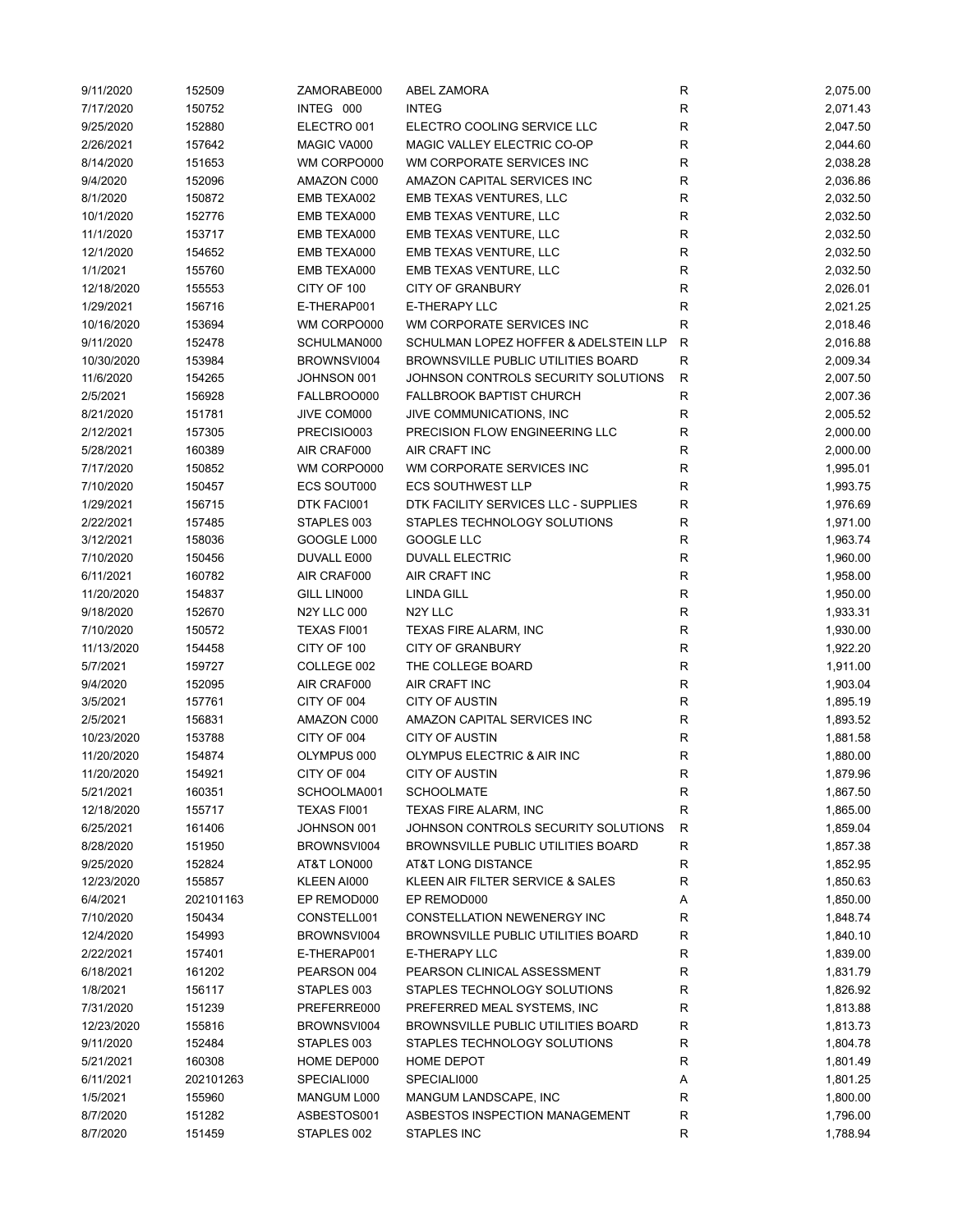| 9/11/2020  | 152509    | ZAMORABE000        | <b>ABEL ZAMORA</b>                        | R           | 2,075.00 |
|------------|-----------|--------------------|-------------------------------------------|-------------|----------|
| 7/17/2020  | 150752    | INTEG 000          | <b>INTEG</b>                              | R           | 2,071.43 |
| 9/25/2020  | 152880    | ELECTRO 001        | ELECTRO COOLING SERVICE LLC               | R           | 2,047.50 |
| 2/26/2021  | 157642    | MAGIC VA000        | MAGIC VALLEY ELECTRIC CO-OP               | R           | 2,044.60 |
| 8/14/2020  | 151653    | WM CORPO000        | WM CORPORATE SERVICES INC                 | R           | 2,038.28 |
| 9/4/2020   | 152096    | AMAZON C000        | AMAZON CAPITAL SERVICES INC               | R           | 2,036.86 |
| 8/1/2020   | 150872    | EMB TEXA002        | EMB TEXAS VENTURES, LLC                   | R           | 2,032.50 |
| 10/1/2020  | 152776    | EMB TEXA000        | EMB TEXAS VENTURE, LLC                    | R           | 2,032.50 |
| 11/1/2020  | 153717    | EMB TEXA000        | EMB TEXAS VENTURE, LLC                    | R           | 2,032.50 |
| 12/1/2020  | 154652    | EMB TEXA000        | EMB TEXAS VENTURE, LLC                    | R           | 2,032.50 |
| 1/1/2021   | 155760    | EMB TEXA000        | EMB TEXAS VENTURE, LLC                    | R           | 2,032.50 |
|            |           |                    |                                           | R           |          |
| 12/18/2020 | 155553    | CITY OF 100        | <b>CITY OF GRANBURY</b>                   |             | 2,026.01 |
| 1/29/2021  | 156716    | E-THERAP001        | E-THERAPY LLC                             | R           | 2,021.25 |
| 10/16/2020 | 153694    | WM CORPO000        | WM CORPORATE SERVICES INC                 | R           | 2,018.46 |
| 9/11/2020  | 152478    | SCHULMAN000        | SCHULMAN LOPEZ HOFFER & ADELSTEIN LLP     | R           | 2,016.88 |
| 10/30/2020 | 153984    | BROWNSVI004        | <b>BROWNSVILLE PUBLIC UTILITIES BOARD</b> | R           | 2,009.34 |
| 11/6/2020  | 154265    | JOHNSON 001        | JOHNSON CONTROLS SECURITY SOLUTIONS       | $\mathsf R$ | 2,007.50 |
| 2/5/2021   | 156928    | FALLBROO000        | <b>FALLBROOK BAPTIST CHURCH</b>           | R           | 2,007.36 |
| 8/21/2020  | 151781    | JIVE COM000        | JIVE COMMUNICATIONS, INC                  | R           | 2,005.52 |
| 2/12/2021  | 157305    | PRECISIO003        | PRECISION FLOW ENGINEERING LLC            | R           | 2,000.00 |
| 5/28/2021  | 160389    | AIR CRAF000        | AIR CRAFT INC                             | R           | 2,000.00 |
| 7/17/2020  | 150852    | WM CORPO000        | WM CORPORATE SERVICES INC                 | R           | 1,995.01 |
| 7/10/2020  | 150457    | ECS SOUT000        | <b>ECS SOUTHWEST LLP</b>                  | R           | 1,993.75 |
| 1/29/2021  | 156715    | DTK FACI001        | DTK FACILITY SERVICES LLC - SUPPLIES      | R           | 1,976.69 |
| 2/22/2021  | 157485    | STAPLES 003        | STAPLES TECHNOLOGY SOLUTIONS              | R           | 1,971.00 |
| 3/12/2021  | 158036    | GOOGLE L000        | GOOGLE LLC                                | R           | 1,963.74 |
| 7/10/2020  | 150456    | DUVALL E000        | <b>DUVALL ELECTRIC</b>                    | R           | 1,960.00 |
| 6/11/2021  | 160782    | AIR CRAF000        | AIR CRAFT INC                             | R           | 1,958.00 |
| 11/20/2020 | 154837    | GILL LIN000        | <b>LINDA GILL</b>                         | R           | 1,950.00 |
| 9/18/2020  | 152670    | <b>N2Y LLC 000</b> | N <sub>2</sub> Y LLC                      | R           | 1,933.31 |
|            |           |                    | TEXAS FIRE ALARM, INC                     |             |          |
| 7/10/2020  | 150572    | TEXAS FI001        |                                           | R           | 1,930.00 |
| 11/13/2020 | 154458    | CITY OF 100        | <b>CITY OF GRANBURY</b>                   | R           | 1,922.20 |
| 5/7/2021   | 159727    | COLLEGE 002        | THE COLLEGE BOARD                         | R           | 1,911.00 |
| 9/4/2020   | 152095    | AIR CRAF000        | AIR CRAFT INC                             | R           | 1,903.04 |
| 3/5/2021   | 157761    | CITY OF 004        | <b>CITY OF AUSTIN</b>                     | R           | 1,895.19 |
| 2/5/2021   | 156831    | AMAZON C000        | AMAZON CAPITAL SERVICES INC               | R           | 1,893.52 |
| 10/23/2020 | 153788    | CITY OF 004        | <b>CITY OF AUSTIN</b>                     | R           | 1,881.58 |
| 11/20/2020 | 154874    | OLYMPUS 000        | OLYMPUS ELECTRIC & AIR INC                | R           | 1,880.00 |
| 11/20/2020 | 154921    | CITY OF 004        | <b>CITY OF AUSTIN</b>                     | R           | 1,879.96 |
| 5/21/2021  | 160351    | SCHOOLMA001        | <b>SCHOOLMATE</b>                         | R           | 1,867.50 |
| 12/18/2020 | 155717    | TEXAS FI001        | <b>TEXAS FIRE ALARM, INC</b>              | R           | 1,865.00 |
| 6/25/2021  | 161406    | JOHNSON 001        | JOHNSON CONTROLS SECURITY SOLUTIONS       | R           | 1,859.04 |
| 8/28/2020  | 151950    | BROWNSVI004        | BROWNSVILLE PUBLIC UTILITIES BOARD        | R           | 1,857.38 |
| 9/25/2020  | 152824    | AT&T LON000        | AT&T LONG DISTANCE                        | R           | 1,852.95 |
| 12/23/2020 | 155857    | KLEEN AI000        | KLEEN AIR FILTER SERVICE & SALES          | R           | 1,850.63 |
| 6/4/2021   | 202101163 | EP REMOD000        | EP REMOD000                               | А           | 1,850.00 |
| 7/10/2020  | 150434    | CONSTELL001        | CONSTELLATION NEWENERGY INC               | R           | 1,848.74 |
| 12/4/2020  | 154993    | BROWNSVI004        | <b>BROWNSVILLE PUBLIC UTILITIES BOARD</b> | R           | 1,840.10 |
| 2/22/2021  | 157401    | E-THERAP001        | E-THERAPY LLC                             | R           | 1,839.00 |
| 6/18/2021  | 161202    | PEARSON 004        | PEARSON CLINICAL ASSESSMENT               | R           | 1,831.79 |
| 1/8/2021   | 156117    | STAPLES 003        | STAPLES TECHNOLOGY SOLUTIONS              | R           | 1,826.92 |
| 7/31/2020  | 151239    | PREFERRE000        | PREFERRED MEAL SYSTEMS, INC               | R           | 1,813.88 |
|            |           |                    |                                           |             |          |
| 12/23/2020 | 155816    | BROWNSVI004        | BROWNSVILLE PUBLIC UTILITIES BOARD        | R           | 1,813.73 |
| 9/11/2020  | 152484    | STAPLES 003        | STAPLES TECHNOLOGY SOLUTIONS              | R           | 1,804.78 |
| 5/21/2021  | 160308    | HOME DEP000        | HOME DEPOT                                | R           | 1,801.49 |
| 6/11/2021  | 202101263 | SPECIALI000        | SPECIALI000                               | А           | 1,801.25 |
| 1/5/2021   | 155960    | MANGUM L000        | MANGUM LANDSCAPE, INC                     | R           | 1,800.00 |
| 8/7/2020   | 151282    | ASBESTOS001        | ASBESTOS INSPECTION MANAGEMENT            | R           | 1,796.00 |
| 8/7/2020   | 151459    | STAPLES 002        | STAPLES INC                               | R           | 1,788.94 |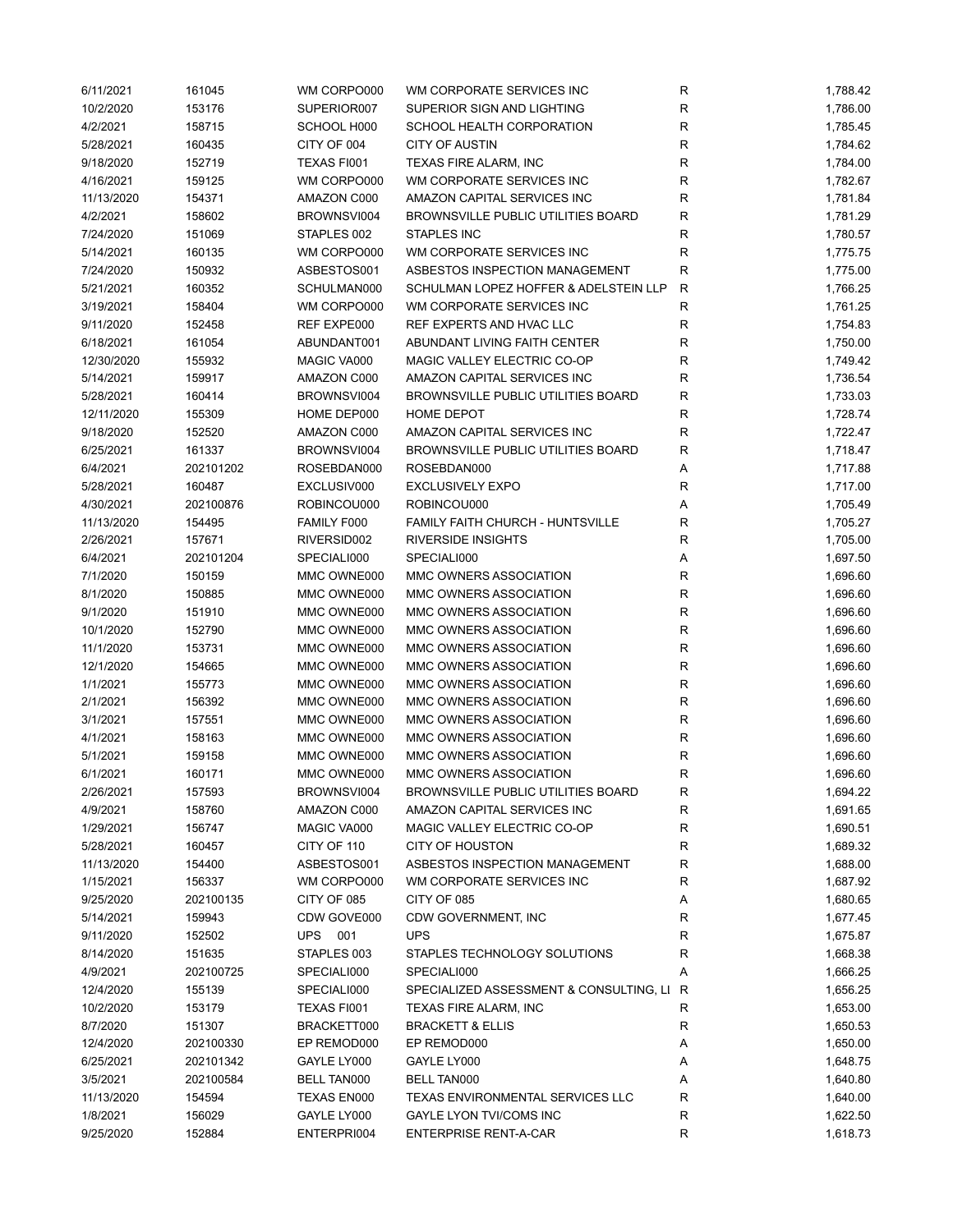| 6/11/2021  | 161045    | WM CORPO000        | WM CORPORATE SERVICES INC                 | R | 1,788.42 |
|------------|-----------|--------------------|-------------------------------------------|---|----------|
| 10/2/2020  | 153176    | SUPERIOR007        | SUPERIOR SIGN AND LIGHTING                | R | 1,786.00 |
| 4/2/2021   | 158715    | SCHOOL H000        | SCHOOL HEALTH CORPORATION                 | R | 1,785.45 |
| 5/28/2021  | 160435    | CITY OF 004        | <b>CITY OF AUSTIN</b>                     | R | 1,784.62 |
| 9/18/2020  | 152719    | TEXAS FI001        | <b>TEXAS FIRE ALARM, INC</b>              | R | 1,784.00 |
| 4/16/2021  | 159125    | WM CORPO000        | WM CORPORATE SERVICES INC                 | R | 1,782.67 |
| 11/13/2020 | 154371    | AMAZON C000        | AMAZON CAPITAL SERVICES INC               | R | 1,781.84 |
| 4/2/2021   | 158602    | BROWNSVI004        | <b>BROWNSVILLE PUBLIC UTILITIES BOARD</b> | R | 1,781.29 |
| 7/24/2020  | 151069    | STAPLES 002        | STAPLES INC                               | R | 1,780.57 |
| 5/14/2021  | 160135    | WM CORPO000        | WM CORPORATE SERVICES INC                 | R | 1,775.75 |
| 7/24/2020  | 150932    | ASBESTOS001        | ASBESTOS INSPECTION MANAGEMENT            | R | 1,775.00 |
| 5/21/2021  | 160352    | SCHULMAN000        | SCHULMAN LOPEZ HOFFER & ADELSTEIN LLP     | R | 1,766.25 |
|            |           |                    |                                           |   |          |
| 3/19/2021  | 158404    | WM CORPO000        | WM CORPORATE SERVICES INC                 | R | 1,761.25 |
| 9/11/2020  | 152458    | REF EXPE000        | REF EXPERTS AND HVAC LLC                  | R | 1,754.83 |
| 6/18/2021  | 161054    | ABUNDANT001        | ABUNDANT LIVING FAITH CENTER              | R | 1,750.00 |
| 12/30/2020 | 155932    | MAGIC VA000        | MAGIC VALLEY ELECTRIC CO-OP               | R | 1,749.42 |
| 5/14/2021  | 159917    | AMAZON C000        | AMAZON CAPITAL SERVICES INC               | R | 1,736.54 |
| 5/28/2021  | 160414    | BROWNSVI004        | <b>BROWNSVILLE PUBLIC UTILITIES BOARD</b> | R | 1,733.03 |
| 12/11/2020 | 155309    | HOME DEP000        | <b>HOME DEPOT</b>                         | R | 1,728.74 |
| 9/18/2020  | 152520    | AMAZON C000        | AMAZON CAPITAL SERVICES INC               | R | 1,722.47 |
| 6/25/2021  | 161337    | BROWNSVI004        | <b>BROWNSVILLE PUBLIC UTILITIES BOARD</b> | R | 1,718.47 |
| 6/4/2021   | 202101202 | ROSEBDAN000        | ROSEBDAN000                               | А | 1,717.88 |
| 5/28/2021  | 160487    | EXCLUSIV000        | <b>EXCLUSIVELY EXPO</b>                   | R | 1,717.00 |
| 4/30/2021  | 202100876 | ROBINCOU000        | ROBINCOU000                               | Α | 1,705.49 |
| 11/13/2020 | 154495    | FAMILY F000        | FAMILY FAITH CHURCH - HUNTSVILLE          | R | 1,705.27 |
| 2/26/2021  | 157671    | RIVERSID002        | <b>RIVERSIDE INSIGHTS</b>                 | R | 1,705.00 |
| 6/4/2021   | 202101204 | SPECIALI000        | SPECIALI000                               | Α | 1,697.50 |
| 7/1/2020   | 150159    | MMC OWNE000        | MMC OWNERS ASSOCIATION                    | R | 1,696.60 |
| 8/1/2020   | 150885    | MMC OWNE000        | MMC OWNERS ASSOCIATION                    | R | 1,696.60 |
| 9/1/2020   | 151910    | MMC OWNE000        | MMC OWNERS ASSOCIATION                    | R | 1,696.60 |
| 10/1/2020  | 152790    | MMC OWNE000        | MMC OWNERS ASSOCIATION                    | R | 1,696.60 |
| 11/1/2020  | 153731    | MMC OWNE000        | MMC OWNERS ASSOCIATION                    | R | 1,696.60 |
|            |           |                    |                                           |   |          |
| 12/1/2020  | 154665    | MMC OWNE000        | MMC OWNERS ASSOCIATION                    | R | 1,696.60 |
| 1/1/2021   | 155773    | MMC OWNE000        | MMC OWNERS ASSOCIATION                    | R | 1,696.60 |
| 2/1/2021   | 156392    | MMC OWNE000        | MMC OWNERS ASSOCIATION                    | R | 1,696.60 |
| 3/1/2021   | 157551    | MMC OWNE000        | MMC OWNERS ASSOCIATION                    | R | 1,696.60 |
| 4/1/2021   | 158163    | MMC OWNE000        | MMC OWNERS ASSOCIATION                    | R | 1,696.60 |
| 5/1/2021   | 159158    | MMC OWNE000        | MMC OWNERS ASSOCIATION                    | R | 1,696.60 |
| 6/1/2021   | 160171    | MMC OWNE000        | MMC OWNERS ASSOCIATION                    | R | 1,696.60 |
| 2/26/2021  | 157593    | BROWNSVI004        | <b>BROWNSVILLE PUBLIC UTILITIES BOARD</b> | R | 1,694.22 |
| 4/9/2021   | 158760    | AMAZON C000        | AMAZON CAPITAL SERVICES INC               | R | 1,691.65 |
| 1/29/2021  | 156747    | MAGIC VA000        | MAGIC VALLEY ELECTRIC CO-OP               | R | 1,690.51 |
| 5/28/2021  | 160457    | CITY OF 110        | <b>CITY OF HOUSTON</b>                    | R | 1,689.32 |
| 11/13/2020 | 154400    | ASBESTOS001        | ASBESTOS INSPECTION MANAGEMENT            | R | 1,688.00 |
| 1/15/2021  | 156337    | WM CORPO000        | WM CORPORATE SERVICES INC                 | R | 1,687.92 |
| 9/25/2020  | 202100135 | CITY OF 085        | CITY OF 085                               | А | 1,680.65 |
| 5/14/2021  | 159943    | CDW GOVE000        | CDW GOVERNMENT, INC                       | R | 1,677.45 |
| 9/11/2020  | 152502    | UPS<br>001         | <b>UPS</b>                                | R | 1,675.87 |
| 8/14/2020  | 151635    | STAPLES 003        | STAPLES TECHNOLOGY SOLUTIONS              | R | 1,668.38 |
| 4/9/2021   | 202100725 | SPECIALI000        | SPECIALI000                               | Α | 1,666.25 |
| 12/4/2020  | 155139    | SPECIALI000        | SPECIALIZED ASSESSMENT & CONSULTING, LI   | R | 1,656.25 |
| 10/2/2020  | 153179    | TEXAS FI001        | TEXAS FIRE ALARM, INC                     | R | 1,653.00 |
| 8/7/2020   | 151307    | BRACKETT000        | <b>BRACKETT &amp; ELLIS</b>               | R | 1,650.53 |
|            |           |                    |                                           |   |          |
| 12/4/2020  | 202100330 | EP REMOD000        | EP REMOD000                               | А | 1,650.00 |
| 6/25/2021  | 202101342 | GAYLE LY000        | GAYLE LY000                               | А | 1,648.75 |
| 3/5/2021   | 202100584 | <b>BELL TAN000</b> | <b>BELL TAN000</b>                        | А | 1,640.80 |
| 11/13/2020 | 154594    | TEXAS EN000        | TEXAS ENVIRONMENTAL SERVICES LLC          | R | 1,640.00 |
| 1/8/2021   | 156029    | GAYLE LY000        | GAYLE LYON TVI/COMS INC                   | R | 1,622.50 |
| 9/25/2020  | 152884    | ENTERPRI004        | <b>ENTERPRISE RENT-A-CAR</b>              | R | 1,618.73 |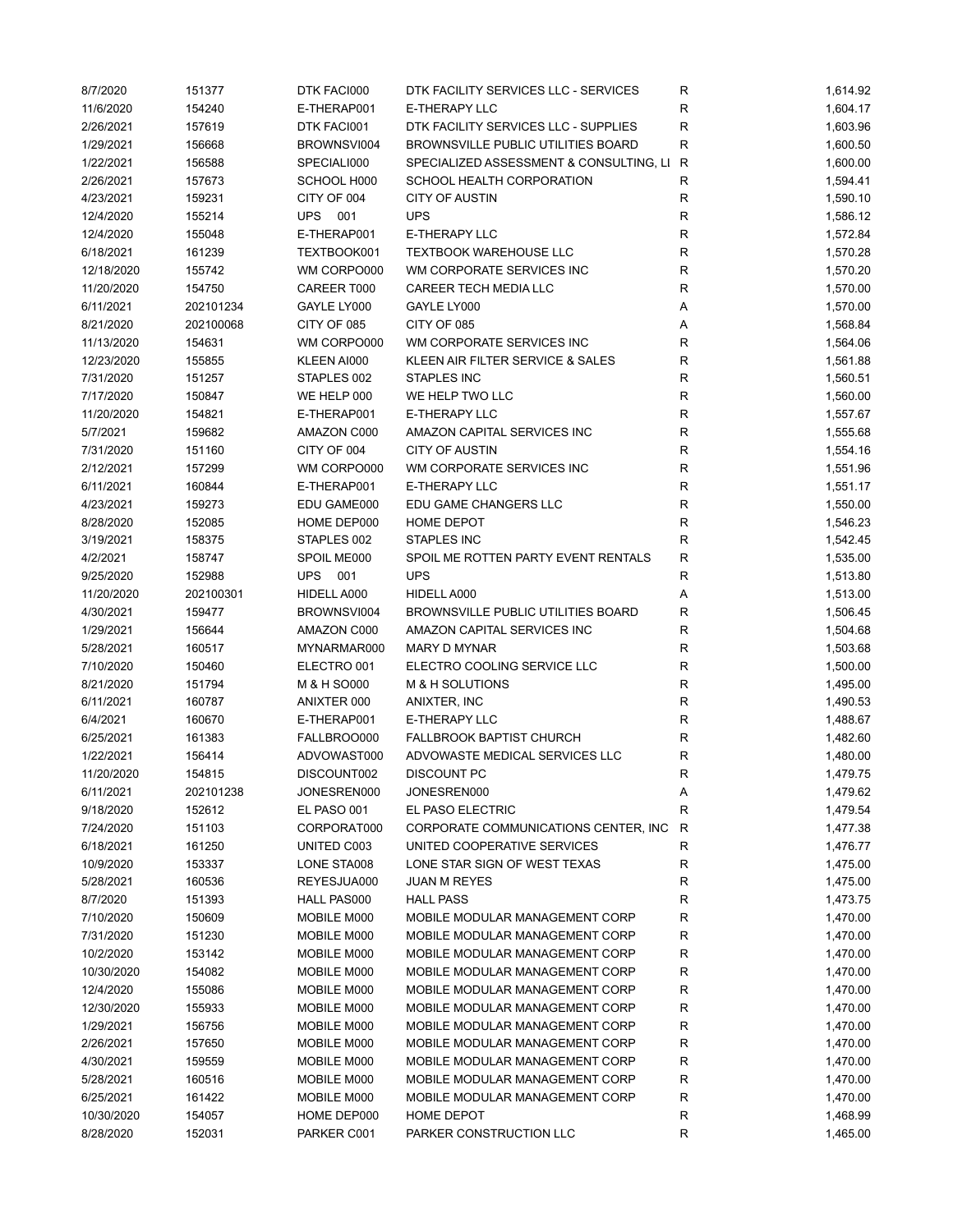| 8/7/2020   | 151377    | DTK FACI000       | DTK FACILITY SERVICES LLC - SERVICES      | R | 1,614.92 |
|------------|-----------|-------------------|-------------------------------------------|---|----------|
| 11/6/2020  | 154240    | E-THERAP001       | <b>E-THERAPY LLC</b>                      | R | 1,604.17 |
| 2/26/2021  | 157619    | DTK FACI001       | DTK FACILITY SERVICES LLC - SUPPLIES      | R | 1,603.96 |
| 1/29/2021  | 156668    | BROWNSVI004       | BROWNSVILLE PUBLIC UTILITIES BOARD        | R | 1,600.50 |
| 1/22/2021  | 156588    | SPECIALI000       | SPECIALIZED ASSESSMENT & CONSULTING, LI   | R | 1,600.00 |
| 2/26/2021  | 157673    | SCHOOL H000       | SCHOOL HEALTH CORPORATION                 | R | 1,594.41 |
| 4/23/2021  | 159231    | CITY OF 004       | <b>CITY OF AUSTIN</b>                     | R | 1,590.10 |
| 12/4/2020  | 155214    | UPS<br>001        | <b>UPS</b>                                | R | 1,586.12 |
| 12/4/2020  | 155048    | E-THERAP001       | E-THERAPY LLC                             | R | 1,572.84 |
| 6/18/2021  | 161239    | TEXTBOOK001       | <b>TEXTBOOK WAREHOUSE LLC</b>             | R | 1,570.28 |
|            |           |                   |                                           | R |          |
| 12/18/2020 | 155742    | WM CORPO000       | WM CORPORATE SERVICES INC                 |   | 1,570.20 |
| 11/20/2020 | 154750    | CAREER T000       | <b>CAREER TECH MEDIA LLC</b>              | R | 1,570.00 |
| 6/11/2021  | 202101234 | GAYLE LY000       | GAYLE LY000                               | Α | 1,570.00 |
| 8/21/2020  | 202100068 | CITY OF 085       | CITY OF 085                               | Α | 1,568.84 |
| 11/13/2020 | 154631    | WM CORPO000       | WM CORPORATE SERVICES INC                 | R | 1,564.06 |
| 12/23/2020 | 155855    | KLEEN AI000       | KLEEN AIR FILTER SERVICE & SALES          | R | 1,561.88 |
| 7/31/2020  | 151257    | STAPLES 002       | STAPLES INC                               | R | 1,560.51 |
| 7/17/2020  | 150847    | WE HELP 000       | WE HELP TWO LLC                           | R | 1,560.00 |
| 11/20/2020 | 154821    | E-THERAP001       | <b>E-THERAPY LLC</b>                      | R | 1,557.67 |
| 5/7/2021   | 159682    | AMAZON C000       | AMAZON CAPITAL SERVICES INC               | R | 1,555.68 |
| 7/31/2020  | 151160    | CITY OF 004       | <b>CITY OF AUSTIN</b>                     | R | 1,554.16 |
| 2/12/2021  | 157299    | WM CORPO000       | WM CORPORATE SERVICES INC                 | R | 1,551.96 |
| 6/11/2021  | 160844    | E-THERAP001       | E-THERAPY LLC                             | R | 1,551.17 |
| 4/23/2021  | 159273    | EDU GAME000       | EDU GAME CHANGERS LLC                     | R | 1,550.00 |
| 8/28/2020  | 152085    | HOME DEP000       | <b>HOME DEPOT</b>                         | R | 1,546.23 |
| 3/19/2021  | 158375    | STAPLES 002       | <b>STAPLES INC</b>                        | R | 1,542.45 |
| 4/2/2021   | 158747    | SPOIL ME000       | SPOIL ME ROTTEN PARTY EVENT RENTALS       | R | 1,535.00 |
|            |           |                   |                                           |   |          |
| 9/25/2020  | 152988    | <b>UPS</b><br>001 | <b>UPS</b>                                | R | 1,513.80 |
| 11/20/2020 | 202100301 | HIDELL A000       | HIDELL A000                               | Α | 1,513.00 |
| 4/30/2021  | 159477    | BROWNSVI004       | <b>BROWNSVILLE PUBLIC UTILITIES BOARD</b> | R | 1,506.45 |
| 1/29/2021  | 156644    | AMAZON C000       | AMAZON CAPITAL SERVICES INC               | R | 1,504.68 |
| 5/28/2021  | 160517    | MYNARMAR000       | <b>MARY D MYNAR</b>                       | R | 1,503.68 |
| 7/10/2020  | 150460    | ELECTRO 001       | ELECTRO COOLING SERVICE LLC               | R | 1,500.00 |
| 8/21/2020  | 151794    | M & H SO000       | M & H SOLUTIONS                           | R | 1,495.00 |
| 6/11/2021  | 160787    | ANIXTER 000       | ANIXTER, INC                              | R | 1,490.53 |
| 6/4/2021   | 160670    | E-THERAP001       | <b>E-THERAPY LLC</b>                      | R | 1,488.67 |
| 6/25/2021  | 161383    | FALLBROO000       | <b>FALLBROOK BAPTIST CHURCH</b>           | R | 1,482.60 |
| 1/22/2021  | 156414    | ADVOWAST000       | ADVOWASTE MEDICAL SERVICES LLC            | R | 1,480.00 |
| 11/20/2020 | 154815    | DISCOUNT002       | <b>DISCOUNT PC</b>                        | R | 1,479.75 |
| 6/11/2021  | 202101238 | JONESREN000       | JONESREN000                               | Α | 1,479.62 |
| 9/18/2020  | 152612    | EL PASO 001       | EL PASO ELECTRIC                          | R | 1,479.54 |
| 7/24/2020  | 151103    | CORPORAT000       | CORPORATE COMMUNICATIONS CENTER, INC      | R | 1,477.38 |
| 6/18/2021  | 161250    | UNITED C003       | UNITED COOPERATIVE SERVICES               | R | 1,476.77 |
| 10/9/2020  | 153337    | LONE STA008       | LONE STAR SIGN OF WEST TEXAS              | R | 1,475.00 |
| 5/28/2021  | 160536    | REYESJUA000       | <b>JUAN M REYES</b>                       | R | 1,475.00 |
| 8/7/2020   | 151393    | HALL PAS000       | <b>HALL PASS</b>                          | R | 1,473.75 |
|            |           |                   |                                           |   |          |
| 7/10/2020  | 150609    | MOBILE M000       | MOBILE MODULAR MANAGEMENT CORP            | R | 1,470.00 |
| 7/31/2020  | 151230    | MOBILE M000       | MOBILE MODULAR MANAGEMENT CORP            | R | 1,470.00 |
| 10/2/2020  | 153142    | MOBILE M000       | MOBILE MODULAR MANAGEMENT CORP            | R | 1,470.00 |
| 10/30/2020 | 154082    | MOBILE M000       | MOBILE MODULAR MANAGEMENT CORP            | R | 1,470.00 |
| 12/4/2020  | 155086    | MOBILE M000       | MOBILE MODULAR MANAGEMENT CORP            | R | 1,470.00 |
| 12/30/2020 | 155933    | MOBILE M000       | MOBILE MODULAR MANAGEMENT CORP            | R | 1,470.00 |
| 1/29/2021  | 156756    | MOBILE M000       | MOBILE MODULAR MANAGEMENT CORP            | R | 1,470.00 |
| 2/26/2021  | 157650    | MOBILE M000       | MOBILE MODULAR MANAGEMENT CORP            | R | 1,470.00 |
| 4/30/2021  | 159559    | MOBILE M000       | MOBILE MODULAR MANAGEMENT CORP            | R | 1,470.00 |
| 5/28/2021  | 160516    | MOBILE M000       | MOBILE MODULAR MANAGEMENT CORP            | R | 1,470.00 |
| 6/25/2021  | 161422    | MOBILE M000       | MOBILE MODULAR MANAGEMENT CORP            | R | 1,470.00 |
| 10/30/2020 | 154057    | HOME DEP000       | HOME DEPOT                                | R | 1,468.99 |
| 8/28/2020  | 152031    | PARKER C001       | PARKER CONSTRUCTION LLC                   | R | 1,465.00 |
|            |           |                   |                                           |   |          |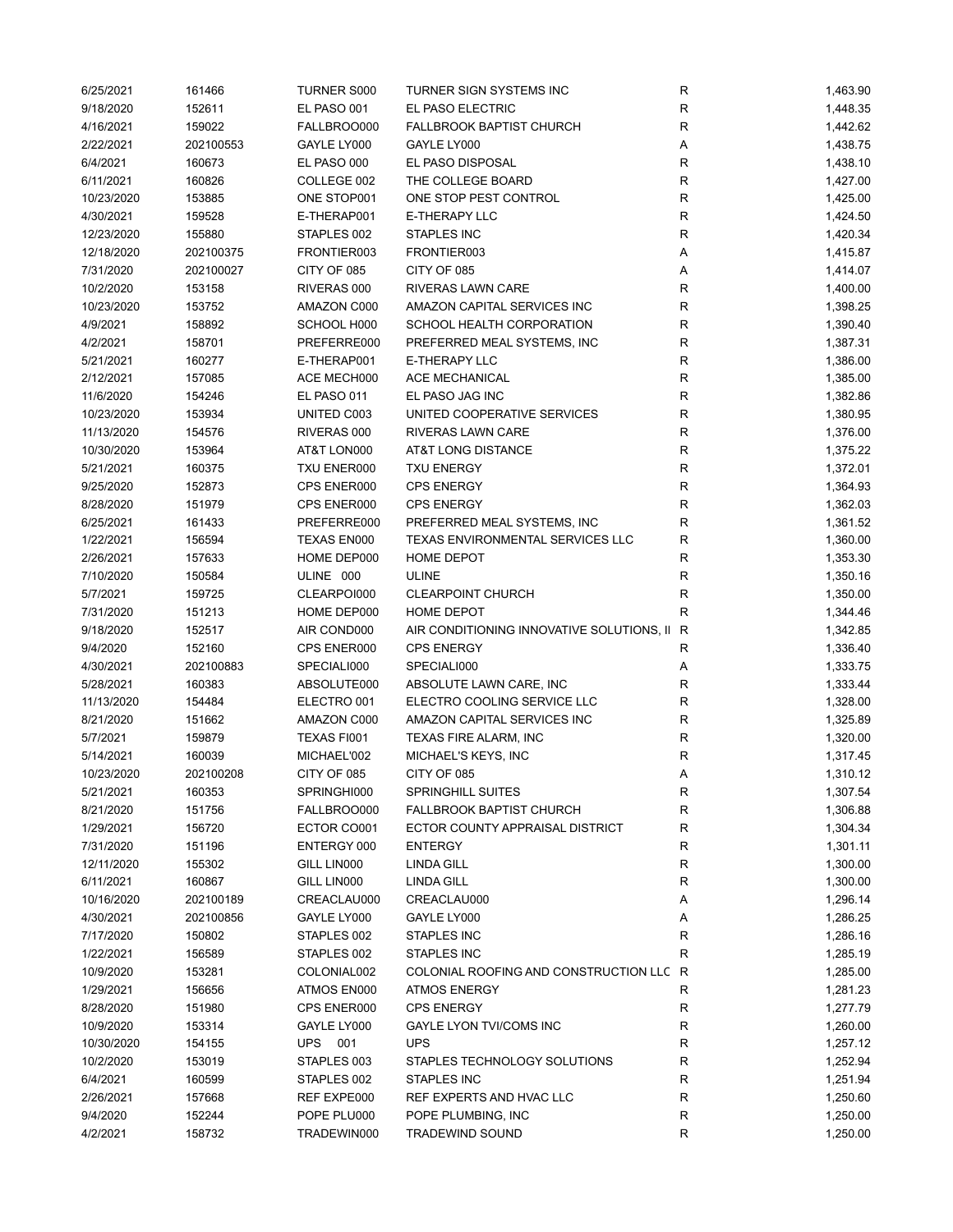| 6/25/2021  | 161466    | TURNER S000 | TURNER SIGN SYSTEMS INC                   | $\mathsf R$  | 1,463.90 |
|------------|-----------|-------------|-------------------------------------------|--------------|----------|
| 9/18/2020  | 152611    | EL PASO 001 | EL PASO ELECTRIC                          | R            | 1,448.35 |
| 4/16/2021  | 159022    | FALLBROO000 | <b>FALLBROOK BAPTIST CHURCH</b>           | $\mathsf R$  | 1,442.62 |
| 2/22/2021  | 202100553 | GAYLE LY000 | GAYLE LY000                               | Α            | 1,438.75 |
| 6/4/2021   | 160673    | EL PASO 000 | EL PASO DISPOSAL                          | $\mathsf R$  | 1,438.10 |
| 6/11/2021  | 160826    | COLLEGE 002 | THE COLLEGE BOARD                         | $\mathsf R$  | 1,427.00 |
| 10/23/2020 | 153885    | ONE STOP001 | ONE STOP PEST CONTROL                     | $\mathsf{R}$ | 1,425.00 |
| 4/30/2021  | 159528    | E-THERAP001 | E-THERAPY LLC                             | $\mathsf R$  | 1,424.50 |
| 12/23/2020 | 155880    | STAPLES 002 | <b>STAPLES INC</b>                        | $\mathsf R$  | 1,420.34 |
| 12/18/2020 | 202100375 | FRONTIER003 | FRONTIER003                               | Α            | 1,415.87 |
|            |           |             |                                           |              |          |
| 7/31/2020  | 202100027 | CITY OF 085 | CITY OF 085                               | Α            | 1,414.07 |
| 10/2/2020  | 153158    | RIVERAS 000 | RIVERAS LAWN CARE                         | $\mathsf R$  | 1,400.00 |
| 10/23/2020 | 153752    | AMAZON C000 | AMAZON CAPITAL SERVICES INC               | $\mathsf R$  | 1,398.25 |
| 4/9/2021   | 158892    | SCHOOL H000 | SCHOOL HEALTH CORPORATION                 | $\mathsf{R}$ | 1,390.40 |
| 4/2/2021   | 158701    | PREFERRE000 | PREFERRED MEAL SYSTEMS, INC               | $\mathsf R$  | 1,387.31 |
| 5/21/2021  | 160277    | E-THERAP001 | E-THERAPY LLC                             | $\mathsf R$  | 1,386.00 |
| 2/12/2021  | 157085    | ACE MECH000 | ACE MECHANICAL                            | $\mathsf R$  | 1,385.00 |
| 11/6/2020  | 154246    | EL PASO 011 | EL PASO JAG INC                           | $\mathsf R$  | 1,382.86 |
| 10/23/2020 | 153934    | UNITED C003 | UNITED COOPERATIVE SERVICES               | $\mathsf R$  | 1,380.95 |
| 11/13/2020 | 154576    | RIVERAS 000 | RIVERAS LAWN CARE                         | R            | 1,376.00 |
| 10/30/2020 | 153964    | AT&T LON000 | AT&T LONG DISTANCE                        | R            | 1,375.22 |
| 5/21/2021  | 160375    | TXU ENER000 | <b>TXU ENERGY</b>                         | R            | 1,372.01 |
| 9/25/2020  | 152873    | CPS ENER000 | <b>CPS ENERGY</b>                         | R            | 1,364.93 |
| 8/28/2020  | 151979    | CPS ENER000 | <b>CPS ENERGY</b>                         | R            | 1,362.03 |
| 6/25/2021  | 161433    | PREFERRE000 | PREFERRED MEAL SYSTEMS, INC               | $\mathsf R$  | 1,361.52 |
| 1/22/2021  | 156594    | TEXAS EN000 | TEXAS ENVIRONMENTAL SERVICES LLC          | $\mathsf R$  | 1,360.00 |
| 2/26/2021  | 157633    | HOME DEP000 | <b>HOME DEPOT</b>                         | R            | 1,353.30 |
| 7/10/2020  | 150584    | ULINE 000   | ULINE                                     | $\mathsf R$  | 1,350.16 |
| 5/7/2021   | 159725    | CLEARPOI000 | <b>CLEARPOINT CHURCH</b>                  | $\mathsf R$  | 1,350.00 |
| 7/31/2020  | 151213    | HOME DEP000 | <b>HOME DEPOT</b>                         | R            | 1,344.46 |
|            |           |             |                                           |              |          |
| 9/18/2020  | 152517    | AIR COND000 | AIR CONDITIONING INNOVATIVE SOLUTIONS, II | R            | 1,342.85 |
| 9/4/2020   | 152160    | CPS ENER000 | <b>CPS ENERGY</b>                         | R            | 1,336.40 |
| 4/30/2021  | 202100883 | SPECIALI000 | SPECIALI000                               | Α            | 1,333.75 |
| 5/28/2021  | 160383    | ABSOLUTE000 | ABSOLUTE LAWN CARE, INC                   | R            | 1,333.44 |
| 11/13/2020 | 154484    | ELECTRO 001 | ELECTRO COOLING SERVICE LLC               | R            | 1,328.00 |
| 8/21/2020  | 151662    | AMAZON C000 | AMAZON CAPITAL SERVICES INC               | R            | 1,325.89 |
| 5/7/2021   | 159879    | TEXAS FI001 | TEXAS FIRE ALARM, INC                     | R            | 1,320.00 |
| 5/14/2021  | 160039    | MICHAEL'002 | MICHAEL'S KEYS, INC                       | R            | 1,317.45 |
| 10/23/2020 | 202100208 | CITY OF 085 | CITY OF 085                               | Α            | 1,310.12 |
| 5/21/2021  | 160353    | SPRINGHI000 | <b>SPRINGHILL SUITES</b>                  | $\mathsf R$  | 1,307.54 |
| 8/21/2020  | 151756    | FALLBROO000 | <b>FALLBROOK BAPTIST CHURCH</b>           | R            | 1,306.88 |
| 1/29/2021  | 156720    | ECTOR CO001 | ECTOR COUNTY APPRAISAL DISTRICT           | R            | 1,304.34 |
| 7/31/2020  | 151196    | ENTERGY 000 | <b>ENTERGY</b>                            | R            | 1,301.11 |
| 12/11/2020 | 155302    | GILL LIN000 | LINDA GILL                                | R            | 1,300.00 |
| 6/11/2021  | 160867    | GILL LIN000 | <b>LINDA GILL</b>                         | R            | 1,300.00 |
| 10/16/2020 | 202100189 | CREACLAU000 | CREACLAU000                               | Α            | 1,296.14 |
| 4/30/2021  | 202100856 | GAYLE LY000 | GAYLE LY000                               | Α            | 1,286.25 |
| 7/17/2020  | 150802    | STAPLES 002 | STAPLES INC                               | R            | 1,286.16 |
| 1/22/2021  | 156589    | STAPLES 002 | STAPLES INC                               | R            | 1,285.19 |
| 10/9/2020  | 153281    | COLONIAL002 | COLONIAL ROOFING AND CONSTRUCTION LLC R   |              | 1,285.00 |
| 1/29/2021  | 156656    | ATMOS EN000 | <b>ATMOS ENERGY</b>                       | R            | 1,281.23 |
| 8/28/2020  | 151980    | CPS ENER000 | <b>CPS ENERGY</b>                         | R            | 1,277.79 |
|            |           |             |                                           |              |          |
| 10/9/2020  | 153314    | GAYLE LY000 | GAYLE LYON TVI/COMS INC                   | R            | 1,260.00 |
| 10/30/2020 | 154155    | UPS<br>001  | <b>UPS</b>                                | $\mathsf R$  | 1,257.12 |
| 10/2/2020  | 153019    | STAPLES 003 | STAPLES TECHNOLOGY SOLUTIONS              | R            | 1,252.94 |
| 6/4/2021   | 160599    | STAPLES 002 | STAPLES INC                               | R            | 1,251.94 |
| 2/26/2021  | 157668    | REF EXPE000 | REF EXPERTS AND HVAC LLC                  | R            | 1,250.60 |
| 9/4/2020   | 152244    | POPE PLU000 | POPE PLUMBING, INC                        | R            | 1,250.00 |
| 4/2/2021   | 158732    | TRADEWIN000 | <b>TRADEWIND SOUND</b>                    | $\mathsf R$  | 1,250.00 |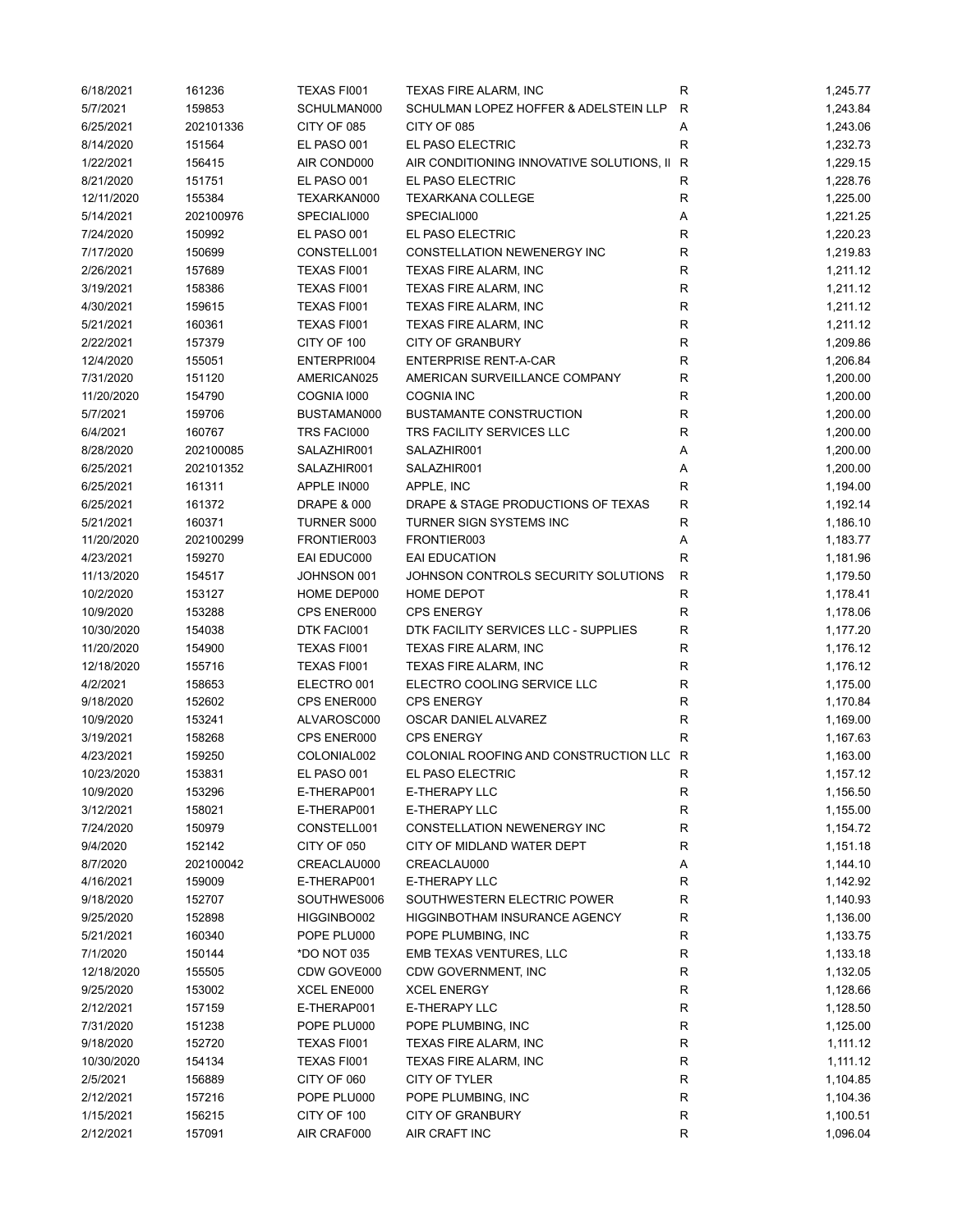| 6/18/2021  | 161236    | TEXAS FI001            | TEXAS FIRE ALARM, INC                     | R            | 1,245.77 |
|------------|-----------|------------------------|-------------------------------------------|--------------|----------|
| 5/7/2021   | 159853    | SCHULMAN000            | SCHULMAN LOPEZ HOFFER & ADELSTEIN LLP     | R            | 1,243.84 |
| 6/25/2021  | 202101336 | CITY OF 085            | CITY OF 085                               | Α            | 1,243.06 |
| 8/14/2020  | 151564    | EL PASO 001            | EL PASO ELECTRIC                          | R            | 1,232.73 |
| 1/22/2021  | 156415    | AIR COND000            | AIR CONDITIONING INNOVATIVE SOLUTIONS, II | R            | 1,229.15 |
| 8/21/2020  | 151751    | EL PASO 001            | EL PASO ELECTRIC                          | R            | 1,228.76 |
| 12/11/2020 | 155384    | TEXARKAN000            | <b>TEXARKANA COLLEGE</b>                  | R            | 1,225.00 |
| 5/14/2021  | 202100976 | SPECIALI000            | SPECIALI000                               | Α            | 1,221.25 |
| 7/24/2020  | 150992    | EL PASO 001            | EL PASO ELECTRIC                          | $\mathsf R$  | 1,220.23 |
| 7/17/2020  | 150699    | CONSTELL001            | CONSTELLATION NEWENERGY INC               | $\mathsf R$  | 1,219.83 |
|            |           |                        |                                           |              |          |
| 2/26/2021  | 157689    | TEXAS FI001            | TEXAS FIRE ALARM, INC                     | $\mathsf R$  | 1,211.12 |
| 3/19/2021  | 158386    | TEXAS FI001            | TEXAS FIRE ALARM, INC                     | $\mathsf R$  | 1,211.12 |
| 4/30/2021  | 159615    | <b>TEXAS FI001</b>     | TEXAS FIRE ALARM, INC                     | $\mathsf R$  | 1,211.12 |
| 5/21/2021  | 160361    | TEXAS FI001            | TEXAS FIRE ALARM, INC                     | $\mathsf{R}$ | 1,211.12 |
| 2/22/2021  | 157379    | CITY OF 100            | <b>CITY OF GRANBURY</b>                   | $\mathsf R$  | 1,209.86 |
| 12/4/2020  | 155051    | ENTERPRI004            | <b>ENTERPRISE RENT-A-CAR</b>              | $\mathsf R$  | 1,206.84 |
| 7/31/2020  | 151120    | AMERICAN025            | AMERICAN SURVEILLANCE COMPANY             | $\mathsf R$  | 1,200.00 |
| 11/20/2020 | 154790    | COGNIA 1000            | <b>COGNIA INC</b>                         | R            | 1,200.00 |
| 5/7/2021   | 159706    | BUSTAMAN000            | <b>BUSTAMANTE CONSTRUCTION</b>            | $\mathsf R$  | 1,200.00 |
| 6/4/2021   | 160767    | TRS FACI000            | TRS FACILITY SERVICES LLC                 | $\mathsf R$  | 1,200.00 |
| 8/28/2020  | 202100085 | SALAZHIR001            | SALAZHIR001                               | Α            | 1,200.00 |
| 6/25/2021  | 202101352 | SALAZHIR001            | SALAZHIR001                               | Α            | 1,200.00 |
| 6/25/2021  | 161311    | APPLE IN000            | APPLE, INC                                | R            | 1,194.00 |
| 6/25/2021  | 161372    | <b>DRAPE &amp; 000</b> | DRAPE & STAGE PRODUCTIONS OF TEXAS        | R            | 1,192.14 |
| 5/21/2021  | 160371    | <b>TURNER S000</b>     | TURNER SIGN SYSTEMS INC                   | $\mathsf R$  | 1,186.10 |
| 11/20/2020 | 202100299 | FRONTIER003            | FRONTIER003                               | A            | 1,183.77 |
|            |           |                        | <b>EAI EDUCATION</b>                      | R            |          |
| 4/23/2021  | 159270    | EAI EDUC000            |                                           |              | 1,181.96 |
| 11/13/2020 | 154517    | JOHNSON 001            | JOHNSON CONTROLS SECURITY SOLUTIONS       | $\mathsf{R}$ | 1,179.50 |
| 10/2/2020  | 153127    | HOME DEP000            | <b>HOME DEPOT</b>                         | R            | 1,178.41 |
| 10/9/2020  | 153288    | CPS ENER000            | <b>CPS ENERGY</b>                         | R            | 1,178.06 |
| 10/30/2020 | 154038    | DTK FACI001            | DTK FACILITY SERVICES LLC - SUPPLIES      | $\mathsf R$  | 1,177.20 |
| 11/20/2020 | 154900    | TEXAS FI001            | TEXAS FIRE ALARM, INC                     | $\mathsf R$  | 1,176.12 |
| 12/18/2020 | 155716    | TEXAS FI001            | TEXAS FIRE ALARM, INC                     | $\mathsf R$  | 1,176.12 |
| 4/2/2021   | 158653    | ELECTRO 001            | ELECTRO COOLING SERVICE LLC               | R            | 1,175.00 |
| 9/18/2020  | 152602    | CPS ENER000            | <b>CPS ENERGY</b>                         | R            | 1,170.84 |
| 10/9/2020  | 153241    | ALVAROSC000            | OSCAR DANIEL ALVAREZ                      | R            | 1,169.00 |
| 3/19/2021  | 158268    | CPS ENER000            | <b>CPS ENERGY</b>                         | R            | 1,167.63 |
| 4/23/2021  | 159250    | COLONIAL002            | COLONIAL ROOFING AND CONSTRUCTION LLC R   |              | 1,163.00 |
| 10/23/2020 | 153831    | EL PASO 001            | EL PASO ELECTRIC                          | R            | 1,157.12 |
| 10/9/2020  | 153296    | E-THERAP001            | E-THERAPY LLC                             | $\mathsf R$  | 1,156.50 |
| 3/12/2021  | 158021    | E-THERAP001            | E-THERAPY LLC                             | R            | 1,155.00 |
| 7/24/2020  | 150979    | CONSTELL001            | CONSTELLATION NEWENERGY INC               | R            | 1,154.72 |
| 9/4/2020   | 152142    | CITY OF 050            | CITY OF MIDLAND WATER DEPT                | R            | 1,151.18 |
| 8/7/2020   | 202100042 | CREACLAU000            | CREACLAU000                               | Α            | 1,144.10 |
| 4/16/2021  | 159009    | E-THERAP001            | E-THERAPY LLC                             | R            | 1,142.92 |
|            |           |                        |                                           | $\mathsf R$  |          |
| 9/18/2020  | 152707    | SOUTHWES006            | SOUTHWESTERN ELECTRIC POWER               |              | 1,140.93 |
| 9/25/2020  | 152898    | HIGGINBO002            | <b>HIGGINBOTHAM INSURANCE AGENCY</b>      | R            | 1,136.00 |
| 5/21/2021  | 160340    | POPE PLU000            | POPE PLUMBING, INC                        | R            | 1,133.75 |
| 7/1/2020   | 150144    | *DO NOT 035            | EMB TEXAS VENTURES, LLC                   | R            | 1,133.18 |
| 12/18/2020 | 155505    | CDW GOVE000            | CDW GOVERNMENT, INC                       | R            | 1,132.05 |
| 9/25/2020  | 153002    | XCEL ENE000            | <b>XCEL ENERGY</b>                        | R            | 1,128.66 |
| 2/12/2021  | 157159    | E-THERAP001            | E-THERAPY LLC                             | R            | 1,128.50 |
| 7/31/2020  | 151238    | POPE PLU000            | POPE PLUMBING, INC                        | R            | 1,125.00 |
| 9/18/2020  | 152720    | TEXAS FI001            | TEXAS FIRE ALARM, INC                     | R            | 1,111.12 |
| 10/30/2020 | 154134    | TEXAS FI001            | TEXAS FIRE ALARM, INC                     | R            | 1,111.12 |
| 2/5/2021   | 156889    | CITY OF 060            | CITY OF TYLER                             | R            | 1,104.85 |
| 2/12/2021  | 157216    | POPE PLU000            | POPE PLUMBING, INC                        | R            | 1,104.36 |
| 1/15/2021  | 156215    | CITY OF 100            | CITY OF GRANBURY                          | R            | 1,100.51 |
| 2/12/2021  | 157091    | AIR CRAF000            | AIR CRAFT INC                             | R            | 1,096.04 |
|            |           |                        |                                           |              |          |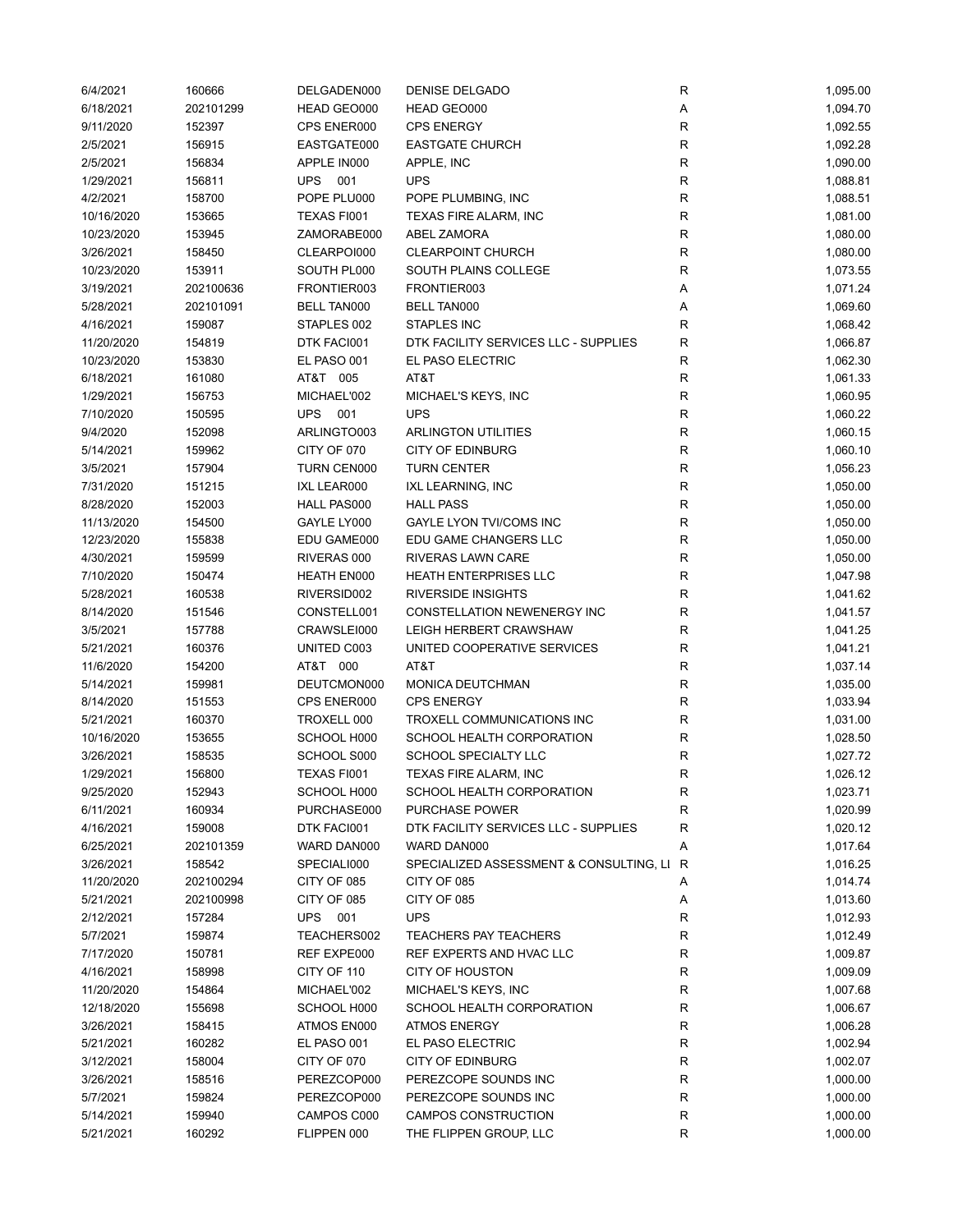| 6/4/2021   | 160666    | DELGADEN000        | DENISE DELGADO                            | $\mathsf R$  | 1,095.00 |
|------------|-----------|--------------------|-------------------------------------------|--------------|----------|
| 6/18/2021  | 202101299 | HEAD GEO000        | HEAD GEO000                               | A            | 1,094.70 |
| 9/11/2020  | 152397    | CPS ENER000        | <b>CPS ENERGY</b>                         | $\mathsf R$  | 1,092.55 |
| 2/5/2021   | 156915    | EASTGATE000        | <b>EASTGATE CHURCH</b>                    | $\mathsf R$  | 1,092.28 |
| 2/5/2021   | 156834    | APPLE IN000        | APPLE, INC                                | R            | 1,090.00 |
| 1/29/2021  | 156811    | <b>UPS</b><br>001  | <b>UPS</b>                                | $\mathsf{R}$ | 1,088.81 |
| 4/2/2021   | 158700    | POPE PLU000        | POPE PLUMBING, INC                        | $\mathsf{R}$ | 1,088.51 |
| 10/16/2020 | 153665    | TEXAS FI001        | <b>TEXAS FIRE ALARM, INC</b>              | $\mathsf R$  | 1,081.00 |
| 10/23/2020 | 153945    | ZAMORABE000        | ABEL ZAMORA                               | R            | 1,080.00 |
|            |           | CLEARPOI000        | <b>CLEARPOINT CHURCH</b>                  | $\mathsf{R}$ |          |
| 3/26/2021  | 158450    |                    |                                           |              | 1,080.00 |
| 10/23/2020 | 153911    | SOUTH PL000        | SOUTH PLAINS COLLEGE                      | $\mathsf{R}$ | 1,073.55 |
| 3/19/2021  | 202100636 | FRONTIER003        | FRONTIER003                               | Α            | 1,071.24 |
| 5/28/2021  | 202101091 | <b>BELL TAN000</b> | <b>BELL TAN000</b>                        | Α            | 1,069.60 |
| 4/16/2021  | 159087    | STAPLES 002        | STAPLES INC                               | $\mathsf R$  | 1,068.42 |
| 11/20/2020 | 154819    | DTK FACI001        | DTK FACILITY SERVICES LLC - SUPPLIES      | $\mathsf R$  | 1,066.87 |
| 10/23/2020 | 153830    | EL PASO 001        | EL PASO ELECTRIC                          | $\mathsf{R}$ | 1,062.30 |
| 6/18/2021  | 161080    | AT&T 005           | AT&T                                      | $\mathsf R$  | 1,061.33 |
| 1/29/2021  | 156753    | MICHAEL'002        | MICHAEL'S KEYS, INC                       | $\mathsf R$  | 1,060.95 |
| 7/10/2020  | 150595    | <b>UPS</b><br>001  | <b>UPS</b>                                | $\mathsf R$  | 1,060.22 |
| 9/4/2020   | 152098    | ARLINGTO003        | <b>ARLINGTON UTILITIES</b>                | $\mathsf{R}$ | 1,060.15 |
| 5/14/2021  | 159962    | CITY OF 070        | <b>CITY OF EDINBURG</b>                   | R            | 1,060.10 |
| 3/5/2021   | 157904    | TURN CEN000        | <b>TURN CENTER</b>                        | R            | 1,056.23 |
| 7/31/2020  | 151215    | IXL LEAR000        | IXL LEARNING, INC                         | R            | 1,050.00 |
| 8/28/2020  | 152003    | HALL PAS000        | <b>HALL PASS</b>                          | R            | 1,050.00 |
| 11/13/2020 | 154500    | GAYLE LY000        | <b>GAYLE LYON TVI/COMS INC</b>            | $\mathsf{R}$ | 1,050.00 |
| 12/23/2020 | 155838    | EDU GAME000        | EDU GAME CHANGERS LLC                     | $\mathsf{R}$ | 1,050.00 |
| 4/30/2021  | 159599    | RIVERAS 000        | RIVERAS LAWN CARE                         | $\mathsf{R}$ | 1,050.00 |
| 7/10/2020  | 150474    | <b>HEATH EN000</b> | <b>HEATH ENTERPRISES LLC</b>              | $\mathsf{R}$ | 1,047.98 |
| 5/28/2021  | 160538    | RIVERSID002        | <b>RIVERSIDE INSIGHTS</b>                 | $\mathsf{R}$ | 1,041.62 |
| 8/14/2020  | 151546    | CONSTELL001        | CONSTELLATION NEWENERGY INC               | $\mathsf{R}$ | 1,041.57 |
|            |           |                    |                                           | $\mathsf{R}$ |          |
| 3/5/2021   | 157788    | CRAWSLEI000        | LEIGH HERBERT CRAWSHAW                    |              | 1,041.25 |
| 5/21/2021  | 160376    | UNITED C003        | UNITED COOPERATIVE SERVICES               | R            | 1,041.21 |
| 11/6/2020  | 154200    | AT&T 000           | AT&T                                      | R            | 1,037.14 |
| 5/14/2021  | 159981    | DEUTCMON000        | MONICA DEUTCHMAN                          | $\mathsf R$  | 1,035.00 |
| 8/14/2020  | 151553    | CPS ENER000        | <b>CPS ENERGY</b>                         | R            | 1,033.94 |
| 5/21/2021  | 160370    | TROXELL 000        | TROXELL COMMUNICATIONS INC                | R            | 1,031.00 |
| 10/16/2020 | 153655    | SCHOOL H000        | SCHOOL HEALTH CORPORATION                 | R            | 1,028.50 |
| 3/26/2021  | 158535    | SCHOOL S000        | SCHOOL SPECIALTY LLC                      | R            | 1,027.72 |
| 1/29/2021  | 156800    | TEXAS FI001        | TEXAS FIRE ALARM, INC                     | R            | 1,026.12 |
| 9/25/2020  | 152943    | SCHOOL H000        | SCHOOL HEALTH CORPORATION                 | $\mathsf R$  | 1,023.71 |
| 6/11/2021  | 160934    | PURCHASE000        | <b>PURCHASE POWER</b>                     | R            | 1,020.99 |
| 4/16/2021  | 159008    | DTK FACI001        | DTK FACILITY SERVICES LLC - SUPPLIES      | $\mathsf{R}$ | 1,020.12 |
| 6/25/2021  | 202101359 | WARD DAN000        | WARD DAN000                               | Α            | 1,017.64 |
| 3/26/2021  | 158542    | SPECIALI000        | SPECIALIZED ASSESSMENT & CONSULTING, LI R |              | 1,016.25 |
| 11/20/2020 | 202100294 | CITY OF 085        | CITY OF 085                               | Α            | 1,014.74 |
| 5/21/2021  | 202100998 | CITY OF 085        | CITY OF 085                               | Α            | 1,013.60 |
| 2/12/2021  | 157284    | <b>UPS</b><br>001  | <b>UPS</b>                                | R            | 1,012.93 |
| 5/7/2021   | 159874    | TEACHERS002        | <b>TEACHERS PAY TEACHERS</b>              | R            | 1,012.49 |
| 7/17/2020  | 150781    | REF EXPE000        | REF EXPERTS AND HVAC LLC                  | R            | 1,009.87 |
| 4/16/2021  | 158998    | CITY OF 110        | <b>CITY OF HOUSTON</b>                    | R            | 1,009.09 |
| 11/20/2020 | 154864    | MICHAEL'002        | MICHAEL'S KEYS, INC                       | R            | 1,007.68 |
| 12/18/2020 | 155698    | SCHOOL H000        | SCHOOL HEALTH CORPORATION                 | R            | 1,006.67 |
| 3/26/2021  | 158415    | ATMOS EN000        | <b>ATMOS ENERGY</b>                       | R            | 1,006.28 |
| 5/21/2021  | 160282    | EL PASO 001        | EL PASO ELECTRIC                          | $\mathsf R$  | 1,002.94 |
| 3/12/2021  | 158004    | CITY OF 070        | <b>CITY OF EDINBURG</b>                   | R            | 1,002.07 |
| 3/26/2021  |           | PEREZCOP000        | PEREZCOPE SOUNDS INC                      | R            | 1,000.00 |
|            | 158516    |                    |                                           |              |          |
| 5/7/2021   | 159824    | PEREZCOP000        | PEREZCOPE SOUNDS INC                      | R            | 1,000.00 |
| 5/14/2021  | 159940    | CAMPOS C000        | CAMPOS CONSTRUCTION                       | R            | 1,000.00 |
| 5/21/2021  | 160292    | FLIPPEN 000        | THE FLIPPEN GROUP, LLC                    | R            | 1,000.00 |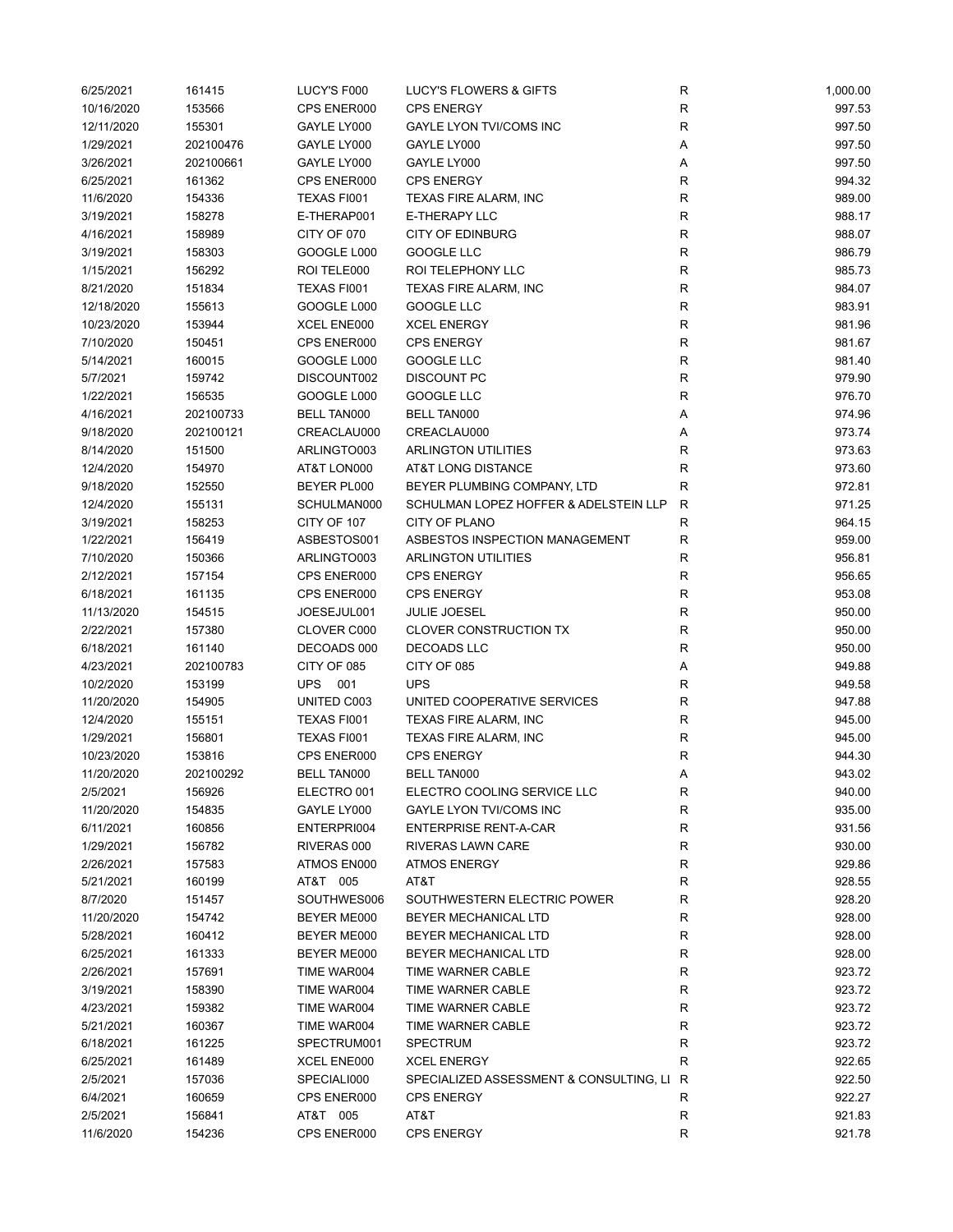| 6/25/2021  | 161415    | LUCY'S F000        | <b>LUCY'S FLOWERS &amp; GIFTS</b>         | R            | 1,000.00 |
|------------|-----------|--------------------|-------------------------------------------|--------------|----------|
| 10/16/2020 | 153566    | CPS ENER000        | <b>CPS ENERGY</b>                         | R            | 997.53   |
| 12/11/2020 | 155301    | GAYLE LY000        | GAYLE LYON TVI/COMS INC                   | R            | 997.50   |
| 1/29/2021  | 202100476 | GAYLE LY000        | GAYLE LY000                               | Α            | 997.50   |
| 3/26/2021  | 202100661 | GAYLE LY000        | GAYLE LY000                               | Α            | 997.50   |
| 6/25/2021  | 161362    | CPS ENER000        | <b>CPS ENERGY</b>                         | $\mathsf{R}$ | 994.32   |
| 11/6/2020  | 154336    | TEXAS FI001        | TEXAS FIRE ALARM, INC                     | $\mathsf{R}$ | 989.00   |
| 3/19/2021  | 158278    | E-THERAP001        | E-THERAPY LLC                             | R            | 988.17   |
| 4/16/2021  | 158989    | CITY OF 070        | <b>CITY OF EDINBURG</b>                   | R            | 988.07   |
| 3/19/2021  | 158303    | GOOGLE L000        | <b>GOOGLE LLC</b>                         | $\mathsf R$  | 986.79   |
| 1/15/2021  | 156292    | ROI TELE000        | ROI TELEPHONY LLC                         | $\mathsf R$  | 985.73   |
|            |           |                    |                                           |              |          |
| 8/21/2020  | 151834    | TEXAS FI001        | TEXAS FIRE ALARM, INC                     | $\mathsf R$  | 984.07   |
| 12/18/2020 | 155613    | GOOGLE L000        | GOOGLE LLC                                | $\mathsf{R}$ | 983.91   |
| 10/23/2020 | 153944    | XCEL ENE000        | <b>XCEL ENERGY</b>                        | $\mathsf R$  | 981.96   |
| 7/10/2020  | 150451    | CPS ENER000        | <b>CPS ENERGY</b>                         | $\mathsf R$  | 981.67   |
| 5/14/2021  | 160015    | GOOGLE L000        | GOOGLE LLC                                | $\mathsf R$  | 981.40   |
| 5/7/2021   | 159742    | DISCOUNT002        | DISCOUNT PC                               | R            | 979.90   |
| 1/22/2021  | 156535    | GOOGLE L000        | GOOGLE LLC                                | $\mathsf R$  | 976.70   |
| 4/16/2021  | 202100733 | <b>BELL TAN000</b> | <b>BELL TAN000</b>                        | Α            | 974.96   |
| 9/18/2020  | 202100121 | CREACLAU000        | CREACLAU000                               | Α            | 973.74   |
| 8/14/2020  | 151500    | ARLINGTO003        | <b>ARLINGTON UTILITIES</b>                | R            | 973.63   |
| 12/4/2020  | 154970    | AT&T LON000        | AT&T LONG DISTANCE                        | R            | 973.60   |
| 9/18/2020  | 152550    | BEYER PL000        | BEYER PLUMBING COMPANY, LTD               | R            | 972.81   |
| 12/4/2020  | 155131    | SCHULMAN000        | SCHULMAN LOPEZ HOFFER & ADELSTEIN LLP     | R            | 971.25   |
| 3/19/2021  | 158253    | CITY OF 107        | CITY OF PLANO                             | R            | 964.15   |
| 1/22/2021  | 156419    | ASBESTOS001        | ASBESTOS INSPECTION MANAGEMENT            | R            | 959.00   |
| 7/10/2020  | 150366    | ARLINGTO003        | <b>ARLINGTON UTILITIES</b>                | $\mathsf R$  | 956.81   |
| 2/12/2021  | 157154    | CPS ENER000        | <b>CPS ENERGY</b>                         | R            | 956.65   |
| 6/18/2021  | 161135    | CPS ENER000        | <b>CPS ENERGY</b>                         | $\mathsf R$  | 953.08   |
| 11/13/2020 | 154515    | JOESEJUL001        | <b>JULIE JOESEL</b>                       | $\mathsf R$  | 950.00   |
| 2/22/2021  | 157380    | CLOVER C000        | <b>CLOVER CONSTRUCTION TX</b>             | R            | 950.00   |
| 6/18/2021  | 161140    | DECOADS 000        | <b>DECOADS LLC</b>                        | $\mathsf R$  | 950.00   |
| 4/23/2021  | 202100783 | CITY OF 085        | CITY OF 085                               | Α            | 949.88   |
|            |           |                    |                                           |              |          |
| 10/2/2020  | 153199    | UPS<br>001         | <b>UPS</b>                                | R            | 949.58   |
| 11/20/2020 | 154905    | UNITED C003        | UNITED COOPERATIVE SERVICES               | R            | 947.88   |
| 12/4/2020  | 155151    | TEXAS FI001        | TEXAS FIRE ALARM, INC                     | R            | 945.00   |
| 1/29/2021  | 156801    | TEXAS FI001        | TEXAS FIRE ALARM, INC                     | R            | 945.00   |
| 10/23/2020 | 153816    | CPS ENER000        | <b>CPS ENERGY</b>                         | $\mathsf R$  | 944.30   |
| 11/20/2020 | 202100292 | <b>BELL TAN000</b> | <b>BELL TAN000</b>                        | Α            | 943.02   |
| 2/5/2021   | 156926    | ELECTRO 001        | ELECTRO COOLING SERVICE LLC               | R            | 940.00   |
| 11/20/2020 | 154835    | GAYLE LY000        | GAYLE LYON TVI/COMS INC                   | $\mathsf R$  | 935.00   |
| 6/11/2021  | 160856    | ENTERPRI004        | <b>ENTERPRISE RENT-A-CAR</b>              | R            | 931.56   |
| 1/29/2021  | 156782    | RIVERAS 000        | RIVERAS LAWN CARE                         | R            | 930.00   |
| 2/26/2021  | 157583    | ATMOS EN000        | <b>ATMOS ENERGY</b>                       | R            | 929.86   |
| 5/21/2021  | 160199    | AT&T 005           | AT&T                                      | R            | 928.55   |
| 8/7/2020   | 151457    | SOUTHWES006        | SOUTHWESTERN ELECTRIC POWER               | R            | 928.20   |
| 11/20/2020 | 154742    | BEYER ME000        | BEYER MECHANICAL LTD                      | R            | 928.00   |
| 5/28/2021  | 160412    | BEYER ME000        | BEYER MECHANICAL LTD                      | R            | 928.00   |
| 6/25/2021  | 161333    | BEYER ME000        | BEYER MECHANICAL LTD                      | R            | 928.00   |
| 2/26/2021  | 157691    | TIME WAR004        | TIME WARNER CABLE                         | R            | 923.72   |
| 3/19/2021  | 158390    | TIME WAR004        | TIME WARNER CABLE                         | R            | 923.72   |
| 4/23/2021  | 159382    | TIME WAR004        | TIME WARNER CABLE                         | R            | 923.72   |
| 5/21/2021  | 160367    | TIME WAR004        | TIME WARNER CABLE                         | R            | 923.72   |
| 6/18/2021  | 161225    | SPECTRUM001        | <b>SPECTRUM</b>                           | R            | 923.72   |
| 6/25/2021  | 161489    | XCEL ENE000        | <b>XCEL ENERGY</b>                        | R            | 922.65   |
| 2/5/2021   | 157036    | SPECIALI000        | SPECIALIZED ASSESSMENT & CONSULTING, LI R |              | 922.50   |
| 6/4/2021   | 160659    | CPS ENER000        | <b>CPS ENERGY</b>                         | R            | 922.27   |
|            |           |                    |                                           |              |          |
| 2/5/2021   | 156841    | AT&T 005           | AT&T                                      | R            | 921.83   |
| 11/6/2020  | 154236    | CPS ENER000        | <b>CPS ENERGY</b>                         | $\mathsf{R}$ | 921.78   |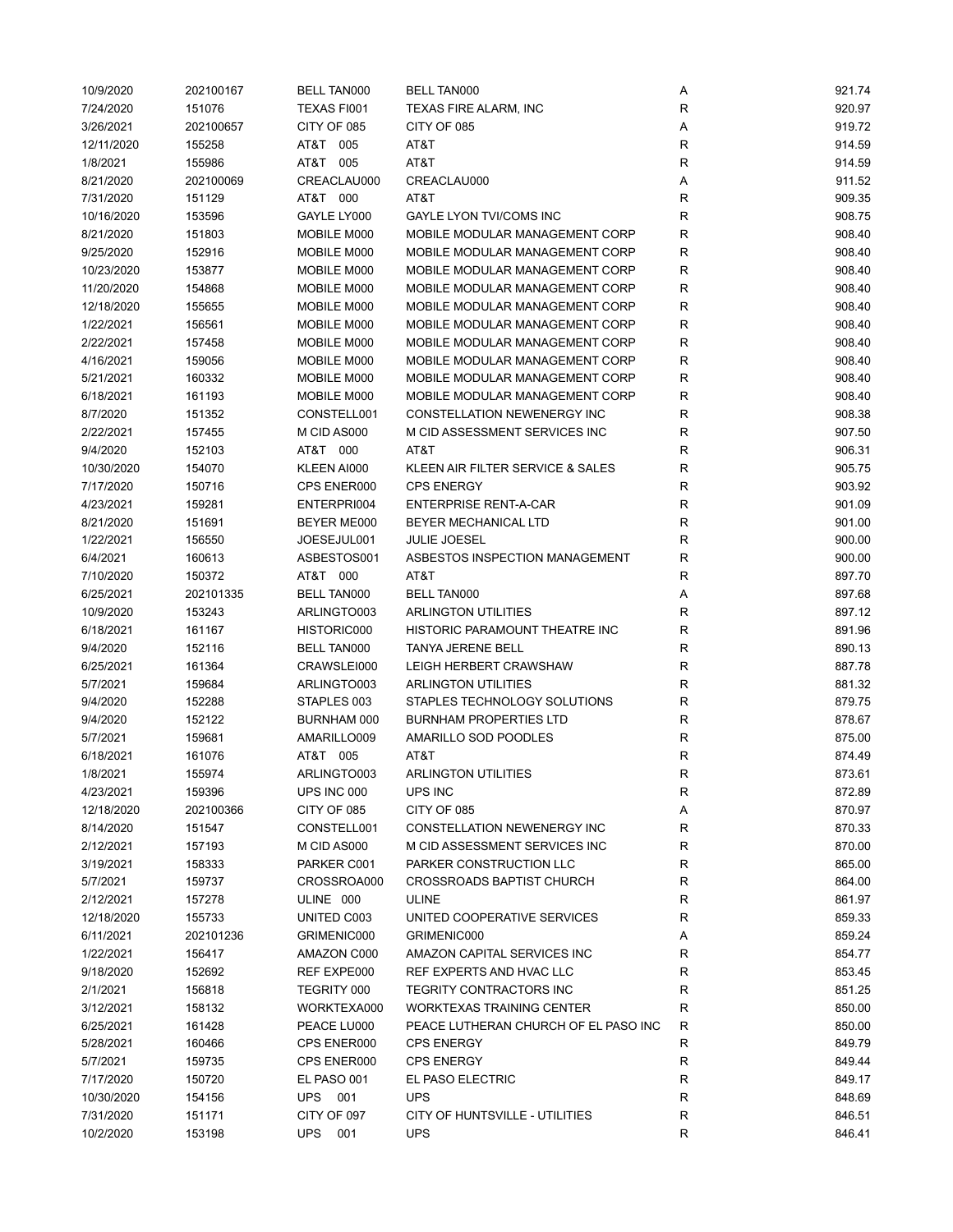| 10/9/2020  | 202100167 | <b>BELL TAN000</b> | <b>BELL TAN000</b>                   | Α           | 921.74 |
|------------|-----------|--------------------|--------------------------------------|-------------|--------|
| 7/24/2020  | 151076    | TEXAS FI001        | TEXAS FIRE ALARM, INC                | R           | 920.97 |
| 3/26/2021  | 202100657 | CITY OF 085        | CITY OF 085                          | Α           | 919.72 |
| 12/11/2020 | 155258    | AT&T 005           | AT&T                                 | R           | 914.59 |
| 1/8/2021   | 155986    | AT&T 005           | AT&T                                 | R           | 914.59 |
| 8/21/2020  | 202100069 | CREACLAU000        | CREACLAU000                          | Α           | 911.52 |
| 7/31/2020  | 151129    | AT&T 000           | AT&T                                 | $\mathsf R$ | 909.35 |
| 10/16/2020 | 153596    | GAYLE LY000        | <b>GAYLE LYON TVI/COMS INC</b>       | R           | 908.75 |
| 8/21/2020  | 151803    | MOBILE M000        | MOBILE MODULAR MANAGEMENT CORP       | R           | 908.40 |
| 9/25/2020  | 152916    | MOBILE M000        | MOBILE MODULAR MANAGEMENT CORP       | R           | 908.40 |
| 10/23/2020 | 153877    | MOBILE M000        | MOBILE MODULAR MANAGEMENT CORP       | R           | 908.40 |
| 11/20/2020 | 154868    | MOBILE M000        | MOBILE MODULAR MANAGEMENT CORP       | R           | 908.40 |
| 12/18/2020 | 155655    | MOBILE M000        | MOBILE MODULAR MANAGEMENT CORP       | R           | 908.40 |
| 1/22/2021  | 156561    | MOBILE M000        | MOBILE MODULAR MANAGEMENT CORP       | R           | 908.40 |
| 2/22/2021  | 157458    | MOBILE M000        | MOBILE MODULAR MANAGEMENT CORP       | R           | 908.40 |
| 4/16/2021  | 159056    | MOBILE M000        | MOBILE MODULAR MANAGEMENT CORP       | R           | 908.40 |
| 5/21/2021  | 160332    | MOBILE M000        | MOBILE MODULAR MANAGEMENT CORP       | R           | 908.40 |
| 6/18/2021  | 161193    | MOBILE M000        | MOBILE MODULAR MANAGEMENT CORP       | R           | 908.40 |
| 8/7/2020   | 151352    | CONSTELL001        | <b>CONSTELLATION NEWENERGY INC</b>   | R           | 908.38 |
| 2/22/2021  | 157455    | M CID AS000        | M CID ASSESSMENT SERVICES INC        | R           | 907.50 |
|            |           |                    |                                      |             |        |
| 9/4/2020   | 152103    | AT&T 000           | AT&T                                 | R           | 906.31 |
| 10/30/2020 | 154070    | KLEEN AI000        | KLEEN AIR FILTER SERVICE & SALES     | R           | 905.75 |
| 7/17/2020  | 150716    | CPS ENER000        | <b>CPS ENERGY</b>                    | R           | 903.92 |
| 4/23/2021  | 159281    | ENTERPRI004        | <b>ENTERPRISE RENT-A-CAR</b>         | R           | 901.09 |
| 8/21/2020  | 151691    | BEYER ME000        | BEYER MECHANICAL LTD                 | R           | 901.00 |
| 1/22/2021  | 156550    | JOESEJUL001        | <b>JULIE JOESEL</b>                  | R           | 900.00 |
| 6/4/2021   | 160613    | ASBESTOS001        | ASBESTOS INSPECTION MANAGEMENT       | R           | 900.00 |
| 7/10/2020  | 150372    | AT&T 000           | AT&T                                 | R           | 897.70 |
| 6/25/2021  | 202101335 | <b>BELL TAN000</b> | <b>BELL TAN000</b>                   | Α           | 897.68 |
| 10/9/2020  | 153243    | ARLINGTO003        | <b>ARLINGTON UTILITIES</b>           | R           | 897.12 |
| 6/18/2021  | 161167    | HISTORIC000        | HISTORIC PARAMOUNT THEATRE INC       | R           | 891.96 |
| 9/4/2020   | 152116    | <b>BELL TAN000</b> | TANYA JERENE BELL                    | R           | 890.13 |
| 6/25/2021  | 161364    | CRAWSLEI000        | LEIGH HERBERT CRAWSHAW               | R           | 887.78 |
| 5/7/2021   | 159684    | ARLINGTO003        | <b>ARLINGTON UTILITIES</b>           | R           | 881.32 |
| 9/4/2020   | 152288    | STAPLES 003        | STAPLES TECHNOLOGY SOLUTIONS         | R           | 879.75 |
| 9/4/2020   | 152122    | BURNHAM 000        | <b>BURNHAM PROPERTIES LTD</b>        | R           | 878.67 |
| 5/7/2021   | 159681    | AMARILLO009        | AMARILLO SOD POODLES                 | R           | 875.00 |
| 6/18/2021  | 161076    | AT&T 005           | AT&T                                 | R           | 874.49 |
| 1/8/2021   | 155974    | ARLINGTO003        | <b>ARLINGTON UTILITIES</b>           | R           | 873.61 |
| 4/23/2021  | 159396    | UPS INC 000        | UPS INC                              | R           | 872.89 |
| 12/18/2020 | 202100366 | CITY OF 085        | CITY OF 085                          | Α           | 870.97 |
| 8/14/2020  | 151547    | CONSTELL001        | CONSTELLATION NEWENERGY INC          | R           | 870.33 |
| 2/12/2021  | 157193    | M CID AS000        | M CID ASSESSMENT SERVICES INC        | R           | 870.00 |
| 3/19/2021  | 158333    | PARKER C001        | PARKER CONSTRUCTION LLC              | R           | 865.00 |
| 5/7/2021   | 159737    | CROSSROA000        | <b>CROSSROADS BAPTIST CHURCH</b>     | R           | 864.00 |
| 2/12/2021  | 157278    | ULINE 000          | ULINE                                | R           | 861.97 |
| 12/18/2020 | 155733    | UNITED C003        | UNITED COOPERATIVE SERVICES          | R           | 859.33 |
| 6/11/2021  | 202101236 | GRIMENIC000        | GRIMENIC000                          | Α           | 859.24 |
| 1/22/2021  | 156417    | AMAZON C000        | AMAZON CAPITAL SERVICES INC          | R           | 854.77 |
| 9/18/2020  | 152692    | REF EXPE000        | REF EXPERTS AND HVAC LLC             | R           | 853.45 |
| 2/1/2021   | 156818    | TEGRITY 000        | TEGRITY CONTRACTORS INC              | R           | 851.25 |
|            | 158132    |                    | WORKTEXAS TRAINING CENTER            | R           | 850.00 |
| 3/12/2021  |           | WORKTEXA000        |                                      |             |        |
| 6/25/2021  | 161428    | PEACE LU000        | PEACE LUTHERAN CHURCH OF EL PASO INC | R           | 850.00 |
| 5/28/2021  | 160466    | CPS ENER000        | <b>CPS ENERGY</b>                    | R           | 849.79 |
| 5/7/2021   | 159735    | CPS ENER000        | <b>CPS ENERGY</b>                    | R           | 849.44 |
| 7/17/2020  | 150720    | EL PASO 001        | EL PASO ELECTRIC                     | R           | 849.17 |
| 10/30/2020 | 154156    | <b>UPS</b><br>001  | <b>UPS</b>                           | R           | 848.69 |
| 7/31/2020  | 151171    | CITY OF 097        | CITY OF HUNTSVILLE - UTILITIES       | R           | 846.51 |
| 10/2/2020  | 153198    | <b>UPS</b><br>001  | <b>UPS</b>                           | R           | 846.41 |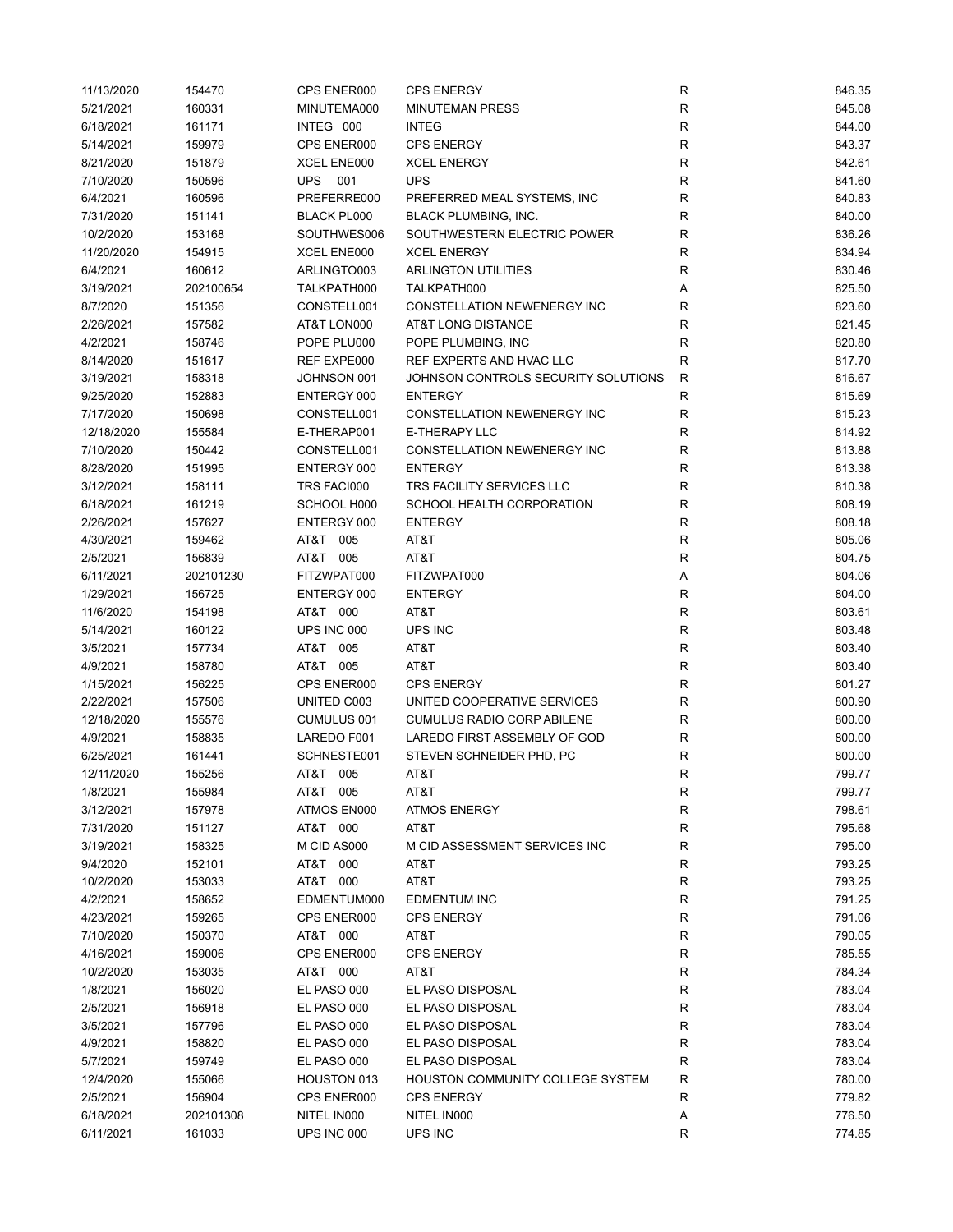| 11/13/2020 | 154470    | CPS ENER000        | <b>CPS ENERGY</b>                       | $\mathsf R$  | 846.35 |
|------------|-----------|--------------------|-----------------------------------------|--------------|--------|
| 5/21/2021  | 160331    | MINUTEMA000        | <b>MINUTEMAN PRESS</b>                  | R            | 845.08 |
| 6/18/2021  | 161171    | INTEG 000          | <b>INTEG</b>                            | $\mathsf R$  | 844.00 |
| 5/14/2021  | 159979    | CPS ENER000        | <b>CPS ENERGY</b>                       | $\mathsf{R}$ | 843.37 |
| 8/21/2020  | 151879    | XCEL ENE000        | <b>XCEL ENERGY</b>                      | $\mathsf{R}$ | 842.61 |
| 7/10/2020  | 150596    | <b>UPS</b><br>001  | <b>UPS</b>                              | R            | 841.60 |
| 6/4/2021   | 160596    | PREFERRE000        | PREFERRED MEAL SYSTEMS, INC             | R            | 840.83 |
| 7/31/2020  | 151141    | <b>BLACK PL000</b> | <b>BLACK PLUMBING, INC.</b>             | R            | 840.00 |
| 10/2/2020  | 153168    | SOUTHWES006        | SOUTHWESTERN ELECTRIC POWER             | R            | 836.26 |
| 11/20/2020 | 154915    | XCEL ENE000        | <b>XCEL ENERGY</b>                      | $\mathsf R$  | 834.94 |
| 6/4/2021   | 160612    | ARLINGTO003        | <b>ARLINGTON UTILITIES</b>              | R            | 830.46 |
| 3/19/2021  | 202100654 | TALKPATH000        | TALKPATH000                             | Α            | 825.50 |
| 8/7/2020   | 151356    | CONSTELL001        | CONSTELLATION NEWENERGY INC             | R            | 823.60 |
| 2/26/2021  | 157582    | AT&T LON000        | AT&T LONG DISTANCE                      | R            | 821.45 |
| 4/2/2021   | 158746    | POPE PLU000        | POPE PLUMBING, INC                      | $\mathsf R$  | 820.80 |
| 8/14/2020  | 151617    | REF EXPE000        | REF EXPERTS AND HVAC LLC                | R            | 817.70 |
| 3/19/2021  | 158318    | JOHNSON 001        | JOHNSON CONTROLS SECURITY SOLUTIONS     | R            | 816.67 |
| 9/25/2020  | 152883    | ENTERGY 000        | <b>ENTERGY</b>                          | $\mathsf{R}$ | 815.69 |
| 7/17/2020  | 150698    | CONSTELL001        | <b>CONSTELLATION NEWENERGY INC</b>      | R            | 815.23 |
| 12/18/2020 | 155584    | E-THERAP001        | E-THERAPY LLC                           | R            | 814.92 |
|            |           |                    |                                         |              |        |
| 7/10/2020  | 150442    | CONSTELL001        | CONSTELLATION NEWENERGY INC             | R            | 813.88 |
| 8/28/2020  | 151995    | ENTERGY 000        | <b>ENTERGY</b>                          | R            | 813.38 |
| 3/12/2021  | 158111    | TRS FACI000        | TRS FACILITY SERVICES LLC               | R            | 810.38 |
| 6/18/2021  | 161219    | SCHOOL H000        | SCHOOL HEALTH CORPORATION               | $\mathsf R$  | 808.19 |
| 2/26/2021  | 157627    | ENTERGY 000        | <b>ENTERGY</b>                          | $\mathsf{R}$ | 808.18 |
| 4/30/2021  | 159462    | AT&T 005           | AT&T                                    | $\mathsf{R}$ | 805.06 |
| 2/5/2021   | 156839    | AT&T 005           | AT&T                                    | $\mathsf{R}$ | 804.75 |
| 6/11/2021  | 202101230 | FITZWPAT000        | FITZWPAT000                             | Α            | 804.06 |
| 1/29/2021  | 156725    | ENTERGY 000        | <b>ENTERGY</b>                          | $\mathsf{R}$ | 804.00 |
| 11/6/2020  | 154198    | AT&T 000           | AT&T                                    | $\mathsf R$  | 803.61 |
| 5/14/2021  | 160122    | UPS INC 000        | UPS INC                                 | $\mathsf R$  | 803.48 |
| 3/5/2021   | 157734    | AT&T 005           | AT&T                                    | $\mathsf{R}$ | 803.40 |
| 4/9/2021   | 158780    | AT&T 005           | AT&T                                    | R            | 803.40 |
| 1/15/2021  | 156225    | CPS ENER000        | <b>CPS ENERGY</b>                       | R            | 801.27 |
| 2/22/2021  | 157506    | UNITED C003        | UNITED COOPERATIVE SERVICES             | R            | 800.90 |
| 12/18/2020 | 155576    | CUMULUS 001        | <b>CUMULUS RADIO CORP ABILENE</b>       | R            | 800.00 |
| 4/9/2021   | 158835    | LAREDO F001        | LAREDO FIRST ASSEMBLY OF GOD            | R            | 800.00 |
| 6/25/2021  | 161441    | SCHNESTE001        | STEVEN SCHNEIDER PHD, PC                | $\mathsf R$  | 800.00 |
| 12/11/2020 | 155256    | AT&T 005           | AT&T                                    | R            | 799.77 |
| 1/8/2021   | 155984    | AT&T 005           | AT&T                                    | R            | 799.77 |
| 3/12/2021  | 157978    | ATMOS EN000        | <b>ATMOS ENERGY</b>                     | R            | 798.61 |
| 7/31/2020  | 151127    | AT&T 000           | AT&T                                    | $\mathsf R$  | 795.68 |
| 3/19/2021  | 158325    | M CID AS000        | M CID ASSESSMENT SERVICES INC           | $\mathsf R$  | 795.00 |
| 9/4/2020   | 152101    | AT&T 000           | AT&T                                    | $\mathsf R$  | 793.25 |
| 10/2/2020  | 153033    | AT&T 000           | AT&T                                    | R            | 793.25 |
| 4/2/2021   | 158652    | EDMENTUM000        | <b>EDMENTUM INC</b>                     | R            | 791.25 |
| 4/23/2021  | 159265    | CPS ENER000        | <b>CPS ENERGY</b>                       | R            | 791.06 |
| 7/10/2020  | 150370    | AT&T 000           | AT&T                                    | R            | 790.05 |
| 4/16/2021  | 159006    | CPS ENER000        | <b>CPS ENERGY</b>                       | R            | 785.55 |
| 10/2/2020  | 153035    | AT&T 000           | AT&T                                    | R            | 784.34 |
|            |           |                    |                                         |              |        |
| 1/8/2021   | 156020    | EL PASO 000        | EL PASO DISPOSAL                        | $\mathsf{R}$ | 783.04 |
| 2/5/2021   | 156918    | EL PASO 000        | EL PASO DISPOSAL                        | $\mathsf{R}$ | 783.04 |
| 3/5/2021   | 157796    | EL PASO 000        | EL PASO DISPOSAL                        | $\mathsf R$  | 783.04 |
| 4/9/2021   | 158820    | EL PASO 000        | EL PASO DISPOSAL                        | R            | 783.04 |
| 5/7/2021   | 159749    | EL PASO 000        | EL PASO DISPOSAL                        | R            | 783.04 |
| 12/4/2020  | 155066    | HOUSTON 013        | <b>HOUSTON COMMUNITY COLLEGE SYSTEM</b> | R            | 780.00 |
| 2/5/2021   | 156904    | CPS ENER000        | <b>CPS ENERGY</b>                       | R            | 779.82 |
| 6/18/2021  | 202101308 | NITEL IN000        | NITEL IN000                             | Α            | 776.50 |
| 6/11/2021  | 161033    | UPS INC 000        | UPS INC                                 | $\mathsf{R}$ | 774.85 |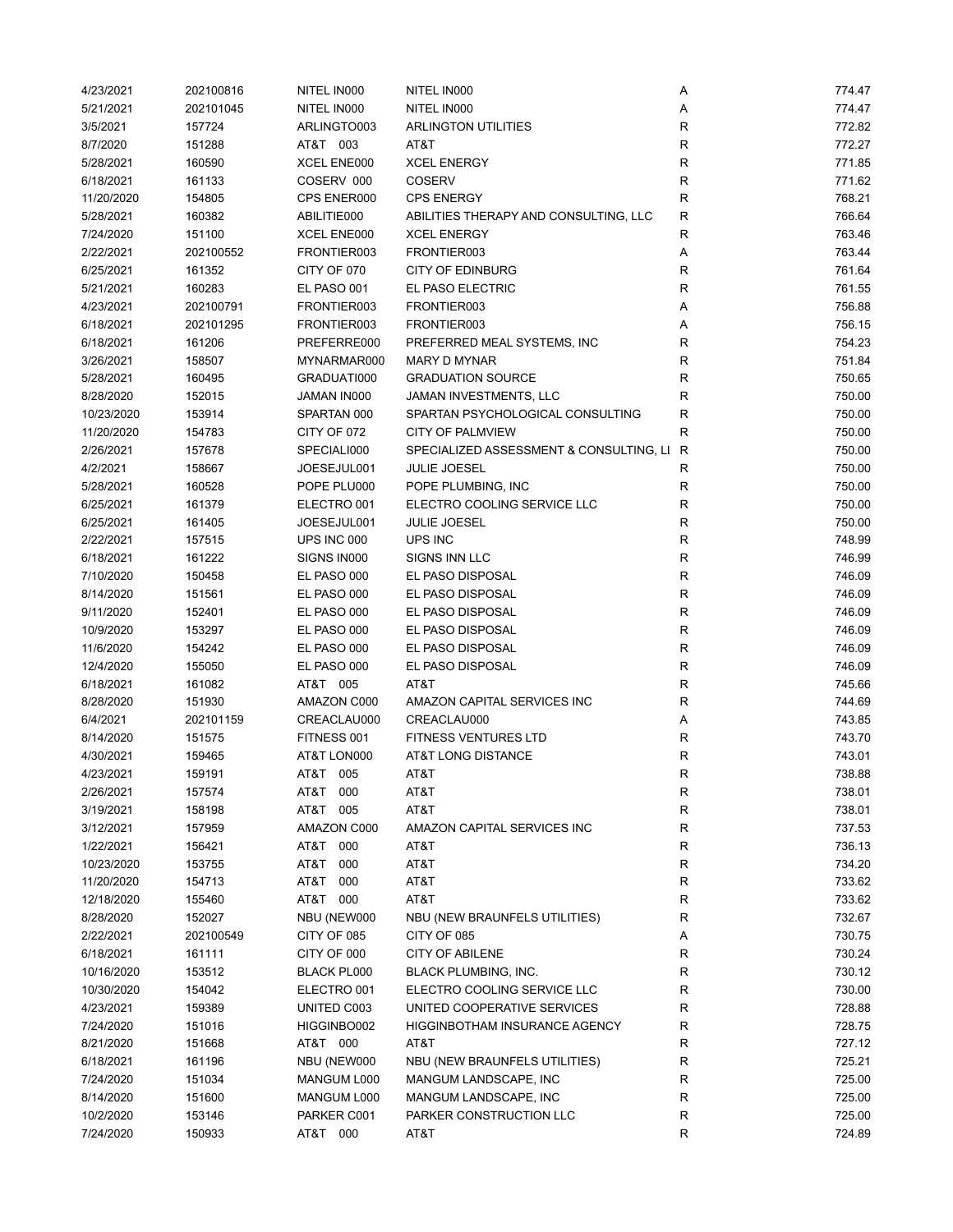| 4/23/2021  | 202100816 | NITEL IN000        | NITEL IN000                             | Α            | 774.47 |
|------------|-----------|--------------------|-----------------------------------------|--------------|--------|
| 5/21/2021  | 202101045 | NITEL IN000        | NITEL IN000                             | A            | 774.47 |
| 3/5/2021   | 157724    | ARLINGTO003        | <b>ARLINGTON UTILITIES</b>              | R            | 772.82 |
| 8/7/2020   | 151288    | AT&T 003           | AT&T                                    | R            | 772.27 |
| 5/28/2021  | 160590    | XCEL ENE000        | <b>XCEL ENERGY</b>                      | $\mathsf R$  | 771.85 |
| 6/18/2021  | 161133    | COSERV 000         | <b>COSERV</b>                           | $\mathsf R$  | 771.62 |
| 11/20/2020 | 154805    | CPS ENER000        | <b>CPS ENERGY</b>                       | R            | 768.21 |
| 5/28/2021  | 160382    | ABILITIE000        | ABILITIES THERAPY AND CONSULTING, LLC   | R            | 766.64 |
| 7/24/2020  | 151100    | XCEL ENE000        | <b>XCEL ENERGY</b>                      | R            | 763.46 |
| 2/22/2021  | 202100552 | FRONTIER003        | FRONTIER003                             | Α            | 763.44 |
| 6/25/2021  | 161352    | CITY OF 070        | <b>CITY OF EDINBURG</b>                 | $\mathsf R$  | 761.64 |
| 5/21/2021  | 160283    | EL PASO 001        | EL PASO ELECTRIC                        | $\mathsf R$  | 761.55 |
| 4/23/2021  | 202100791 | FRONTIER003        | FRONTIER003                             | Α            | 756.88 |
| 6/18/2021  | 202101295 | FRONTIER003        | FRONTIER003                             | Α            | 756.15 |
| 6/18/2021  | 161206    | PREFERRE000        | PREFERRED MEAL SYSTEMS, INC             | $\mathsf R$  | 754.23 |
| 3/26/2021  | 158507    | MYNARMAR000        | MARY D MYNAR                            | R            | 751.84 |
| 5/28/2021  | 160495    | GRADUATI000        | <b>GRADUATION SOURCE</b>                | R            | 750.65 |
| 8/28/2020  | 152015    | JAMAN IN000        | JAMAN INVESTMENTS, LLC                  | R            | 750.00 |
| 10/23/2020 | 153914    | SPARTAN 000        | SPARTAN PSYCHOLOGICAL CONSULTING        | R            | 750.00 |
|            |           |                    | <b>CITY OF PALMVIEW</b>                 | R            |        |
| 11/20/2020 | 154783    | CITY OF 072        |                                         |              | 750.00 |
| 2/26/2021  | 157678    | SPECIALI000        | SPECIALIZED ASSESSMENT & CONSULTING, LI | R            | 750.00 |
| 4/2/2021   | 158667    | JOESEJUL001        | <b>JULIE JOESEL</b>                     | R            | 750.00 |
| 5/28/2021  | 160528    | POPE PLU000        | POPE PLUMBING, INC                      | R            | 750.00 |
| 6/25/2021  | 161379    | ELECTRO 001        | ELECTRO COOLING SERVICE LLC             | $\mathsf R$  | 750.00 |
| 6/25/2021  | 161405    | JOESEJUL001        | <b>JULIE JOESEL</b>                     | $\mathsf R$  | 750.00 |
| 2/22/2021  | 157515    | UPS INC 000        | UPS INC                                 | $\mathsf{R}$ | 748.99 |
| 6/18/2021  | 161222    | SIGNS IN000        | <b>SIGNS INN LLC</b>                    | $\mathsf{R}$ | 746.99 |
| 7/10/2020  | 150458    | EL PASO 000        | EL PASO DISPOSAL                        | $\mathsf{R}$ | 746.09 |
| 8/14/2020  | 151561    | EL PASO 000        | EL PASO DISPOSAL                        | $\mathsf{R}$ | 746.09 |
| 9/11/2020  | 152401    | EL PASO 000        | EL PASO DISPOSAL                        | $\mathsf{R}$ | 746.09 |
| 10/9/2020  | 153297    | EL PASO 000        | EL PASO DISPOSAL                        | $\mathsf{R}$ | 746.09 |
| 11/6/2020  | 154242    | EL PASO 000        | EL PASO DISPOSAL                        | $\mathsf{R}$ | 746.09 |
| 12/4/2020  | 155050    | EL PASO 000        | EL PASO DISPOSAL                        | $\mathsf{R}$ | 746.09 |
| 6/18/2021  | 161082    | AT&T 005           | AT&T                                    | R            | 745.66 |
| 8/28/2020  | 151930    | AMAZON C000        | AMAZON CAPITAL SERVICES INC             | R            | 744.69 |
| 6/4/2021   | 202101159 | CREACLAU000        | CREACLAU000                             | Α            | 743.85 |
| 8/14/2020  | 151575    | FITNESS 001        | <b>FITNESS VENTURES LTD</b>             | R            | 743.70 |
| 4/30/2021  | 159465    | AT&T LON000        | AT&T LONG DISTANCE                      | $\mathsf R$  | 743.01 |
| 4/23/2021  | 159191    | AT&T<br>005        | AT&T                                    | R            | 738.88 |
| 2/26/2021  | 157574    | AT&T<br>000        | AT&T                                    | $\mathsf R$  | 738.01 |
| 3/19/2021  | 158198    | AT&T<br>005        | AT&T                                    | $\mathsf{R}$ | 738.01 |
| 3/12/2021  | 157959    | AMAZON C000        | AMAZON CAPITAL SERVICES INC             | $\mathsf R$  | 737.53 |
| 1/22/2021  | 156421    | AT&T<br>000        | AT&T                                    | $\mathsf{R}$ | 736.13 |
| 10/23/2020 | 153755    | AT&T<br>000        | AT&T                                    | R            | 734.20 |
| 11/20/2020 | 154713    | AT&T<br>000        | AT&T                                    | $\mathsf R$  | 733.62 |
| 12/18/2020 | 155460    | AT&T<br>000        | AT&T                                    | R            | 733.62 |
| 8/28/2020  | 152027    | NBU (NEW000        | NBU (NEW BRAUNFELS UTILITIES)           | R            | 732.67 |
| 2/22/2021  | 202100549 | CITY OF 085        | CITY OF 085                             | Α            | 730.75 |
| 6/18/2021  | 161111    | CITY OF 000        | <b>CITY OF ABILENE</b>                  | R            | 730.24 |
| 10/16/2020 | 153512    | <b>BLACK PL000</b> | <b>BLACK PLUMBING, INC.</b>             | R            | 730.12 |
|            |           |                    |                                         |              |        |
| 10/30/2020 | 154042    | ELECTRO 001        | ELECTRO COOLING SERVICE LLC             | R            | 730.00 |
| 4/23/2021  | 159389    | UNITED C003        | UNITED COOPERATIVE SERVICES             | $\mathsf R$  | 728.88 |
| 7/24/2020  | 151016    | HIGGINBO002        | HIGGINBOTHAM INSURANCE AGENCY           | $\mathsf R$  | 728.75 |
| 8/21/2020  | 151668    | AT&T 000           | AT&T                                    | $\mathsf{R}$ | 727.12 |
| 6/18/2021  | 161196    | NBU (NEW000        | NBU (NEW BRAUNFELS UTILITIES)           | R            | 725.21 |
| 7/24/2020  | 151034    | MANGUM L000        | MANGUM LANDSCAPE, INC                   | R            | 725.00 |
| 8/14/2020  | 151600    | MANGUM L000        | MANGUM LANDSCAPE, INC                   | R            | 725.00 |
| 10/2/2020  | 153146    | PARKER C001        | PARKER CONSTRUCTION LLC                 | R            | 725.00 |
| 7/24/2020  | 150933    | AT&T 000           | AT&T                                    | $\mathsf{R}$ | 724.89 |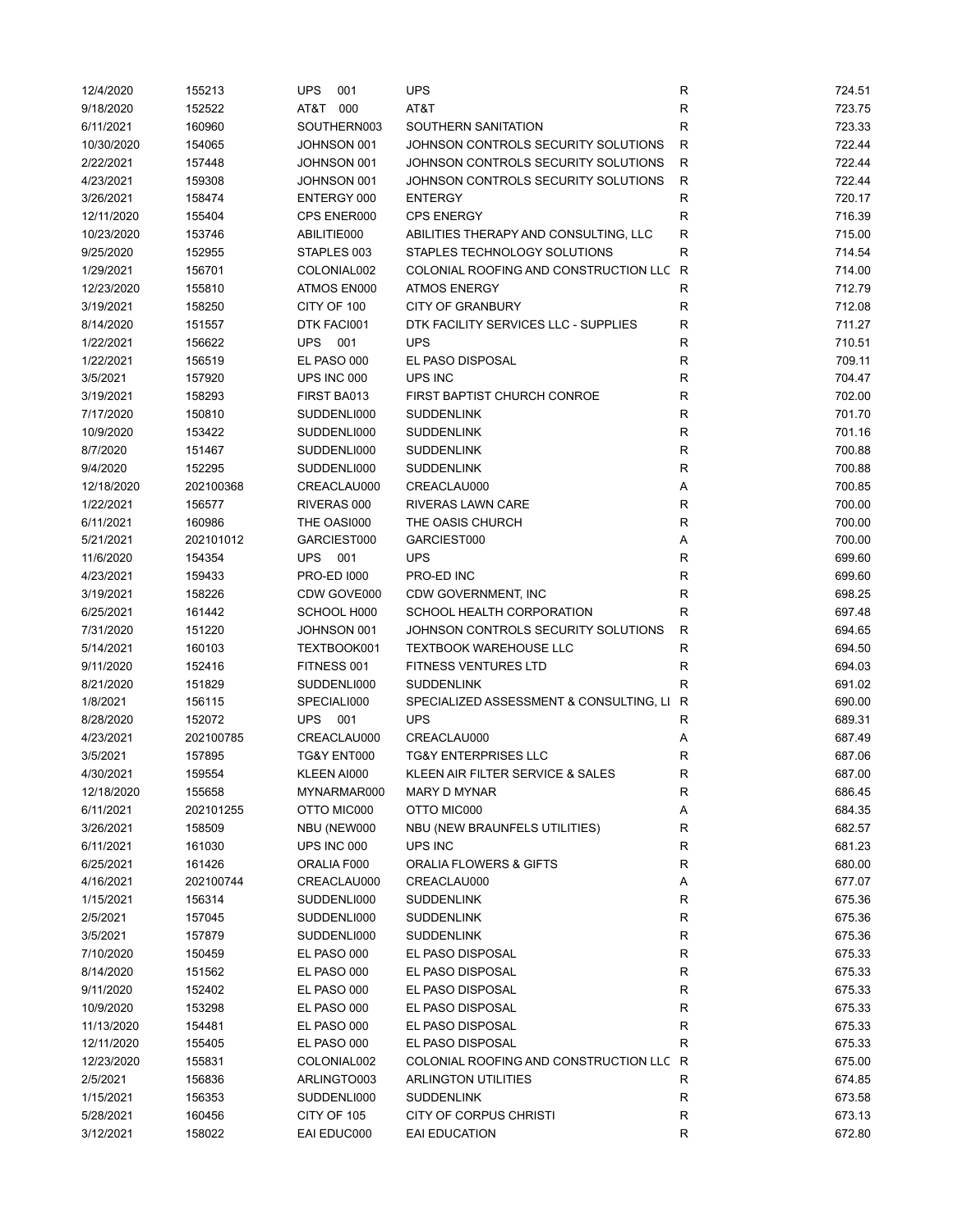| 12/4/2020  | 155213    | <b>UPS</b><br>001  | <b>UPS</b>                              | R           | 724.51 |
|------------|-----------|--------------------|-----------------------------------------|-------------|--------|
| 9/18/2020  | 152522    | AT&T<br>000        | AT&T                                    | R           | 723.75 |
| 6/11/2021  | 160960    | SOUTHERN003        | SOUTHERN SANITATION                     | R           | 723.33 |
| 10/30/2020 | 154065    | JOHNSON 001        | JOHNSON CONTROLS SECURITY SOLUTIONS     | R           | 722.44 |
| 2/22/2021  | 157448    | JOHNSON 001        | JOHNSON CONTROLS SECURITY SOLUTIONS     | R           | 722.44 |
| 4/23/2021  | 159308    | JOHNSON 001        | JOHNSON CONTROLS SECURITY SOLUTIONS     | R           | 722.44 |
| 3/26/2021  | 158474    | ENTERGY 000        | <b>ENTERGY</b>                          | R           | 720.17 |
| 12/11/2020 | 155404    | CPS ENER000        | <b>CPS ENERGY</b>                       | R           | 716.39 |
| 10/23/2020 | 153746    | ABILITIE000        | ABILITIES THERAPY AND CONSULTING, LLC   | R           | 715.00 |
| 9/25/2020  | 152955    | STAPLES 003        | STAPLES TECHNOLOGY SOLUTIONS            | R           | 714.54 |
| 1/29/2021  | 156701    | COLONIAL002        | COLONIAL ROOFING AND CONSTRUCTION LLC   | R           | 714.00 |
| 12/23/2020 | 155810    | ATMOS EN000        | <b>ATMOS ENERGY</b>                     | R           | 712.79 |
|            |           |                    |                                         |             |        |
| 3/19/2021  | 158250    | CITY OF 100        | <b>CITY OF GRANBURY</b>                 | R           | 712.08 |
| 8/14/2020  | 151557    | DTK FACI001        | DTK FACILITY SERVICES LLC - SUPPLIES    | $\mathsf R$ | 711.27 |
| 1/22/2021  | 156622    | <b>UPS</b><br>001  | <b>UPS</b>                              | R           | 710.51 |
| 1/22/2021  | 156519    | EL PASO 000        | EL PASO DISPOSAL                        | R           | 709.11 |
| 3/5/2021   | 157920    | UPS INC 000        | UPS INC                                 | R           | 704.47 |
| 3/19/2021  | 158293    | FIRST BA013        | FIRST BAPTIST CHURCH CONROE             | R           | 702.00 |
| 7/17/2020  | 150810    | SUDDENLI000        | <b>SUDDENLINK</b>                       | R           | 701.70 |
| 10/9/2020  | 153422    | SUDDENLI000        | <b>SUDDENLINK</b>                       | R           | 701.16 |
| 8/7/2020   | 151467    | SUDDENLI000        | <b>SUDDENLINK</b>                       | R           | 700.88 |
| 9/4/2020   | 152295    | SUDDENLI000        | <b>SUDDENLINK</b>                       | R           | 700.88 |
| 12/18/2020 | 202100368 | CREACLAU000        | CREACLAU000                             | Α           | 700.85 |
| 1/22/2021  | 156577    | RIVERAS 000        | RIVERAS LAWN CARE                       | R           | 700.00 |
| 6/11/2021  | 160986    | THE OASI000        | THE OASIS CHURCH                        | R           | 700.00 |
| 5/21/2021  | 202101012 | GARCIEST000        | GARCIEST000                             | Α           | 700.00 |
| 11/6/2020  | 154354    | <b>UPS</b><br>001  | <b>UPS</b>                              | R           | 699.60 |
| 4/23/2021  | 159433    | <b>PRO-ED 1000</b> | PRO-ED INC                              | R           | 699.60 |
| 3/19/2021  | 158226    | CDW GOVE000        | CDW GOVERNMENT, INC                     | R           | 698.25 |
| 6/25/2021  | 161442    | SCHOOL H000        | SCHOOL HEALTH CORPORATION               | R           | 697.48 |
| 7/31/2020  | 151220    | JOHNSON 001        | JOHNSON CONTROLS SECURITY SOLUTIONS     | R           | 694.65 |
| 5/14/2021  | 160103    | TEXTBOOK001        | <b>TEXTBOOK WAREHOUSE LLC</b>           | R           | 694.50 |
| 9/11/2020  | 152416    | FITNESS 001        | <b>FITNESS VENTURES LTD</b>             | R           | 694.03 |
|            |           |                    | <b>SUDDENLINK</b>                       | R           | 691.02 |
| 8/21/2020  | 151829    | SUDDENLI000        |                                         |             |        |
| 1/8/2021   | 156115    | SPECIALI000        | SPECIALIZED ASSESSMENT & CONSULTING, LI | R           | 690.00 |
| 8/28/2020  | 152072    | <b>UPS</b><br>001  | <b>UPS</b>                              | R           | 689.31 |
| 4/23/2021  | 202100785 | CREACLAU000        | CREACLAU000                             | Α           | 687.49 |
| 3/5/2021   | 157895    | TG&Y ENT000        | <b>TG&amp;Y ENTERPRISES LLC</b>         | R           | 687.06 |
| 4/30/2021  | 159554    | KLEEN AI000        | KLEEN AIR FILTER SERVICE & SALES        | R           | 687.00 |
| 12/18/2020 | 155658    | MYNARMAR000        | <b>MARY D MYNAR</b>                     | R           | 686.45 |
| 6/11/2021  | 202101255 | OTTO MIC000        | OTTO MIC000                             | Α           | 684.35 |
| 3/26/2021  | 158509    | NBU (NEW000        | NBU (NEW BRAUNFELS UTILITIES)           | R           | 682.57 |
| 6/11/2021  | 161030    | UPS INC 000        | UPS INC                                 | R           | 681.23 |
| 6/25/2021  | 161426    | ORALIA F000        | ORALIA FLOWERS & GIFTS                  | R           | 680.00 |
| 4/16/2021  | 202100744 | CREACLAU000        | CREACLAU000                             | Α           | 677.07 |
| 1/15/2021  | 156314    | SUDDENLI000        | <b>SUDDENLINK</b>                       | R           | 675.36 |
| 2/5/2021   | 157045    | SUDDENLI000        | <b>SUDDENLINK</b>                       | R           | 675.36 |
| 3/5/2021   | 157879    | SUDDENLI000        | <b>SUDDENLINK</b>                       | R           | 675.36 |
| 7/10/2020  | 150459    | EL PASO 000        | EL PASO DISPOSAL                        | R           | 675.33 |
| 8/14/2020  | 151562    | EL PASO 000        | EL PASO DISPOSAL                        | R           | 675.33 |
| 9/11/2020  | 152402    | EL PASO 000        | EL PASO DISPOSAL                        | R           | 675.33 |
| 10/9/2020  | 153298    | EL PASO 000        | EL PASO DISPOSAL                        | R           | 675.33 |
| 11/13/2020 | 154481    | EL PASO 000        | EL PASO DISPOSAL                        | R           | 675.33 |
| 12/11/2020 | 155405    | EL PASO 000        | EL PASO DISPOSAL                        | R           | 675.33 |
| 12/23/2020 | 155831    | COLONIAL002        | COLONIAL ROOFING AND CONSTRUCTION LLC R |             | 675.00 |
| 2/5/2021   | 156836    | ARLINGTO003        | <b>ARLINGTON UTILITIES</b>              | R           | 674.85 |
| 1/15/2021  | 156353    | SUDDENLI000        | <b>SUDDENLINK</b>                       | R           | 673.58 |
| 5/28/2021  | 160456    | CITY OF 105        | CITY OF CORPUS CHRISTI                  | R           | 673.13 |
|            |           |                    |                                         |             |        |
| 3/12/2021  | 158022    | EAI EDUC000        | EAI EDUCATION                           | R           | 672.80 |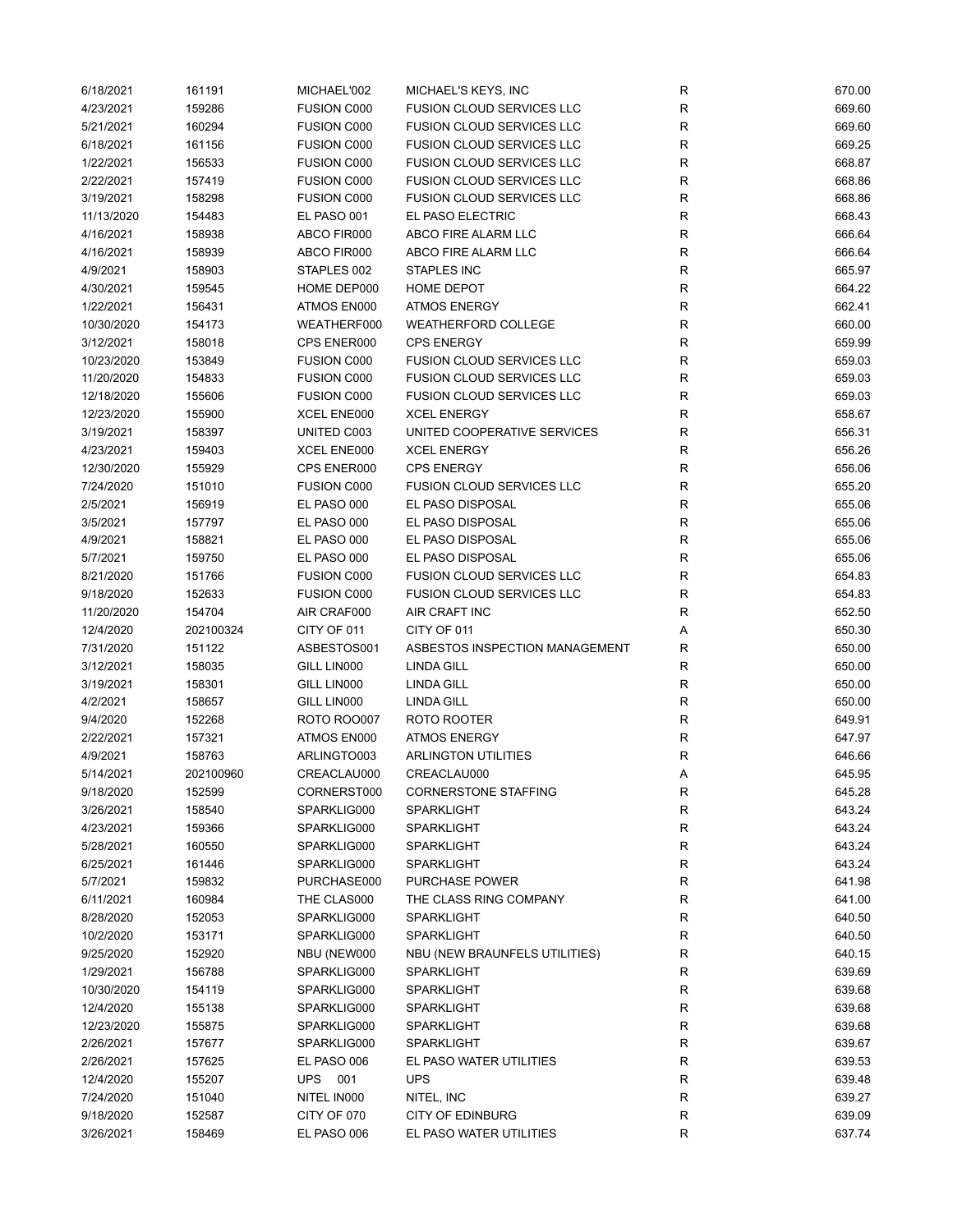| 6/18/2021  | 161191    | MICHAEL'002        | MICHAEL'S KEYS, INC              | R | 670.00 |
|------------|-----------|--------------------|----------------------------------|---|--------|
| 4/23/2021  | 159286    | <b>FUSION C000</b> | <b>FUSION CLOUD SERVICES LLC</b> | R | 669.60 |
| 5/21/2021  | 160294    | <b>FUSION C000</b> | <b>FUSION CLOUD SERVICES LLC</b> | R | 669.60 |
| 6/18/2021  | 161156    | <b>FUSION C000</b> | <b>FUSION CLOUD SERVICES LLC</b> | R | 669.25 |
| 1/22/2021  | 156533    | <b>FUSION C000</b> | <b>FUSION CLOUD SERVICES LLC</b> | R | 668.87 |
| 2/22/2021  | 157419    | <b>FUSION C000</b> | FUSION CLOUD SERVICES LLC        | R | 668.86 |
| 3/19/2021  | 158298    | <b>FUSION C000</b> | <b>FUSION CLOUD SERVICES LLC</b> | R | 668.86 |
| 11/13/2020 | 154483    | EL PASO 001        | EL PASO ELECTRIC                 | R | 668.43 |
| 4/16/2021  | 158938    | ABCO FIR000        | ABCO FIRE ALARM LLC              | R | 666.64 |
| 4/16/2021  | 158939    | ABCO FIR000        | ABCO FIRE ALARM LLC              | R | 666.64 |
| 4/9/2021   | 158903    | STAPLES 002        | STAPLES INC                      | R | 665.97 |
|            |           |                    |                                  | R |        |
| 4/30/2021  | 159545    | HOME DEP000        | HOME DEPOT                       |   | 664.22 |
| 1/22/2021  | 156431    | ATMOS EN000        | <b>ATMOS ENERGY</b>              | R | 662.41 |
| 10/30/2020 | 154173    | WEATHERF000        | WEATHERFORD COLLEGE              | R | 660.00 |
| 3/12/2021  | 158018    | CPS ENER000        | <b>CPS ENERGY</b>                | R | 659.99 |
| 10/23/2020 | 153849    | <b>FUSION C000</b> | <b>FUSION CLOUD SERVICES LLC</b> | R | 659.03 |
| 11/20/2020 | 154833    | <b>FUSION C000</b> | <b>FUSION CLOUD SERVICES LLC</b> | R | 659.03 |
| 12/18/2020 | 155606    | FUSION C000        | <b>FUSION CLOUD SERVICES LLC</b> | R | 659.03 |
| 12/23/2020 | 155900    | XCEL ENE000        | <b>XCEL ENERGY</b>               | R | 658.67 |
| 3/19/2021  | 158397    | UNITED C003        | UNITED COOPERATIVE SERVICES      | R | 656.31 |
| 4/23/2021  | 159403    | XCEL ENE000        | <b>XCEL ENERGY</b>               | R | 656.26 |
| 12/30/2020 | 155929    | CPS ENER000        | <b>CPS ENERGY</b>                | R | 656.06 |
| 7/24/2020  | 151010    | <b>FUSION C000</b> | <b>FUSION CLOUD SERVICES LLC</b> | R | 655.20 |
| 2/5/2021   | 156919    | EL PASO 000        | EL PASO DISPOSAL                 | R | 655.06 |
| 3/5/2021   | 157797    | EL PASO 000        | EL PASO DISPOSAL                 | R | 655.06 |
| 4/9/2021   | 158821    | EL PASO 000        | EL PASO DISPOSAL                 | R | 655.06 |
| 5/7/2021   | 159750    | EL PASO 000        | EL PASO DISPOSAL                 | R | 655.06 |
| 8/21/2020  | 151766    | <b>FUSION C000</b> | <b>FUSION CLOUD SERVICES LLC</b> | R | 654.83 |
| 9/18/2020  | 152633    | <b>FUSION C000</b> | <b>FUSION CLOUD SERVICES LLC</b> | R | 654.83 |
| 11/20/2020 | 154704    | AIR CRAF000        | AIR CRAFT INC                    | R | 652.50 |
| 12/4/2020  | 202100324 | CITY OF 011        | CITY OF 011                      | Α | 650.30 |
| 7/31/2020  | 151122    | ASBESTOS001        | ASBESTOS INSPECTION MANAGEMENT   | R | 650.00 |
| 3/12/2021  | 158035    | GILL LIN000        | <b>LINDA GILL</b>                | R | 650.00 |
| 3/19/2021  | 158301    | GILL LIN000        | <b>LINDA GILL</b>                | R | 650.00 |
| 4/2/2021   | 158657    | GILL LIN000        | <b>LINDA GILL</b>                | R | 650.00 |
|            |           |                    |                                  |   |        |
| 9/4/2020   | 152268    | ROTO ROO007        | ROTO ROOTER                      | R | 649.91 |
| 2/22/2021  | 157321    | ATMOS EN000        | <b>ATMOS ENERGY</b>              | R | 647.97 |
| 4/9/2021   | 158763    | ARLINGTO003        | <b>ARLINGTON UTILITIES</b>       | R | 646.66 |
| 5/14/2021  | 202100960 | CREACLAU000        | CREACLAU000                      | Α | 645.95 |
| 9/18/2020  | 152599    | CORNERST000        | <b>CORNERSTONE STAFFING</b>      | R | 645.28 |
| 3/26/2021  | 158540    | SPARKLIG000        | <b>SPARKLIGHT</b>                | R | 643.24 |
| 4/23/2021  | 159366    | SPARKLIG000        | <b>SPARKLIGHT</b>                | R | 643.24 |
| 5/28/2021  | 160550    | SPARKLIG000        | <b>SPARKLIGHT</b>                | R | 643.24 |
| 6/25/2021  | 161446    | SPARKLIG000        | SPARKLIGHT                       | R | 643.24 |
| 5/7/2021   | 159832    | PURCHASE000        | PURCHASE POWER                   | R | 641.98 |
| 6/11/2021  | 160984    | THE CLAS000        | THE CLASS RING COMPANY           | R | 641.00 |
| 8/28/2020  | 152053    | SPARKLIG000        | SPARKLIGHT                       | R | 640.50 |
| 10/2/2020  | 153171    | SPARKLIG000        | SPARKLIGHT                       | R | 640.50 |
| 9/25/2020  | 152920    | NBU (NEW000        | NBU (NEW BRAUNFELS UTILITIES)    | R | 640.15 |
| 1/29/2021  | 156788    | SPARKLIG000        | SPARKLIGHT                       | R | 639.69 |
| 10/30/2020 | 154119    | SPARKLIG000        | SPARKLIGHT                       | R | 639.68 |
| 12/4/2020  | 155138    | SPARKLIG000        | SPARKLIGHT                       | R | 639.68 |
| 12/23/2020 | 155875    | SPARKLIG000        | <b>SPARKLIGHT</b>                | R | 639.68 |
| 2/26/2021  | 157677    | SPARKLIG000        | SPARKLIGHT                       | R | 639.67 |
| 2/26/2021  | 157625    | EL PASO 006        | EL PASO WATER UTILITIES          | R | 639.53 |
| 12/4/2020  | 155207    | UPS<br>001         | <b>UPS</b>                       | R | 639.48 |
| 7/24/2020  | 151040    | NITEL IN000        | NITEL, INC                       | R | 639.27 |
| 9/18/2020  | 152587    | CITY OF 070        | <b>CITY OF EDINBURG</b>          | R | 639.09 |
| 3/26/2021  | 158469    | EL PASO 006        | EL PASO WATER UTILITIES          | R | 637.74 |
|            |           |                    |                                  |   |        |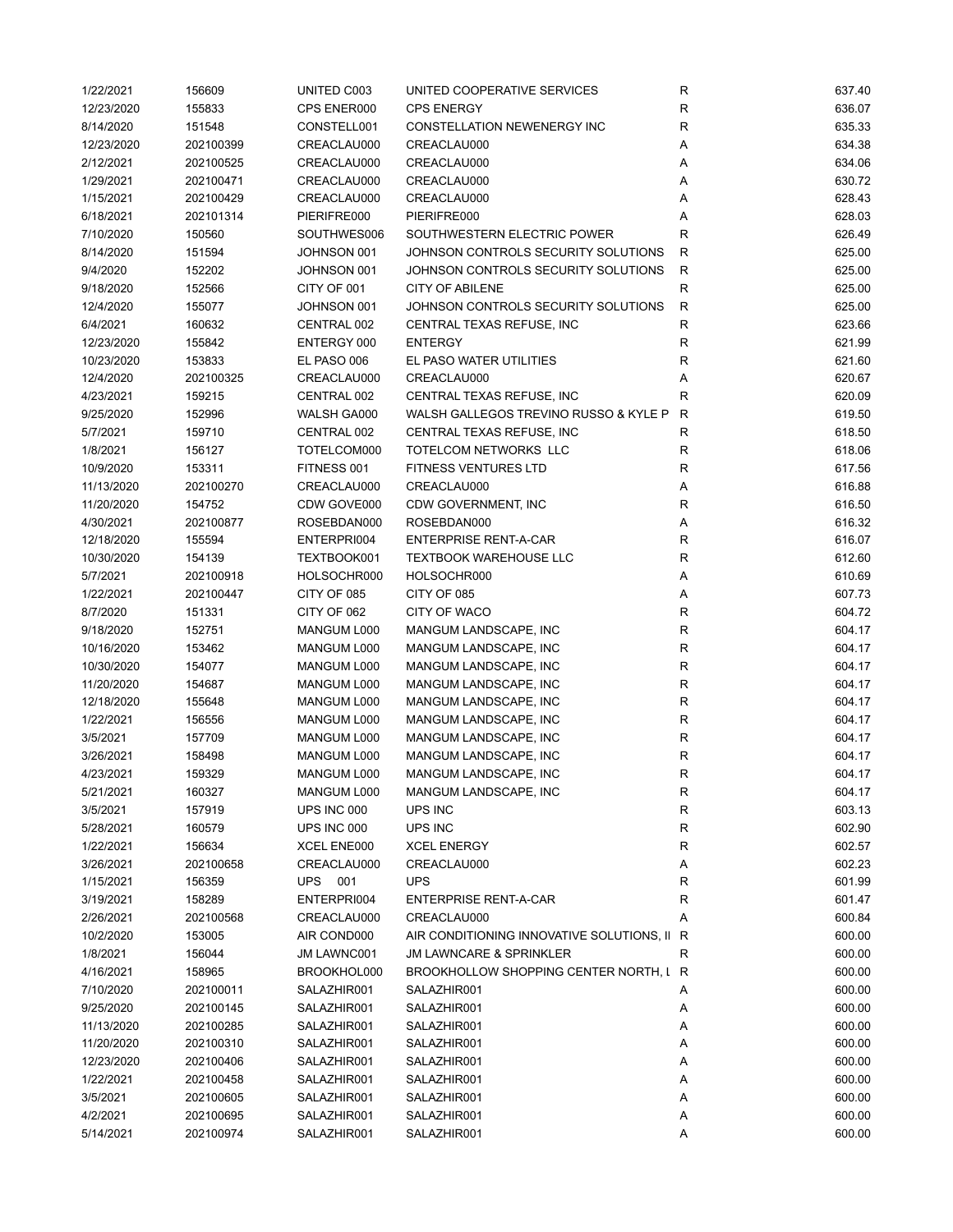| 1/22/2021  | 156609    | UNITED C003 | UNITED COOPERATIVE SERVICES               | $\mathsf R$  | 637.40 |
|------------|-----------|-------------|-------------------------------------------|--------------|--------|
| 12/23/2020 | 155833    | CPS ENER000 | <b>CPS ENERGY</b>                         | R            | 636.07 |
| 8/14/2020  | 151548    | CONSTELL001 | CONSTELLATION NEWENERGY INC               | $\mathsf R$  | 635.33 |
| 12/23/2020 | 202100399 | CREACLAU000 | CREACLAU000                               | Α            | 634.38 |
| 2/12/2021  | 202100525 | CREACLAU000 | CREACLAU000                               | Α            | 634.06 |
| 1/29/2021  | 202100471 | CREACLAU000 | CREACLAU000                               | Α            | 630.72 |
| 1/15/2021  | 202100429 | CREACLAU000 | CREACLAU000                               | Α            | 628.43 |
| 6/18/2021  | 202101314 | PIERIFRE000 | PIERIFRE000                               | Α            | 628.03 |
| 7/10/2020  | 150560    | SOUTHWES006 | SOUTHWESTERN ELECTRIC POWER               | R            | 626.49 |
| 8/14/2020  | 151594    | JOHNSON 001 | JOHNSON CONTROLS SECURITY SOLUTIONS       | R            | 625.00 |
| 9/4/2020   | 152202    | JOHNSON 001 | JOHNSON CONTROLS SECURITY SOLUTIONS       | $\mathsf{R}$ | 625.00 |
|            |           |             |                                           |              |        |
| 9/18/2020  | 152566    | CITY OF 001 | <b>CITY OF ABILENE</b>                    | $\mathsf{R}$ | 625.00 |
| 12/4/2020  | 155077    | JOHNSON 001 | JOHNSON CONTROLS SECURITY SOLUTIONS       | $\mathsf{R}$ | 625.00 |
| 6/4/2021   | 160632    | CENTRAL 002 | CENTRAL TEXAS REFUSE, INC                 | R            | 623.66 |
| 12/23/2020 | 155842    | ENTERGY 000 | <b>ENTERGY</b>                            | R            | 621.99 |
| 10/23/2020 | 153833    | EL PASO 006 | EL PASO WATER UTILITIES                   | R            | 621.60 |
| 12/4/2020  | 202100325 | CREACLAU000 | CREACLAU000                               | Α            | 620.67 |
| 4/23/2021  | 159215    | CENTRAL 002 | CENTRAL TEXAS REFUSE, INC                 | R            | 620.09 |
| 9/25/2020  | 152996    | WALSH GA000 | WALSH GALLEGOS TREVINO RUSSO & KYLE P     | R            | 619.50 |
| 5/7/2021   | 159710    | CENTRAL 002 | CENTRAL TEXAS REFUSE, INC                 | R            | 618.50 |
| 1/8/2021   | 156127    | TOTELCOM000 | TOTELCOM NETWORKS LLC                     | R            | 618.06 |
| 10/9/2020  | 153311    | FITNESS 001 | <b>FITNESS VENTURES LTD</b>               | R            | 617.56 |
| 11/13/2020 | 202100270 | CREACLAU000 | CREACLAU000                               | Α            | 616.88 |
| 11/20/2020 | 154752    | CDW GOVE000 | CDW GOVERNMENT, INC                       | $\mathsf{R}$ | 616.50 |
| 4/30/2021  | 202100877 | ROSEBDAN000 | ROSEBDAN000                               | Α            | 616.32 |
| 12/18/2020 | 155594    | ENTERPRI004 | <b>ENTERPRISE RENT-A-CAR</b>              | $\mathsf{R}$ | 616.07 |
| 10/30/2020 | 154139    | TEXTBOOK001 | <b>TEXTBOOK WAREHOUSE LLC</b>             | $\mathsf{R}$ | 612.60 |
| 5/7/2021   | 202100918 | HOLSOCHR000 | HOLSOCHR000                               | A            | 610.69 |
| 1/22/2021  | 202100447 | CITY OF 085 | CITY OF 085                               | Α            | 607.73 |
| 8/7/2020   | 151331    | CITY OF 062 | <b>CITY OF WACO</b>                       | $\mathsf{R}$ | 604.72 |
|            |           |             |                                           |              |        |
| 9/18/2020  | 152751    | MANGUM L000 | MANGUM LANDSCAPE, INC                     | $\mathsf{R}$ | 604.17 |
| 10/16/2020 | 153462    | MANGUM L000 | MANGUM LANDSCAPE, INC                     | $\mathsf{R}$ | 604.17 |
| 10/30/2020 | 154077    | MANGUM L000 | MANGUM LANDSCAPE, INC                     | $\mathsf{R}$ | 604.17 |
| 11/20/2020 | 154687    | MANGUM L000 | MANGUM LANDSCAPE, INC                     | R            | 604.17 |
| 12/18/2020 | 155648    | MANGUM L000 | MANGUM LANDSCAPE, INC                     | R            | 604.17 |
| 1/22/2021  | 156556    | MANGUM L000 | MANGUM LANDSCAPE, INC                     | R            | 604.17 |
| 3/5/2021   | 157709    | MANGUM L000 | MANGUM LANDSCAPE, INC                     | R            | 604.17 |
| 3/26/2021  | 158498    | MANGUM L000 | MANGUM LANDSCAPE, INC                     | R            | 604.17 |
| 4/23/2021  | 159329    | MANGUM L000 | MANGUM LANDSCAPE, INC                     | R            | 604.17 |
| 5/21/2021  | 160327    | MANGUM L000 | MANGUM LANDSCAPE, INC                     | $\mathsf R$  | 604.17 |
| 3/5/2021   | 157919    | UPS INC 000 | UPS INC                                   | $\mathsf R$  | 603.13 |
| 5/28/2021  | 160579    | UPS INC 000 | UPS INC                                   | $\mathsf R$  | 602.90 |
| 1/22/2021  | 156634    | XCEL ENE000 | <b>XCEL ENERGY</b>                        | R            | 602.57 |
| 3/26/2021  | 202100658 | CREACLAU000 | CREACLAU000                               | Α            | 602.23 |
| 1/15/2021  | 156359    | UPS 001     | <b>UPS</b>                                | R            | 601.99 |
| 3/19/2021  | 158289    | ENTERPRI004 | <b>ENTERPRISE RENT-A-CAR</b>              | R            | 601.47 |
| 2/26/2021  | 202100568 | CREACLAU000 | CREACLAU000                               | Α            | 600.84 |
| 10/2/2020  | 153005    | AIR COND000 | AIR CONDITIONING INNOVATIVE SOLUTIONS, II | R            | 600.00 |
| 1/8/2021   | 156044    | JM LAWNC001 | <b>JM LAWNCARE &amp; SPRINKLER</b>        | R            | 600.00 |
| 4/16/2021  | 158965    | BROOKHOL000 | BROOKHOLLOW SHOPPING CENTER NORTH, I R    |              | 600.00 |
| 7/10/2020  | 202100011 | SALAZHIR001 | SALAZHIR001                               | Α            | 600.00 |
| 9/25/2020  | 202100145 | SALAZHIR001 | SALAZHIR001                               | Α            | 600.00 |
|            |           |             |                                           |              |        |
| 11/13/2020 | 202100285 | SALAZHIR001 | SALAZHIR001                               | Α            | 600.00 |
| 11/20/2020 | 202100310 | SALAZHIR001 | SALAZHIR001                               | Α            | 600.00 |
| 12/23/2020 | 202100406 | SALAZHIR001 | SALAZHIR001                               | Α            | 600.00 |
| 1/22/2021  | 202100458 | SALAZHIR001 | SALAZHIR001                               | Α            | 600.00 |
| 3/5/2021   | 202100605 | SALAZHIR001 | SALAZHIR001                               | Α            | 600.00 |
| 4/2/2021   | 202100695 | SALAZHIR001 | SALAZHIR001                               | Α            | 600.00 |
| 5/14/2021  | 202100974 | SALAZHIR001 | SALAZHIR001                               | Α            | 600.00 |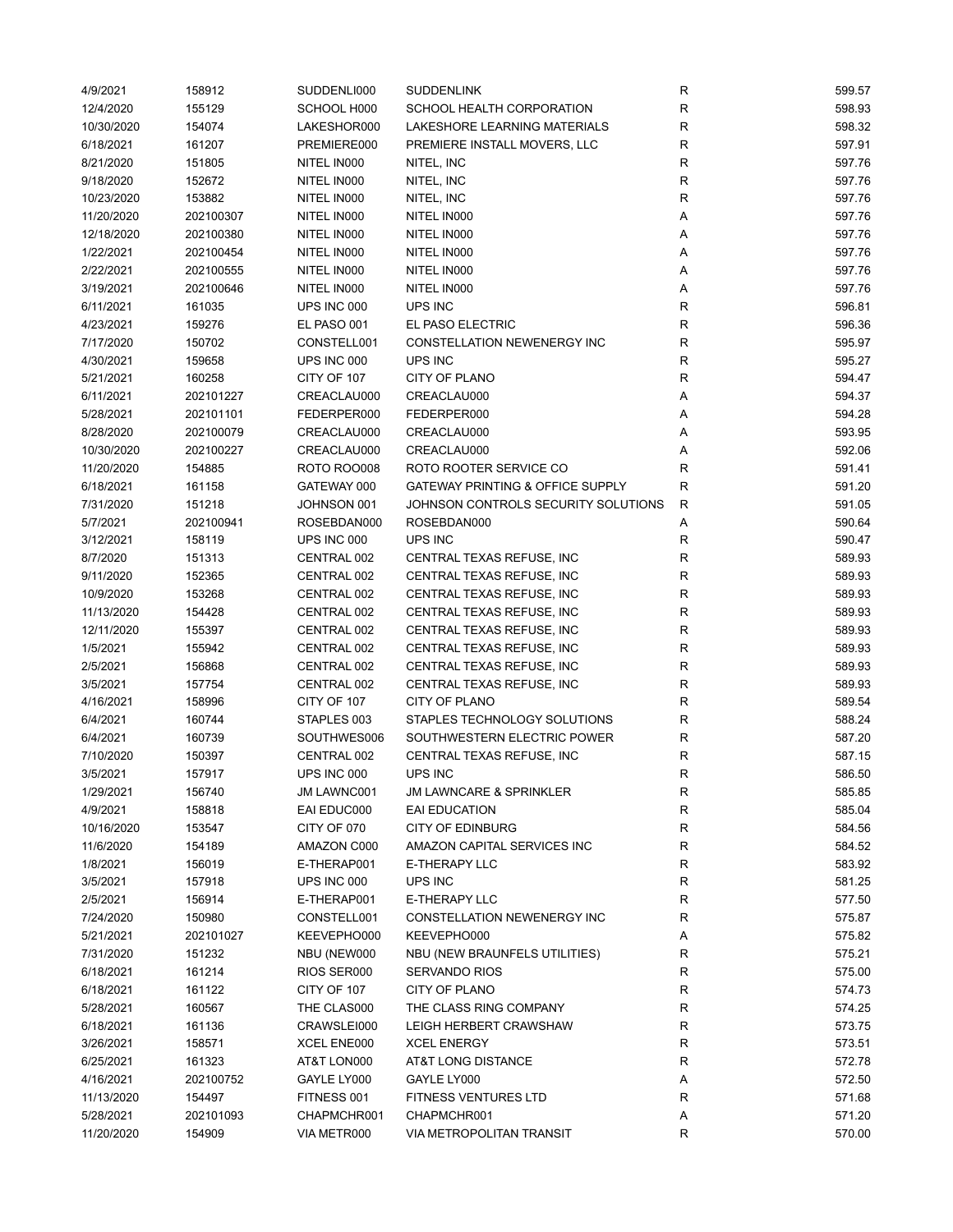| 4/9/2021   | 158912    | SUDDENLI000 | SUDDENLINK                                  | $\mathsf R$      | 599.57 |
|------------|-----------|-------------|---------------------------------------------|------------------|--------|
| 12/4/2020  | 155129    | SCHOOL H000 | SCHOOL HEALTH CORPORATION                   | R                | 598.93 |
| 10/30/2020 | 154074    | LAKESHOR000 | LAKESHORE LEARNING MATERIALS                | R                | 598.32 |
| 6/18/2021  | 161207    | PREMIERE000 | PREMIERE INSTALL MOVERS, LLC                | $\mathsf R$      | 597.91 |
| 8/21/2020  | 151805    | NITEL IN000 | NITEL, INC                                  | $\mathsf R$      | 597.76 |
| 9/18/2020  | 152672    | NITEL IN000 | NITEL, INC                                  | $\mathsf R$      | 597.76 |
| 10/23/2020 | 153882    | NITEL IN000 | NITEL, INC                                  | $\mathsf R$      | 597.76 |
| 11/20/2020 | 202100307 | NITEL IN000 | NITEL IN000                                 | Α                | 597.76 |
| 12/18/2020 | 202100380 | NITEL IN000 | NITEL IN000                                 | Α                | 597.76 |
|            |           |             |                                             |                  | 597.76 |
| 1/22/2021  | 202100454 | NITEL IN000 | NITEL IN000<br>NITEL IN000                  | Α                |        |
| 2/22/2021  | 202100555 | NITEL IN000 |                                             | Α                | 597.76 |
| 3/19/2021  | 202100646 | NITEL IN000 | NITEL IN000                                 | Α                | 597.76 |
| 6/11/2021  | 161035    | UPS INC 000 | UPS INC                                     | $\mathsf R$      | 596.81 |
| 4/23/2021  | 159276    | EL PASO 001 | EL PASO ELECTRIC                            | $\mathsf R$      | 596.36 |
| 7/17/2020  | 150702    | CONSTELL001 | CONSTELLATION NEWENERGY INC                 | $\mathsf R$      | 595.97 |
| 4/30/2021  | 159658    | UPS INC 000 | UPS INC                                     | $\mathsf R$      | 595.27 |
| 5/21/2021  | 160258    | CITY OF 107 | CITY OF PLANO                               | $\mathsf R$      | 594.47 |
| 6/11/2021  | 202101227 | CREACLAU000 | CREACLAU000                                 | Α                | 594.37 |
| 5/28/2021  | 202101101 | FEDERPER000 | FEDERPER000                                 | Α                | 594.28 |
| 8/28/2020  | 202100079 | CREACLAU000 | CREACLAU000                                 | Α                | 593.95 |
| 10/30/2020 | 202100227 | CREACLAU000 | CREACLAU000                                 | Α                | 592.06 |
| 11/20/2020 | 154885    | ROTO ROO008 | ROTO ROOTER SERVICE CO                      | R                | 591.41 |
| 6/18/2021  | 161158    | GATEWAY 000 | <b>GATEWAY PRINTING &amp; OFFICE SUPPLY</b> | R                | 591.20 |
| 7/31/2020  | 151218    | JOHNSON 001 | JOHNSON CONTROLS SECURITY SOLUTIONS         | R                | 591.05 |
| 5/7/2021   | 202100941 | ROSEBDAN000 | ROSEBDAN000                                 | Α                | 590.64 |
| 3/12/2021  | 158119    | UPS INC 000 | UPS INC                                     | R                | 590.47 |
| 8/7/2020   | 151313    | CENTRAL 002 | CENTRAL TEXAS REFUSE, INC                   | $\mathsf R$      | 589.93 |
| 9/11/2020  | 152365    | CENTRAL 002 | CENTRAL TEXAS REFUSE, INC                   | $\mathsf R$      | 589.93 |
| 10/9/2020  | 153268    | CENTRAL 002 | CENTRAL TEXAS REFUSE, INC                   | R                | 589.93 |
|            |           |             |                                             | $\mathsf R$      |        |
| 11/13/2020 | 154428    | CENTRAL 002 | CENTRAL TEXAS REFUSE, INC                   |                  | 589.93 |
| 12/11/2020 | 155397    | CENTRAL 002 | CENTRAL TEXAS REFUSE, INC                   | R                | 589.93 |
| 1/5/2021   | 155942    | CENTRAL 002 | CENTRAL TEXAS REFUSE, INC                   | R                | 589.93 |
| 2/5/2021   | 156868    | CENTRAL 002 | CENTRAL TEXAS REFUSE, INC                   | $\mathsf R$      | 589.93 |
| 3/5/2021   | 157754    | CENTRAL 002 | CENTRAL TEXAS REFUSE, INC                   | $\mathsf R$      | 589.93 |
| 4/16/2021  | 158996    | CITY OF 107 | <b>CITY OF PLANO</b>                        | R                | 589.54 |
| 6/4/2021   | 160744    | STAPLES 003 | STAPLES TECHNOLOGY SOLUTIONS                | R                | 588.24 |
| 6/4/2021   | 160739    | SOUTHWES006 | SOUTHWESTERN ELECTRIC POWER                 | R                | 587.20 |
| 7/10/2020  | 150397    | CENTRAL 002 | CENTRAL TEXAS REFUSE, INC                   | R                | 587.15 |
| 3/5/2021   | 157917    | UPS INC 000 | UPS INC                                     | R                | 586.50 |
| 1/29/2021  | 156740    | JM LAWNC001 | JM LAWNCARE & SPRINKLER                     | R                | 585.85 |
| 4/9/2021   | 158818    | EAI EDUC000 | EAI EDUCATION                               | R                | 585.04 |
| 10/16/2020 | 153547    | CITY OF 070 | <b>CITY OF EDINBURG</b>                     | R                | 584.56 |
| 11/6/2020  | 154189    | AMAZON C000 | AMAZON CAPITAL SERVICES INC                 | R                | 584.52 |
| 1/8/2021   | 156019    | E-THERAP001 | E-THERAPY LLC                               | R                | 583.92 |
| 3/5/2021   | 157918    | UPS INC 000 | UPS INC                                     | R                | 581.25 |
| 2/5/2021   | 156914    | E-THERAP001 | E-THERAPY LLC                               | R                | 577.50 |
| 7/24/2020  | 150980    | CONSTELL001 | CONSTELLATION NEWENERGY INC                 | $\mathsf R$      | 575.87 |
| 5/21/2021  | 202101027 | KEEVEPHO000 | KEEVEPHO000                                 | Α                | 575.82 |
| 7/31/2020  | 151232    | NBU (NEW000 | NBU (NEW BRAUNFELS UTILITIES)               | R                | 575.21 |
| 6/18/2021  | 161214    | RIOS SER000 | SERVANDO RIOS                               | R                | 575.00 |
| 6/18/2021  | 161122    | CITY OF 107 | CITY OF PLANO                               | R                | 574.73 |
| 5/28/2021  | 160567    | THE CLAS000 | THE CLASS RING COMPANY                      | R                | 574.25 |
| 6/18/2021  | 161136    | CRAWSLEI000 | LEIGH HERBERT CRAWSHAW                      | R                | 573.75 |
|            |           |             |                                             |                  |        |
| 3/26/2021  | 158571    | XCEL ENE000 | <b>XCEL ENERGY</b>                          | R<br>$\mathsf R$ | 573.51 |
| 6/25/2021  | 161323    | AT&T LON000 | AT&T LONG DISTANCE                          |                  | 572.78 |
| 4/16/2021  | 202100752 | GAYLE LY000 | GAYLE LY000                                 | Α                | 572.50 |
| 11/13/2020 | 154497    | FITNESS 001 | <b>FITNESS VENTURES LTD</b>                 | R                | 571.68 |
| 5/28/2021  | 202101093 | CHAPMCHR001 | CHAPMCHR001                                 | Α                | 571.20 |
| 11/20/2020 | 154909    | VIA METR000 | <b>VIA METROPOLITAN TRANSIT</b>             | R                | 570.00 |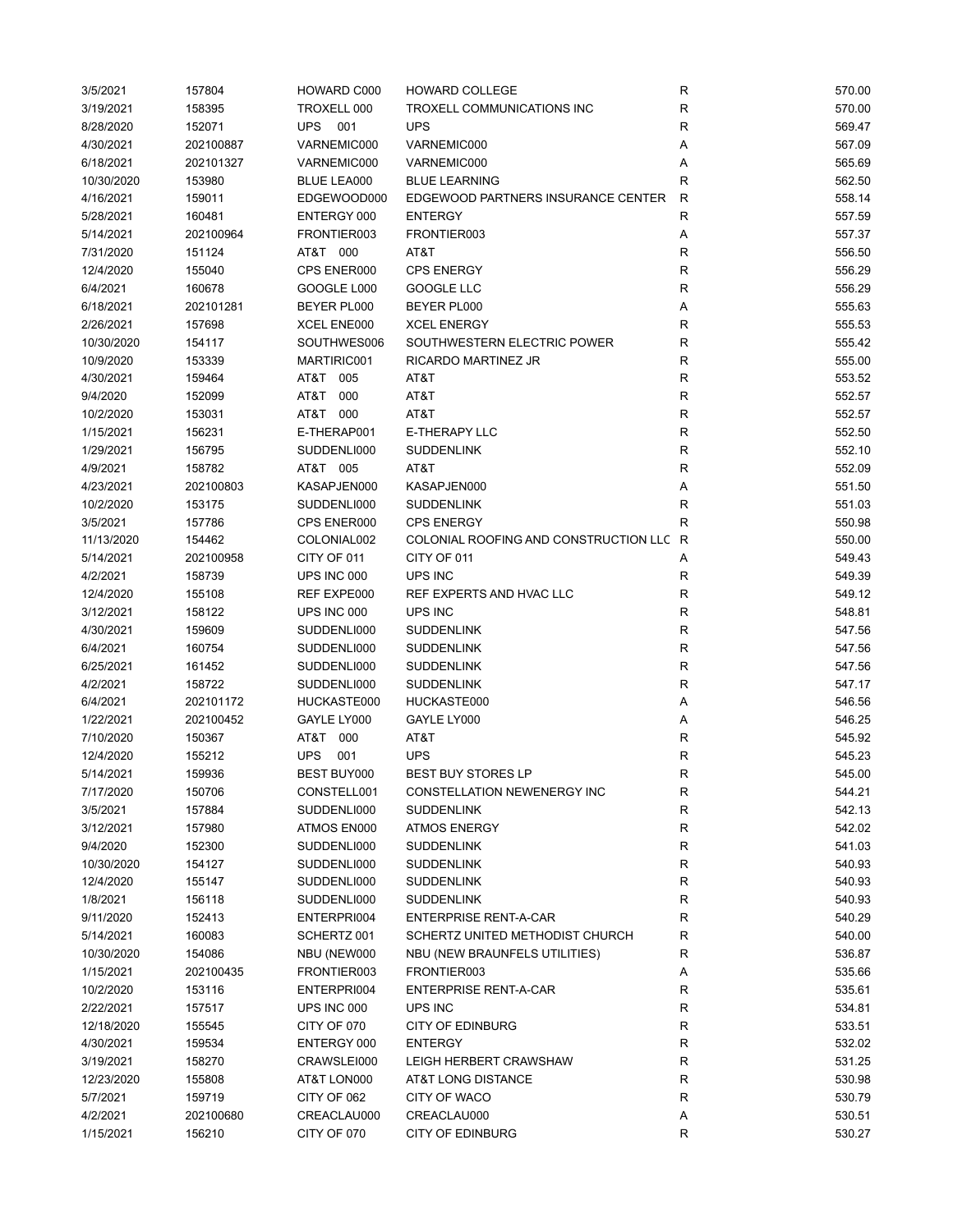| 3/5/2021   | 157804    | HOWARD C000        | <b>HOWARD COLLEGE</b>                 | $\mathsf{R}$ | 570.00 |
|------------|-----------|--------------------|---------------------------------------|--------------|--------|
| 3/19/2021  | 158395    | TROXELL 000        | TROXELL COMMUNICATIONS INC            | R            | 570.00 |
| 8/28/2020  | 152071    | <b>UPS</b><br>001  | <b>UPS</b>                            | $\mathsf R$  | 569.47 |
| 4/30/2021  | 202100887 | VARNEMIC000        | VARNEMIC000                           | Α            | 567.09 |
| 6/18/2021  | 202101327 | VARNEMIC000        | VARNEMIC000                           | Α            | 565.69 |
| 10/30/2020 | 153980    | <b>BLUE LEA000</b> | <b>BLUE LEARNING</b>                  | R            | 562.50 |
| 4/16/2021  | 159011    | EDGEWOOD000        | EDGEWOOD PARTNERS INSURANCE CENTER    | R            | 558.14 |
|            |           |                    |                                       |              | 557.59 |
| 5/28/2021  | 160481    | ENTERGY 000        | <b>ENTERGY</b>                        | R            |        |
| 5/14/2021  | 202100964 | FRONTIER003        | FRONTIER003                           | Α            | 557.37 |
| 7/31/2020  | 151124    | AT&T 000           | AT&T                                  | R            | 556.50 |
| 12/4/2020  | 155040    | CPS ENER000        | <b>CPS ENERGY</b>                     | $\mathsf R$  | 556.29 |
| 6/4/2021   | 160678    | GOOGLE L000        | GOOGLE LLC                            | R            | 556.29 |
| 6/18/2021  | 202101281 | BEYER PL000        | BEYER PL000                           | Α            | 555.63 |
| 2/26/2021  | 157698    | XCEL ENE000        | <b>XCEL ENERGY</b>                    | R            | 555.53 |
| 10/30/2020 | 154117    | SOUTHWES006        | SOUTHWESTERN ELECTRIC POWER           | R            | 555.42 |
| 10/9/2020  | 153339    | MARTIRIC001        | RICARDO MARTINEZ JR                   | $\mathsf R$  | 555.00 |
| 4/30/2021  | 159464    | AT&T 005           | AT&T                                  | R            | 553.52 |
| 9/4/2020   | 152099    | AT&T<br>000        | AT&T                                  | R            | 552.57 |
| 10/2/2020  | 153031    | AT&T<br>000        | AT&T                                  | R            | 552.57 |
| 1/15/2021  | 156231    | E-THERAP001        | <b>E-THERAPY LLC</b>                  | R            | 552.50 |
| 1/29/2021  | 156795    | SUDDENLI000        | <b>SUDDENLINK</b>                     | R            | 552.10 |
| 4/9/2021   | 158782    | AT&T 005           | AT&T                                  | R            | 552.09 |
| 4/23/2021  | 202100803 | KASAPJEN000        | KASAPJEN000                           | Α            | 551.50 |
| 10/2/2020  | 153175    | SUDDENLI000        | <b>SUDDENLINK</b>                     | R            | 551.03 |
| 3/5/2021   | 157786    | CPS ENER000        | <b>CPS ENERGY</b>                     | R            | 550.98 |
| 11/13/2020 | 154462    | COLONIAL002        | COLONIAL ROOFING AND CONSTRUCTION LLC | R            | 550.00 |
|            |           |                    |                                       |              |        |
| 5/14/2021  | 202100958 | CITY OF 011        | CITY OF 011                           | Α            | 549.43 |
| 4/2/2021   | 158739    | UPS INC 000        | UPS INC                               | R            | 549.39 |
| 12/4/2020  | 155108    | REF EXPE000        | REF EXPERTS AND HVAC LLC              | R            | 549.12 |
| 3/12/2021  | 158122    | UPS INC 000        | UPS INC                               | $\mathsf R$  | 548.81 |
| 4/30/2021  | 159609    | SUDDENLI000        | <b>SUDDENLINK</b>                     | $\mathsf R$  | 547.56 |
| 6/4/2021   | 160754    | SUDDENLI000        | <b>SUDDENLINK</b>                     | R            | 547.56 |
| 6/25/2021  | 161452    | SUDDENLI000        | <b>SUDDENLINK</b>                     | $\mathsf R$  | 547.56 |
| 4/2/2021   | 158722    | SUDDENLI000        | <b>SUDDENLINK</b>                     | R            | 547.17 |
| 6/4/2021   | 202101172 | HUCKASTE000        | HUCKASTE000                           | Α            | 546.56 |
| 1/22/2021  | 202100452 | GAYLE LY000        | GAYLE LY000                           | Α            | 546.25 |
| 7/10/2020  | 150367    | AT&T 000           | AT&T                                  | R            | 545.92 |
| 12/4/2020  | 155212    | UPS<br>001         | <b>UPS</b>                            | R            | 545.23 |
| 5/14/2021  | 159936    | BEST BUY000        | BEST BUY STORES LP                    | R            | 545.00 |
| 7/17/2020  | 150706    | CONSTELL001        | CONSTELLATION NEWENERGY INC           | R            | 544.21 |
| 3/5/2021   | 157884    | SUDDENLI000        | <b>SUDDENLINK</b>                     | R            | 542.13 |
| 3/12/2021  | 157980    | ATMOS EN000        | <b>ATMOS ENERGY</b>                   | $\mathsf R$  | 542.02 |
| 9/4/2020   | 152300    | SUDDENLI000        | <b>SUDDENLINK</b>                     | R            | 541.03 |
| 10/30/2020 | 154127    | SUDDENLI000        | <b>SUDDENLINK</b>                     | R            | 540.93 |
| 12/4/2020  | 155147    | SUDDENLI000        | <b>SUDDENLINK</b>                     | R            | 540.93 |
| 1/8/2021   | 156118    | SUDDENLI000        | <b>SUDDENLINK</b>                     | R            | 540.93 |
|            |           |                    |                                       | $\mathsf R$  |        |
| 9/11/2020  | 152413    | ENTERPRI004        | <b>ENTERPRISE RENT-A-CAR</b>          |              | 540.29 |
| 5/14/2021  | 160083    | SCHERTZ 001        | SCHERTZ UNITED METHODIST CHURCH       | R            | 540.00 |
| 10/30/2020 | 154086    | NBU (NEW000        | NBU (NEW BRAUNFELS UTILITIES)         | R            | 536.87 |
| 1/15/2021  | 202100435 | FRONTIER003        | FRONTIER003                           | A            | 535.66 |
| 10/2/2020  | 153116    | ENTERPRI004        | <b>ENTERPRISE RENT-A-CAR</b>          | R            | 535.61 |
| 2/22/2021  | 157517    | UPS INC 000        | UPS INC                               | R            | 534.81 |
| 12/18/2020 | 155545    | CITY OF 070        | <b>CITY OF EDINBURG</b>               | R            | 533.51 |
| 4/30/2021  | 159534    | ENTERGY 000        | ENTERGY                               | R            | 532.02 |
| 3/19/2021  | 158270    | CRAWSLEI000        | LEIGH HERBERT CRAWSHAW                | R            | 531.25 |
| 12/23/2020 | 155808    | AT&T LON000        | AT&T LONG DISTANCE                    | R            | 530.98 |
| 5/7/2021   | 159719    | CITY OF 062        | CITY OF WACO                          | R            | 530.79 |
| 4/2/2021   | 202100680 | CREACLAU000        | CREACLAU000                           | Α            | 530.51 |
| 1/15/2021  | 156210    | CITY OF 070        | <b>CITY OF EDINBURG</b>               | R            | 530.27 |
|            |           |                    |                                       |              |        |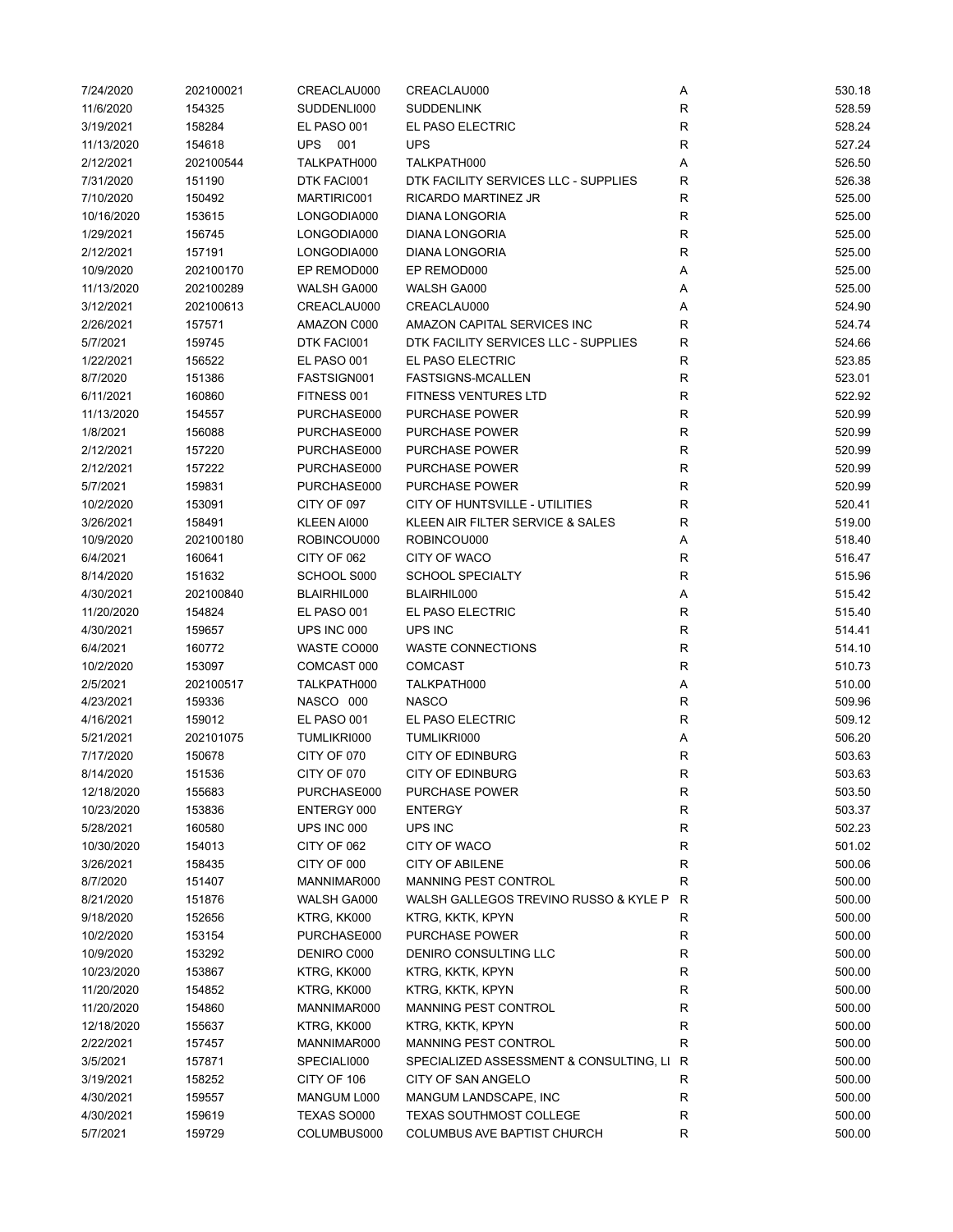| 7/24/2020  | 202100021 | CREACLAU000       | CREACLAU000                               | Α           | 530.18 |
|------------|-----------|-------------------|-------------------------------------------|-------------|--------|
| 11/6/2020  | 154325    | SUDDENLI000       | <b>SUDDENLINK</b>                         | R           | 528.59 |
| 3/19/2021  | 158284    | EL PASO 001       | EL PASO ELECTRIC                          | R           | 528.24 |
| 11/13/2020 | 154618    | <b>UPS</b><br>001 | <b>UPS</b>                                | $\mathsf R$ | 527.24 |
| 2/12/2021  | 202100544 | TALKPATH000       | TALKPATH000                               | Α           | 526.50 |
| 7/31/2020  | 151190    | DTK FACI001       | DTK FACILITY SERVICES LLC - SUPPLIES      | R           | 526.38 |
| 7/10/2020  | 150492    | MARTIRIC001       | RICARDO MARTINEZ JR                       | R           | 525.00 |
| 10/16/2020 | 153615    | LONGODIA000       | DIANA LONGORIA                            | R           | 525.00 |
| 1/29/2021  | 156745    | LONGODIA000       | <b>DIANA LONGORIA</b>                     | $\mathsf R$ | 525.00 |
| 2/12/2021  | 157191    | LONGODIA000       | <b>DIANA LONGORIA</b>                     | $\mathsf R$ | 525.00 |
|            |           |                   |                                           |             |        |
| 10/9/2020  | 202100170 | EP REMOD000       | EP REMOD000                               | Α           | 525.00 |
| 11/13/2020 | 202100289 | WALSH GA000       | WALSH GA000                               | Α           | 525.00 |
| 3/12/2021  | 202100613 | CREACLAU000       | CREACLAU000                               | Α           | 524.90 |
| 2/26/2021  | 157571    | AMAZON C000       | AMAZON CAPITAL SERVICES INC               | R           | 524.74 |
| 5/7/2021   | 159745    | DTK FACI001       | DTK FACILITY SERVICES LLC - SUPPLIES      | R           | 524.66 |
| 1/22/2021  | 156522    | EL PASO 001       | EL PASO ELECTRIC                          | R           | 523.85 |
| 8/7/2020   | 151386    | FASTSIGN001       | <b>FASTSIGNS-MCALLEN</b>                  | $\mathsf R$ | 523.01 |
| 6/11/2021  | 160860    | FITNESS 001       | <b>FITNESS VENTURES LTD</b>               | $\mathsf R$ | 522.92 |
| 11/13/2020 | 154557    | PURCHASE000       | <b>PURCHASE POWER</b>                     | R           | 520.99 |
| 1/8/2021   | 156088    | PURCHASE000       | <b>PURCHASE POWER</b>                     | R           | 520.99 |
| 2/12/2021  | 157220    | PURCHASE000       | <b>PURCHASE POWER</b>                     | R           | 520.99 |
| 2/12/2021  | 157222    | PURCHASE000       | <b>PURCHASE POWER</b>                     | R           | 520.99 |
| 5/7/2021   | 159831    | PURCHASE000       | <b>PURCHASE POWER</b>                     | R           | 520.99 |
| 10/2/2020  | 153091    | CITY OF 097       | CITY OF HUNTSVILLE - UTILITIES            | $\mathsf R$ | 520.41 |
| 3/26/2021  | 158491    | KLEEN AI000       | KLEEN AIR FILTER SERVICE & SALES          | $\mathsf R$ | 519.00 |
| 10/9/2020  | 202100180 | ROBINCOU000       | ROBINCOU000                               | Α           | 518.40 |
| 6/4/2021   | 160641    | CITY OF 062       | CITY OF WACO                              | $\mathsf R$ | 516.47 |
| 8/14/2020  | 151632    | SCHOOL S000       | <b>SCHOOL SPECIALTY</b>                   | $\mathsf R$ | 515.96 |
| 4/30/2021  | 202100840 | BLAIRHIL000       | BLAIRHIL000                               |             | 515.42 |
|            |           |                   |                                           | Α           |        |
| 11/20/2020 | 154824    | EL PASO 001       | EL PASO ELECTRIC                          | R           | 515.40 |
| 4/30/2021  | 159657    | UPS INC 000       | UPS INC                                   | $\mathsf R$ | 514.41 |
| 6/4/2021   | 160772    | WASTE CO000       | <b>WASTE CONNECTIONS</b>                  | $\mathsf R$ | 514.10 |
| 10/2/2020  | 153097    | COMCAST 000       | <b>COMCAST</b>                            | R           | 510.73 |
| 2/5/2021   | 202100517 | TALKPATH000       | TALKPATH000                               | Α           | 510.00 |
| 4/23/2021  | 159336    | NASCO 000         | NASCO                                     | R           | 509.96 |
| 4/16/2021  | 159012    | EL PASO 001       | EL PASO ELECTRIC                          | R           | 509.12 |
| 5/21/2021  | 202101075 | TUMLIKRI000       | TUMLIKRI000                               | Α           | 506.20 |
| 7/17/2020  | 150678    | CITY OF 070       | <b>CITY OF EDINBURG</b>                   | $\mathsf R$ | 503.63 |
| 8/14/2020  | 151536    | CITY OF 070       | <b>CITY OF EDINBURG</b>                   | R           | 503.63 |
| 12/18/2020 | 155683    | PURCHASE000       | PURCHASE POWER                            | $\mathsf R$ | 503.50 |
| 10/23/2020 | 153836    | ENTERGY 000       | ENTERGY                                   | R           | 503.37 |
| 5/28/2021  | 160580    | UPS INC 000       | UPS INC                                   | R           | 502.23 |
| 10/30/2020 | 154013    | CITY OF 062       | CITY OF WACO                              | R           | 501.02 |
| 3/26/2021  | 158435    | CITY OF 000       | <b>CITY OF ABILENE</b>                    | R           | 500.06 |
| 8/7/2020   | 151407    | MANNIMAR000       | MANNING PEST CONTROL                      | R           | 500.00 |
| 8/21/2020  | 151876    | WALSH GA000       | WALSH GALLEGOS TREVINO RUSSO & KYLE P     | R           | 500.00 |
| 9/18/2020  | 152656    | KTRG, KK000       | KTRG, KKTK, KPYN                          | R           | 500.00 |
| 10/2/2020  | 153154    | PURCHASE000       | PURCHASE POWER                            | R           | 500.00 |
| 10/9/2020  | 153292    | DENIRO C000       | DENIRO CONSULTING LLC                     | R           | 500.00 |
| 10/23/2020 | 153867    | KTRG, KK000       | KTRG, KKTK, KPYN                          | R           | 500.00 |
| 11/20/2020 | 154852    | KTRG, KK000       | KTRG, KKTK, KPYN                          | R           | 500.00 |
|            | 154860    |                   | MANNING PEST CONTROL                      | R           | 500.00 |
| 11/20/2020 |           | MANNIMAR000       |                                           |             |        |
| 12/18/2020 | 155637    | KTRG, KK000       | KTRG, KKTK, KPYN                          | R           | 500.00 |
| 2/22/2021  | 157457    | MANNIMAR000       | MANNING PEST CONTROL                      | R           | 500.00 |
| 3/5/2021   | 157871    | SPECIALI000       | SPECIALIZED ASSESSMENT & CONSULTING, LI R |             | 500.00 |
| 3/19/2021  | 158252    | CITY OF 106       | CITY OF SAN ANGELO                        | R           | 500.00 |
| 4/30/2021  | 159557    | MANGUM L000       | MANGUM LANDSCAPE, INC                     | R           | 500.00 |
| 4/30/2021  | 159619    | TEXAS SO000       | <b>TEXAS SOUTHMOST COLLEGE</b>            | R           | 500.00 |
| 5/7/2021   | 159729    | COLUMBUS000       | COLUMBUS AVE BAPTIST CHURCH               | R           | 500.00 |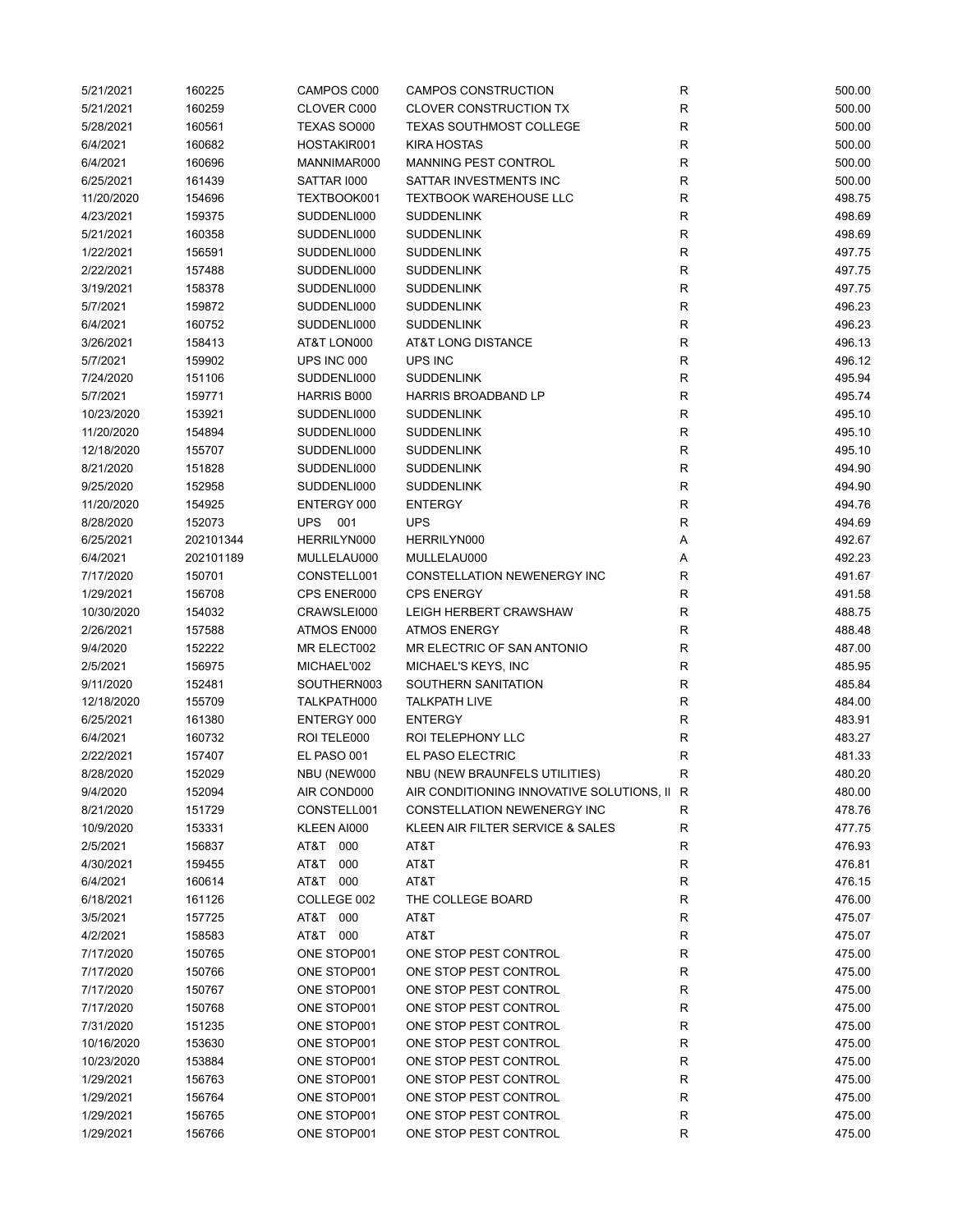| 5/21/2021  | 160225    | CAMPOS C000 | CAMPOS CONSTRUCTION                         | R | 500.00 |
|------------|-----------|-------------|---------------------------------------------|---|--------|
| 5/21/2021  | 160259    | CLOVER C000 | <b>CLOVER CONSTRUCTION TX</b>               | R | 500.00 |
| 5/28/2021  | 160561    | TEXAS SO000 | <b>TEXAS SOUTHMOST COLLEGE</b>              | R | 500.00 |
| 6/4/2021   | 160682    | HOSTAKIR001 | <b>KIRA HOSTAS</b>                          | R | 500.00 |
| 6/4/2021   | 160696    | MANNIMAR000 | MANNING PEST CONTROL                        | R | 500.00 |
| 6/25/2021  | 161439    | SATTAR 1000 | SATTAR INVESTMENTS INC                      | R | 500.00 |
| 11/20/2020 | 154696    | TEXTBOOK001 | <b>TEXTBOOK WAREHOUSE LLC</b>               | R | 498.75 |
| 4/23/2021  | 159375    | SUDDENLI000 | <b>SUDDENLINK</b>                           | R | 498.69 |
| 5/21/2021  | 160358    | SUDDENLI000 | <b>SUDDENLINK</b>                           | R | 498.69 |
| 1/22/2021  | 156591    | SUDDENLI000 | <b>SUDDENLINK</b>                           | R | 497.75 |
|            |           |             |                                             |   |        |
| 2/22/2021  | 157488    | SUDDENLI000 | <b>SUDDENLINK</b>                           | R | 497.75 |
| 3/19/2021  | 158378    | SUDDENLI000 | <b>SUDDENLINK</b>                           | R | 497.75 |
| 5/7/2021   | 159872    | SUDDENLI000 | <b>SUDDENLINK</b>                           | R | 496.23 |
| 6/4/2021   | 160752    | SUDDENLI000 | <b>SUDDENLINK</b>                           | R | 496.23 |
| 3/26/2021  | 158413    | AT&T LON000 | AT&T LONG DISTANCE                          | R | 496.13 |
| 5/7/2021   | 159902    | UPS INC 000 | UPS INC                                     | R | 496.12 |
| 7/24/2020  | 151106    | SUDDENLI000 | <b>SUDDENLINK</b>                           | R | 495.94 |
| 5/7/2021   | 159771    | HARRIS B000 | HARRIS BROADBAND LP                         | R | 495.74 |
| 10/23/2020 | 153921    | SUDDENLI000 | <b>SUDDENLINK</b>                           | R | 495.10 |
| 11/20/2020 | 154894    | SUDDENLI000 | <b>SUDDENLINK</b>                           | R | 495.10 |
| 12/18/2020 | 155707    | SUDDENLI000 | <b>SUDDENLINK</b>                           | R | 495.10 |
| 8/21/2020  | 151828    | SUDDENLI000 | <b>SUDDENLINK</b>                           | R | 494.90 |
| 9/25/2020  | 152958    | SUDDENLI000 | <b>SUDDENLINK</b>                           | R | 494.90 |
| 11/20/2020 | 154925    | ENTERGY 000 | <b>ENTERGY</b>                              | R | 494.76 |
| 8/28/2020  | 152073    | UPS<br>001  | <b>UPS</b>                                  | R | 494.69 |
| 6/25/2021  | 202101344 | HERRILYN000 | HERRILYN000                                 | Α | 492.67 |
| 6/4/2021   | 202101189 | MULLELAU000 | MULLELAU000                                 | Α | 492.23 |
| 7/17/2020  | 150701    | CONSTELL001 | CONSTELLATION NEWENERGY INC                 | R | 491.67 |
| 1/29/2021  | 156708    | CPS ENER000 | <b>CPS ENERGY</b>                           | R | 491.58 |
| 10/30/2020 | 154032    | CRAWSLEI000 | LEIGH HERBERT CRAWSHAW                      | R | 488.75 |
| 2/26/2021  |           | ATMOS EN000 | <b>ATMOS ENERGY</b>                         | R | 488.48 |
|            | 157588    |             |                                             |   |        |
| 9/4/2020   | 152222    | MR ELECT002 | MR ELECTRIC OF SAN ANTONIO                  | R | 487.00 |
| 2/5/2021   | 156975    | MICHAEL'002 | MICHAEL'S KEYS, INC                         | R | 485.95 |
| 9/11/2020  | 152481    | SOUTHERN003 | SOUTHERN SANITATION                         | R | 485.84 |
| 12/18/2020 | 155709    | TALKPATH000 | <b>TALKPATH LIVE</b>                        | R | 484.00 |
| 6/25/2021  | 161380    | ENTERGY 000 | <b>ENTERGY</b>                              | R | 483.91 |
| 6/4/2021   | 160732    | ROI TELE000 | ROI TELEPHONY LLC                           | R | 483.27 |
| 2/22/2021  | 157407    | EL PASO 001 | EL PASO ELECTRIC                            | R | 481.33 |
| 8/28/2020  | 152029    | NBU (NEW000 | NBU (NEW BRAUNFELS UTILITIES)               | R | 480.20 |
| 9/4/2020   | 152094    | AIR COND000 | AIR CONDITIONING INNOVATIVE SOLUTIONS, II R |   | 480.00 |
| 8/21/2020  | 151729    | CONSTELL001 | CONSTELLATION NEWENERGY INC                 | R | 478.76 |
| 10/9/2020  | 153331    | KLEEN AI000 | KLEEN AIR FILTER SERVICE & SALES            | R | 477.75 |
| 2/5/2021   | 156837    | AT&T 000    | AT&T                                        | R | 476.93 |
| 4/30/2021  | 159455    | AT&T<br>000 | AT&T                                        | R | 476.81 |
| 6/4/2021   | 160614    | AT&T 000    | AT&T                                        | R | 476.15 |
| 6/18/2021  | 161126    | COLLEGE 002 | THE COLLEGE BOARD                           | R | 476.00 |
| 3/5/2021   | 157725    | AT&T<br>000 | AT&T                                        | R | 475.07 |
| 4/2/2021   | 158583    | AT&T 000    | AT&T                                        | R | 475.07 |
| 7/17/2020  | 150765    | ONE STOP001 | ONE STOP PEST CONTROL                       | R | 475.00 |
| 7/17/2020  | 150766    | ONE STOP001 | ONE STOP PEST CONTROL                       | R | 475.00 |
| 7/17/2020  | 150767    | ONE STOP001 | ONE STOP PEST CONTROL                       | R | 475.00 |
| 7/17/2020  | 150768    | ONE STOP001 | ONE STOP PEST CONTROL                       | R | 475.00 |
| 7/31/2020  | 151235    | ONE STOP001 | ONE STOP PEST CONTROL                       | R | 475.00 |
|            |           |             |                                             | R |        |
| 10/16/2020 | 153630    | ONE STOP001 | ONE STOP PEST CONTROL                       |   | 475.00 |
| 10/23/2020 | 153884    | ONE STOP001 | ONE STOP PEST CONTROL                       | R | 475.00 |
| 1/29/2021  | 156763    | ONE STOP001 | ONE STOP PEST CONTROL                       | R | 475.00 |
| 1/29/2021  | 156764    | ONE STOP001 | ONE STOP PEST CONTROL                       | R | 475.00 |
| 1/29/2021  | 156765    | ONE STOP001 | ONE STOP PEST CONTROL                       | R | 475.00 |
| 1/29/2021  | 156766    | ONE STOP001 | ONE STOP PEST CONTROL                       | R | 475.00 |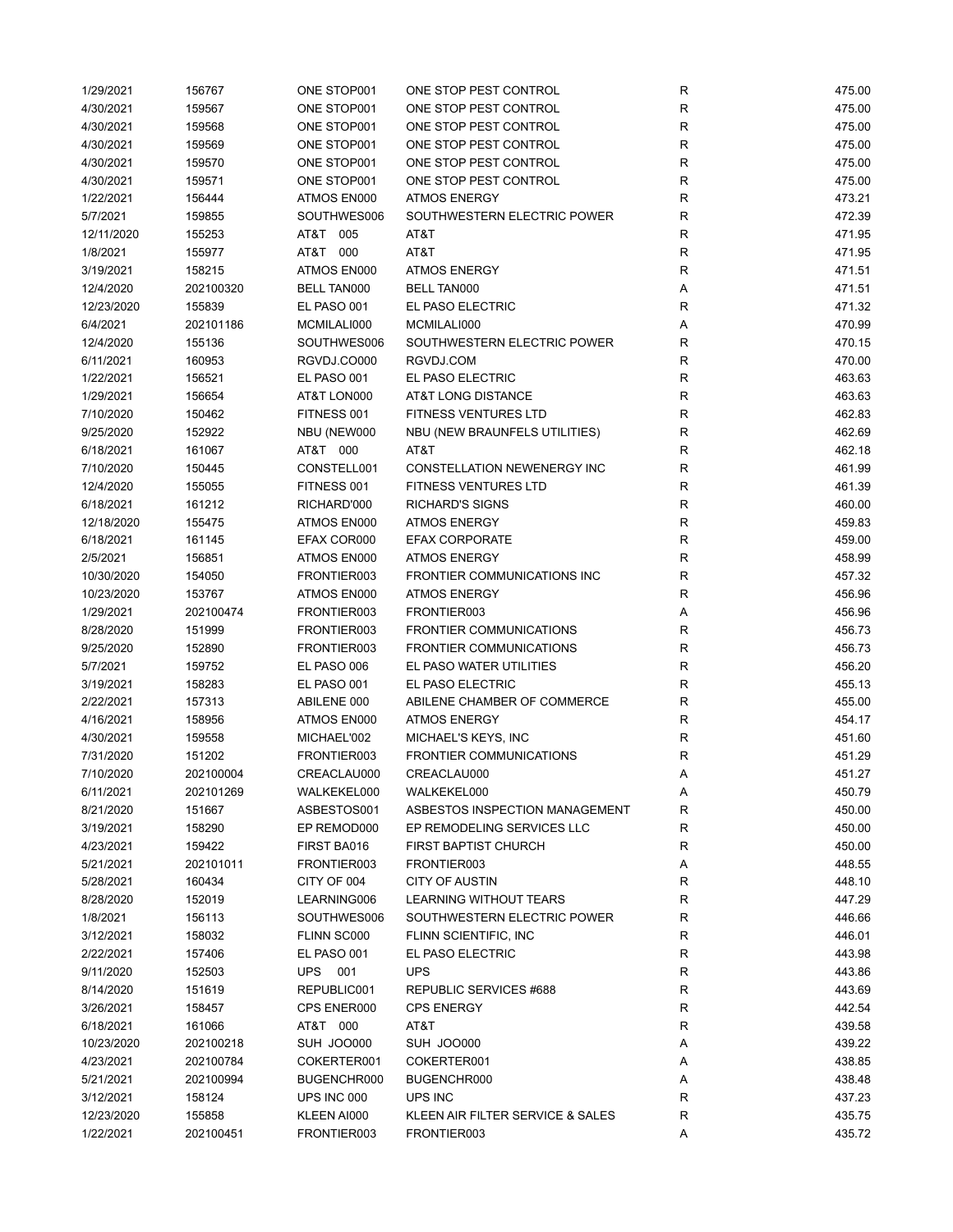| 1/29/2021  | 156767    | ONE STOP001        | ONE STOP PEST CONTROL              | R           | 475.00 |
|------------|-----------|--------------------|------------------------------------|-------------|--------|
| 4/30/2021  | 159567    | ONE STOP001        | ONE STOP PEST CONTROL              | R           | 475.00 |
| 4/30/2021  | 159568    | ONE STOP001        | ONE STOP PEST CONTROL              | $\mathsf R$ | 475.00 |
| 4/30/2021  | 159569    | ONE STOP001        | ONE STOP PEST CONTROL              | $\mathsf R$ | 475.00 |
| 4/30/2021  | 159570    | ONE STOP001        | ONE STOP PEST CONTROL              | $\mathsf R$ | 475.00 |
| 4/30/2021  | 159571    | ONE STOP001        | ONE STOP PEST CONTROL              | $\mathsf R$ | 475.00 |
| 1/22/2021  | 156444    | ATMOS EN000        | <b>ATMOS ENERGY</b>                | $\mathsf R$ | 473.21 |
| 5/7/2021   | 159855    | SOUTHWES006        | SOUTHWESTERN ELECTRIC POWER        | $\mathsf R$ | 472.39 |
| 12/11/2020 | 155253    | AT&T 005           | AT&T                               | R           | 471.95 |
| 1/8/2021   | 155977    | AT&T 000           | AT&T                               | R           | 471.95 |
|            |           |                    |                                    |             |        |
| 3/19/2021  | 158215    | ATMOS EN000        | <b>ATMOS ENERGY</b>                | $\mathsf R$ | 471.51 |
| 12/4/2020  | 202100320 | <b>BELL TAN000</b> | BELL TAN000                        | Α           | 471.51 |
| 12/23/2020 | 155839    | EL PASO 001        | EL PASO ELECTRIC                   | R           | 471.32 |
| 6/4/2021   | 202101186 | MCMILALI000        | MCMILALI000                        | Α           | 470.99 |
| 12/4/2020  | 155136    | SOUTHWES006        | SOUTHWESTERN ELECTRIC POWER        | R           | 470.15 |
| 6/11/2021  | 160953    | RGVDJ.CO000        | RGVDJ.COM                          | $\mathsf R$ | 470.00 |
| 1/22/2021  | 156521    | EL PASO 001        | EL PASO ELECTRIC                   | $\mathsf R$ | 463.63 |
| 1/29/2021  | 156654    | AT&T LON000        | AT&T LONG DISTANCE                 | $\mathsf R$ | 463.63 |
| 7/10/2020  | 150462    | FITNESS 001        | <b>FITNESS VENTURES LTD</b>        | $\mathsf R$ | 462.83 |
| 9/25/2020  | 152922    | NBU (NEW000        | NBU (NEW BRAUNFELS UTILITIES)      | $\mathsf R$ | 462.69 |
| 6/18/2021  | 161067    | AT&T 000           | AT&T                               | R           | 462.18 |
| 7/10/2020  | 150445    | CONSTELL001        | CONSTELLATION NEWENERGY INC        | R           | 461.99 |
| 12/4/2020  | 155055    | FITNESS 001        | <b>FITNESS VENTURES LTD</b>        | R           | 461.39 |
| 6/18/2021  | 161212    | RICHARD'000        | <b>RICHARD'S SIGNS</b>             | R           | 460.00 |
| 12/18/2020 | 155475    | ATMOS EN000        | <b>ATMOS ENERGY</b>                | R           | 459.83 |
| 6/18/2021  | 161145    | EFAX COR000        | <b>EFAX CORPORATE</b>              | $\mathsf R$ | 459.00 |
| 2/5/2021   | 156851    | ATMOS EN000        | <b>ATMOS ENERGY</b>                | $\mathsf R$ | 458.99 |
| 10/30/2020 | 154050    | FRONTIER003        | <b>FRONTIER COMMUNICATIONS INC</b> | $\mathsf R$ | 457.32 |
| 10/23/2020 | 153767    | ATMOS EN000        | <b>ATMOS ENERGY</b>                | $\mathsf R$ | 456.96 |
| 1/29/2021  | 202100474 | FRONTIER003        | FRONTIER003                        | Α           | 456.96 |
|            |           |                    |                                    |             |        |
| 8/28/2020  | 151999    | FRONTIER003        | <b>FRONTIER COMMUNICATIONS</b>     | $\mathsf R$ | 456.73 |
| 9/25/2020  | 152890    | FRONTIER003        | <b>FRONTIER COMMUNICATIONS</b>     | R           | 456.73 |
| 5/7/2021   | 159752    | EL PASO 006        | EL PASO WATER UTILITIES            | $\mathsf R$ | 456.20 |
| 3/19/2021  | 158283    | EL PASO 001        | EL PASO ELECTRIC                   | $\mathsf R$ | 455.13 |
| 2/22/2021  | 157313    | ABILENE 000        | ABILENE CHAMBER OF COMMERCE        | R           | 455.00 |
| 4/16/2021  | 158956    | ATMOS EN000        | <b>ATMOS ENERGY</b>                | R           | 454.17 |
| 4/30/2021  | 159558    | MICHAEL'002        | MICHAEL'S KEYS, INC                | R           | 451.60 |
| 7/31/2020  | 151202    | FRONTIER003        | <b>FRONTIER COMMUNICATIONS</b>     | R           | 451.29 |
| 7/10/2020  | 202100004 | CREACLAU000        | CREACLAU000                        | Α           | 451.27 |
| 6/11/2021  | 202101269 | WALKEKEL000        | WALKEKEL000                        | Α           | 450.79 |
| 8/21/2020  | 151667    | ASBESTOS001        | ASBESTOS INSPECTION MANAGEMENT     | R           | 450.00 |
| 3/19/2021  | 158290    | EP REMOD000        | EP REMODELING SERVICES LLC         | R           | 450.00 |
| 4/23/2021  | 159422    | FIRST BA016        | <b>FIRST BAPTIST CHURCH</b>        | R           | 450.00 |
| 5/21/2021  | 202101011 | FRONTIER003        | FRONTIER003                        | Α           | 448.55 |
| 5/28/2021  | 160434    | CITY OF 004        | <b>CITY OF AUSTIN</b>              | R           | 448.10 |
| 8/28/2020  | 152019    | LEARNING006        | LEARNING WITHOUT TEARS             | $\mathsf R$ | 447.29 |
| 1/8/2021   | 156113    | SOUTHWES006        | SOUTHWESTERN ELECTRIC POWER        | $\mathsf R$ | 446.66 |
| 3/12/2021  | 158032    | FLINN SC000        | FLINN SCIENTIFIC, INC              | R           | 446.01 |
| 2/22/2021  | 157406    | EL PASO 001        | EL PASO ELECTRIC                   | R           | 443.98 |
| 9/11/2020  | 152503    | UPS 001            | <b>UPS</b>                         | R           | 443.86 |
| 8/14/2020  | 151619    | REPUBLIC001        | REPUBLIC SERVICES #688             | R           | 443.69 |
| 3/26/2021  |           | CPS ENER000        | <b>CPS ENERGY</b>                  | R           | 442.54 |
|            | 158457    |                    |                                    | $\mathsf R$ |        |
| 6/18/2021  | 161066    | AT&T 000           | AT&T                               |             | 439.58 |
| 10/23/2020 | 202100218 | <b>SUH JOO000</b>  | SUH JOO000                         | Α           | 439.22 |
| 4/23/2021  | 202100784 | COKERTER001        | COKERTER001                        | Α           | 438.85 |
| 5/21/2021  | 202100994 | BUGENCHR000        | BUGENCHR000                        | Α           | 438.48 |
| 3/12/2021  | 158124    | UPS INC 000        | UPS INC                            | R           | 437.23 |
| 12/23/2020 | 155858    | KLEEN AI000        | KLEEN AIR FILTER SERVICE & SALES   | R           | 435.75 |
| 1/22/2021  | 202100451 | FRONTIER003        | FRONTIER003                        | Α           | 435.72 |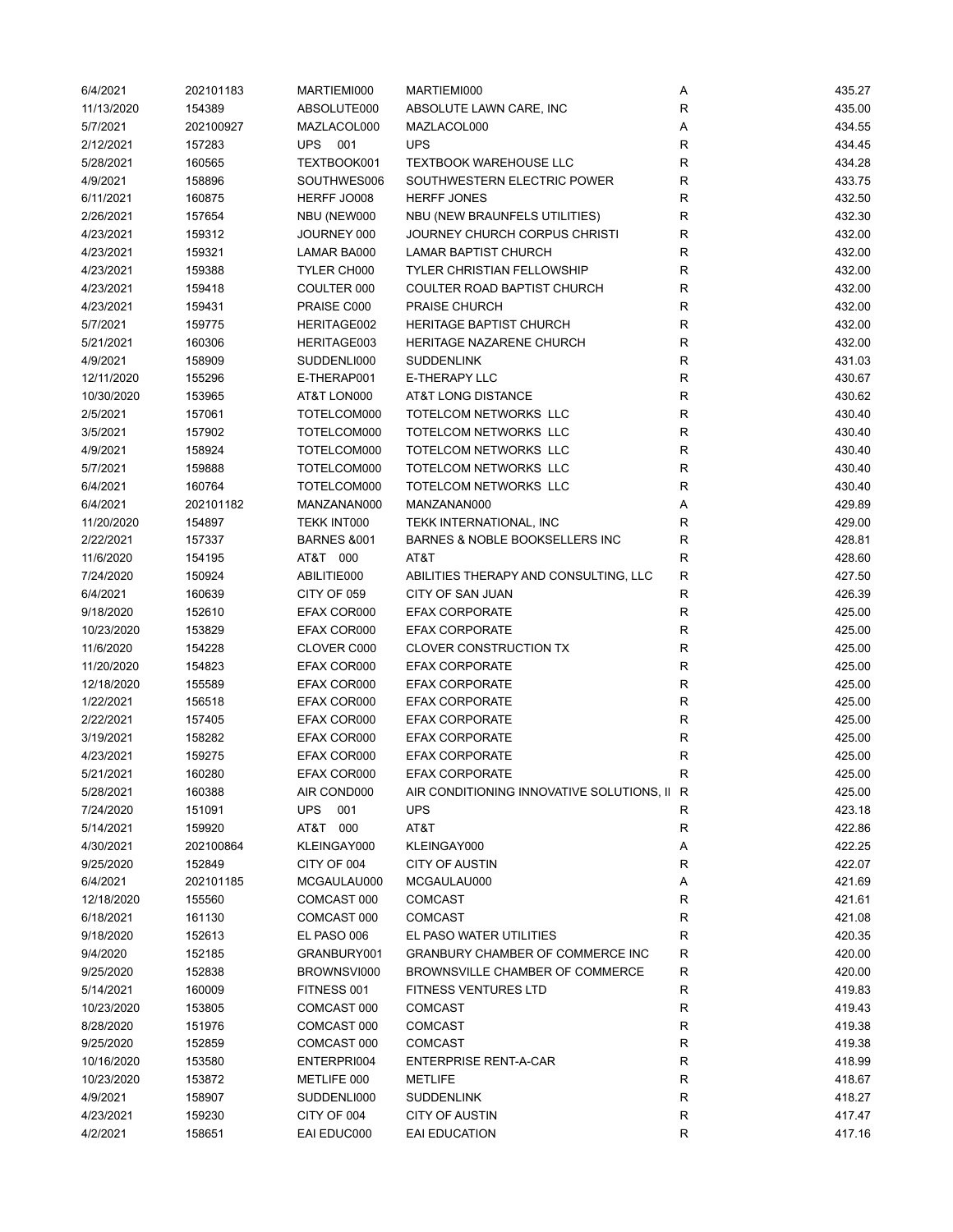| 6/4/2021   | 202101183 | MARTIEMI000            | MARTIEMI000                                 | Α           | 435.27 |
|------------|-----------|------------------------|---------------------------------------------|-------------|--------|
| 11/13/2020 | 154389    | ABSOLUTE000            | ABSOLUTE LAWN CARE, INC                     | R           | 435.00 |
| 5/7/2021   | 202100927 | MAZLACOL000            | MAZLACOL000                                 | Α           | 434.55 |
| 2/12/2021  | 157283    | <b>UPS 001</b>         | <b>UPS</b>                                  | R           | 434.45 |
| 5/28/2021  | 160565    | TEXTBOOK001            | <b>TEXTBOOK WAREHOUSE LLC</b>               | R           | 434.28 |
| 4/9/2021   | 158896    | SOUTHWES006            | SOUTHWESTERN ELECTRIC POWER                 | R           | 433.75 |
| 6/11/2021  | 160875    | HERFF JO008            | <b>HERFF JONES</b>                          | R           | 432.50 |
| 2/26/2021  | 157654    | NBU (NEW000            | NBU (NEW BRAUNFELS UTILITIES)               | R           | 432.30 |
| 4/23/2021  | 159312    | JOURNEY 000            | JOURNEY CHURCH CORPUS CHRISTI               | R           | 432.00 |
| 4/23/2021  | 159321    | LAMAR BA000            | LAMAR BAPTIST CHURCH                        | R           | 432.00 |
| 4/23/2021  | 159388    | TYLER CH000            | <b>TYLER CHRISTIAN FELLOWSHIP</b>           | R           | 432.00 |
| 4/23/2021  | 159418    | COULTER 000            | COULTER ROAD BAPTIST CHURCH                 | R           | 432.00 |
|            |           |                        |                                             |             |        |
| 4/23/2021  | 159431    | PRAISE C000            | PRAISE CHURCH                               | R           | 432.00 |
| 5/7/2021   | 159775    | HERITAGE002            | <b>HERITAGE BAPTIST CHURCH</b>              | R           | 432.00 |
| 5/21/2021  | 160306    | HERITAGE003            | <b>HERITAGE NAZARENE CHURCH</b>             | R           | 432.00 |
| 4/9/2021   | 158909    | SUDDENLI000            | <b>SUDDENLINK</b>                           | R           | 431.03 |
| 12/11/2020 | 155296    | E-THERAP001            | E-THERAPY LLC                               | R           | 430.67 |
| 10/30/2020 | 153965    | AT&T LON000            | AT&T LONG DISTANCE                          | R           | 430.62 |
| 2/5/2021   | 157061    | TOTELCOM000            | TOTELCOM NETWORKS LLC                       | R           | 430.40 |
| 3/5/2021   | 157902    | TOTELCOM000            | TOTELCOM NETWORKS LLC                       | R           | 430.40 |
| 4/9/2021   | 158924    | TOTELCOM000            | TOTELCOM NETWORKS LLC                       | R           | 430.40 |
| 5/7/2021   | 159888    | TOTELCOM000            | TOTELCOM NETWORKS LLC                       | R           | 430.40 |
| 6/4/2021   | 160764    | TOTELCOM000            | TOTELCOM NETWORKS LLC                       | R           | 430.40 |
| 6/4/2021   | 202101182 | MANZANAN000            | MANZANAN000                                 | Α           | 429.89 |
| 11/20/2020 | 154897    | TEKK INT000            | TEKK INTERNATIONAL, INC                     | R           | 429.00 |
| 2/22/2021  | 157337    | <b>BARNES &amp;001</b> | BARNES & NOBLE BOOKSELLERS INC              | $\mathsf R$ | 428.81 |
| 11/6/2020  | 154195    | AT&T 000               | AT&T                                        | R           | 428.60 |
| 7/24/2020  | 150924    | ABILITIE000            | ABILITIES THERAPY AND CONSULTING, LLC       | R           | 427.50 |
| 6/4/2021   | 160639    | CITY OF 059            | CITY OF SAN JUAN                            | R           | 426.39 |
| 9/18/2020  | 152610    | EFAX COR000            | <b>EFAX CORPORATE</b>                       | R           | 425.00 |
| 10/23/2020 | 153829    | EFAX COR000            | <b>EFAX CORPORATE</b>                       | R           | 425.00 |
| 11/6/2020  | 154228    | CLOVER C000            | <b>CLOVER CONSTRUCTION TX</b>               | $\mathsf R$ | 425.00 |
| 11/20/2020 | 154823    | EFAX COR000            | <b>EFAX CORPORATE</b>                       | R           | 425.00 |
| 12/18/2020 | 155589    | EFAX COR000            | <b>EFAX CORPORATE</b>                       | R           | 425.00 |
| 1/22/2021  | 156518    | EFAX COR000            | <b>EFAX CORPORATE</b>                       | R           | 425.00 |
|            |           |                        | <b>EFAX CORPORATE</b>                       | R           |        |
| 2/22/2021  | 157405    | EFAX COR000            |                                             |             | 425.00 |
| 3/19/2021  | 158282    | EFAX COR000            | <b>EFAX CORPORATE</b>                       | R           | 425.00 |
| 4/23/2021  | 159275    | EFAX COR000            | <b>EFAX CORPORATE</b>                       | ${\sf R}$   | 425.00 |
| 5/21/2021  | 160280    | EFAX COR000            | <b>EFAX CORPORATE</b>                       | R           | 425.00 |
| 5/28/2021  | 160388    | AIR COND000            | AIR CONDITIONING INNOVATIVE SOLUTIONS, II R |             | 425.00 |
| 7/24/2020  | 151091    | <b>UPS</b><br>001      | <b>UPS</b>                                  | R           | 423.18 |
| 5/14/2021  | 159920    | AT&T 000               | AT&T                                        | R           | 422.86 |
| 4/30/2021  | 202100864 | KLEINGAY000            | KLEINGAY000                                 | А           | 422.25 |
| 9/25/2020  | 152849    | CITY OF 004            | <b>CITY OF AUSTIN</b>                       | R           | 422.07 |
| 6/4/2021   | 202101185 | MCGAULAU000            | MCGAULAU000                                 | А           | 421.69 |
| 12/18/2020 | 155560    | COMCAST 000            | <b>COMCAST</b>                              | R           | 421.61 |
| 6/18/2021  | 161130    | COMCAST 000            | <b>COMCAST</b>                              | R           | 421.08 |
| 9/18/2020  | 152613    | EL PASO 006            | EL PASO WATER UTILITIES                     | R           | 420.35 |
| 9/4/2020   | 152185    | GRANBURY001            | <b>GRANBURY CHAMBER OF COMMERCE INC</b>     | R           | 420.00 |
| 9/25/2020  | 152838    | BROWNSVI000            | BROWNSVILLE CHAMBER OF COMMERCE             | R           | 420.00 |
| 5/14/2021  | 160009    | FITNESS 001            | <b>FITNESS VENTURES LTD</b>                 | R           | 419.83 |
| 10/23/2020 | 153805    | COMCAST 000            | <b>COMCAST</b>                              | R           | 419.43 |
| 8/28/2020  | 151976    | COMCAST 000            | <b>COMCAST</b>                              | R           | 419.38 |
| 9/25/2020  | 152859    | COMCAST 000            | COMCAST                                     | R           | 419.38 |
| 10/16/2020 | 153580    | ENTERPRI004            | <b>ENTERPRISE RENT-A-CAR</b>                | R           | 418.99 |
| 10/23/2020 | 153872    | METLIFE 000            | <b>METLIFE</b>                              | R           | 418.67 |
| 4/9/2021   | 158907    | SUDDENLI000            | <b>SUDDENLINK</b>                           | R           | 418.27 |
| 4/23/2021  | 159230    | CITY OF 004            | CITY OF AUSTIN                              | R           | 417.47 |
| 4/2/2021   | 158651    | EAI EDUC000            | EAI EDUCATION                               | R           | 417.16 |
|            |           |                        |                                             |             |        |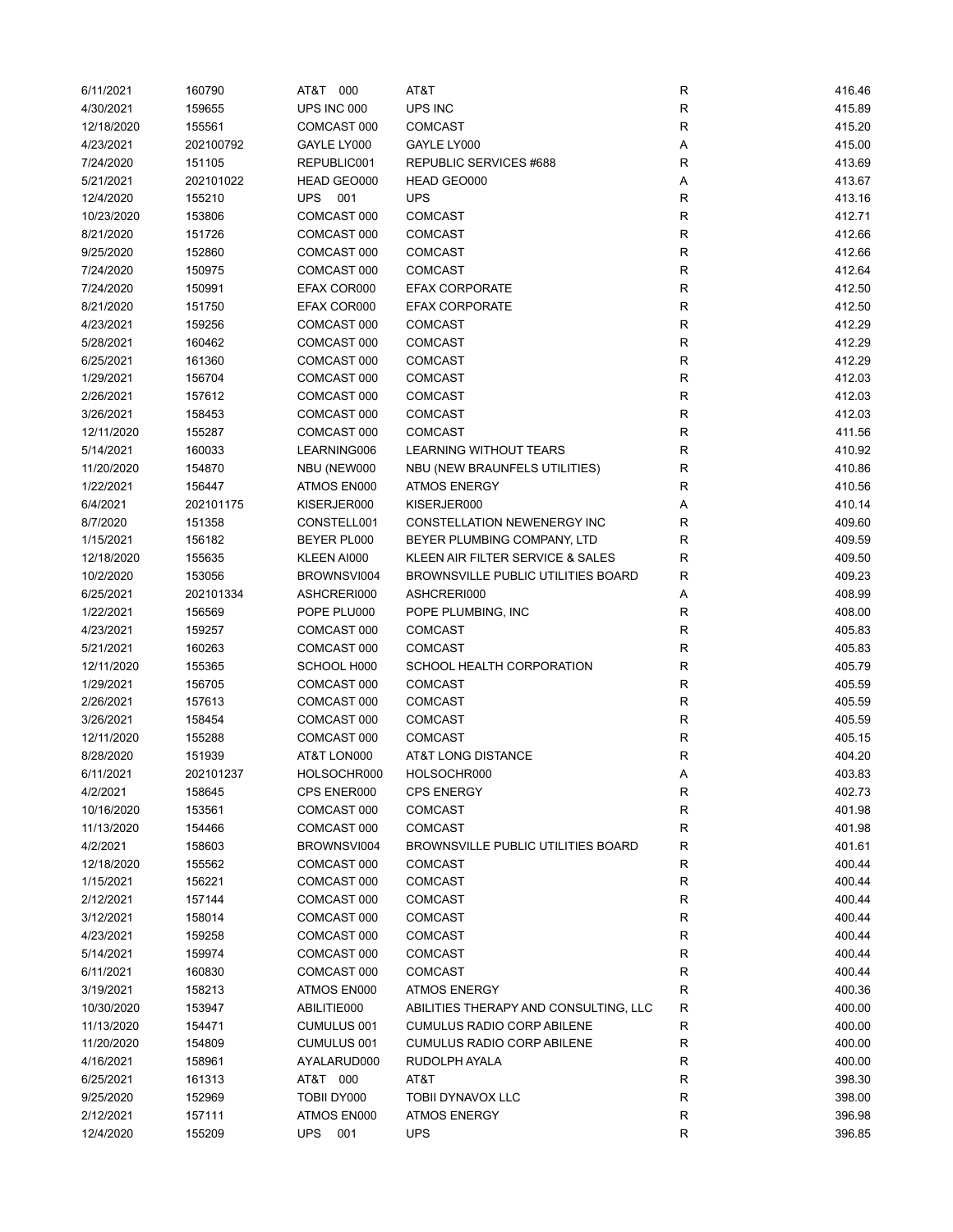| 6/11/2021  | 160790    | AT&T 000          | AT&T                                      | $\mathsf R$  | 416.46 |
|------------|-----------|-------------------|-------------------------------------------|--------------|--------|
| 4/30/2021  | 159655    | UPS INC 000       | UPS INC                                   | R            | 415.89 |
| 12/18/2020 | 155561    | COMCAST 000       | <b>COMCAST</b>                            | $\mathsf R$  | 415.20 |
| 4/23/2021  | 202100792 | GAYLE LY000       | GAYLE LY000                               | Α            | 415.00 |
| 7/24/2020  | 151105    | REPUBLIC001       | REPUBLIC SERVICES #688                    | $\mathsf R$  | 413.69 |
| 5/21/2021  | 202101022 | HEAD GEO000       | HEAD GEO000                               | Α            | 413.67 |
| 12/4/2020  | 155210    | <b>UPS</b><br>001 | <b>UPS</b>                                | $\mathsf R$  | 413.16 |
| 10/23/2020 | 153806    | COMCAST 000       | <b>COMCAST</b>                            | R            | 412.71 |
| 8/21/2020  | 151726    | COMCAST 000       | <b>COMCAST</b>                            | $\mathsf{R}$ | 412.66 |
| 9/25/2020  | 152860    | COMCAST 000       | <b>COMCAST</b>                            | $\mathsf{R}$ | 412.66 |
| 7/24/2020  | 150975    | COMCAST 000       | <b>COMCAST</b>                            | $\mathsf R$  | 412.64 |
| 7/24/2020  | 150991    | EFAX COR000       | <b>EFAX CORPORATE</b>                     | $\mathsf{R}$ | 412.50 |
|            |           |                   |                                           |              |        |
| 8/21/2020  | 151750    | EFAX COR000       | <b>EFAX CORPORATE</b>                     | $\mathsf{R}$ | 412.50 |
| 4/23/2021  | 159256    | COMCAST 000       | <b>COMCAST</b>                            | $\mathsf{R}$ | 412.29 |
| 5/28/2021  | 160462    | COMCAST 000       | <b>COMCAST</b>                            | $\mathsf{R}$ | 412.29 |
| 6/25/2021  | 161360    | COMCAST 000       | <b>COMCAST</b>                            | $\mathsf{R}$ | 412.29 |
| 1/29/2021  | 156704    | COMCAST 000       | <b>COMCAST</b>                            | $\mathsf R$  | 412.03 |
| 2/26/2021  | 157612    | COMCAST 000       | <b>COMCAST</b>                            | R            | 412.03 |
| 3/26/2021  | 158453    | COMCAST 000       | <b>COMCAST</b>                            | $\mathsf{R}$ | 412.03 |
| 12/11/2020 | 155287    | COMCAST 000       | <b>COMCAST</b>                            | R            | 411.56 |
| 5/14/2021  | 160033    | LEARNING006       | LEARNING WITHOUT TEARS                    | R            | 410.92 |
| 11/20/2020 | 154870    | NBU (NEW000       | NBU (NEW BRAUNFELS UTILITIES)             | R            | 410.86 |
| 1/22/2021  | 156447    | ATMOS EN000       | <b>ATMOS ENERGY</b>                       | R            | 410.56 |
| 6/4/2021   | 202101175 | KISERJER000       | KISERJER000                               | Α            | 410.14 |
| 8/7/2020   | 151358    | CONSTELL001       | CONSTELLATION NEWENERGY INC               | R            | 409.60 |
| 1/15/2021  | 156182    | BEYER PL000       | BEYER PLUMBING COMPANY, LTD               | R            | 409.59 |
| 12/18/2020 | 155635    | KLEEN AI000       | KLEEN AIR FILTER SERVICE & SALES          | R            | 409.50 |
| 10/2/2020  | 153056    | BROWNSVI004       | <b>BROWNSVILLE PUBLIC UTILITIES BOARD</b> | R            | 409.23 |
| 6/25/2021  | 202101334 | ASHCRERI000       | ASHCRERI000                               | Α            | 408.99 |
| 1/22/2021  | 156569    | POPE PLU000       | POPE PLUMBING, INC                        | R            | 408.00 |
| 4/23/2021  | 159257    | COMCAST 000       | <b>COMCAST</b>                            | $\mathsf R$  | 405.83 |
| 5/21/2021  | 160263    | COMCAST 000       | <b>COMCAST</b>                            | R            | 405.83 |
| 12/11/2020 | 155365    | SCHOOL H000       | SCHOOL HEALTH CORPORATION                 | $\mathsf R$  | 405.79 |
| 1/29/2021  | 156705    | COMCAST 000       | <b>COMCAST</b>                            | $\mathsf{R}$ | 405.59 |
| 2/26/2021  | 157613    | COMCAST 000       | <b>COMCAST</b>                            | R            | 405.59 |
| 3/26/2021  |           |                   |                                           |              |        |
|            | 158454    | COMCAST 000       | <b>COMCAST</b>                            | R            | 405.59 |
| 12/11/2020 | 155288    | COMCAST 000       | <b>COMCAST</b>                            | $\mathsf{R}$ | 405.15 |
| 8/28/2020  | 151939    | AT&T LON000       | AT&T LONG DISTANCE                        | R            | 404.20 |
| 6/11/2021  | 202101237 | HOLSOCHR000       | HOLSOCHR000                               | Α            | 403.83 |
| 4/2/2021   | 158645    | CPS ENER000       | <b>CPS ENERGY</b>                         | $\mathsf R$  | 402.73 |
| 10/16/2020 | 153561    | COMCAST 000       | <b>COMCAST</b>                            | $\mathsf R$  | 401.98 |
| 11/13/2020 | 154466    | COMCAST 000       | <b>COMCAST</b>                            | R            | 401.98 |
| 4/2/2021   | 158603    | BROWNSVI004       | <b>BROWNSVILLE PUBLIC UTILITIES BOARD</b> | $\mathsf R$  | 401.61 |
| 12/18/2020 | 155562    | COMCAST 000       | <b>COMCAST</b>                            | R            | 400.44 |
| 1/15/2021  | 156221    | COMCAST 000       | COMCAST                                   | R            | 400.44 |
| 2/12/2021  | 157144    | COMCAST 000       | COMCAST                                   | $\mathsf R$  | 400.44 |
| 3/12/2021  | 158014    | COMCAST 000       | <b>COMCAST</b>                            | R            | 400.44 |
| 4/23/2021  | 159258    | COMCAST 000       | <b>COMCAST</b>                            | R            | 400.44 |
| 5/14/2021  | 159974    | COMCAST 000       | COMCAST                                   | R            | 400.44 |
| 6/11/2021  | 160830    | COMCAST 000       | <b>COMCAST</b>                            | R            | 400.44 |
| 3/19/2021  | 158213    | ATMOS EN000       | <b>ATMOS ENERGY</b>                       | R            | 400.36 |
| 10/30/2020 | 153947    | ABILITIE000       | ABILITIES THERAPY AND CONSULTING, LLC     | R            | 400.00 |
| 11/13/2020 | 154471    | CUMULUS 001       | <b>CUMULUS RADIO CORP ABILENE</b>         | R            | 400.00 |
| 11/20/2020 | 154809    | CUMULUS 001       | <b>CUMULUS RADIO CORP ABILENE</b>         | R            | 400.00 |
| 4/16/2021  | 158961    | AYALARUD000       | RUDOLPH AYALA                             | R            | 400.00 |
| 6/25/2021  | 161313    | AT&T 000          | AT&T                                      | R            | 398.30 |
| 9/25/2020  | 152969    | TOBII DY000       | TOBII DYNAVOX LLC                         | R            | 398.00 |
| 2/12/2021  | 157111    | ATMOS EN000       | <b>ATMOS ENERGY</b>                       | R            | 396.98 |
| 12/4/2020  | 155209    | <b>UPS</b><br>001 | <b>UPS</b>                                | $\mathsf R$  | 396.85 |
|            |           |                   |                                           |              |        |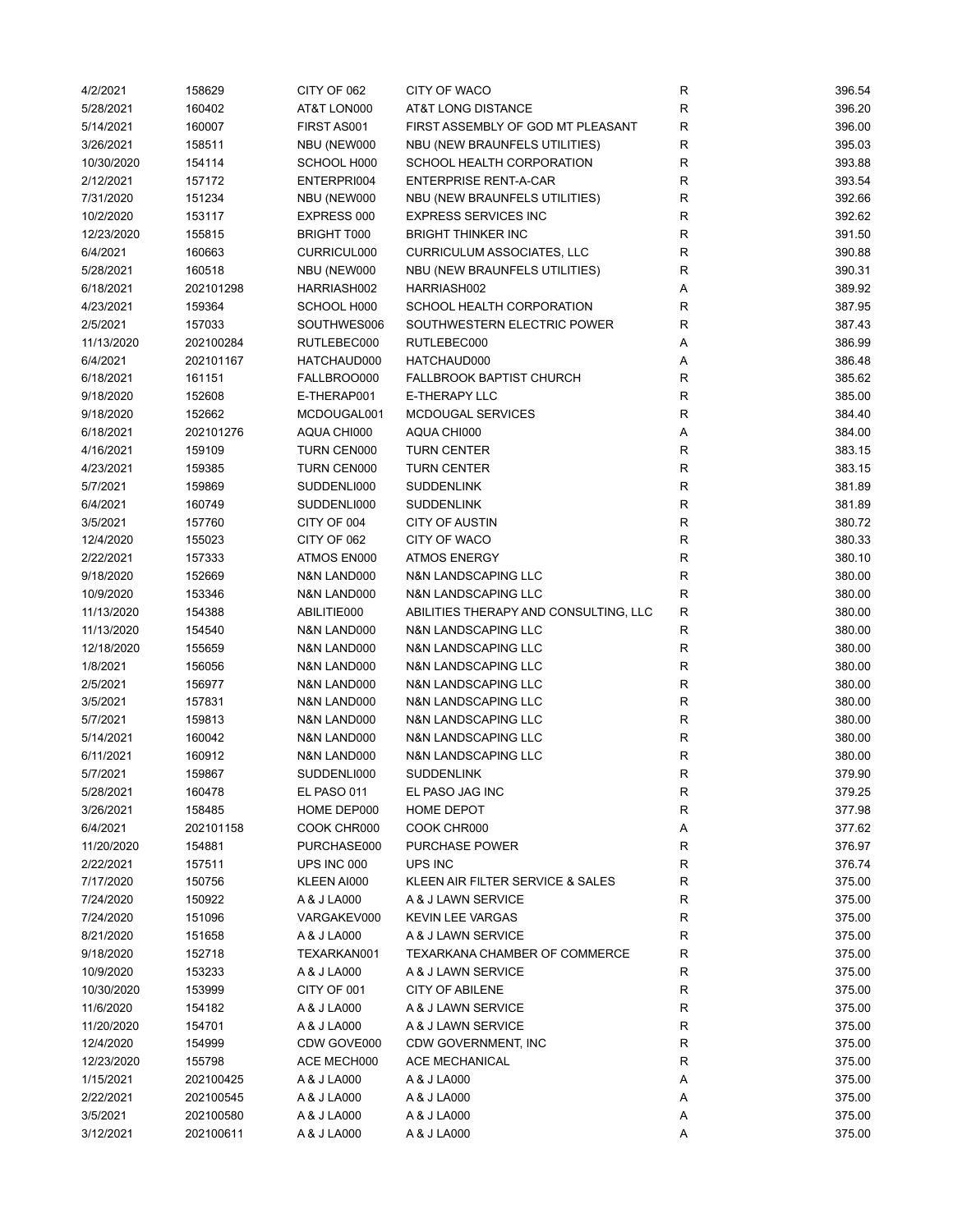| 4/2/2021   | 158629    | CITY OF 062 | <b>CITY OF WACO</b>                   | R           | 396.54 |
|------------|-----------|-------------|---------------------------------------|-------------|--------|
| 5/28/2021  | 160402    | AT&T LON000 | AT&T LONG DISTANCE                    | R           | 396.20 |
| 5/14/2021  | 160007    | FIRST AS001 | FIRST ASSEMBLY OF GOD MT PLEASANT     | R           | 396.00 |
| 3/26/2021  | 158511    | NBU (NEW000 | NBU (NEW BRAUNFELS UTILITIES)         | R           | 395.03 |
| 10/30/2020 | 154114    | SCHOOL H000 | SCHOOL HEALTH CORPORATION             | R           | 393.88 |
| 2/12/2021  | 157172    | ENTERPRI004 | <b>ENTERPRISE RENT-A-CAR</b>          | R           | 393.54 |
| 7/31/2020  | 151234    | NBU (NEW000 | NBU (NEW BRAUNFELS UTILITIES)         | R           | 392.66 |
| 10/2/2020  | 153117    | EXPRESS 000 | <b>EXPRESS SERVICES INC</b>           | R           | 392.62 |
| 12/23/2020 | 155815    | BRIGHT T000 | <b>BRIGHT THINKER INC</b>             | R           | 391.50 |
| 6/4/2021   | 160663    | CURRICUL000 | <b>CURRICULUM ASSOCIATES, LLC</b>     | R           | 390.88 |
| 5/28/2021  | 160518    | NBU (NEW000 | NBU (NEW BRAUNFELS UTILITIES)         | R           | 390.31 |
|            |           |             | HARRIASH002                           |             |        |
| 6/18/2021  | 202101298 | HARRIASH002 |                                       | Α           | 389.92 |
| 4/23/2021  | 159364    | SCHOOL H000 | SCHOOL HEALTH CORPORATION             | R           | 387.95 |
| 2/5/2021   | 157033    | SOUTHWES006 | SOUTHWESTERN ELECTRIC POWER           | R           | 387.43 |
| 11/13/2020 | 202100284 | RUTLEBEC000 | RUTLEBEC000                           | Α           | 386.99 |
| 6/4/2021   | 202101167 | HATCHAUD000 | HATCHAUD000                           | Α           | 386.48 |
| 6/18/2021  | 161151    | FALLBROO000 | <b>FALLBROOK BAPTIST CHURCH</b>       | R           | 385.62 |
| 9/18/2020  | 152608    | E-THERAP001 | E-THERAPY LLC                         | R           | 385.00 |
| 9/18/2020  | 152662    | MCDOUGAL001 | <b>MCDOUGAL SERVICES</b>              | R           | 384.40 |
| 6/18/2021  | 202101276 | AQUA CHI000 | AQUA CHI000                           | Α           | 384.00 |
| 4/16/2021  | 159109    | TURN CEN000 | <b>TURN CENTER</b>                    | R           | 383.15 |
| 4/23/2021  | 159385    | TURN CEN000 | <b>TURN CENTER</b>                    | R           | 383.15 |
| 5/7/2021   | 159869    | SUDDENLI000 | <b>SUDDENLINK</b>                     | R           | 381.89 |
| 6/4/2021   | 160749    | SUDDENLI000 | <b>SUDDENLINK</b>                     | R           | 381.89 |
| 3/5/2021   | 157760    | CITY OF 004 | <b>CITY OF AUSTIN</b>                 | R           | 380.72 |
| 12/4/2020  | 155023    | CITY OF 062 | CITY OF WACO                          | R           | 380.33 |
| 2/22/2021  | 157333    | ATMOS EN000 | <b>ATMOS ENERGY</b>                   | R           | 380.10 |
| 9/18/2020  | 152669    | N&N LAND000 | N&N LANDSCAPING LLC                   | R           | 380.00 |
| 10/9/2020  | 153346    | N&N LAND000 | N&N LANDSCAPING LLC                   | R           | 380.00 |
| 11/13/2020 | 154388    | ABILITIE000 | ABILITIES THERAPY AND CONSULTING, LLC | R           | 380.00 |
| 11/13/2020 | 154540    | N&N LAND000 | N&N LANDSCAPING LLC                   | R           | 380.00 |
| 12/18/2020 | 155659    | N&N LAND000 | N&N LANDSCAPING LLC                   | R           | 380.00 |
| 1/8/2021   | 156056    | N&N LAND000 | N&N LANDSCAPING LLC                   | R           | 380.00 |
|            |           |             |                                       | R           |        |
| 2/5/2021   | 156977    | N&N LAND000 | N&N LANDSCAPING LLC                   |             | 380.00 |
| 3/5/2021   | 157831    | N&N LAND000 | N&N LANDSCAPING LLC                   | R           | 380.00 |
| 5/7/2021   | 159813    | N&N LAND000 | N&N LANDSCAPING LLC                   | R           | 380.00 |
| 5/14/2021  | 160042    | N&N LAND000 | N&N LANDSCAPING LLC                   | R           | 380.00 |
| 6/11/2021  | 160912    | N&N LAND000 | N&N LANDSCAPING LLC                   | R           | 380.00 |
| 5/7/2021   | 159867    | SUDDENLI000 | <b>SUDDENLINK</b>                     | R           | 379.90 |
| 5/28/2021  | 160478    | EL PASO 011 | EL PASO JAG INC                       | $\mathsf R$ | 379.25 |
| 3/26/2021  | 158485    | HOME DEP000 | HOME DEPOT                            | R           | 377.98 |
| 6/4/2021   | 202101158 | COOK CHR000 | COOK CHR000                           | А           | 377.62 |
| 11/20/2020 | 154881    | PURCHASE000 | PURCHASE POWER                        | R           | 376.97 |
| 2/22/2021  | 157511    | UPS INC 000 | UPS INC                               | R           | 376.74 |
| 7/17/2020  | 150756    | KLEEN AI000 | KLEEN AIR FILTER SERVICE & SALES      | R           | 375.00 |
| 7/24/2020  | 150922    | A & J LA000 | A & J LAWN SERVICE                    | R           | 375.00 |
| 7/24/2020  | 151096    | VARGAKEV000 | <b>KEVIN LEE VARGAS</b>               | R           | 375.00 |
| 8/21/2020  | 151658    | A & J LA000 | A & J LAWN SERVICE                    | R           | 375.00 |
| 9/18/2020  | 152718    | TEXARKAN001 | TEXARKANA CHAMBER OF COMMERCE         | R           | 375.00 |
| 10/9/2020  | 153233    | A & J LA000 | A & J LAWN SERVICE                    | R           | 375.00 |
| 10/30/2020 | 153999    | CITY OF 001 | <b>CITY OF ABILENE</b>                | R           | 375.00 |
| 11/6/2020  | 154182    | A & J LA000 | A & J LAWN SERVICE                    | R           | 375.00 |
| 11/20/2020 | 154701    | A & J LA000 | A & J LAWN SERVICE                    | R           | 375.00 |
| 12/4/2020  | 154999    | CDW GOVE000 | CDW GOVERNMENT, INC                   | R           | 375.00 |
| 12/23/2020 | 155798    | ACE MECH000 | ACE MECHANICAL                        | R           | 375.00 |
| 1/15/2021  | 202100425 | A & J LA000 | A & J LA000                           | Α           | 375.00 |
| 2/22/2021  | 202100545 | A & J LA000 | A & J LA000                           | А           | 375.00 |
|            |           |             |                                       |             |        |
| 3/5/2021   | 202100580 | A & J LA000 | A & J LA000                           | А           | 375.00 |
| 3/12/2021  | 202100611 | A & J LA000 | A & J LA000                           | Α           | 375.00 |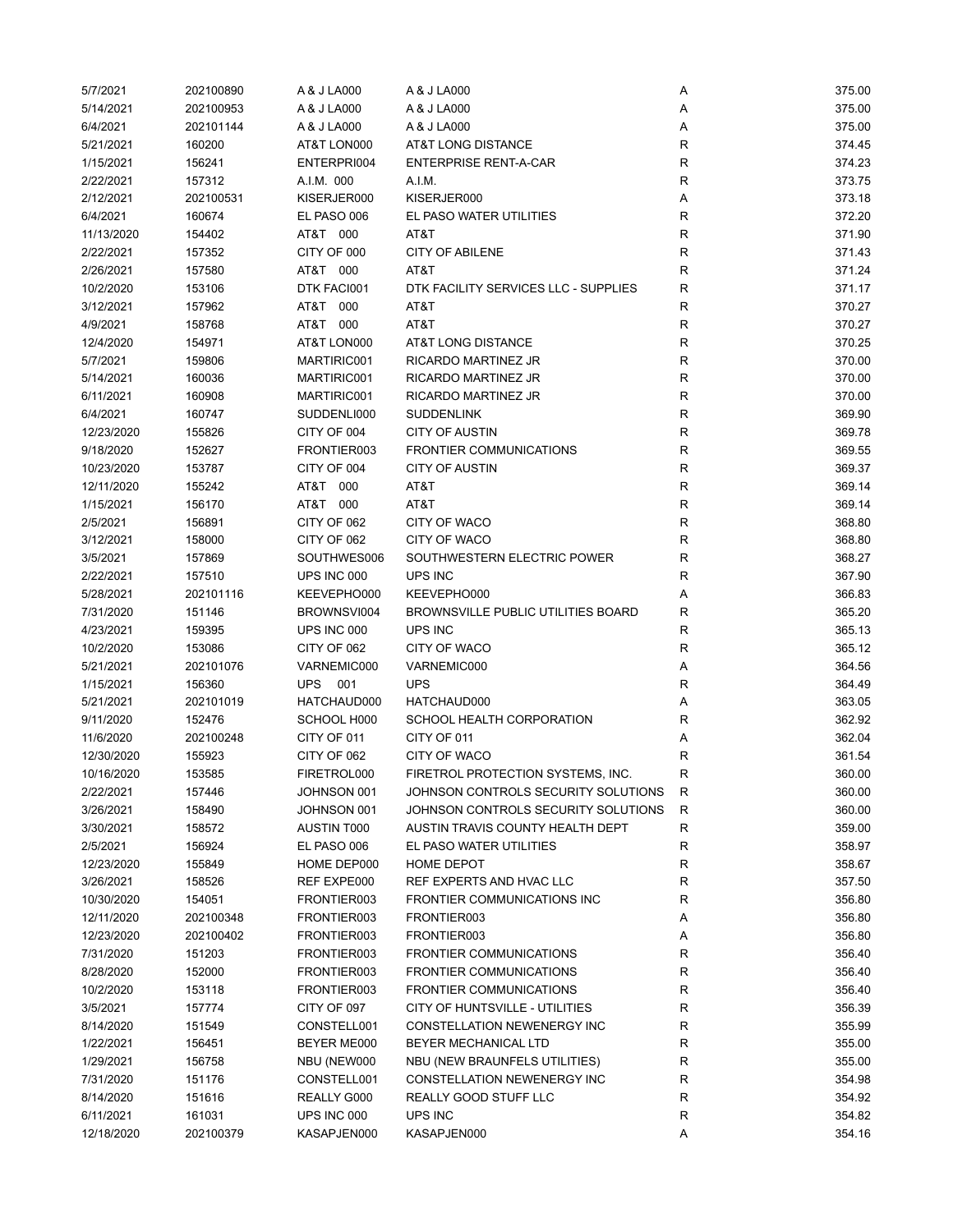| 5/7/2021   | 202100890 | A & J LA000        | A & J LA000                               | Α           | 375.00 |
|------------|-----------|--------------------|-------------------------------------------|-------------|--------|
| 5/14/2021  | 202100953 | A & J LA000        | A & J LA000                               | Α           | 375.00 |
| 6/4/2021   | 202101144 | A & J LA000        | A & J LA000                               | Α           | 375.00 |
| 5/21/2021  | 160200    | AT&T LON000        | AT&T LONG DISTANCE                        | R           | 374.45 |
| 1/15/2021  | 156241    | ENTERPRI004        | <b>ENTERPRISE RENT-A-CAR</b>              | R           | 374.23 |
| 2/22/2021  | 157312    | A.I.M. 000         | A.I.M.                                    | R           | 373.75 |
| 2/12/2021  | 202100531 | KISERJER000        | KISERJER000                               | Α           | 373.18 |
| 6/4/2021   | 160674    | EL PASO 006        | EL PASO WATER UTILITIES                   | R           | 372.20 |
| 11/13/2020 | 154402    | AT&T 000           | AT&T                                      | R           | 371.90 |
| 2/22/2021  | 157352    | CITY OF 000        | <b>CITY OF ABILENE</b>                    | R           | 371.43 |
| 2/26/2021  | 157580    | AT&T 000           | AT&T                                      | R           | 371.24 |
|            |           |                    |                                           |             |        |
| 10/2/2020  | 153106    | DTK FACI001        | DTK FACILITY SERVICES LLC - SUPPLIES      | $\mathsf R$ | 371.17 |
| 3/12/2021  | 157962    | AT&T<br>000        | AT&T                                      | R           | 370.27 |
| 4/9/2021   | 158768    | AT&T 000           | AT&T                                      | $\mathsf R$ | 370.27 |
| 12/4/2020  | 154971    | AT&T LON000        | AT&T LONG DISTANCE                        | R           | 370.25 |
| 5/7/2021   | 159806    | MARTIRIC001        | RICARDO MARTINEZ JR                       | R           | 370.00 |
| 5/14/2021  | 160036    | MARTIRIC001        | RICARDO MARTINEZ JR                       | R           | 370.00 |
| 6/11/2021  | 160908    | MARTIRIC001        | RICARDO MARTINEZ JR                       | $\mathsf R$ | 370.00 |
| 6/4/2021   | 160747    | SUDDENLI000        | <b>SUDDENLINK</b>                         | R           | 369.90 |
| 12/23/2020 | 155826    | CITY OF 004        | <b>CITY OF AUSTIN</b>                     | R           | 369.78 |
| 9/18/2020  | 152627    | FRONTIER003        | <b>FRONTIER COMMUNICATIONS</b>            | R           | 369.55 |
| 10/23/2020 | 153787    | CITY OF 004        | <b>CITY OF AUSTIN</b>                     | R           | 369.37 |
| 12/11/2020 | 155242    | AT&T 000           | AT&T                                      | R           | 369.14 |
| 1/15/2021  | 156170    | AT&T 000           | AT&T                                      | R           | 369.14 |
| 2/5/2021   | 156891    | CITY OF 062        | CITY OF WACO                              | $\mathsf R$ | 368.80 |
| 3/12/2021  | 158000    | CITY OF 062        | CITY OF WACO                              | R           | 368.80 |
| 3/5/2021   | 157869    | SOUTHWES006        | SOUTHWESTERN ELECTRIC POWER               | R           | 368.27 |
| 2/22/2021  | 157510    | UPS INC 000        | UPS INC                                   | R           | 367.90 |
| 5/28/2021  | 202101116 | KEEVEPHO000        | KEEVEPHO000                               | А           | 366.83 |
| 7/31/2020  | 151146    | BROWNSVI004        | <b>BROWNSVILLE PUBLIC UTILITIES BOARD</b> | R           | 365.20 |
| 4/23/2021  | 159395    | UPS INC 000        | UPS INC                                   | R           | 365.13 |
|            | 153086    | CITY OF 062        | <b>CITY OF WACO</b>                       |             | 365.12 |
| 10/2/2020  |           |                    |                                           | R           |        |
| 5/21/2021  | 202101076 | VARNEMIC000        | VARNEMIC000                               | Α           | 364.56 |
| 1/15/2021  | 156360    | <b>UPS</b><br>001  | <b>UPS</b>                                | R           | 364.49 |
| 5/21/2021  | 202101019 | HATCHAUD000        | HATCHAUD000                               | Α           | 363.05 |
| 9/11/2020  | 152476    | SCHOOL H000        | SCHOOL HEALTH CORPORATION                 | R           | 362.92 |
| 11/6/2020  | 202100248 | CITY OF 011        | CITY OF 011                               | Α           | 362.04 |
| 12/30/2020 | 155923    | CITY OF 062        | CITY OF WACO                              | R           | 361.54 |
| 10/16/2020 | 153585    | FIRETROL000        | FIRETROL PROTECTION SYSTEMS, INC.         | R           | 360.00 |
| 2/22/2021  | 157446    | JOHNSON 001        | JOHNSON CONTROLS SECURITY SOLUTIONS       | R           | 360.00 |
| 3/26/2021  | 158490    | JOHNSON 001        | JOHNSON CONTROLS SECURITY SOLUTIONS       | R           | 360.00 |
| 3/30/2021  | 158572    | <b>AUSTIN T000</b> | AUSTIN TRAVIS COUNTY HEALTH DEPT          | R           | 359.00 |
| 2/5/2021   | 156924    | EL PASO 006        | EL PASO WATER UTILITIES                   | R           | 358.97 |
| 12/23/2020 | 155849    | HOME DEP000        | HOME DEPOT                                | R           | 358.67 |
| 3/26/2021  | 158526    | REF EXPE000        | REF EXPERTS AND HVAC LLC                  | R           | 357.50 |
| 10/30/2020 | 154051    | FRONTIER003        | <b>FRONTIER COMMUNICATIONS INC</b>        | R           | 356.80 |
| 12/11/2020 | 202100348 | FRONTIER003        | FRONTIER003                               | Α           | 356.80 |
| 12/23/2020 | 202100402 | FRONTIER003        | FRONTIER003                               | Α           | 356.80 |
| 7/31/2020  | 151203    | FRONTIER003        | <b>FRONTIER COMMUNICATIONS</b>            | R           | 356.40 |
| 8/28/2020  | 152000    | FRONTIER003        | FRONTIER COMMUNICATIONS                   | R           | 356.40 |
| 10/2/2020  | 153118    | FRONTIER003        | <b>FRONTIER COMMUNICATIONS</b>            | R           | 356.40 |
| 3/5/2021   | 157774    | CITY OF 097        | CITY OF HUNTSVILLE - UTILITIES            | R           | 356.39 |
| 8/14/2020  | 151549    | CONSTELL001        | CONSTELLATION NEWENERGY INC               | R           | 355.99 |
| 1/22/2021  | 156451    | BEYER ME000        | BEYER MECHANICAL LTD                      | R           | 355.00 |
| 1/29/2021  | 156758    | NBU (NEW000        | NBU (NEW BRAUNFELS UTILITIES)             | R           | 355.00 |
| 7/31/2020  |           | CONSTELL001        |                                           | R           | 354.98 |
|            | 151176    |                    | CONSTELLATION NEWENERGY INC               |             |        |
| 8/14/2020  | 151616    | REALLY G000        | REALLY GOOD STUFF LLC                     | R           | 354.92 |
| 6/11/2021  | 161031    | UPS INC 000        | UPS INC                                   | R           | 354.82 |
| 12/18/2020 | 202100379 | KASAPJEN000        | KASAPJEN000                               | Α           | 354.16 |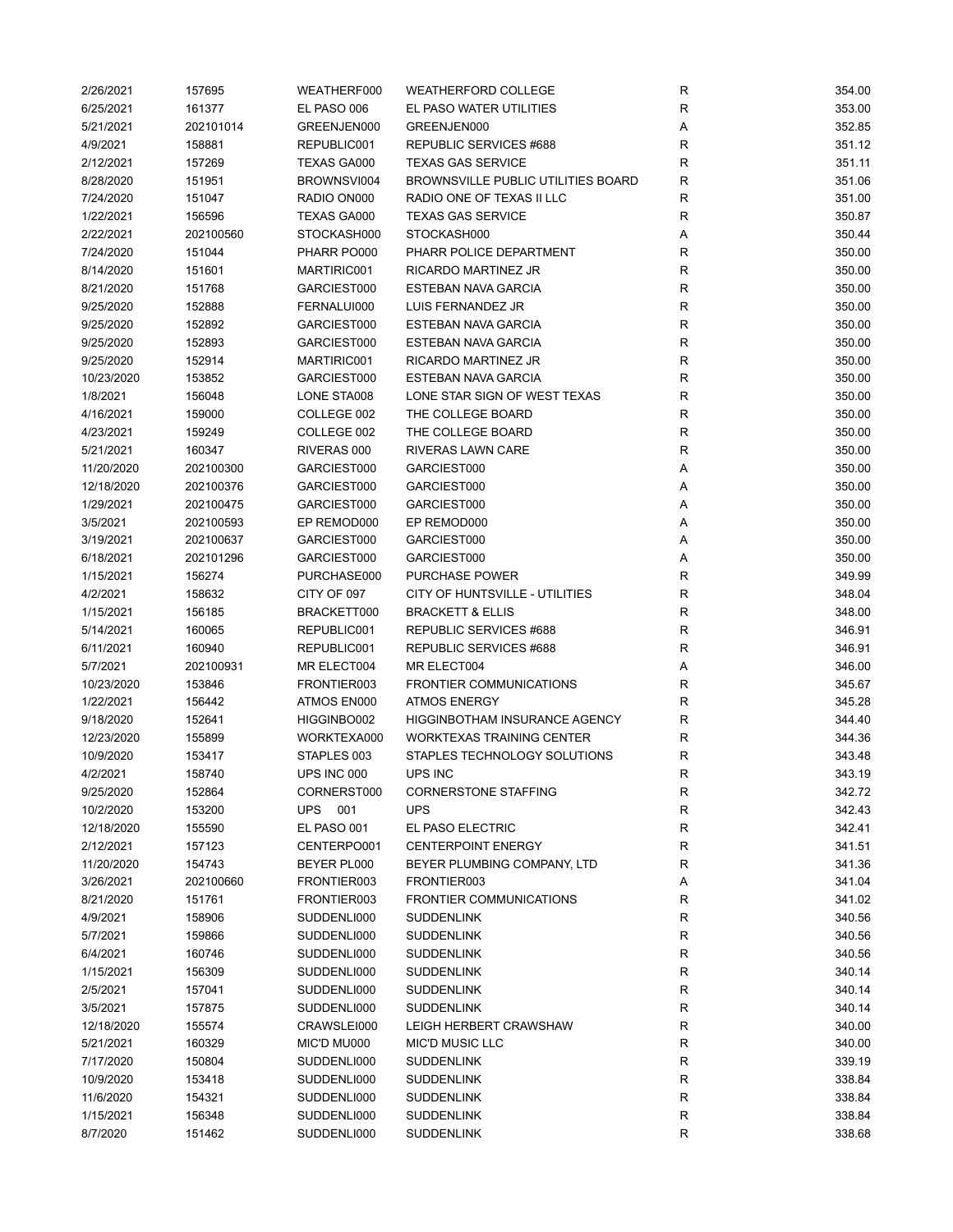| 2/26/2021  | 157695    | WEATHERF000        | <b>WEATHERFORD COLLEGE</b>                | $\mathsf R$  | 354.00 |
|------------|-----------|--------------------|-------------------------------------------|--------------|--------|
| 6/25/2021  | 161377    | EL PASO 006        | EL PASO WATER UTILITIES                   | $\mathsf R$  | 353.00 |
| 5/21/2021  | 202101014 | GREENJEN000        | GREENJEN000                               | Α            | 352.85 |
| 4/9/2021   | 158881    | REPUBLIC001        | REPUBLIC SERVICES #688                    | R            | 351.12 |
| 2/12/2021  | 157269    | <b>TEXAS GA000</b> | <b>TEXAS GAS SERVICE</b>                  | R            | 351.11 |
| 8/28/2020  | 151951    | BROWNSVI004        | <b>BROWNSVILLE PUBLIC UTILITIES BOARD</b> | R            | 351.06 |
| 7/24/2020  | 151047    | RADIO ON000        | RADIO ONE OF TEXAS II LLC                 | R            | 351.00 |
| 1/22/2021  | 156596    | TEXAS GA000        | <b>TEXAS GAS SERVICE</b>                  | R            | 350.87 |
| 2/22/2021  | 202100560 | STOCKASH000        | STOCKASH000                               | Α            | 350.44 |
| 7/24/2020  | 151044    | PHARR PO000        | PHARR POLICE DEPARTMENT                   | R            | 350.00 |
| 8/14/2020  | 151601    | MARTIRIC001        | <b>RICARDO MARTINEZ JR</b>                | $\mathsf R$  | 350.00 |
| 8/21/2020  | 151768    | GARCIEST000        | ESTEBAN NAVA GARCIA                       | $\mathsf{R}$ | 350.00 |
| 9/25/2020  | 152888    | FERNALUI000        | LUIS FERNANDEZ JR                         | $\mathsf{R}$ | 350.00 |
| 9/25/2020  | 152892    | GARCIEST000        | ESTEBAN NAVA GARCIA                       | $\mathsf{R}$ | 350.00 |
| 9/25/2020  | 152893    | GARCIEST000        | ESTEBAN NAVA GARCIA                       | $\mathsf R$  | 350.00 |
| 9/25/2020  | 152914    | MARTIRIC001        | RICARDO MARTINEZ JR                       | $\mathsf R$  | 350.00 |
| 10/23/2020 | 153852    | GARCIEST000        | <b>ESTEBAN NAVA GARCIA</b>                | $\mathsf R$  | 350.00 |
| 1/8/2021   | 156048    | LONE STA008        | LONE STAR SIGN OF WEST TEXAS              | R            | 350.00 |
| 4/16/2021  | 159000    | COLLEGE 002        | THE COLLEGE BOARD                         | $\mathsf R$  | 350.00 |
| 4/23/2021  | 159249    | COLLEGE 002        | THE COLLEGE BOARD                         | R            | 350.00 |
|            |           |                    | <b>RIVERAS LAWN CARE</b>                  |              |        |
| 5/21/2021  | 160347    | RIVERAS 000        |                                           | R            | 350.00 |
| 11/20/2020 | 202100300 | GARCIEST000        | GARCIEST000                               | Α            | 350.00 |
| 12/18/2020 | 202100376 | GARCIEST000        | GARCIEST000                               | Α            | 350.00 |
| 1/29/2021  | 202100475 | GARCIEST000        | GARCIEST000                               | Α            | 350.00 |
| 3/5/2021   | 202100593 | EP REMOD000        | EP REMOD000                               | Α            | 350.00 |
| 3/19/2021  | 202100637 | GARCIEST000        | GARCIEST000                               | Α            | 350.00 |
| 6/18/2021  | 202101296 | GARCIEST000        | GARCIEST000                               | Α            | 350.00 |
| 1/15/2021  | 156274    | PURCHASE000        | <b>PURCHASE POWER</b>                     | $\mathsf R$  | 349.99 |
| 4/2/2021   | 158632    | CITY OF 097        | CITY OF HUNTSVILLE - UTILITIES            | $\mathsf R$  | 348.04 |
| 1/15/2021  | 156185    | BRACKETT000        | <b>BRACKETT &amp; ELLIS</b>               | $\mathsf R$  | 348.00 |
| 5/14/2021  | 160065    | REPUBLIC001        | REPUBLIC SERVICES #688                    | $\mathsf R$  | 346.91 |
| 6/11/2021  | 160940    | REPUBLIC001        | REPUBLIC SERVICES #688                    | R            | 346.91 |
| 5/7/2021   | 202100931 | MR ELECT004        | MR ELECT004                               | Α            | 346.00 |
| 10/23/2020 | 153846    | FRONTIER003        | <b>FRONTIER COMMUNICATIONS</b>            | R            | 345.67 |
| 1/22/2021  | 156442    | ATMOS EN000        | <b>ATMOS ENERGY</b>                       | R            | 345.28 |
| 9/18/2020  | 152641    | HIGGINBO002        | <b>HIGGINBOTHAM INSURANCE AGENCY</b>      | R            | 344.40 |
| 12/23/2020 | 155899    | WORKTEXA000        | <b>WORKTEXAS TRAINING CENTER</b>          | R            | 344.36 |
| 10/9/2020  | 153417    | STAPLES 003        | STAPLES TECHNOLOGY SOLUTIONS              | R            | 343.48 |
| 4/2/2021   | 158740    | UPS INC 000        | UPS INC                                   | R            | 343.19 |
| 9/25/2020  | 152864    | CORNERST000        | <b>CORNERSTONE STAFFING</b>               | $\mathsf R$  | 342.72 |
| 10/2/2020  | 153200    | UPS 001            | <b>UPS</b>                                | $\mathsf R$  | 342.43 |
| 12/18/2020 | 155590    | EL PASO 001        | EL PASO ELECTRIC                          | R            | 342.41 |
| 2/12/2021  | 157123    | CENTERPO001        | <b>CENTERPOINT ENERGY</b>                 | R            | 341.51 |
| 11/20/2020 | 154743    | BEYER PL000        | BEYER PLUMBING COMPANY, LTD               | R            | 341.36 |
| 3/26/2021  | 202100660 | FRONTIER003        | FRONTIER003                               | Α            | 341.04 |
| 8/21/2020  | 151761    | FRONTIER003        | <b>FRONTIER COMMUNICATIONS</b>            | R            | 341.02 |
| 4/9/2021   | 158906    | SUDDENLI000        | <b>SUDDENLINK</b>                         | R            | 340.56 |
| 5/7/2021   | 159866    | SUDDENLI000        | <b>SUDDENLINK</b>                         | R            | 340.56 |
| 6/4/2021   | 160746    | SUDDENLI000        | <b>SUDDENLINK</b>                         | R            | 340.56 |
| 1/15/2021  | 156309    | SUDDENLI000        | <b>SUDDENLINK</b>                         | R            | 340.14 |
| 2/5/2021   | 157041    | SUDDENLI000        | <b>SUDDENLINK</b>                         | R            | 340.14 |
|            | 157875    | SUDDENLI000        | <b>SUDDENLINK</b>                         | R            | 340.14 |
| 3/5/2021   |           |                    |                                           |              |        |
| 12/18/2020 | 155574    | CRAWSLEI000        | LEIGH HERBERT CRAWSHAW                    | R            | 340.00 |
| 5/21/2021  | 160329    | MIC'D MU000        | <b>MIC'D MUSIC LLC</b>                    | R            | 340.00 |
| 7/17/2020  | 150804    | SUDDENLI000        | <b>SUDDENLINK</b>                         | R            | 339.19 |
| 10/9/2020  | 153418    | SUDDENLI000        | <b>SUDDENLINK</b>                         | R            | 338.84 |
| 11/6/2020  | 154321    | SUDDENLI000        | <b>SUDDENLINK</b>                         | R            | 338.84 |
| 1/15/2021  | 156348    | SUDDENLI000        | <b>SUDDENLINK</b>                         | R            | 338.84 |
| 8/7/2020   | 151462    | SUDDENLI000        | <b>SUDDENLINK</b>                         | $\mathsf R$  | 338.68 |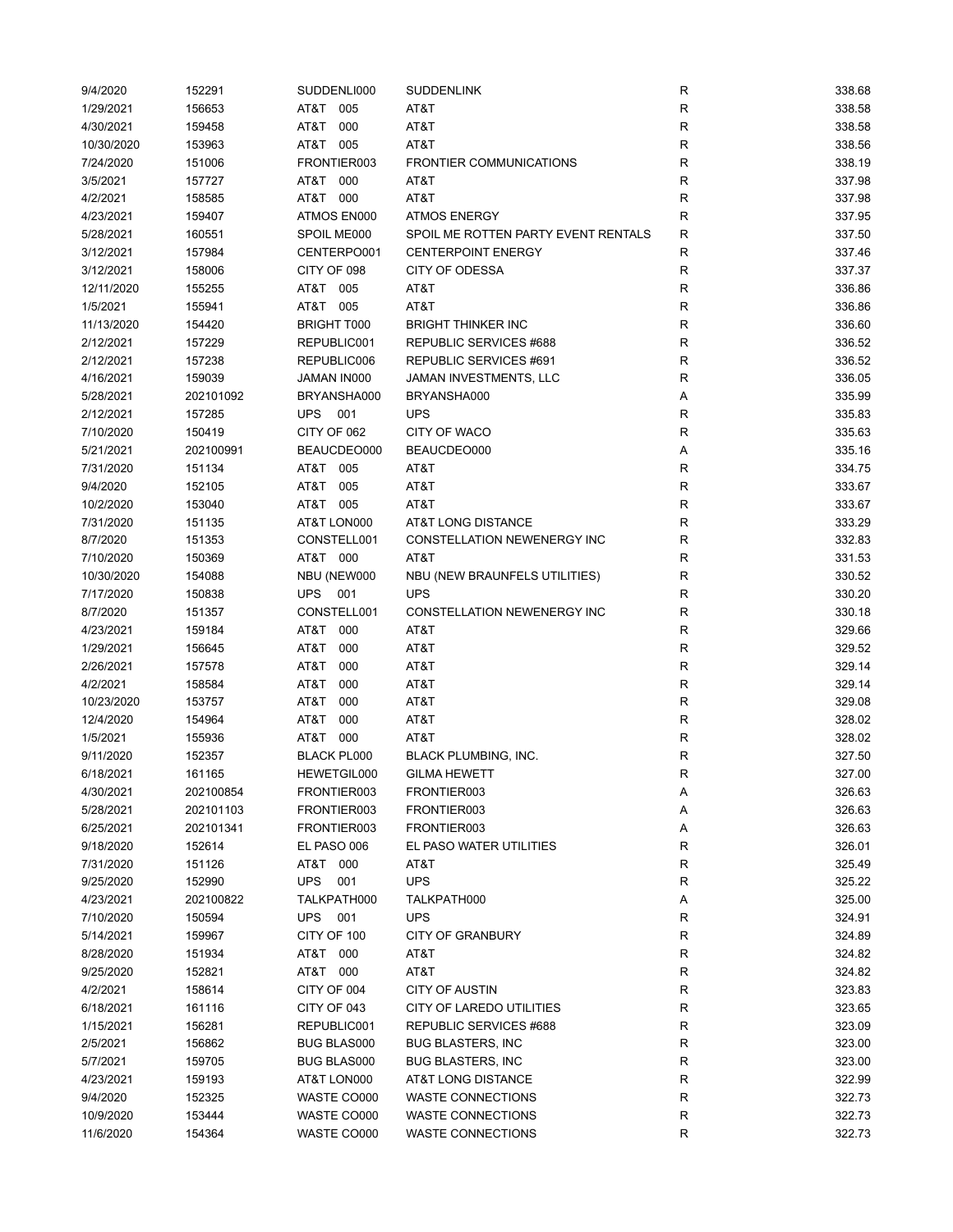| 9/4/2020   | 152291    | SUDDENLI000        | <b>SUDDENLINK</b>                   | R            | 338.68 |
|------------|-----------|--------------------|-------------------------------------|--------------|--------|
| 1/29/2021  | 156653    | AT&T 005           | AT&T                                | $\mathsf R$  | 338.58 |
| 4/30/2021  | 159458    | AT&T<br>000        | AT&T                                | $\mathsf R$  | 338.58 |
| 10/30/2020 | 153963    | AT&T 005           | AT&T                                | $\mathsf R$  | 338.56 |
| 7/24/2020  | 151006    | FRONTIER003        | <b>FRONTIER COMMUNICATIONS</b>      | R            | 338.19 |
| 3/5/2021   | 157727    | AT&T<br>000        | AT&T                                | R            | 337.98 |
| 4/2/2021   | 158585    | AT&T<br>000        | AT&T                                | R            | 337.98 |
| 4/23/2021  | 159407    | ATMOS EN000        | <b>ATMOS ENERGY</b>                 | R            | 337.95 |
| 5/28/2021  | 160551    | SPOIL ME000        | SPOIL ME ROTTEN PARTY EVENT RENTALS | R            | 337.50 |
| 3/12/2021  | 157984    | CENTERPO001        | <b>CENTERPOINT ENERGY</b>           | R            | 337.46 |
|            |           | CITY OF 098        | <b>CITY OF ODESSA</b>               | R            | 337.37 |
| 3/12/2021  | 158006    |                    |                                     |              |        |
| 12/11/2020 | 155255    | AT&T 005           | AT&T                                | $\mathsf R$  | 336.86 |
| 1/5/2021   | 155941    | AT&T 005           | AT&T                                | $\mathsf R$  | 336.86 |
| 11/13/2020 | 154420    | <b>BRIGHT T000</b> | <b>BRIGHT THINKER INC</b>           | $\mathsf R$  | 336.60 |
| 2/12/2021  | 157229    | REPUBLIC001        | REPUBLIC SERVICES #688              | $\mathsf R$  | 336.52 |
| 2/12/2021  | 157238    | REPUBLIC006        | REPUBLIC SERVICES #691              | $\mathsf R$  | 336.52 |
| 4/16/2021  | 159039    | JAMAN IN000        | JAMAN INVESTMENTS, LLC              | $\mathsf R$  | 336.05 |
| 5/28/2021  | 202101092 | BRYANSHA000        | BRYANSHA000                         | Α            | 335.99 |
| 2/12/2021  | 157285    | UPS<br>001         | <b>UPS</b>                          | R            | 335.83 |
| 7/10/2020  | 150419    | CITY OF 062        | <b>CITY OF WACO</b>                 | R            | 335.63 |
| 5/21/2021  | 202100991 | BEAUCDEO000        | BEAUCDEO000                         | Α            | 335.16 |
| 7/31/2020  | 151134    | AT&T 005           | AT&T                                | R            | 334.75 |
| 9/4/2020   | 152105    | AT&T<br>005        | AT&T                                | R            | 333.67 |
| 10/2/2020  | 153040    | AT&T 005           | AT&T                                | R            | 333.67 |
| 7/31/2020  | 151135    | AT&T LON000        | AT&T LONG DISTANCE                  | R            | 333.29 |
| 8/7/2020   | 151353    | CONSTELL001        | CONSTELLATION NEWENERGY INC         | $\mathsf R$  | 332.83 |
| 7/10/2020  | 150369    | AT&T 000           | AT&T                                | R            | 331.53 |
| 10/30/2020 | 154088    | NBU (NEW000        | NBU (NEW BRAUNFELS UTILITIES)       | R            | 330.52 |
| 7/17/2020  | 150838    | <b>UPS</b><br>001  | <b>UPS</b>                          | $\mathsf{R}$ | 330.20 |
| 8/7/2020   | 151357    | CONSTELL001        | CONSTELLATION NEWENERGY INC         | $\mathsf{R}$ | 330.18 |
| 4/23/2021  | 159184    | AT&T 000           | AT&T                                | $\mathsf{R}$ | 329.66 |
| 1/29/2021  | 156645    | AT&T<br>000        | AT&T                                | R            | 329.52 |
| 2/26/2021  | 157578    | AT&T<br>000        | AT&T                                | $\mathsf{R}$ | 329.14 |
| 4/2/2021   |           | AT&T<br>000        | AT&T                                | R            | 329.14 |
|            | 158584    |                    |                                     |              |        |
| 10/23/2020 | 153757    | AT&T<br>000        | AT&T                                | R            | 329.08 |
| 12/4/2020  | 154964    | T&TA<br>000        | AT&T                                | R            | 328.02 |
| 1/5/2021   | 155936    | AT&T 000           | AT&T                                | R            | 328.02 |
| 9/11/2020  | 152357    | <b>BLACK PL000</b> | <b>BLACK PLUMBING, INC.</b>         | R            | 327.50 |
| 6/18/2021  | 161165    | HEWETGIL000        | <b>GILMA HEWETT</b>                 | R            | 327.00 |
| 4/30/2021  | 202100854 | FRONTIER003        | FRONTIER003                         | Α            | 326.63 |
| 5/28/2021  | 202101103 | FRONTIER003        | FRONTIER003                         | Α            | 326.63 |
| 6/25/2021  | 202101341 | FRONTIER003        | FRONTIER003                         | Α            | 326.63 |
| 9/18/2020  | 152614    | EL PASO 006        | EL PASO WATER UTILITIES             | R            | 326.01 |
| 7/31/2020  | 151126    | AT&T 000           | AT&T                                | R            | 325.49 |
| 9/25/2020  | 152990    | <b>UPS</b><br>001  | <b>UPS</b>                          | R            | 325.22 |
| 4/23/2021  | 202100822 | TALKPATH000        | TALKPATH000                         | Α            | 325.00 |
| 7/10/2020  | 150594    | <b>UPS</b><br>001  | <b>UPS</b>                          | R            | 324.91 |
| 5/14/2021  | 159967    | CITY OF 100        | <b>CITY OF GRANBURY</b>             | R            | 324.89 |
| 8/28/2020  | 151934    | AT&T 000           | AT&T                                | R            | 324.82 |
| 9/25/2020  | 152821    | AT&T 000           | AT&T                                | R            | 324.82 |
| 4/2/2021   | 158614    | CITY OF 004        | <b>CITY OF AUSTIN</b>               | R            | 323.83 |
| 6/18/2021  | 161116    | CITY OF 043        | CITY OF LAREDO UTILITIES            | R            | 323.65 |
| 1/15/2021  | 156281    | REPUBLIC001        | REPUBLIC SERVICES #688              | R            | 323.09 |
| 2/5/2021   | 156862    | <b>BUG BLAS000</b> | BUG BLASTERS, INC                   | R            | 323.00 |
| 5/7/2021   | 159705    | BUG BLAS000        | <b>BUG BLASTERS, INC</b>            | R            | 323.00 |
| 4/23/2021  | 159193    | AT&T LON000        | AT&T LONG DISTANCE                  | R            | 322.99 |
| 9/4/2020   | 152325    | WASTE CO000        | <b>WASTE CONNECTIONS</b>            | R            | 322.73 |
| 10/9/2020  | 153444    | WASTE CO000        | <b>WASTE CONNECTIONS</b>            | R            | 322.73 |
| 11/6/2020  | 154364    | WASTE CO000        | <b>WASTE CONNECTIONS</b>            | R            | 322.73 |
|            |           |                    |                                     |              |        |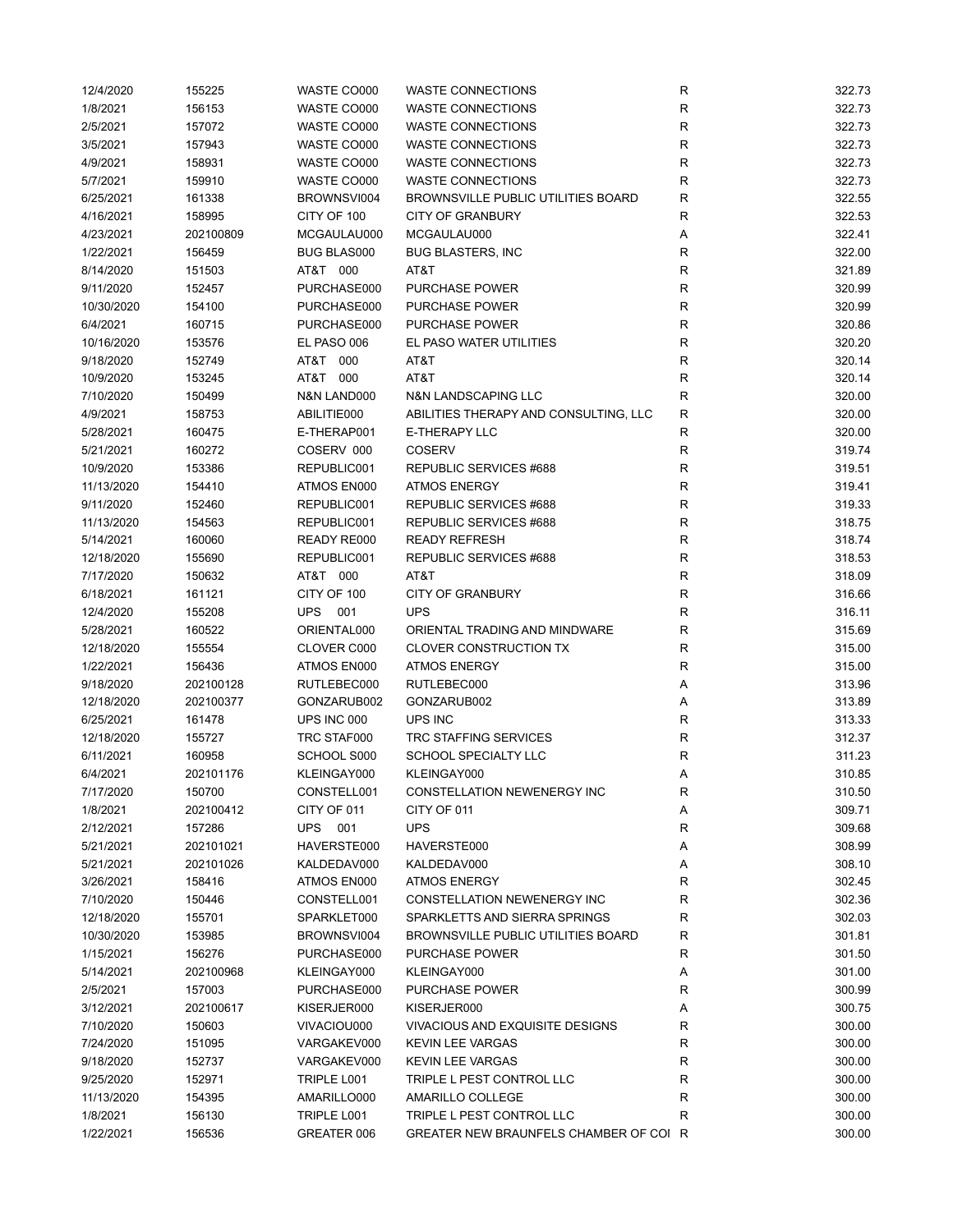| 12/4/2020  | 155225    | WASTE CO000        | <b>WASTE CONNECTIONS</b>               | $\mathsf R$  | 322.73 |
|------------|-----------|--------------------|----------------------------------------|--------------|--------|
| 1/8/2021   | 156153    | WASTE CO000        | <b>WASTE CONNECTIONS</b>               | R            | 322.73 |
| 2/5/2021   | 157072    | WASTE CO000        | <b>WASTE CONNECTIONS</b>               | R            | 322.73 |
| 3/5/2021   | 157943    | WASTE CO000        | <b>WASTE CONNECTIONS</b>               | $\mathsf{R}$ | 322.73 |
| 4/9/2021   | 158931    | WASTE CO000        | <b>WASTE CONNECTIONS</b>               | $\mathsf{R}$ | 322.73 |
| 5/7/2021   | 159910    | WASTE CO000        | <b>WASTE CONNECTIONS</b>               | R            | 322.73 |
| 6/25/2021  | 161338    | BROWNSVI004        | BROWNSVILLE PUBLIC UTILITIES BOARD     | R            | 322.55 |
| 4/16/2021  | 158995    | CITY OF 100        | <b>CITY OF GRANBURY</b>                | R            | 322.53 |
| 4/23/2021  | 202100809 | MCGAULAU000        | MCGAULAU000                            | Α            | 322.41 |
|            |           | <b>BUG BLAS000</b> | <b>BUG BLASTERS, INC</b>               |              |        |
| 1/22/2021  | 156459    |                    |                                        | R            | 322.00 |
| 8/14/2020  | 151503    | AT&T 000           | AT&T                                   | $\mathsf{R}$ | 321.89 |
| 9/11/2020  | 152457    | PURCHASE000        | PURCHASE POWER                         | $\mathsf{R}$ | 320.99 |
| 10/30/2020 | 154100    | PURCHASE000        | <b>PURCHASE POWER</b>                  | $\mathsf{R}$ | 320.99 |
| 6/4/2021   | 160715    | PURCHASE000        | <b>PURCHASE POWER</b>                  | R            | 320.86 |
| 10/16/2020 | 153576    | EL PASO 006        | EL PASO WATER UTILITIES                | $\mathsf{R}$ | 320.20 |
| 9/18/2020  | 152749    | AT&T 000           | AT&T                                   | R            | 320.14 |
| 10/9/2020  | 153245    | AT&T<br>000        | AT&T                                   | R            | 320.14 |
| 7/10/2020  | 150499    | N&N LAND000        | N&N LANDSCAPING LLC                    | $\mathsf{R}$ | 320.00 |
| 4/9/2021   | 158753    | ABILITIE000        | ABILITIES THERAPY AND CONSULTING, LLC  | R            | 320.00 |
| 5/28/2021  | 160475    | E-THERAP001        | <b>E-THERAPY LLC</b>                   | R            | 320.00 |
| 5/21/2021  | 160272    | COSERV 000         | COSERV                                 | R            | 319.74 |
| 10/9/2020  | 153386    | REPUBLIC001        | REPUBLIC SERVICES #688                 | R            | 319.51 |
| 11/13/2020 | 154410    | ATMOS EN000        | <b>ATMOS ENERGY</b>                    | R            | 319.41 |
| 9/11/2020  | 152460    | REPUBLIC001        | REPUBLIC SERVICES #688                 | R            | 319.33 |
| 11/13/2020 | 154563    | REPUBLIC001        | REPUBLIC SERVICES #688                 | $\mathsf{R}$ | 318.75 |
| 5/14/2021  | 160060    | READY RE000        | <b>READY REFRESH</b>                   | $\mathsf{R}$ | 318.74 |
|            |           |                    |                                        |              |        |
| 12/18/2020 | 155690    | REPUBLIC001        | REPUBLIC SERVICES #688                 | R            | 318.53 |
| 7/17/2020  | 150632    | AT&T 000           | AT&T                                   | $\mathsf{R}$ | 318.09 |
| 6/18/2021  | 161121    | CITY OF 100        | <b>CITY OF GRANBURY</b>                | $\mathsf{R}$ | 316.66 |
| 12/4/2020  | 155208    | <b>UPS</b><br>001  | <b>UPS</b>                             | $\mathsf{R}$ | 316.11 |
| 5/28/2021  | 160522    | ORIENTAL000        | ORIENTAL TRADING AND MINDWARE          | $\mathsf{R}$ | 315.69 |
| 12/18/2020 | 155554    | CLOVER C000        | <b>CLOVER CONSTRUCTION TX</b>          | $\mathsf{R}$ | 315.00 |
| 1/22/2021  | 156436    | ATMOS EN000        | <b>ATMOS ENERGY</b>                    | R            | 315.00 |
| 9/18/2020  | 202100128 | RUTLEBEC000        | RUTLEBEC000                            | Α            | 313.96 |
| 12/18/2020 | 202100377 | GONZARUB002        | GONZARUB002                            | Α            | 313.89 |
| 6/25/2021  | 161478    | UPS INC 000        | UPS INC                                | R            | 313.33 |
| 12/18/2020 | 155727    | TRC STAF000        | <b>TRC STAFFING SERVICES</b>           | $\mathsf{R}$ | 312.37 |
| 6/11/2021  | 160958    | SCHOOL S000        | SCHOOL SPECIALTY LLC                   | R            | 311.23 |
| 6/4/2021   | 202101176 | KLEINGAY000        | KLEINGAY000                            | Α            | 310.85 |
| 7/17/2020  | 150700    | CONSTELL001        | <b>CONSTELLATION NEWENERGY INC</b>     | R            | 310.50 |
| 1/8/2021   | 202100412 | CITY OF 011        | CITY OF 011                            | Α            | 309.71 |
| 2/12/2021  | 157286    | UPS 001            | <b>UPS</b>                             | R            | 309.68 |
| 5/21/2021  | 202101021 | HAVERSTE000        | HAVERSTE000                            | Α            | 308.99 |
| 5/21/2021  | 202101026 | KALDEDAV000        | KALDEDAV000                            | Α            | 308.10 |
|            | 158416    |                    |                                        |              |        |
| 3/26/2021  |           | ATMOS EN000        | <b>ATMOS ENERGY</b>                    | R            | 302.45 |
| 7/10/2020  | 150446    | CONSTELL001        | CONSTELLATION NEWENERGY INC            | R            | 302.36 |
| 12/18/2020 | 155701    | SPARKLET000        | SPARKLETTS AND SIERRA SPRINGS          | R            | 302.03 |
| 10/30/2020 | 153985    | BROWNSVI004        | BROWNSVILLE PUBLIC UTILITIES BOARD     | R            | 301.81 |
| 1/15/2021  | 156276    | PURCHASE000        | PURCHASE POWER                         | R            | 301.50 |
| 5/14/2021  | 202100968 | KLEINGAY000        | KLEINGAY000                            | Α            | 301.00 |
| 2/5/2021   | 157003    | PURCHASE000        | <b>PURCHASE POWER</b>                  | R            | 300.99 |
| 3/12/2021  | 202100617 | KISERJER000        | KISERJER000                            | Α            | 300.75 |
| 7/10/2020  | 150603    | VIVACIOU000        | VIVACIOUS AND EXQUISITE DESIGNS        | R            | 300.00 |
| 7/24/2020  | 151095    | VARGAKEV000        | <b>KEVIN LEE VARGAS</b>                | R            | 300.00 |
| 9/18/2020  | 152737    | VARGAKEV000        | <b>KEVIN LEE VARGAS</b>                | R            | 300.00 |
| 9/25/2020  | 152971    | TRIPLE L001        | TRIPLE L PEST CONTROL LLC              | R            | 300.00 |
| 11/13/2020 | 154395    | AMARILLO000        | AMARILLO COLLEGE                       | R            | 300.00 |
| 1/8/2021   | 156130    | TRIPLE L001        | TRIPLE L PEST CONTROL LLC              | R            | 300.00 |
| 1/22/2021  | 156536    | GREATER 006        | GREATER NEW BRAUNFELS CHAMBER OF COI R |              | 300.00 |
|            |           |                    |                                        |              |        |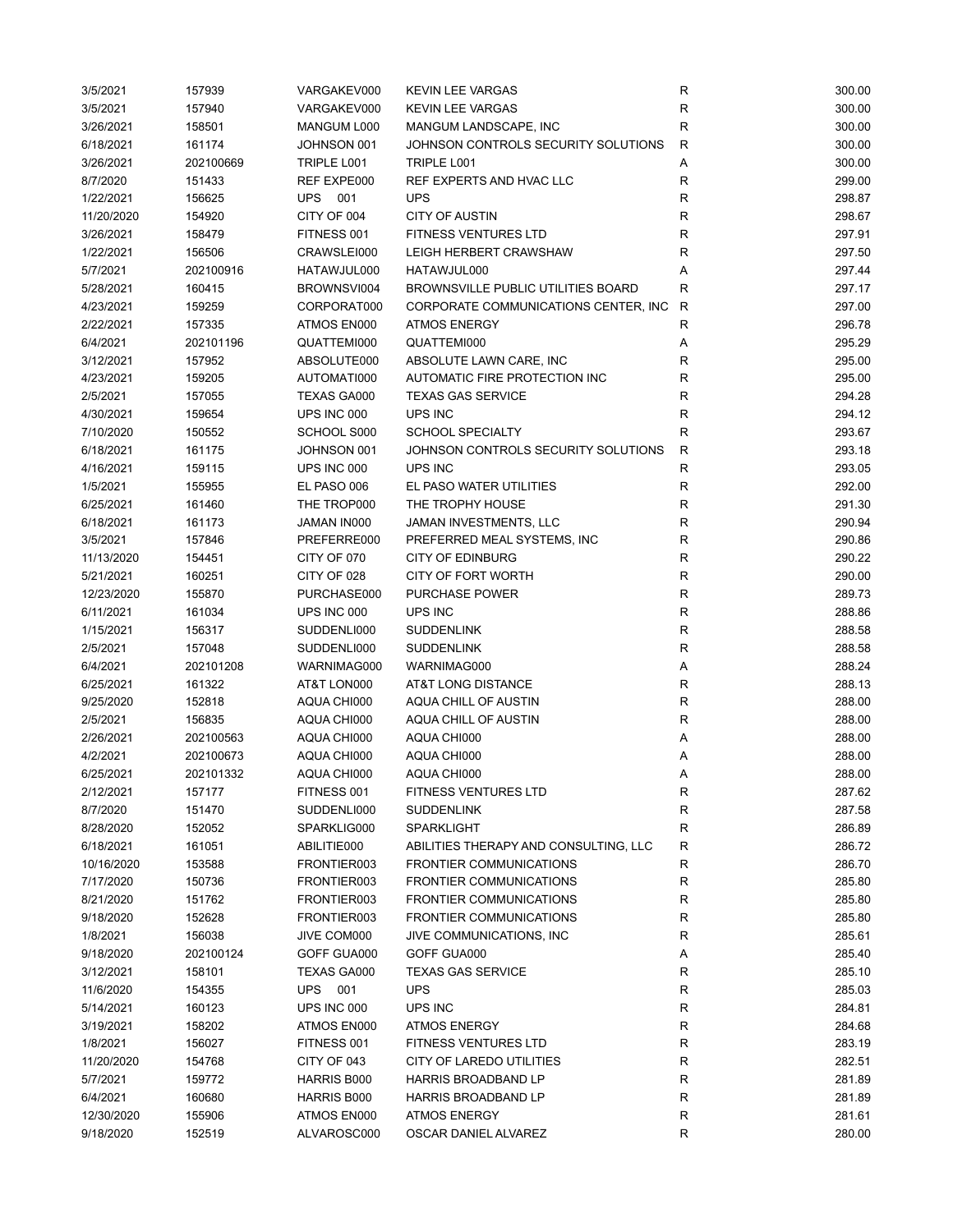| 3/5/2021   | 157939    | VARGAKEV000    | <b>KEVIN LEE VARGAS</b>                   | R           | 300.00 |
|------------|-----------|----------------|-------------------------------------------|-------------|--------|
| 3/5/2021   | 157940    | VARGAKEV000    | <b>KEVIN LEE VARGAS</b>                   | R           | 300.00 |
| 3/26/2021  | 158501    | MANGUM L000    | MANGUM LANDSCAPE, INC                     | R           | 300.00 |
| 6/18/2021  | 161174    | JOHNSON 001    | JOHNSON CONTROLS SECURITY SOLUTIONS       | R           | 300.00 |
| 3/26/2021  | 202100669 | TRIPLE L001    | TRIPLE L001                               | Α           | 300.00 |
| 8/7/2020   | 151433    | REF EXPE000    | REF EXPERTS AND HVAC LLC                  | R           | 299.00 |
| 1/22/2021  | 156625    | UPS<br>001     | <b>UPS</b>                                | R           | 298.87 |
| 11/20/2020 | 154920    | CITY OF 004    | <b>CITY OF AUSTIN</b>                     | R           | 298.67 |
| 3/26/2021  | 158479    | FITNESS 001    | <b>FITNESS VENTURES LTD</b>               | R           | 297.91 |
| 1/22/2021  | 156506    | CRAWSLEI000    | LEIGH HERBERT CRAWSHAW                    | R           | 297.50 |
| 5/7/2021   | 202100916 | HATAWJUL000    | HATAWJUL000                               | Α           | 297.44 |
|            |           |                | <b>BROWNSVILLE PUBLIC UTILITIES BOARD</b> | R           |        |
| 5/28/2021  | 160415    | BROWNSVI004    |                                           |             | 297.17 |
| 4/23/2021  | 159259    | CORPORAT000    | CORPORATE COMMUNICATIONS CENTER, INC.     | R           | 297.00 |
| 2/22/2021  | 157335    | ATMOS EN000    | <b>ATMOS ENERGY</b>                       | R           | 296.78 |
| 6/4/2021   | 202101196 | QUATTEMI000    | QUATTEMI000                               | Α           | 295.29 |
| 3/12/2021  | 157952    | ABSOLUTE000    | ABSOLUTE LAWN CARE, INC                   | R           | 295.00 |
| 4/23/2021  | 159205    | AUTOMATI000    | AUTOMATIC FIRE PROTECTION INC             | R           | 295.00 |
| 2/5/2021   | 157055    | TEXAS GA000    | <b>TEXAS GAS SERVICE</b>                  | R           | 294.28 |
| 4/30/2021  | 159654    | UPS INC 000    | UPS INC                                   | R           | 294.12 |
| 7/10/2020  | 150552    | SCHOOL S000    | <b>SCHOOL SPECIALTY</b>                   | R           | 293.67 |
| 6/18/2021  | 161175    | JOHNSON 001    | JOHNSON CONTROLS SECURITY SOLUTIONS       | R           | 293.18 |
| 4/16/2021  | 159115    | UPS INC 000    | UPS INC                                   | R           | 293.05 |
| 1/5/2021   | 155955    | EL PASO 006    | EL PASO WATER UTILITIES                   | R           | 292.00 |
| 6/25/2021  | 161460    | THE TROP000    | THE TROPHY HOUSE                          | R           | 291.30 |
| 6/18/2021  | 161173    | JAMAN IN000    | JAMAN INVESTMENTS, LLC                    | R           | 290.94 |
| 3/5/2021   | 157846    | PREFERRE000    | PREFERRED MEAL SYSTEMS, INC               | R           | 290.86 |
| 11/13/2020 | 154451    | CITY OF 070    | <b>CITY OF EDINBURG</b>                   | R           | 290.22 |
| 5/21/2021  | 160251    | CITY OF 028    | CITY OF FORT WORTH                        | R           | 290.00 |
| 12/23/2020 | 155870    | PURCHASE000    | <b>PURCHASE POWER</b>                     | R           | 289.73 |
| 6/11/2021  | 161034    | UPS INC 000    | UPS INC                                   | R           | 288.86 |
| 1/15/2021  | 156317    | SUDDENLI000    | <b>SUDDENLINK</b>                         | R           | 288.58 |
| 2/5/2021   | 157048    | SUDDENLI000    | <b>SUDDENLINK</b>                         | $\mathsf R$ | 288.58 |
| 6/4/2021   | 202101208 | WARNIMAG000    | WARNIMAG000                               | Α           | 288.24 |
| 6/25/2021  | 161322    | AT&T LON000    | AT&T LONG DISTANCE                        | R           | 288.13 |
| 9/25/2020  | 152818    | AQUA CHI000    | AQUA CHILL OF AUSTIN                      | R           | 288.00 |
| 2/5/2021   | 156835    | AQUA CHI000    | AQUA CHILL OF AUSTIN                      | R           | 288.00 |
| 2/26/2021  | 202100563 | AQUA CHI000    | AQUA CHI000                               | Α           | 288.00 |
| 4/2/2021   | 202100673 | AQUA CHI000    | AQUA CHI000                               | Α           | 288.00 |
| 6/25/2021  |           |                |                                           |             |        |
|            | 202101332 | AQUA CHI000    | AQUA CHI000                               | Α           | 288.00 |
| 2/12/2021  | 157177    | FITNESS 001    | <b>FITNESS VENTURES LTD</b>               | R           | 287.62 |
| 8/7/2020   | 151470    | SUDDENLI000    | <b>SUDDENLINK</b>                         | R           | 287.58 |
| 8/28/2020  | 152052    | SPARKLIG000    | <b>SPARKLIGHT</b>                         | R           | 286.89 |
| 6/18/2021  | 161051    | ABILITIE000    | ABILITIES THERAPY AND CONSULTING, LLC     | R           | 286.72 |
| 10/16/2020 | 153588    | FRONTIER003    | <b>FRONTIER COMMUNICATIONS</b>            | R           | 286.70 |
| 7/17/2020  | 150736    | FRONTIER003    | <b>FRONTIER COMMUNICATIONS</b>            | R           | 285.80 |
| 8/21/2020  | 151762    | FRONTIER003    | <b>FRONTIER COMMUNICATIONS</b>            | R           | 285.80 |
| 9/18/2020  | 152628    | FRONTIER003    | <b>FRONTIER COMMUNICATIONS</b>            | R           | 285.80 |
| 1/8/2021   | 156038    | JIVE COM000    | JIVE COMMUNICATIONS, INC                  | R           | 285.61 |
| 9/18/2020  | 202100124 | GOFF GUA000    | GOFF GUA000                               | A           | 285.40 |
| 3/12/2021  | 158101    | TEXAS GA000    | <b>TEXAS GAS SERVICE</b>                  | R           | 285.10 |
| 11/6/2020  | 154355    | <b>UPS</b> 001 | <b>UPS</b>                                | R           | 285.03 |
| 5/14/2021  | 160123    | UPS INC 000    | UPS INC                                   | R           | 284.81 |
| 3/19/2021  | 158202    | ATMOS EN000    | <b>ATMOS ENERGY</b>                       | R           | 284.68 |
| 1/8/2021   | 156027    | FITNESS 001    | <b>FITNESS VENTURES LTD</b>               | R           | 283.19 |
| 11/20/2020 | 154768    | CITY OF 043    | CITY OF LAREDO UTILITIES                  | R           | 282.51 |
| 5/7/2021   | 159772    | HARRIS B000    | HARRIS BROADBAND LP                       | R           | 281.89 |
| 6/4/2021   | 160680    | HARRIS B000    | HARRIS BROADBAND LP                       | R           | 281.89 |
| 12/30/2020 | 155906    | ATMOS EN000    | ATMOS ENERGY                              | R           | 281.61 |
| 9/18/2020  | 152519    | ALVAROSC000    | OSCAR DANIEL ALVAREZ                      | R           | 280.00 |
|            |           |                |                                           |             |        |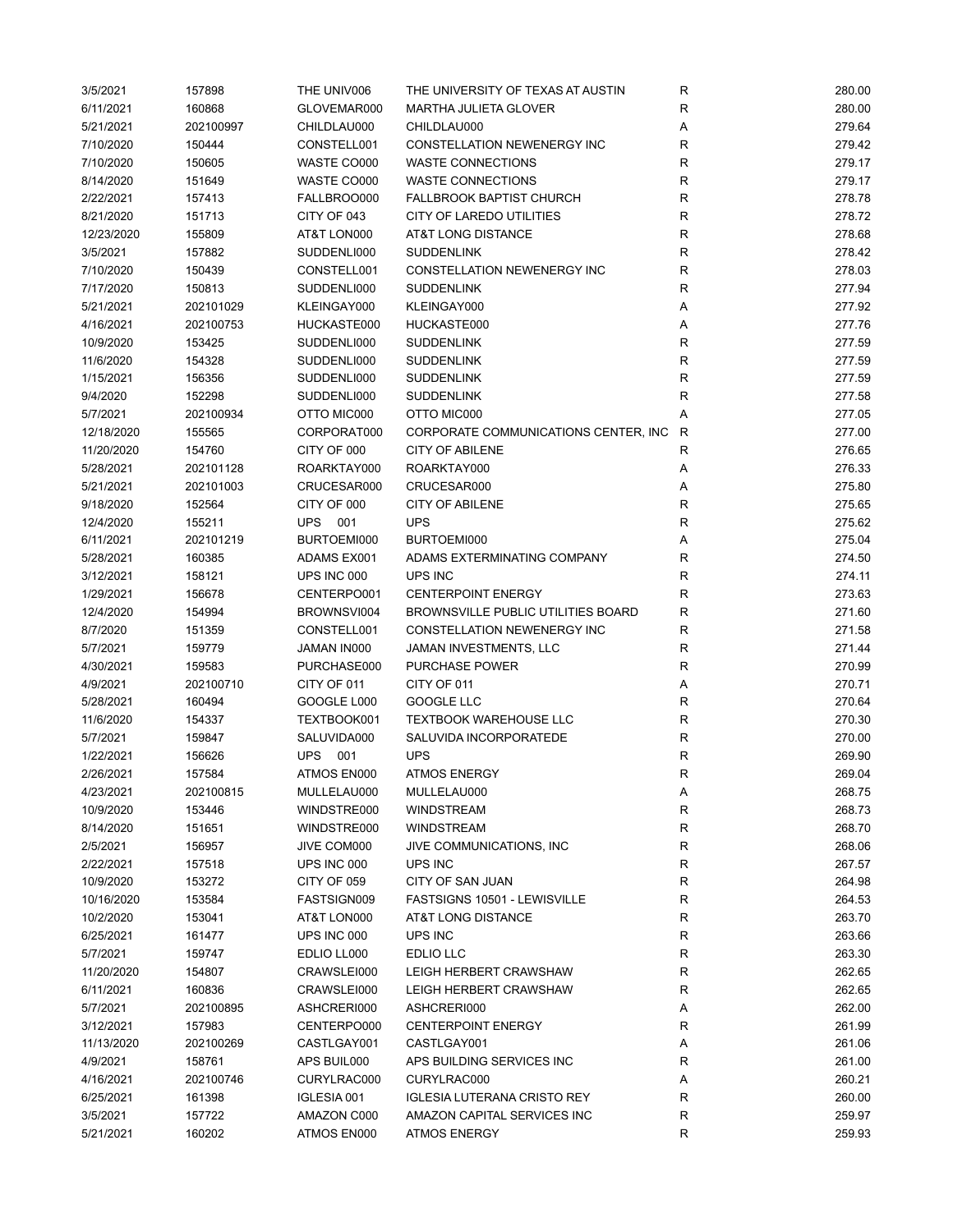| 3/5/2021               | 157898              | THE UNIV006            | THE UNIVERSITY OF TEXAS AT AUSTIN         | $\mathsf R$                | 280.00           |
|------------------------|---------------------|------------------------|-------------------------------------------|----------------------------|------------------|
| 6/11/2021              | 160868              | GLOVEMAR000            | <b>MARTHA JULIETA GLOVER</b>              | $\mathsf R$                | 280.00           |
| 5/21/2021              | 202100997           | CHILDLAU000            | CHILDLAU000                               | Α                          | 279.64           |
| 7/10/2020              | 150444              | CONSTELL001            | CONSTELLATION NEWENERGY INC               | R                          | 279.42           |
| 7/10/2020              | 150605              | WASTE CO000            | <b>WASTE CONNECTIONS</b>                  | $\mathsf R$                | 279.17           |
| 8/14/2020              | 151649              | WASTE CO000            | <b>WASTE CONNECTIONS</b>                  | $\mathsf R$                | 279.17           |
| 2/22/2021              | 157413              | FALLBROO000            | <b>FALLBROOK BAPTIST CHURCH</b>           | R                          | 278.78           |
| 8/21/2020              | 151713              | CITY OF 043            | CITY OF LAREDO UTILITIES                  | R                          | 278.72           |
| 12/23/2020             | 155809              | AT&T LON000            | AT&T LONG DISTANCE                        | R                          | 278.68           |
| 3/5/2021               | 157882              | SUDDENLI000            | <b>SUDDENLINK</b>                         | R                          | 278.42           |
| 7/10/2020              | 150439              | CONSTELL001            | <b>CONSTELLATION NEWENERGY INC</b>        | $\mathsf R$                | 278.03           |
| 7/17/2020              | 150813              | SUDDENLI000            | <b>SUDDENLINK</b>                         | $\mathsf R$                | 277.94           |
| 5/21/2021              | 202101029           | KLEINGAY000            | KLEINGAY000                               | Α                          | 277.92           |
| 4/16/2021              | 202100753           | HUCKASTE000            | HUCKASTE000                               | Α                          | 277.76           |
| 10/9/2020              | 153425              | SUDDENLI000            | <b>SUDDENLINK</b>                         | $\mathsf{R}$               | 277.59           |
| 11/6/2020              | 154328              | SUDDENLI000            | <b>SUDDENLINK</b>                         | $\mathsf R$                | 277.59           |
| 1/15/2021              | 156356              | SUDDENLI000            | <b>SUDDENLINK</b>                         | $\mathsf R$                | 277.59           |
| 9/4/2020               | 152298              | SUDDENLI000            | <b>SUDDENLINK</b>                         | $\mathsf R$                | 277.58           |
| 5/7/2021               | 202100934           | OTTO MIC000            | OTTO MIC000                               | Α                          | 277.05           |
| 12/18/2020             | 155565              | CORPORAT000            | CORPORATE COMMUNICATIONS CENTER, INC      | R                          | 277.00           |
| 11/20/2020             | 154760              | CITY OF 000            | <b>CITY OF ABILENE</b>                    | R                          | 276.65           |
| 5/28/2021              | 202101128           | ROARKTAY000            | ROARKTAY000                               | Α                          | 276.33           |
| 5/21/2021              | 202101003           | CRUCESAR000            | CRUCESAR000                               | Α                          | 275.80           |
|                        | 152564              |                        | <b>CITY OF ABILENE</b>                    | $\mathsf R$                | 275.65           |
| 9/18/2020              | 155211              | CITY OF 000            |                                           | ${\sf R}$                  |                  |
| 12/4/2020<br>6/11/2021 | 202101219           | UPS 001<br>BURTOEMI000 | <b>UPS</b><br>BURTOEMI000                 | Α                          | 275.62<br>275.04 |
| 5/28/2021              | 160385              | ADAMS EX001            | ADAMS EXTERMINATING COMPANY               | $\mathsf{R}$               | 274.50           |
|                        |                     |                        | UPS INC                                   | $\mathsf R$                | 274.11           |
| 3/12/2021              | 158121              | UPS INC 000            |                                           | $\mathsf R$                | 273.63           |
| 1/29/2021              | 156678              | CENTERPO001            | <b>CENTERPOINT ENERGY</b>                 |                            |                  |
| 12/4/2020              | 154994              | BROWNSVI004            | <b>BROWNSVILLE PUBLIC UTILITIES BOARD</b> | $\mathsf R$                | 271.60           |
| 8/7/2020               | 151359              | CONSTELL001            | CONSTELLATION NEWENERGY INC               | $\mathsf R$<br>$\mathsf R$ | 271.58           |
| 5/7/2021               | 159779              | JAMAN IN000            | JAMAN INVESTMENTS, LLC                    | $\mathsf R$                | 271.44           |
| 4/30/2021              | 159583<br>202100710 | PURCHASE000            | <b>PURCHASE POWER</b><br>CITY OF 011      |                            | 270.99<br>270.71 |
| 4/9/2021               |                     | CITY OF 011            |                                           | Α                          |                  |
| 5/28/2021              | 160494              | GOOGLE L000            | GOOGLE LLC                                | R                          | 270.64           |
| 11/6/2020              | 154337              | TEXTBOOK001            | <b>TEXTBOOK WAREHOUSE LLC</b>             | R                          | 270.30           |
| 5/7/2021               | 159847              | SALUVIDA000            | SALUVIDA INCORPORATEDE                    | R                          | 270.00           |
| 1/22/2021              | 156626              | UPS<br>001             | <b>UPS</b>                                | $\mathsf R$                | 269.90           |
| 2/26/2021              | 157584              | ATMOS EN000            | <b>ATMOS ENERGY</b>                       | R                          | 269.04           |
| 4/23/2021              | 202100815           | MULLELAU000            | MULLELAU000                               | Α                          | 268.75           |
| 10/9/2020              | 153446              | WINDSTRE000            | WINDSTREAM                                | $\mathsf R$                | 268.73           |
| 8/14/2020              | 151651              | WINDSTRE000            | <b>WINDSTREAM</b>                         | R                          | 268.70           |
| 2/5/2021               | 156957              | JIVE COM000            | JIVE COMMUNICATIONS, INC                  | R                          | 268.06           |
| 2/22/2021              | 157518              | UPS INC 000            | UPS INC                                   | R                          | 267.57           |
| 10/9/2020              | 153272              | CITY OF 059            | CITY OF SAN JUAN                          | R                          | 264.98           |
| 10/16/2020             | 153584              | FASTSIGN009            | FASTSIGNS 10501 - LEWISVILLE              | R                          | 264.53           |
| 10/2/2020              | 153041              | AT&T LON000            | AT&T LONG DISTANCE                        | R                          | 263.70           |
| 6/25/2021              | 161477              | UPS INC 000            | UPS INC                                   | R                          | 263.66           |
| 5/7/2021               | 159747              | EDLIO LL000            | EDLIO LLC                                 | R                          | 263.30           |
| 11/20/2020             | 154807              | CRAWSLEI000            | LEIGH HERBERT CRAWSHAW                    | R                          | 262.65           |
| 6/11/2021              | 160836              | CRAWSLEI000            | LEIGH HERBERT CRAWSHAW                    | R                          | 262.65           |
| 5/7/2021               | 202100895           | ASHCRERI000            | ASHCRERI000                               | Α                          | 262.00           |
| 3/12/2021              | 157983              | CENTERPO000            | <b>CENTERPOINT ENERGY</b>                 | R                          | 261.99           |
| 11/13/2020             | 202100269           | CASTLGAY001            | CASTLGAY001                               | Α                          | 261.06           |
| 4/9/2021               | 158761              | APS BUIL000            | APS BUILDING SERVICES INC                 | R                          | 261.00           |
| 4/16/2021              | 202100746           | CURYLRAC000            | CURYLRAC000                               | Α                          | 260.21           |
| 6/25/2021              | 161398              | IGLESIA 001            | <b>IGLESIA LUTERANA CRISTO REY</b>        | R                          | 260.00           |
| 3/5/2021               | 157722              | AMAZON C000            | AMAZON CAPITAL SERVICES INC               | R                          | 259.97           |
| 5/21/2021              | 160202              | ATMOS EN000            | <b>ATMOS ENERGY</b>                       | R                          | 259.93           |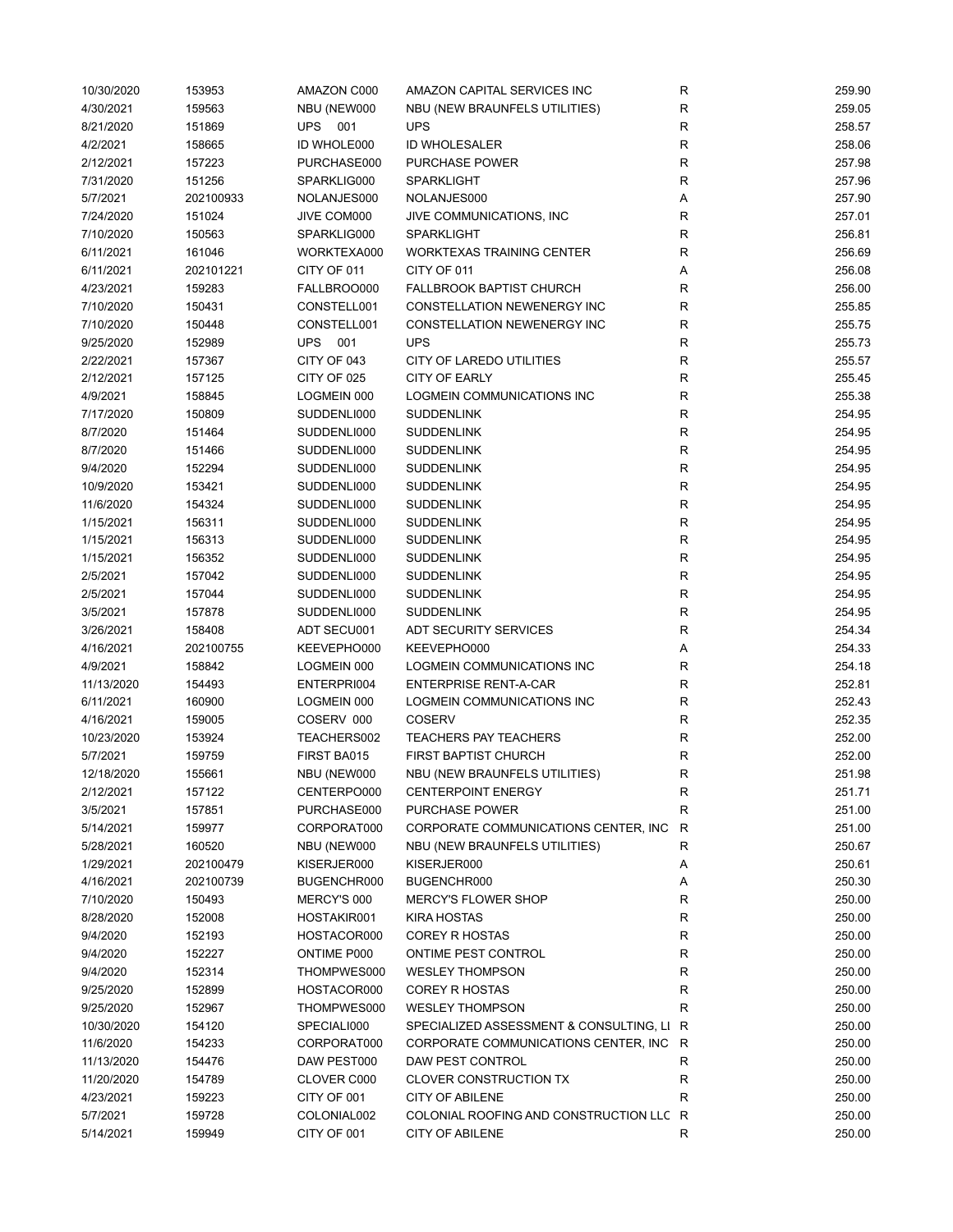| 10/30/2020 | 153953    | AMAZON C000       | AMAZON CAPITAL SERVICES INC               | R            | 259.90 |
|------------|-----------|-------------------|-------------------------------------------|--------------|--------|
| 4/30/2021  | 159563    | NBU (NEW000       | NBU (NEW BRAUNFELS UTILITIES)             | R            | 259.05 |
| 8/21/2020  | 151869    | <b>UPS</b><br>001 | <b>UPS</b>                                | $\mathsf R$  | 258.57 |
| 4/2/2021   | 158665    | ID WHOLE000       | ID WHOLESALER                             | $\mathsf R$  | 258.06 |
| 2/12/2021  | 157223    | PURCHASE000       | <b>PURCHASE POWER</b>                     | $\mathsf R$  | 257.98 |
| 7/31/2020  | 151256    | SPARKLIG000       | SPARKLIGHT                                | R            | 257.96 |
| 5/7/2021   | 202100933 | NOLANJES000       | NOLANJES000                               | Α            | 257.90 |
| 7/24/2020  | 151024    | JIVE COM000       | JIVE COMMUNICATIONS, INC                  | R            | 257.01 |
| 7/10/2020  | 150563    | SPARKLIG000       | <b>SPARKLIGHT</b>                         | $\mathsf{R}$ | 256.81 |
| 6/11/2021  | 161046    | WORKTEXA000       | WORKTEXAS TRAINING CENTER                 | $\mathsf{R}$ | 256.69 |
| 6/11/2021  | 202101221 | CITY OF 011       | CITY OF 011                               | Α            | 256.08 |
| 4/23/2021  | 159283    | FALLBROO000       | <b>FALLBROOK BAPTIST CHURCH</b>           | R            | 256.00 |
| 7/10/2020  |           |                   |                                           | $\mathsf{R}$ | 255.85 |
|            | 150431    | CONSTELL001       | CONSTELLATION NEWENERGY INC               |              |        |
| 7/10/2020  | 150448    | CONSTELL001       | CONSTELLATION NEWENERGY INC               | $\mathsf{R}$ | 255.75 |
| 9/25/2020  | 152989    | <b>UPS</b><br>001 | <b>UPS</b>                                | R            | 255.73 |
| 2/22/2021  | 157367    | CITY OF 043       | CITY OF LAREDO UTILITIES                  | R            | 255.57 |
| 2/12/2021  | 157125    | CITY OF 025       | <b>CITY OF EARLY</b>                      | R            | 255.45 |
| 4/9/2021   | 158845    | LOGMEIN 000       | LOGMEIN COMMUNICATIONS INC                | $\mathsf{R}$ | 255.38 |
| 7/17/2020  | 150809    | SUDDENLI000       | <b>SUDDENLINK</b>                         | R            | 254.95 |
| 8/7/2020   | 151464    | SUDDENLI000       | <b>SUDDENLINK</b>                         | R            | 254.95 |
| 8/7/2020   | 151466    | SUDDENLI000       | <b>SUDDENLINK</b>                         | R            | 254.95 |
| 9/4/2020   | 152294    | SUDDENLI000       | <b>SUDDENLINK</b>                         | R            | 254.95 |
| 10/9/2020  | 153421    | SUDDENLI000       | <b>SUDDENLINK</b>                         | R            | 254.95 |
| 11/6/2020  | 154324    | SUDDENLI000       | <b>SUDDENLINK</b>                         | $\mathsf{R}$ | 254.95 |
| 1/15/2021  | 156311    | SUDDENLI000       | <b>SUDDENLINK</b>                         | $\mathsf{R}$ | 254.95 |
| 1/15/2021  | 156313    | SUDDENLI000       | <b>SUDDENLINK</b>                         | R            | 254.95 |
| 1/15/2021  | 156352    | SUDDENLI000       | SUDDENLINK                                | $\mathsf{R}$ | 254.95 |
| 2/5/2021   | 157042    | SUDDENLI000       | <b>SUDDENLINK</b>                         | R            | 254.95 |
| 2/5/2021   | 157044    | SUDDENLI000       | <b>SUDDENLINK</b>                         | $\mathsf{R}$ | 254.95 |
| 3/5/2021   | 157878    | SUDDENLI000       | <b>SUDDENLINK</b>                         | R            | 254.95 |
| 3/26/2021  | 158408    | ADT SECU001       | <b>ADT SECURITY SERVICES</b>              | $\mathsf{R}$ | 254.34 |
| 4/16/2021  | 202100755 | KEEVEPHO000       | KEEVEPHO000                               | Α            | 254.33 |
| 4/9/2021   | 158842    | LOGMEIN 000       | LOGMEIN COMMUNICATIONS INC                | R            | 254.18 |
| 11/13/2020 | 154493    | ENTERPRI004       | <b>ENTERPRISE RENT-A-CAR</b>              | R            | 252.81 |
| 6/11/2021  |           |                   | LOGMEIN COMMUNICATIONS INC                |              |        |
|            | 160900    | LOGMEIN 000       |                                           | R            | 252.43 |
| 4/16/2021  | 159005    | COSERV 000        | <b>COSERV</b>                             | R            | 252.35 |
| 10/23/2020 | 153924    | TEACHERS002       | <b>TEACHERS PAY TEACHERS</b>              | R            | 252.00 |
| 5/7/2021   | 159759    | FIRST BA015       | FIRST BAPTIST CHURCH                      | $\mathsf{R}$ | 252.00 |
| 12/18/2020 | 155661    | NBU (NEW000       | NBU (NEW BRAUNFELS UTILITIES)             | R            | 251.98 |
| 2/12/2021  | 157122    | CENTERPO000       | <b>CENTERPOINT ENERGY</b>                 | R            | 251.71 |
| 3/5/2021   | 157851    | PURCHASE000       | PURCHASE POWER                            | $\mathsf{R}$ | 251.00 |
| 5/14/2021  | 159977    | CORPORAT000       | CORPORATE COMMUNICATIONS CENTER, INC      | R            | 251.00 |
| 5/28/2021  | 160520    | NBU (NEW000       | NBU (NEW BRAUNFELS UTILITIES)             | R            | 250.67 |
| 1/29/2021  | 202100479 | KISERJER000       | KISERJER000                               | Α            | 250.61 |
| 4/16/2021  | 202100739 | BUGENCHR000       | BUGENCHR000                               | Α            | 250.30 |
| 7/10/2020  | 150493    | MERCY'S 000       | <b>MERCY'S FLOWER SHOP</b>                | R            | 250.00 |
| 8/28/2020  | 152008    | HOSTAKIR001       | KIRA HOSTAS                               | R            | 250.00 |
| 9/4/2020   | 152193    | HOSTACOR000       | <b>COREY R HOSTAS</b>                     | R            | 250.00 |
| 9/4/2020   | 152227    | ONTIME P000       | ONTIME PEST CONTROL                       | R            | 250.00 |
| 9/4/2020   | 152314    | THOMPWES000       | <b>WESLEY THOMPSON</b>                    | R            | 250.00 |
| 9/25/2020  | 152899    | HOSTACOR000       | <b>COREY R HOSTAS</b>                     | R            | 250.00 |
| 9/25/2020  | 152967    | THOMPWES000       | <b>WESLEY THOMPSON</b>                    | $\mathsf{R}$ | 250.00 |
| 10/30/2020 | 154120    | SPECIALI000       | SPECIALIZED ASSESSMENT & CONSULTING, LI R |              | 250.00 |
| 11/6/2020  | 154233    | CORPORAT000       | CORPORATE COMMUNICATIONS CENTER, INC R    |              | 250.00 |
| 11/13/2020 | 154476    | DAW PEST000       | DAW PEST CONTROL                          | R            | 250.00 |
| 11/20/2020 | 154789    | CLOVER C000       | <b>CLOVER CONSTRUCTION TX</b>             | R            | 250.00 |
| 4/23/2021  | 159223    | CITY OF 001       | <b>CITY OF ABILENE</b>                    | R            | 250.00 |
| 5/7/2021   | 159728    | COLONIAL002       | COLONIAL ROOFING AND CONSTRUCTION LLC R   |              | 250.00 |
| 5/14/2021  | 159949    | CITY OF 001       | CITY OF ABILENE                           | R            | 250.00 |
|            |           |                   |                                           |              |        |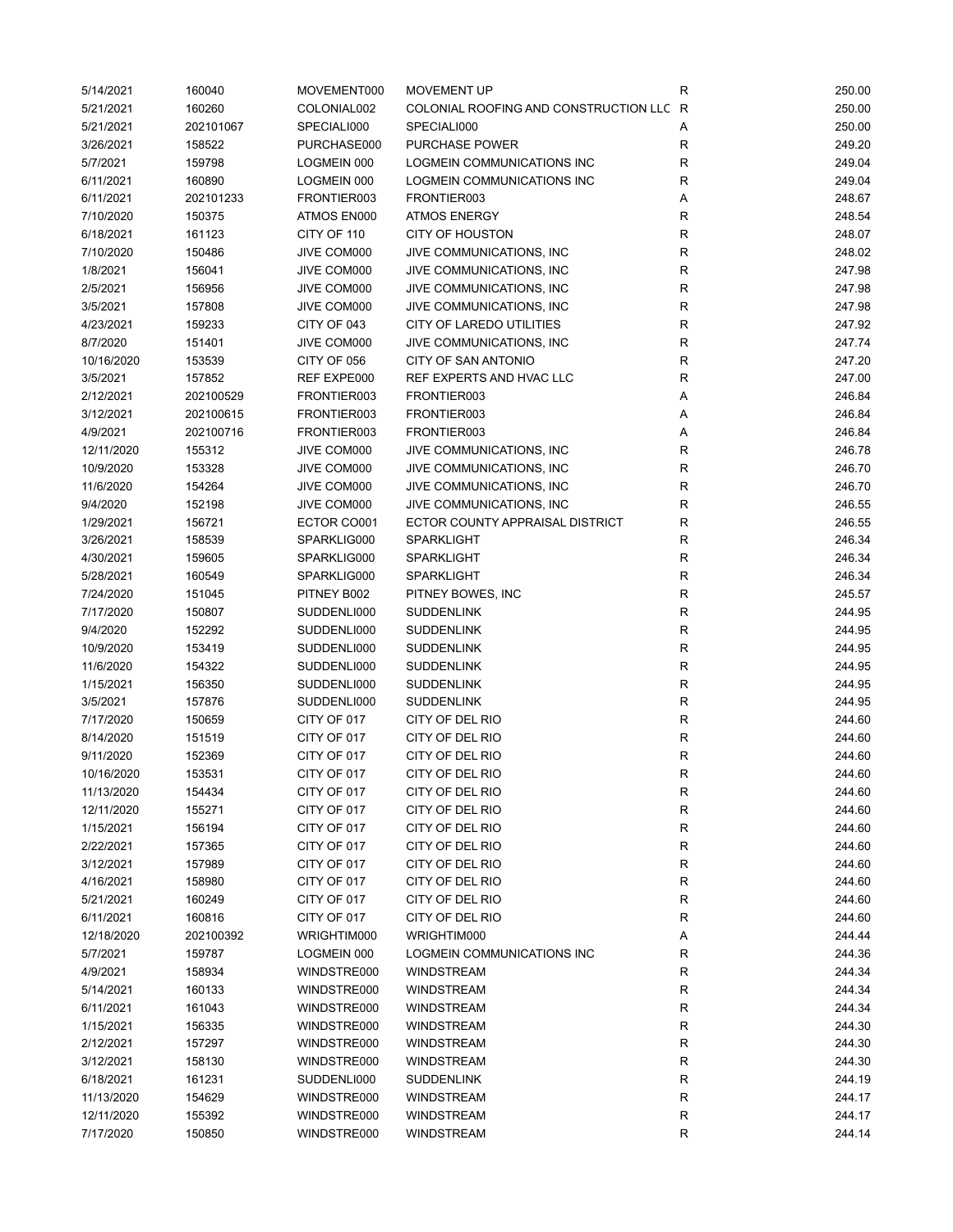| 5/14/2021              | 160040           | MOVEMENT000                | <b>MOVEMENT UP</b>                      | R            | 250.00           |
|------------------------|------------------|----------------------------|-----------------------------------------|--------------|------------------|
| 5/21/2021              | 160260           | COLONIAL002                | COLONIAL ROOFING AND CONSTRUCTION LLC R |              | 250.00           |
| 5/21/2021              | 202101067        | SPECIALI000                | SPECIALI000                             | Α            | 250.00           |
| 3/26/2021              | 158522           | PURCHASE000                | <b>PURCHASE POWER</b>                   | R            | 249.20           |
| 5/7/2021               | 159798           | LOGMEIN 000                | <b>LOGMEIN COMMUNICATIONS INC</b>       | R            | 249.04           |
| 6/11/2021              | 160890           | LOGMEIN 000                | <b>LOGMEIN COMMUNICATIONS INC</b>       | $\mathsf R$  | 249.04           |
| 6/11/2021              | 202101233        | FRONTIER003                | FRONTIER003                             | Α            | 248.67           |
| 7/10/2020              | 150375           | ATMOS EN000                | <b>ATMOS ENERGY</b>                     | R            | 248.54           |
| 6/18/2021              | 161123           | CITY OF 110                | <b>CITY OF HOUSTON</b>                  | R            | 248.07           |
| 7/10/2020              | 150486           | JIVE COM000                | JIVE COMMUNICATIONS, INC                | $\mathsf{R}$ | 248.02           |
| 1/8/2021               | 156041           | JIVE COM000                | JIVE COMMUNICATIONS, INC                | $\mathsf{R}$ | 247.98           |
| 2/5/2021               | 156956           | JIVE COM000                | JIVE COMMUNICATIONS, INC                | $\mathsf{R}$ | 247.98           |
| 3/5/2021               | 157808           | JIVE COM000                | JIVE COMMUNICATIONS, INC                | $\mathsf R$  | 247.98           |
| 4/23/2021              | 159233           | CITY OF 043                | CITY OF LAREDO UTILITIES                | $\mathsf{R}$ | 247.92           |
| 8/7/2020               | 151401           | JIVE COM000                | JIVE COMMUNICATIONS, INC                | $\mathsf{R}$ | 247.74           |
| 10/16/2020             | 153539           | CITY OF 056                | <b>CITY OF SAN ANTONIO</b>              | $\mathsf{R}$ | 247.20           |
| 3/5/2021               | 157852           | REF EXPE000                | REF EXPERTS AND HVAC LLC                | R            | 247.00           |
| 2/12/2021              | 202100529        | FRONTIER003                | FRONTIER003                             | Α            | 246.84           |
| 3/12/2021              | 202100615        | FRONTIER003                | FRONTIER003                             | Α            | 246.84           |
| 4/9/2021               | 202100716        | FRONTIER003                | FRONTIER003                             | Α            | 246.84           |
| 12/11/2020             | 155312           | JIVE COM000                | JIVE COMMUNICATIONS, INC                | R            | 246.78           |
| 10/9/2020              | 153328           | JIVE COM000                | JIVE COMMUNICATIONS, INC                | R            | 246.70           |
| 11/6/2020              | 154264           | JIVE COM000                | JIVE COMMUNICATIONS, INC                | R            | 246.70           |
|                        |                  |                            |                                         | $\mathsf{R}$ |                  |
| 9/4/2020               | 152198           | JIVE COM000                | JIVE COMMUNICATIONS, INC                | $\mathsf{R}$ | 246.55           |
| 1/29/2021<br>3/26/2021 | 156721<br>158539 | ECTOR CO001<br>SPARKLIG000 | ECTOR COUNTY APPRAISAL DISTRICT         | $\mathsf{R}$ | 246.55<br>246.34 |
| 4/30/2021              | 159605           | SPARKLIG000                | SPARKLIGHT<br><b>SPARKLIGHT</b>         | $\mathsf{R}$ | 246.34           |
|                        |                  |                            |                                         | $\mathsf{R}$ |                  |
| 5/28/2021              | 160549           | SPARKLIG000                | SPARKLIGHT                              | $\mathsf{R}$ | 246.34           |
| 7/24/2020<br>7/17/2020 | 151045           | PITNEY B002<br>SUDDENLI000 | PITNEY BOWES, INC                       | $\mathsf{R}$ | 245.57<br>244.95 |
|                        | 150807           | SUDDENLI000                | <b>SUDDENLINK</b>                       | $\mathsf{R}$ |                  |
| 9/4/2020               | 152292           |                            | <b>SUDDENLINK</b>                       | $\mathsf R$  | 244.95           |
| 10/9/2020<br>11/6/2020 | 153419<br>154322 | SUDDENLI000<br>SUDDENLI000 | <b>SUDDENLINK</b><br><b>SUDDENLINK</b>  | $\mathsf{R}$ | 244.95<br>244.95 |
| 1/15/2021              | 156350           | SUDDENLI000                | <b>SUDDENLINK</b>                       | R            | 244.95           |
| 3/5/2021               | 157876           |                            | <b>SUDDENLINK</b>                       | R            | 244.95           |
| 7/17/2020              | 150659           | SUDDENLI000<br>CITY OF 017 | CITY OF DEL RIO                         | R            | 244.60           |
|                        |                  |                            |                                         | $\mathsf{R}$ |                  |
| 8/14/2020              | 151519           | CITY OF 017                | CITY OF DEL RIO                         | R            | 244.60           |
| 9/11/2020              | 152369<br>153531 | CITY OF 017<br>CITY OF 017 | CITY OF DEL RIO                         | R            | 244.60<br>244.60 |
| 10/16/2020             |                  |                            | CITY OF DEL RIO                         |              |                  |
| 11/13/2020             | 154434           | CITY OF 017                | CITY OF DEL RIO                         | $\mathsf R$  | 244.60           |
| 12/11/2020             | 155271           | CITY OF 017                | CITY OF DEL RIO                         | $\mathsf R$  | 244.60           |
| 1/15/2021              | 156194           | CITY OF 017<br>CITY OF 017 | CITY OF DEL RIO                         | $\mathsf R$  | 244.60           |
| 2/22/2021              | 157365           |                            | CITY OF DEL RIO                         | R            | 244.60           |
| 3/12/2021              | 157989           | CITY OF 017                | CITY OF DEL RIO                         | R            | 244.60           |
| 4/16/2021              | 158980           | CITY OF 017                | CITY OF DEL RIO                         | R            | 244.60           |
| 5/21/2021              | 160249           | CITY OF 017                | CITY OF DEL RIO                         | R            | 244.60           |
| 6/11/2021              | 160816           | CITY OF 017                | CITY OF DEL RIO                         | R            | 244.60           |
| 12/18/2020             | 202100392        | WRIGHTIM000                | WRIGHTIM000                             | Α            | 244.44           |
| 5/7/2021               | 159787           | LOGMEIN 000                | LOGMEIN COMMUNICATIONS INC              | R            | 244.36           |
| 4/9/2021               | 158934           | WINDSTRE000                | WINDSTREAM                              | R            | 244.34           |
| 5/14/2021              | 160133           | WINDSTRE000                | WINDSTREAM                              | R            | 244.34           |
| 6/11/2021              | 161043           | WINDSTRE000                | WINDSTREAM                              | R            | 244.34           |
| 1/15/2021              | 156335           | WINDSTRE000                | WINDSTREAM                              | R            | 244.30           |
| 2/12/2021              | 157297           | WINDSTRE000                | <b>WINDSTREAM</b>                       | R            | 244.30           |
| 3/12/2021              | 158130           | WINDSTRE000                | WINDSTREAM                              | R            | 244.30           |
| 6/18/2021              | 161231           | SUDDENLI000                | <b>SUDDENLINK</b>                       | R            | 244.19           |
| 11/13/2020             | 154629           | WINDSTRE000                | WINDSTREAM                              | R            | 244.17           |
| 12/11/2020             | 155392           | WINDSTRE000                | WINDSTREAM                              | R            | 244.17           |
| 7/17/2020              | 150850           | WINDSTRE000                | <b>WINDSTREAM</b>                       | $\mathsf R$  | 244.14           |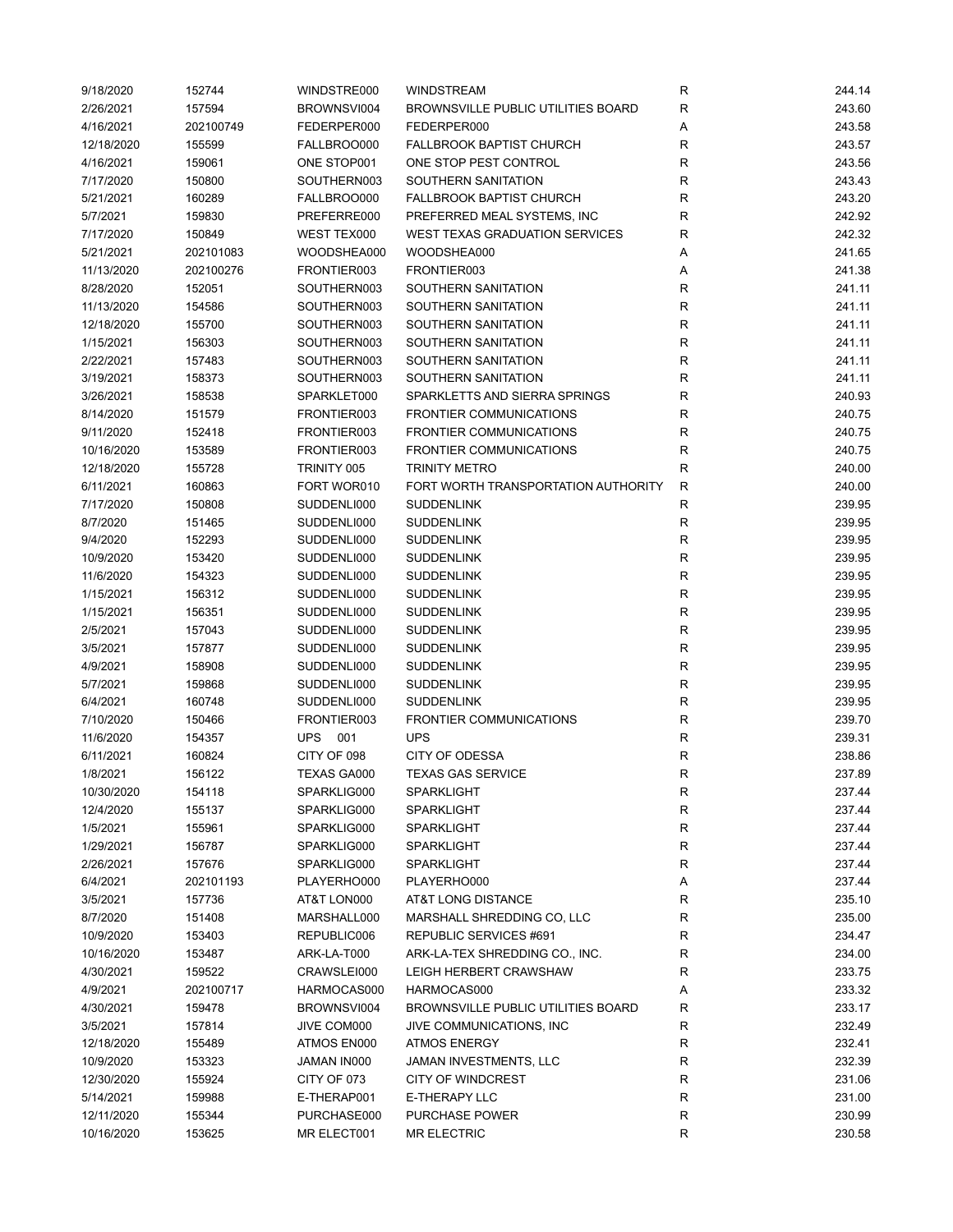| 9/18/2020  | 152744    | WINDSTRE000       | <b>WINDSTREAM</b>                         | R | 244.14 |
|------------|-----------|-------------------|-------------------------------------------|---|--------|
| 2/26/2021  | 157594    | BROWNSVI004       | <b>BROWNSVILLE PUBLIC UTILITIES BOARD</b> | R | 243.60 |
| 4/16/2021  | 202100749 | FEDERPER000       | FEDERPER000                               | Α | 243.58 |
| 12/18/2020 | 155599    | FALLBROO000       | <b>FALLBROOK BAPTIST CHURCH</b>           | R | 243.57 |
| 4/16/2021  | 159061    | ONE STOP001       | ONE STOP PEST CONTROL                     | R | 243.56 |
| 7/17/2020  | 150800    | SOUTHERN003       | SOUTHERN SANITATION                       | R | 243.43 |
| 5/21/2021  | 160289    | FALLBROO000       | <b>FALLBROOK BAPTIST CHURCH</b>           | R | 243.20 |
| 5/7/2021   | 159830    | PREFERRE000       | PREFERRED MEAL SYSTEMS, INC               | R | 242.92 |
| 7/17/2020  | 150849    | WEST TEX000       | <b>WEST TEXAS GRADUATION SERVICES</b>     | R | 242.32 |
| 5/21/2021  | 202101083 | WOODSHEA000       | WOODSHEA000                               | Α | 241.65 |
| 11/13/2020 | 202100276 | FRONTIER003       | FRONTIER003                               | Α | 241.38 |
| 8/28/2020  | 152051    | SOUTHERN003       | SOUTHERN SANITATION                       | R | 241.11 |
|            |           |                   |                                           | R | 241.11 |
| 11/13/2020 | 154586    | SOUTHERN003       | SOUTHERN SANITATION                       |   |        |
| 12/18/2020 | 155700    | SOUTHERN003       | SOUTHERN SANITATION                       | R | 241.11 |
| 1/15/2021  | 156303    | SOUTHERN003       | SOUTHERN SANITATION                       | R | 241.11 |
| 2/22/2021  | 157483    | SOUTHERN003       | SOUTHERN SANITATION                       | R | 241.11 |
| 3/19/2021  | 158373    | SOUTHERN003       | SOUTHERN SANITATION                       | R | 241.11 |
| 3/26/2021  | 158538    | SPARKLET000       | SPARKLETTS AND SIERRA SPRINGS             | R | 240.93 |
| 8/14/2020  | 151579    | FRONTIER003       | <b>FRONTIER COMMUNICATIONS</b>            | R | 240.75 |
| 9/11/2020  | 152418    | FRONTIER003       | <b>FRONTIER COMMUNICATIONS</b>            | R | 240.75 |
| 10/16/2020 | 153589    | FRONTIER003       | <b>FRONTIER COMMUNICATIONS</b>            | R | 240.75 |
| 12/18/2020 | 155728    | TRINITY 005       | <b>TRINITY METRO</b>                      | R | 240.00 |
| 6/11/2021  | 160863    | FORT WOR010       | FORT WORTH TRANSPORTATION AUTHORITY       | R | 240.00 |
| 7/17/2020  | 150808    | SUDDENLI000       | <b>SUDDENLINK</b>                         | R | 239.95 |
| 8/7/2020   | 151465    | SUDDENLI000       | <b>SUDDENLINK</b>                         | R | 239.95 |
| 9/4/2020   | 152293    | SUDDENLI000       | <b>SUDDENLINK</b>                         | R | 239.95 |
| 10/9/2020  | 153420    | SUDDENLI000       | <b>SUDDENLINK</b>                         | R | 239.95 |
| 11/6/2020  | 154323    | SUDDENLI000       | <b>SUDDENLINK</b>                         | R | 239.95 |
| 1/15/2021  | 156312    | SUDDENLI000       | <b>SUDDENLINK</b>                         | R | 239.95 |
| 1/15/2021  | 156351    | SUDDENLI000       | <b>SUDDENLINK</b>                         | R | 239.95 |
| 2/5/2021   | 157043    | SUDDENLI000       | <b>SUDDENLINK</b>                         | R | 239.95 |
| 3/5/2021   | 157877    | SUDDENLI000       | <b>SUDDENLINK</b>                         | R | 239.95 |
| 4/9/2021   | 158908    | SUDDENLI000       | <b>SUDDENLINK</b>                         | R | 239.95 |
| 5/7/2021   | 159868    | SUDDENLI000       | <b>SUDDENLINK</b>                         | R | 239.95 |
| 6/4/2021   | 160748    | SUDDENLI000       | <b>SUDDENLINK</b>                         | R | 239.95 |
| 7/10/2020  | 150466    | FRONTIER003       | <b>FRONTIER COMMUNICATIONS</b>            | R | 239.70 |
|            |           |                   |                                           | R |        |
| 11/6/2020  | 154357    | <b>UPS</b><br>001 | <b>UPS</b>                                |   | 239.31 |
| 6/11/2021  | 160824    | CITY OF 098       | CITY OF ODESSA                            | R | 238.86 |
| 1/8/2021   | 156122    | TEXAS GA000       | <b>TEXAS GAS SERVICE</b>                  | R | 237.89 |
| 10/30/2020 | 154118    | SPARKLIG000       | <b>SPARKLIGHT</b>                         | R | 237.44 |
| 12/4/2020  | 155137    | SPARKLIG000       | SPARKLIGHT                                | R | 237.44 |
| 1/5/2021   | 155961    | SPARKLIG000       | SPARKLIGHT                                | R | 237.44 |
| 1/29/2021  | 156787    | SPARKLIG000       | SPARKLIGHT                                | R | 237.44 |
| 2/26/2021  | 157676    | SPARKLIG000       | SPARKLIGHT                                | R | 237.44 |
| 6/4/2021   | 202101193 | PLAYERHO000       | PLAYERHO000                               | А | 237.44 |
| 3/5/2021   | 157736    | AT&T LON000       | AT&T LONG DISTANCE                        | R | 235.10 |
| 8/7/2020   | 151408    | MARSHALL000       | MARSHALL SHREDDING CO, LLC                | R | 235.00 |
| 10/9/2020  | 153403    | REPUBLIC006       | REPUBLIC SERVICES #691                    | R | 234.47 |
| 10/16/2020 | 153487    | ARK-LA-T000       | ARK-LA-TEX SHREDDING CO., INC.            | R | 234.00 |
| 4/30/2021  | 159522    | CRAWSLEI000       | LEIGH HERBERT CRAWSHAW                    | R | 233.75 |
| 4/9/2021   | 202100717 | HARMOCAS000       | HARMOCAS000                               | А | 233.32 |
| 4/30/2021  | 159478    | BROWNSVI004       | <b>BROWNSVILLE PUBLIC UTILITIES BOARD</b> | R | 233.17 |
| 3/5/2021   | 157814    | JIVE COM000       | JIVE COMMUNICATIONS, INC                  | R | 232.49 |
| 12/18/2020 | 155489    | ATMOS EN000       | <b>ATMOS ENERGY</b>                       | R | 232.41 |
| 10/9/2020  | 153323    | JAMAN IN000       | JAMAN INVESTMENTS, LLC                    | R | 232.39 |
| 12/30/2020 | 155924    | CITY OF 073       | CITY OF WINDCREST                         | R | 231.06 |
| 5/14/2021  | 159988    | E-THERAP001       | E-THERAPY LLC                             | R | 231.00 |
| 12/11/2020 | 155344    | PURCHASE000       | PURCHASE POWER                            | R | 230.99 |
| 10/16/2020 | 153625    | MR ELECT001       | <b>MR ELECTRIC</b>                        | R | 230.58 |
|            |           |                   |                                           |   |        |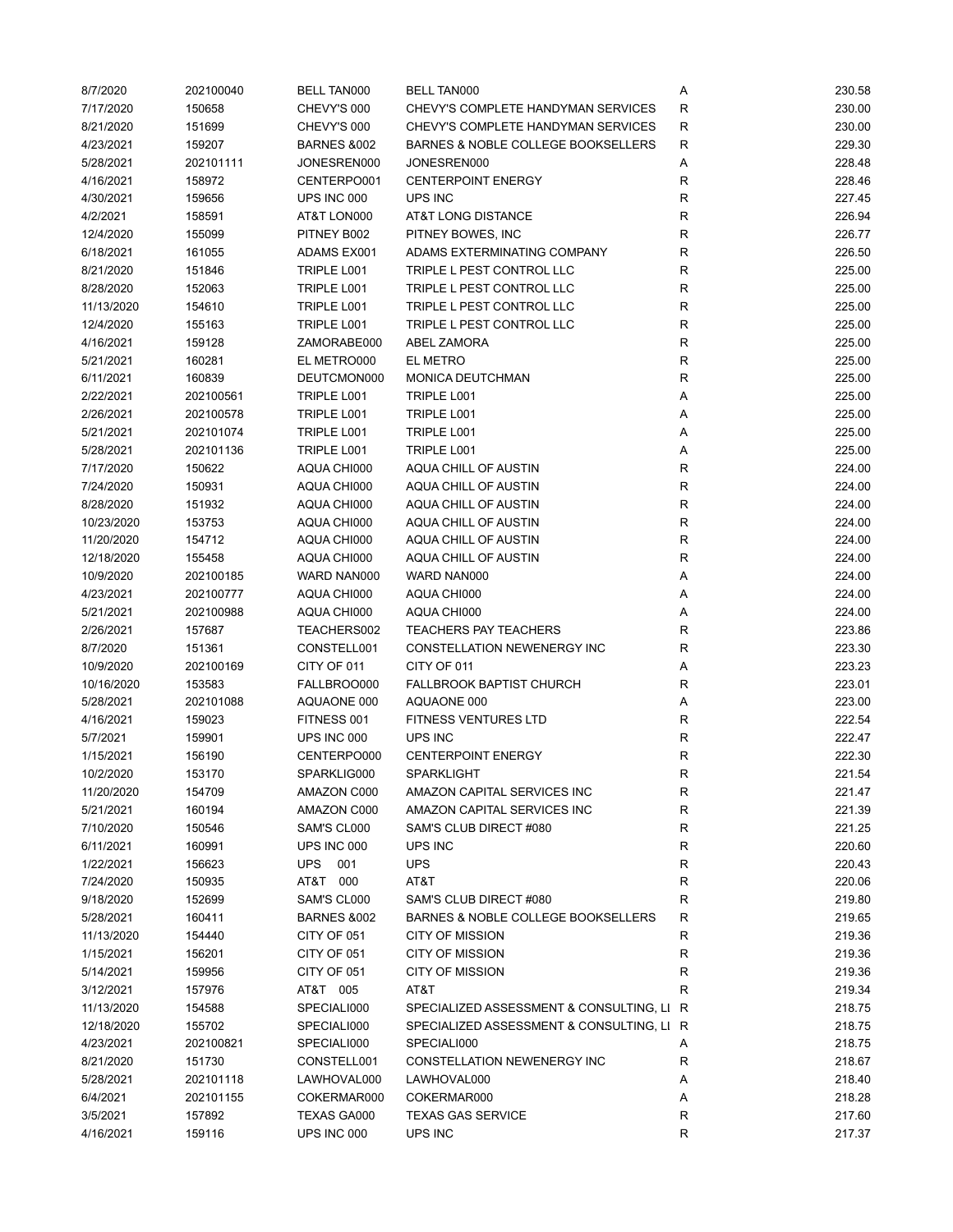| 8/7/2020   | 202100040 | <b>BELL TAN000</b>     | <b>BELL TAN000</b>                            | Α           | 230.58 |
|------------|-----------|------------------------|-----------------------------------------------|-------------|--------|
| 7/17/2020  | 150658    | CHEVY'S 000            | CHEVY'S COMPLETE HANDYMAN SERVICES            | $\mathsf R$ | 230.00 |
| 8/21/2020  | 151699    | CHEVY'S 000            | CHEVY'S COMPLETE HANDYMAN SERVICES            | R           | 230.00 |
| 4/23/2021  | 159207    | <b>BARNES &amp;002</b> | BARNES & NOBLE COLLEGE BOOKSELLERS            | R           | 229.30 |
| 5/28/2021  | 202101111 | JONESREN000            | JONESREN000                                   | Α           | 228.48 |
| 4/16/2021  | 158972    | CENTERPO001            | <b>CENTERPOINT ENERGY</b>                     | R           | 228.46 |
| 4/30/2021  | 159656    | UPS INC 000            | UPS INC                                       | R           | 227.45 |
| 4/2/2021   | 158591    | AT&T LON000            | AT&T LONG DISTANCE                            | R           | 226.94 |
| 12/4/2020  | 155099    | PITNEY B002            | PITNEY BOWES, INC                             | R           | 226.77 |
| 6/18/2021  | 161055    | ADAMS EX001            | ADAMS EXTERMINATING COMPANY                   | R           | 226.50 |
| 8/21/2020  | 151846    | TRIPLE L001            | TRIPLE L PEST CONTROL LLC                     | R           | 225.00 |
| 8/28/2020  | 152063    | TRIPLE L001            | TRIPLE L PEST CONTROL LLC                     | R           | 225.00 |
|            |           | TRIPLE L001            | TRIPLE L PEST CONTROL LLC                     | R           |        |
| 11/13/2020 | 154610    |                        |                                               |             | 225.00 |
| 12/4/2020  | 155163    | TRIPLE L001            | TRIPLE L PEST CONTROL LLC                     | R           | 225.00 |
| 4/16/2021  | 159128    | ZAMORABE000            | ABEL ZAMORA                                   | R           | 225.00 |
| 5/21/2021  | 160281    | EL METRO000            | EL METRO                                      | R           | 225.00 |
| 6/11/2021  | 160839    | DEUTCMON000            | <b>MONICA DEUTCHMAN</b>                       | R           | 225.00 |
| 2/22/2021  | 202100561 | TRIPLE L001            | TRIPLE L001                                   | Α           | 225.00 |
| 2/26/2021  | 202100578 | TRIPLE L001            | TRIPLE L001                                   | Α           | 225.00 |
| 5/21/2021  | 202101074 | TRIPLE L001            | TRIPLE L001                                   | Α           | 225.00 |
| 5/28/2021  | 202101136 | TRIPLE L001            | TRIPLE L001                                   | Α           | 225.00 |
| 7/17/2020  | 150622    | AQUA CHI000            | AQUA CHILL OF AUSTIN                          | R           | 224.00 |
| 7/24/2020  | 150931    | AQUA CHI000            | <b>AQUA CHILL OF AUSTIN</b>                   | R           | 224.00 |
| 8/28/2020  | 151932    | AQUA CHI000            | AQUA CHILL OF AUSTIN                          | R           | 224.00 |
| 10/23/2020 | 153753    | AQUA CHI000            | AQUA CHILL OF AUSTIN                          | R           | 224.00 |
| 11/20/2020 | 154712    | AQUA CHI000            | AQUA CHILL OF AUSTIN                          | R           | 224.00 |
| 12/18/2020 | 155458    | AQUA CHI000            | AQUA CHILL OF AUSTIN                          | R           | 224.00 |
| 10/9/2020  | 202100185 | WARD NAN000            | WARD NAN000                                   | Α           | 224.00 |
| 4/23/2021  | 202100777 | AQUA CHI000            | AQUA CHI000                                   | Α           | 224.00 |
| 5/21/2021  | 202100988 | AQUA CHI000            | AQUA CHI000                                   | Α           | 224.00 |
| 2/26/2021  | 157687    | TEACHERS002            | <b>TEACHERS PAY TEACHERS</b>                  | R           | 223.86 |
| 8/7/2020   | 151361    | CONSTELL001            | CONSTELLATION NEWENERGY INC                   | R           | 223.30 |
| 10/9/2020  | 202100169 | CITY OF 011            | CITY OF 011                                   | Α           | 223.23 |
| 10/16/2020 | 153583    | FALLBROO000            | <b>FALLBROOK BAPTIST CHURCH</b>               | R           | 223.01 |
| 5/28/2021  | 202101088 | AQUAONE 000            | AQUAONE 000                                   | Α           | 223.00 |
|            |           |                        |                                               |             |        |
| 4/16/2021  | 159023    | FITNESS 001            | <b>FITNESS VENTURES LTD</b>                   | R           | 222.54 |
| 5/7/2021   | 159901    | UPS INC 000            | UPS INC                                       | R           | 222.47 |
| 1/15/2021  | 156190    | CENTERPO000            | <b>CENTERPOINT ENERGY</b>                     | R           | 222.30 |
| 10/2/2020  | 153170    | SPARKLIG000            | SPARKLIGHT                                    | R           | 221.54 |
| 11/20/2020 | 154709    | AMAZON C000            | AMAZON CAPITAL SERVICES INC                   | R           | 221.47 |
| 5/21/2021  | 160194    | AMAZON C000            | AMAZON CAPITAL SERVICES INC                   | R           | 221.39 |
| 7/10/2020  | 150546    | SAM'S CL000            | SAM'S CLUB DIRECT #080                        | R           | 221.25 |
| 6/11/2021  | 160991    | UPS INC 000            | <b>UPS INC</b>                                | R           | 220.60 |
| 1/22/2021  | 156623    | <b>UPS</b><br>001      | <b>UPS</b>                                    | R           | 220.43 |
| 7/24/2020  | 150935    | AT&T 000               | AT&T                                          | R           | 220.06 |
| 9/18/2020  | 152699    | SAM'S CL000            | SAM'S CLUB DIRECT #080                        | R           | 219.80 |
| 5/28/2021  | 160411    | <b>BARNES &amp;002</b> | <b>BARNES &amp; NOBLE COLLEGE BOOKSELLERS</b> | R           | 219.65 |
| 11/13/2020 | 154440    | CITY OF 051            | <b>CITY OF MISSION</b>                        | R           | 219.36 |
| 1/15/2021  | 156201    | CITY OF 051            | <b>CITY OF MISSION</b>                        | R           | 219.36 |
| 5/14/2021  | 159956    | CITY OF 051            | <b>CITY OF MISSION</b>                        | R           | 219.36 |
| 3/12/2021  | 157976    | AT&T 005               | AT&T                                          | R           | 219.34 |
| 11/13/2020 | 154588    | SPECIALI000            | SPECIALIZED ASSESSMENT & CONSULTING, LI R     |             | 218.75 |
| 12/18/2020 | 155702    | SPECIALI000            | SPECIALIZED ASSESSMENT & CONSULTING, LI R     |             | 218.75 |
| 4/23/2021  | 202100821 | SPECIALI000            | SPECIALI000                                   | Α           | 218.75 |
| 8/21/2020  | 151730    | CONSTELL001            | CONSTELLATION NEWENERGY INC                   | R           | 218.67 |
| 5/28/2021  | 202101118 | LAWHOVAL000            | LAWHOVAL000                                   | А           | 218.40 |
| 6/4/2021   | 202101155 | COKERMAR000            | COKERMAR000                                   | Α           | 218.28 |
| 3/5/2021   | 157892    | TEXAS GA000            | <b>TEXAS GAS SERVICE</b>                      | R           | 217.60 |
|            |           | UPS INC 000            |                                               | R           |        |
| 4/16/2021  | 159116    |                        | UPS INC                                       |             | 217.37 |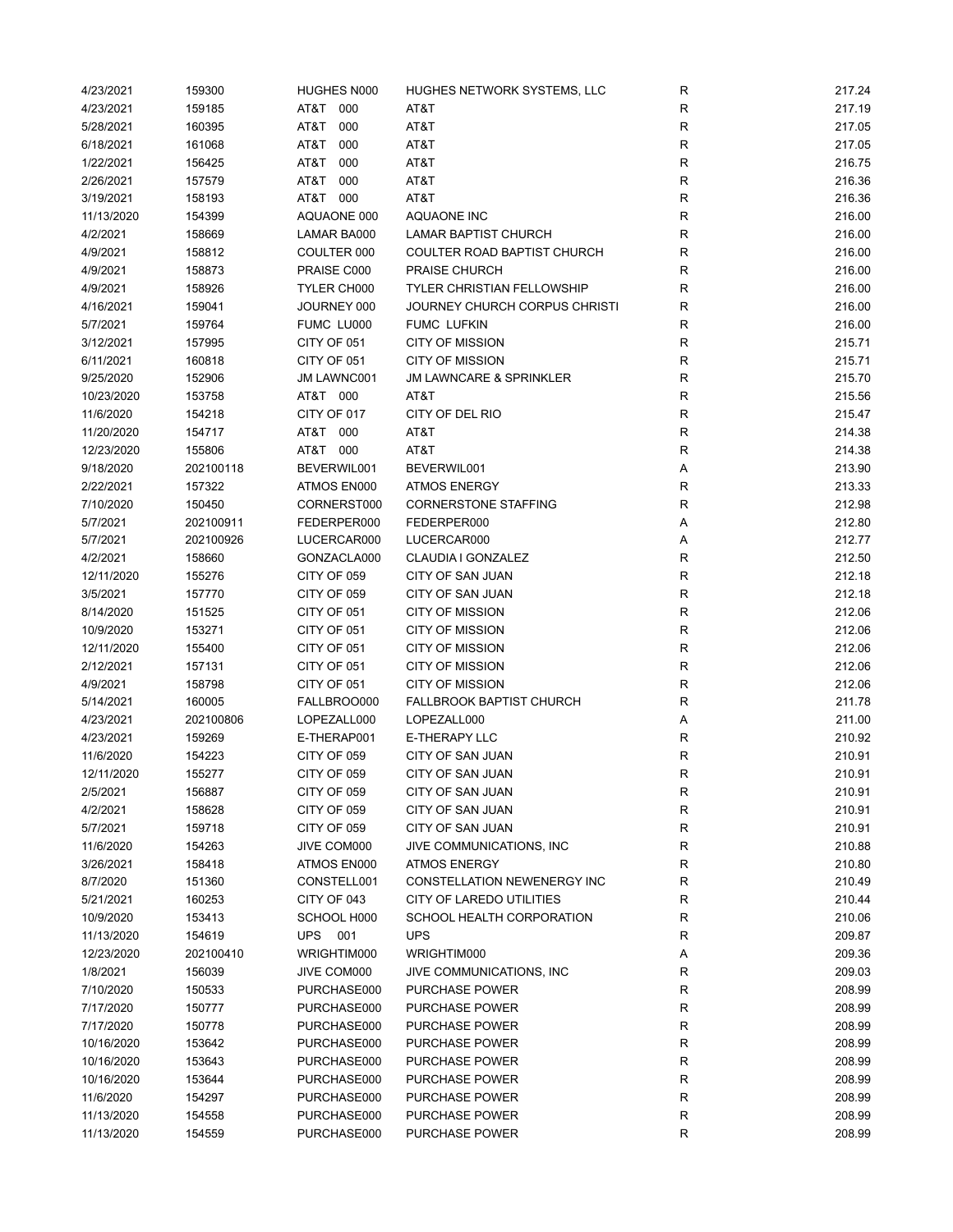| 4/23/2021  | 159300    | HUGHES N000 | HUGHES NETWORK SYSTEMS, LLC        | R            | 217.24 |
|------------|-----------|-------------|------------------------------------|--------------|--------|
| 4/23/2021  | 159185    | AT&T 000    | AT&T                               | $\mathsf R$  | 217.19 |
| 5/28/2021  | 160395    | AT&T<br>000 | AT&T                               | $\mathsf{R}$ | 217.05 |
| 6/18/2021  | 161068    | AT&T<br>000 | AT&T                               | $\mathsf{R}$ | 217.05 |
| 1/22/2021  | 156425    | T&TA<br>000 | AT&T                               | R            | 216.75 |
| 2/26/2021  | 157579    | AT&T<br>000 | AT&T                               | $\mathsf R$  | 216.36 |
| 3/19/2021  | 158193    | AT&T 000    | AT&T                               | $\mathsf R$  | 216.36 |
| 11/13/2020 | 154399    | AQUAONE 000 | <b>AQUAONE INC</b>                 | R            | 216.00 |
| 4/2/2021   | 158669    | LAMAR BA000 | <b>LAMAR BAPTIST CHURCH</b>        | R            | 216.00 |
| 4/9/2021   | 158812    | COULTER 000 | <b>COULTER ROAD BAPTIST CHURCH</b> | R            | 216.00 |
| 4/9/2021   | 158873    | PRAISE C000 | PRAISE CHURCH                      | $\mathsf{R}$ | 216.00 |
|            |           |             |                                    |              |        |
| 4/9/2021   | 158926    | TYLER CH000 | <b>TYLER CHRISTIAN FELLOWSHIP</b>  | $\mathsf R$  | 216.00 |
| 4/16/2021  | 159041    | JOURNEY 000 | JOURNEY CHURCH CORPUS CHRISTI      | $\mathsf R$  | 216.00 |
| 5/7/2021   | 159764    | FUMC LU000  | FUMC LUFKIN                        | $\mathsf{R}$ | 216.00 |
| 3/12/2021  | 157995    | CITY OF 051 | <b>CITY OF MISSION</b>             | R            | 215.71 |
| 6/11/2021  | 160818    | CITY OF 051 | <b>CITY OF MISSION</b>             | $\mathsf{R}$ | 215.71 |
| 9/25/2020  | 152906    | JM LAWNC001 | JM LAWNCARE & SPRINKLER            | $\mathsf{R}$ | 215.70 |
| 10/23/2020 | 153758    | AT&T 000    | AT&T                               | $\mathsf R$  | 215.56 |
| 11/6/2020  | 154218    | CITY OF 017 | CITY OF DEL RIO                    | R            | 215.47 |
| 11/20/2020 | 154717    | AT&T 000    | AT&T                               | $\mathsf R$  | 214.38 |
| 12/23/2020 | 155806    | AT&T 000    | AT&T                               | R            | 214.38 |
| 9/18/2020  | 202100118 | BEVERWIL001 | BEVERWIL001                        | Α            | 213.90 |
| 2/22/2021  | 157322    | ATMOS EN000 | <b>ATMOS ENERGY</b>                | R            | 213.33 |
| 7/10/2020  | 150450    | CORNERST000 | <b>CORNERSTONE STAFFING</b>        | $\mathsf{R}$ | 212.98 |
| 5/7/2021   | 202100911 | FEDERPER000 | FEDERPER000                        | Α            | 212.80 |
| 5/7/2021   | 202100926 | LUCERCAR000 | LUCERCAR000                        | Α            | 212.77 |
| 4/2/2021   | 158660    | GONZACLA000 | CLAUDIA I GONZALEZ                 | $\mathsf R$  | 212.50 |
| 12/11/2020 | 155276    | CITY OF 059 | CITY OF SAN JUAN                   | $\mathsf{R}$ | 212.18 |
| 3/5/2021   | 157770    | CITY OF 059 | CITY OF SAN JUAN                   | $\mathsf{R}$ | 212.18 |
| 8/14/2020  | 151525    | CITY OF 051 | <b>CITY OF MISSION</b>             | $\mathsf{R}$ | 212.06 |
| 10/9/2020  | 153271    | CITY OF 051 | <b>CITY OF MISSION</b>             | $\mathsf{R}$ | 212.06 |
| 12/11/2020 | 155400    | CITY OF 051 | <b>CITY OF MISSION</b>             | R            | 212.06 |
| 2/12/2021  | 157131    | CITY OF 051 | <b>CITY OF MISSION</b>             | $\mathsf R$  | 212.06 |
| 4/9/2021   | 158798    | CITY OF 051 | <b>CITY OF MISSION</b>             | $\mathsf R$  | 212.06 |
|            |           |             | <b>FALLBROOK BAPTIST CHURCH</b>    |              |        |
| 5/14/2021  | 160005    | FALLBROO000 |                                    | R            | 211.78 |
| 4/23/2021  | 202100806 | LOPEZALL000 | LOPEZALL000                        | Α            | 211.00 |
| 4/23/2021  | 159269    | E-THERAP001 | E-THERAPY LLC                      | R            | 210.92 |
| 11/6/2020  | 154223    | CITY OF 059 | CITY OF SAN JUAN                   | R            | 210.91 |
| 12/11/2020 | 155277    | CITY OF 059 | CITY OF SAN JUAN                   | R            | 210.91 |
| 2/5/2021   | 156887    | CITY OF 059 | CITY OF SAN JUAN                   | $\mathsf R$  | 210.91 |
| 4/2/2021   | 158628    | CITY OF 059 | CITY OF SAN JUAN                   | $\mathsf R$  | 210.91 |
| 5/7/2021   | 159718    | CITY OF 059 | CITY OF SAN JUAN                   | $\mathsf R$  | 210.91 |
| 11/6/2020  | 154263    | JIVE COM000 | JIVE COMMUNICATIONS, INC           | R            | 210.88 |
| 3/26/2021  | 158418    | ATMOS EN000 | ATMOS ENERGY                       | R            | 210.80 |
| 8/7/2020   | 151360    | CONSTELL001 | CONSTELLATION NEWENERGY INC        | R            | 210.49 |
| 5/21/2021  | 160253    | CITY OF 043 | CITY OF LAREDO UTILITIES           | R            | 210.44 |
| 10/9/2020  | 153413    | SCHOOL H000 | SCHOOL HEALTH CORPORATION          | $\mathsf R$  | 210.06 |
| 11/13/2020 | 154619    | UPS 001     | <b>UPS</b>                         | R            | 209.87 |
| 12/23/2020 | 202100410 | WRIGHTIM000 | WRIGHTIM000                        | Α            | 209.36 |
| 1/8/2021   | 156039    | JIVE COM000 | JIVE COMMUNICATIONS, INC           | R            | 209.03 |
| 7/10/2020  | 150533    | PURCHASE000 | PURCHASE POWER                     | R            | 208.99 |
| 7/17/2020  | 150777    | PURCHASE000 | PURCHASE POWER                     | R            | 208.99 |
| 7/17/2020  | 150778    | PURCHASE000 | PURCHASE POWER                     | $\mathsf R$  | 208.99 |
| 10/16/2020 | 153642    | PURCHASE000 | PURCHASE POWER                     | $\mathsf R$  | 208.99 |
| 10/16/2020 | 153643    | PURCHASE000 | PURCHASE POWER                     | R            | 208.99 |
| 10/16/2020 | 153644    | PURCHASE000 | PURCHASE POWER                     | R            | 208.99 |
| 11/6/2020  | 154297    | PURCHASE000 | PURCHASE POWER                     | R            | 208.99 |
| 11/13/2020 | 154558    | PURCHASE000 | PURCHASE POWER                     | R            | 208.99 |
| 11/13/2020 | 154559    | PURCHASE000 | PURCHASE POWER                     | $\mathsf R$  | 208.99 |
|            |           |             |                                    |              |        |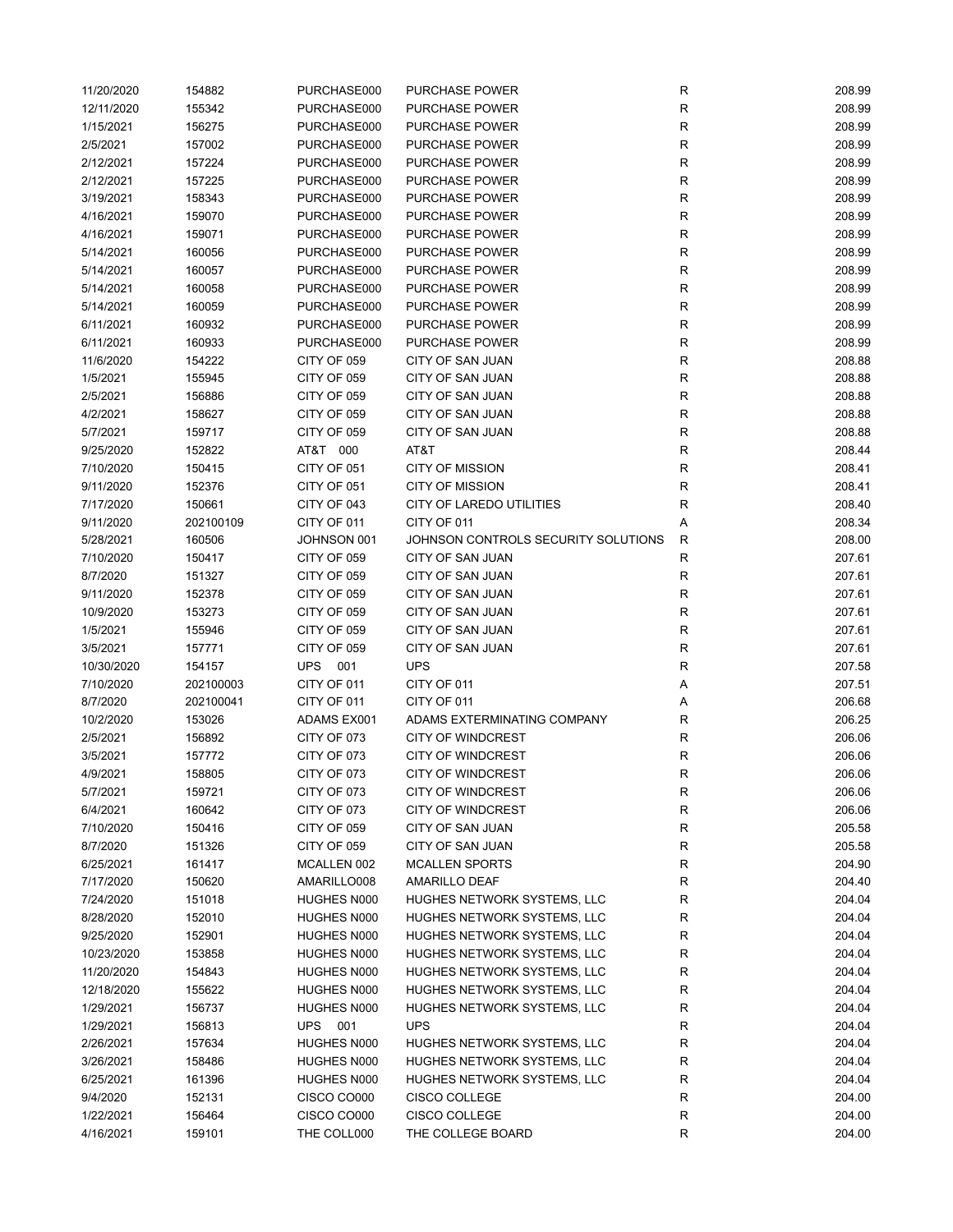| 11/20/2020 | 154882    | PURCHASE000 | PURCHASE POWER                      | R | 208.99 |
|------------|-----------|-------------|-------------------------------------|---|--------|
| 12/11/2020 | 155342    | PURCHASE000 | <b>PURCHASE POWER</b>               | R | 208.99 |
| 1/15/2021  | 156275    | PURCHASE000 | PURCHASE POWER                      | R | 208.99 |
| 2/5/2021   | 157002    | PURCHASE000 | PURCHASE POWER                      | R | 208.99 |
| 2/12/2021  | 157224    | PURCHASE000 | <b>PURCHASE POWER</b>               | R | 208.99 |
| 2/12/2021  | 157225    | PURCHASE000 | <b>PURCHASE POWER</b>               | R | 208.99 |
| 3/19/2021  | 158343    | PURCHASE000 | <b>PURCHASE POWER</b>               | R | 208.99 |
| 4/16/2021  | 159070    | PURCHASE000 | <b>PURCHASE POWER</b>               | R | 208.99 |
| 4/16/2021  | 159071    | PURCHASE000 | <b>PURCHASE POWER</b>               | R | 208.99 |
| 5/14/2021  | 160056    | PURCHASE000 | PURCHASE POWER                      | R | 208.99 |
| 5/14/2021  | 160057    | PURCHASE000 | <b>PURCHASE POWER</b>               | R | 208.99 |
| 5/14/2021  | 160058    | PURCHASE000 | <b>PURCHASE POWER</b>               | R | 208.99 |
| 5/14/2021  | 160059    | PURCHASE000 | <b>PURCHASE POWER</b>               | R | 208.99 |
| 6/11/2021  | 160932    | PURCHASE000 | <b>PURCHASE POWER</b>               | R | 208.99 |
| 6/11/2021  | 160933    | PURCHASE000 | <b>PURCHASE POWER</b>               | R | 208.99 |
| 11/6/2020  | 154222    | CITY OF 059 | CITY OF SAN JUAN                    | R | 208.88 |
| 1/5/2021   | 155945    | CITY OF 059 | CITY OF SAN JUAN                    | R | 208.88 |
| 2/5/2021   | 156886    | CITY OF 059 | <b>CITY OF SAN JUAN</b>             | R | 208.88 |
| 4/2/2021   | 158627    | CITY OF 059 | CITY OF SAN JUAN                    | R | 208.88 |
| 5/7/2021   | 159717    | CITY OF 059 | CITY OF SAN JUAN                    | R | 208.88 |
|            |           |             |                                     |   |        |
| 9/25/2020  | 152822    | AT&T 000    | AT&T                                | R | 208.44 |
| 7/10/2020  | 150415    | CITY OF 051 | <b>CITY OF MISSION</b>              | R | 208.41 |
| 9/11/2020  | 152376    | CITY OF 051 | <b>CITY OF MISSION</b>              | R | 208.41 |
| 7/17/2020  | 150661    | CITY OF 043 | CITY OF LAREDO UTILITIES            | R | 208.40 |
| 9/11/2020  | 202100109 | CITY OF 011 | CITY OF 011                         | Α | 208.34 |
| 5/28/2021  | 160506    | JOHNSON 001 | JOHNSON CONTROLS SECURITY SOLUTIONS | R | 208.00 |
| 7/10/2020  | 150417    | CITY OF 059 | CITY OF SAN JUAN                    | R | 207.61 |
| 8/7/2020   | 151327    | CITY OF 059 | CITY OF SAN JUAN                    | R | 207.61 |
| 9/11/2020  | 152378    | CITY OF 059 | CITY OF SAN JUAN                    | R | 207.61 |
| 10/9/2020  | 153273    | CITY OF 059 | CITY OF SAN JUAN                    | R | 207.61 |
| 1/5/2021   | 155946    | CITY OF 059 | CITY OF SAN JUAN                    | R | 207.61 |
| 3/5/2021   | 157771    | CITY OF 059 | CITY OF SAN JUAN                    | R | 207.61 |
| 10/30/2020 | 154157    | UPS<br>001  | <b>UPS</b>                          | R | 207.58 |
| 7/10/2020  | 202100003 | CITY OF 011 | CITY OF 011                         | Α | 207.51 |
| 8/7/2020   | 202100041 | CITY OF 011 | CITY OF 011                         | А | 206.68 |
| 10/2/2020  | 153026    | ADAMS EX001 | ADAMS EXTERMINATING COMPANY         | R | 206.25 |
| 2/5/2021   | 156892    | CITY OF 073 | CITY OF WINDCREST                   | R | 206.06 |
| 3/5/2021   | 157772    | CITY OF 073 | <b>CITY OF WINDCREST</b>            | R | 206.06 |
| 4/9/2021   | 158805    | CITY OF 073 | <b>CITY OF WINDCREST</b>            | R | 206.06 |
| 5/7/2021   | 159721    | CITY OF 073 | CITY OF WINDCREST                   | R | 206.06 |
| 6/4/2021   | 160642    | CITY OF 073 | CITY OF WINDCREST                   | R | 206.06 |
| 7/10/2020  | 150416    | CITY OF 059 | CITY OF SAN JUAN                    | R | 205.58 |
| 8/7/2020   | 151326    | CITY OF 059 | CITY OF SAN JUAN                    | R | 205.58 |
| 6/25/2021  | 161417    | MCALLEN 002 | <b>MCALLEN SPORTS</b>               | R | 204.90 |
| 7/17/2020  | 150620    | AMARILLO008 | <b>AMARILLO DEAF</b>                | R | 204.40 |
| 7/24/2020  | 151018    | HUGHES N000 | HUGHES NETWORK SYSTEMS, LLC         | R | 204.04 |
| 8/28/2020  | 152010    | HUGHES N000 | HUGHES NETWORK SYSTEMS, LLC         | R | 204.04 |
| 9/25/2020  |           | HUGHES N000 | HUGHES NETWORK SYSTEMS, LLC         | R | 204.04 |
| 10/23/2020 | 152901    | HUGHES N000 | HUGHES NETWORK SYSTEMS, LLC         | R | 204.04 |
|            | 153858    |             | HUGHES NETWORK SYSTEMS, LLC         |   |        |
| 11/20/2020 | 154843    | HUGHES N000 |                                     | R | 204.04 |
| 12/18/2020 | 155622    | HUGHES N000 | HUGHES NETWORK SYSTEMS, LLC         | R | 204.04 |
| 1/29/2021  | 156737    | HUGHES N000 | HUGHES NETWORK SYSTEMS, LLC         | R | 204.04 |
| 1/29/2021  | 156813    | UPS<br>001  | <b>UPS</b>                          | R | 204.04 |
| 2/26/2021  | 157634    | HUGHES N000 | HUGHES NETWORK SYSTEMS, LLC         | R | 204.04 |
| 3/26/2021  | 158486    | HUGHES N000 | HUGHES NETWORK SYSTEMS, LLC         | R | 204.04 |
| 6/25/2021  | 161396    | HUGHES N000 | HUGHES NETWORK SYSTEMS, LLC         | R | 204.04 |
| 9/4/2020   | 152131    | CISCO CO000 | CISCO COLLEGE                       | R | 204.00 |
| 1/22/2021  | 156464    | CISCO CO000 | CISCO COLLEGE                       | R | 204.00 |
| 4/16/2021  | 159101    | THE COLL000 | THE COLLEGE BOARD                   | R | 204.00 |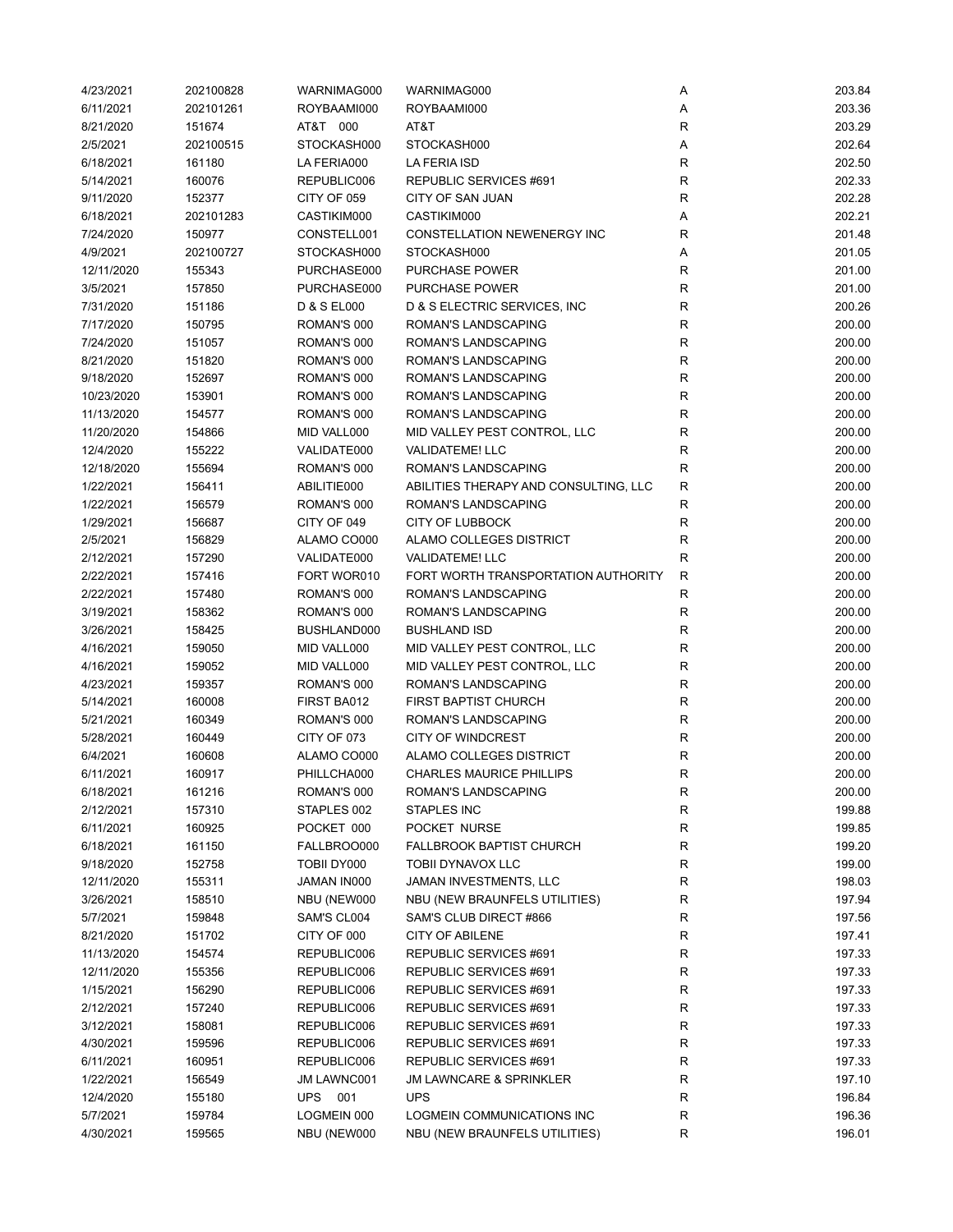| 4/23/2021  | 202100828 | WARNIMAG000            | WARNIMAG000                           | Α            | 203.84           |
|------------|-----------|------------------------|---------------------------------------|--------------|------------------|
| 6/11/2021  | 202101261 | ROYBAAMI000            | ROYBAAMI000                           | Α            | 203.36           |
| 8/21/2020  | 151674    | AT&T 000               | AT&T                                  | R            | 203.29           |
| 2/5/2021   | 202100515 | STOCKASH000            | STOCKASH000                           | Α            | 202.64           |
| 6/18/2021  | 161180    | LA FERIA000            | LA FERIA ISD                          | $\mathsf{R}$ | 202.50           |
| 5/14/2021  | 160076    | REPUBLIC006            | REPUBLIC SERVICES #691                | $\mathsf R$  | 202.33           |
| 9/11/2020  | 152377    | CITY OF 059            | CITY OF SAN JUAN                      | R            | 202.28           |
| 6/18/2021  | 202101283 | CASTIKIM000            | CASTIKIM000                           | Α            | 202.21           |
| 7/24/2020  | 150977    | CONSTELL001            | CONSTELLATION NEWENERGY INC           | $\mathsf R$  | 201.48           |
| 4/9/2021   | 202100727 | STOCKASH000            | STOCKASH000                           | Α            | 201.05           |
| 12/11/2020 | 155343    | PURCHASE000            | <b>PURCHASE POWER</b>                 | $\mathsf R$  | 201.00           |
| 3/5/2021   | 157850    | PURCHASE000            | PURCHASE POWER                        | $\mathsf R$  | 201.00           |
| 7/31/2020  | 151186    | <b>D &amp; S EL000</b> | D & S ELECTRIC SERVICES, INC          | $\mathsf R$  | 200.26           |
| 7/17/2020  |           | ROMAN'S 000            | ROMAN'S LANDSCAPING                   | $\mathsf R$  | 200.00           |
| 7/24/2020  | 150795    | ROMAN'S 000            | ROMAN'S LANDSCAPING                   | $\mathsf{R}$ | 200.00           |
|            | 151057    |                        |                                       |              |                  |
| 8/21/2020  | 151820    | ROMAN'S 000            | ROMAN'S LANDSCAPING                   | R            | 200.00           |
| 9/18/2020  | 152697    | ROMAN'S 000            | ROMAN'S LANDSCAPING                   | $\mathsf{R}$ | 200.00           |
| 10/23/2020 | 153901    | ROMAN'S 000            | ROMAN'S LANDSCAPING                   | $\mathsf{R}$ | 200.00           |
| 11/13/2020 | 154577    | ROMAN'S 000            | ROMAN'S LANDSCAPING                   | R            | 200.00           |
| 11/20/2020 | 154866    | MID VALL000            | MID VALLEY PEST CONTROL, LLC          | R            | 200.00           |
| 12/4/2020  | 155222    | VALIDATE000            | <b>VALIDATEME! LLC</b>                | R            | 200.00           |
| 12/18/2020 | 155694    | ROMAN'S 000            | ROMAN'S LANDSCAPING                   | R            | 200.00           |
| 1/22/2021  | 156411    | ABILITIE000            | ABILITIES THERAPY AND CONSULTING, LLC | R            | 200.00           |
| 1/22/2021  | 156579    | ROMAN'S 000            | ROMAN'S LANDSCAPING                   | R            | 200.00           |
| 1/29/2021  | 156687    | CITY OF 049            | <b>CITY OF LUBBOCK</b>                | $\mathsf{R}$ | 200.00           |
| 2/5/2021   | 156829    | ALAMO CO000            | ALAMO COLLEGES DISTRICT               | $\mathsf{R}$ | 200.00           |
| 2/12/2021  | 157290    | VALIDATE000            | <b>VALIDATEME! LLC</b>                | R            | 200.00           |
| 2/22/2021  | 157416    | FORT WOR010            | FORT WORTH TRANSPORTATION AUTHORITY   | R            | 200.00           |
| 2/22/2021  | 157480    | ROMAN'S 000            | ROMAN'S LANDSCAPING                   | R            | 200.00           |
| 3/19/2021  | 158362    | ROMAN'S 000            | ROMAN'S LANDSCAPING                   | R            | 200.00           |
| 3/26/2021  | 158425    | BUSHLAND000            | <b>BUSHLAND ISD</b>                   | R            | 200.00           |
| 4/16/2021  | 159050    | MID VALL000            | MID VALLEY PEST CONTROL, LLC          | $\mathsf{R}$ | 200.00           |
| 4/16/2021  | 159052    | MID VALL000            | MID VALLEY PEST CONTROL, LLC          | R            | 200.00           |
| 4/23/2021  | 159357    | ROMAN'S 000            | ROMAN'S LANDSCAPING                   | R            | 200.00           |
| 5/14/2021  | 160008    | FIRST BA012            | <b>FIRST BAPTIST CHURCH</b>           | R            | 200.00           |
| 5/21/2021  | 160349    | ROMAN'S 000            | ROMAN'S LANDSCAPING                   | R            | 200.00           |
| 5/28/2021  | 160449    | CITY OF 073            | <b>CITY OF WINDCREST</b>              | $\mathsf{R}$ | 200.00           |
| 6/4/2021   | 160608    | ALAMO CO000            | ALAMO COLLEGES DISTRICT               | R            | 200.00           |
| 6/11/2021  | 160917    | PHILLCHA000            | <b>CHARLES MAURICE PHILLIPS</b>       | R            | 200.00           |
| 6/18/2021  | 161216    | ROMAN'S 000            | ROMAN'S LANDSCAPING                   | $\mathsf R$  | 200.00           |
| 2/12/2021  | 157310    | STAPLES 002            | STAPLES INC                           | R            | 199.88           |
| 6/11/2021  | 160925    | POCKET 000             | POCKET NURSE                          | R            | 199.85           |
| 6/18/2021  | 161150    | FALLBROO000            | <b>FALLBROOK BAPTIST CHURCH</b>       | R            | 199.20           |
| 9/18/2020  | 152758    | TOBII DY000            | TOBII DYNAVOX LLC                     | R            | 199.00           |
| 12/11/2020 | 155311    | JAMAN IN000            | JAMAN INVESTMENTS, LLC                | R            | 198.03           |
| 3/26/2021  | 158510    | NBU (NEW000            | NBU (NEW BRAUNFELS UTILITIES)         | R            | 197.94           |
| 5/7/2021   | 159848    | SAM'S CL004            | SAM'S CLUB DIRECT #866                | R            | 197.56           |
|            |           | CITY OF 000            |                                       |              |                  |
| 8/21/2020  | 151702    |                        | CITY OF ABILENE                       | R            | 197.41<br>197.33 |
| 11/13/2020 | 154574    | REPUBLIC006            | REPUBLIC SERVICES #691                | R            |                  |
| 12/11/2020 | 155356    | REPUBLIC006            | REPUBLIC SERVICES #691                | R            | 197.33           |
| 1/15/2021  | 156290    | REPUBLIC006            | REPUBLIC SERVICES #691                | R            | 197.33           |
| 2/12/2021  | 157240    | REPUBLIC006            | REPUBLIC SERVICES #691                | R            | 197.33           |
| 3/12/2021  | 158081    | REPUBLIC006            | REPUBLIC SERVICES #691                | R            | 197.33           |
| 4/30/2021  | 159596    | REPUBLIC006            | REPUBLIC SERVICES #691                | R            | 197.33           |
| 6/11/2021  | 160951    | REPUBLIC006            | REPUBLIC SERVICES #691                | R            | 197.33           |
| 1/22/2021  | 156549    | JM LAWNC001            | JM LAWNCARE & SPRINKLER               | R            | 197.10           |
| 12/4/2020  | 155180    | UPS<br>001             | <b>UPS</b>                            | R            | 196.84           |
| 5/7/2021   | 159784    | LOGMEIN 000            | LOGMEIN COMMUNICATIONS INC            | R            | 196.36           |
| 4/30/2021  | 159565    | NBU (NEW000            | NBU (NEW BRAUNFELS UTILITIES)         | R            | 196.01           |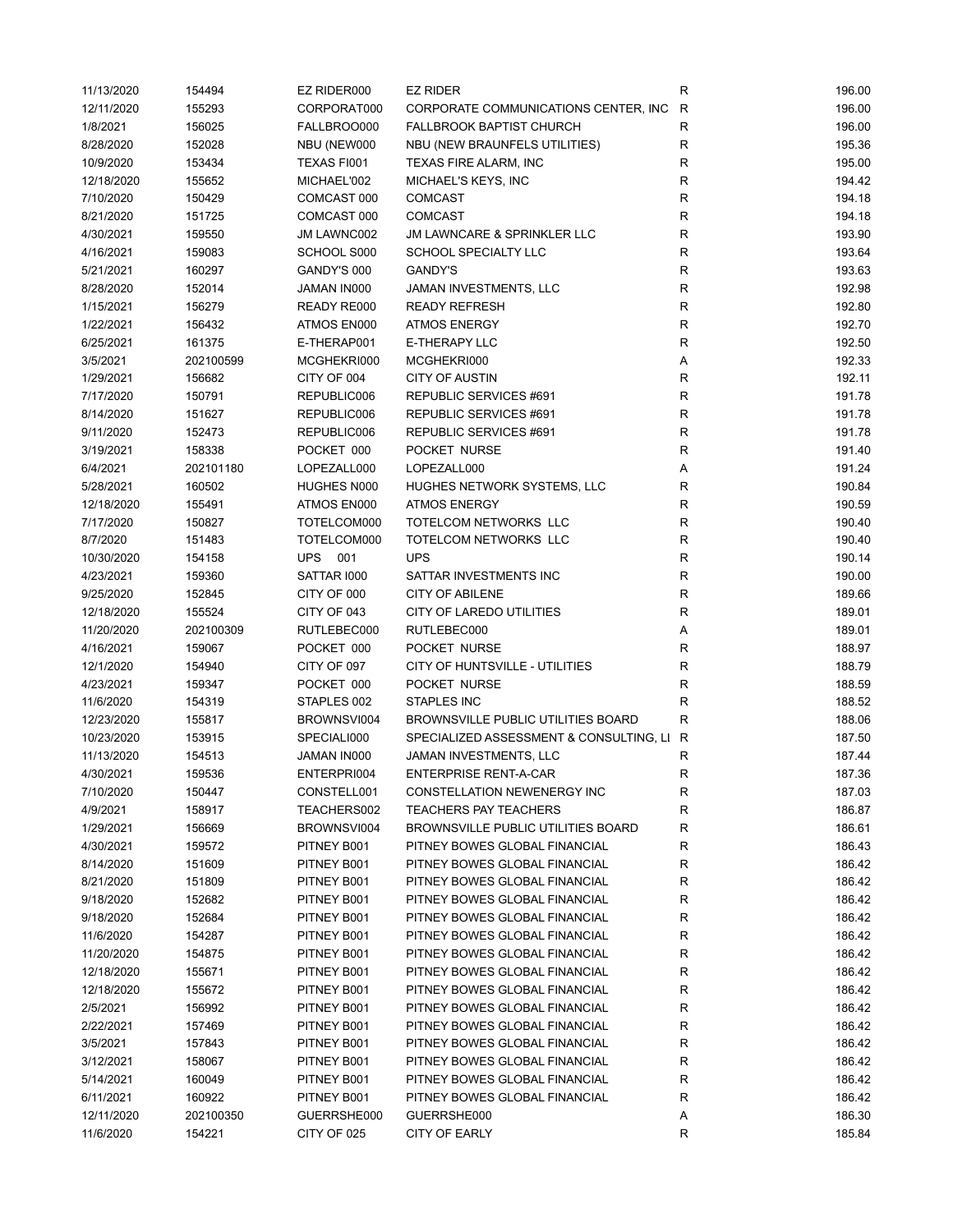| 11/13/2020               | 154494           | EZ RIDER000                | <b>EZ RIDER</b>                                                            | R                            | 196.00           |
|--------------------------|------------------|----------------------------|----------------------------------------------------------------------------|------------------------------|------------------|
| 12/11/2020               | 155293           | CORPORAT000                | CORPORATE COMMUNICATIONS CENTER, INC.                                      | R                            | 196.00           |
| 1/8/2021                 | 156025           | FALLBROO000                | <b>FALLBROOK BAPTIST CHURCH</b>                                            | R                            | 196.00           |
| 8/28/2020                | 152028           | NBU (NEW000                | NBU (NEW BRAUNFELS UTILITIES)                                              | R                            | 195.36           |
| 10/9/2020                | 153434           | TEXAS FI001                | TEXAS FIRE ALARM, INC                                                      | $\mathsf{R}$                 | 195.00           |
| 12/18/2020               | 155652           | MICHAEL'002                | MICHAEL'S KEYS, INC                                                        | $\mathsf{R}$                 | 194.42           |
| 7/10/2020                | 150429           | COMCAST 000                | <b>COMCAST</b>                                                             | $\mathsf{R}$                 | 194.18           |
| 8/21/2020                | 151725           | COMCAST 000                | <b>COMCAST</b>                                                             | $\mathsf{R}$                 | 194.18           |
| 4/30/2021                | 159550           | JM LAWNC002                | JM LAWNCARE & SPRINKLER LLC                                                | $\mathsf{R}$                 | 193.90           |
| 4/16/2021                | 159083           | SCHOOL S000                | <b>SCHOOL SPECIALTY LLC</b>                                                | R                            | 193.64           |
| 5/21/2021                | 160297           | GANDY'S 000                | <b>GANDY'S</b>                                                             | R                            | 193.63           |
| 8/28/2020                | 152014           | JAMAN IN000                | JAMAN INVESTMENTS, LLC                                                     | R                            | 192.98           |
| 1/15/2021                | 156279           | READY RE000                | <b>READY REFRESH</b>                                                       | $\mathsf{R}$                 | 192.80           |
| 1/22/2021                | 156432           | ATMOS EN000                | <b>ATMOS ENERGY</b>                                                        | R                            | 192.70           |
| 6/25/2021                | 161375           | E-THERAP001                | E-THERAPY LLC                                                              | R                            | 192.50           |
| 3/5/2021                 | 202100599        | MCGHEKRI000                | MCGHEKRI000                                                                | Α                            | 192.33           |
| 1/29/2021                | 156682           | CITY OF 004                | <b>CITY OF AUSTIN</b>                                                      | $\mathsf{R}$                 | 192.11           |
| 7/17/2020                | 150791           | REPUBLIC006                | REPUBLIC SERVICES #691                                                     | $\mathsf{R}$                 | 191.78           |
| 8/14/2020                | 151627           | REPUBLIC006                | <b>REPUBLIC SERVICES #691</b>                                              | $\mathsf{R}$                 | 191.78           |
| 9/11/2020                | 152473           | REPUBLIC006                | REPUBLIC SERVICES #691                                                     | R                            | 191.78           |
| 3/19/2021                | 158338           | POCKET 000                 | POCKET NURSE                                                               | $\mathsf{R}$                 | 191.40           |
| 6/4/2021                 | 202101180        | LOPEZALL000                | LOPEZALL000                                                                |                              |                  |
|                          |                  |                            |                                                                            | Α                            | 191.24           |
| 5/28/2021                | 160502           | HUGHES N000                | HUGHES NETWORK SYSTEMS, LLC<br><b>ATMOS ENERGY</b>                         | R<br>R                       | 190.84           |
| 12/18/2020               | 155491           | ATMOS EN000                |                                                                            |                              | 190.59           |
| 7/17/2020                | 150827           | TOTELCOM000                | TOTELCOM NETWORKS LLC                                                      | R<br>R                       | 190.40           |
| 8/7/2020                 | 151483           | TOTELCOM000                | TOTELCOM NETWORKS LLC                                                      |                              | 190.40           |
| 10/30/2020               | 154158           | UPS 001                    | <b>UPS</b>                                                                 | R                            | 190.14           |
| 4/23/2021                | 159360           | SATTAR 1000                | SATTAR INVESTMENTS INC                                                     | R                            | 190.00           |
| 9/25/2020                | 152845           | CITY OF 000                | <b>CITY OF ABILENE</b>                                                     | R                            | 189.66           |
| 12/18/2020               | 155524           | CITY OF 043                | CITY OF LAREDO UTILITIES                                                   | R                            | 189.01           |
| 11/20/2020               | 202100309        | RUTLEBEC000                | RUTLEBEC000                                                                | Α                            | 189.01           |
| 4/16/2021                | 159067           | POCKET 000                 | POCKET NURSE                                                               | $\mathsf{R}$                 | 188.97           |
| 12/1/2020                | 154940           | CITY OF 097<br>POCKET 000  | CITY OF HUNTSVILLE - UTILITIES                                             | $\mathsf{R}$<br>$\mathsf{R}$ | 188.79           |
| 4/23/2021                | 159347           |                            | POCKET NURSE                                                               |                              | 188.59           |
| 11/6/2020                | 154319           | STAPLES 002                | STAPLES INC<br><b>BROWNSVILLE PUBLIC UTILITIES BOARD</b>                   | R                            | 188.52           |
| 12/23/2020               | 155817           | BROWNSVI004                |                                                                            | R                            | 188.06           |
| 10/23/2020<br>11/13/2020 | 153915           | SPECIALI000                | SPECIALIZED ASSESSMENT & CONSULTING, LI R                                  |                              | 187.50           |
| 4/30/2021                | 154513<br>159536 | JAMAN IN000                | JAMAN INVESTMENTS, LLC                                                     | R<br>R                       | 187.44           |
|                          |                  | ENTERPRI004                | <b>ENTERPRISE RENT-A-CAR</b>                                               |                              | 187.36           |
| 7/10/2020                | 150447           | CONSTELL001                | CONSTELLATION NEWENERGY INC                                                | R                            | 187.03           |
| 4/9/2021                 | 158917           | TEACHERS002<br>BROWNSVI004 | TEACHERS PAY TEACHERS                                                      | R<br>R                       | 186.87           |
| 1/29/2021<br>4/30/2021   | 156669           |                            | <b>BROWNSVILLE PUBLIC UTILITIES BOARD</b><br>PITNEY BOWES GLOBAL FINANCIAL | R                            | 186.61<br>186.43 |
|                          | 159572<br>151609 | PITNEY B001                | PITNEY BOWES GLOBAL FINANCIAL                                              |                              |                  |
| 8/14/2020                |                  | PITNEY B001                |                                                                            | R                            | 186.42           |
| 8/21/2020                | 151809           | PITNEY B001                | PITNEY BOWES GLOBAL FINANCIAL                                              | R                            | 186.42           |
| 9/18/2020                | 152682           | PITNEY B001                | PITNEY BOWES GLOBAL FINANCIAL                                              | R                            | 186.42           |
| 9/18/2020                | 152684           | PITNEY B001                | PITNEY BOWES GLOBAL FINANCIAL<br>PITNEY BOWES GLOBAL FINANCIAL             | R                            | 186.42           |
| 11/6/2020<br>11/20/2020  | 154287           | PITNEY B001                | PITNEY BOWES GLOBAL FINANCIAL                                              | R                            | 186.42           |
|                          | 154875           | PITNEY B001                | PITNEY BOWES GLOBAL FINANCIAL                                              | R                            | 186.42           |
| 12/18/2020               | 155671           | PITNEY B001                |                                                                            | R                            | 186.42           |
| 12/18/2020               | 155672           | PITNEY B001                | PITNEY BOWES GLOBAL FINANCIAL                                              | R                            | 186.42           |
| 2/5/2021                 | 156992           | PITNEY B001                | PITNEY BOWES GLOBAL FINANCIAL                                              | R                            | 186.42           |
| 2/22/2021                | 157469           | PITNEY B001                | PITNEY BOWES GLOBAL FINANCIAL                                              | R                            | 186.42           |
| 3/5/2021                 | 157843           | PITNEY B001                | PITNEY BOWES GLOBAL FINANCIAL                                              | R                            | 186.42           |
| 3/12/2021                | 158067           | PITNEY B001                | PITNEY BOWES GLOBAL FINANCIAL                                              | R                            | 186.42           |
| 5/14/2021                | 160049           | PITNEY B001                | PITNEY BOWES GLOBAL FINANCIAL                                              | R                            | 186.42           |
| 6/11/2021                | 160922           | PITNEY B001                | PITNEY BOWES GLOBAL FINANCIAL                                              | R                            | 186.42           |
| 12/11/2020               | 202100350        | GUERRSHE000                | GUERRSHE000                                                                | A<br>R                       | 186.30           |
| 11/6/2020                | 154221           | CITY OF 025                | <b>CITY OF EARLY</b>                                                       |                              | 185.84           |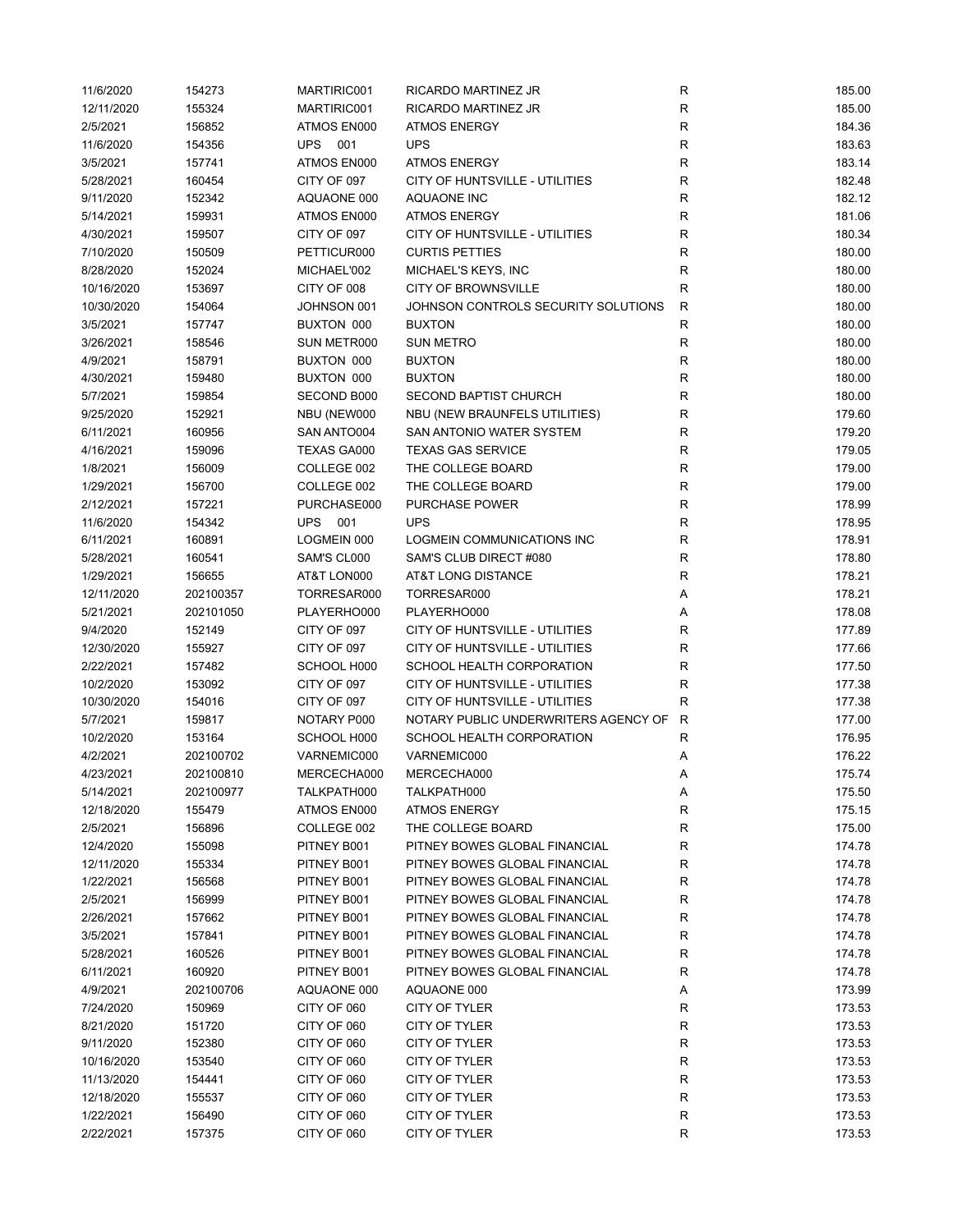| 11/6/2020  | 154273    | MARTIRIC001       | RICARDO MARTINEZ JR                  | R            | 185.00 |
|------------|-----------|-------------------|--------------------------------------|--------------|--------|
| 12/11/2020 | 155324    | MARTIRIC001       | <b>RICARDO MARTINEZ JR</b>           | $\mathsf R$  | 185.00 |
| 2/5/2021   | 156852    | ATMOS EN000       | <b>ATMOS ENERGY</b>                  | $\mathsf R$  | 184.36 |
| 11/6/2020  | 154356    | <b>UPS</b><br>001 | <b>UPS</b>                           | $\mathsf R$  | 183.63 |
| 3/5/2021   | 157741    | ATMOS EN000       | <b>ATMOS ENERGY</b>                  | $\mathsf R$  | 183.14 |
| 5/28/2021  | 160454    | CITY OF 097       | CITY OF HUNTSVILLE - UTILITIES       | $\mathsf R$  | 182.48 |
| 9/11/2020  | 152342    | AQUAONE 000       | AQUAONE INC                          | R            | 182.12 |
| 5/14/2021  | 159931    | ATMOS EN000       | <b>ATMOS ENERGY</b>                  | R            | 181.06 |
| 4/30/2021  | 159507    | CITY OF 097       | CITY OF HUNTSVILLE - UTILITIES       | $\mathsf R$  | 180.34 |
| 7/10/2020  | 150509    | PETTICUR000       | <b>CURTIS PETTIES</b>                | R            | 180.00 |
| 8/28/2020  |           |                   |                                      | $\mathsf R$  |        |
|            | 152024    | MICHAEL'002       | MICHAEL'S KEYS, INC                  |              | 180.00 |
| 10/16/2020 | 153697    | CITY OF 008       | <b>CITY OF BROWNSVILLE</b>           | $\mathsf R$  | 180.00 |
| 10/30/2020 | 154064    | JOHNSON 001       | JOHNSON CONTROLS SECURITY SOLUTIONS  | R            | 180.00 |
| 3/5/2021   | 157747    | BUXTON 000        | <b>BUXTON</b>                        | $\mathsf R$  | 180.00 |
| 3/26/2021  | 158546    | SUN METR000       | <b>SUN METRO</b>                     | $\mathsf R$  | 180.00 |
| 4/9/2021   | 158791    | BUXTON 000        | <b>BUXTON</b>                        | $\mathsf R$  | 180.00 |
| 4/30/2021  | 159480    | BUXTON 000        | <b>BUXTON</b>                        | $\mathsf R$  | 180.00 |
| 5/7/2021   | 159854    | SECOND B000       | <b>SECOND BAPTIST CHURCH</b>         | $\mathsf R$  | 180.00 |
| 9/25/2020  | 152921    | NBU (NEW000       | NBU (NEW BRAUNFELS UTILITIES)        | $\mathsf R$  | 179.60 |
| 6/11/2021  | 160956    | SAN ANTO004       | SAN ANTONIO WATER SYSTEM             | R            | 179.20 |
| 4/16/2021  | 159096    | TEXAS GA000       | <b>TEXAS GAS SERVICE</b>             | $\mathsf R$  | 179.05 |
| 1/8/2021   | 156009    | COLLEGE 002       | THE COLLEGE BOARD                    | $\mathsf R$  | 179.00 |
| 1/29/2021  | 156700    | COLLEGE 002       | THE COLLEGE BOARD                    | R            | 179.00 |
| 2/12/2021  | 157221    | PURCHASE000       | PURCHASE POWER                       | R            | 178.99 |
| 11/6/2020  | 154342    | <b>UPS 001</b>    | <b>UPS</b>                           | ${\sf R}$    | 178.95 |
| 6/11/2021  | 160891    | LOGMEIN 000       | LOGMEIN COMMUNICATIONS INC           | $\mathsf{R}$ | 178.91 |
| 5/28/2021  | 160541    | SAM'S CL000       | SAM'S CLUB DIRECT #080               | $\mathsf R$  | 178.80 |
| 1/29/2021  | 156655    | AT&T LON000       | AT&T LONG DISTANCE                   | R            | 178.21 |
| 12/11/2020 | 202100357 | TORRESAR000       | TORRESAR000                          | Α            | 178.21 |
| 5/21/2021  | 202101050 | PLAYERHO000       | PLAYERHO000                          | Α            | 178.08 |
|            |           |                   |                                      |              |        |
| 9/4/2020   | 152149    | CITY OF 097       | CITY OF HUNTSVILLE - UTILITIES       | $\mathsf R$  | 177.89 |
| 12/30/2020 | 155927    | CITY OF 097       | CITY OF HUNTSVILLE - UTILITIES       | R            | 177.66 |
| 2/22/2021  | 157482    | SCHOOL H000       | SCHOOL HEALTH CORPORATION            | $\mathsf{R}$ | 177.50 |
| 10/2/2020  | 153092    | CITY OF 097       | CITY OF HUNTSVILLE - UTILITIES       | R            | 177.38 |
| 10/30/2020 | 154016    | CITY OF 097       | CITY OF HUNTSVILLE - UTILITIES       | R            | 177.38 |
| 5/7/2021   | 159817    | NOTARY P000       | NOTARY PUBLIC UNDERWRITERS AGENCY OF | R            | 177.00 |
| 10/2/2020  | 153164    | SCHOOL H000       | SCHOOL HEALTH CORPORATION            | R            | 176.95 |
| 4/2/2021   | 202100702 | VARNEMIC000       | VARNEMIC000                          | Α            | 176.22 |
| 4/23/2021  | 202100810 | MERCECHA000       | MERCECHA000                          | Α            | 175.74 |
| 5/14/2021  | 202100977 | TALKPATH000       | TALKPATH000                          | Α            | 175.50 |
| 12/18/2020 | 155479    | ATMOS EN000       | <b>ATMOS ENERGY</b>                  | $\mathsf R$  | 175.15 |
| 2/5/2021   | 156896    | COLLEGE 002       | THE COLLEGE BOARD                    | $\mathsf R$  | 175.00 |
| 12/4/2020  | 155098    | PITNEY B001       | PITNEY BOWES GLOBAL FINANCIAL        | $\mathsf R$  | 174.78 |
| 12/11/2020 | 155334    | PITNEY B001       | PITNEY BOWES GLOBAL FINANCIAL        | R            | 174.78 |
| 1/22/2021  | 156568    | PITNEY B001       | PITNEY BOWES GLOBAL FINANCIAL        | R            | 174.78 |
| 2/5/2021   | 156999    | PITNEY B001       | PITNEY BOWES GLOBAL FINANCIAL        | R            | 174.78 |
| 2/26/2021  | 157662    | PITNEY B001       | PITNEY BOWES GLOBAL FINANCIAL        | R            | 174.78 |
| 3/5/2021   | 157841    | PITNEY B001       | PITNEY BOWES GLOBAL FINANCIAL        | R            | 174.78 |
| 5/28/2021  | 160526    | PITNEY B001       | PITNEY BOWES GLOBAL FINANCIAL        | R            | 174.78 |
| 6/11/2021  | 160920    | PITNEY B001       | PITNEY BOWES GLOBAL FINANCIAL        | R            | 174.78 |
| 4/9/2021   | 202100706 | AQUAONE 000       | AQUAONE 000                          | Α            | 173.99 |
|            |           |                   |                                      |              |        |
| 7/24/2020  | 150969    | CITY OF 060       | CITY OF TYLER                        | R            | 173.53 |
| 8/21/2020  | 151720    | CITY OF 060       | CITY OF TYLER                        | $\mathsf R$  | 173.53 |
| 9/11/2020  | 152380    | CITY OF 060       | CITY OF TYLER                        | $\mathsf R$  | 173.53 |
| 10/16/2020 | 153540    | CITY OF 060       | CITY OF TYLER                        | R            | 173.53 |
| 11/13/2020 | 154441    | CITY OF 060       | CITY OF TYLER                        | R            | 173.53 |
| 12/18/2020 | 155537    | CITY OF 060       | CITY OF TYLER                        | R            | 173.53 |
| 1/22/2021  | 156490    | CITY OF 060       | CITY OF TYLER                        | R            | 173.53 |
| 2/22/2021  | 157375    | CITY OF 060       | CITY OF TYLER                        | R            | 173.53 |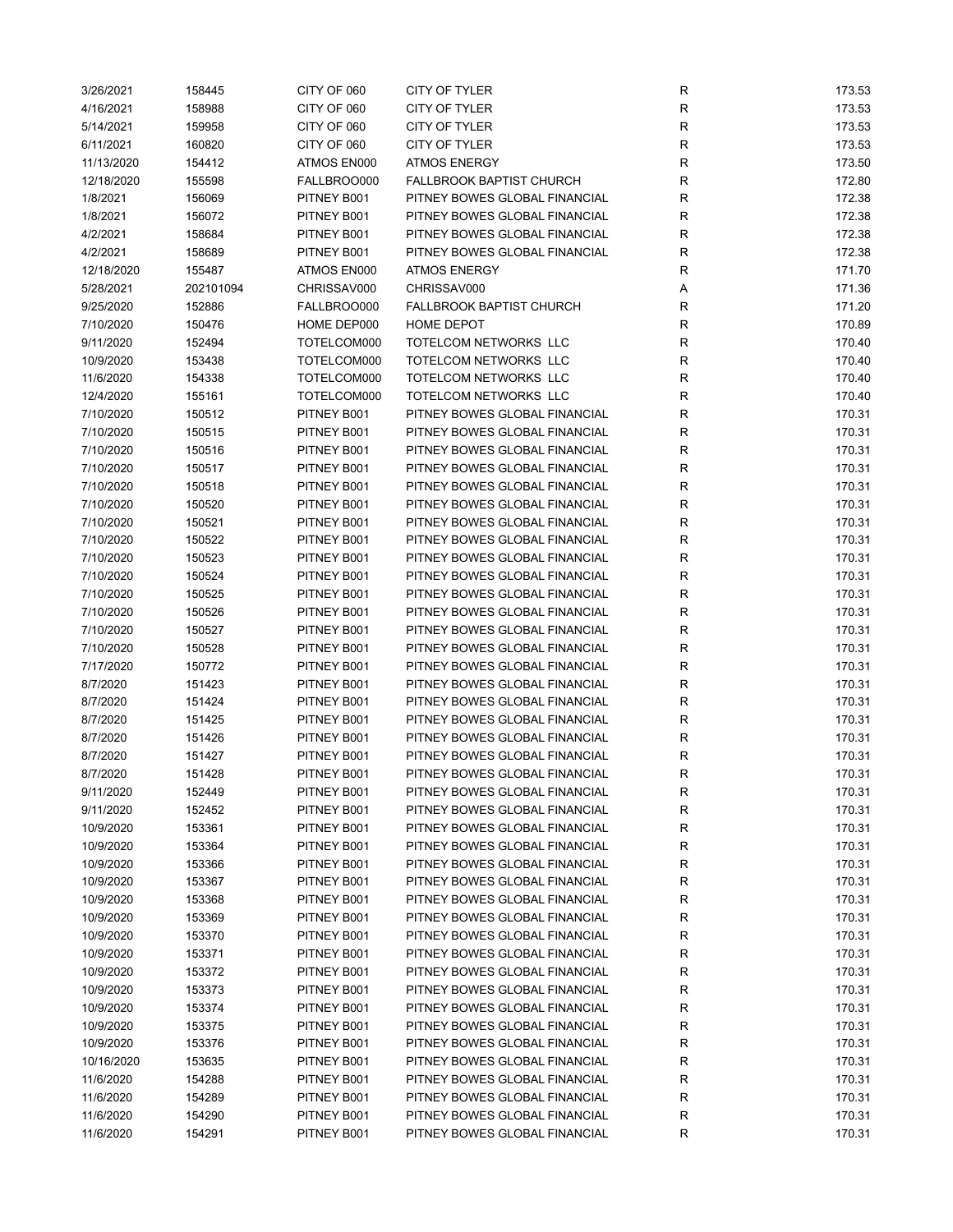| 3/26/2021  | 158445    | CITY OF 060 | <b>CITY OF TYLER</b>            | R           | 173.53 |
|------------|-----------|-------------|---------------------------------|-------------|--------|
| 4/16/2021  | 158988    | CITY OF 060 | <b>CITY OF TYLER</b>            | R           | 173.53 |
| 5/14/2021  | 159958    | CITY OF 060 | CITY OF TYLER                   | R           | 173.53 |
| 6/11/2021  | 160820    | CITY OF 060 | CITY OF TYLER                   | R           | 173.53 |
| 11/13/2020 | 154412    | ATMOS EN000 | <b>ATMOS ENERGY</b>             | R           | 173.50 |
| 12/18/2020 | 155598    | FALLBROO000 | <b>FALLBROOK BAPTIST CHURCH</b> | R           | 172.80 |
| 1/8/2021   | 156069    | PITNEY B001 | PITNEY BOWES GLOBAL FINANCIAL   | R           | 172.38 |
| 1/8/2021   | 156072    | PITNEY B001 | PITNEY BOWES GLOBAL FINANCIAL   | R           | 172.38 |
| 4/2/2021   | 158684    | PITNEY B001 | PITNEY BOWES GLOBAL FINANCIAL   | $\mathsf R$ | 172.38 |
| 4/2/2021   | 158689    | PITNEY B001 | PITNEY BOWES GLOBAL FINANCIAL   | $\mathsf R$ | 172.38 |
| 12/18/2020 | 155487    | ATMOS EN000 | <b>ATMOS ENERGY</b>             | $\mathsf R$ | 171.70 |
|            |           |             | CHRISSAV000                     |             |        |
| 5/28/2021  | 202101094 | CHRISSAV000 |                                 | Α           | 171.36 |
| 9/25/2020  | 152886    | FALLBROO000 | <b>FALLBROOK BAPTIST CHURCH</b> | R           | 171.20 |
| 7/10/2020  | 150476    | HOME DEP000 | <b>HOME DEPOT</b>               | R           | 170.89 |
| 9/11/2020  | 152494    | TOTELCOM000 | TOTELCOM NETWORKS LLC           | R           | 170.40 |
| 10/9/2020  | 153438    | TOTELCOM000 | TOTELCOM NETWORKS LLC           | R           | 170.40 |
| 11/6/2020  | 154338    | TOTELCOM000 | TOTELCOM NETWORKS LLC           | R           | 170.40 |
| 12/4/2020  | 155161    | TOTELCOM000 | TOTELCOM NETWORKS LLC           | R           | 170.40 |
| 7/10/2020  | 150512    | PITNEY B001 | PITNEY BOWES GLOBAL FINANCIAL   | R           | 170.31 |
| 7/10/2020  | 150515    | PITNEY B001 | PITNEY BOWES GLOBAL FINANCIAL   | R           | 170.31 |
| 7/10/2020  | 150516    | PITNEY B001 | PITNEY BOWES GLOBAL FINANCIAL   | R           | 170.31 |
| 7/10/2020  | 150517    | PITNEY B001 | PITNEY BOWES GLOBAL FINANCIAL   | R           | 170.31 |
| 7/10/2020  | 150518    | PITNEY B001 | PITNEY BOWES GLOBAL FINANCIAL   | $\mathsf R$ | 170.31 |
| 7/10/2020  | 150520    | PITNEY B001 | PITNEY BOWES GLOBAL FINANCIAL   | $\mathsf R$ | 170.31 |
| 7/10/2020  | 150521    | PITNEY B001 | PITNEY BOWES GLOBAL FINANCIAL   | $\mathsf R$ | 170.31 |
| 7/10/2020  | 150522    | PITNEY B001 | PITNEY BOWES GLOBAL FINANCIAL   | R           | 170.31 |
| 7/10/2020  | 150523    | PITNEY B001 | PITNEY BOWES GLOBAL FINANCIAL   | R           | 170.31 |
| 7/10/2020  | 150524    | PITNEY B001 | PITNEY BOWES GLOBAL FINANCIAL   | $\mathsf R$ | 170.31 |
| 7/10/2020  | 150525    | PITNEY B001 | PITNEY BOWES GLOBAL FINANCIAL   | $\mathsf R$ | 170.31 |
| 7/10/2020  | 150526    | PITNEY B001 | PITNEY BOWES GLOBAL FINANCIAL   | $\mathsf R$ | 170.31 |
| 7/10/2020  | 150527    | PITNEY B001 | PITNEY BOWES GLOBAL FINANCIAL   | R           | 170.31 |
| 7/10/2020  | 150528    | PITNEY B001 | PITNEY BOWES GLOBAL FINANCIAL   | R           | 170.31 |
| 7/17/2020  | 150772    | PITNEY B001 | PITNEY BOWES GLOBAL FINANCIAL   | R           | 170.31 |
| 8/7/2020   | 151423    | PITNEY B001 | PITNEY BOWES GLOBAL FINANCIAL   | R           | 170.31 |
|            |           | PITNEY B001 | PITNEY BOWES GLOBAL FINANCIAL   |             |        |
| 8/7/2020   | 151424    |             |                                 | R           | 170.31 |
| 8/7/2020   | 151425    | PITNEY B001 | PITNEY BOWES GLOBAL FINANCIAL   | R           | 170.31 |
| 8/7/2020   | 151426    | PITNEY B001 | PITNEY BOWES GLOBAL FINANCIAL   | $\mathsf R$ | 170.31 |
| 8/7/2020   | 151427    | PITNEY B001 | PITNEY BOWES GLOBAL FINANCIAL   | $\mathsf R$ | 170.31 |
| 8/7/2020   | 151428    | PITNEY B001 | PITNEY BOWES GLOBAL FINANCIAL   | R           | 170.31 |
| 9/11/2020  | 152449    | PITNEY B001 | PITNEY BOWES GLOBAL FINANCIAL   | R           | 170.31 |
| 9/11/2020  | 152452    | PITNEY B001 | PITNEY BOWES GLOBAL FINANCIAL   | R           | 170.31 |
| 10/9/2020  | 153361    | PITNEY B001 | PITNEY BOWES GLOBAL FINANCIAL   | R           | 170.31 |
| 10/9/2020  | 153364    | PITNEY B001 | PITNEY BOWES GLOBAL FINANCIAL   | R           | 170.31 |
| 10/9/2020  | 153366    | PITNEY B001 | PITNEY BOWES GLOBAL FINANCIAL   | R           | 170.31 |
| 10/9/2020  | 153367    | PITNEY B001 | PITNEY BOWES GLOBAL FINANCIAL   | R           | 170.31 |
| 10/9/2020  | 153368    | PITNEY B001 | PITNEY BOWES GLOBAL FINANCIAL   | R           | 170.31 |
| 10/9/2020  | 153369    | PITNEY B001 | PITNEY BOWES GLOBAL FINANCIAL   | R           | 170.31 |
| 10/9/2020  | 153370    | PITNEY B001 | PITNEY BOWES GLOBAL FINANCIAL   | R           | 170.31 |
| 10/9/2020  | 153371    | PITNEY B001 | PITNEY BOWES GLOBAL FINANCIAL   | R           | 170.31 |
| 10/9/2020  | 153372    | PITNEY B001 | PITNEY BOWES GLOBAL FINANCIAL   | R           | 170.31 |
| 10/9/2020  | 153373    | PITNEY B001 | PITNEY BOWES GLOBAL FINANCIAL   | R           | 170.31 |
| 10/9/2020  | 153374    | PITNEY B001 | PITNEY BOWES GLOBAL FINANCIAL   | R           | 170.31 |
| 10/9/2020  | 153375    | PITNEY B001 | PITNEY BOWES GLOBAL FINANCIAL   | R           | 170.31 |
| 10/9/2020  | 153376    | PITNEY B001 | PITNEY BOWES GLOBAL FINANCIAL   | R           | 170.31 |
| 10/16/2020 | 153635    | PITNEY B001 | PITNEY BOWES GLOBAL FINANCIAL   | R           | 170.31 |
| 11/6/2020  | 154288    | PITNEY B001 | PITNEY BOWES GLOBAL FINANCIAL   | R           | 170.31 |
| 11/6/2020  | 154289    | PITNEY B001 | PITNEY BOWES GLOBAL FINANCIAL   | R           | 170.31 |
| 11/6/2020  | 154290    | PITNEY B001 | PITNEY BOWES GLOBAL FINANCIAL   | R           | 170.31 |
| 11/6/2020  | 154291    | PITNEY B001 | PITNEY BOWES GLOBAL FINANCIAL   | R           | 170.31 |
|            |           |             |                                 |             |        |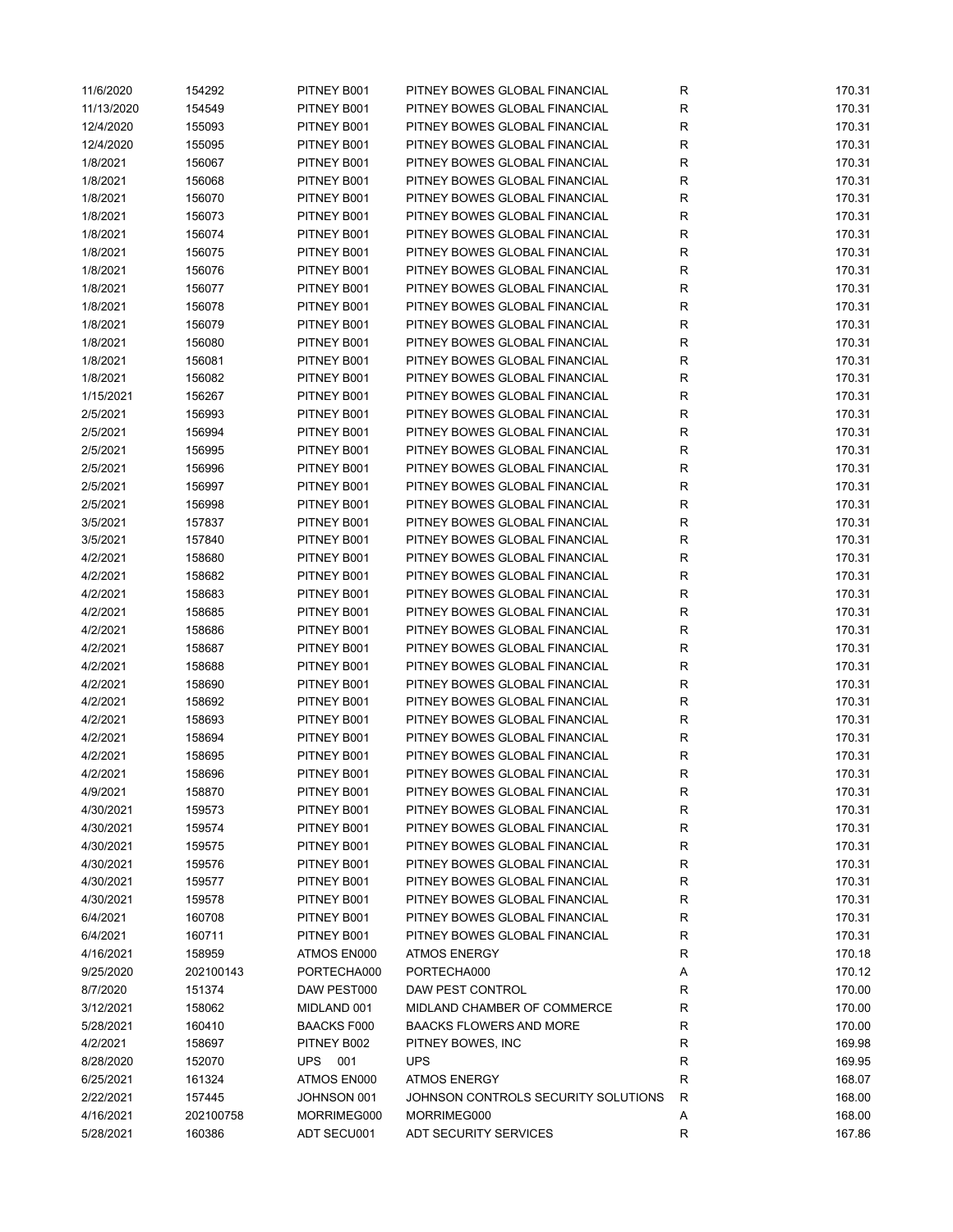| 11/6/2020  | 154292    | PITNEY B001        | PITNEY BOWES GLOBAL FINANCIAL       | R           | 170.31 |
|------------|-----------|--------------------|-------------------------------------|-------------|--------|
| 11/13/2020 | 154549    | PITNEY B001        | PITNEY BOWES GLOBAL FINANCIAL       | R           | 170.31 |
| 12/4/2020  | 155093    | PITNEY B001        | PITNEY BOWES GLOBAL FINANCIAL       | $\mathsf R$ | 170.31 |
| 12/4/2020  | 155095    | PITNEY B001        | PITNEY BOWES GLOBAL FINANCIAL       | $\mathsf R$ | 170.31 |
| 1/8/2021   | 156067    | PITNEY B001        | PITNEY BOWES GLOBAL FINANCIAL       | R           | 170.31 |
| 1/8/2021   | 156068    | PITNEY B001        | PITNEY BOWES GLOBAL FINANCIAL       | R           | 170.31 |
| 1/8/2021   | 156070    | PITNEY B001        | PITNEY BOWES GLOBAL FINANCIAL       | R           | 170.31 |
| 1/8/2021   | 156073    | PITNEY B001        | PITNEY BOWES GLOBAL FINANCIAL       | R           | 170.31 |
| 1/8/2021   | 156074    | PITNEY B001        | PITNEY BOWES GLOBAL FINANCIAL       | $\mathsf R$ | 170.31 |
| 1/8/2021   | 156075    | PITNEY B001        | PITNEY BOWES GLOBAL FINANCIAL       | $\mathsf R$ | 170.31 |
| 1/8/2021   | 156076    | PITNEY B001        | PITNEY BOWES GLOBAL FINANCIAL       | $\mathsf R$ | 170.31 |
|            |           |                    | PITNEY BOWES GLOBAL FINANCIAL       |             |        |
| 1/8/2021   | 156077    | PITNEY B001        |                                     | R           | 170.31 |
| 1/8/2021   | 156078    | PITNEY B001        | PITNEY BOWES GLOBAL FINANCIAL       | R           | 170.31 |
| 1/8/2021   | 156079    | PITNEY B001        | PITNEY BOWES GLOBAL FINANCIAL       | R           | 170.31 |
| 1/8/2021   | 156080    | PITNEY B001        | PITNEY BOWES GLOBAL FINANCIAL       | R           | 170.31 |
| 1/8/2021   | 156081    | PITNEY B001        | PITNEY BOWES GLOBAL FINANCIAL       | R           | 170.31 |
| 1/8/2021   | 156082    | PITNEY B001        | PITNEY BOWES GLOBAL FINANCIAL       | R           | 170.31 |
| 1/15/2021  | 156267    | PITNEY B001        | PITNEY BOWES GLOBAL FINANCIAL       | R           | 170.31 |
| 2/5/2021   | 156993    | PITNEY B001        | PITNEY BOWES GLOBAL FINANCIAL       | R           | 170.31 |
| 2/5/2021   | 156994    | PITNEY B001        | PITNEY BOWES GLOBAL FINANCIAL       | R           | 170.31 |
| 2/5/2021   | 156995    | PITNEY B001        | PITNEY BOWES GLOBAL FINANCIAL       | R           | 170.31 |
| 2/5/2021   | 156996    | PITNEY B001        | PITNEY BOWES GLOBAL FINANCIAL       | R           | 170.31 |
| 2/5/2021   | 156997    | PITNEY B001        | PITNEY BOWES GLOBAL FINANCIAL       | $\mathsf R$ | 170.31 |
| 2/5/2021   | 156998    | PITNEY B001        | PITNEY BOWES GLOBAL FINANCIAL       | $\mathsf R$ | 170.31 |
| 3/5/2021   | 157837    | PITNEY B001        | PITNEY BOWES GLOBAL FINANCIAL       | $\mathsf R$ | 170.31 |
| 3/5/2021   | 157840    | PITNEY B001        | PITNEY BOWES GLOBAL FINANCIAL       | R           | 170.31 |
| 4/2/2021   | 158680    | PITNEY B001        | PITNEY BOWES GLOBAL FINANCIAL       | R           | 170.31 |
| 4/2/2021   | 158682    | PITNEY B001        | PITNEY BOWES GLOBAL FINANCIAL       | $\mathsf R$ | 170.31 |
| 4/2/2021   | 158683    | PITNEY B001        | PITNEY BOWES GLOBAL FINANCIAL       | $\mathsf R$ | 170.31 |
| 4/2/2021   | 158685    | PITNEY B001        | PITNEY BOWES GLOBAL FINANCIAL       | $\mathsf R$ | 170.31 |
| 4/2/2021   | 158686    | PITNEY B001        | PITNEY BOWES GLOBAL FINANCIAL       | R           | 170.31 |
|            |           |                    |                                     |             |        |
| 4/2/2021   | 158687    | PITNEY B001        | PITNEY BOWES GLOBAL FINANCIAL       | R           | 170.31 |
| 4/2/2021   | 158688    | PITNEY B001        | PITNEY BOWES GLOBAL FINANCIAL       | R           | 170.31 |
| 4/2/2021   | 158690    | PITNEY B001        | PITNEY BOWES GLOBAL FINANCIAL       | R           | 170.31 |
| 4/2/2021   | 158692    | PITNEY B001        | PITNEY BOWES GLOBAL FINANCIAL       | R           | 170.31 |
| 4/2/2021   | 158693    | PITNEY B001        | PITNEY BOWES GLOBAL FINANCIAL       | R           | 170.31 |
| 4/2/2021   | 158694    | PITNEY B001        | PITNEY BOWES GLOBAL FINANCIAL       | R           | 170.31 |
| 4/2/2021   | 158695    | PITNEY B001        | PITNEY BOWES GLOBAL FINANCIAL       | $\mathsf R$ | 170.31 |
| 4/2/2021   | 158696    | PITNEY B001        | PITNEY BOWES GLOBAL FINANCIAL       | R           | 170.31 |
| 4/9/2021   | 158870    | PITNEY B001        | PITNEY BOWES GLOBAL FINANCIAL       | $\mathsf R$ | 170.31 |
| 4/30/2021  | 159573    | PITNEY B001        | PITNEY BOWES GLOBAL FINANCIAL       | R           | 170.31 |
| 4/30/2021  | 159574    | PITNEY B001        | PITNEY BOWES GLOBAL FINANCIAL       | $\mathsf R$ | 170.31 |
| 4/30/2021  | 159575    | PITNEY B001        | PITNEY BOWES GLOBAL FINANCIAL       | R           | 170.31 |
| 4/30/2021  | 159576    | PITNEY B001        | PITNEY BOWES GLOBAL FINANCIAL       | R           | 170.31 |
| 4/30/2021  | 159577    | PITNEY B001        | PITNEY BOWES GLOBAL FINANCIAL       | R           | 170.31 |
| 4/30/2021  | 159578    | PITNEY B001        | PITNEY BOWES GLOBAL FINANCIAL       | R           | 170.31 |
| 6/4/2021   | 160708    | PITNEY B001        | PITNEY BOWES GLOBAL FINANCIAL       | R           | 170.31 |
| 6/4/2021   | 160711    | PITNEY B001        | PITNEY BOWES GLOBAL FINANCIAL       | R           | 170.31 |
| 4/16/2021  | 158959    | ATMOS EN000        | ATMOS ENERGY                        | R           | 170.18 |
| 9/25/2020  | 202100143 | PORTECHA000        | PORTECHA000                         | Α           | 170.12 |
| 8/7/2020   | 151374    | DAW PEST000        | DAW PEST CONTROL                    | R           | 170.00 |
| 3/12/2021  | 158062    | MIDLAND 001        | MIDLAND CHAMBER OF COMMERCE         | $\mathsf R$ | 170.00 |
| 5/28/2021  | 160410    | <b>BAACKS F000</b> | <b>BAACKS FLOWERS AND MORE</b>      | R           | 170.00 |
| 4/2/2021   |           | PITNEY B002        | PITNEY BOWES, INC                   | R           | 169.98 |
| 8/28/2020  | 158697    | UPS 001            | <b>UPS</b>                          | R           | 169.95 |
|            | 152070    |                    |                                     |             |        |
| 6/25/2021  | 161324    | ATMOS EN000        | <b>ATMOS ENERGY</b>                 | R           | 168.07 |
| 2/22/2021  | 157445    | JOHNSON 001        | JOHNSON CONTROLS SECURITY SOLUTIONS | R           | 168.00 |
| 4/16/2021  | 202100758 | MORRIMEG000        | MORRIMEG000                         | Α           | 168.00 |
| 5/28/2021  | 160386    | ADT SECU001        | ADT SECURITY SERVICES               | R           | 167.86 |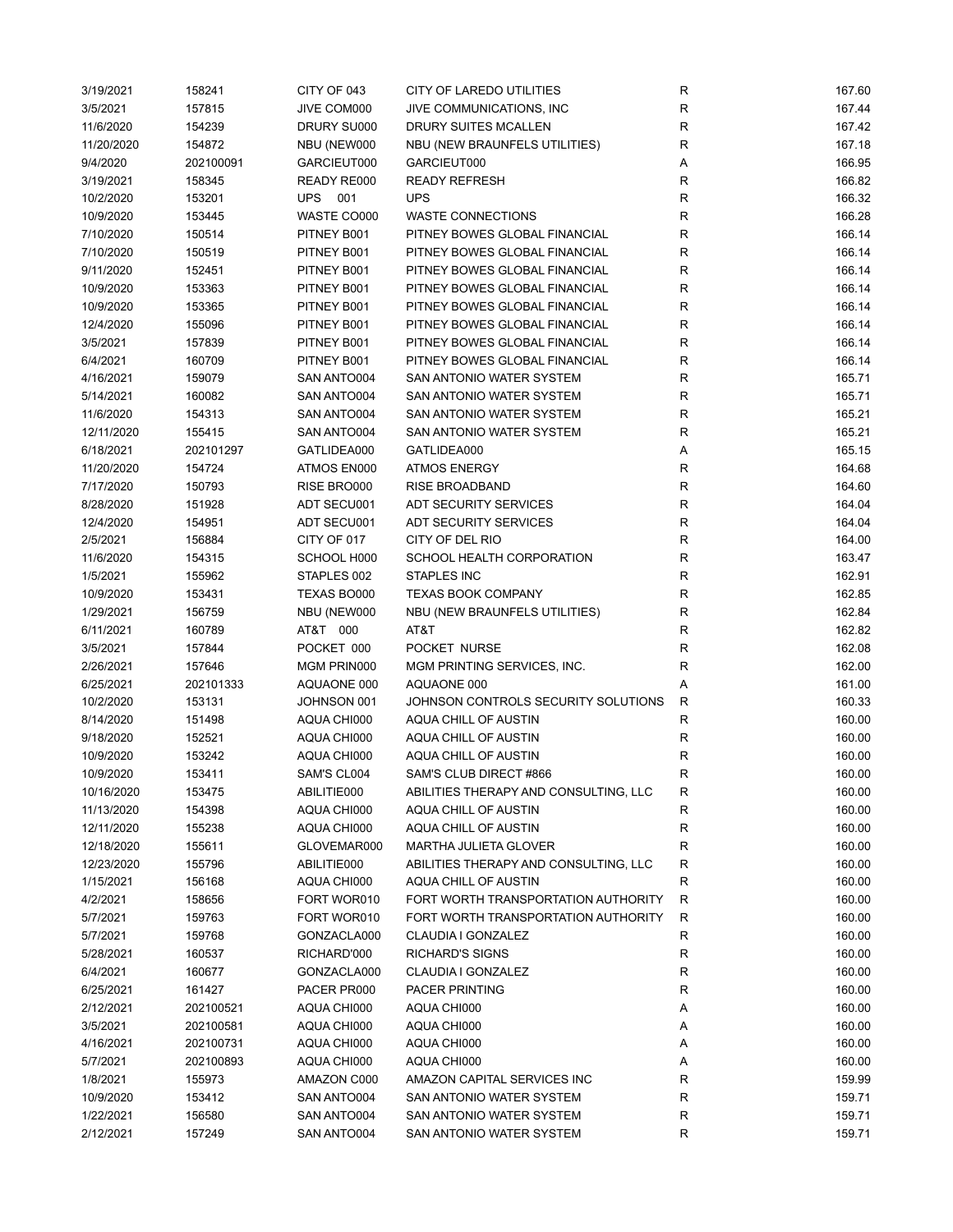| 3/19/2021  | 158241    | CITY OF 043    | CITY OF LAREDO UTILITIES              | R           | 167.60 |
|------------|-----------|----------------|---------------------------------------|-------------|--------|
| 3/5/2021   | 157815    | JIVE COM000    | JIVE COMMUNICATIONS, INC              | R           | 167.44 |
| 11/6/2020  | 154239    | DRURY SU000    | DRURY SUITES MCALLEN                  | R           | 167.42 |
| 11/20/2020 | 154872    | NBU (NEW000    | NBU (NEW BRAUNFELS UTILITIES)         | R           | 167.18 |
| 9/4/2020   | 202100091 | GARCIEUT000    | GARCIEUT000                           | Α           | 166.95 |
| 3/19/2021  | 158345    | READY RE000    | <b>READY REFRESH</b>                  | R           | 166.82 |
| 10/2/2020  | 153201    | <b>UPS</b> 001 | <b>UPS</b>                            | R           | 166.32 |
| 10/9/2020  | 153445    | WASTE CO000    | <b>WASTE CONNECTIONS</b>              | R           | 166.28 |
| 7/10/2020  | 150514    | PITNEY B001    | PITNEY BOWES GLOBAL FINANCIAL         | R           | 166.14 |
| 7/10/2020  | 150519    | PITNEY B001    | PITNEY BOWES GLOBAL FINANCIAL         | R           | 166.14 |
| 9/11/2020  | 152451    | PITNEY B001    | PITNEY BOWES GLOBAL FINANCIAL         | R           | 166.14 |
| 10/9/2020  | 153363    | PITNEY B001    | PITNEY BOWES GLOBAL FINANCIAL         | R           | 166.14 |
|            |           |                | PITNEY BOWES GLOBAL FINANCIAL         | R           | 166.14 |
| 10/9/2020  | 153365    | PITNEY B001    |                                       |             |        |
| 12/4/2020  | 155096    | PITNEY B001    | PITNEY BOWES GLOBAL FINANCIAL         | R           | 166.14 |
| 3/5/2021   | 157839    | PITNEY B001    | PITNEY BOWES GLOBAL FINANCIAL         | R           | 166.14 |
| 6/4/2021   | 160709    | PITNEY B001    | PITNEY BOWES GLOBAL FINANCIAL         | R           | 166.14 |
| 4/16/2021  | 159079    | SAN ANTO004    | SAN ANTONIO WATER SYSTEM              | R           | 165.71 |
| 5/14/2021  | 160082    | SAN ANTO004    | SAN ANTONIO WATER SYSTEM              | R           | 165.71 |
| 11/6/2020  | 154313    | SAN ANTO004    | SAN ANTONIO WATER SYSTEM              | R           | 165.21 |
| 12/11/2020 | 155415    | SAN ANTO004    | SAN ANTONIO WATER SYSTEM              | R           | 165.21 |
| 6/18/2021  | 202101297 | GATLIDEA000    | GATLIDEA000                           | Α           | 165.15 |
| 11/20/2020 | 154724    | ATMOS EN000    | <b>ATMOS ENERGY</b>                   | R           | 164.68 |
| 7/17/2020  | 150793    | RISE BRO000    | RISE BROADBAND                        | R           | 164.60 |
| 8/28/2020  | 151928    | ADT SECU001    | <b>ADT SECURITY SERVICES</b>          | R           | 164.04 |
| 12/4/2020  | 154951    | ADT SECU001    | <b>ADT SECURITY SERVICES</b>          | R           | 164.04 |
| 2/5/2021   | 156884    | CITY OF 017    | CITY OF DEL RIO                       | R           | 164.00 |
| 11/6/2020  | 154315    | SCHOOL H000    | SCHOOL HEALTH CORPORATION             | R           | 163.47 |
| 1/5/2021   | 155962    | STAPLES 002    | <b>STAPLES INC</b>                    | R           | 162.91 |
| 10/9/2020  | 153431    | TEXAS BO000    | <b>TEXAS BOOK COMPANY</b>             | R           | 162.85 |
| 1/29/2021  | 156759    | NBU (NEW000    | NBU (NEW BRAUNFELS UTILITIES)         | R           | 162.84 |
| 6/11/2021  | 160789    | AT&T 000       | AT&T                                  | R           | 162.82 |
| 3/5/2021   | 157844    | POCKET 000     | POCKET NURSE                          | R           | 162.08 |
| 2/26/2021  | 157646    | MGM PRIN000    | MGM PRINTING SERVICES, INC.           | R           | 162.00 |
|            |           |                |                                       |             |        |
| 6/25/2021  | 202101333 | AQUAONE 000    | AQUAONE 000                           | Α           | 161.00 |
| 10/2/2020  | 153131    | JOHNSON 001    | JOHNSON CONTROLS SECURITY SOLUTIONS   | R           | 160.33 |
| 8/14/2020  | 151498    | AQUA CHI000    | <b>AQUA CHILL OF AUSTIN</b>           | R           | 160.00 |
| 9/18/2020  | 152521    | AQUA CHI000    | AQUA CHILL OF AUSTIN                  | $\mathsf R$ | 160.00 |
| 10/9/2020  | 153242    | AQUA CHI000    | AQUA CHILL OF AUSTIN                  | $\mathsf R$ | 160.00 |
| 10/9/2020  | 153411    | SAM'S CL004    | SAM'S CLUB DIRECT #866                | R           | 160.00 |
| 10/16/2020 | 153475    | ABILITIE000    | ABILITIES THERAPY AND CONSULTING, LLC | R           | 160.00 |
| 11/13/2020 | 154398    | AQUA CHI000    | AQUA CHILL OF AUSTIN                  | R           | 160.00 |
| 12/11/2020 | 155238    | AQUA CHI000    | AQUA CHILL OF AUSTIN                  | R           | 160.00 |
| 12/18/2020 | 155611    | GLOVEMAR000    | <b>MARTHA JULIETA GLOVER</b>          | R           | 160.00 |
| 12/23/2020 | 155796    | ABILITIE000    | ABILITIES THERAPY AND CONSULTING, LLC | R           | 160.00 |
| 1/15/2021  | 156168    | AQUA CHI000    | <b>AQUA CHILL OF AUSTIN</b>           | R           | 160.00 |
| 4/2/2021   | 158656    | FORT WOR010    | FORT WORTH TRANSPORTATION AUTHORITY   | R           | 160.00 |
| 5/7/2021   | 159763    | FORT WOR010    | FORT WORTH TRANSPORTATION AUTHORITY   | R           | 160.00 |
| 5/7/2021   | 159768    | GONZACLA000    | CLAUDIA I GONZALEZ                    | R           | 160.00 |
| 5/28/2021  | 160537    | RICHARD'000    | <b>RICHARD'S SIGNS</b>                | R           | 160.00 |
| 6/4/2021   | 160677    | GONZACLA000    | <b>CLAUDIA I GONZALEZ</b>             | R           | 160.00 |
| 6/25/2021  | 161427    | PACER PR000    | PACER PRINTING                        | R           | 160.00 |
| 2/12/2021  | 202100521 | AQUA CHI000    | AQUA CHI000                           | Α           | 160.00 |
| 3/5/2021   | 202100581 | AQUA CHI000    | AQUA CHI000                           | Α           | 160.00 |
| 4/16/2021  | 202100731 | AQUA CHI000    | AQUA CHI000                           | Α           | 160.00 |
| 5/7/2021   | 202100893 | AQUA CHI000    | AQUA CHI000                           | Α           | 160.00 |
|            |           |                |                                       |             | 159.99 |
| 1/8/2021   | 155973    | AMAZON C000    | AMAZON CAPITAL SERVICES INC           | R           |        |
| 10/9/2020  | 153412    | SAN ANTO004    | SAN ANTONIO WATER SYSTEM              | R           | 159.71 |
| 1/22/2021  | 156580    | SAN ANTO004    | SAN ANTONIO WATER SYSTEM              | R           | 159.71 |
| 2/12/2021  | 157249    | SAN ANTO004    | SAN ANTONIO WATER SYSTEM              | R           | 159.71 |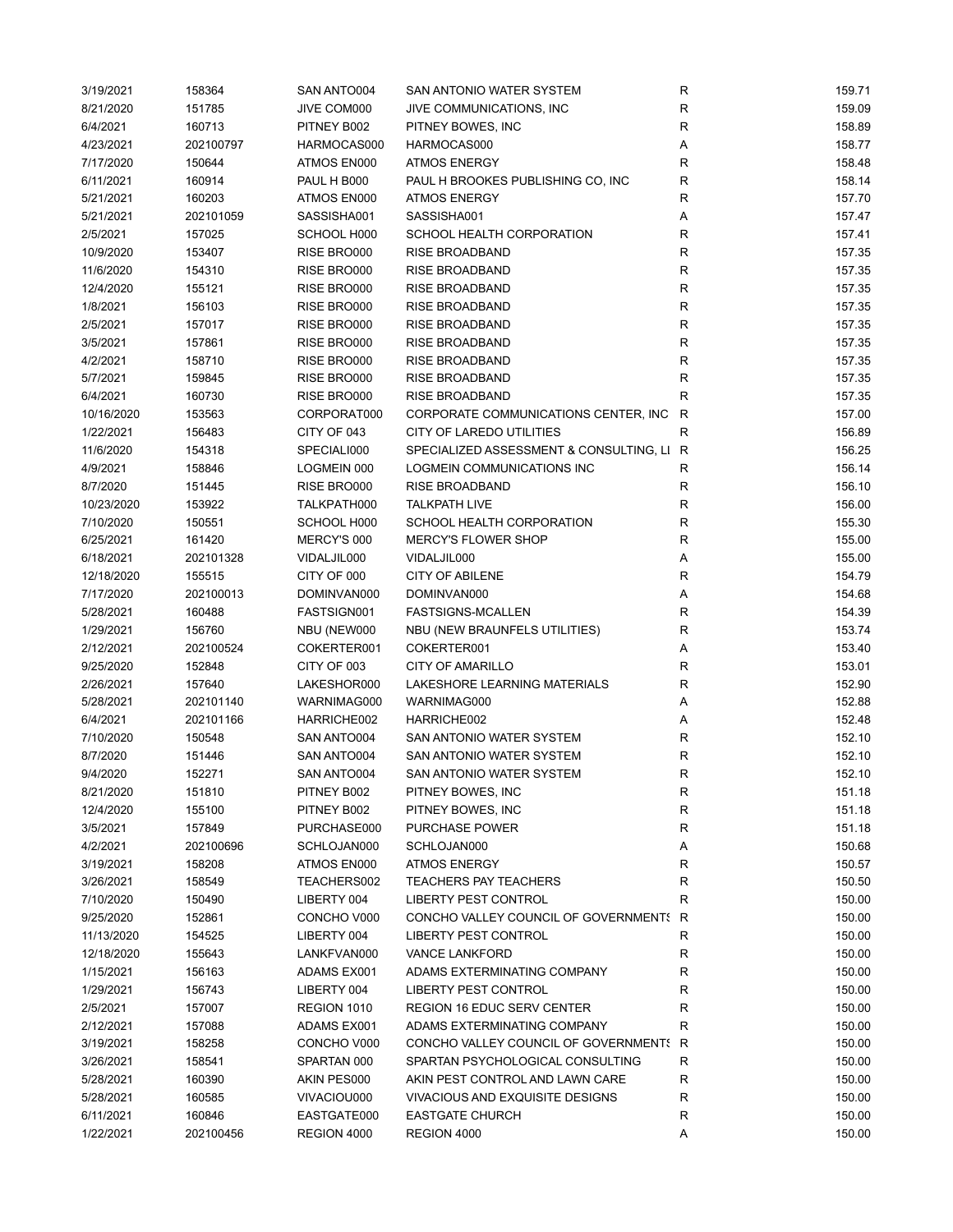| 3/19/2021  | 158364    | SAN ANTO004 | SAN ANTONIO WATER SYSTEM                | $\mathsf R$  | 159.71 |
|------------|-----------|-------------|-----------------------------------------|--------------|--------|
| 8/21/2020  | 151785    | JIVE COM000 | JIVE COMMUNICATIONS, INC.               | R            | 159.09 |
| 6/4/2021   | 160713    | PITNEY B002 | PITNEY BOWES, INC                       | $\mathsf R$  | 158.89 |
| 4/23/2021  | 202100797 | HARMOCAS000 | HARMOCAS000                             | Α            | 158.77 |
| 7/17/2020  | 150644    | ATMOS EN000 | <b>ATMOS ENERGY</b>                     | R            | 158.48 |
| 6/11/2021  | 160914    | PAUL H B000 | PAUL H BROOKES PUBLISHING CO, INC       | R            | 158.14 |
| 5/21/2021  | 160203    | ATMOS EN000 | <b>ATMOS ENERGY</b>                     | R            | 157.70 |
| 5/21/2021  | 202101059 | SASSISHA001 | SASSISHA001                             | Α            | 157.47 |
| 2/5/2021   | 157025    | SCHOOL H000 | SCHOOL HEALTH CORPORATION               | R            | 157.41 |
| 10/9/2020  | 153407    | RISE BRO000 | <b>RISE BROADBAND</b>                   | R            | 157.35 |
| 11/6/2020  | 154310    | RISE BRO000 | RISE BROADBAND                          | $\mathsf R$  | 157.35 |
|            |           |             |                                         | $\mathsf{R}$ |        |
| 12/4/2020  | 155121    | RISE BRO000 | RISE BROADBAND                          |              | 157.35 |
| 1/8/2021   | 156103    | RISE BRO000 | RISE BROADBAND                          | $\mathsf{R}$ | 157.35 |
| 2/5/2021   | 157017    | RISE BRO000 | RISE BROADBAND                          | $\mathsf{R}$ | 157.35 |
| 3/5/2021   | 157861    | RISE BRO000 | RISE BROADBAND                          | $\mathsf{R}$ | 157.35 |
| 4/2/2021   | 158710    | RISE BRO000 | RISE BROADBAND                          | $\mathsf{R}$ | 157.35 |
| 5/7/2021   | 159845    | RISE BRO000 | RISE BROADBAND                          | $\mathsf R$  | 157.35 |
| 6/4/2021   | 160730    | RISE BRO000 | RISE BROADBAND                          | R            | 157.35 |
| 10/16/2020 | 153563    | CORPORAT000 | CORPORATE COMMUNICATIONS CENTER, INC    | R            | 157.00 |
| 1/22/2021  | 156483    | CITY OF 043 | CITY OF LAREDO UTILITIES                | R            | 156.89 |
| 11/6/2020  | 154318    | SPECIALI000 | SPECIALIZED ASSESSMENT & CONSULTING, LI | R            | 156.25 |
| 4/9/2021   | 158846    | LOGMEIN 000 | LOGMEIN COMMUNICATIONS INC              | R            | 156.14 |
| 8/7/2020   | 151445    | RISE BRO000 | RISE BROADBAND                          | R            | 156.10 |
| 10/23/2020 | 153922    | TALKPATH000 | <b>TALKPATH LIVE</b>                    | R            | 156.00 |
| 7/10/2020  | 150551    | SCHOOL H000 | SCHOOL HEALTH CORPORATION               | $\mathsf R$  | 155.30 |
| 6/25/2021  | 161420    | MERCY'S 000 | <b>MERCY'S FLOWER SHOP</b>              | $\mathsf{R}$ | 155.00 |
| 6/18/2021  | 202101328 | VIDALJIL000 | VIDALJIL000                             | Α            | 155.00 |
| 12/18/2020 | 155515    | CITY OF 000 | <b>CITY OF ABILENE</b>                  | $\mathsf R$  | 154.79 |
| 7/17/2020  | 202100013 | DOMINVAN000 | DOMINVAN000                             | Α            | 154.68 |
| 5/28/2021  | 160488    | FASTSIGN001 | FASTSIGNS-MCALLEN                       | R            | 154.39 |
| 1/29/2021  | 156760    | NBU (NEW000 | NBU (NEW BRAUNFELS UTILITIES)           | $\mathsf R$  | 153.74 |
| 2/12/2021  | 202100524 | COKERTER001 | COKERTER001                             | Α            | 153.40 |
| 9/25/2020  | 152848    | CITY OF 003 | <b>CITY OF AMARILLO</b>                 | $\mathsf R$  | 153.01 |
|            |           |             |                                         |              |        |
| 2/26/2021  | 157640    | LAKESHOR000 | LAKESHORE LEARNING MATERIALS            | R            | 152.90 |
| 5/28/2021  | 202101140 | WARNIMAG000 | WARNIMAG000                             | Α            | 152.88 |
| 6/4/2021   | 202101166 | HARRICHE002 | HARRICHE002                             | Α            | 152.48 |
| 7/10/2020  | 150548    | SAN ANTO004 | SAN ANTONIO WATER SYSTEM                | R            | 152.10 |
| 8/7/2020   | 151446    | SAN ANTO004 | SAN ANTONIO WATER SYSTEM                | R            | 152.10 |
| 9/4/2020   | 152271    | SAN ANTO004 | SAN ANTONIO WATER SYSTEM                | R            | 152.10 |
| 8/21/2020  | 151810    | PITNEY B002 | PITNEY BOWES, INC                       | $\mathsf R$  | 151.18 |
| 12/4/2020  | 155100    | PITNEY B002 | PITNEY BOWES, INC                       | $\mathsf R$  | 151.18 |
| 3/5/2021   | 157849    | PURCHASE000 | <b>PURCHASE POWER</b>                   | $\mathsf R$  | 151.18 |
| 4/2/2021   | 202100696 | SCHLOJAN000 | SCHLOJAN000                             | Α            | 150.68 |
| 3/19/2021  | 158208    | ATMOS EN000 | <b>ATMOS ENERGY</b>                     | R            | 150.57 |
| 3/26/2021  | 158549    | TEACHERS002 | <b>TEACHERS PAY TEACHERS</b>            | R            | 150.50 |
| 7/10/2020  | 150490    | LIBERTY 004 | <b>LIBERTY PEST CONTROL</b>             | R            | 150.00 |
| 9/25/2020  | 152861    | CONCHO V000 | CONCHO VALLEY COUNCIL OF GOVERNMENT! R  |              | 150.00 |
| 11/13/2020 | 154525    | LIBERTY 004 | <b>LIBERTY PEST CONTROL</b>             | R            | 150.00 |
| 12/18/2020 | 155643    | LANKFVAN000 | <b>VANCE LANKFORD</b>                   | R            | 150.00 |
| 1/15/2021  | 156163    | ADAMS EX001 | ADAMS EXTERMINATING COMPANY             | R            | 150.00 |
| 1/29/2021  | 156743    | LIBERTY 004 | <b>LIBERTY PEST CONTROL</b>             | R            | 150.00 |
| 2/5/2021   | 157007    | REGION 1010 | <b>REGION 16 EDUC SERV CENTER</b>       | R            | 150.00 |
| 2/12/2021  | 157088    | ADAMS EX001 | ADAMS EXTERMINATING COMPANY             | R            | 150.00 |
| 3/19/2021  | 158258    | CONCHO V000 | CONCHO VALLEY COUNCIL OF GOVERNMENT! R  |              | 150.00 |
| 3/26/2021  | 158541    | SPARTAN 000 | SPARTAN PSYCHOLOGICAL CONSULTING        | R            | 150.00 |
|            |           |             | AKIN PEST CONTROL AND LAWN CARE         | R            |        |
| 5/28/2021  | 160390    | AKIN PES000 |                                         |              | 150.00 |
| 5/28/2021  | 160585    | VIVACIOU000 | VIVACIOUS AND EXQUISITE DESIGNS         | R            | 150.00 |
| 6/11/2021  | 160846    | EASTGATE000 | <b>EASTGATE CHURCH</b>                  | R            | 150.00 |
| 1/22/2021  | 202100456 | REGION 4000 | REGION 4000                             | Α            | 150.00 |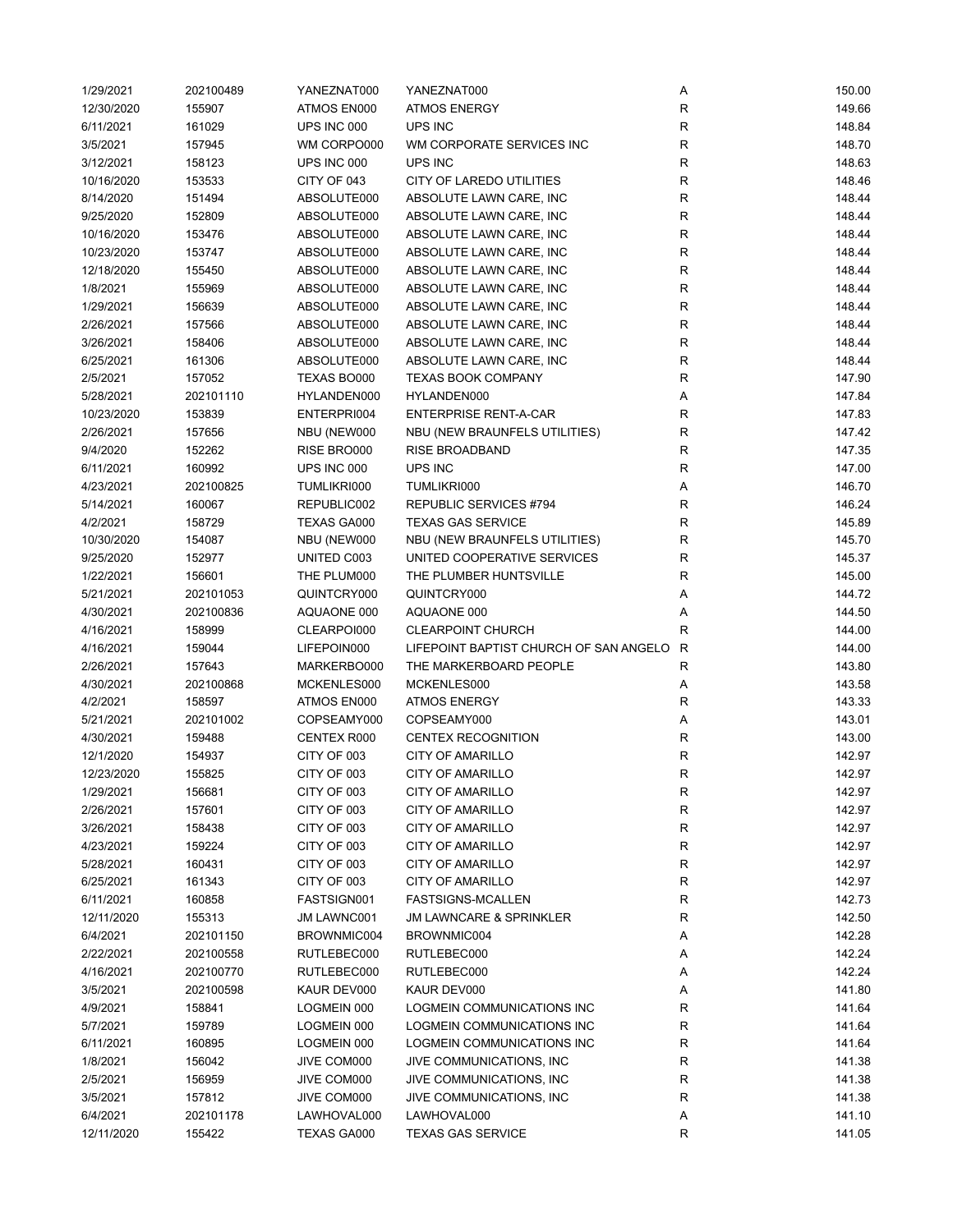| 1/29/2021  | 202100489 | YANEZNAT000 | YANEZNAT000                            | Α           | 150.00 |
|------------|-----------|-------------|----------------------------------------|-------------|--------|
| 12/30/2020 | 155907    | ATMOS EN000 | <b>ATMOS ENERGY</b>                    | R           | 149.66 |
| 6/11/2021  | 161029    | UPS INC 000 | UPS INC                                | R           | 148.84 |
| 3/5/2021   | 157945    | WM CORPO000 | WM CORPORATE SERVICES INC              | $\mathsf R$ | 148.70 |
| 3/12/2021  | 158123    | UPS INC 000 | UPS INC                                | $\mathsf R$ | 148.63 |
| 10/16/2020 | 153533    | CITY OF 043 | CITY OF LAREDO UTILITIES               | $\mathsf R$ | 148.46 |
| 8/14/2020  | 151494    | ABSOLUTE000 | ABSOLUTE LAWN CARE, INC                | $\mathsf R$ | 148.44 |
| 9/25/2020  | 152809    | ABSOLUTE000 | ABSOLUTE LAWN CARE, INC                | R           | 148.44 |
| 10/16/2020 | 153476    | ABSOLUTE000 | ABSOLUTE LAWN CARE, INC                | R           | 148.44 |
| 10/23/2020 | 153747    | ABSOLUTE000 | ABSOLUTE LAWN CARE, INC                | $\mathsf R$ | 148.44 |
| 12/18/2020 | 155450    | ABSOLUTE000 | ABSOLUTE LAWN CARE, INC                | $\mathsf R$ | 148.44 |
| 1/8/2021   | 155969    | ABSOLUTE000 | ABSOLUTE LAWN CARE, INC                | $\mathsf R$ | 148.44 |
|            |           |             |                                        |             |        |
| 1/29/2021  | 156639    | ABSOLUTE000 | ABSOLUTE LAWN CARE, INC                | R           | 148.44 |
| 2/26/2021  | 157566    | ABSOLUTE000 | ABSOLUTE LAWN CARE, INC                | $\mathsf R$ | 148.44 |
| 3/26/2021  | 158406    | ABSOLUTE000 | ABSOLUTE LAWN CARE, INC                | $\mathsf R$ | 148.44 |
| 6/25/2021  | 161306    | ABSOLUTE000 | ABSOLUTE LAWN CARE, INC                | $\mathsf R$ | 148.44 |
| 2/5/2021   | 157052    | TEXAS BO000 | <b>TEXAS BOOK COMPANY</b>              | $\mathsf R$ | 147.90 |
| 5/28/2021  | 202101110 | HYLANDEN000 | HYLANDEN000                            | Α           | 147.84 |
| 10/23/2020 | 153839    | ENTERPRI004 | <b>ENTERPRISE RENT-A-CAR</b>           | $\mathsf R$ | 147.83 |
| 2/26/2021  | 157656    | NBU (NEW000 | NBU (NEW BRAUNFELS UTILITIES)          | R           | 147.42 |
| 9/4/2020   | 152262    | RISE BRO000 | RISE BROADBAND                         | R           | 147.35 |
| 6/11/2021  | 160992    | UPS INC 000 | UPS INC                                | R           | 147.00 |
| 4/23/2021  | 202100825 | TUMLIKRI000 | TUMLIKRI000                            | Α           | 146.70 |
| 5/14/2021  | 160067    | REPUBLIC002 | REPUBLIC SERVICES #794                 | $\mathsf R$ | 146.24 |
| 4/2/2021   | 158729    | TEXAS GA000 | <b>TEXAS GAS SERVICE</b>               | R           | 145.89 |
| 10/30/2020 | 154087    | NBU (NEW000 | NBU (NEW BRAUNFELS UTILITIES)          | R           | 145.70 |
| 9/25/2020  | 152977    | UNITED C003 | UNITED COOPERATIVE SERVICES            | $\mathsf R$ | 145.37 |
| 1/22/2021  | 156601    | THE PLUM000 | THE PLUMBER HUNTSVILLE                 | $\mathsf R$ | 145.00 |
| 5/21/2021  | 202101053 | QUINTCRY000 | QUINTCRY000                            | Α           | 144.72 |
| 4/30/2021  | 202100836 | AQUAONE 000 | AQUAONE 000                            | Α           | 144.50 |
| 4/16/2021  | 158999    | CLEARPOI000 | <b>CLEARPOINT CHURCH</b>               | R           | 144.00 |
| 4/16/2021  | 159044    | LIFEPOIN000 | LIFEPOINT BAPTIST CHURCH OF SAN ANGELO | R           | 144.00 |
| 2/26/2021  | 157643    | MARKERBO000 | THE MARKERBOARD PEOPLE                 | R           | 143.80 |
| 4/30/2021  | 202100868 | MCKENLES000 | MCKENLES000                            | Α           | 143.58 |
|            |           |             |                                        |             |        |
| 4/2/2021   | 158597    | ATMOS EN000 | <b>ATMOS ENERGY</b>                    | R           | 143.33 |
| 5/21/2021  | 202101002 | COPSEAMY000 | COPSEAMY000                            | Α           | 143.01 |
| 4/30/2021  | 159488    | CENTEX R000 | <b>CENTEX RECOGNITION</b>              | $\mathsf R$ | 143.00 |
| 12/1/2020  | 154937    | CITY OF 003 | CITY OF AMARILLO                       | ${\sf R}$   | 142.97 |
| 12/23/2020 | 155825    | CITY OF 003 | <b>CITY OF AMARILLO</b>                | R           | 142.97 |
| 1/29/2021  | 156681    | CITY OF 003 | <b>CITY OF AMARILLO</b>                | $\mathsf R$ | 142.97 |
| 2/26/2021  | 157601    | CITY OF 003 | CITY OF AMARILLO                       | R           | 142.97 |
| 3/26/2021  | 158438    | CITY OF 003 | CITY OF AMARILLO                       | R           | 142.97 |
| 4/23/2021  | 159224    | CITY OF 003 | CITY OF AMARILLO                       | R           | 142.97 |
| 5/28/2021  | 160431    | CITY OF 003 | CITY OF AMARILLO                       | R           | 142.97 |
| 6/25/2021  | 161343    | CITY OF 003 | CITY OF AMARILLO                       | R           | 142.97 |
| 6/11/2021  | 160858    | FASTSIGN001 | <b>FASTSIGNS-MCALLEN</b>               | R           | 142.73 |
| 12/11/2020 | 155313    | JM LAWNC001 | <b>JM LAWNCARE &amp; SPRINKLER</b>     | R           | 142.50 |
| 6/4/2021   | 202101150 | BROWNMIC004 | BROWNMIC004                            | Α           | 142.28 |
| 2/22/2021  | 202100558 | RUTLEBEC000 | RUTLEBEC000                            | Α           | 142.24 |
| 4/16/2021  | 202100770 | RUTLEBEC000 | RUTLEBEC000                            | Α           | 142.24 |
| 3/5/2021   | 202100598 | KAUR DEV000 | KAUR DEV000                            | Α           | 141.80 |
| 4/9/2021   | 158841    | LOGMEIN 000 | LOGMEIN COMMUNICATIONS INC             | R           | 141.64 |
| 5/7/2021   | 159789    | LOGMEIN 000 | LOGMEIN COMMUNICATIONS INC             | R           | 141.64 |
| 6/11/2021  | 160895    | LOGMEIN 000 | LOGMEIN COMMUNICATIONS INC             | R           | 141.64 |
| 1/8/2021   | 156042    | JIVE COM000 | JIVE COMMUNICATIONS, INC               | R           | 141.38 |
| 2/5/2021   | 156959    | JIVE COM000 | JIVE COMMUNICATIONS, INC               | R           | 141.38 |
| 3/5/2021   | 157812    | JIVE COM000 | JIVE COMMUNICATIONS, INC               | R           | 141.38 |
| 6/4/2021   |           |             |                                        |             |        |
|            | 202101178 | LAWHOVAL000 | LAWHOVAL000                            | Α           | 141.10 |
| 12/11/2020 | 155422    | TEXAS GA000 | <b>TEXAS GAS SERVICE</b>               | R           | 141.05 |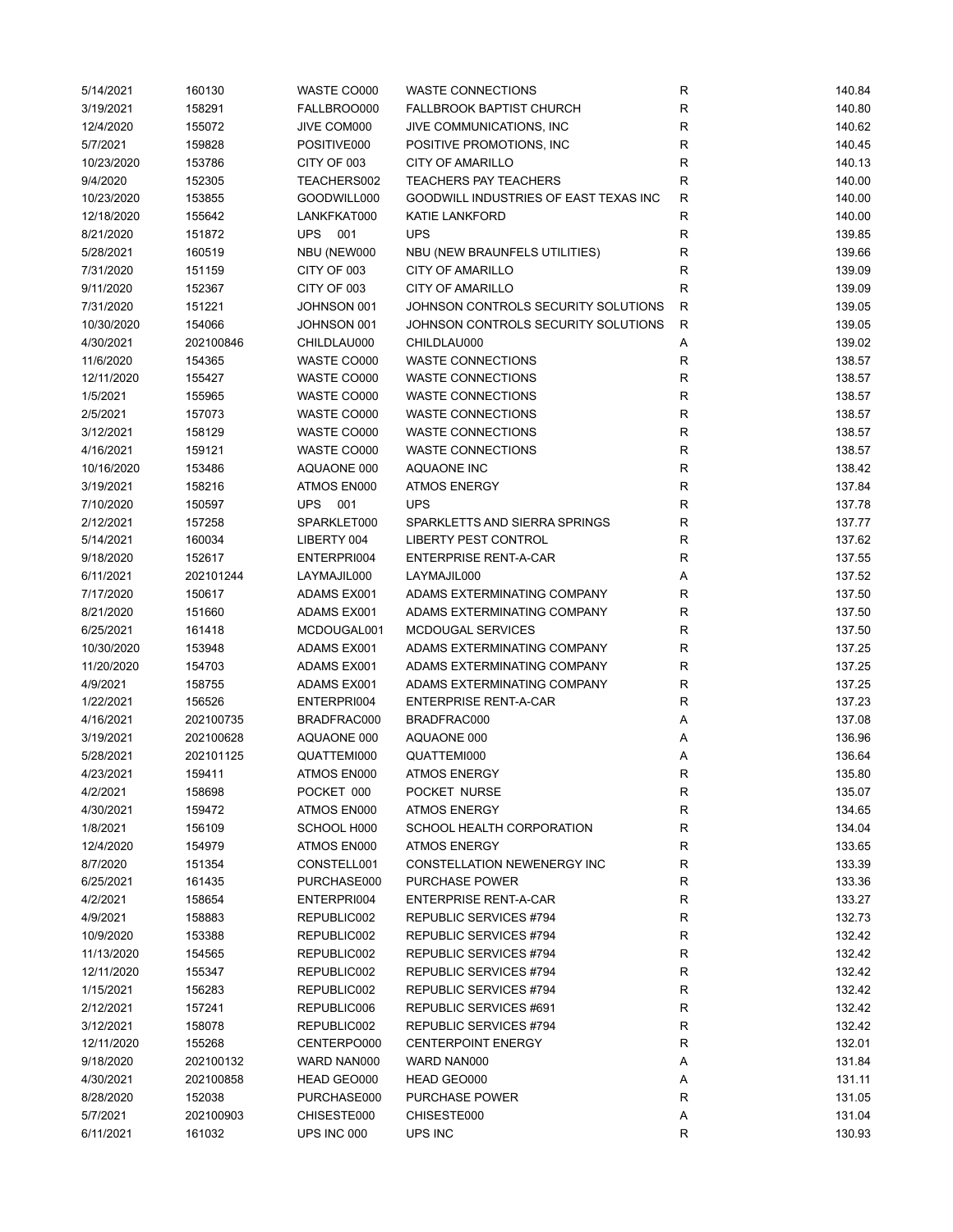| 5/14/2021  | 160130    | WASTE CO000    | <b>WASTE CONNECTIONS</b>              | R | 140.84 |
|------------|-----------|----------------|---------------------------------------|---|--------|
| 3/19/2021  | 158291    | FALLBROO000    | <b>FALLBROOK BAPTIST CHURCH</b>       | R | 140.80 |
| 12/4/2020  | 155072    | JIVE COM000    | JIVE COMMUNICATIONS, INC              | R | 140.62 |
| 5/7/2021   | 159828    | POSITIVE000    | POSITIVE PROMOTIONS, INC.             | R | 140.45 |
| 10/23/2020 | 153786    | CITY OF 003    | <b>CITY OF AMARILLO</b>               | R | 140.13 |
| 9/4/2020   | 152305    | TEACHERS002    | <b>TEACHERS PAY TEACHERS</b>          | R | 140.00 |
| 10/23/2020 | 153855    | GOODWILL000    | GOODWILL INDUSTRIES OF EAST TEXAS INC | R | 140.00 |
| 12/18/2020 | 155642    | LANKFKAT000    | <b>KATIE LANKFORD</b>                 | R | 140.00 |
| 8/21/2020  | 151872    | UPS 001        | <b>UPS</b>                            | R | 139.85 |
| 5/28/2021  | 160519    | NBU (NEW000    | NBU (NEW BRAUNFELS UTILITIES)         | R | 139.66 |
| 7/31/2020  | 151159    | CITY OF 003    | <b>CITY OF AMARILLO</b>               | R | 139.09 |
|            |           |                | <b>CITY OF AMARILLO</b>               | R |        |
| 9/11/2020  | 152367    | CITY OF 003    |                                       |   | 139.09 |
| 7/31/2020  | 151221    | JOHNSON 001    | JOHNSON CONTROLS SECURITY SOLUTIONS   | R | 139.05 |
| 10/30/2020 | 154066    | JOHNSON 001    | JOHNSON CONTROLS SECURITY SOLUTIONS   | R | 139.05 |
| 4/30/2021  | 202100846 | CHILDLAU000    | CHILDLAU000                           | Α | 139.02 |
| 11/6/2020  | 154365    | WASTE CO000    | <b>WASTE CONNECTIONS</b>              | R | 138.57 |
| 12/11/2020 | 155427    | WASTE CO000    | <b>WASTE CONNECTIONS</b>              | R | 138.57 |
| 1/5/2021   | 155965    | WASTE CO000    | <b>WASTE CONNECTIONS</b>              | R | 138.57 |
| 2/5/2021   | 157073    | WASTE CO000    | <b>WASTE CONNECTIONS</b>              | R | 138.57 |
| 3/12/2021  | 158129    | WASTE CO000    | <b>WASTE CONNECTIONS</b>              | R | 138.57 |
| 4/16/2021  | 159121    | WASTE CO000    | <b>WASTE CONNECTIONS</b>              | R | 138.57 |
| 10/16/2020 | 153486    | AQUAONE 000    | <b>AQUAONE INC</b>                    | R | 138.42 |
| 3/19/2021  | 158216    | ATMOS EN000    | <b>ATMOS ENERGY</b>                   | R | 137.84 |
| 7/10/2020  | 150597    | <b>UPS 001</b> | <b>UPS</b>                            | R | 137.78 |
| 2/12/2021  | 157258    | SPARKLET000    | SPARKLETTS AND SIERRA SPRINGS         | R | 137.77 |
| 5/14/2021  | 160034    | LIBERTY 004    | <b>LIBERTY PEST CONTROL</b>           | R | 137.62 |
| 9/18/2020  | 152617    | ENTERPRI004    | <b>ENTERPRISE RENT-A-CAR</b>          | R | 137.55 |
| 6/11/2021  | 202101244 | LAYMAJIL000    | LAYMAJIL000                           | Α | 137.52 |
| 7/17/2020  | 150617    | ADAMS EX001    | ADAMS EXTERMINATING COMPANY           | R | 137.50 |
| 8/21/2020  | 151660    | ADAMS EX001    | ADAMS EXTERMINATING COMPANY           | R | 137.50 |
| 6/25/2021  | 161418    | MCDOUGAL001    | <b>MCDOUGAL SERVICES</b>              | R | 137.50 |
| 10/30/2020 | 153948    | ADAMS EX001    | ADAMS EXTERMINATING COMPANY           | R | 137.25 |
| 11/20/2020 | 154703    | ADAMS EX001    | ADAMS EXTERMINATING COMPANY           | R | 137.25 |
| 4/9/2021   | 158755    | ADAMS EX001    | ADAMS EXTERMINATING COMPANY           | R | 137.25 |
| 1/22/2021  | 156526    |                | <b>ENTERPRISE RENT-A-CAR</b>          | R | 137.23 |
|            |           | ENTERPRI004    |                                       |   |        |
| 4/16/2021  | 202100735 | BRADFRAC000    | BRADFRAC000                           | Α | 137.08 |
| 3/19/2021  | 202100628 | AQUAONE 000    | AQUAONE 000                           | Α | 136.96 |
| 5/28/2021  | 202101125 | QUATTEMI000    | QUATTEMI000                           | Α | 136.64 |
| 4/23/2021  | 159411    | ATMOS EN000    | <b>ATMOS ENERGY</b>                   | R | 135.80 |
| 4/2/2021   | 158698    | POCKET 000     | POCKET NURSE                          | R | 135.07 |
| 4/30/2021  | 159472    | ATMOS EN000    | <b>ATMOS ENERGY</b>                   | R | 134.65 |
| 1/8/2021   | 156109    | SCHOOL H000    | SCHOOL HEALTH CORPORATION             | R | 134.04 |
| 12/4/2020  | 154979    | ATMOS EN000    | <b>ATMOS ENERGY</b>                   | R | 133.65 |
| 8/7/2020   | 151354    | CONSTELL001    | CONSTELLATION NEWENERGY INC           | R | 133.39 |
| 6/25/2021  | 161435    | PURCHASE000    | PURCHASE POWER                        | R | 133.36 |
| 4/2/2021   | 158654    | ENTERPRI004    | <b>ENTERPRISE RENT-A-CAR</b>          | R | 133.27 |
| 4/9/2021   | 158883    | REPUBLIC002    | REPUBLIC SERVICES #794                | R | 132.73 |
| 10/9/2020  | 153388    | REPUBLIC002    | REPUBLIC SERVICES #794                | R | 132.42 |
| 11/13/2020 | 154565    | REPUBLIC002    | REPUBLIC SERVICES #794                | R | 132.42 |
| 12/11/2020 | 155347    | REPUBLIC002    | REPUBLIC SERVICES #794                | R | 132.42 |
| 1/15/2021  | 156283    | REPUBLIC002    | REPUBLIC SERVICES #794                | R | 132.42 |
| 2/12/2021  | 157241    | REPUBLIC006    | REPUBLIC SERVICES #691                | R | 132.42 |
| 3/12/2021  | 158078    | REPUBLIC002    | REPUBLIC SERVICES #794                | R | 132.42 |
| 12/11/2020 | 155268    | CENTERPO000    | <b>CENTERPOINT ENERGY</b>             | R | 132.01 |
| 9/18/2020  | 202100132 | WARD NAN000    | WARD NAN000                           | А | 131.84 |
| 4/30/2021  | 202100858 | HEAD GEO000    | HEAD GEO000                           | А | 131.11 |
| 8/28/2020  | 152038    | PURCHASE000    | PURCHASE POWER                        | R | 131.05 |
| 5/7/2021   | 202100903 | CHISESTE000    | CHISESTE000                           | А | 131.04 |
| 6/11/2021  | 161032    | UPS INC 000    | UPS INC                               | R | 130.93 |
|            |           |                |                                       |   |        |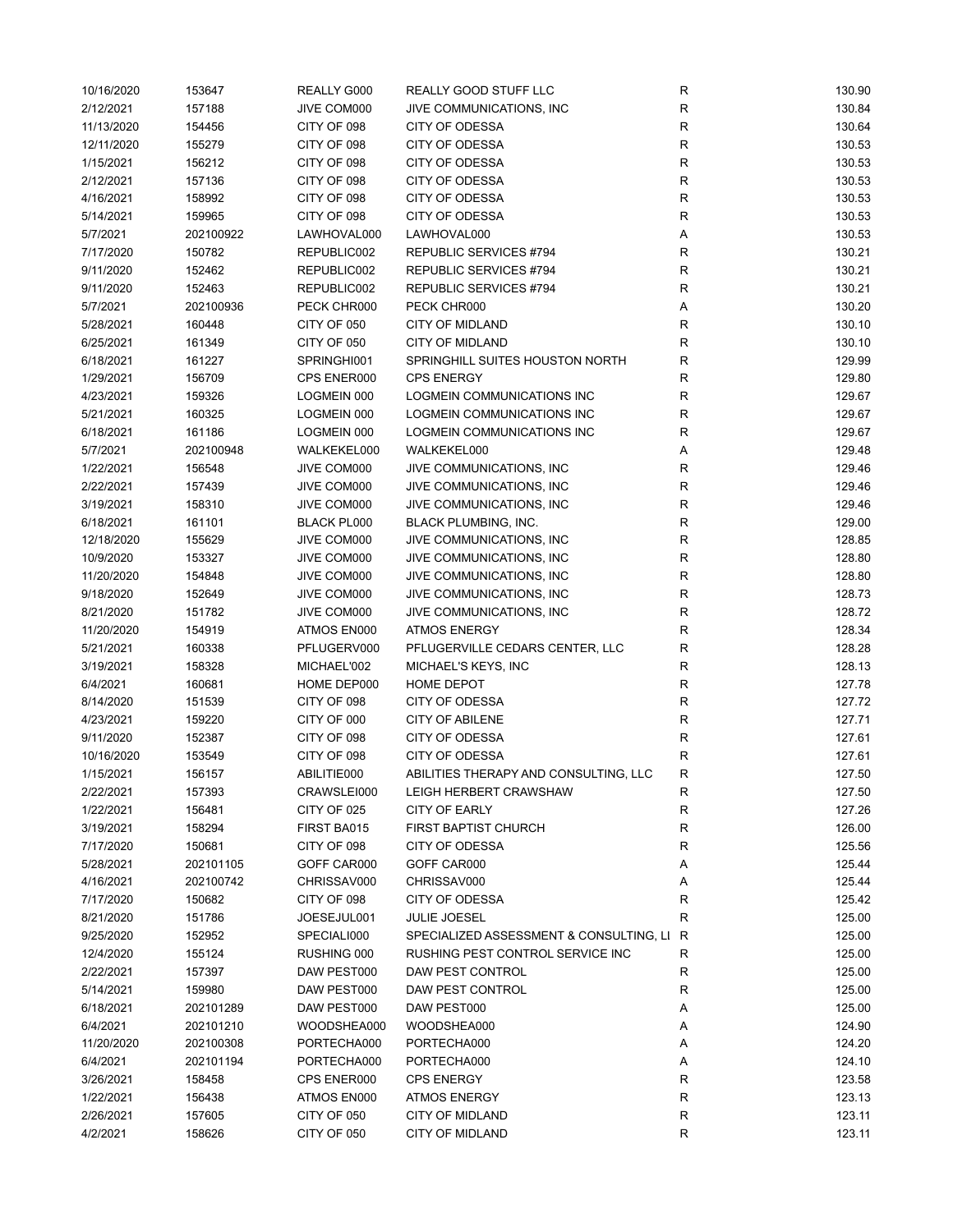| 10/16/2020 | 153647    | REALLY G000        | REALLY GOOD STUFF LLC                   | $\mathsf R$  | 130.90 |
|------------|-----------|--------------------|-----------------------------------------|--------------|--------|
| 2/12/2021  | 157188    | JIVE COM000        | JIVE COMMUNICATIONS. INC                | R            | 130.84 |
| 11/13/2020 | 154456    | CITY OF 098        | <b>CITY OF ODESSA</b>                   | R            | 130.64 |
| 12/11/2020 | 155279    | CITY OF 098        | CITY OF ODESSA                          | $\mathsf R$  | 130.53 |
| 1/15/2021  | 156212    | CITY OF 098        | CITY OF ODESSA                          | $\mathsf R$  | 130.53 |
| 2/12/2021  | 157136    | CITY OF 098        | <b>CITY OF ODESSA</b>                   | $\mathsf{R}$ | 130.53 |
| 4/16/2021  | 158992    | CITY OF 098        | CITY OF ODESSA                          | $\mathsf{R}$ | 130.53 |
| 5/14/2021  | 159965    | CITY OF 098        | <b>CITY OF ODESSA</b>                   | $\mathsf{R}$ | 130.53 |
| 5/7/2021   | 202100922 | LAWHOVAL000        | LAWHOVAL000                             | Α            | 130.53 |
| 7/17/2020  | 150782    | REPUBLIC002        | REPUBLIC SERVICES #794                  | R            | 130.21 |
| 9/11/2020  | 152462    | REPUBLIC002        | REPUBLIC SERVICES #794                  | $\mathsf R$  | 130.21 |
|            |           |                    |                                         |              |        |
| 9/11/2020  | 152463    | REPUBLIC002        | REPUBLIC SERVICES #794                  | $\mathsf R$  | 130.21 |
| 5/7/2021   | 202100936 | PECK CHR000        | PECK CHR000                             | Α            | 130.20 |
| 5/28/2021  | 160448    | CITY OF 050        | <b>CITY OF MIDLAND</b>                  | $\mathsf{R}$ | 130.10 |
| 6/25/2021  | 161349    | CITY OF 050        | <b>CITY OF MIDLAND</b>                  | $\mathsf R$  | 130.10 |
| 6/18/2021  | 161227    | SPRINGHI001        | SPRINGHILL SUITES HOUSTON NORTH         | $\mathsf R$  | 129.99 |
| 1/29/2021  | 156709    | CPS ENER000        | <b>CPS ENERGY</b>                       | R            | 129.80 |
| 4/23/2021  | 159326    | LOGMEIN 000        | LOGMEIN COMMUNICATIONS INC              | $\mathsf R$  | 129.67 |
| 5/21/2021  | 160325    | LOGMEIN 000        | <b>LOGMEIN COMMUNICATIONS INC</b>       | $\mathsf R$  | 129.67 |
| 6/18/2021  | 161186    | LOGMEIN 000        | LOGMEIN COMMUNICATIONS INC              | R            | 129.67 |
| 5/7/2021   | 202100948 | WALKEKEL000        | WALKEKEL000                             | Α            | 129.48 |
| 1/22/2021  | 156548    | JIVE COM000        | JIVE COMMUNICATIONS, INC                | R            | 129.46 |
| 2/22/2021  | 157439    | JIVE COM000        | JIVE COMMUNICATIONS, INC                | R            | 129.46 |
| 3/19/2021  | 158310    | JIVE COM000        | JIVE COMMUNICATIONS, INC                | R            | 129.46 |
| 6/18/2021  | 161101    | <b>BLACK PL000</b> | <b>BLACK PLUMBING, INC.</b>             | $\mathsf R$  | 129.00 |
| 12/18/2020 | 155629    | JIVE COM000        | JIVE COMMUNICATIONS, INC                | $\mathsf R$  | 128.85 |
| 10/9/2020  | 153327    | JIVE COM000        | JIVE COMMUNICATIONS, INC                | R            | 128.80 |
| 11/20/2020 | 154848    | JIVE COM000        | JIVE COMMUNICATIONS, INC                | $\mathsf R$  | 128.80 |
| 9/18/2020  | 152649    | JIVE COM000        | JIVE COMMUNICATIONS, INC                | R            | 128.73 |
| 8/21/2020  | 151782    | JIVE COM000        | JIVE COMMUNICATIONS, INC                | $\mathsf R$  | 128.72 |
| 11/20/2020 | 154919    | ATMOS EN000        | <b>ATMOS ENERGY</b>                     | R            | 128.34 |
| 5/21/2021  | 160338    | PFLUGERV000        | PFLUGERVILLE CEDARS CENTER, LLC         | $\mathsf R$  | 128.28 |
| 3/19/2021  | 158328    | MICHAEL'002        | MICHAEL'S KEYS, INC                     | $\mathsf R$  | 128.13 |
| 6/4/2021   | 160681    | HOME DEP000        | <b>HOME DEPOT</b>                       | R            | 127.78 |
| 8/14/2020  |           |                    |                                         |              | 127.72 |
|            | 151539    | CITY OF 098        | CITY OF ODESSA                          | R            | 127.71 |
| 4/23/2021  | 159220    | CITY OF 000        | CITY OF ABILENE                         | R            |        |
| 9/11/2020  | 152387    | CITY OF 098        | <b>CITY OF ODESSA</b>                   | $\mathsf R$  | 127.61 |
| 10/16/2020 | 153549    | CITY OF 098        | CITY OF ODESSA                          | $\mathsf R$  | 127.61 |
| 1/15/2021  | 156157    | ABILITIE000        | ABILITIES THERAPY AND CONSULTING, LLC   | R            | 127.50 |
| 2/22/2021  | 157393    | CRAWSLEI000        | LEIGH HERBERT CRAWSHAW                  | $\mathsf R$  | 127.50 |
| 1/22/2021  | 156481    | CITY OF 025        | CITY OF EARLY                           | R            | 127.26 |
| 3/19/2021  | 158294    | FIRST BA015        | <b>FIRST BAPTIST CHURCH</b>             | R            | 126.00 |
| 7/17/2020  | 150681    | CITY OF 098        | <b>CITY OF ODESSA</b>                   | R            | 125.56 |
| 5/28/2021  | 202101105 | GOFF CAR000        | GOFF CAR000                             | Α            | 125.44 |
| 4/16/2021  | 202100742 | CHRISSAV000        | CHRISSAV000                             | Α            | 125.44 |
| 7/17/2020  | 150682    | CITY OF 098        | CITY OF ODESSA                          | R            | 125.42 |
| 8/21/2020  | 151786    | JOESEJUL001        | JULIE JOESEL                            | R            | 125.00 |
| 9/25/2020  | 152952    | SPECIALI000        | SPECIALIZED ASSESSMENT & CONSULTING, LI | R            | 125.00 |
| 12/4/2020  | 155124    | RUSHING 000        | RUSHING PEST CONTROL SERVICE INC        | R            | 125.00 |
| 2/22/2021  | 157397    | DAW PEST000        | DAW PEST CONTROL                        | R            | 125.00 |
| 5/14/2021  | 159980    | DAW PEST000        | DAW PEST CONTROL                        | R            | 125.00 |
| 6/18/2021  | 202101289 | DAW PEST000        | DAW PEST000                             | Α            | 125.00 |
| 6/4/2021   | 202101210 | WOODSHEA000        | WOODSHEA000                             | Α            | 124.90 |
| 11/20/2020 | 202100308 | PORTECHA000        | PORTECHA000                             | Α            | 124.20 |
| 6/4/2021   | 202101194 | PORTECHA000        | PORTECHA000                             | Α            | 124.10 |
| 3/26/2021  | 158458    | CPS ENER000        | <b>CPS ENERGY</b>                       | R            | 123.58 |
| 1/22/2021  | 156438    | ATMOS EN000        | ATMOS ENERGY                            | R            | 123.13 |
| 2/26/2021  |           | CITY OF 050        | CITY OF MIDLAND                         | R            | 123.11 |
|            | 157605    |                    |                                         | $\mathsf R$  |        |
| 4/2/2021   | 158626    | CITY OF 050        | <b>CITY OF MIDLAND</b>                  |              | 123.11 |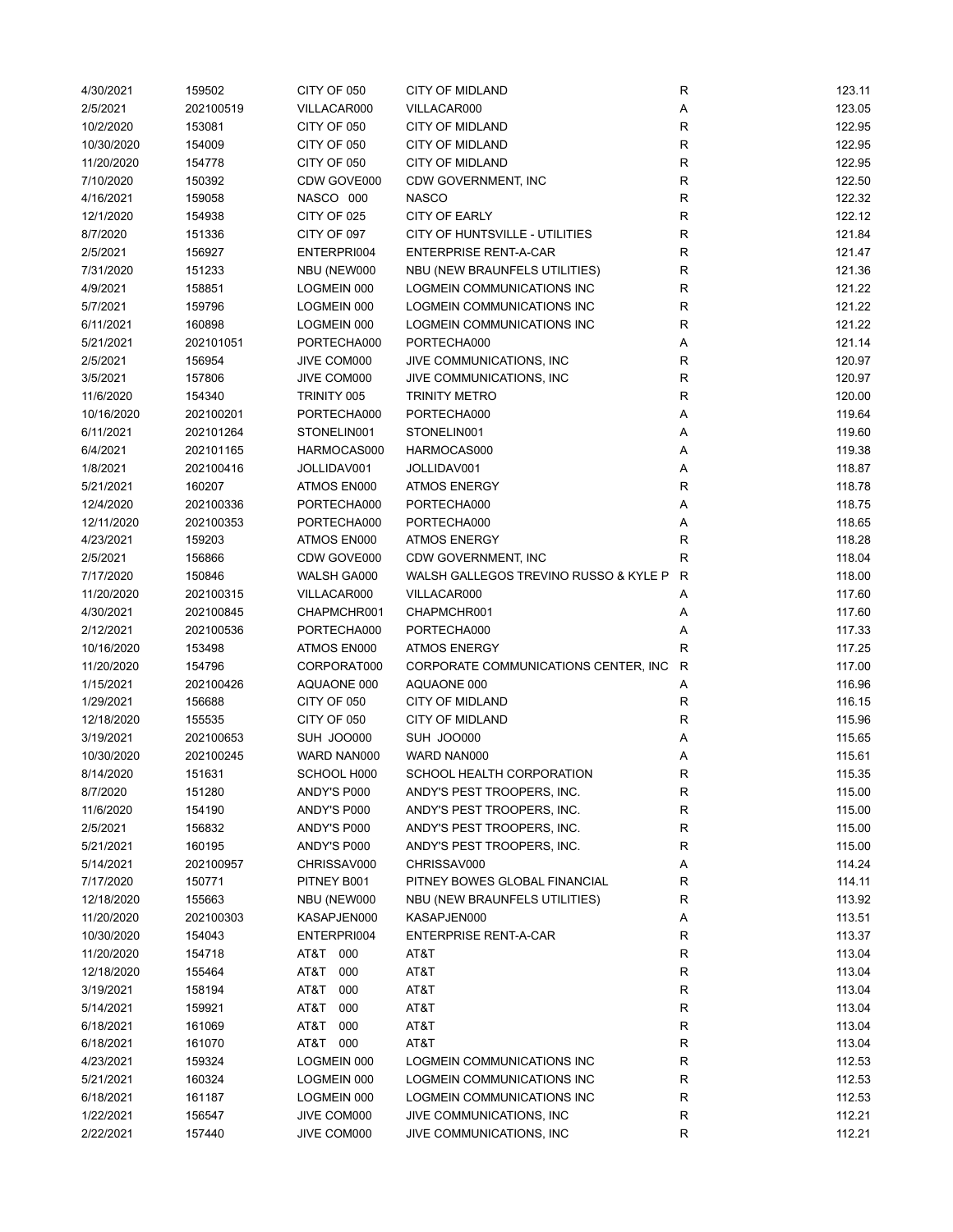| 4/30/2021  | 159502    | CITY OF 050        | <b>CITY OF MIDLAND</b>                | $\mathsf R$  | 123.11 |
|------------|-----------|--------------------|---------------------------------------|--------------|--------|
| 2/5/2021   | 202100519 | VILLACAR000        | VILLACAR000                           | A            | 123.05 |
| 10/2/2020  | 153081    | CITY OF 050        | <b>CITY OF MIDLAND</b>                | R            | 122.95 |
| 10/30/2020 | 154009    | CITY OF 050        | <b>CITY OF MIDLAND</b>                | R            | 122.95 |
| 11/20/2020 | 154778    | CITY OF 050        | <b>CITY OF MIDLAND</b>                | $\mathsf{R}$ | 122.95 |
| 7/10/2020  | 150392    | CDW GOVE000        | CDW GOVERNMENT, INC                   | $\mathsf{R}$ | 122.50 |
| 4/16/2021  | 159058    | NASCO 000          | <b>NASCO</b>                          | $\mathsf{R}$ | 122.32 |
| 12/1/2020  | 154938    | CITY OF 025        | <b>CITY OF EARLY</b>                  | R            | 122.12 |
| 8/7/2020   | 151336    | CITY OF 097        | CITY OF HUNTSVILLE - UTILITIES        | $\mathsf R$  | 121.84 |
|            |           |                    |                                       |              |        |
| 2/5/2021   | 156927    | ENTERPRI004        | <b>ENTERPRISE RENT-A-CAR</b>          | R            | 121.47 |
| 7/31/2020  | 151233    | NBU (NEW000        | NBU (NEW BRAUNFELS UTILITIES)         | $\mathsf R$  | 121.36 |
| 4/9/2021   | 158851    | LOGMEIN 000        | LOGMEIN COMMUNICATIONS INC            | $\mathsf R$  | 121.22 |
| 5/7/2021   | 159796    | LOGMEIN 000        | LOGMEIN COMMUNICATIONS INC            | $\mathsf R$  | 121.22 |
| 6/11/2021  | 160898    | LOGMEIN 000        | LOGMEIN COMMUNICATIONS INC            | R            | 121.22 |
| 5/21/2021  | 202101051 | PORTECHA000        | PORTECHA000                           | Α            | 121.14 |
| 2/5/2021   | 156954    | JIVE COM000        | JIVE COMMUNICATIONS, INC.             | $\mathsf R$  | 120.97 |
| 3/5/2021   | 157806    | JIVE COM000        | JIVE COMMUNICATIONS, INC              | $\mathsf R$  | 120.97 |
| 11/6/2020  | 154340    | TRINITY 005        | <b>TRINITY METRO</b>                  | R            | 120.00 |
| 10/16/2020 | 202100201 | PORTECHA000        | PORTECHA000                           | Α            | 119.64 |
| 6/11/2021  | 202101264 | STONELIN001        | STONELIN001                           | Α            | 119.60 |
| 6/4/2021   | 202101165 | HARMOCAS000        | HARMOCAS000                           | Α            | 119.38 |
| 1/8/2021   | 202100416 | JOLLIDAV001        | JOLLIDAV001                           | Α            | 118.87 |
| 5/21/2021  | 160207    | ATMOS EN000        | <b>ATMOS ENERGY</b>                   | $\mathsf R$  | 118.78 |
| 12/4/2020  | 202100336 | PORTECHA000        | PORTECHA000                           | Α            | 118.75 |
| 12/11/2020 | 202100353 | PORTECHA000        | PORTECHA000                           | Α            | 118.65 |
| 4/23/2021  | 159203    | ATMOS EN000        | <b>ATMOS ENERGY</b>                   | $\mathsf{R}$ | 118.28 |
| 2/5/2021   | 156866    | CDW GOVE000        | CDW GOVERNMENT, INC                   | R            | 118.04 |
| 7/17/2020  | 150846    | WALSH GA000        | WALSH GALLEGOS TREVINO RUSSO & KYLE P | R            | 118.00 |
|            |           |                    |                                       |              |        |
| 11/20/2020 | 202100315 | VILLACAR000        | VILLACAR000                           | Α            | 117.60 |
| 4/30/2021  | 202100845 | CHAPMCHR001        | CHAPMCHR001                           | Α            | 117.60 |
| 2/12/2021  | 202100536 | PORTECHA000        | PORTECHA000                           | Α            | 117.33 |
| 10/16/2020 | 153498    | ATMOS EN000        | <b>ATMOS ENERGY</b>                   | R            | 117.25 |
| 11/20/2020 | 154796    | CORPORAT000        | CORPORATE COMMUNICATIONS CENTER, INC  | $\mathsf{R}$ | 117.00 |
| 1/15/2021  | 202100426 | AQUAONE 000        | AQUAONE 000                           | Α            | 116.96 |
| 1/29/2021  | 156688    | <b>CITY OF 050</b> | <b>CITY OF MIDLAND</b>                | R            | 116.15 |
| 12/18/2020 | 155535    | CITY OF 050        | <b>CITY OF MIDLAND</b>                | R            | 115.96 |
| 3/19/2021  | 202100653 | <b>SUH JOO000</b>  | SUH JOO000                            | Α            | 115.65 |
| 10/30/2020 | 202100245 | WARD NAN000        | WARD NAN000                           | Α            | 115.61 |
| 8/14/2020  | 151631    | SCHOOL H000        | SCHOOL HEALTH CORPORATION             | R            | 115.35 |
| 8/7/2020   | 151280    | ANDY'S P000        | ANDY'S PEST TROOPERS, INC.            | $\mathsf R$  | 115.00 |
| 11/6/2020  | 154190    | ANDY'S P000        | ANDY'S PEST TROOPERS, INC.            | R            | 115.00 |
| 2/5/2021   | 156832    | ANDY'S P000        | ANDY'S PEST TROOPERS, INC.            | R            | 115.00 |
| 5/21/2021  | 160195    | ANDY'S P000        | ANDY'S PEST TROOPERS, INC.            | R            | 115.00 |
| 5/14/2021  | 202100957 | CHRISSAV000        | CHRISSAV000                           | Α            | 114.24 |
| 7/17/2020  | 150771    | PITNEY B001        | PITNEY BOWES GLOBAL FINANCIAL         | R            | 114.11 |
| 12/18/2020 | 155663    | NBU (NEW000        | NBU (NEW BRAUNFELS UTILITIES)         | $\mathsf{R}$ | 113.92 |
| 11/20/2020 | 202100303 | KASAPJEN000        | KASAPJEN000                           | Α            | 113.51 |
| 10/30/2020 | 154043    | ENTERPRI004        | <b>ENTERPRISE RENT-A-CAR</b>          | R            | 113.37 |
| 11/20/2020 | 154718    | AT&T 000           | AT&T                                  | R            | 113.04 |
| 12/18/2020 | 155464    | AT&T<br>000        | AT&T                                  | R            | 113.04 |
|            |           |                    |                                       | $\mathsf{R}$ |        |
| 3/19/2021  | 158194    | AT&T<br>000        | AT&T                                  |              | 113.04 |
| 5/14/2021  | 159921    | AT&T<br>000        | AT&T                                  | $\mathsf R$  | 113.04 |
| 6/18/2021  | 161069    | AT&T<br>000        | AT&T                                  | $\mathsf R$  | 113.04 |
| 6/18/2021  | 161070    | AT&T 000           | AT&T                                  | $\mathsf R$  | 113.04 |
| 4/23/2021  | 159324    | LOGMEIN 000        | LOGMEIN COMMUNICATIONS INC            | R            | 112.53 |
| 5/21/2021  | 160324    | LOGMEIN 000        | LOGMEIN COMMUNICATIONS INC            | R            | 112.53 |
| 6/18/2021  | 161187    | LOGMEIN 000        | LOGMEIN COMMUNICATIONS INC            | R            | 112.53 |
| 1/22/2021  | 156547    | JIVE COM000        | JIVE COMMUNICATIONS, INC.             | R            | 112.21 |
| 2/22/2021  | 157440    | JIVE COM000        | JIVE COMMUNICATIONS, INC.             | $\mathsf R$  | 112.21 |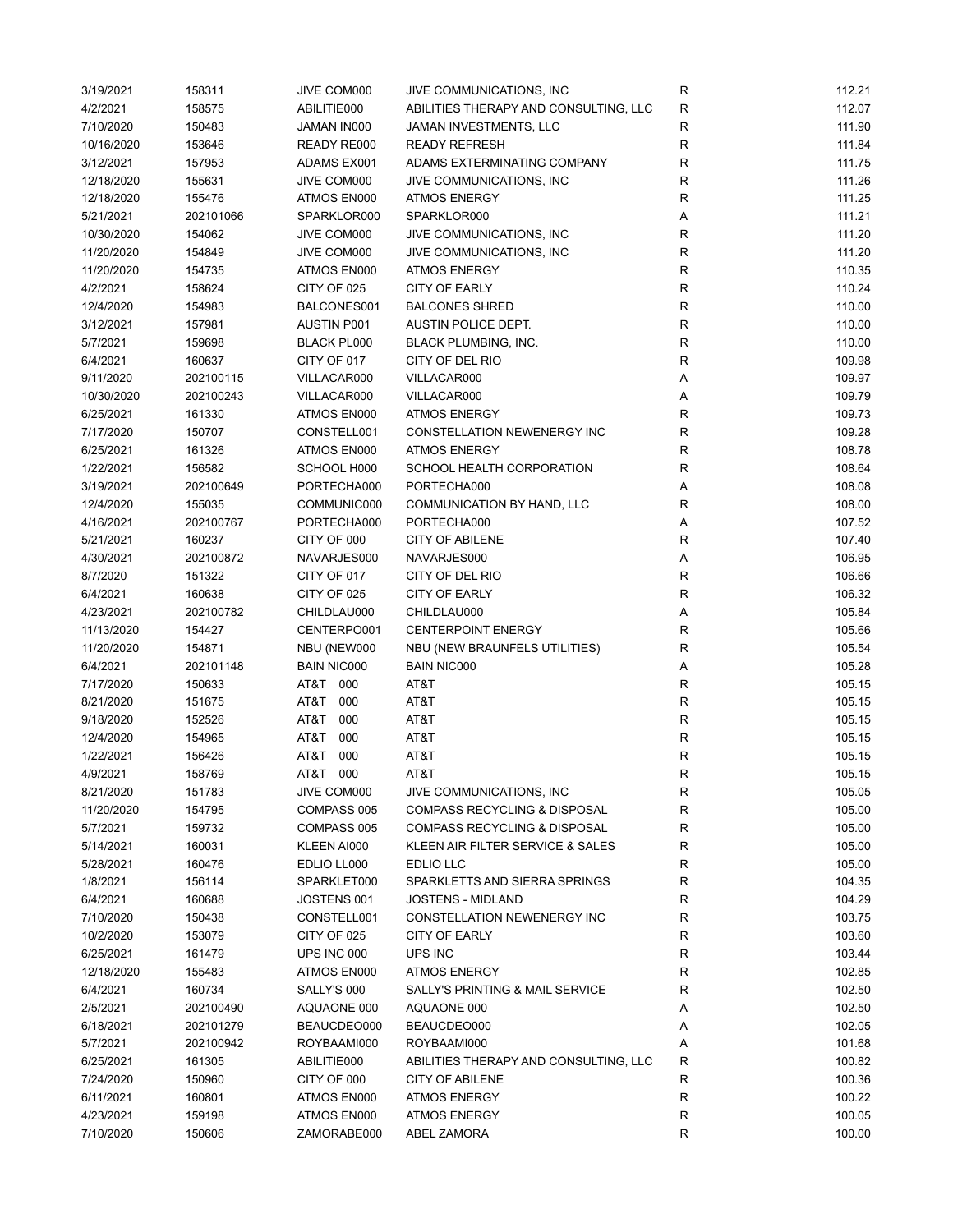| 3/19/2021  | 158311    | JIVE COM000        | JIVE COMMUNICATIONS, INC                | $\mathsf R$  | 112.21 |
|------------|-----------|--------------------|-----------------------------------------|--------------|--------|
| 4/2/2021   | 158575    | ABILITIE000        | ABILITIES THERAPY AND CONSULTING, LLC   | R            | 112.07 |
| 7/10/2020  | 150483    | JAMAN IN000        | JAMAN INVESTMENTS, LLC                  | R            | 111.90 |
| 10/16/2020 | 153646    | READY RE000        | <b>READY REFRESH</b>                    | $\mathsf R$  | 111.84 |
| 3/12/2021  | 157953    | <b>ADAMS EX001</b> | ADAMS EXTERMINATING COMPANY             | $\mathsf R$  | 111.75 |
| 12/18/2020 | 155631    | JIVE COM000        | JIVE COMMUNICATIONS, INC                | $\mathsf R$  | 111.26 |
| 12/18/2020 | 155476    | ATMOS EN000        | <b>ATMOS ENERGY</b>                     | $\mathsf R$  | 111.25 |
| 5/21/2021  |           |                    |                                         |              | 111.21 |
|            | 202101066 | SPARKLOR000        | SPARKLOR000                             | Α<br>R       |        |
| 10/30/2020 | 154062    | JIVE COM000        | JIVE COMMUNICATIONS, INC                |              | 111.20 |
| 11/20/2020 | 154849    | JIVE COM000        | JIVE COMMUNICATIONS, INC                | $\mathsf R$  | 111.20 |
| 11/20/2020 | 154735    | ATMOS EN000        | <b>ATMOS ENERGY</b>                     | R            | 110.35 |
| 4/2/2021   | 158624    | CITY OF 025        | <b>CITY OF EARLY</b>                    | $\mathsf R$  | 110.24 |
| 12/4/2020  | 154983    | BALCONES001        | <b>BALCONES SHRED</b>                   | R            | 110.00 |
| 3/12/2021  | 157981    | <b>AUSTIN P001</b> | AUSTIN POLICE DEPT.                     | R            | 110.00 |
| 5/7/2021   | 159698    | <b>BLACK PL000</b> | <b>BLACK PLUMBING, INC.</b>             | R            | 110.00 |
| 6/4/2021   | 160637    | CITY OF 017        | CITY OF DEL RIO                         | R            | 109.98 |
| 9/11/2020  | 202100115 | VILLACAR000        | VILLACAR000                             | Α            | 109.97 |
| 10/30/2020 | 202100243 | VILLACAR000        | VILLACAR000                             | Α            | 109.79 |
| 6/25/2021  | 161330    | ATMOS EN000        | <b>ATMOS ENERGY</b>                     | $\mathsf{R}$ | 109.73 |
| 7/17/2020  | 150707    | CONSTELL001        | CONSTELLATION NEWENERGY INC             | $\mathsf R$  | 109.28 |
| 6/25/2021  | 161326    | ATMOS EN000        | <b>ATMOS ENERGY</b>                     | R            | 108.78 |
| 1/22/2021  | 156582    | SCHOOL H000        | SCHOOL HEALTH CORPORATION               | R            | 108.64 |
| 3/19/2021  | 202100649 | PORTECHA000        | PORTECHA000                             | Α            | 108.08 |
| 12/4/2020  | 155035    | COMMUNIC000        | COMMUNICATION BY HAND, LLC              | $\mathsf R$  | 108.00 |
| 4/16/2021  | 202100767 | PORTECHA000        | PORTECHA000                             | Α            | 107.52 |
| 5/21/2021  | 160237    | CITY OF 000        | <b>CITY OF ABILENE</b>                  | R            | 107.40 |
|            |           |                    |                                         |              |        |
| 4/30/2021  | 202100872 | NAVARJES000        | NAVARJES000                             | A            | 106.95 |
| 8/7/2020   | 151322    | CITY OF 017        | CITY OF DEL RIO                         | R            | 106.66 |
| 6/4/2021   | 160638    | CITY OF 025        | <b>CITY OF EARLY</b>                    | R            | 106.32 |
| 4/23/2021  | 202100782 | CHILDLAU000        | CHILDLAU000                             | Α            | 105.84 |
| 11/13/2020 | 154427    | CENTERPO001        | <b>CENTERPOINT ENERGY</b>               | R            | 105.66 |
| 11/20/2020 | 154871    | NBU (NEW000        | NBU (NEW BRAUNFELS UTILITIES)           | $\mathsf R$  | 105.54 |
| 6/4/2021   | 202101148 | <b>BAIN NIC000</b> | <b>BAIN NIC000</b>                      | Α            | 105.28 |
| 7/17/2020  | 150633    | AT&T 000           | AT&T                                    | R            | 105.15 |
| 8/21/2020  | 151675    | T&TA<br>000        | AT&T                                    | R            | 105.15 |
| 9/18/2020  | 152526    | AT&T<br>000        | AT&T                                    | R            | 105.15 |
| 12/4/2020  | 154965    | AT&T<br>000        | AT&T                                    | R            | 105.15 |
| 1/22/2021  | 156426    | AT&T<br>000        | AT&T                                    | $\mathsf R$  | 105.15 |
| 4/9/2021   | 158769    | T&TA<br>000        | AT&T                                    | R            | 105.15 |
| 8/21/2020  | 151783    | JIVE COM000        | JIVE COMMUNICATIONS, INC                | $\mathsf R$  | 105.05 |
| 11/20/2020 | 154795    | COMPASS 005        | <b>COMPASS RECYCLING &amp; DISPOSAL</b> | R            | 105.00 |
| 5/7/2021   | 159732    | COMPASS 005        | <b>COMPASS RECYCLING &amp; DISPOSAL</b> | R            | 105.00 |
| 5/14/2021  | 160031    | KLEEN AI000        | KLEEN AIR FILTER SERVICE & SALES        | R            | 105.00 |
| 5/28/2021  | 160476    | EDLIO LL000        | EDLIO LLC                               | R            | 105.00 |
| 1/8/2021   | 156114    | SPARKLET000        | SPARKLETTS AND SIERRA SPRINGS           | $\mathsf R$  | 104.35 |
| 6/4/2021   |           |                    | JOSTENS - MIDLAND                       |              |        |
|            | 160688    | JOSTENS 001        |                                         | R            | 104.29 |
| 7/10/2020  | 150438    | CONSTELL001        | CONSTELLATION NEWENERGY INC             | R            | 103.75 |
| 10/2/2020  | 153079    | CITY OF 025        | <b>CITY OF EARLY</b>                    | R            | 103.60 |
| 6/25/2021  | 161479    | UPS INC 000        | UPS INC                                 | R            | 103.44 |
| 12/18/2020 | 155483    | ATMOS EN000        | <b>ATMOS ENERGY</b>                     | R            | 102.85 |
| 6/4/2021   | 160734    | SALLY'S 000        | SALLY'S PRINTING & MAIL SERVICE         | R            | 102.50 |
| 2/5/2021   | 202100490 | AQUAONE 000        | AQUAONE 000                             | Α            | 102.50 |
| 6/18/2021  | 202101279 | BEAUCDEO000        | BEAUCDEO000                             | Α            | 102.05 |
| 5/7/2021   | 202100942 | ROYBAAMI000        | ROYBAAMI000                             | Α            | 101.68 |
| 6/25/2021  | 161305    | ABILITIE000        | ABILITIES THERAPY AND CONSULTING, LLC   | R            | 100.82 |
| 7/24/2020  | 150960    | CITY OF 000        | <b>CITY OF ABILENE</b>                  | R            | 100.36 |
| 6/11/2021  | 160801    | ATMOS EN000        | <b>ATMOS ENERGY</b>                     | R            | 100.22 |
| 4/23/2021  | 159198    | ATMOS EN000        | <b>ATMOS ENERGY</b>                     | R            | 100.05 |
| 7/10/2020  | 150606    | ZAMORABE000        | <b>ABEL ZAMORA</b>                      | $\mathsf R$  | 100.00 |
|            |           |                    |                                         |              |        |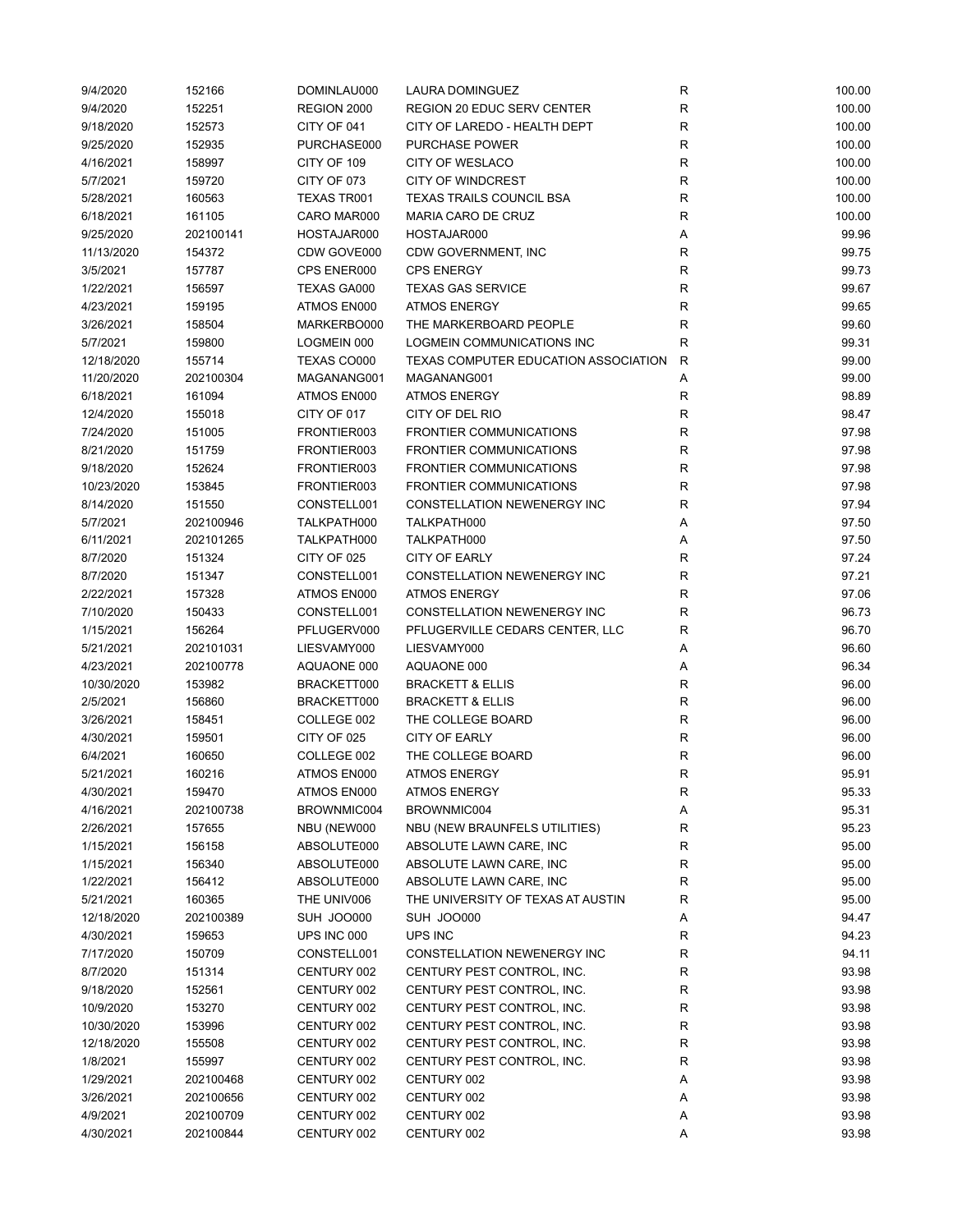| 9/4/2020   | 152166    | DOMINLAU000        | LAURA DOMINGUEZ                      | R           | 100.00 |
|------------|-----------|--------------------|--------------------------------------|-------------|--------|
| 9/4/2020   | 152251    | REGION 2000        | <b>REGION 20 EDUC SERV CENTER</b>    | R           | 100.00 |
| 9/18/2020  | 152573    | CITY OF 041        | CITY OF LAREDO - HEALTH DEPT         | R           | 100.00 |
| 9/25/2020  | 152935    | PURCHASE000        | <b>PURCHASE POWER</b>                | R           | 100.00 |
| 4/16/2021  | 158997    | CITY OF 109        | <b>CITY OF WESLACO</b>               | R           | 100.00 |
| 5/7/2021   | 159720    | CITY OF 073        | <b>CITY OF WINDCREST</b>             | $\mathsf R$ | 100.00 |
| 5/28/2021  | 160563    | <b>TEXAS TR001</b> | <b>TEXAS TRAILS COUNCIL BSA</b>      | $\mathsf R$ | 100.00 |
| 6/18/2021  | 161105    | CARO MAR000        | MARIA CARO DE CRUZ                   | R           | 100.00 |
| 9/25/2020  | 202100141 | HOSTAJAR000        | HOSTAJAR000                          | Α           | 99.96  |
| 11/13/2020 | 154372    | CDW GOVE000        | CDW GOVERNMENT, INC                  | R           | 99.75  |
|            |           |                    | <b>CPS ENERGY</b>                    | R           |        |
| 3/5/2021   | 157787    | CPS ENER000        |                                      |             | 99.73  |
| 1/22/2021  | 156597    | TEXAS GA000        | <b>TEXAS GAS SERVICE</b>             | R           | 99.67  |
| 4/23/2021  | 159195    | ATMOS EN000        | <b>ATMOS ENERGY</b>                  | R           | 99.65  |
| 3/26/2021  | 158504    | MARKERBO000        | THE MARKERBOARD PEOPLE               | R           | 99.60  |
| 5/7/2021   | 159800    | LOGMEIN 000        | LOGMEIN COMMUNICATIONS INC           | R           | 99.31  |
| 12/18/2020 | 155714    | TEXAS CO000        | TEXAS COMPUTER EDUCATION ASSOCIATION | R           | 99.00  |
| 11/20/2020 | 202100304 | MAGANANG001        | MAGANANG001                          | Α           | 99.00  |
| 6/18/2021  | 161094    | ATMOS EN000        | <b>ATMOS ENERGY</b>                  | R           | 98.89  |
| 12/4/2020  | 155018    | CITY OF 017        | CITY OF DEL RIO                      | R           | 98.47  |
| 7/24/2020  | 151005    | FRONTIER003        | <b>FRONTIER COMMUNICATIONS</b>       | R           | 97.98  |
| 8/21/2020  | 151759    | FRONTIER003        | <b>FRONTIER COMMUNICATIONS</b>       | R           | 97.98  |
| 9/18/2020  | 152624    | FRONTIER003        | <b>FRONTIER COMMUNICATIONS</b>       | R           | 97.98  |
| 10/23/2020 | 153845    | FRONTIER003        | <b>FRONTIER COMMUNICATIONS</b>       | R           | 97.98  |
| 8/14/2020  | 151550    | CONSTELL001        | CONSTELLATION NEWENERGY INC          | R           | 97.94  |
| 5/7/2021   | 202100946 | TALKPATH000        | TALKPATH000                          | Α           | 97.50  |
| 6/11/2021  | 202101265 | TALKPATH000        | TALKPATH000                          | Α           | 97.50  |
| 8/7/2020   | 151324    | CITY OF 025        | <b>CITY OF EARLY</b>                 | R           | 97.24  |
| 8/7/2020   | 151347    | CONSTELL001        | CONSTELLATION NEWENERGY INC          | R           | 97.21  |
| 2/22/2021  | 157328    | ATMOS EN000        | <b>ATMOS ENERGY</b>                  | R           | 97.06  |
| 7/10/2020  | 150433    | CONSTELL001        | CONSTELLATION NEWENERGY INC          | R           | 96.73  |
| 1/15/2021  | 156264    | PFLUGERV000        | PFLUGERVILLE CEDARS CENTER, LLC      | R           | 96.70  |
| 5/21/2021  | 202101031 | LIESVAMY000        | LIESVAMY000                          | Α           | 96.60  |
|            |           |                    |                                      |             |        |
| 4/23/2021  | 202100778 | AQUAONE 000        | AQUAONE 000                          | Α           | 96.34  |
| 10/30/2020 | 153982    | BRACKETT000        | <b>BRACKETT &amp; ELLIS</b>          | R           | 96.00  |
| 2/5/2021   | 156860    | BRACKETT000        | <b>BRACKETT &amp; ELLIS</b>          | R           | 96.00  |
| 3/26/2021  | 158451    | COLLEGE 002        | THE COLLEGE BOARD                    | R           | 96.00  |
| 4/30/2021  | 159501    | CITY OF 025        | <b>CITY OF EARLY</b>                 | R           | 96.00  |
| 6/4/2021   | 160650    | COLLEGE 002        | THE COLLEGE BOARD                    | R           | 96.00  |
| 5/21/2021  | 160216    | ATMOS EN000        | <b>ATMOS ENERGY</b>                  | R           | 95.91  |
| 4/30/2021  | 159470    | ATMOS EN000        | <b>ATMOS ENERGY</b>                  | R           | 95.33  |
| 4/16/2021  | 202100738 | BROWNMIC004        | BROWNMIC004                          | Α           | 95.31  |
| 2/26/2021  | 157655    | NBU (NEW000        | NBU (NEW BRAUNFELS UTILITIES)        | R           | 95.23  |
| 1/15/2021  | 156158    | ABSOLUTE000        | ABSOLUTE LAWN CARE, INC              | R           | 95.00  |
| 1/15/2021  | 156340    | ABSOLUTE000        | ABSOLUTE LAWN CARE, INC              | R           | 95.00  |
| 1/22/2021  | 156412    | ABSOLUTE000        | ABSOLUTE LAWN CARE, INC              | R           | 95.00  |
| 5/21/2021  | 160365    | THE UNIV006        | THE UNIVERSITY OF TEXAS AT AUSTIN    | R           | 95.00  |
| 12/18/2020 | 202100389 | SUH JOO000         | SUH JOO000                           | А           | 94.47  |
| 4/30/2021  | 159653    | UPS INC 000        | UPS INC                              | R           | 94.23  |
| 7/17/2020  | 150709    | CONSTELL001        | CONSTELLATION NEWENERGY INC          | R           | 94.11  |
| 8/7/2020   | 151314    | CENTURY 002        | CENTURY PEST CONTROL, INC.           | R           | 93.98  |
| 9/18/2020  | 152561    | CENTURY 002        | CENTURY PEST CONTROL, INC.           | R           | 93.98  |
| 10/9/2020  | 153270    | CENTURY 002        | CENTURY PEST CONTROL, INC.           | R           | 93.98  |
| 10/30/2020 | 153996    | CENTURY 002        | CENTURY PEST CONTROL, INC.           | R           | 93.98  |
| 12/18/2020 | 155508    | CENTURY 002        | CENTURY PEST CONTROL, INC.           | R           | 93.98  |
| 1/8/2021   | 155997    | CENTURY 002        | CENTURY PEST CONTROL, INC.           | R           | 93.98  |
|            |           |                    |                                      | Α           | 93.98  |
| 1/29/2021  | 202100468 | CENTURY 002        | CENTURY 002                          |             |        |
| 3/26/2021  | 202100656 | CENTURY 002        | CENTURY 002                          | Α           | 93.98  |
| 4/9/2021   | 202100709 | CENTURY 002        | CENTURY 002                          | Α           | 93.98  |
| 4/30/2021  | 202100844 | CENTURY 002        | CENTURY 002                          | Α           | 93.98  |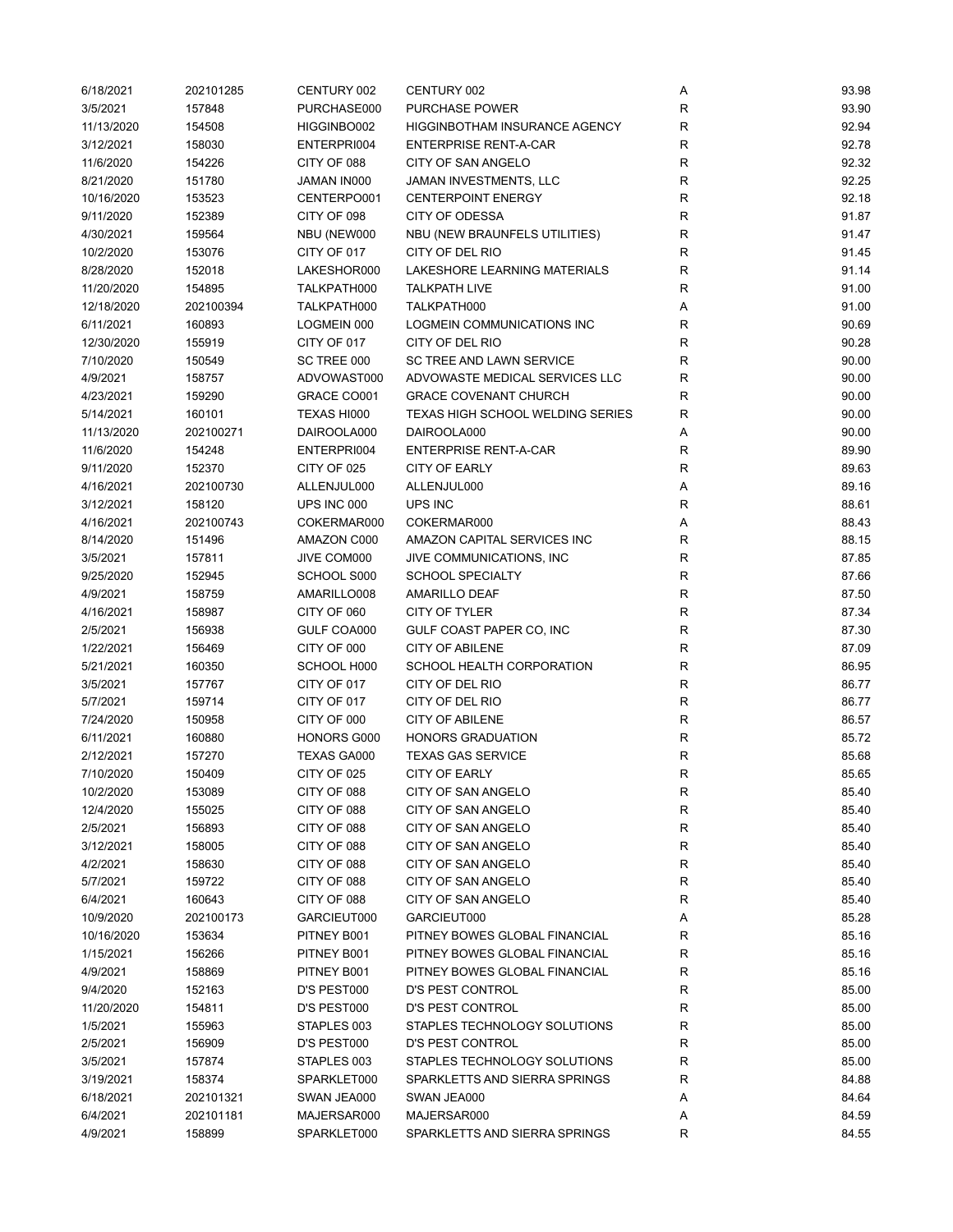| 6/18/2021  | 202101285 | CENTURY 002 | CENTURY 002                      | Α            | 93.98 |
|------------|-----------|-------------|----------------------------------|--------------|-------|
| 3/5/2021   | 157848    | PURCHASE000 | <b>PURCHASE POWER</b>            | R            | 93.90 |
| 11/13/2020 | 154508    | HIGGINBO002 | HIGGINBOTHAM INSURANCE AGENCY    | $\mathsf{R}$ | 92.94 |
| 3/12/2021  | 158030    | ENTERPRI004 | <b>ENTERPRISE RENT-A-CAR</b>     | $\mathsf{R}$ | 92.78 |
| 11/6/2020  | 154226    | CITY OF 088 | CITY OF SAN ANGELO               | R            | 92.32 |
| 8/21/2020  | 151780    | JAMAN IN000 | JAMAN INVESTMENTS, LLC           | R            | 92.25 |
| 10/16/2020 | 153523    | CENTERPO001 | <b>CENTERPOINT ENERGY</b>        | R            | 92.18 |
| 9/11/2020  | 152389    | CITY OF 098 | <b>CITY OF ODESSA</b>            | R            | 91.87 |
| 4/30/2021  | 159564    | NBU (NEW000 | NBU (NEW BRAUNFELS UTILITIES)    | R            | 91.47 |
| 10/2/2020  | 153076    | CITY OF 017 | CITY OF DEL RIO                  | R            | 91.45 |
| 8/28/2020  | 152018    | LAKESHOR000 | LAKESHORE LEARNING MATERIALS     | $\mathsf{R}$ | 91.14 |
|            |           |             |                                  | R            |       |
| 11/20/2020 | 154895    | TALKPATH000 | <b>TALKPATH LIVE</b>             |              | 91.00 |
| 12/18/2020 | 202100394 | TALKPATH000 | TALKPATH000                      | Α            | 91.00 |
| 6/11/2021  | 160893    | LOGMEIN 000 | LOGMEIN COMMUNICATIONS INC       | $\mathsf{R}$ | 90.69 |
| 12/30/2020 | 155919    | CITY OF 017 | CITY OF DEL RIO                  | R            | 90.28 |
| 7/10/2020  | 150549    | SC TREE 000 | SC TREE AND LAWN SERVICE         | R            | 90.00 |
| 4/9/2021   | 158757    | ADVOWAST000 | ADVOWASTE MEDICAL SERVICES LLC   | $\mathsf{R}$ | 90.00 |
| 4/23/2021  | 159290    | GRACE CO001 | <b>GRACE COVENANT CHURCH</b>     | R            | 90.00 |
| 5/14/2021  | 160101    | TEXAS HI000 | TEXAS HIGH SCHOOL WELDING SERIES | R            | 90.00 |
| 11/13/2020 | 202100271 | DAIROOLA000 | DAIROOLA000                      | Α            | 90.00 |
| 11/6/2020  | 154248    | ENTERPRI004 | <b>ENTERPRISE RENT-A-CAR</b>     | R            | 89.90 |
| 9/11/2020  | 152370    | CITY OF 025 | <b>CITY OF EARLY</b>             | R            | 89.63 |
| 4/16/2021  | 202100730 | ALLENJUL000 | ALLENJUL000                      | Α            | 89.16 |
| 3/12/2021  | 158120    | UPS INC 000 | UPS INC                          | $\mathsf{R}$ | 88.61 |
| 4/16/2021  | 202100743 | COKERMAR000 | COKERMAR000                      | A            | 88.43 |
| 8/14/2020  | 151496    | AMAZON C000 | AMAZON CAPITAL SERVICES INC      | $\mathsf{R}$ | 88.15 |
| 3/5/2021   | 157811    | JIVE COM000 | JIVE COMMUNICATIONS, INC         | R            | 87.85 |
| 9/25/2020  | 152945    | SCHOOL S000 | <b>SCHOOL SPECIALTY</b>          | R            | 87.66 |
| 4/9/2021   | 158759    | AMARILLO008 | <b>AMARILLO DEAF</b>             | R            | 87.50 |
| 4/16/2021  | 158987    | CITY OF 060 | CITY OF TYLER                    | R            | 87.34 |
| 2/5/2021   | 156938    | GULF COA000 | GULF COAST PAPER CO, INC         | $\mathsf{R}$ | 87.30 |
| 1/22/2021  | 156469    | CITY OF 000 | <b>CITY OF ABILENE</b>           | $\mathsf{R}$ | 87.09 |
| 5/21/2021  | 160350    | SCHOOL H000 | SCHOOL HEALTH CORPORATION        | R            | 86.95 |
| 3/5/2021   | 157767    | CITY OF 017 | CITY OF DEL RIO                  | $\mathsf{R}$ | 86.77 |
| 5/7/2021   | 159714    | CITY OF 017 | CITY OF DEL RIO                  | R            | 86.77 |
|            |           | CITY OF 000 | <b>CITY OF ABILENE</b>           | R            | 86.57 |
| 7/24/2020  | 150958    |             |                                  |              |       |
| 6/11/2021  | 160880    | HONORS G000 | <b>HONORS GRADUATION</b>         | R            | 85.72 |
| 2/12/2021  | 157270    | TEXAS GA000 | <b>TEXAS GAS SERVICE</b>         | $\mathsf{R}$ | 85.68 |
| 7/10/2020  | 150409    | CITY OF 025 | <b>CITY OF EARLY</b>             | R            | 85.65 |
| 10/2/2020  | 153089    | CITY OF 088 | CITY OF SAN ANGELO               | R            | 85.40 |
| 12/4/2020  | 155025    | CITY OF 088 | CITY OF SAN ANGELO               | R            | 85.40 |
| 2/5/2021   | 156893    | CITY OF 088 | <b>CITY OF SAN ANGELO</b>        | R            | 85.40 |
| 3/12/2021  | 158005    | CITY OF 088 | CITY OF SAN ANGELO               | R            | 85.40 |
| 4/2/2021   | 158630    | CITY OF 088 | CITY OF SAN ANGELO               | R            | 85.40 |
| 5/7/2021   | 159722    | CITY OF 088 | <b>CITY OF SAN ANGELO</b>        | R            | 85.40 |
| 6/4/2021   | 160643    | CITY OF 088 | CITY OF SAN ANGELO               | R            | 85.40 |
| 10/9/2020  | 202100173 | GARCIEUT000 | GARCIEUT000                      | Α            | 85.28 |
| 10/16/2020 | 153634    | PITNEY B001 | PITNEY BOWES GLOBAL FINANCIAL    | R            | 85.16 |
| 1/15/2021  | 156266    | PITNEY B001 | PITNEY BOWES GLOBAL FINANCIAL    | R            | 85.16 |
| 4/9/2021   | 158869    | PITNEY B001 | PITNEY BOWES GLOBAL FINANCIAL    | R            | 85.16 |
| 9/4/2020   | 152163    | D'S PEST000 | D'S PEST CONTROL                 | R            | 85.00 |
| 11/20/2020 | 154811    | D'S PEST000 | D'S PEST CONTROL                 | R            | 85.00 |
| 1/5/2021   | 155963    | STAPLES 003 | STAPLES TECHNOLOGY SOLUTIONS     | R            | 85.00 |
| 2/5/2021   | 156909    | D'S PEST000 | D'S PEST CONTROL                 | R            | 85.00 |
| 3/5/2021   | 157874    | STAPLES 003 | STAPLES TECHNOLOGY SOLUTIONS     | R            | 85.00 |
| 3/19/2021  | 158374    | SPARKLET000 | SPARKLETTS AND SIERRA SPRINGS    | R            | 84.88 |
| 6/18/2021  | 202101321 | SWAN JEA000 | SWAN JEA000                      | Α            | 84.64 |
| 6/4/2021   | 202101181 | MAJERSAR000 | MAJERSAR000                      | Α            | 84.59 |
| 4/9/2021   | 158899    | SPARKLET000 | SPARKLETTS AND SIERRA SPRINGS    | $\mathsf{R}$ | 84.55 |
|            |           |             |                                  |              |       |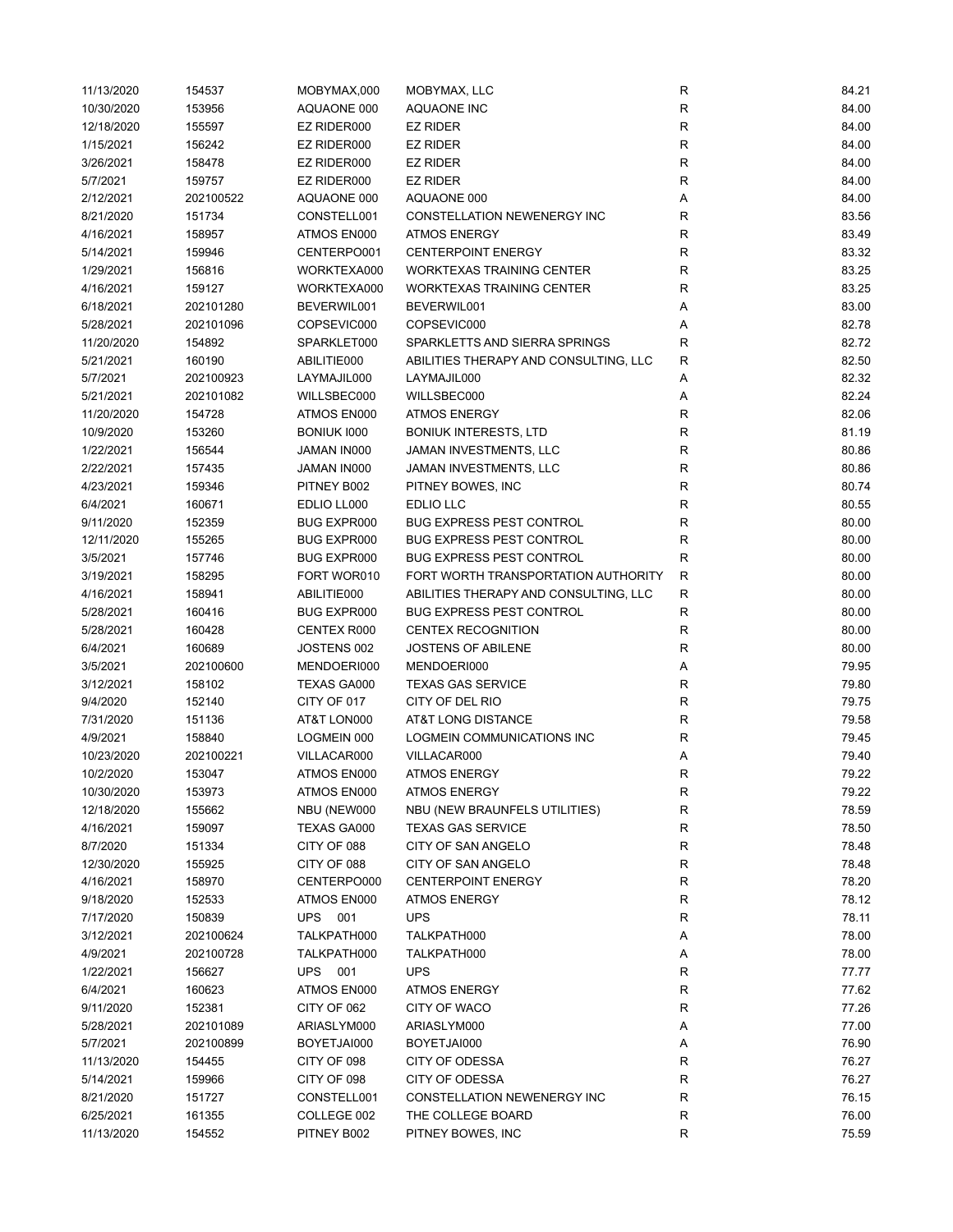| 11/13/2020 | 154537    | MOBYMAX,000        | MOBYMAX, LLC                          | $\mathsf R$  | 84.21 |
|------------|-----------|--------------------|---------------------------------------|--------------|-------|
| 10/30/2020 | 153956    | AQUAONE 000        | <b>AQUAONE INC</b>                    | R            | 84.00 |
| 12/18/2020 | 155597    | EZ RIDER000        | EZ RIDER                              | R            | 84.00 |
| 1/15/2021  | 156242    | EZ RIDER000        | EZ RIDER                              | $\mathsf{R}$ | 84.00 |
| 3/26/2021  | 158478    | EZ RIDER000        | EZ RIDER                              | $\mathsf{R}$ | 84.00 |
| 5/7/2021   | 159757    | EZ RIDER000        | <b>EZ RIDER</b>                       | $\mathsf{R}$ | 84.00 |
| 2/12/2021  | 202100522 | AQUAONE 000        | AQUAONE 000                           | Α            | 84.00 |
| 8/21/2020  | 151734    | CONSTELL001        | CONSTELLATION NEWENERGY INC           | R            | 83.56 |
| 4/16/2021  | 158957    | ATMOS EN000        | <b>ATMOS ENERGY</b>                   | R            | 83.49 |
| 5/14/2021  | 159946    | CENTERPO001        | <b>CENTERPOINT ENERGY</b>             | R            | 83.32 |
| 1/29/2021  | 156816    |                    | WORKTEXAS TRAINING CENTER             | $\mathsf{R}$ | 83.25 |
|            |           | WORKTEXA000        |                                       |              |       |
| 4/16/2021  | 159127    | WORKTEXA000        | <b>WORKTEXAS TRAINING CENTER</b>      | $\mathsf{R}$ | 83.25 |
| 6/18/2021  | 202101280 | BEVERWIL001        | BEVERWIL001                           | Α            | 83.00 |
| 5/28/2021  | 202101096 | COPSEVIC000        | COPSEVIC000                           | Α            | 82.78 |
| 11/20/2020 | 154892    | SPARKLET000        | SPARKLETTS AND SIERRA SPRINGS         | R            | 82.72 |
| 5/21/2021  | 160190    | ABILITIE000        | ABILITIES THERAPY AND CONSULTING, LLC | R            | 82.50 |
| 5/7/2021   | 202100923 | LAYMAJIL000        | LAYMAJIL000                           | Α            | 82.32 |
| 5/21/2021  | 202101082 | WILLSBEC000        | WILLSBEC000                           | Α            | 82.24 |
| 11/20/2020 | 154728    | ATMOS EN000        | <b>ATMOS ENERGY</b>                   | $\mathsf{R}$ | 82.06 |
| 10/9/2020  | 153260    | <b>BONIUK 1000</b> | <b>BONIUK INTERESTS, LTD</b>          | R            | 81.19 |
| 1/22/2021  | 156544    | JAMAN IN000        | JAMAN INVESTMENTS, LLC                | R            | 80.86 |
| 2/22/2021  | 157435    | JAMAN IN000        | JAMAN INVESTMENTS, LLC                | R            | 80.86 |
| 4/23/2021  | 159346    | PITNEY B002        | PITNEY BOWES, INC                     | R            | 80.74 |
| 6/4/2021   | 160671    | EDLIO LL000        | EDLIO LLC                             | R            | 80.55 |
| 9/11/2020  | 152359    | <b>BUG EXPR000</b> | <b>BUG EXPRESS PEST CONTROL</b>       | $\mathsf{R}$ | 80.00 |
| 12/11/2020 | 155265    | <b>BUG EXPR000</b> | <b>BUG EXPRESS PEST CONTROL</b>       | $\mathsf{R}$ | 80.00 |
| 3/5/2021   | 157746    | <b>BUG EXPR000</b> | <b>BUG EXPRESS PEST CONTROL</b>       | R            | 80.00 |
| 3/19/2021  | 158295    | FORT WOR010        | FORT WORTH TRANSPORTATION AUTHORITY   | R            | 80.00 |
| 4/16/2021  | 158941    | ABILITIE000        | ABILITIES THERAPY AND CONSULTING, LLC | R            | 80.00 |
| 5/28/2021  | 160416    | <b>BUG EXPR000</b> | <b>BUG EXPRESS PEST CONTROL</b>       | R            | 80.00 |
| 5/28/2021  | 160428    | CENTEX R000        | <b>CENTEX RECOGNITION</b>             | R            | 80.00 |
| 6/4/2021   | 160689    | JOSTENS 002        | <b>JOSTENS OF ABILENE</b>             | $\mathsf{R}$ | 80.00 |
| 3/5/2021   | 202100600 | MENDOERI000        | MENDOERI000                           | Α            | 79.95 |
|            |           |                    | <b>TEXAS GAS SERVICE</b>              |              |       |
| 3/12/2021  | 158102    | TEXAS GA000        |                                       | R            | 79.80 |
| 9/4/2020   | 152140    | CITY OF 017        | CITY OF DEL RIO                       | R            | 79.75 |
| 7/31/2020  | 151136    | AT&T LON000        | AT&T LONG DISTANCE                    | R            | 79.58 |
| 4/9/2021   | 158840    | LOGMEIN 000        | LOGMEIN COMMUNICATIONS INC            | R            | 79.45 |
| 10/23/2020 | 202100221 | VILLACAR000        | VILLACAR000                           | Α            | 79.40 |
| 10/2/2020  | 153047    | ATMOS EN000        | ATMOS ENERGY                          | R            | 79.22 |
| 10/30/2020 | 153973    | ATMOS EN000        | <b>ATMOS ENERGY</b>                   | $\mathsf R$  | 79.22 |
| 12/18/2020 | 155662    | NBU (NEW000        | NBU (NEW BRAUNFELS UTILITIES)         | R            | 78.59 |
| 4/16/2021  | 159097    | TEXAS GA000        | <b>TEXAS GAS SERVICE</b>              | R            | 78.50 |
| 8/7/2020   | 151334    | CITY OF 088        | <b>CITY OF SAN ANGELO</b>             | R            | 78.48 |
| 12/30/2020 | 155925    | CITY OF 088        | CITY OF SAN ANGELO                    | R            | 78.48 |
| 4/16/2021  | 158970    | CENTERPO000        | <b>CENTERPOINT ENERGY</b>             | R            | 78.20 |
| 9/18/2020  | 152533    | ATMOS EN000        | <b>ATMOS ENERGY</b>                   | R            | 78.12 |
| 7/17/2020  | 150839    | <b>UPS</b><br>001  | <b>UPS</b>                            | R            | 78.11 |
| 3/12/2021  | 202100624 | TALKPATH000        | TALKPATH000                           | Α            | 78.00 |
| 4/9/2021   | 202100728 | TALKPATH000        | TALKPATH000                           | Α            | 78.00 |
| 1/22/2021  | 156627    | UPS<br>001         | <b>UPS</b>                            | R            | 77.77 |
| 6/4/2021   | 160623    | ATMOS EN000        | <b>ATMOS ENERGY</b>                   | R            | 77.62 |
| 9/11/2020  | 152381    | CITY OF 062        | CITY OF WACO                          | $\mathsf{R}$ | 77.26 |
| 5/28/2021  | 202101089 | ARIASLYM000        | ARIASLYM000                           | Α            | 77.00 |
| 5/7/2021   | 202100899 | BOYETJAI000        | BOYETJAI000                           | Α            | 76.90 |
| 11/13/2020 | 154455    | CITY OF 098        | CITY OF ODESSA                        | $\mathsf{R}$ | 76.27 |
| 5/14/2021  | 159966    | CITY OF 098        | CITY OF ODESSA                        | R            | 76.27 |
| 8/21/2020  | 151727    | CONSTELL001        | CONSTELLATION NEWENERGY INC           | $\mathsf{R}$ | 76.15 |
|            |           |                    |                                       |              | 76.00 |
| 6/25/2021  | 161355    | COLLEGE 002        | THE COLLEGE BOARD                     | R            |       |
| 11/13/2020 | 154552    | PITNEY B002        | PITNEY BOWES, INC                     | $\mathsf{R}$ | 75.59 |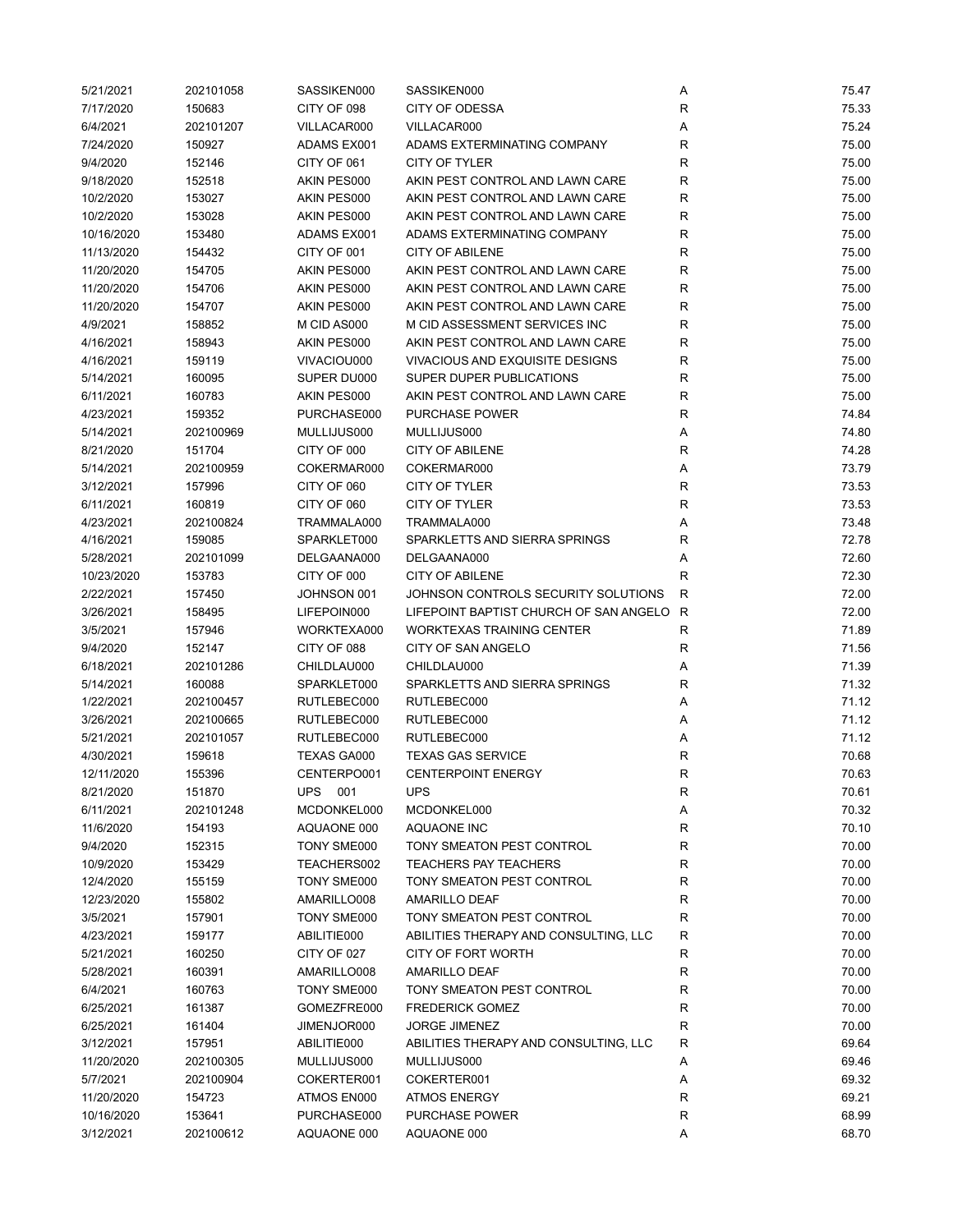| 5/21/2021  | 202101058 | SASSIKEN000 | SASSIKEN000                            | Α            | 75.47 |
|------------|-----------|-------------|----------------------------------------|--------------|-------|
| 7/17/2020  | 150683    | CITY OF 098 | CITY OF ODESSA                         | R            | 75.33 |
| 6/4/2021   | 202101207 | VILLACAR000 | VILLACAR000                            | Α            | 75.24 |
| 7/24/2020  | 150927    | ADAMS EX001 | ADAMS EXTERMINATING COMPANY            | $\mathsf{R}$ | 75.00 |
| 9/4/2020   | 152146    | CITY OF 061 | CITY OF TYLER                          | R            | 75.00 |
| 9/18/2020  | 152518    | AKIN PES000 | AKIN PEST CONTROL AND LAWN CARE        | R            | 75.00 |
| 10/2/2020  | 153027    | AKIN PES000 | AKIN PEST CONTROL AND LAWN CARE        | R            | 75.00 |
| 10/2/2020  | 153028    | AKIN PES000 | AKIN PEST CONTROL AND LAWN CARE        | R            | 75.00 |
| 10/16/2020 | 153480    | ADAMS EX001 | ADAMS EXTERMINATING COMPANY            | R            | 75.00 |
| 11/13/2020 | 154432    | CITY OF 001 | <b>CITY OF ABILENE</b>                 | R            | 75.00 |
| 11/20/2020 | 154705    | AKIN PES000 | AKIN PEST CONTROL AND LAWN CARE        | R            | 75.00 |
| 11/20/2020 | 154706    | AKIN PES000 | AKIN PEST CONTROL AND LAWN CARE        | R            | 75.00 |
|            |           | AKIN PES000 |                                        |              |       |
| 11/20/2020 | 154707    |             | AKIN PEST CONTROL AND LAWN CARE        | R            | 75.00 |
| 4/9/2021   | 158852    | M CID AS000 | M CID ASSESSMENT SERVICES INC          | R            | 75.00 |
| 4/16/2021  | 158943    | AKIN PES000 | AKIN PEST CONTROL AND LAWN CARE        | R            | 75.00 |
| 4/16/2021  | 159119    | VIVACIOU000 | VIVACIOUS AND EXQUISITE DESIGNS        | R            | 75.00 |
| 5/14/2021  | 160095    | SUPER DU000 | SUPER DUPER PUBLICATIONS               | R            | 75.00 |
| 6/11/2021  | 160783    | AKIN PES000 | AKIN PEST CONTROL AND LAWN CARE        | R            | 75.00 |
| 4/23/2021  | 159352    | PURCHASE000 | <b>PURCHASE POWER</b>                  | R            | 74.84 |
| 5/14/2021  | 202100969 | MULLIJUS000 | MULLIJUS000                            | Α            | 74.80 |
| 8/21/2020  | 151704    | CITY OF 000 | <b>CITY OF ABILENE</b>                 | R            | 74.28 |
| 5/14/2021  | 202100959 | COKERMAR000 | COKERMAR000                            | Α            | 73.79 |
| 3/12/2021  | 157996    | CITY OF 060 | <b>CITY OF TYLER</b>                   | R            | 73.53 |
| 6/11/2021  | 160819    | CITY OF 060 | CITY OF TYLER                          | ${\sf R}$    | 73.53 |
| 4/23/2021  | 202100824 | TRAMMALA000 | TRAMMALA000                            | Α            | 73.48 |
| 4/16/2021  | 159085    | SPARKLET000 | SPARKLETTS AND SIERRA SPRINGS          | R            | 72.78 |
| 5/28/2021  | 202101099 | DELGAANA000 | DELGAANA000                            | Α            | 72.60 |
| 10/23/2020 | 153783    | CITY OF 000 | <b>CITY OF ABILENE</b>                 | R            | 72.30 |
| 2/22/2021  | 157450    | JOHNSON 001 | JOHNSON CONTROLS SECURITY SOLUTIONS    | R            | 72.00 |
| 3/26/2021  | 158495    | LIFEPOIN000 | LIFEPOINT BAPTIST CHURCH OF SAN ANGELO | R            | 72.00 |
| 3/5/2021   | 157946    | WORKTEXA000 | WORKTEXAS TRAINING CENTER              | R            | 71.89 |
| 9/4/2020   | 152147    | CITY OF 088 | CITY OF SAN ANGELO                     | R            | 71.56 |
| 6/18/2021  | 202101286 | CHILDLAU000 | CHILDLAU000                            | Α            | 71.39 |
|            |           |             |                                        |              | 71.32 |
| 5/14/2021  | 160088    | SPARKLET000 | SPARKLETTS AND SIERRA SPRINGS          | R            |       |
| 1/22/2021  | 202100457 | RUTLEBEC000 | RUTLEBEC000                            | Α            | 71.12 |
| 3/26/2021  | 202100665 | RUTLEBEC000 | RUTLEBEC000                            | Α            | 71.12 |
| 5/21/2021  | 202101057 | RUTLEBEC000 | RUTLEBEC000                            | Α            | 71.12 |
| 4/30/2021  | 159618    | TEXAS GA000 | <b>TEXAS GAS SERVICE</b>               | $\mathsf{R}$ | 70.68 |
| 12/11/2020 | 155396    | CENTERPO001 | <b>CENTERPOINT ENERGY</b>              | R            | 70.63 |
| 8/21/2020  | 151870    | UPS<br>001  | <b>UPS</b>                             | R            | 70.61 |
| 6/11/2021  | 202101248 | MCDONKEL000 | MCDONKEL000                            | Α            | 70.32 |
| 11/6/2020  | 154193    | AQUAONE 000 | AQUAONE INC                            | R            | 70.10 |
| 9/4/2020   | 152315    | TONY SME000 | TONY SMEATON PEST CONTROL              | R            | 70.00 |
| 10/9/2020  | 153429    | TEACHERS002 | <b>TEACHERS PAY TEACHERS</b>           | R            | 70.00 |
| 12/4/2020  | 155159    | TONY SME000 | TONY SMEATON PEST CONTROL              | R            | 70.00 |
| 12/23/2020 | 155802    | AMARILLO008 | <b>AMARILLO DEAF</b>                   | R            | 70.00 |
| 3/5/2021   | 157901    | TONY SME000 | TONY SMEATON PEST CONTROL              | R            | 70.00 |
| 4/23/2021  | 159177    | ABILITIE000 | ABILITIES THERAPY AND CONSULTING, LLC  | R            | 70.00 |
| 5/21/2021  | 160250    | CITY OF 027 | CITY OF FORT WORTH                     | R            | 70.00 |
| 5/28/2021  | 160391    | AMARILLO008 | <b>AMARILLO DEAF</b>                   | R            | 70.00 |
| 6/4/2021   | 160763    | TONY SME000 | TONY SMEATON PEST CONTROL              | R            | 70.00 |
| 6/25/2021  | 161387    | GOMEZFRE000 | <b>FREDERICK GOMEZ</b>                 | R            | 70.00 |
| 6/25/2021  | 161404    | JIMENJOR000 | <b>JORGE JIMENEZ</b>                   | R            | 70.00 |
| 3/12/2021  | 157951    | ABILITIE000 | ABILITIES THERAPY AND CONSULTING, LLC  | R            | 69.64 |
| 11/20/2020 | 202100305 | MULLIJUS000 | MULLIJUS000                            | A            | 69.46 |
| 5/7/2021   | 202100904 | COKERTER001 | COKERTER001                            | Α            | 69.32 |
| 11/20/2020 |           |             |                                        | R            | 69.21 |
|            | 154723    | ATMOS EN000 | <b>ATMOS ENERGY</b>                    |              |       |
| 10/16/2020 | 153641    | PURCHASE000 | PURCHASE POWER                         | R            | 68.99 |
| 3/12/2021  | 202100612 | AQUAONE 000 | AQUAONE 000                            | Α            | 68.70 |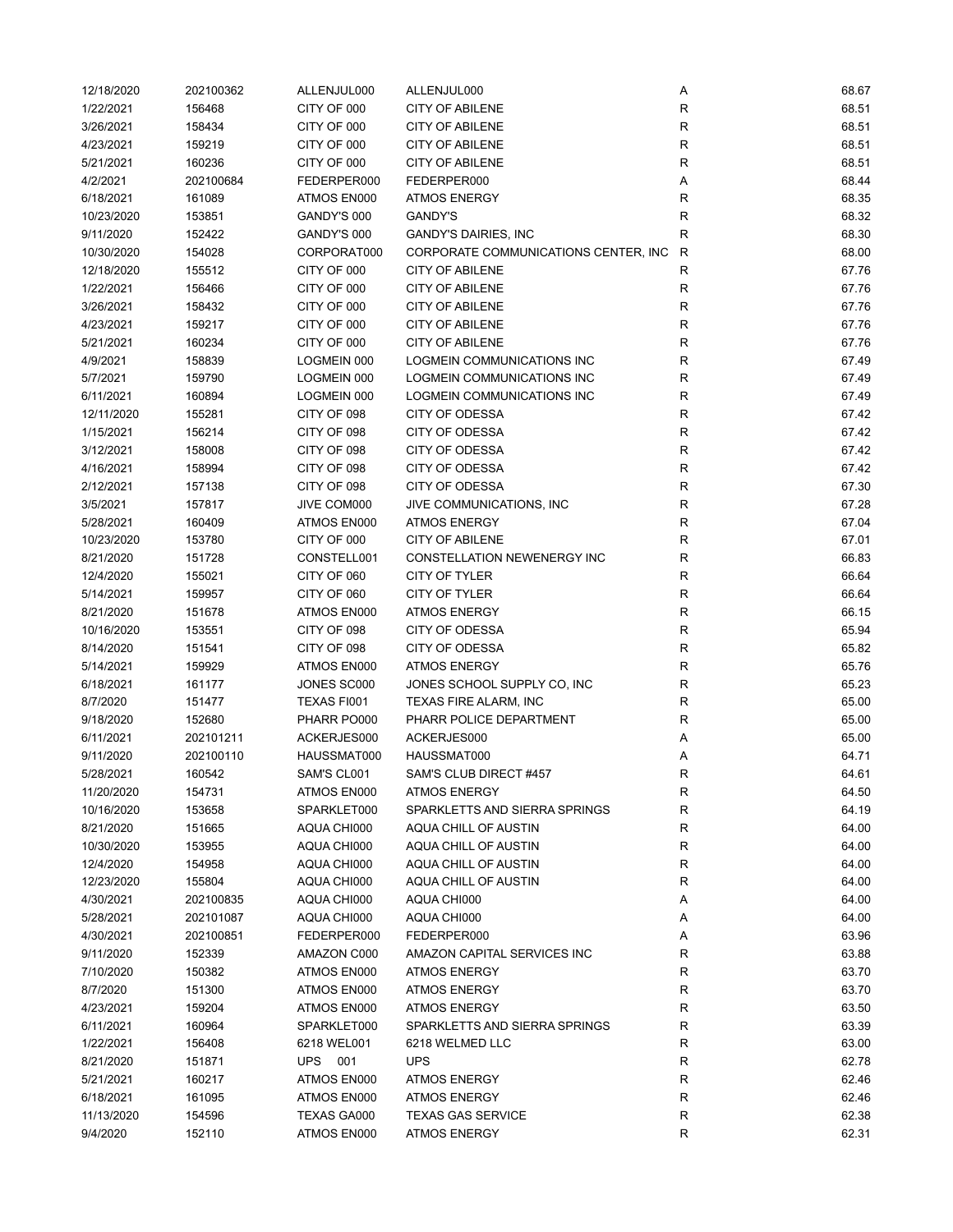| 12/18/2020 | 202100362 | ALLENJUL000 | ALLENJUL000                          | Α            | 68.67 |
|------------|-----------|-------------|--------------------------------------|--------------|-------|
| 1/22/2021  | 156468    | CITY OF 000 | <b>CITY OF ABILENE</b>               | $\mathsf R$  | 68.51 |
| 3/26/2021  | 158434    | CITY OF 000 | <b>CITY OF ABILENE</b>               | $\mathsf R$  | 68.51 |
| 4/23/2021  | 159219    | CITY OF 000 | <b>CITY OF ABILENE</b>               | $\mathsf R$  | 68.51 |
| 5/21/2021  | 160236    | CITY OF 000 | <b>CITY OF ABILENE</b>               | $\mathsf{R}$ | 68.51 |
| 4/2/2021   | 202100684 | FEDERPER000 | FEDERPER000                          | Α            | 68.44 |
| 6/18/2021  | 161089    | ATMOS EN000 | <b>ATMOS ENERGY</b>                  | R            | 68.35 |
| 10/23/2020 | 153851    | GANDY'S 000 | <b>GANDY'S</b>                       | R            | 68.32 |
| 9/11/2020  | 152422    | GANDY'S 000 | <b>GANDY'S DAIRIES, INC</b>          | R            | 68.30 |
| 10/30/2020 | 154028    | CORPORAT000 | CORPORATE COMMUNICATIONS CENTER, INC | R            | 68.00 |
|            | 155512    | CITY OF 000 | CITY OF ABILENE                      | R            | 67.76 |
| 12/18/2020 |           |             |                                      | $\mathsf{R}$ |       |
| 1/22/2021  | 156466    | CITY OF 000 | <b>CITY OF ABILENE</b>               |              | 67.76 |
| 3/26/2021  | 158432    | CITY OF 000 | <b>CITY OF ABILENE</b>               | $\mathsf{R}$ | 67.76 |
| 4/23/2021  | 159217    | CITY OF 000 | <b>CITY OF ABILENE</b>               | $\mathsf{R}$ | 67.76 |
| 5/21/2021  | 160234    | CITY OF 000 | <b>CITY OF ABILENE</b>               | $\mathsf{R}$ | 67.76 |
| 4/9/2021   | 158839    | LOGMEIN 000 | LOGMEIN COMMUNICATIONS INC           | $\mathsf{R}$ | 67.49 |
| 5/7/2021   | 159790    | LOGMEIN 000 | LOGMEIN COMMUNICATIONS INC           | $\mathsf R$  | 67.49 |
| 6/11/2021  | 160894    | LOGMEIN 000 | LOGMEIN COMMUNICATIONS INC           | $\mathsf R$  | 67.49 |
| 12/11/2020 | 155281    | CITY OF 098 | <b>CITY OF ODESSA</b>                | $\mathsf{R}$ | 67.42 |
| 1/15/2021  | 156214    | CITY OF 098 | CITY OF ODESSA                       | R            | 67.42 |
| 3/12/2021  | 158008    | CITY OF 098 | CITY OF ODESSA                       | R            | 67.42 |
| 4/16/2021  | 158994    | CITY OF 098 | CITY OF ODESSA                       | R            | 67.42 |
| 2/12/2021  | 157138    | CITY OF 098 | <b>CITY OF ODESSA</b>                | R            | 67.30 |
| 3/5/2021   | 157817    | JIVE COM000 | JIVE COMMUNICATIONS, INC             | R            | 67.28 |
| 5/28/2021  | 160409    | ATMOS EN000 | <b>ATMOS ENERGY</b>                  | $\mathsf R$  | 67.04 |
| 10/23/2020 | 153780    | CITY OF 000 | <b>CITY OF ABILENE</b>               | $\mathsf{R}$ | 67.01 |
| 8/21/2020  | 151728    | CONSTELL001 | CONSTELLATION NEWENERGY INC          | $\mathsf{R}$ | 66.83 |
| 12/4/2020  | 155021    | CITY OF 060 | CITY OF TYLER                        | $\mathsf R$  | 66.64 |
| 5/14/2021  | 159957    | CITY OF 060 | CITY OF TYLER                        | $\mathsf R$  | 66.64 |
| 8/21/2020  | 151678    | ATMOS EN000 | <b>ATMOS ENERGY</b>                  | $\mathsf{R}$ | 66.15 |
| 10/16/2020 | 153551    | CITY OF 098 | CITY OF ODESSA                       | $\mathsf R$  | 65.94 |
| 8/14/2020  | 151541    | CITY OF 098 | <b>CITY OF ODESSA</b>                | $\mathsf{R}$ | 65.82 |
| 5/14/2021  | 159929    | ATMOS EN000 | <b>ATMOS ENERGY</b>                  | $\mathsf{R}$ | 65.76 |
| 6/18/2021  | 161177    | JONES SC000 | JONES SCHOOL SUPPLY CO, INC          | R            | 65.23 |
| 8/7/2020   | 151477    | TEXAS FI001 | TEXAS FIRE ALARM, INC                | R            | 65.00 |
| 9/18/2020  | 152680    | PHARR PO000 | PHARR POLICE DEPARTMENT              | R            | 65.00 |
| 6/11/2021  | 202101211 | ACKERJES000 | ACKERJES000                          | Α            | 65.00 |
| 9/11/2020  |           |             | HAUSSMAT000                          | Α            | 64.71 |
|            | 202100110 | HAUSSMAT000 |                                      |              |       |
| 5/28/2021  | 160542    | SAM'S CL001 | SAM'S CLUB DIRECT #457               | R            | 64.61 |
| 11/20/2020 | 154731    | ATMOS EN000 | <b>ATMOS ENERGY</b>                  | $\mathsf R$  | 64.50 |
| 10/16/2020 | 153658    | SPARKLET000 | SPARKLETTS AND SIERRA SPRINGS        | R            | 64.19 |
| 8/21/2020  | 151665    | AQUA CHI000 | AQUA CHILL OF AUSTIN                 | $\mathsf R$  | 64.00 |
| 10/30/2020 | 153955    | AQUA CHI000 | AQUA CHILL OF AUSTIN                 | R            | 64.00 |
| 12/4/2020  | 154958    | AQUA CHI000 | AQUA CHILL OF AUSTIN                 | R            | 64.00 |
| 12/23/2020 | 155804    | AQUA CHI000 | AQUA CHILL OF AUSTIN                 | R            | 64.00 |
| 4/30/2021  | 202100835 | AQUA CHI000 | AQUA CHI000                          | Α            | 64.00 |
| 5/28/2021  | 202101087 | AQUA CHI000 | AQUA CHI000                          | Α            | 64.00 |
| 4/30/2021  | 202100851 | FEDERPER000 | FEDERPER000                          | Α            | 63.96 |
| 9/11/2020  | 152339    | AMAZON C000 | AMAZON CAPITAL SERVICES INC          | R            | 63.88 |
| 7/10/2020  | 150382    | ATMOS EN000 | <b>ATMOS ENERGY</b>                  | R            | 63.70 |
| 8/7/2020   | 151300    | ATMOS EN000 | <b>ATMOS ENERGY</b>                  | R            | 63.70 |
| 4/23/2021  | 159204    | ATMOS EN000 | <b>ATMOS ENERGY</b>                  | R            | 63.50 |
| 6/11/2021  | 160964    | SPARKLET000 | SPARKLETTS AND SIERRA SPRINGS        | $\mathsf R$  | 63.39 |
| 1/22/2021  | 156408    | 6218 WEL001 | 6218 WELMED LLC                      | R            | 63.00 |
| 8/21/2020  | 151871    | UPS 001     | <b>UPS</b>                           | R            | 62.78 |
| 5/21/2021  | 160217    | ATMOS EN000 | <b>ATMOS ENERGY</b>                  | R            | 62.46 |
| 6/18/2021  | 161095    | ATMOS EN000 | <b>ATMOS ENERGY</b>                  | R            | 62.46 |
| 11/13/2020 | 154596    | TEXAS GA000 | <b>TEXAS GAS SERVICE</b>             | R            | 62.38 |
| 9/4/2020   | 152110    | ATMOS EN000 | <b>ATMOS ENERGY</b>                  | $\mathsf R$  | 62.31 |
|            |           |             |                                      |              |       |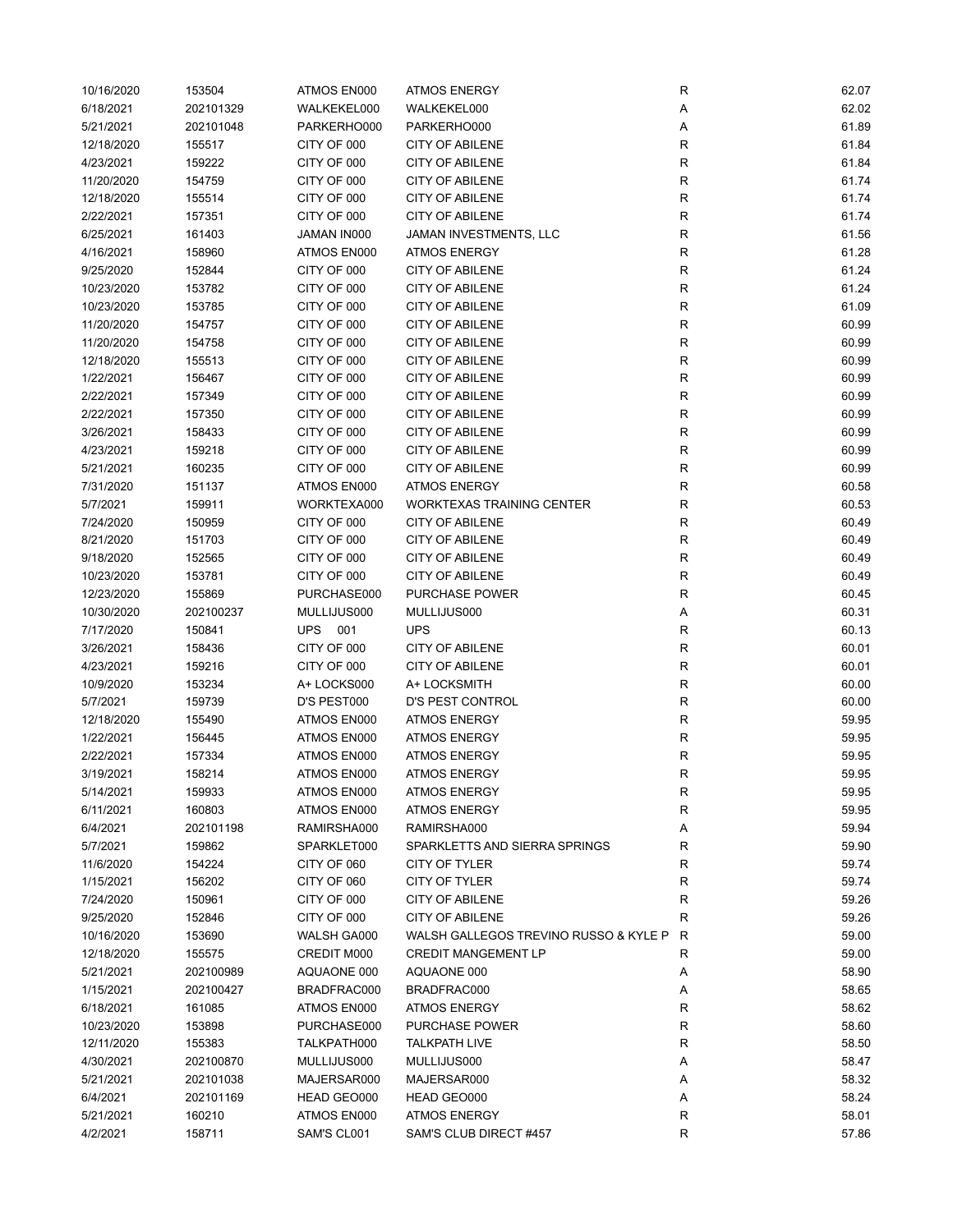| 10/16/2020 | 153504    | ATMOS EN000 | <b>ATMOS ENERGY</b>                   | $\mathsf R$  | 62.07 |
|------------|-----------|-------------|---------------------------------------|--------------|-------|
| 6/18/2021  | 202101329 | WALKEKEL000 | WALKEKEL000                           | Α            | 62.02 |
| 5/21/2021  | 202101048 | PARKERHO000 | PARKERHO000                           | Α            | 61.89 |
| 12/18/2020 | 155517    | CITY OF 000 | <b>CITY OF ABILENE</b>                | R            | 61.84 |
| 4/23/2021  | 159222    | CITY OF 000 | CITY OF ABILENE                       | R            | 61.84 |
| 11/20/2020 | 154759    | CITY OF 000 | CITY OF ABILENE                       | $\mathsf R$  | 61.74 |
| 12/18/2020 | 155514    | CITY OF 000 | CITY OF ABILENE                       | $\mathsf R$  | 61.74 |
| 2/22/2021  | 157351    | CITY OF 000 | <b>CITY OF ABILENE</b>                | R            | 61.74 |
| 6/25/2021  | 161403    | JAMAN IN000 | JAMAN INVESTMENTS, LLC                | R            | 61.56 |
| 4/16/2021  | 158960    | ATMOS EN000 | <b>ATMOS ENERGY</b>                   | R            | 61.28 |
|            |           |             |                                       | R            |       |
| 9/25/2020  | 152844    | CITY OF 000 | CITY OF ABILENE                       |              | 61.24 |
| 10/23/2020 | 153782    | CITY OF 000 | CITY OF ABILENE                       | R            | 61.24 |
| 10/23/2020 | 153785    | CITY OF 000 | CITY OF ABILENE                       | R            | 61.09 |
| 11/20/2020 | 154757    | CITY OF 000 | CITY OF ABILENE                       | R            | 60.99 |
| 11/20/2020 | 154758    | CITY OF 000 | CITY OF ABILENE                       | $\mathsf R$  | 60.99 |
| 12/18/2020 | 155513    | CITY OF 000 | CITY OF ABILENE                       | R            | 60.99 |
| 1/22/2021  | 156467    | CITY OF 000 | CITY OF ABILENE                       | $\mathsf R$  | 60.99 |
| 2/22/2021  | 157349    | CITY OF 000 | CITY OF ABILENE                       | R            | 60.99 |
| 2/22/2021  | 157350    | CITY OF 000 | CITY OF ABILENE                       | R            | 60.99 |
| 3/26/2021  | 158433    | CITY OF 000 | CITY OF ABILENE                       | $\mathsf R$  | 60.99 |
| 4/23/2021  | 159218    | CITY OF 000 | <b>CITY OF ABILENE</b>                | R            | 60.99 |
| 5/21/2021  | 160235    | CITY OF 000 | <b>CITY OF ABILENE</b>                | R            | 60.99 |
| 7/31/2020  | 151137    | ATMOS EN000 | <b>ATMOS ENERGY</b>                   | R            | 60.58 |
| 5/7/2021   | 159911    | WORKTEXA000 | WORKTEXAS TRAINING CENTER             | $\mathsf R$  | 60.53 |
| 7/24/2020  | 150959    | CITY OF 000 | <b>CITY OF ABILENE</b>                | R            | 60.49 |
| 8/21/2020  | 151703    | CITY OF 000 | <b>CITY OF ABILENE</b>                | R            | 60.49 |
| 9/18/2020  | 152565    | CITY OF 000 | <b>CITY OF ABILENE</b>                | R            | 60.49 |
| 10/23/2020 | 153781    | CITY OF 000 | <b>CITY OF ABILENE</b>                | R            | 60.49 |
| 12/23/2020 | 155869    | PURCHASE000 | <b>PURCHASE POWER</b>                 | $\mathsf R$  | 60.45 |
| 10/30/2020 | 202100237 | MULLIJUS000 | MULLIJUS000                           | Α            | 60.31 |
| 7/17/2020  |           | <b>UPS</b>  | <b>UPS</b>                            |              |       |
|            | 150841    | 001         |                                       | R            | 60.13 |
| 3/26/2021  | 158436    | CITY OF 000 | <b>CITY OF ABILENE</b>                | R            | 60.01 |
| 4/23/2021  | 159216    | CITY OF 000 | <b>CITY OF ABILENE</b>                | $\mathsf R$  | 60.01 |
| 10/9/2020  | 153234    | A+ LOCKS000 | A+ LOCKSMITH                          | $\mathsf R$  | 60.00 |
| 5/7/2021   | 159739    | D'S PEST000 | D'S PEST CONTROL                      | R            | 60.00 |
| 12/18/2020 | 155490    | ATMOS EN000 | <b>ATMOS ENERGY</b>                   | R            | 59.95 |
| 1/22/2021  | 156445    | ATMOS EN000 | <b>ATMOS ENERGY</b>                   | R            | 59.95 |
| 2/22/2021  | 157334    | ATMOS EN000 | <b>ATMOS ENERGY</b>                   | $\mathsf{R}$ | 59.95 |
| 3/19/2021  | 158214    | ATMOS EN000 | ATMOS ENERGY                          | R            | 59.95 |
| 5/14/2021  | 159933    | ATMOS EN000 | <b>ATMOS ENERGY</b>                   | $\mathsf R$  | 59.95 |
| 6/11/2021  | 160803    | ATMOS EN000 | ATMOS ENERGY                          | R            | 59.95 |
| 6/4/2021   | 202101198 | RAMIRSHA000 | RAMIRSHA000                           | Α            | 59.94 |
| 5/7/2021   | 159862    | SPARKLET000 | SPARKLETTS AND SIERRA SPRINGS         | R            | 59.90 |
| 11/6/2020  | 154224    | CITY OF 060 | CITY OF TYLER                         | R            | 59.74 |
| 1/15/2021  | 156202    | CITY OF 060 | CITY OF TYLER                         | R            | 59.74 |
| 7/24/2020  | 150961    | CITY OF 000 | <b>CITY OF ABILENE</b>                | R            | 59.26 |
| 9/25/2020  | 152846    | CITY OF 000 | <b>CITY OF ABILENE</b>                | R            | 59.26 |
| 10/16/2020 | 153690    | WALSH GA000 | WALSH GALLEGOS TREVINO RUSSO & KYLE P | R            | 59.00 |
| 12/18/2020 | 155575    | CREDIT M000 | <b>CREDIT MANGEMENT LP</b>            | R            | 59.00 |
| 5/21/2021  | 202100989 | AQUAONE 000 | AQUAONE 000                           | Α            | 58.90 |
| 1/15/2021  | 202100427 | BRADFRAC000 | BRADFRAC000                           | Α            | 58.65 |
| 6/18/2021  | 161085    | ATMOS EN000 | <b>ATMOS ENERGY</b>                   | R            | 58.62 |
| 10/23/2020 | 153898    | PURCHASE000 | PURCHASE POWER                        | R            | 58.60 |
| 12/11/2020 | 155383    | TALKPATH000 | TALKPATH LIVE                         | $\mathsf{R}$ | 58.50 |
|            |           |             |                                       | Α            |       |
| 4/30/2021  | 202100870 | MULLIJUS000 | MULLIJUS000                           |              | 58.47 |
| 5/21/2021  | 202101038 | MAJERSAR000 | MAJERSAR000                           | Α            | 58.32 |
| 6/4/2021   | 202101169 | HEAD GEO000 | HEAD GEO000                           | Α            | 58.24 |
| 5/21/2021  | 160210    | ATMOS EN000 | <b>ATMOS ENERGY</b>                   | R            | 58.01 |
| 4/2/2021   | 158711    | SAM'S CL001 | SAM'S CLUB DIRECT #457                | R            | 57.86 |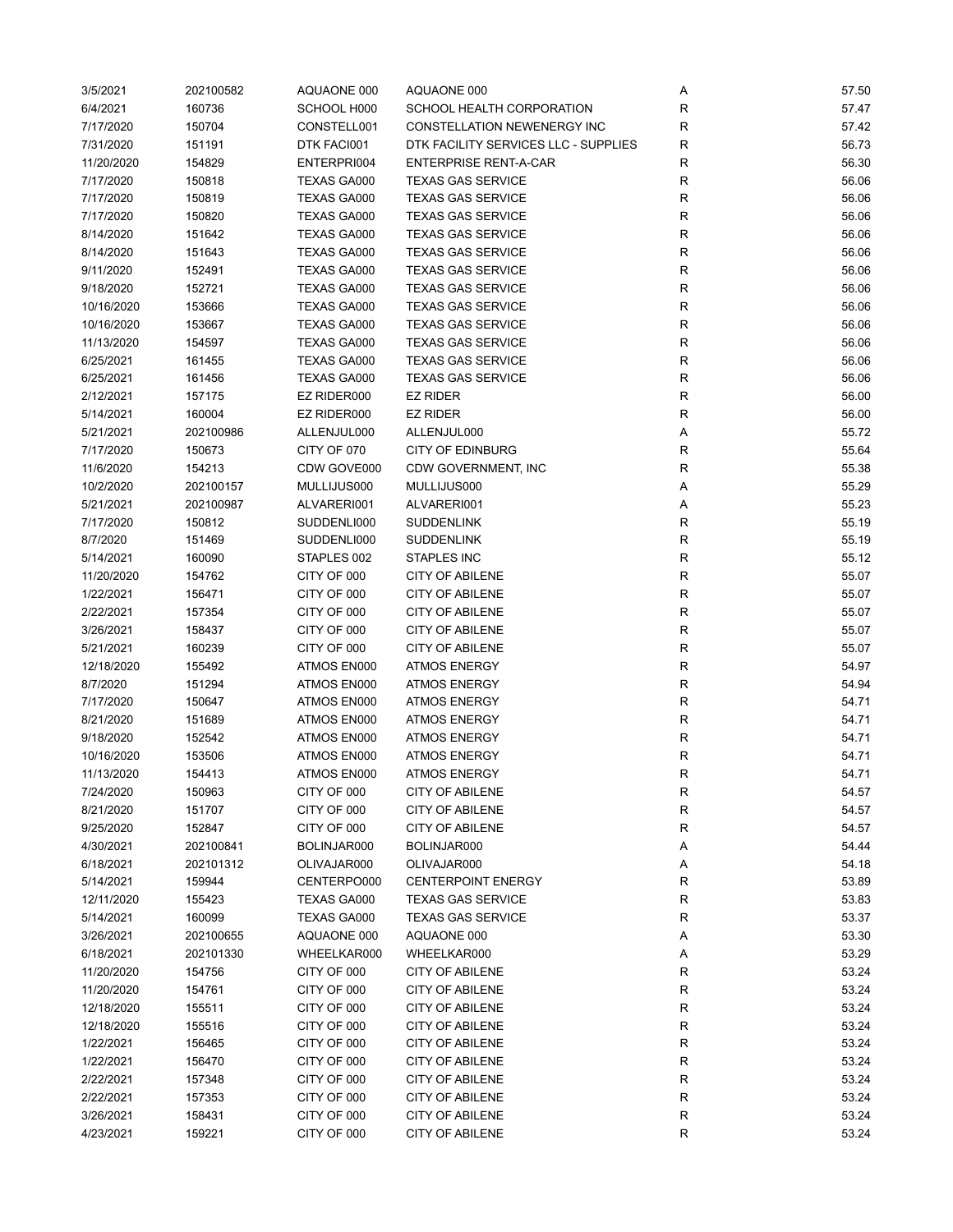| 3/5/2021   | 202100582 | AQUAONE 000        | AQUAONE 000                          | Α            | 57.50 |
|------------|-----------|--------------------|--------------------------------------|--------------|-------|
| 6/4/2021   | 160736    | SCHOOL H000        | SCHOOL HEALTH CORPORATION            | R            | 57.47 |
| 7/17/2020  | 150704    | CONSTELL001        | CONSTELLATION NEWENERGY INC          | R            | 57.42 |
| 7/31/2020  | 151191    | DTK FACI001        | DTK FACILITY SERVICES LLC - SUPPLIES | R            | 56.73 |
| 11/20/2020 | 154829    | ENTERPRI004        | <b>ENTERPRISE RENT-A-CAR</b>         | R            | 56.30 |
| 7/17/2020  | 150818    | <b>TEXAS GA000</b> | <b>TEXAS GAS SERVICE</b>             | $\mathsf{R}$ | 56.06 |
| 7/17/2020  | 150819    | TEXAS GA000        | <b>TEXAS GAS SERVICE</b>             | R            | 56.06 |
| 7/17/2020  | 150820    | TEXAS GA000        | <b>TEXAS GAS SERVICE</b>             | R            | 56.06 |
| 8/14/2020  | 151642    | TEXAS GA000        | <b>TEXAS GAS SERVICE</b>             | $\mathsf{R}$ | 56.06 |
| 8/14/2020  | 151643    | TEXAS GA000        | <b>TEXAS GAS SERVICE</b>             | R            | 56.06 |
|            |           |                    |                                      | R            |       |
| 9/11/2020  | 152491    | TEXAS GA000        | <b>TEXAS GAS SERVICE</b>             |              | 56.06 |
| 9/18/2020  | 152721    | TEXAS GA000        | <b>TEXAS GAS SERVICE</b>             | R            | 56.06 |
| 10/16/2020 | 153666    | TEXAS GA000        | <b>TEXAS GAS SERVICE</b>             | $\mathsf{R}$ | 56.06 |
| 10/16/2020 | 153667    | TEXAS GA000        | <b>TEXAS GAS SERVICE</b>             | R            | 56.06 |
| 11/13/2020 | 154597    | TEXAS GA000        | <b>TEXAS GAS SERVICE</b>             | R            | 56.06 |
| 6/25/2021  | 161455    | TEXAS GA000        | <b>TEXAS GAS SERVICE</b>             | R            | 56.06 |
| 6/25/2021  | 161456    | TEXAS GA000        | <b>TEXAS GAS SERVICE</b>             | R            | 56.06 |
| 2/12/2021  | 157175    | EZ RIDER000        | <b>EZ RIDER</b>                      | R            | 56.00 |
| 5/14/2021  | 160004    | EZ RIDER000        | <b>EZ RIDER</b>                      | R            | 56.00 |
| 5/21/2021  | 202100986 | ALLENJUL000        | ALLENJUL000                          | Α            | 55.72 |
| 7/17/2020  | 150673    | CITY OF 070        | <b>CITY OF EDINBURG</b>              | R            | 55.64 |
| 11/6/2020  | 154213    | CDW GOVE000        | CDW GOVERNMENT, INC                  | R            | 55.38 |
| 10/2/2020  | 202100157 | MULLIJUS000        | MULLIJUS000                          | Α            | 55.29 |
| 5/21/2021  | 202100987 | ALVARERI001        | ALVARERI001                          | Α            | 55.23 |
| 7/17/2020  | 150812    | SUDDENLI000        | <b>SUDDENLINK</b>                    | R            | 55.19 |
| 8/7/2020   | 151469    | SUDDENLI000        | <b>SUDDENLINK</b>                    | R            | 55.19 |
| 5/14/2021  | 160090    | STAPLES 002        | STAPLES INC                          | R            | 55.12 |
| 11/20/2020 | 154762    | CITY OF 000        | <b>CITY OF ABILENE</b>               | R            | 55.07 |
| 1/22/2021  | 156471    | CITY OF 000        | <b>CITY OF ABILENE</b>               | R            | 55.07 |
| 2/22/2021  | 157354    | CITY OF 000        | <b>CITY OF ABILENE</b>               | R            | 55.07 |
| 3/26/2021  | 158437    | CITY OF 000        | <b>CITY OF ABILENE</b>               | R            | 55.07 |
| 5/21/2021  | 160239    | CITY OF 000        | <b>CITY OF ABILENE</b>               | R            | 55.07 |
|            |           |                    |                                      |              |       |
| 12/18/2020 | 155492    | ATMOS EN000        | <b>ATMOS ENERGY</b>                  | R            | 54.97 |
| 8/7/2020   | 151294    | ATMOS EN000        | <b>ATMOS ENERGY</b>                  | R            | 54.94 |
| 7/17/2020  | 150647    | ATMOS EN000        | <b>ATMOS ENERGY</b>                  | R            | 54.71 |
| 8/21/2020  | 151689    | ATMOS EN000        | <b>ATMOS ENERGY</b>                  | R            | 54.71 |
| 9/18/2020  | 152542    | ATMOS EN000        | <b>ATMOS ENERGY</b>                  | $\mathsf{R}$ | 54.71 |
| 10/16/2020 | 153506    | ATMOS EN000        | <b>ATMOS ENERGY</b>                  | R            | 54.71 |
| 11/13/2020 | 154413    | ATMOS EN000        | <b>ATMOS ENERGY</b>                  | R            | 54.71 |
| 7/24/2020  | 150963    | CITY OF 000        | <b>CITY OF ABILENE</b>               | R            | 54.57 |
| 8/21/2020  | 151707    | CITY OF 000        | <b>CITY OF ABILENE</b>               | R            | 54.57 |
| 9/25/2020  | 152847    | CITY OF 000        | <b>CITY OF ABILENE</b>               | R            | 54.57 |
| 4/30/2021  | 202100841 | BOLINJAR000        | BOLINJAR000                          | Α            | 54.44 |
| 6/18/2021  | 202101312 | OLIVAJAR000        | OLIVAJAR000                          | Α            | 54.18 |
| 5/14/2021  | 159944    | CENTERPO000        | <b>CENTERPOINT ENERGY</b>            | R            | 53.89 |
| 12/11/2020 | 155423    | TEXAS GA000        | <b>TEXAS GAS SERVICE</b>             | R            | 53.83 |
| 5/14/2021  | 160099    | TEXAS GA000        | <b>TEXAS GAS SERVICE</b>             | R            | 53.37 |
| 3/26/2021  | 202100655 | AQUAONE 000        | AQUAONE 000                          | Α            | 53.30 |
| 6/18/2021  | 202101330 | WHEELKAR000        | WHEELKAR000                          | Α            | 53.29 |
| 11/20/2020 | 154756    | CITY OF 000        | <b>CITY OF ABILENE</b>               | R            | 53.24 |
| 11/20/2020 | 154761    | CITY OF 000        | <b>CITY OF ABILENE</b>               | R            | 53.24 |
| 12/18/2020 | 155511    | CITY OF 000        | <b>CITY OF ABILENE</b>               | R            | 53.24 |
| 12/18/2020 | 155516    | CITY OF 000        | <b>CITY OF ABILENE</b>               | R            | 53.24 |
| 1/22/2021  | 156465    | CITY OF 000        | <b>CITY OF ABILENE</b>               | R            | 53.24 |
| 1/22/2021  | 156470    | CITY OF 000        | <b>CITY OF ABILENE</b>               | R            | 53.24 |
| 2/22/2021  | 157348    | CITY OF 000        | <b>CITY OF ABILENE</b>               | R            | 53.24 |
| 2/22/2021  | 157353    | CITY OF 000        | <b>CITY OF ABILENE</b>               | R            | 53.24 |
| 3/26/2021  |           | CITY OF 000        | <b>CITY OF ABILENE</b>               | R            | 53.24 |
|            | 158431    |                    |                                      |              |       |
| 4/23/2021  | 159221    | CITY OF 000        | <b>CITY OF ABILENE</b>               | R            | 53.24 |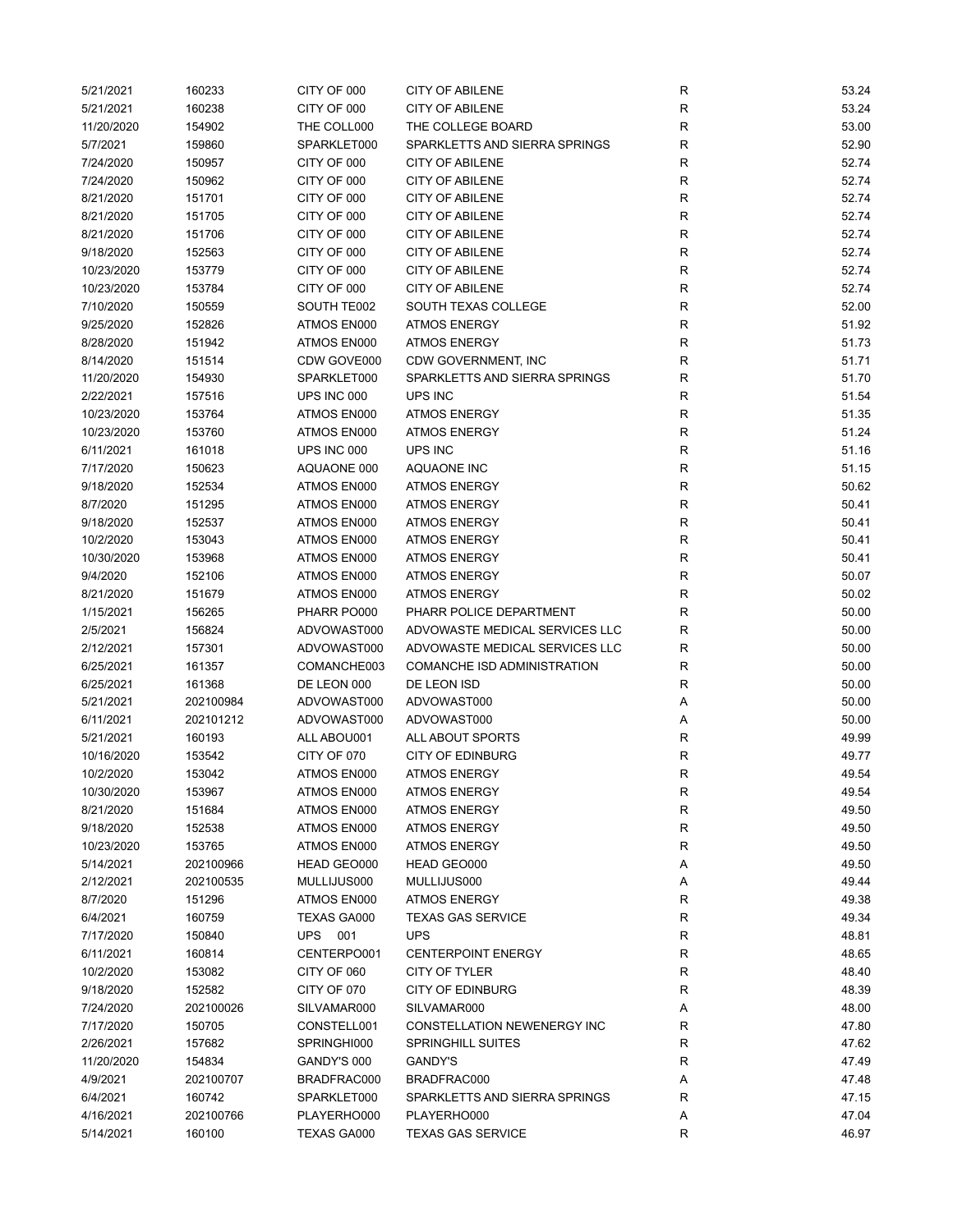| 5/21/2021  | 160233    | CITY OF 000 | <b>CITY OF ABILENE</b>         | R            | 53.24 |
|------------|-----------|-------------|--------------------------------|--------------|-------|
| 5/21/2021  | 160238    | CITY OF 000 | <b>CITY OF ABILENE</b>         | R            | 53.24 |
| 11/20/2020 | 154902    | THE COLL000 | THE COLLEGE BOARD              | R            | 53.00 |
| 5/7/2021   | 159860    | SPARKLET000 | SPARKLETTS AND SIERRA SPRINGS  | R            | 52.90 |
| 7/24/2020  | 150957    | CITY OF 000 | <b>CITY OF ABILENE</b>         | R            | 52.74 |
| 7/24/2020  | 150962    | CITY OF 000 | <b>CITY OF ABILENE</b>         | R            | 52.74 |
| 8/21/2020  | 151701    | CITY OF 000 | <b>CITY OF ABILENE</b>         | R            | 52.74 |
| 8/21/2020  | 151705    | CITY OF 000 | <b>CITY OF ABILENE</b>         | R            | 52.74 |
| 8/21/2020  | 151706    | CITY OF 000 | <b>CITY OF ABILENE</b>         | R            | 52.74 |
| 9/18/2020  | 152563    | CITY OF 000 | <b>CITY OF ABILENE</b>         | R            | 52.74 |
|            |           |             | <b>CITY OF ABILENE</b>         | R            |       |
| 10/23/2020 | 153779    | CITY OF 000 |                                |              | 52.74 |
| 10/23/2020 | 153784    | CITY OF 000 | <b>CITY OF ABILENE</b>         | R            | 52.74 |
| 7/10/2020  | 150559    | SOUTH TE002 | SOUTH TEXAS COLLEGE            | R            | 52.00 |
| 9/25/2020  | 152826    | ATMOS EN000 | <b>ATMOS ENERGY</b>            | R            | 51.92 |
| 8/28/2020  | 151942    | ATMOS EN000 | <b>ATMOS ENERGY</b>            | R            | 51.73 |
| 8/14/2020  | 151514    | CDW GOVE000 | CDW GOVERNMENT, INC            | R            | 51.71 |
| 11/20/2020 | 154930    | SPARKLET000 | SPARKLETTS AND SIERRA SPRINGS  | R            | 51.70 |
| 2/22/2021  | 157516    | UPS INC 000 | UPS INC                        | R            | 51.54 |
| 10/23/2020 | 153764    | ATMOS EN000 | <b>ATMOS ENERGY</b>            | R            | 51.35 |
| 10/23/2020 | 153760    | ATMOS EN000 | <b>ATMOS ENERGY</b>            | R            | 51.24 |
| 6/11/2021  | 161018    | UPS INC 000 | UPS INC                        | R            | 51.16 |
| 7/17/2020  | 150623    | AQUAONE 000 | <b>AQUAONE INC</b>             | R            | 51.15 |
| 9/18/2020  | 152534    | ATMOS EN000 | <b>ATMOS ENERGY</b>            | R            | 50.62 |
| 8/7/2020   | 151295    | ATMOS EN000 | <b>ATMOS ENERGY</b>            | R            | 50.41 |
| 9/18/2020  | 152537    | ATMOS EN000 | <b>ATMOS ENERGY</b>            | R            | 50.41 |
| 10/2/2020  | 153043    | ATMOS EN000 | <b>ATMOS ENERGY</b>            | $\mathsf R$  | 50.41 |
| 10/30/2020 | 153968    | ATMOS EN000 | <b>ATMOS ENERGY</b>            | R            | 50.41 |
| 9/4/2020   | 152106    | ATMOS EN000 | <b>ATMOS ENERGY</b>            | R            | 50.07 |
| 8/21/2020  | 151679    | ATMOS EN000 | <b>ATMOS ENERGY</b>            | R            | 50.02 |
| 1/15/2021  | 156265    | PHARR PO000 | PHARR POLICE DEPARTMENT        | R            | 50.00 |
| 2/5/2021   | 156824    | ADVOWAST000 | ADVOWASTE MEDICAL SERVICES LLC | R            | 50.00 |
| 2/12/2021  | 157301    | ADVOWAST000 | ADVOWASTE MEDICAL SERVICES LLC | R            | 50.00 |
| 6/25/2021  | 161357    | COMANCHE003 | COMANCHE ISD ADMINISTRATION    | R            | 50.00 |
| 6/25/2021  | 161368    | DE LEON 000 | DE LEON ISD                    | R            | 50.00 |
| 5/21/2021  |           | ADVOWAST000 |                                |              |       |
|            | 202100984 |             | ADVOWAST000                    | Α            | 50.00 |
| 6/11/2021  | 202101212 | ADVOWAST000 | ADVOWAST000                    | Α            | 50.00 |
| 5/21/2021  | 160193    | ALL ABOU001 | <b>ALL ABOUT SPORTS</b>        | R            | 49.99 |
| 10/16/2020 | 153542    | CITY OF 070 | <b>CITY OF EDINBURG</b>        | $\mathsf{R}$ | 49.77 |
| 10/2/2020  | 153042    | ATMOS EN000 | <b>ATMOS ENERGY</b>            | R            | 49.54 |
| 10/30/2020 | 153967    | ATMOS EN000 | <b>ATMOS ENERGY</b>            | R            | 49.54 |
| 8/21/2020  | 151684    | ATMOS EN000 | <b>ATMOS ENERGY</b>            | R            | 49.50 |
| 9/18/2020  | 152538    | ATMOS EN000 | <b>ATMOS ENERGY</b>            | R            | 49.50 |
| 10/23/2020 | 153765    | ATMOS EN000 | <b>ATMOS ENERGY</b>            | R            | 49.50 |
| 5/14/2021  | 202100966 | HEAD GEO000 | HEAD GEO000                    | Α            | 49.50 |
| 2/12/2021  | 202100535 | MULLIJUS000 | MULLIJUS000                    | Α            | 49.44 |
| 8/7/2020   | 151296    | ATMOS EN000 | ATMOS ENERGY                   | R            | 49.38 |
| 6/4/2021   | 160759    | TEXAS GA000 | <b>TEXAS GAS SERVICE</b>       | R            | 49.34 |
| 7/17/2020  | 150840    | UPS 001     | <b>UPS</b>                     | R            | 48.81 |
| 6/11/2021  | 160814    | CENTERPO001 | <b>CENTERPOINT ENERGY</b>      | R            | 48.65 |
| 10/2/2020  | 153082    | CITY OF 060 | CITY OF TYLER                  | R            | 48.40 |
| 9/18/2020  | 152582    | CITY OF 070 | <b>CITY OF EDINBURG</b>        | R            | 48.39 |
| 7/24/2020  | 202100026 | SILVAMAR000 | SILVAMAR000                    | Α            | 48.00 |
| 7/17/2020  | 150705    | CONSTELL001 | CONSTELLATION NEWENERGY INC    | R            | 47.80 |
| 2/26/2021  | 157682    | SPRINGHI000 | <b>SPRINGHILL SUITES</b>       | R            | 47.62 |
| 11/20/2020 | 154834    | GANDY'S 000 | GANDY'S                        | R            | 47.49 |
| 4/9/2021   | 202100707 | BRADFRAC000 | BRADFRAC000                    | Α            | 47.48 |
| 6/4/2021   | 160742    | SPARKLET000 | SPARKLETTS AND SIERRA SPRINGS  | R            | 47.15 |
| 4/16/2021  | 202100766 | PLAYERHO000 | PLAYERHO000                    | Α            | 47.04 |
| 5/14/2021  | 160100    | TEXAS GA000 | <b>TEXAS GAS SERVICE</b>       | R            | 46.97 |
|            |           |             |                                |              |       |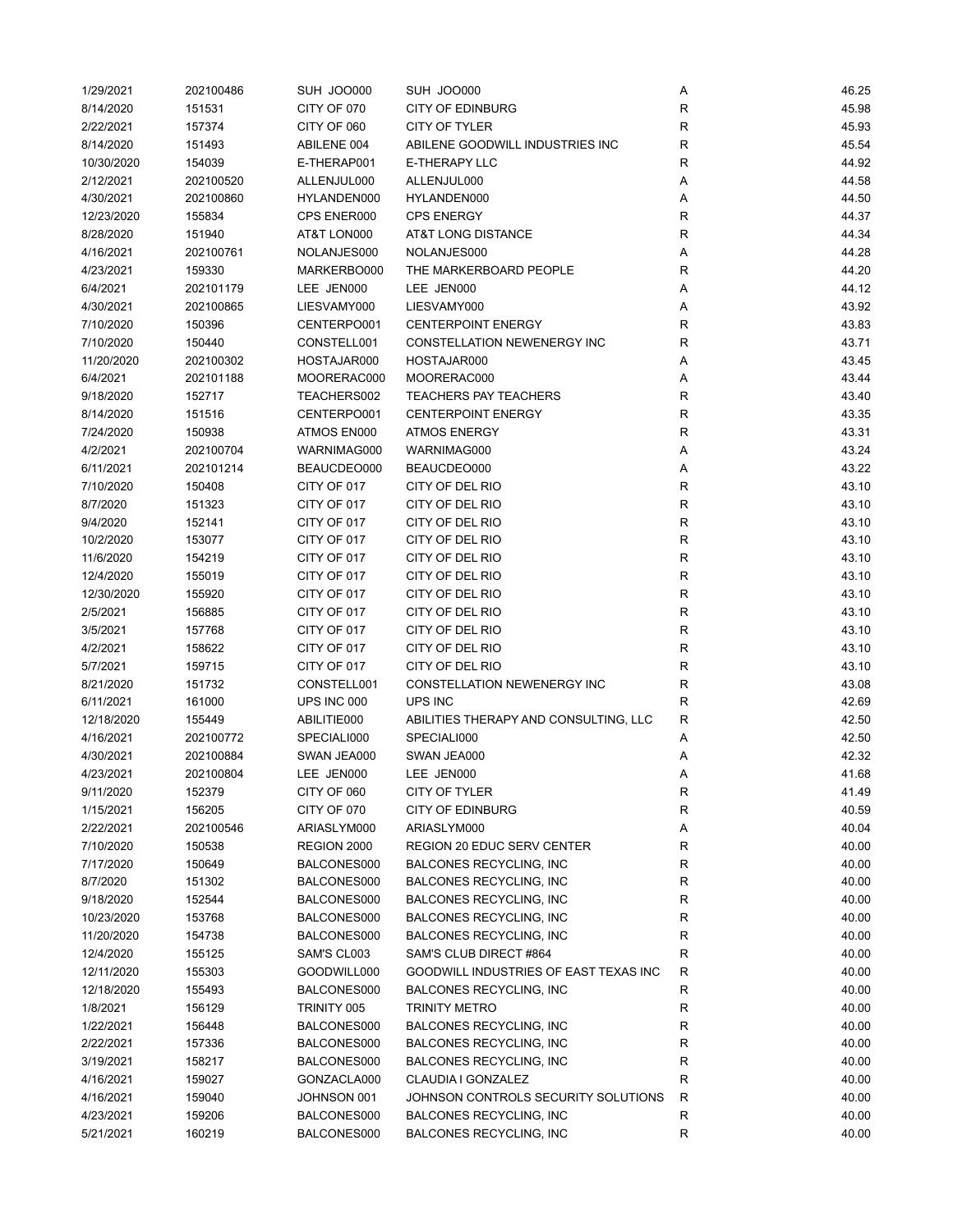| 1/29/2021  | 202100486 | SUH JOO000  | SUH JOO000                            | Α           | 46.25 |
|------------|-----------|-------------|---------------------------------------|-------------|-------|
| 8/14/2020  | 151531    | CITY OF 070 | <b>CITY OF EDINBURG</b>               | R           | 45.98 |
| 2/22/2021  | 157374    | CITY OF 060 | CITY OF TYLER                         | R           | 45.93 |
| 8/14/2020  | 151493    | ABILENE 004 | ABILENE GOODWILL INDUSTRIES INC       | R           | 45.54 |
| 10/30/2020 | 154039    | E-THERAP001 | E-THERAPY LLC                         | $\mathsf R$ | 44.92 |
| 2/12/2021  | 202100520 | ALLENJUL000 | ALLENJUL000                           | Α           | 44.58 |
| 4/30/2021  | 202100860 | HYLANDEN000 | HYLANDEN000                           | Α           | 44.50 |
| 12/23/2020 | 155834    | CPS ENER000 | <b>CPS ENERGY</b>                     | R           | 44.37 |
|            |           |             | AT&T LONG DISTANCE                    | R           |       |
| 8/28/2020  | 151940    | AT&T LON000 |                                       |             | 44.34 |
| 4/16/2021  | 202100761 | NOLANJES000 | NOLANJES000                           | Α           | 44.28 |
| 4/23/2021  | 159330    | MARKERBO000 | THE MARKERBOARD PEOPLE                | $\mathsf R$ | 44.20 |
| 6/4/2021   | 202101179 | LEE JEN000  | LEE JEN000                            | Α           | 44.12 |
| 4/30/2021  | 202100865 | LIESVAMY000 | LIESVAMY000                           | Α           | 43.92 |
| 7/10/2020  | 150396    | CENTERPO001 | <b>CENTERPOINT ENERGY</b>             | $\mathsf R$ | 43.83 |
| 7/10/2020  | 150440    | CONSTELL001 | CONSTELLATION NEWENERGY INC           | R           | 43.71 |
| 11/20/2020 | 202100302 | HOSTAJAR000 | HOSTAJAR000                           | Α           | 43.45 |
| 6/4/2021   | 202101188 | MOORERAC000 | MOORERAC000                           | Α           | 43.44 |
| 9/18/2020  | 152717    | TEACHERS002 | <b>TEACHERS PAY TEACHERS</b>          | R           | 43.40 |
| 8/14/2020  | 151516    | CENTERPO001 | <b>CENTERPOINT ENERGY</b>             | R           | 43.35 |
| 7/24/2020  | 150938    | ATMOS EN000 | <b>ATMOS ENERGY</b>                   | R           | 43.31 |
| 4/2/2021   | 202100704 | WARNIMAG000 | WARNIMAG000                           | Α           | 43.24 |
| 6/11/2021  | 202101214 | BEAUCDEO000 | BEAUCDEO000                           | Α           | 43.22 |
| 7/10/2020  | 150408    | CITY OF 017 | CITY OF DEL RIO                       | R           | 43.10 |
| 8/7/2020   | 151323    | CITY OF 017 | CITY OF DEL RIO                       | R           | 43.10 |
| 9/4/2020   | 152141    | CITY OF 017 | CITY OF DEL RIO                       | R           | 43.10 |
| 10/2/2020  | 153077    | CITY OF 017 | CITY OF DEL RIO                       | R           | 43.10 |
| 11/6/2020  | 154219    | CITY OF 017 | CITY OF DEL RIO                       | R           | 43.10 |
| 12/4/2020  | 155019    | CITY OF 017 | CITY OF DEL RIO                       | R           | 43.10 |
| 12/30/2020 |           |             |                                       | R           |       |
|            | 155920    | CITY OF 017 | CITY OF DEL RIO                       |             | 43.10 |
| 2/5/2021   | 156885    | CITY OF 017 | CITY OF DEL RIO                       | R           | 43.10 |
| 3/5/2021   | 157768    | CITY OF 017 | CITY OF DEL RIO                       | R           | 43.10 |
| 4/2/2021   | 158622    | CITY OF 017 | CITY OF DEL RIO                       | $\mathsf R$ | 43.10 |
| 5/7/2021   | 159715    | CITY OF 017 | CITY OF DEL RIO                       | R           | 43.10 |
| 8/21/2020  | 151732    | CONSTELL001 | CONSTELLATION NEWENERGY INC           | R           | 43.08 |
| 6/11/2021  | 161000    | UPS INC 000 | UPS INC                               | R           | 42.69 |
| 12/18/2020 | 155449    | ABILITIE000 | ABILITIES THERAPY AND CONSULTING, LLC | R           | 42.50 |
| 4/16/2021  | 202100772 | SPECIALI000 | SPECIALI000                           | Α           | 42.50 |
| 4/30/2021  | 202100884 | SWAN JEA000 | SWAN JEA000                           | Α           | 42.32 |
| 4/23/2021  | 202100804 | LEE JEN000  | LEE JEN000                            | Α           | 41.68 |
| 9/11/2020  | 152379    | CITY OF 060 | CITY OF TYLER                         | R           | 41.49 |
| 1/15/2021  | 156205    | CITY OF 070 | <b>CITY OF EDINBURG</b>               | R           | 40.59 |
| 2/22/2021  | 202100546 | ARIASLYM000 | ARIASLYM000                           | Α           | 40.04 |
| 7/10/2020  | 150538    | REGION 2000 | REGION 20 EDUC SERV CENTER            | R           | 40.00 |
| 7/17/2020  | 150649    | BALCONES000 | <b>BALCONES RECYCLING, INC</b>        | R           | 40.00 |
| 8/7/2020   | 151302    | BALCONES000 | <b>BALCONES RECYCLING, INC</b>        | R           | 40.00 |
| 9/18/2020  | 152544    | BALCONES000 | <b>BALCONES RECYCLING, INC</b>        | R           | 40.00 |
| 10/23/2020 | 153768    | BALCONES000 | <b>BALCONES RECYCLING, INC</b>        | R           | 40.00 |
| 11/20/2020 | 154738    | BALCONES000 | <b>BALCONES RECYCLING, INC</b>        | R           | 40.00 |
| 12/4/2020  | 155125    | SAM'S CL003 | SAM'S CLUB DIRECT #864                | R           | 40.00 |
| 12/11/2020 | 155303    | GOODWILL000 | GOODWILL INDUSTRIES OF EAST TEXAS INC | R           | 40.00 |
|            |           |             | BALCONES RECYCLING, INC               | R           | 40.00 |
| 12/18/2020 | 155493    | BALCONES000 |                                       |             |       |
| 1/8/2021   | 156129    | TRINITY 005 | TRINITY METRO                         | R           | 40.00 |
| 1/22/2021  | 156448    | BALCONES000 | <b>BALCONES RECYCLING, INC</b>        | R           | 40.00 |
| 2/22/2021  | 157336    | BALCONES000 | <b>BALCONES RECYCLING, INC</b>        | R           | 40.00 |
| 3/19/2021  | 158217    | BALCONES000 | <b>BALCONES RECYCLING, INC</b>        | R           | 40.00 |
| 4/16/2021  | 159027    | GONZACLA000 | CLAUDIA I GONZALEZ                    | R           | 40.00 |
| 4/16/2021  | 159040    | JOHNSON 001 | JOHNSON CONTROLS SECURITY SOLUTIONS   | R           | 40.00 |
| 4/23/2021  | 159206    | BALCONES000 | <b>BALCONES RECYCLING, INC</b>        | R           | 40.00 |
| 5/21/2021  | 160219    | BALCONES000 | <b>BALCONES RECYCLING, INC</b>        | R           | 40.00 |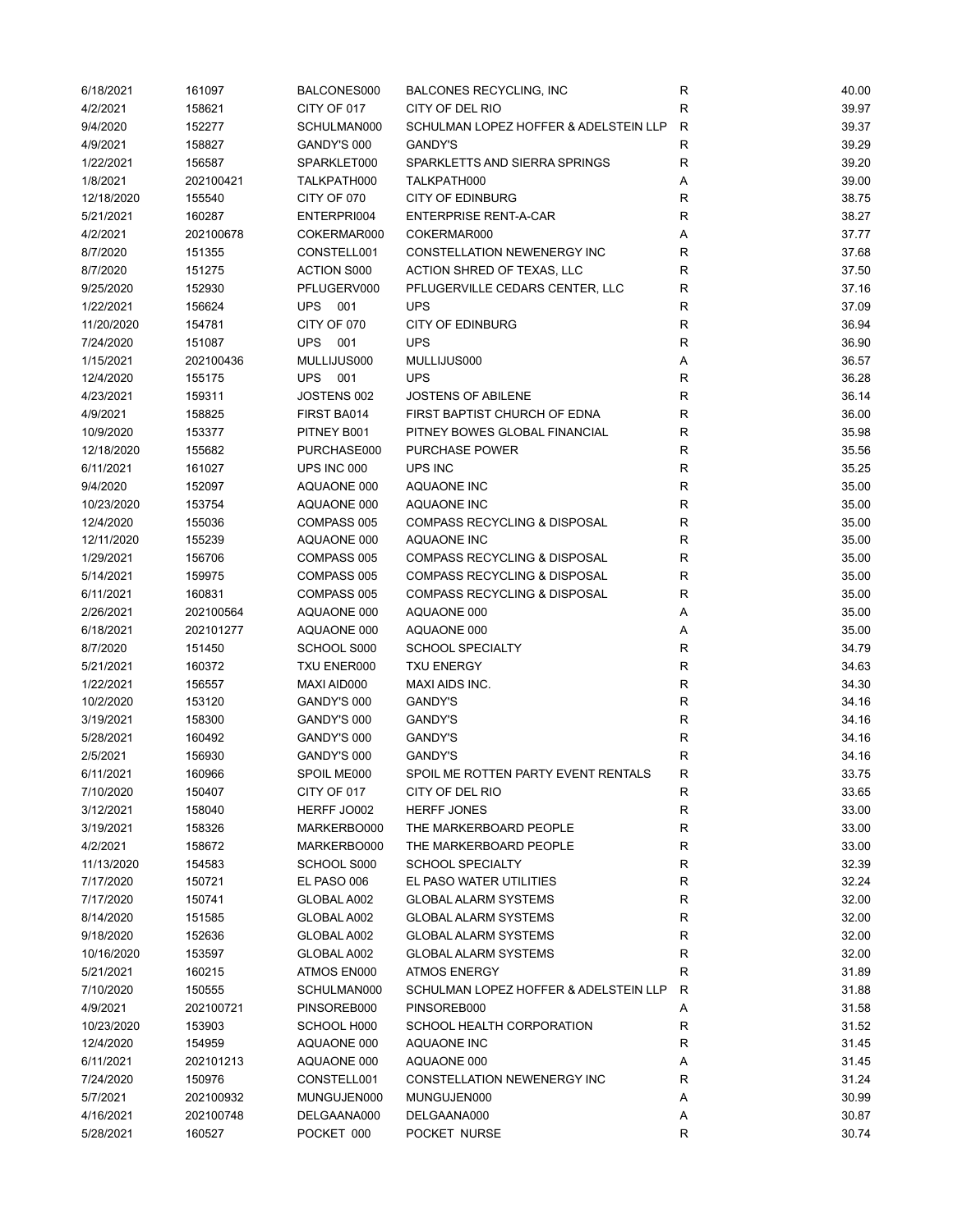| 6/18/2021  | 161097    | BALCONES000       | <b>BALCONES RECYCLING, INC</b>          | $\mathsf{R}$ | 40.00 |
|------------|-----------|-------------------|-----------------------------------------|--------------|-------|
| 4/2/2021   | 158621    | CITY OF 017       | CITY OF DEL RIO                         | $\mathsf{R}$ | 39.97 |
| 9/4/2020   | 152277    | SCHULMAN000       | SCHULMAN LOPEZ HOFFER & ADELSTEIN LLP   | R            | 39.37 |
| 4/9/2021   | 158827    | GANDY'S 000       | GANDY'S                                 | R            | 39.29 |
| 1/22/2021  | 156587    | SPARKLET000       | SPARKLETTS AND SIERRA SPRINGS           | R            | 39.20 |
| 1/8/2021   | 202100421 | TALKPATH000       | TALKPATH000                             | Α            | 39.00 |
| 12/18/2020 | 155540    | CITY OF 070       | <b>CITY OF EDINBURG</b>                 | $\mathsf{R}$ | 38.75 |
| 5/21/2021  | 160287    | ENTERPRI004       | <b>ENTERPRISE RENT-A-CAR</b>            | R            | 38.27 |
| 4/2/2021   | 202100678 | COKERMAR000       | COKERMAR000                             | Α            | 37.77 |
| 8/7/2020   | 151355    | CONSTELL001       | <b>CONSTELLATION NEWENERGY INC</b>      | R            | 37.68 |
|            |           |                   | ACTION SHRED OF TEXAS, LLC              | R            |       |
| 8/7/2020   | 151275    | ACTION S000       |                                         |              | 37.50 |
| 9/25/2020  | 152930    | PFLUGERV000       | PFLUGERVILLE CEDARS CENTER, LLC         | $\mathsf R$  | 37.16 |
| 1/22/2021  | 156624    | UPS 001           | <b>UPS</b>                              | $\mathsf{R}$ | 37.09 |
| 11/20/2020 | 154781    | CITY OF 070       | <b>CITY OF EDINBURG</b>                 | $\mathsf{R}$ | 36.94 |
| 7/24/2020  | 151087    | <b>UPS</b><br>001 | <b>UPS</b>                              | $\mathsf{R}$ | 36.90 |
| 1/15/2021  | 202100436 | MULLIJUS000       | MULLIJUS000                             | Α            | 36.57 |
| 12/4/2020  | 155175    | <b>UPS</b><br>001 | <b>UPS</b>                              | $\mathsf{R}$ | 36.28 |
| 4/23/2021  | 159311    | JOSTENS 002       | <b>JOSTENS OF ABILENE</b>               | $\mathsf R$  | 36.14 |
| 4/9/2021   | 158825    | FIRST BA014       | FIRST BAPTIST CHURCH OF EDNA            | $\mathsf R$  | 36.00 |
| 10/9/2020  | 153377    | PITNEY B001       | PITNEY BOWES GLOBAL FINANCIAL           | $\mathsf{R}$ | 35.98 |
| 12/18/2020 | 155682    | PURCHASE000       | <b>PURCHASE POWER</b>                   | R            | 35.56 |
| 6/11/2021  | 161027    | UPS INC 000       | UPS INC                                 | R            | 35.25 |
| 9/4/2020   | 152097    | AQUAONE 000       | AQUAONE INC                             | R            | 35.00 |
| 10/23/2020 | 153754    | AQUAONE 000       | AQUAONE INC                             | R            | 35.00 |
| 12/4/2020  | 155036    | COMPASS 005       | <b>COMPASS RECYCLING &amp; DISPOSAL</b> | R            | 35.00 |
| 12/11/2020 | 155239    | AQUAONE 000       | AQUAONE INC                             | $\mathsf{R}$ | 35.00 |
| 1/29/2021  | 156706    | COMPASS 005       | <b>COMPASS RECYCLING &amp; DISPOSAL</b> | $\mathsf{R}$ | 35.00 |
| 5/14/2021  | 159975    | COMPASS 005       | <b>COMPASS RECYCLING &amp; DISPOSAL</b> | R            | 35.00 |
| 6/11/2021  | 160831    | COMPASS 005       | <b>COMPASS RECYCLING &amp; DISPOSAL</b> | $\mathsf R$  | 35.00 |
| 2/26/2021  | 202100564 | AQUAONE 000       | AQUAONE 000                             | Α            | 35.00 |
| 6/18/2021  | 202101277 | AQUAONE 000       | AQUAONE 000                             | Α            | 35.00 |
| 8/7/2020   | 151450    |                   | <b>SCHOOL SPECIALTY</b>                 | R            | 34.79 |
|            |           | SCHOOL S000       |                                         | $\mathsf{R}$ |       |
| 5/21/2021  | 160372    | TXU ENER000       | <b>TXU ENERGY</b>                       |              | 34.63 |
| 1/22/2021  | 156557    | MAXI AID000       | MAXI AIDS INC.                          | $\mathsf{R}$ | 34.30 |
| 10/2/2020  | 153120    | GANDY'S 000       | <b>GANDY'S</b>                          | R            | 34.16 |
| 3/19/2021  | 158300    | GANDY'S 000       | GANDY'S                                 | R            | 34.16 |
| 5/28/2021  | 160492    | GANDY'S 000       | <b>GANDY'S</b>                          | R            | 34.16 |
| 2/5/2021   | 156930    | GANDY'S 000       | <b>GANDY'S</b>                          | R            | 34.16 |
| 6/11/2021  | 160966    | SPOIL ME000       | SPOIL ME ROTTEN PARTY EVENT RENTALS     | R            | 33.75 |
| 7/10/2020  | 150407    | CITY OF 017       | CITY OF DEL RIO                         | $\mathsf R$  | 33.65 |
| 3/12/2021  | 158040    | HERFF JO002       | <b>HERFF JONES</b>                      | $\mathsf R$  | 33.00 |
| 3/19/2021  | 158326    | MARKERBO000       | THE MARKERBOARD PEOPLE                  | R            | 33.00 |
| 4/2/2021   | 158672    | MARKERBO000       | THE MARKERBOARD PEOPLE                  | R            | 33.00 |
| 11/13/2020 | 154583    | SCHOOL S000       | <b>SCHOOL SPECIALTY</b>                 | R            | 32.39 |
| 7/17/2020  | 150721    | EL PASO 006       | EL PASO WATER UTILITIES                 | R            | 32.24 |
| 7/17/2020  | 150741    | GLOBAL A002       | <b>GLOBAL ALARM SYSTEMS</b>             | R            | 32.00 |
| 8/14/2020  | 151585    | GLOBAL A002       | <b>GLOBAL ALARM SYSTEMS</b>             | R            | 32.00 |
| 9/18/2020  | 152636    | GLOBAL A002       | <b>GLOBAL ALARM SYSTEMS</b>             | R            | 32.00 |
| 10/16/2020 | 153597    | GLOBAL A002       | <b>GLOBAL ALARM SYSTEMS</b>             | R            | 32.00 |
| 5/21/2021  | 160215    | ATMOS EN000       | <b>ATMOS ENERGY</b>                     | R            | 31.89 |
| 7/10/2020  | 150555    | SCHULMAN000       | SCHULMAN LOPEZ HOFFER & ADELSTEIN LLP   | R            | 31.88 |
| 4/9/2021   | 202100721 | PINSOREB000       | PINSOREB000                             | Α            | 31.58 |
| 10/23/2020 | 153903    | SCHOOL H000       | SCHOOL HEALTH CORPORATION               | R            | 31.52 |
| 12/4/2020  | 154959    | AQUAONE 000       | AQUAONE INC                             | $\mathsf R$  | 31.45 |
| 6/11/2021  | 202101213 | AQUAONE 000       | AQUAONE 000                             | Α            | 31.45 |
| 7/24/2020  | 150976    | CONSTELL001       | CONSTELLATION NEWENERGY INC             | R            | 31.24 |
|            | 202100932 | MUNGUJEN000       | MUNGUJEN000                             |              | 30.99 |
| 5/7/2021   |           |                   |                                         | Α            |       |
| 4/16/2021  | 202100748 | DELGAANA000       | DELGAANA000                             | Α            | 30.87 |
| 5/28/2021  | 160527    | POCKET 000        | POCKET NURSE                            | R            | 30.74 |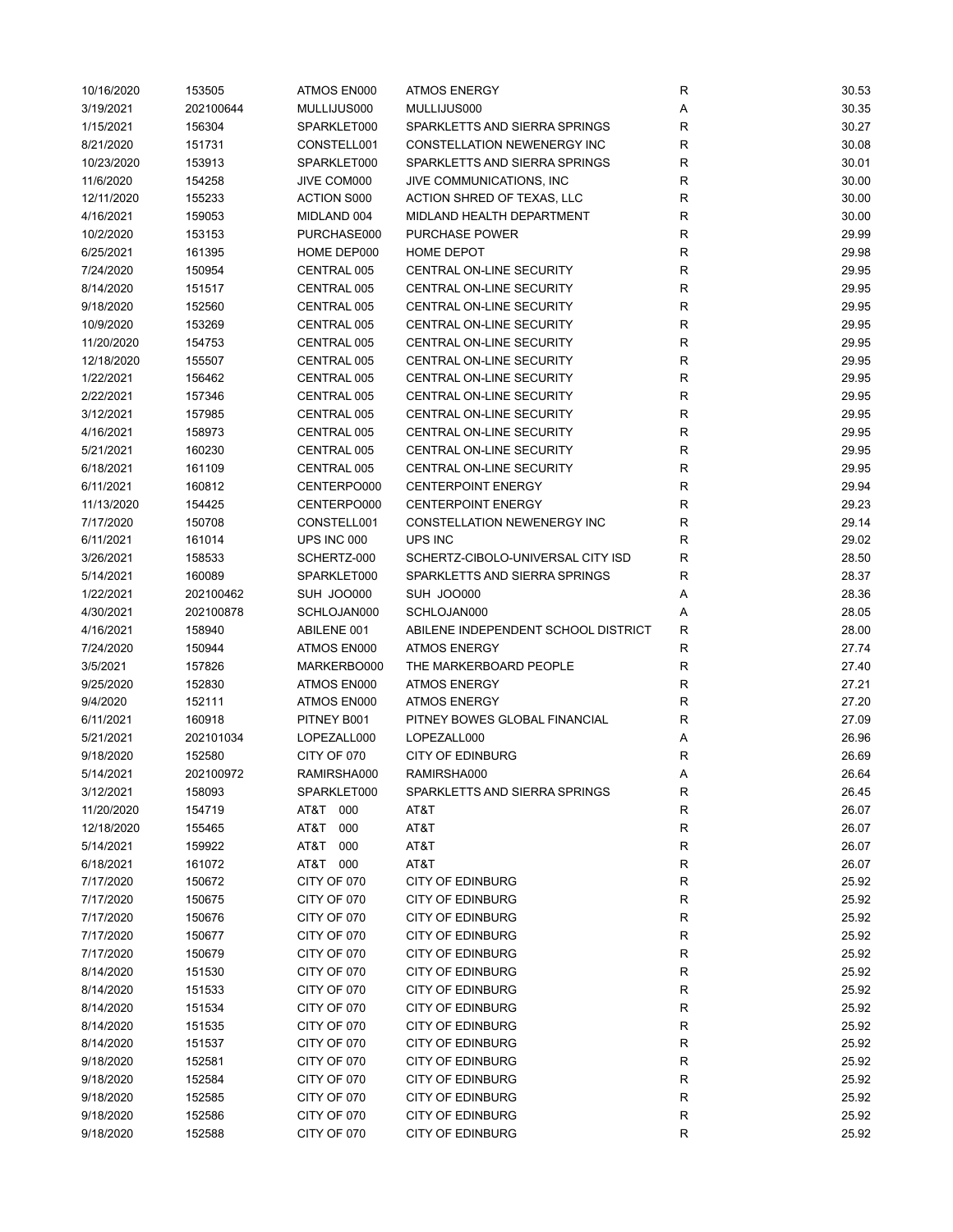| 10/16/2020 | 153505    | ATMOS EN000        | <b>ATMOS ENERGY</b>                 | R            | 30.53 |
|------------|-----------|--------------------|-------------------------------------|--------------|-------|
| 3/19/2021  | 202100644 | MULLIJUS000        | MULLIJUS000                         | Α            | 30.35 |
| 1/15/2021  | 156304    | SPARKLET000        | SPARKLETTS AND SIERRA SPRINGS       | R            | 30.27 |
| 8/21/2020  | 151731    | CONSTELL001        | CONSTELLATION NEWENERGY INC         | $\mathsf R$  | 30.08 |
| 10/23/2020 | 153913    | SPARKLET000        | SPARKLETTS AND SIERRA SPRINGS       | $\mathsf R$  | 30.01 |
| 11/6/2020  | 154258    | JIVE COM000        | JIVE COMMUNICATIONS, INC            | $\mathsf R$  | 30.00 |
| 12/11/2020 | 155233    | <b>ACTION S000</b> | ACTION SHRED OF TEXAS, LLC          | R            | 30.00 |
| 4/16/2021  | 159053    | MIDLAND 004        | MIDLAND HEALTH DEPARTMENT           | R            | 30.00 |
| 10/2/2020  | 153153    | PURCHASE000        | <b>PURCHASE POWER</b>               | R            | 29.99 |
| 6/25/2021  | 161395    | HOME DEP000        | <b>HOME DEPOT</b>                   | R            | 29.98 |
|            |           | CENTRAL 005        |                                     | $\mathsf R$  |       |
| 7/24/2020  | 150954    |                    | CENTRAL ON-LINE SECURITY            |              | 29.95 |
| 8/14/2020  | 151517    | CENTRAL 005        | CENTRAL ON-LINE SECURITY            | $\mathsf R$  | 29.95 |
| 9/18/2020  | 152560    | CENTRAL 005        | <b>CENTRAL ON-LINE SECURITY</b>     | $\mathsf R$  | 29.95 |
| 10/9/2020  | 153269    | CENTRAL 005        | <b>CENTRAL ON-LINE SECURITY</b>     | R            | 29.95 |
| 11/20/2020 | 154753    | CENTRAL 005        | CENTRAL ON-LINE SECURITY            | R            | 29.95 |
| 12/18/2020 | 155507    | CENTRAL 005        | <b>CENTRAL ON-LINE SECURITY</b>     | $\mathsf R$  | 29.95 |
| 1/22/2021  | 156462    | CENTRAL 005        | <b>CENTRAL ON-LINE SECURITY</b>     | R            | 29.95 |
| 2/22/2021  | 157346    | CENTRAL 005        | <b>CENTRAL ON-LINE SECURITY</b>     | $\mathsf R$  | 29.95 |
| 3/12/2021  | 157985    | CENTRAL 005        | <b>CENTRAL ON-LINE SECURITY</b>     | $\mathsf R$  | 29.95 |
| 4/16/2021  | 158973    | CENTRAL 005        | CENTRAL ON-LINE SECURITY            | R            | 29.95 |
| 5/21/2021  | 160230    | CENTRAL 005        | CENTRAL ON-LINE SECURITY            | R            | 29.95 |
| 6/18/2021  | 161109    | CENTRAL 005        | <b>CENTRAL ON-LINE SECURITY</b>     | R            | 29.95 |
| 6/11/2021  | 160812    | CENTERPO000        | <b>CENTERPOINT ENERGY</b>           | R            | 29.94 |
| 11/13/2020 | 154425    | CENTERPO000        | <b>CENTERPOINT ENERGY</b>           | R            | 29.23 |
| 7/17/2020  | 150708    | CONSTELL001        | CONSTELLATION NEWENERGY INC         | $\mathsf R$  | 29.14 |
| 6/11/2021  | 161014    | UPS INC 000        | UPS INC                             | $\mathsf R$  | 29.02 |
| 3/26/2021  | 158533    | SCHERTZ-000        | SCHERTZ-CIBOLO-UNIVERSAL CITY ISD   | $\mathsf R$  | 28.50 |
| 5/14/2021  | 160089    | SPARKLET000        | SPARKLETTS AND SIERRA SPRINGS       | $\mathsf R$  | 28.37 |
| 1/22/2021  | 202100462 | <b>SUH JOO000</b>  | SUH JOO000                          | Α            | 28.36 |
| 4/30/2021  | 202100878 | SCHLOJAN000        | SCHLOJAN000                         | Α            | 28.05 |
| 4/16/2021  | 158940    | ABILENE 001        | ABILENE INDEPENDENT SCHOOL DISTRICT | R            | 28.00 |
| 7/24/2020  | 150944    | ATMOS EN000        | <b>ATMOS ENERGY</b>                 | $\mathsf R$  | 27.74 |
| 3/5/2021   | 157826    | MARKERBO000        | THE MARKERBOARD PEOPLE              | R            | 27.40 |
|            |           |                    | <b>ATMOS ENERGY</b>                 |              | 27.21 |
| 9/25/2020  | 152830    | ATMOS EN000        |                                     | R            |       |
| 9/4/2020   | 152111    | ATMOS EN000        | <b>ATMOS ENERGY</b>                 | R            | 27.20 |
| 6/11/2021  | 160918    | PITNEY B001        | PITNEY BOWES GLOBAL FINANCIAL       | R            | 27.09 |
| 5/21/2021  | 202101034 | LOPEZALL000        | LOPEZALL000                         | Α            | 26.96 |
| 9/18/2020  | 152580    | CITY OF 070        | <b>CITY OF EDINBURG</b>             | R            | 26.69 |
| 5/14/2021  | 202100972 | RAMIRSHA000        | RAMIRSHA000                         | Α            | 26.64 |
| 3/12/2021  | 158093    | SPARKLET000        | SPARKLETTS AND SIERRA SPRINGS       | $\mathsf R$  | 26.45 |
| 11/20/2020 | 154719    | AT&T 000           | AT&T                                | $\mathsf{R}$ | 26.07 |
| 12/18/2020 | 155465    | AT&T<br>000        | AT&T                                | R            | 26.07 |
| 5/14/2021  | 159922    | AT&T<br>000        | AT&T                                | R            | 26.07 |
| 6/18/2021  | 161072    | AT&T<br>000        | AT&T                                | R            | 26.07 |
| 7/17/2020  | 150672    | CITY OF 070        | <b>CITY OF EDINBURG</b>             | R            | 25.92 |
| 7/17/2020  | 150675    | CITY OF 070        | <b>CITY OF EDINBURG</b>             | $\mathsf R$  | 25.92 |
| 7/17/2020  | 150676    | CITY OF 070        | CITY OF EDINBURG                    | R            | 25.92 |
| 7/17/2020  | 150677    | CITY OF 070        | <b>CITY OF EDINBURG</b>             | R            | 25.92 |
| 7/17/2020  | 150679    | CITY OF 070        | <b>CITY OF EDINBURG</b>             | R            | 25.92 |
| 8/14/2020  | 151530    | CITY OF 070        | <b>CITY OF EDINBURG</b>             | R            | 25.92 |
| 8/14/2020  | 151533    | CITY OF 070        | <b>CITY OF EDINBURG</b>             | R            | 25.92 |
| 8/14/2020  | 151534    | CITY OF 070        | <b>CITY OF EDINBURG</b>             | R            | 25.92 |
| 8/14/2020  | 151535    | CITY OF 070        | <b>CITY OF EDINBURG</b>             | R            | 25.92 |
| 8/14/2020  | 151537    | CITY OF 070        | <b>CITY OF EDINBURG</b>             | $\mathsf R$  | 25.92 |
| 9/18/2020  | 152581    | CITY OF 070        | <b>CITY OF EDINBURG</b>             | R            | 25.92 |
| 9/18/2020  | 152584    | CITY OF 070        | <b>CITY OF EDINBURG</b>             | R            | 25.92 |
| 9/18/2020  | 152585    | CITY OF 070        | <b>CITY OF EDINBURG</b>             | R            | 25.92 |
| 9/18/2020  | 152586    | CITY OF 070        | <b>CITY OF EDINBURG</b>             | R            | 25.92 |
|            |           |                    | <b>CITY OF EDINBURG</b>             | $\mathsf R$  |       |
| 9/18/2020  | 152588    | CITY OF 070        |                                     |              | 25.92 |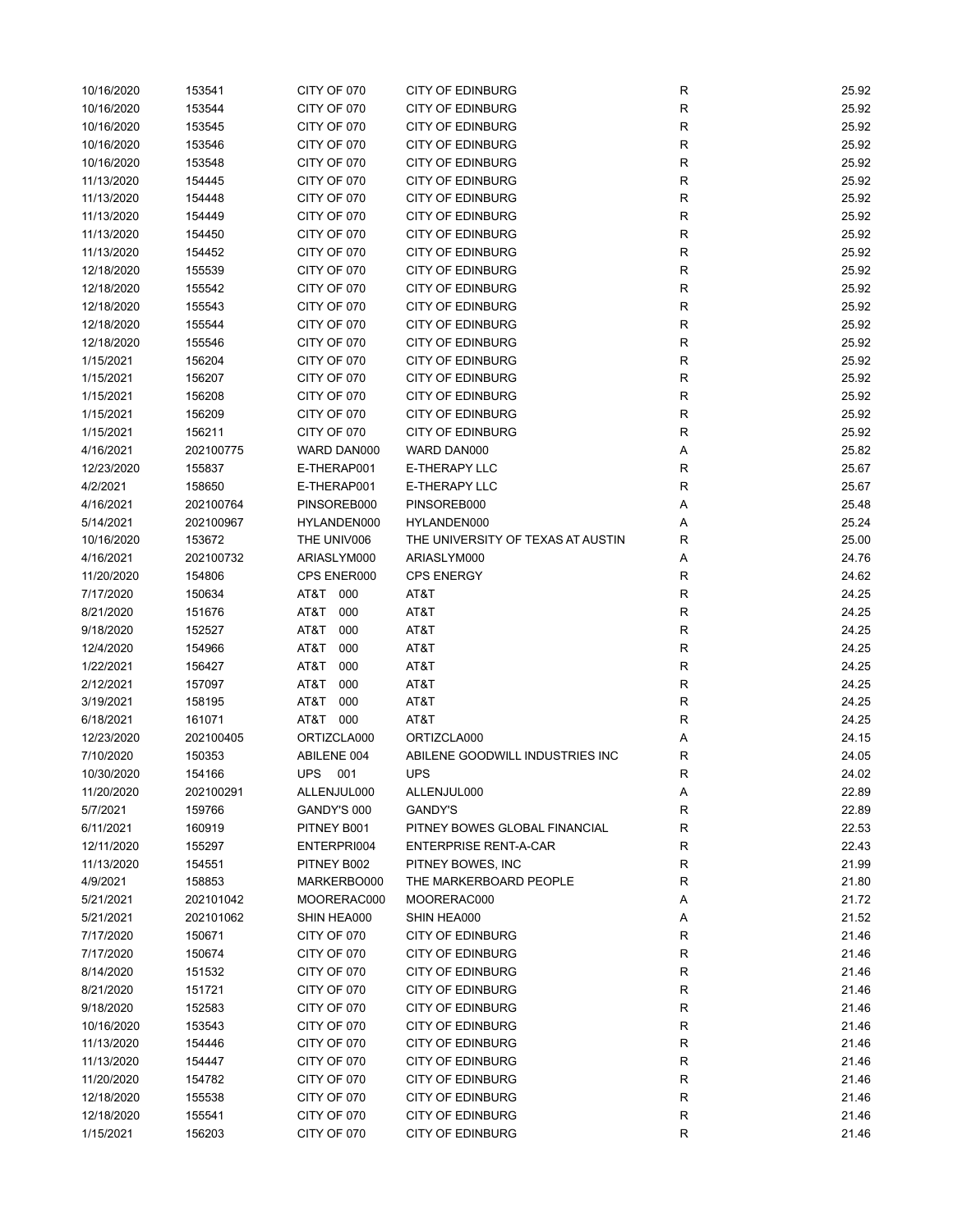| 10/16/2020 | 153541    | CITY OF 070       | <b>CITY OF EDINBURG</b>           | R            | 25.92 |
|------------|-----------|-------------------|-----------------------------------|--------------|-------|
| 10/16/2020 | 153544    | CITY OF 070       | <b>CITY OF EDINBURG</b>           | R            | 25.92 |
| 10/16/2020 | 153545    | CITY OF 070       | <b>CITY OF EDINBURG</b>           | R            | 25.92 |
| 10/16/2020 | 153546    | CITY OF 070       | <b>CITY OF EDINBURG</b>           | R            | 25.92 |
| 10/16/2020 | 153548    | CITY OF 070       | <b>CITY OF EDINBURG</b>           | R            | 25.92 |
| 11/13/2020 | 154445    | CITY OF 070       | <b>CITY OF EDINBURG</b>           | $\mathsf R$  | 25.92 |
| 11/13/2020 | 154448    | CITY OF 070       | <b>CITY OF EDINBURG</b>           | R            | 25.92 |
| 11/13/2020 | 154449    | CITY OF 070       | <b>CITY OF EDINBURG</b>           | R            | 25.92 |
| 11/13/2020 | 154450    | CITY OF 070       | <b>CITY OF EDINBURG</b>           | $\mathsf R$  | 25.92 |
| 11/13/2020 | 154452    | CITY OF 070       | <b>CITY OF EDINBURG</b>           | $\mathsf R$  | 25.92 |
|            |           |                   |                                   | $\mathsf R$  |       |
| 12/18/2020 | 155539    | CITY OF 070       | <b>CITY OF EDINBURG</b>           |              | 25.92 |
| 12/18/2020 | 155542    | CITY OF 070       | <b>CITY OF EDINBURG</b>           | $\mathsf R$  | 25.92 |
| 12/18/2020 | 155543    | CITY OF 070       | <b>CITY OF EDINBURG</b>           | $\mathsf{R}$ | 25.92 |
| 12/18/2020 | 155544    | CITY OF 070       | <b>CITY OF EDINBURG</b>           | $\mathsf R$  | 25.92 |
| 12/18/2020 | 155546    | CITY OF 070       | <b>CITY OF EDINBURG</b>           | R            | 25.92 |
| 1/15/2021  | 156204    | CITY OF 070       | <b>CITY OF EDINBURG</b>           | $\mathsf R$  | 25.92 |
| 1/15/2021  | 156207    | CITY OF 070       | <b>CITY OF EDINBURG</b>           | $\mathsf R$  | 25.92 |
| 1/15/2021  | 156208    | CITY OF 070       | <b>CITY OF EDINBURG</b>           | $\mathsf R$  | 25.92 |
| 1/15/2021  | 156209    | CITY OF 070       | <b>CITY OF EDINBURG</b>           | $\mathsf R$  | 25.92 |
| 1/15/2021  | 156211    | CITY OF 070       | <b>CITY OF EDINBURG</b>           | R            | 25.92 |
| 4/16/2021  | 202100775 | WARD DAN000       | WARD DAN000                       | Α            | 25.82 |
| 12/23/2020 | 155837    | E-THERAP001       | E-THERAPY LLC                     | R            | 25.67 |
| 4/2/2021   | 158650    | E-THERAP001       | E-THERAPY LLC                     | $\mathsf R$  | 25.67 |
| 4/16/2021  | 202100764 | PINSOREB000       | PINSOREB000                       | Α            | 25.48 |
| 5/14/2021  | 202100967 | HYLANDEN000       | HYLANDEN000                       | Α            | 25.24 |
| 10/16/2020 | 153672    | THE UNIV006       | THE UNIVERSITY OF TEXAS AT AUSTIN | R            | 25.00 |
| 4/16/2021  | 202100732 | ARIASLYM000       | ARIASLYM000                       | Α            | 24.76 |
| 11/20/2020 | 154806    | CPS ENER000       | <b>CPS ENERGY</b>                 | R            | 24.62 |
| 7/17/2020  | 150634    | AT&T<br>000       | AT&T                              | R            | 24.25 |
| 8/21/2020  | 151676    | T&TA<br>000       | AT&T                              | $\mathsf R$  | 24.25 |
|            |           | AT&T<br>000       |                                   | $\mathsf R$  |       |
| 9/18/2020  | 152527    |                   | AT&T                              |              | 24.25 |
| 12/4/2020  | 154966    | AT&T<br>000       | AT&T                              | R            | 24.25 |
| 1/22/2021  | 156427    | AT&T<br>000       | AT&T                              | R            | 24.25 |
| 2/12/2021  | 157097    | AT&T<br>000       | AT&T                              | R            | 24.25 |
| 3/19/2021  | 158195    | T&TA<br>000       | AT&T                              | R            | 24.25 |
| 6/18/2021  | 161071    | AT&T 000          | AT&T                              | R            | 24.25 |
| 12/23/2020 | 202100405 | ORTIZCLA000       | ORTIZCLA000                       | Α            | 24.15 |
| 7/10/2020  | 150353    | ABILENE 004       | ABILENE GOODWILL INDUSTRIES INC   | R            | 24.05 |
| 10/30/2020 | 154166    | <b>UPS</b><br>001 | <b>UPS</b>                        | R            | 24.02 |
| 11/20/2020 | 202100291 | ALLENJUL000       | ALLENJUL000                       | Α            | 22.89 |
| 5/7/2021   | 159766    | GANDY'S 000       | GANDY'S                           | R            | 22.89 |
| 6/11/2021  | 160919    | PITNEY B001       | PITNEY BOWES GLOBAL FINANCIAL     | R            | 22.53 |
| 12/11/2020 | 155297    | ENTERPRI004       | <b>ENTERPRISE RENT-A-CAR</b>      | $\mathsf R$  | 22.43 |
| 11/13/2020 | 154551    | PITNEY B002       | PITNEY BOWES, INC.                | R            | 21.99 |
| 4/9/2021   | 158853    | MARKERBO000       | THE MARKERBOARD PEOPLE            | R            | 21.80 |
| 5/21/2021  | 202101042 | MOORERAC000       | MOORERAC000                       | Α            | 21.72 |
| 5/21/2021  | 202101062 | SHIN HEA000       | SHIN HEA000                       | Α            | 21.52 |
| 7/17/2020  | 150671    | CITY OF 070       | <b>CITY OF EDINBURG</b>           | R            | 21.46 |
| 7/17/2020  | 150674    | CITY OF 070       | <b>CITY OF EDINBURG</b>           | R            | 21.46 |
| 8/14/2020  | 151532    | CITY OF 070       | <b>CITY OF EDINBURG</b>           | R            | 21.46 |
| 8/21/2020  | 151721    | CITY OF 070       | <b>CITY OF EDINBURG</b>           | R            | 21.46 |
| 9/18/2020  | 152583    | CITY OF 070       | <b>CITY OF EDINBURG</b>           | R            | 21.46 |
| 10/16/2020 | 153543    | CITY OF 070       | <b>CITY OF EDINBURG</b>           | $\mathsf R$  | 21.46 |
| 11/13/2020 | 154446    | CITY OF 070       | <b>CITY OF EDINBURG</b>           | $\mathsf R$  | 21.46 |
|            |           |                   |                                   |              |       |
| 11/13/2020 | 154447    | CITY OF 070       | <b>CITY OF EDINBURG</b>           | R            | 21.46 |
| 11/20/2020 | 154782    | CITY OF 070       | CITY OF EDINBURG                  | R            | 21.46 |
| 12/18/2020 | 155538    | CITY OF 070       | <b>CITY OF EDINBURG</b>           | R            | 21.46 |
| 12/18/2020 | 155541    | CITY OF 070       | <b>CITY OF EDINBURG</b>           | R            | 21.46 |
| 1/15/2021  | 156203    | CITY OF 070       | <b>CITY OF EDINBURG</b>           | $\mathsf{R}$ | 21.46 |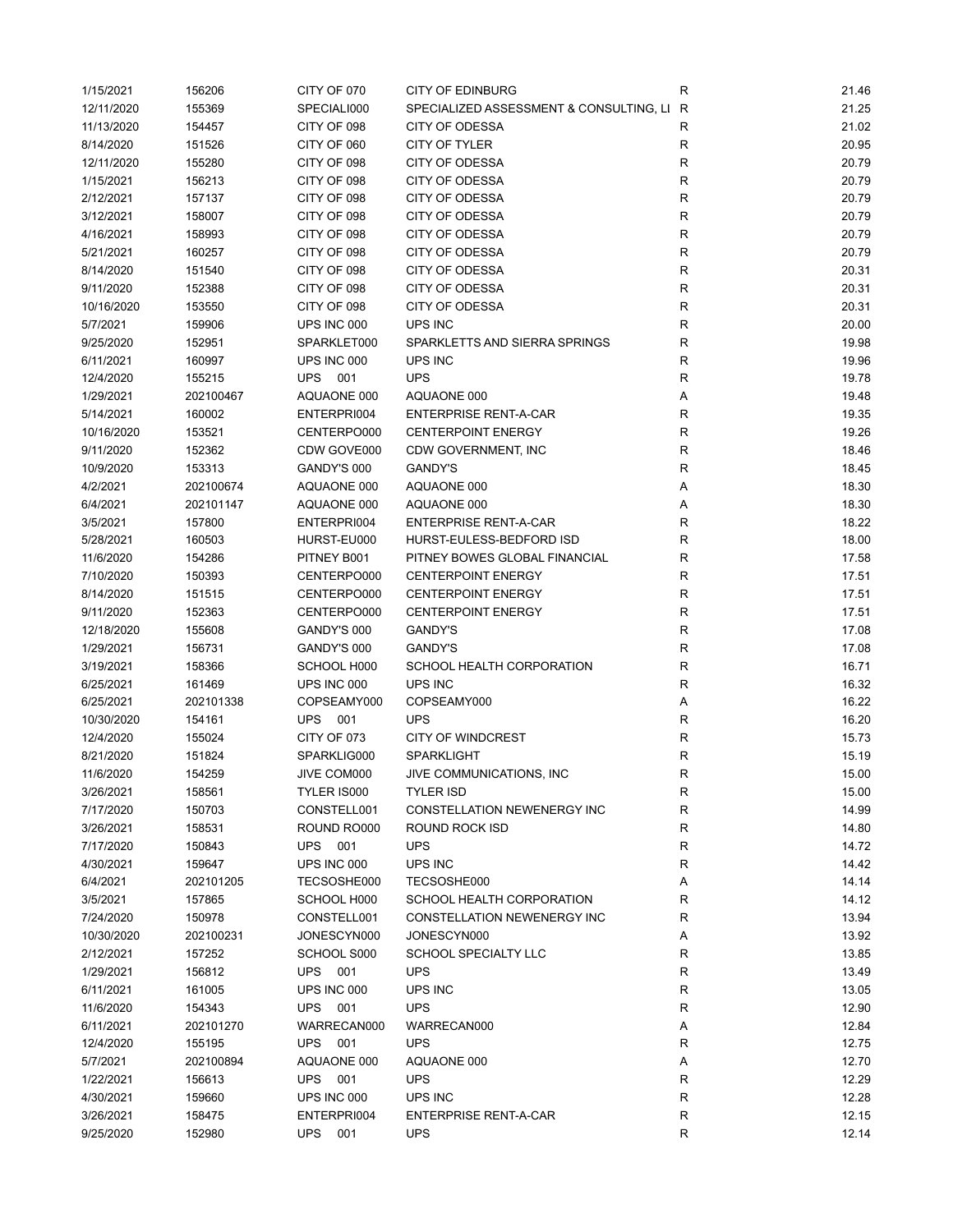| 1/15/2021  | 156206    | CITY OF 070       | <b>CITY OF EDINBURG</b>                   | R            | 21.46          |
|------------|-----------|-------------------|-------------------------------------------|--------------|----------------|
| 12/11/2020 | 155369    | SPECIALI000       | SPECIALIZED ASSESSMENT & CONSULTING, LI R |              | 21.25          |
| 11/13/2020 | 154457    | CITY OF 098       | <b>CITY OF ODESSA</b>                     | R            | 21.02          |
| 8/14/2020  | 151526    | CITY OF 060       | CITY OF TYLER                             | R            | 20.95          |
| 12/11/2020 | 155280    | CITY OF 098       | <b>CITY OF ODESSA</b>                     | $\mathsf{R}$ | 20.79          |
| 1/15/2021  | 156213    | CITY OF 098       | <b>CITY OF ODESSA</b>                     | $\mathsf{R}$ | 20.79          |
| 2/12/2021  | 157137    | CITY OF 098       | <b>CITY OF ODESSA</b>                     | $\mathsf{R}$ | 20.79          |
| 3/12/2021  | 158007    | CITY OF 098       | <b>CITY OF ODESSA</b>                     | $\mathsf{R}$ | 20.79          |
| 4/16/2021  | 158993    | CITY OF 098       | CITY OF ODESSA                            | R            | 20.79          |
|            |           |                   | <b>CITY OF ODESSA</b>                     |              | 20.79          |
| 5/21/2021  | 160257    | CITY OF 098       |                                           | R            |                |
| 8/14/2020  | 151540    | CITY OF 098       | <b>CITY OF ODESSA</b>                     | R            | 20.31          |
| 9/11/2020  | 152388    | CITY OF 098       | <b>CITY OF ODESSA</b>                     | R            | 20.31          |
| 10/16/2020 | 153550    | CITY OF 098       | <b>CITY OF ODESSA</b>                     | $\mathsf R$  | 20.31          |
| 5/7/2021   | 159906    | UPS INC 000       | UPS INC                                   | $\mathsf R$  | 20.00          |
| 9/25/2020  | 152951    | SPARKLET000       | SPARKLETTS AND SIERRA SPRINGS             | R            | 19.98          |
| 6/11/2021  | 160997    | UPS INC 000       | UPS INC                                   | $\mathsf R$  | 19.96          |
| 12/4/2020  | 155215    | <b>UPS</b><br>001 | <b>UPS</b>                                | $\mathsf R$  | 19.78          |
| 1/29/2021  | 202100467 | AQUAONE 000       | AQUAONE 000                               | Α            | 19.48          |
| 5/14/2021  | 160002    | ENTERPRI004       | <b>ENTERPRISE RENT-A-CAR</b>              | $\mathsf R$  | 19.35          |
| 10/16/2020 | 153521    | CENTERPO000       | <b>CENTERPOINT ENERGY</b>                 | $\mathsf R$  | 19.26          |
| 9/11/2020  | 152362    | CDW GOVE000       | CDW GOVERNMENT, INC                       | $\mathsf R$  | 18.46          |
| 10/9/2020  | 153313    | GANDY'S 000       | <b>GANDY'S</b>                            | R            | 18.45          |
| 4/2/2021   | 202100674 | AQUAONE 000       | AQUAONE 000                               | Α            | 18.30          |
| 6/4/2021   | 202101147 | AQUAONE 000       | AQUAONE 000                               | Α            | 18.30          |
| 3/5/2021   | 157800    | ENTERPRI004       | <b>ENTERPRISE RENT-A-CAR</b>              | R            | 18.22          |
| 5/28/2021  | 160503    | HURST-EU000       | HURST-EULESS-BEDFORD ISD                  | $\mathsf R$  | 18.00          |
| 11/6/2020  | 154286    | PITNEY B001       | PITNEY BOWES GLOBAL FINANCIAL             | $\mathsf R$  | 17.58          |
| 7/10/2020  | 150393    | CENTERPO000       | <b>CENTERPOINT ENERGY</b>                 | R            | 17.51          |
|            |           |                   |                                           | $\mathsf R$  |                |
| 8/14/2020  | 151515    | CENTERPO000       | <b>CENTERPOINT ENERGY</b>                 |              | 17.51          |
| 9/11/2020  | 152363    | CENTERPO000       | <b>CENTERPOINT ENERGY</b>                 | $\mathsf R$  | 17.51          |
| 12/18/2020 | 155608    | GANDY'S 000       | <b>GANDY'S</b>                            | $\mathsf R$  | 17.08          |
| 1/29/2021  | 156731    | GANDY'S 000       | <b>GANDY'S</b>                            | $\mathsf R$  | 17.08          |
| 3/19/2021  | 158366    | SCHOOL H000       | SCHOOL HEALTH CORPORATION                 | $\mathsf R$  | 16.71          |
| 6/25/2021  | 161469    | UPS INC 000       | UPS INC                                   | $\mathsf R$  | 16.32          |
| 6/25/2021  | 202101338 | COPSEAMY000       | COPSEAMY000                               | Α            | 16.22          |
| 10/30/2020 | 154161    | UPS<br>001        | <b>UPS</b>                                | R            | 16.20          |
| 12/4/2020  | 155024    | CITY OF 073       | <b>CITY OF WINDCREST</b>                  | R            | 15.73          |
| 8/21/2020  | 151824    | SPARKLIG000       | <b>SPARKLIGHT</b>                         | R            | 15.19          |
| 11/6/2020  | 154259    | JIVE COM000       | JIVE COMMUNICATIONS, INC                  | R            | 15.00          |
| 3/26/2021  | 158561    | TYLER IS000       | <b>TYLER ISD</b>                          | R            | 15.00          |
| 7/17/2020  | 150703    | CONSTELL001       | <b>CONSTELLATION NEWENERGY INC</b>        | ${\sf R}$    | 14.99          |
| 3/26/2021  | 158531    | ROUND RO000       | ROUND ROCK ISD                            | R            | 14.80          |
| 7/17/2020  | 150843    | <b>UPS 001</b>    | <b>UPS</b>                                | R            | 14.72          |
| 4/30/2021  | 159647    | UPS INC 000       | UPS INC                                   | R            | 14.42          |
| 6/4/2021   | 202101205 | TECSOSHE000       | TECSOSHE000                               | Α            | 14.14          |
| 3/5/2021   | 157865    | SCHOOL H000       | SCHOOL HEALTH CORPORATION                 | R            | 14.12          |
| 7/24/2020  | 150978    | CONSTELL001       | CONSTELLATION NEWENERGY INC               | $\mathsf R$  | 13.94          |
| 10/30/2020 | 202100231 | JONESCYN000       | JONESCYN000                               | Α            | 13.92          |
| 2/12/2021  | 157252    | SCHOOL S000       | SCHOOL SPECIALTY LLC                      | R            | 13.85          |
| 1/29/2021  | 156812    | UPS 001           | <b>UPS</b>                                | R            | 13.49          |
|            |           | UPS INC 000       | UPS INC                                   |              |                |
| 6/11/2021  | 161005    |                   |                                           | R            | 13.05<br>12.90 |
| 11/6/2020  | 154343    | <b>UPS</b><br>001 | <b>UPS</b>                                | R            |                |
| 6/11/2021  | 202101270 | WARRECAN000       | WARRECAN000                               | Α            | 12.84          |
| 12/4/2020  | 155195    | UPS<br>001        | <b>UPS</b>                                | R            | 12.75          |
| 5/7/2021   | 202100894 | AQUAONE 000       | AQUAONE 000                               | Α            | 12.70          |
| 1/22/2021  | 156613    | UPS<br>001        | <b>UPS</b>                                | $\mathsf{R}$ | 12.29          |
| 4/30/2021  | 159660    | UPS INC 000       | UPS INC                                   | $\mathsf R$  | 12.28          |
| 3/26/2021  | 158475    | ENTERPRI004       | ENTERPRISE RENT-A-CAR                     | R            | 12.15          |
| 9/25/2020  | 152980    | <b>UPS</b><br>001 | <b>UPS</b>                                | R            | 12.14          |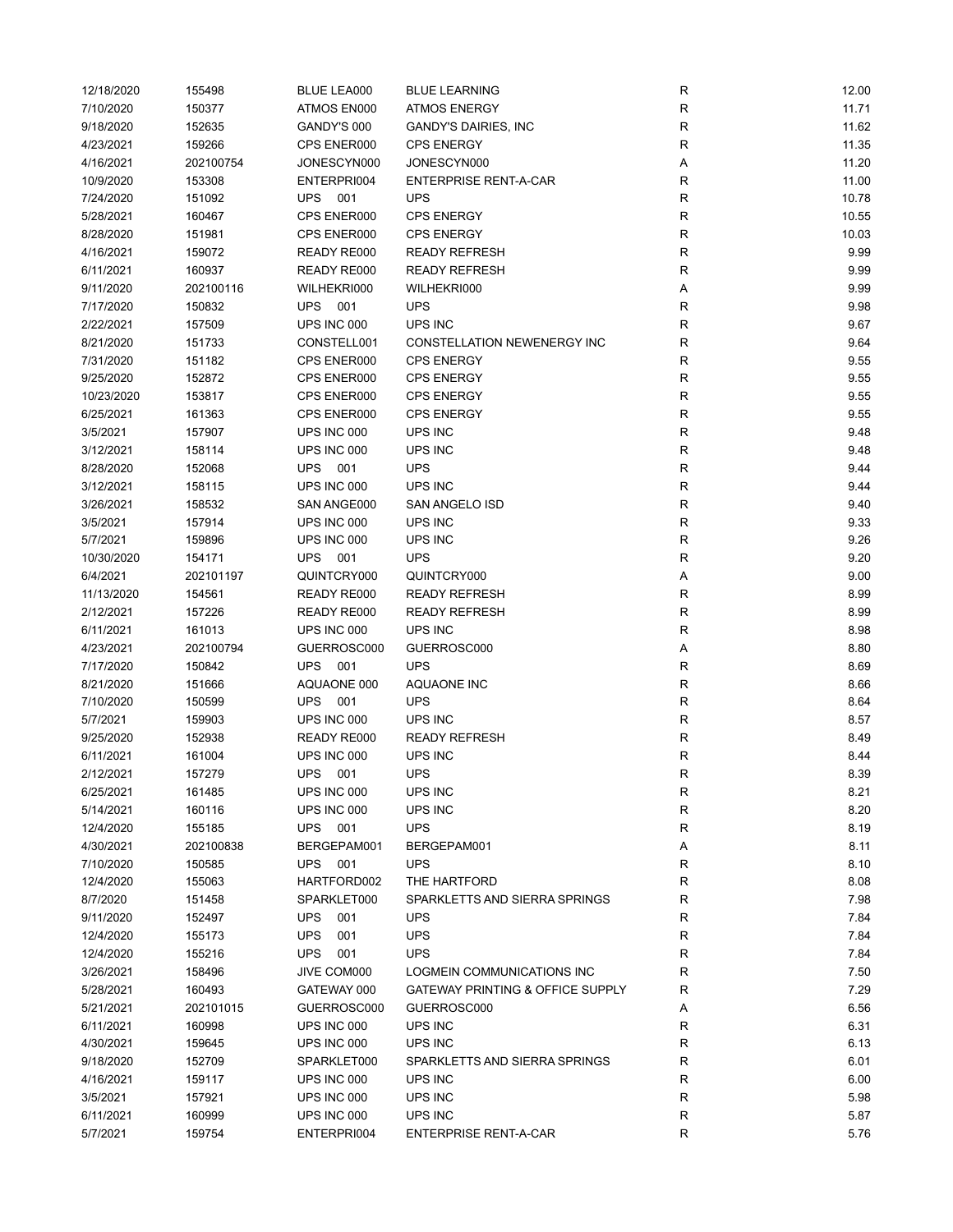| 12/18/2020 | 155498    | BLUE LEA000       | <b>BLUE LEARNING</b>                        | R           | 12.00 |
|------------|-----------|-------------------|---------------------------------------------|-------------|-------|
| 7/10/2020  | 150377    | ATMOS EN000       | <b>ATMOS ENERGY</b>                         | R           | 11.71 |
| 9/18/2020  | 152635    | GANDY'S 000       | <b>GANDY'S DAIRIES, INC</b>                 | R           | 11.62 |
| 4/23/2021  | 159266    | CPS ENER000       | <b>CPS ENERGY</b>                           | $\mathsf R$ | 11.35 |
| 4/16/2021  | 202100754 | JONESCYN000       | JONESCYN000                                 | Α           | 11.20 |
| 10/9/2020  | 153308    | ENTERPRI004       | <b>ENTERPRISE RENT-A-CAR</b>                | R           | 11.00 |
| 7/24/2020  | 151092    | <b>UPS</b><br>001 | <b>UPS</b>                                  | R           | 10.78 |
| 5/28/2021  | 160467    | CPS ENER000       | <b>CPS ENERGY</b>                           | R           | 10.55 |
| 8/28/2020  | 151981    | CPS ENER000       | <b>CPS ENERGY</b>                           | $\mathsf R$ | 10.03 |
| 4/16/2021  | 159072    | READY RE000       | <b>READY REFRESH</b>                        | $\mathsf R$ | 9.99  |
| 6/11/2021  | 160937    | READY RE000       | <b>READY REFRESH</b>                        | $\mathsf R$ | 9.99  |
|            | 202100116 |                   |                                             |             | 9.99  |
| 9/11/2020  |           | WILHEKRI000       | WILHEKRI000                                 | Α           |       |
| 7/17/2020  | 150832    | UPS 001           | <b>UPS</b>                                  | $\mathsf R$ | 9.98  |
| 2/22/2021  | 157509    | UPS INC 000       | UPS INC                                     | $\mathsf R$ | 9.67  |
| 8/21/2020  | 151733    | CONSTELL001       | CONSTELLATION NEWENERGY INC                 | $\mathsf R$ | 9.64  |
| 7/31/2020  | 151182    | CPS ENER000       | <b>CPS ENERGY</b>                           | R           | 9.55  |
| 9/25/2020  | 152872    | CPS ENER000       | <b>CPS ENERGY</b>                           | $\mathsf R$ | 9.55  |
| 10/23/2020 | 153817    | CPS ENER000       | <b>CPS ENERGY</b>                           | $\mathsf R$ | 9.55  |
| 6/25/2021  | 161363    | CPS ENER000       | <b>CPS ENERGY</b>                           | R           | 9.55  |
| 3/5/2021   | 157907    | UPS INC 000       | UPS INC                                     | R           | 9.48  |
| 3/12/2021  | 158114    | UPS INC 000       | UPS INC                                     | R           | 9.48  |
| 8/28/2020  | 152068    | <b>UPS</b><br>001 | <b>UPS</b>                                  | R           | 9.44  |
| 3/12/2021  | 158115    | UPS INC 000       | UPS INC                                     | $\mathsf R$ | 9.44  |
| 3/26/2021  | 158532    | SAN ANGE000       | SAN ANGELO ISD                              | $\mathsf R$ | 9.40  |
| 3/5/2021   | 157914    | UPS INC 000       | UPS INC                                     | $\mathsf R$ | 9.33  |
| 5/7/2021   | 159896    | UPS INC 000       | UPS INC                                     | $\mathsf R$ | 9.26  |
| 10/30/2020 | 154171    | UPS 001           | <b>UPS</b>                                  | $\mathsf R$ | 9.20  |
| 6/4/2021   | 202101197 | QUINTCRY000       | QUINTCRY000                                 | Α           | 9.00  |
| 11/13/2020 | 154561    | READY RE000       | <b>READY REFRESH</b>                        | $\mathsf R$ | 8.99  |
| 2/12/2021  | 157226    | READY RE000       | <b>READY REFRESH</b>                        | $\mathsf R$ | 8.99  |
| 6/11/2021  | 161013    | UPS INC 000       | UPS INC                                     | $\mathsf R$ | 8.98  |
| 4/23/2021  | 202100794 | GUERROSC000       | GUERROSC000                                 | Α           | 8.80  |
| 7/17/2020  | 150842    | <b>UPS</b><br>001 | <b>UPS</b>                                  | R           | 8.69  |
| 8/21/2020  | 151666    | AQUAONE 000       | AQUAONE INC                                 | R           | 8.66  |
|            |           | <b>UPS</b>        | <b>UPS</b>                                  |             | 8.64  |
| 7/10/2020  | 150599    | 001               |                                             | R           |       |
| 5/7/2021   | 159903    | UPS INC 000       | UPS INC                                     | R           | 8.57  |
| 9/25/2020  | 152938    | READY RE000       | <b>READY REFRESH</b>                        | $\mathsf R$ | 8.49  |
| 6/11/2021  | 161004    | UPS INC 000       | UPS INC                                     | $\mathsf R$ | 8.44  |
| 2/12/2021  | 157279    | <b>UPS</b><br>001 | <b>UPS</b>                                  | R           | 8.39  |
| 6/25/2021  | 161485    | UPS INC 000       | UPS INC                                     | R           | 8.21  |
| 5/14/2021  | 160116    | UPS INC 000       | UPS INC                                     | $\mathsf R$ | 8.20  |
| 12/4/2020  | 155185    | UPS 001           | <b>UPS</b>                                  | $\mathsf R$ | 8.19  |
| 4/30/2021  | 202100838 | BERGEPAM001       | BERGEPAM001                                 | Α           | 8.11  |
| 7/10/2020  | 150585    | UPS<br>001        | <b>UPS</b>                                  | R           | 8.10  |
| 12/4/2020  | 155063    | HARTFORD002       | THE HARTFORD                                | R           | 8.08  |
| 8/7/2020   | 151458    | SPARKLET000       | SPARKLETTS AND SIERRA SPRINGS               | R           | 7.98  |
| 9/11/2020  | 152497    | <b>UPS</b><br>001 | <b>UPS</b>                                  | R           | 7.84  |
| 12/4/2020  | 155173    | <b>UPS</b><br>001 | <b>UPS</b>                                  | R           | 7.84  |
| 12/4/2020  | 155216    | <b>UPS</b><br>001 | <b>UPS</b>                                  | R           | 7.84  |
| 3/26/2021  | 158496    | JIVE COM000       | LOGMEIN COMMUNICATIONS INC                  | R           | 7.50  |
| 5/28/2021  | 160493    | GATEWAY 000       | <b>GATEWAY PRINTING &amp; OFFICE SUPPLY</b> | R           | 7.29  |
| 5/21/2021  | 202101015 | GUERROSC000       | GUERROSC000                                 | Α           | 6.56  |
| 6/11/2021  | 160998    | UPS INC 000       | UPS INC                                     | R           | 6.31  |
| 4/30/2021  | 159645    | UPS INC 000       | UPS INC                                     | R           | 6.13  |
| 9/18/2020  | 152709    | SPARKLET000       | SPARKLETTS AND SIERRA SPRINGS               | R           | 6.01  |
| 4/16/2021  | 159117    | UPS INC 000       | UPS INC                                     | R           | 6.00  |
| 3/5/2021   | 157921    | UPS INC 000       | UPS INC                                     | R           | 5.98  |
| 6/11/2021  | 160999    | UPS INC 000       | UPS INC                                     | R           | 5.87  |
|            |           |                   | <b>ENTERPRISE RENT-A-CAR</b>                | $\mathsf R$ |       |
| 5/7/2021   | 159754    | ENTERPRI004       |                                             |             | 5.76  |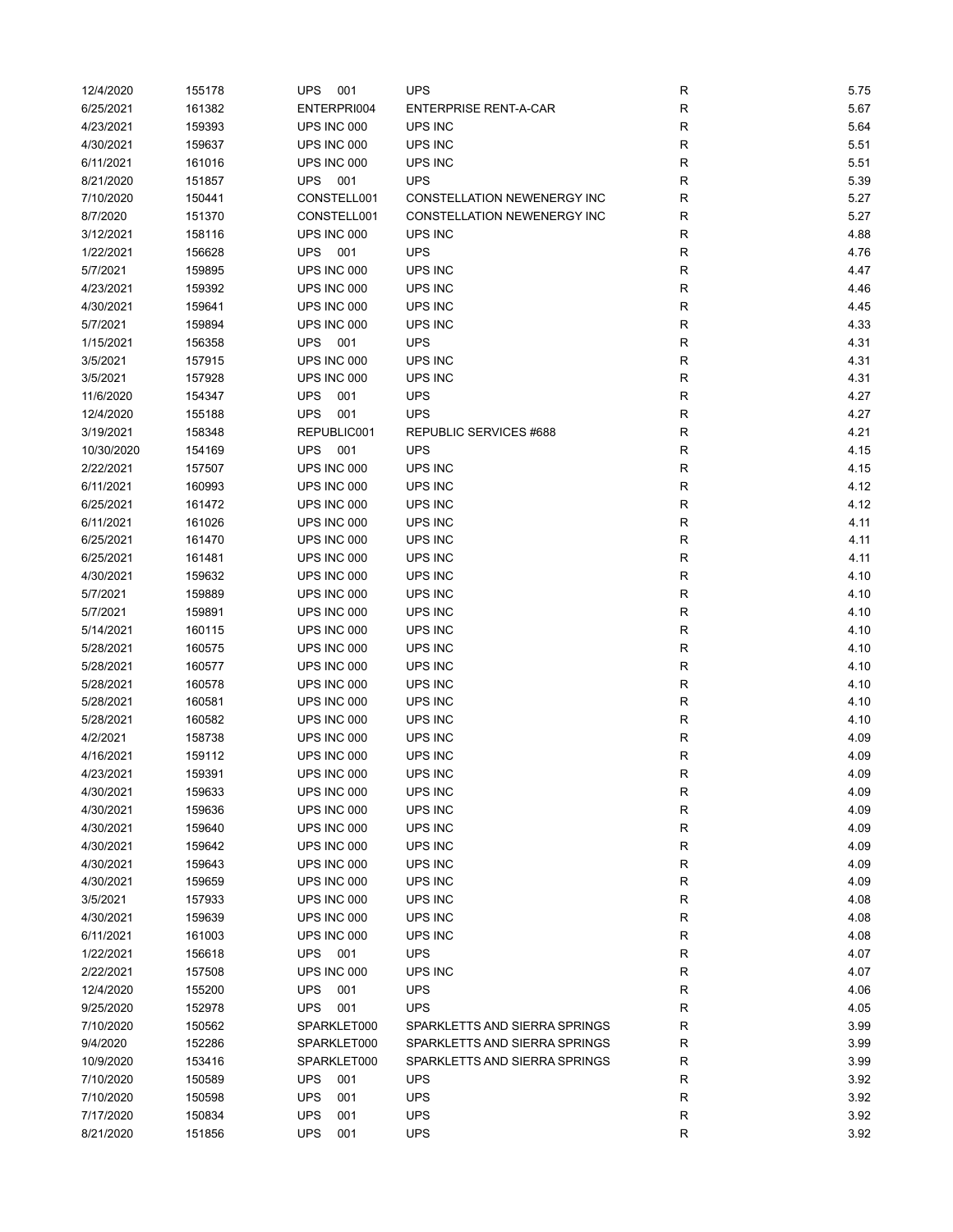| 12/4/2020  | 155178 | <b>UPS</b><br>001 | <b>UPS</b>                    | R | 5.75 |
|------------|--------|-------------------|-------------------------------|---|------|
| 6/25/2021  | 161382 | ENTERPRI004       | <b>ENTERPRISE RENT-A-CAR</b>  | R | 5.67 |
| 4/23/2021  | 159393 | UPS INC 000       | UPS INC                       | R | 5.64 |
| 4/30/2021  | 159637 | UPS INC 000       | UPS INC                       | R | 5.51 |
| 6/11/2021  | 161016 | UPS INC 000       | UPS INC                       | R | 5.51 |
| 8/21/2020  | 151857 | <b>UPS</b> 001    | <b>UPS</b>                    | R | 5.39 |
| 7/10/2020  | 150441 | CONSTELL001       | CONSTELLATION NEWENERGY INC   | R | 5.27 |
| 8/7/2020   | 151370 | CONSTELL001       | CONSTELLATION NEWENERGY INC   | R | 5.27 |
| 3/12/2021  | 158116 | UPS INC 000       | UPS INC                       | R | 4.88 |
| 1/22/2021  | 156628 | <b>UPS</b><br>001 | <b>UPS</b>                    | R | 4.76 |
| 5/7/2021   | 159895 | UPS INC 000       | UPS INC                       | R | 4.47 |
| 4/23/2021  | 159392 | UPS INC 000       | UPS INC                       | R | 4.46 |
| 4/30/2021  | 159641 | UPS INC 000       | UPS INC                       | R | 4.45 |
| 5/7/2021   | 159894 | UPS INC 000       | UPS INC                       | R | 4.33 |
| 1/15/2021  | 156358 | UPS<br>001        | <b>UPS</b>                    | R | 4.31 |
| 3/5/2021   | 157915 | UPS INC 000       | UPS INC                       | R | 4.31 |
| 3/5/2021   | 157928 | UPS INC 000       | UPS INC                       | R | 4.31 |
| 11/6/2020  | 154347 | <b>UPS</b><br>001 | <b>UPS</b>                    | R | 4.27 |
| 12/4/2020  | 155188 | <b>UPS</b><br>001 | <b>UPS</b>                    | R | 4.27 |
| 3/19/2021  | 158348 | REPUBLIC001       | REPUBLIC SERVICES #688        | R | 4.21 |
|            |        | <b>UPS</b><br>001 |                               | R |      |
| 10/30/2020 | 154169 |                   | <b>UPS</b>                    |   | 4.15 |
| 2/22/2021  | 157507 | UPS INC 000       | UPS INC                       | R | 4.15 |
| 6/11/2021  | 160993 | UPS INC 000       | UPS INC                       | R | 4.12 |
| 6/25/2021  | 161472 | UPS INC 000       | UPS INC                       | R | 4.12 |
| 6/11/2021  | 161026 | UPS INC 000       | UPS INC                       | R | 4.11 |
| 6/25/2021  | 161470 | UPS INC 000       | UPS INC                       | R | 4.11 |
| 6/25/2021  | 161481 | UPS INC 000       | UPS INC                       | R | 4.11 |
| 4/30/2021  | 159632 | UPS INC 000       | UPS INC                       | R | 4.10 |
| 5/7/2021   | 159889 | UPS INC 000       | UPS INC                       | R | 4.10 |
| 5/7/2021   | 159891 | UPS INC 000       | UPS INC                       | R | 4.10 |
| 5/14/2021  | 160115 | UPS INC 000       | UPS INC                       | R | 4.10 |
| 5/28/2021  | 160575 | UPS INC 000       | UPS INC                       | R | 4.10 |
| 5/28/2021  | 160577 | UPS INC 000       | UPS INC                       | R | 4.10 |
| 5/28/2021  | 160578 | UPS INC 000       | UPS INC                       | R | 4.10 |
| 5/28/2021  | 160581 | UPS INC 000       | UPS INC                       | R | 4.10 |
| 5/28/2021  | 160582 | UPS INC 000       | UPS INC                       | R | 4.10 |
| 4/2/2021   | 158738 | UPS INC 000       | UPS INC                       | R | 4.09 |
| 4/16/2021  | 159112 | UPS INC 000       | UPS INC                       | R | 4.09 |
| 4/23/2021  | 159391 | UPS INC 000       | UPS INC                       | R | 4.09 |
| 4/30/2021  | 159633 | UPS INC 000       | UPS INC                       | R | 4.09 |
| 4/30/2021  | 159636 | UPS INC 000       | UPS INC                       | R | 4.09 |
| 4/30/2021  | 159640 | UPS INC 000       | UPS INC                       | R | 4.09 |
| 4/30/2021  | 159642 | UPS INC 000       | UPS INC                       | R | 4.09 |
| 4/30/2021  | 159643 | UPS INC 000       | UPS INC                       | R | 4.09 |
| 4/30/2021  | 159659 | UPS INC 000       | UPS INC                       | R | 4.09 |
| 3/5/2021   | 157933 | UPS INC 000       | UPS INC                       | R | 4.08 |
| 4/30/2021  | 159639 | UPS INC 000       | UPS INC                       | R | 4.08 |
| 6/11/2021  | 161003 | UPS INC 000       | UPS INC                       | R | 4.08 |
| 1/22/2021  | 156618 | UPS<br>001        | <b>UPS</b>                    | R | 4.07 |
| 2/22/2021  | 157508 | UPS INC 000       | UPS INC                       | R | 4.07 |
| 12/4/2020  | 155200 | <b>UPS</b><br>001 | <b>UPS</b>                    | R | 4.06 |
| 9/25/2020  | 152978 | <b>UPS</b><br>001 | <b>UPS</b>                    | R | 4.05 |
| 7/10/2020  | 150562 | SPARKLET000       | SPARKLETTS AND SIERRA SPRINGS | R | 3.99 |
| 9/4/2020   | 152286 | SPARKLET000       | SPARKLETTS AND SIERRA SPRINGS | R | 3.99 |
| 10/9/2020  | 153416 | SPARKLET000       | SPARKLETTS AND SIERRA SPRINGS | R | 3.99 |
| 7/10/2020  | 150589 | <b>UPS</b><br>001 | <b>UPS</b>                    | R | 3.92 |
| 7/10/2020  | 150598 | <b>UPS</b><br>001 | <b>UPS</b>                    | R | 3.92 |
| 7/17/2020  | 150834 | <b>UPS</b><br>001 | <b>UPS</b>                    | R | 3.92 |
| 8/21/2020  | 151856 | <b>UPS</b><br>001 | <b>UPS</b>                    | R | 3.92 |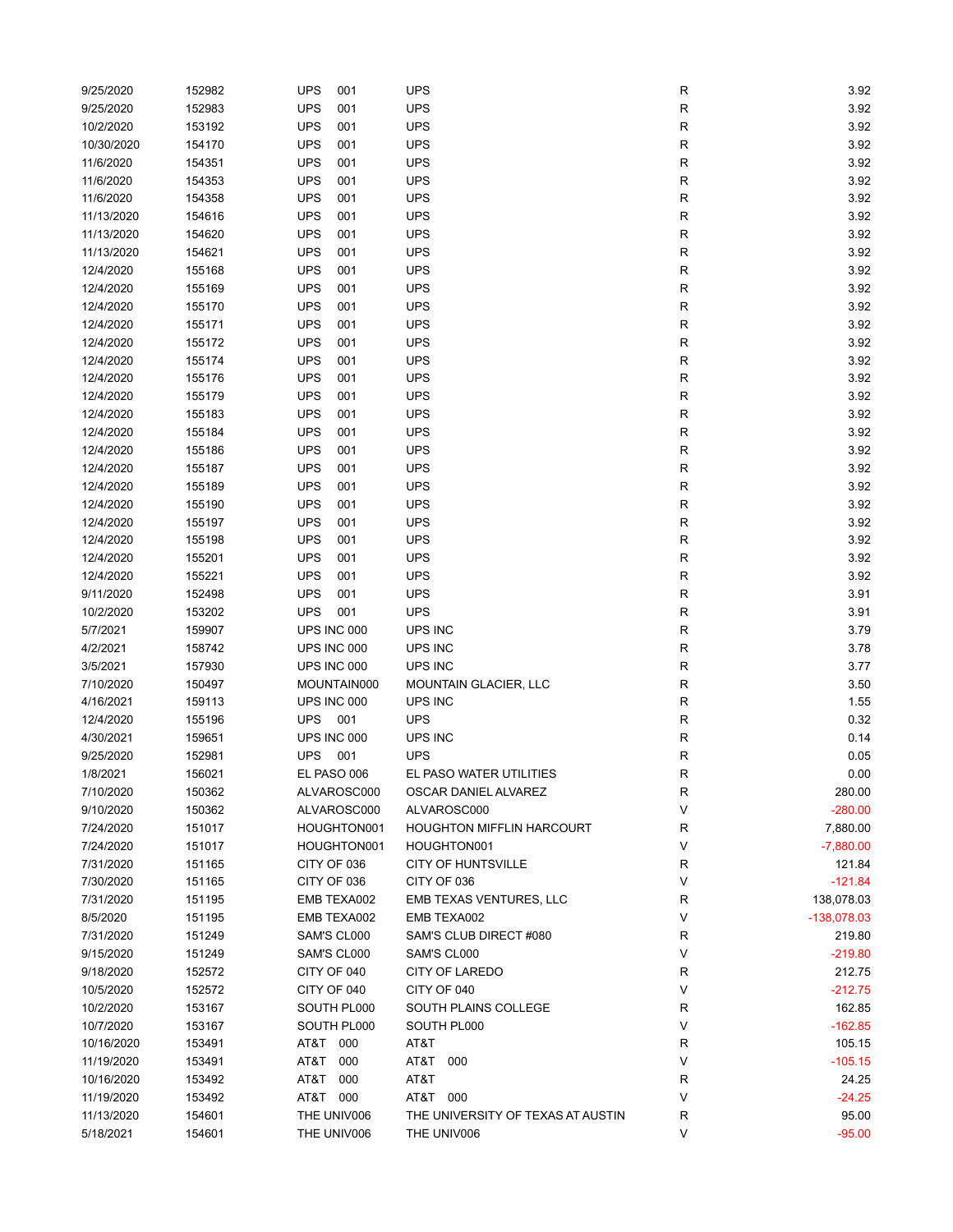| 9/25/2020  | 152982 | <b>UPS</b><br>001 | <b>UPS</b>                        | R           | 3.92          |
|------------|--------|-------------------|-----------------------------------|-------------|---------------|
| 9/25/2020  | 152983 | <b>UPS</b><br>001 | <b>UPS</b>                        | R           | 3.92          |
| 10/2/2020  | 153192 | <b>UPS</b><br>001 | <b>UPS</b>                        | R           | 3.92          |
| 10/30/2020 | 154170 | <b>UPS</b><br>001 | <b>UPS</b>                        | R           | 3.92          |
| 11/6/2020  | 154351 | <b>UPS</b><br>001 | <b>UPS</b>                        | R           | 3.92          |
| 11/6/2020  | 154353 | <b>UPS</b><br>001 | <b>UPS</b>                        | R           | 3.92          |
| 11/6/2020  | 154358 | <b>UPS</b><br>001 | <b>UPS</b>                        | R           | 3.92          |
| 11/13/2020 | 154616 | <b>UPS</b><br>001 | <b>UPS</b>                        | R           | 3.92          |
|            |        | <b>UPS</b>        | <b>UPS</b>                        |             |               |
| 11/13/2020 | 154620 | 001               |                                   | R           | 3.92          |
| 11/13/2020 | 154621 | <b>UPS</b><br>001 | <b>UPS</b>                        | R           | 3.92          |
| 12/4/2020  | 155168 | <b>UPS</b><br>001 | <b>UPS</b>                        | R           | 3.92          |
| 12/4/2020  | 155169 | <b>UPS</b><br>001 | <b>UPS</b>                        | R           | 3.92          |
| 12/4/2020  | 155170 | <b>UPS</b><br>001 | <b>UPS</b>                        | R           | 3.92          |
| 12/4/2020  | 155171 | <b>UPS</b><br>001 | <b>UPS</b>                        | R           | 3.92          |
| 12/4/2020  | 155172 | <b>UPS</b><br>001 | <b>UPS</b>                        | R           | 3.92          |
| 12/4/2020  | 155174 | <b>UPS</b><br>001 | <b>UPS</b>                        | R           | 3.92          |
| 12/4/2020  | 155176 | <b>UPS</b><br>001 | <b>UPS</b>                        | R           | 3.92          |
| 12/4/2020  | 155179 | <b>UPS</b><br>001 | <b>UPS</b>                        | R           | 3.92          |
| 12/4/2020  | 155183 | <b>UPS</b><br>001 | <b>UPS</b>                        | R           | 3.92          |
| 12/4/2020  | 155184 | <b>UPS</b><br>001 | <b>UPS</b>                        | R           | 3.92          |
| 12/4/2020  | 155186 | <b>UPS</b><br>001 | <b>UPS</b>                        | R           | 3.92          |
| 12/4/2020  | 155187 | <b>UPS</b><br>001 | <b>UPS</b>                        | R           | 3.92          |
| 12/4/2020  | 155189 | <b>UPS</b><br>001 | <b>UPS</b>                        | R           | 3.92          |
| 12/4/2020  | 155190 | <b>UPS</b><br>001 | <b>UPS</b>                        | R           | 3.92          |
| 12/4/2020  | 155197 | <b>UPS</b><br>001 | <b>UPS</b>                        | R           | 3.92          |
| 12/4/2020  | 155198 | <b>UPS</b><br>001 | <b>UPS</b>                        | R           | 3.92          |
| 12/4/2020  | 155201 | <b>UPS</b><br>001 | <b>UPS</b>                        | R           | 3.92          |
| 12/4/2020  | 155221 | <b>UPS</b><br>001 | <b>UPS</b>                        | R           | 3.92          |
| 9/11/2020  | 152498 | <b>UPS</b><br>001 | <b>UPS</b>                        | R           | 3.91          |
| 10/2/2020  | 153202 | <b>UPS</b><br>001 | <b>UPS</b>                        | R           | 3.91          |
| 5/7/2021   | 159907 | UPS INC 000       | UPS INC                           | R           | 3.79          |
| 4/2/2021   | 158742 | UPS INC 000       | UPS INC                           | R           | 3.78          |
|            |        |                   | UPS INC                           |             | 3.77          |
| 3/5/2021   | 157930 | UPS INC 000       |                                   | R           |               |
| 7/10/2020  | 150497 | MOUNTAIN000       | MOUNTAIN GLACIER, LLC             | R           | 3.50          |
| 4/16/2021  | 159113 | UPS INC 000       | UPS INC                           | R           | 1.55          |
| 12/4/2020  | 155196 | <b>UPS</b><br>001 | <b>UPS</b>                        | R           | 0.32          |
| 4/30/2021  | 159651 | UPS INC 000       | UPS INC                           | R           | 0.14          |
| 9/25/2020  | 152981 | <b>UPS</b><br>001 | <b>UPS</b>                        | R           | 0.05          |
| 1/8/2021   | 156021 | EL PASO 006       | EL PASO WATER UTILITIES           | R           | 0.00          |
| 7/10/2020  | 150362 | ALVAROSC000       | OSCAR DANIEL ALVAREZ              | R           | 280.00        |
| 9/10/2020  | 150362 | ALVAROSC000       | ALVAROSC000                       | V           | $-280.00$     |
| 7/24/2020  | 151017 | HOUGHTON001       | <b>HOUGHTON MIFFLIN HARCOURT</b>  | $\mathsf R$ | 7,880.00      |
| 7/24/2020  | 151017 | HOUGHTON001       | HOUGHTON001                       | V           | $-7,880.00$   |
| 7/31/2020  | 151165 | CITY OF 036       | <b>CITY OF HUNTSVILLE</b>         | R           | 121.84        |
| 7/30/2020  | 151165 | CITY OF 036       | CITY OF 036                       | V           | $-121.84$     |
| 7/31/2020  | 151195 | EMB TEXA002       | EMB TEXAS VENTURES, LLC           | R           | 138,078.03    |
| 8/5/2020   | 151195 | EMB TEXA002       | EMB TEXA002                       | V           | $-138,078.03$ |
| 7/31/2020  | 151249 | SAM'S CL000       | SAM'S CLUB DIRECT #080            | R           | 219.80        |
| 9/15/2020  | 151249 | SAM'S CL000       | SAM'S CL000                       | V           | $-219.80$     |
| 9/18/2020  | 152572 | CITY OF 040       | CITY OF LAREDO                    | R           | 212.75        |
| 10/5/2020  | 152572 | CITY OF 040       | CITY OF 040                       | V           | $-212.75$     |
| 10/2/2020  | 153167 | SOUTH PL000       | SOUTH PLAINS COLLEGE              | R           | 162.85        |
| 10/7/2020  | 153167 | SOUTH PL000       | SOUTH PL000                       | V           | $-162.85$     |
| 10/16/2020 | 153491 | AT&T 000          | AT&T                              | R           | 105.15        |
| 11/19/2020 | 153491 | AT&T<br>000       | AT&T<br>000                       | V           | $-105.15$     |
| 10/16/2020 | 153492 | AT&T<br>000       | AT&T                              | R           | 24.25         |
| 11/19/2020 | 153492 | AT&T 000          | AT&T 000                          | V           | $-24.25$      |
| 11/13/2020 | 154601 | THE UNIV006       | THE UNIVERSITY OF TEXAS AT AUSTIN | R           | 95.00         |
| 5/18/2021  | 154601 | THE UNIV006       | THE UNIV006                       | $\vee$      | $-95.00$      |
|            |        |                   |                                   |             |               |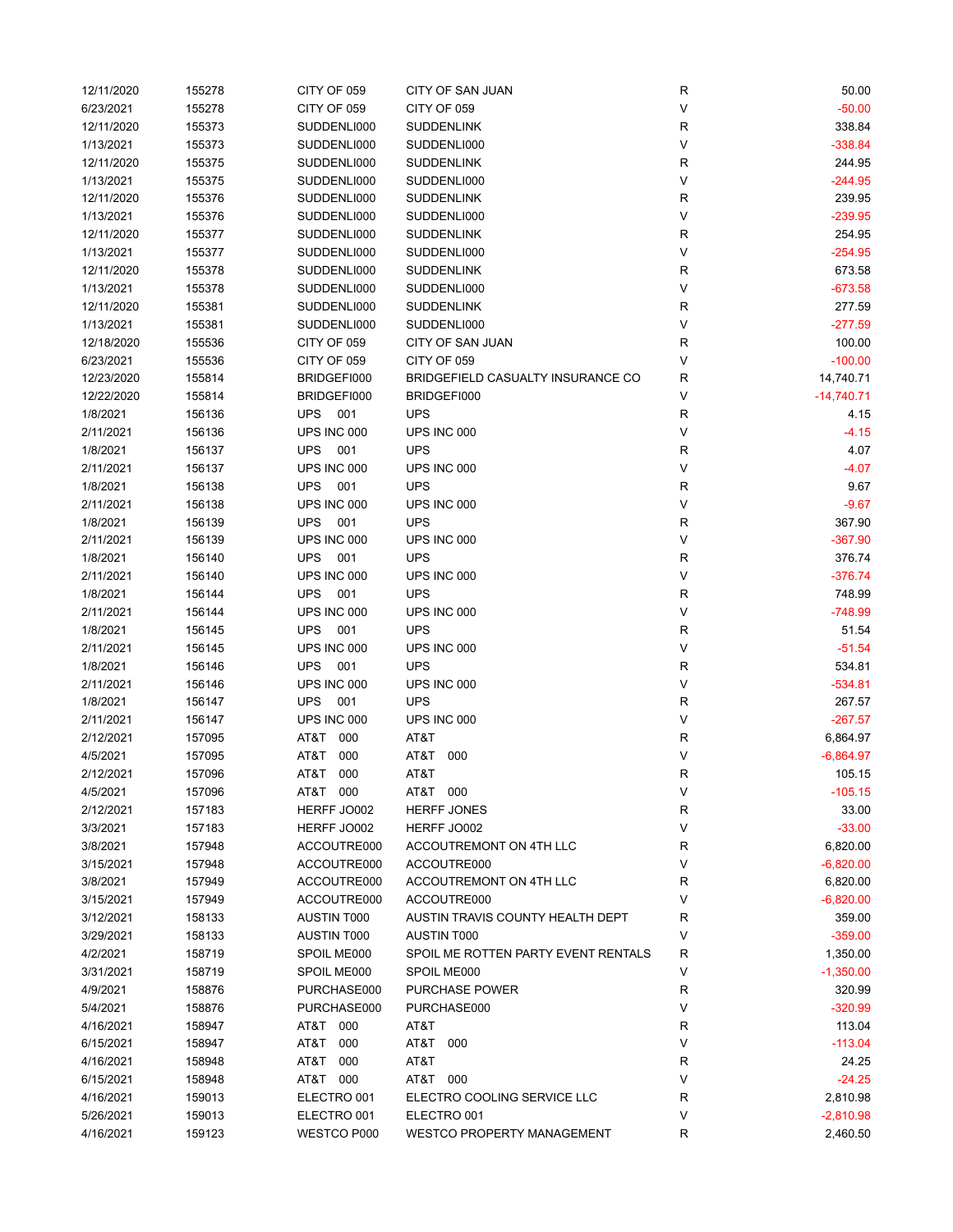| 12/11/2020 | 155278 | CITY OF 059        | CITY OF SAN JUAN                    | $\mathsf R$  | 50.00        |
|------------|--------|--------------------|-------------------------------------|--------------|--------------|
| 6/23/2021  | 155278 | CITY OF 059        | CITY OF 059                         | $\sf V$      | $-50.00$     |
| 12/11/2020 | 155373 | SUDDENLI000        | <b>SUDDENLINK</b>                   | $\mathsf R$  | 338.84       |
| 1/13/2021  | 155373 | SUDDENLI000        | SUDDENLI000                         | $\sf V$      | $-338.84$    |
| 12/11/2020 | 155375 | SUDDENLI000        | <b>SUDDENLINK</b>                   | $\mathsf R$  | 244.95       |
| 1/13/2021  | 155375 | SUDDENLI000        | SUDDENLI000                         | $\vee$       | $-244.95$    |
| 12/11/2020 | 155376 | SUDDENLI000        | <b>SUDDENLINK</b>                   | R            | 239.95       |
| 1/13/2021  | 155376 | SUDDENLI000        | SUDDENLI000                         | V            | $-239.95$    |
| 12/11/2020 |        |                    |                                     |              | 254.95       |
|            | 155377 | SUDDENLI000        | <b>SUDDENLINK</b>                   | R            |              |
| 1/13/2021  | 155377 | SUDDENLI000        | SUDDENLI000                         | V            | $-254.95$    |
| 12/11/2020 | 155378 | SUDDENLI000        | <b>SUDDENLINK</b>                   | R            | 673.58       |
| 1/13/2021  | 155378 | SUDDENLI000        | SUDDENLI000                         | $\sf V$      | $-673.58$    |
| 12/11/2020 | 155381 | SUDDENLI000        | <b>SUDDENLINK</b>                   | R            | 277.59       |
| 1/13/2021  | 155381 | SUDDENLI000        | SUDDENLI000                         | $\sf V$      | $-277.59$    |
| 12/18/2020 | 155536 | CITY OF 059        | CITY OF SAN JUAN                    | $\mathsf{R}$ | 100.00       |
| 6/23/2021  | 155536 | CITY OF 059        | CITY OF 059                         | V            | $-100.00$    |
| 12/23/2020 | 155814 | BRIDGEFI000        | BRIDGEFIELD CASUALTY INSURANCE CO   | R            | 14,740.71    |
| 12/22/2020 | 155814 | BRIDGEFI000        | BRIDGEFI000                         | $\sf V$      | $-14,740.71$ |
| 1/8/2021   | 156136 | <b>UPS</b><br>001  | <b>UPS</b>                          | $\mathsf R$  | 4.15         |
| 2/11/2021  | 156136 | UPS INC 000        | UPS INC 000                         | $\vee$       | $-4.15$      |
| 1/8/2021   | 156137 | <b>UPS</b><br>001  | <b>UPS</b>                          | R            | 4.07         |
| 2/11/2021  | 156137 | UPS INC 000        | UPS INC 000                         | V            | $-4.07$      |
| 1/8/2021   | 156138 | <b>UPS</b><br>001  | <b>UPS</b>                          | R            | 9.67         |
| 2/11/2021  | 156138 | UPS INC 000        | UPS INC 000                         | V            | $-9.67$      |
| 1/8/2021   | 156139 | <b>UPS</b><br>001  | <b>UPS</b>                          | R            | 367.90       |
| 2/11/2021  | 156139 | UPS INC 000        | UPS INC 000                         | $\vee$       | $-367.90$    |
| 1/8/2021   | 156140 | <b>UPS</b><br>001  | <b>UPS</b>                          | $\mathsf R$  | 376.74       |
| 2/11/2021  | 156140 | UPS INC 000        | UPS INC 000                         | $\sf V$      | $-376.74$    |
|            |        | <b>UPS</b><br>001  |                                     |              |              |
| 1/8/2021   | 156144 |                    | <b>UPS</b>                          | $\mathsf R$  | 748.99       |
| 2/11/2021  | 156144 | UPS INC 000        | UPS INC 000                         | $\vee$       | $-748.99$    |
| 1/8/2021   | 156145 | <b>UPS</b><br>001  | <b>UPS</b>                          | $\mathsf R$  | 51.54        |
| 2/11/2021  | 156145 | UPS INC 000        | UPS INC 000                         | V            | $-51.54$     |
| 1/8/2021   | 156146 | <b>UPS</b><br>001  | <b>UPS</b>                          | R            | 534.81       |
| 2/11/2021  | 156146 | UPS INC 000        | UPS INC 000                         | $\vee$       | $-534.81$    |
| 1/8/2021   | 156147 | <b>UPS</b><br>001  | <b>UPS</b>                          | R            | 267.57       |
| 2/11/2021  | 156147 | UPS INC 000        | UPS INC 000                         | V            | $-267.57$    |
| 2/12/2021  | 157095 | AT&T 000           | AT&T                                | R            | 6,864.97     |
| 4/5/2021   | 157095 | 000<br>AT&T        | AT&T 000                            | V            | $-6,864.97$  |
| 2/12/2021  | 157096 | AT&T<br>000        | AT&T                                | R            | 105.15       |
| 4/5/2021   | 157096 | AT&T 000           | AT&T 000                            | $\vee$       | $-105.15$    |
| 2/12/2021  | 157183 | HERFF JO002        | <b>HERFF JONES</b>                  | $\mathsf R$  | 33.00        |
| 3/3/2021   | 157183 | HERFF JO002        | HERFF JO002                         | $\vee$       | $-33.00$     |
| 3/8/2021   | 157948 | ACCOUTRE000        | ACCOUTREMONT ON 4TH LLC             | R            | 6,820.00     |
| 3/15/2021  | 157948 | ACCOUTRE000        | ACCOUTRE000                         | V            | $-6,820.00$  |
| 3/8/2021   | 157949 | ACCOUTRE000        | ACCOUTREMONT ON 4TH LLC             | R            | 6,820.00     |
| 3/15/2021  | 157949 | ACCOUTRE000        | ACCOUTRE000                         | V            | $-6,820.00$  |
| 3/12/2021  | 158133 | <b>AUSTIN T000</b> | AUSTIN TRAVIS COUNTY HEALTH DEPT    | R            | 359.00       |
| 3/29/2021  | 158133 | AUSTIN T000        | <b>AUSTIN T000</b>                  | V            | $-359.00$    |
| 4/2/2021   | 158719 | SPOIL ME000        | SPOIL ME ROTTEN PARTY EVENT RENTALS | R            | 1,350.00     |
| 3/31/2021  | 158719 | SPOIL ME000        | SPOIL ME000                         | V            | $-1,350.00$  |
| 4/9/2021   | 158876 | PURCHASE000        | <b>PURCHASE POWER</b>               | R            | 320.99       |
|            |        |                    |                                     | V            |              |
| 5/4/2021   | 158876 | PURCHASE000        | PURCHASE000                         |              | $-320.99$    |
| 4/16/2021  | 158947 | AT&T 000           | AT&T                                | R            | 113.04       |
| 6/15/2021  | 158947 | AT&T<br>000        | AT&T<br>000                         | V            | $-113.04$    |
| 4/16/2021  | 158948 | AT&T<br>000        | AT&T                                | R            | 24.25        |
| 6/15/2021  | 158948 | AT&T 000           | AT&T 000                            | V            | $-24.25$     |
| 4/16/2021  | 159013 | ELECTRO 001        | ELECTRO COOLING SERVICE LLC         | R            | 2,810.98     |
| 5/26/2021  | 159013 | ELECTRO 001        | ELECTRO 001                         | V            | $-2,810.98$  |
| 4/16/2021  | 159123 | WESTCO P000        | <b>WESTCO PROPERTY MANAGEMENT</b>   | R            | 2,460.50     |